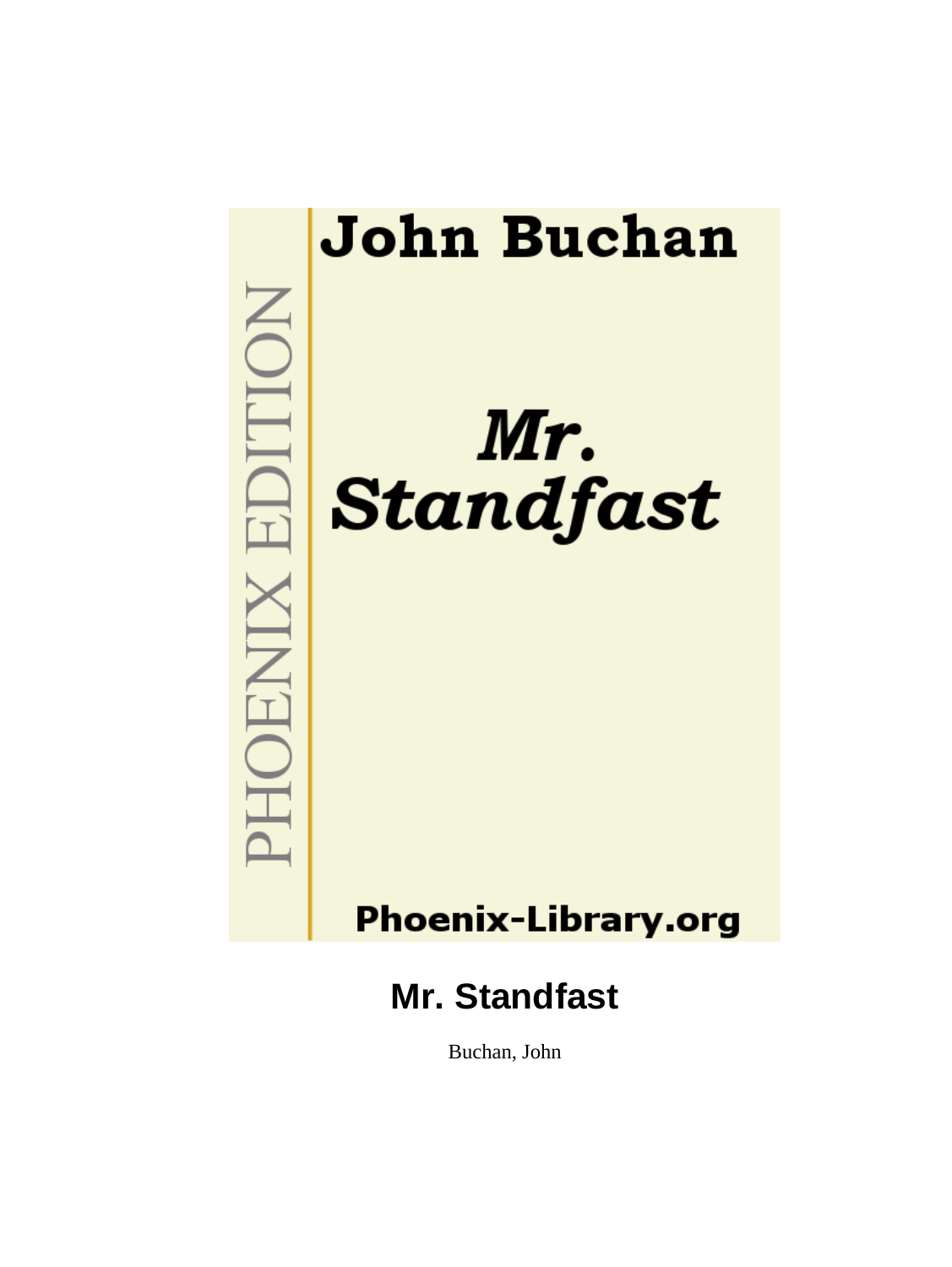

Buchan, John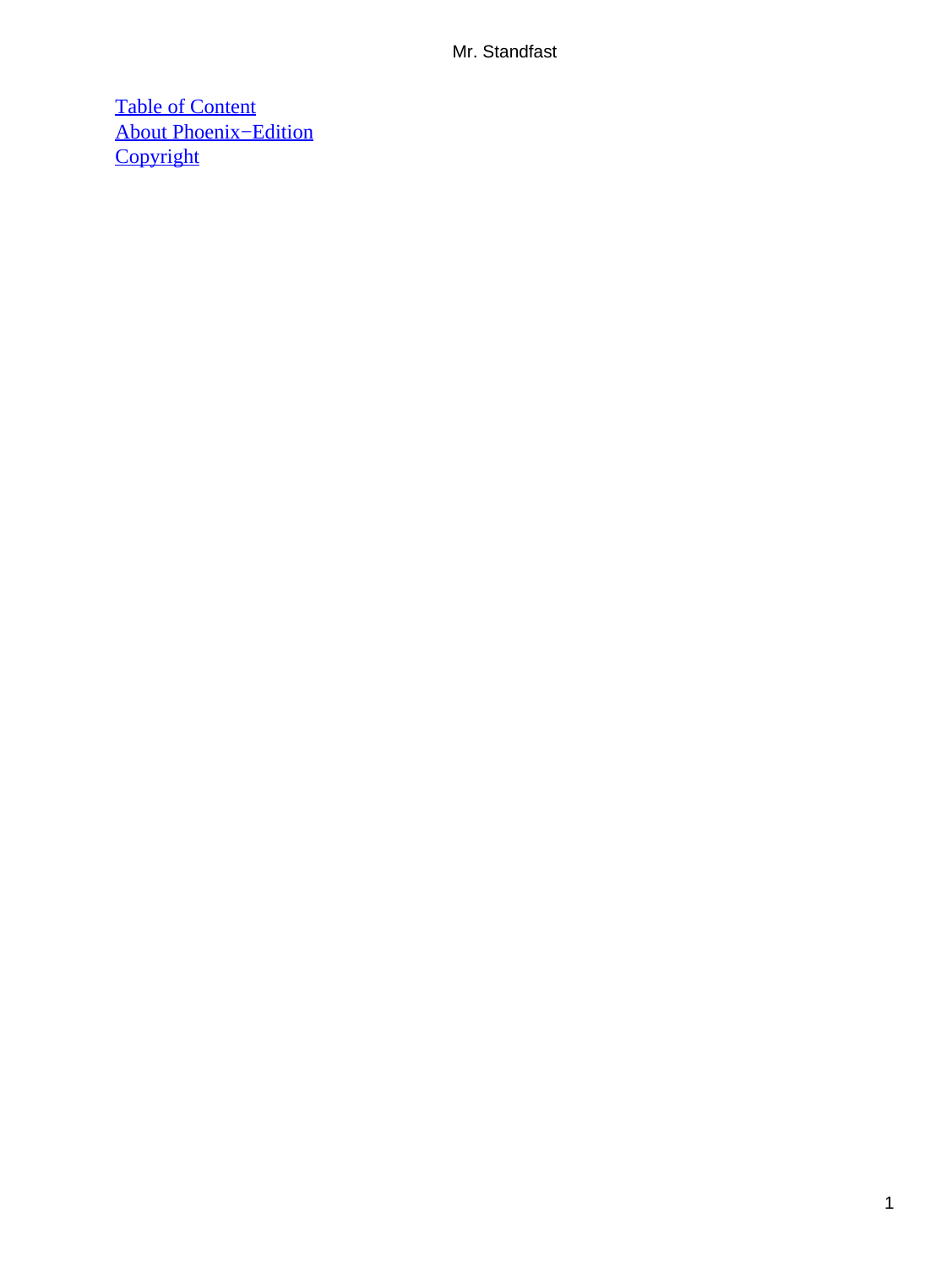[Table of Content](#page-255-0) [About Phoenix−Edition](#page-257-0) **[Copyright](#page-258-0)**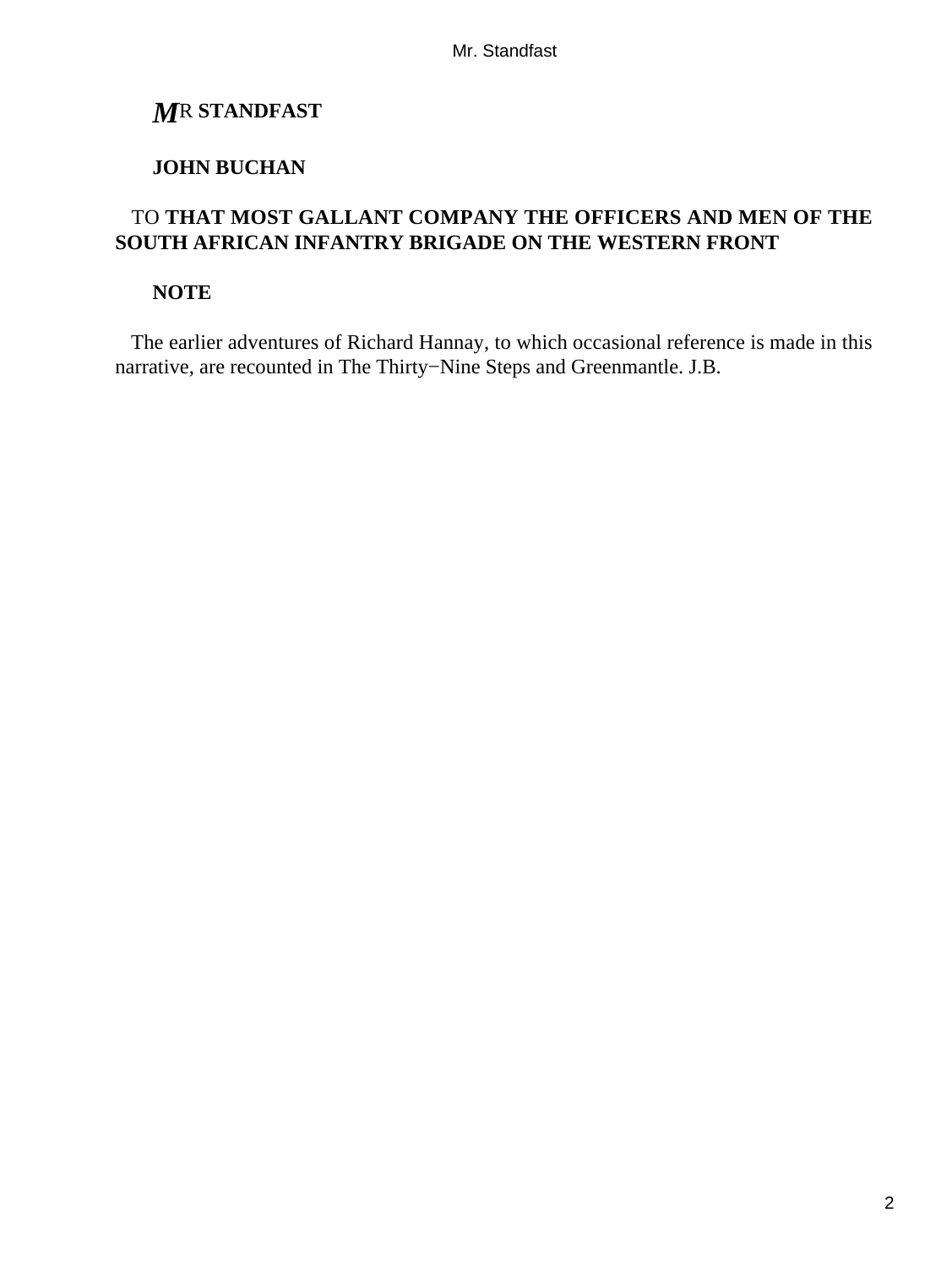## *M*R **STANDFAST**

### **JOHN BUCHAN**

### TO **THAT MOST GALLANT COMPANY THE OFFICERS AND MEN OF THE SOUTH AFRICAN INFANTRY BRIGADE ON THE WESTERN FRONT**

### **NOTE**

 The earlier adventures of Richard Hannay, to which occasional reference is made in this narrative, are recounted in The Thirty−Nine Steps and Greenmantle. J.B.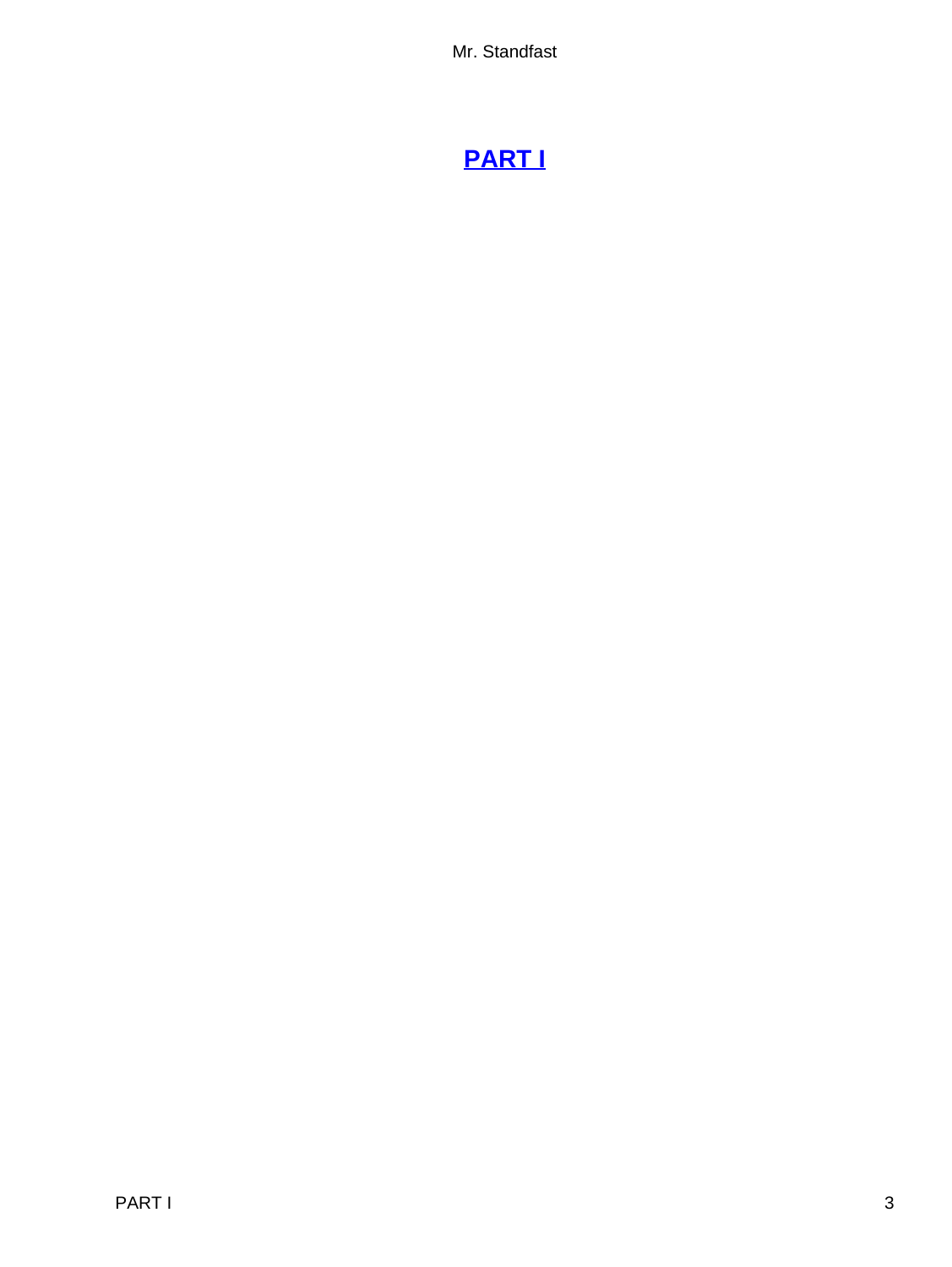# **[PART I](#page-255-0)**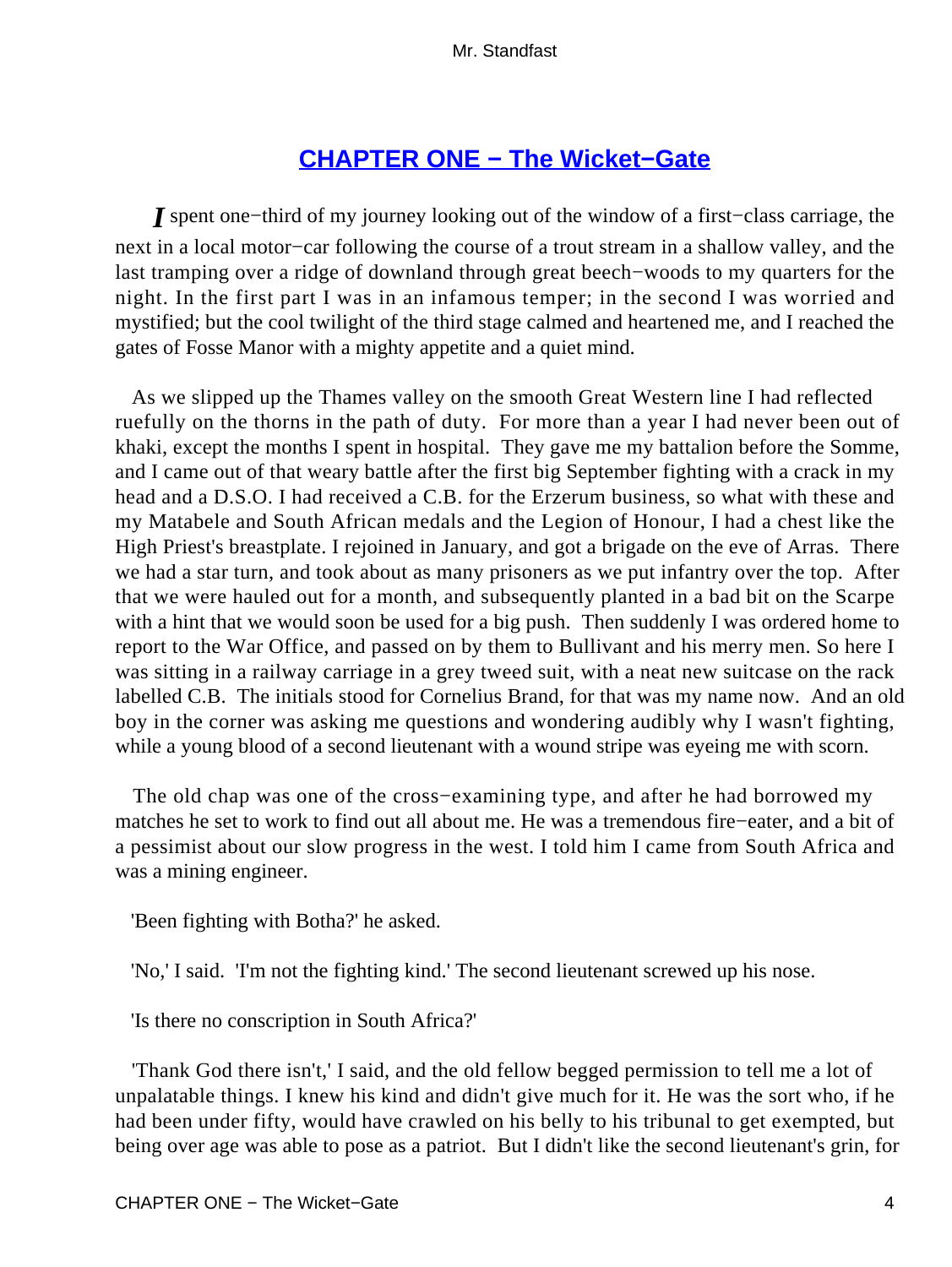# **[CHAPTER ONE − The Wicket−Gate](#page-255-0)**

*I* spent one−third of my journey looking out of the window of a first−class carriage, the next in a local motor−car following the course of a trout stream in a shallow valley, and the last tramping over a ridge of downland through great beech−woods to my quarters for the night. In the first part I was in an infamous temper; in the second I was worried and mystified; but the cool twilight of the third stage calmed and heartened me, and I reached the gates of Fosse Manor with a mighty appetite and a quiet mind.

 As we slipped up the Thames valley on the smooth Great Western line I had reflected ruefully on the thorns in the path of duty. For more than a year I had never been out of khaki, except the months I spent in hospital. They gave me my battalion before the Somme, and I came out of that weary battle after the first big September fighting with a crack in my head and a D.S.O. I had received a C.B. for the Erzerum business, so what with these and my Matabele and South African medals and the Legion of Honour, I had a chest like the High Priest's breastplate. I rejoined in January, and got a brigade on the eve of Arras. There we had a star turn, and took about as many prisoners as we put infantry over the top. After that we were hauled out for a month, and subsequently planted in a bad bit on the Scarpe with a hint that we would soon be used for a big push. Then suddenly I was ordered home to report to the War Office, and passed on by them to Bullivant and his merry men. So here I was sitting in a railway carriage in a grey tweed suit, with a neat new suitcase on the rack labelled C.B. The initials stood for Cornelius Brand, for that was my name now. And an old boy in the corner was asking me questions and wondering audibly why I wasn't fighting, while a young blood of a second lieutenant with a wound stripe was eyeing me with scorn.

 The old chap was one of the cross−examining type, and after he had borrowed my matches he set to work to find out all about me. He was a tremendous fire−eater, and a bit of a pessimist about our slow progress in the west. I told him I came from South Africa and was a mining engineer.

'Been fighting with Botha?' he asked.

'No,' I said. 'I'm not the fighting kind.' The second lieutenant screwed up his nose.

'Is there no conscription in South Africa?'

 'Thank God there isn't,' I said, and the old fellow begged permission to tell me a lot of unpalatable things. I knew his kind and didn't give much for it. He was the sort who, if he had been under fifty, would have crawled on his belly to his tribunal to get exempted, but being over age was able to pose as a patriot. But I didn't like the second lieutenant's grin, for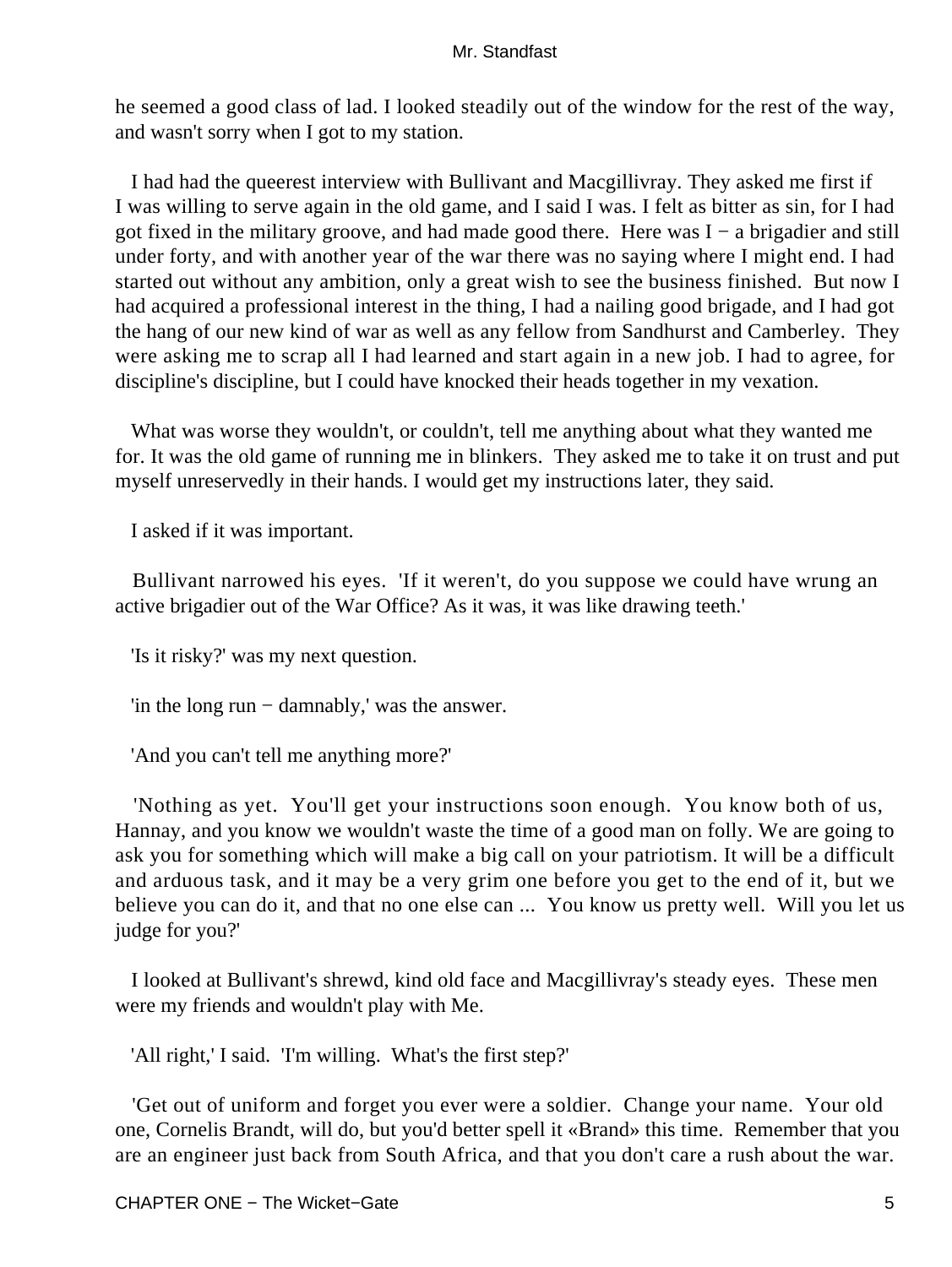he seemed a good class of lad. I looked steadily out of the window for the rest of the way, and wasn't sorry when I got to my station.

 I had had the queerest interview with Bullivant and Macgillivray. They asked me first if I was willing to serve again in the old game, and I said I was. I felt as bitter as sin, for I had got fixed in the military groove, and had made good there. Here was I − a brigadier and still under forty, and with another year of the war there was no saying where I might end. I had started out without any ambition, only a great wish to see the business finished. But now I had acquired a professional interest in the thing, I had a nailing good brigade, and I had got the hang of our new kind of war as well as any fellow from Sandhurst and Camberley. They were asking me to scrap all I had learned and start again in a new job. I had to agree, for discipline's discipline, but I could have knocked their heads together in my vexation.

 What was worse they wouldn't, or couldn't, tell me anything about what they wanted me for. It was the old game of running me in blinkers. They asked me to take it on trust and put myself unreservedly in their hands. I would get my instructions later, they said.

I asked if it was important.

 Bullivant narrowed his eyes. 'If it weren't, do you suppose we could have wrung an active brigadier out of the War Office? As it was, it was like drawing teeth.'

'Is it risky?' was my next question.

'in the long run − damnably,' was the answer.

'And you can't tell me anything more?'

 'Nothing as yet. You'll get your instructions soon enough. You know both of us, Hannay, and you know we wouldn't waste the time of a good man on folly. We are going to ask you for something which will make a big call on your patriotism. It will be a difficult and arduous task, and it may be a very grim one before you get to the end of it, but we believe you can do it, and that no one else can ... You know us pretty well. Will you let us judge for you?'

 I looked at Bullivant's shrewd, kind old face and Macgillivray's steady eyes. These men were my friends and wouldn't play with Me.

'All right,' I said. 'I'm willing. What's the first step?'

 'Get out of uniform and forget you ever were a soldier. Change your name. Your old one, Cornelis Brandt, will do, but you'd better spell it «Brand» this time. Remember that you are an engineer just back from South Africa, and that you don't care a rush about the war.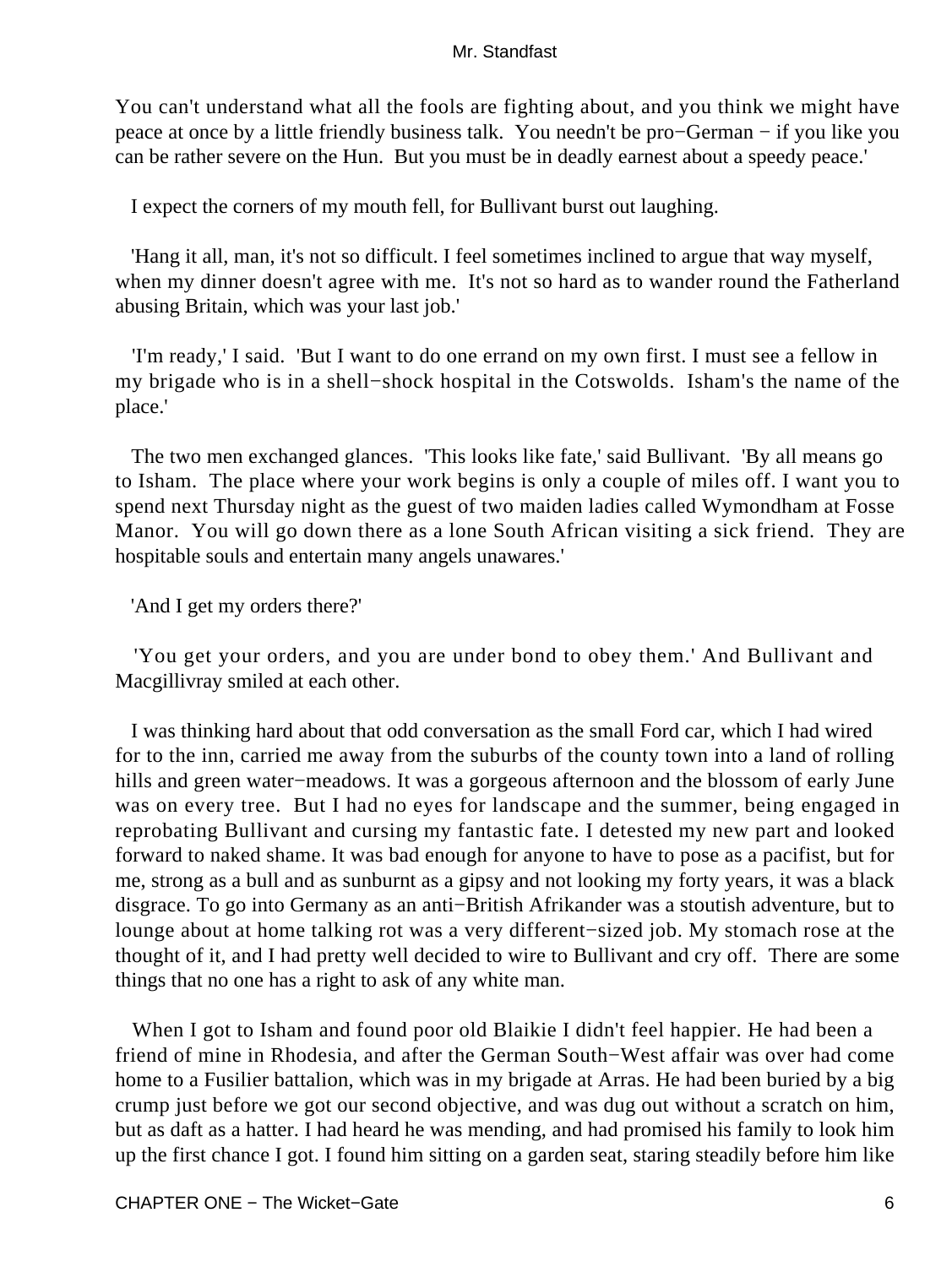You can't understand what all the fools are fighting about, and you think we might have peace at once by a little friendly business talk. You needn't be pro−German − if you like you can be rather severe on the Hun. But you must be in deadly earnest about a speedy peace.'

I expect the corners of my mouth fell, for Bullivant burst out laughing.

 'Hang it all, man, it's not so difficult. I feel sometimes inclined to argue that way myself, when my dinner doesn't agree with me. It's not so hard as to wander round the Fatherland abusing Britain, which was your last job.'

 'I'm ready,' I said. 'But I want to do one errand on my own first. I must see a fellow in my brigade who is in a shell−shock hospital in the Cotswolds. Isham's the name of the place.'

 The two men exchanged glances. 'This looks like fate,' said Bullivant. 'By all means go to Isham. The place where your work begins is only a couple of miles off. I want you to spend next Thursday night as the guest of two maiden ladies called Wymondham at Fosse Manor. You will go down there as a lone South African visiting a sick friend. They are hospitable souls and entertain many angels unawares.'

'And I get my orders there?'

 'You get your orders, and you are under bond to obey them.' And Bullivant and Macgillivray smiled at each other.

 I was thinking hard about that odd conversation as the small Ford car, which I had wired for to the inn, carried me away from the suburbs of the county town into a land of rolling hills and green water−meadows. It was a gorgeous afternoon and the blossom of early June was on every tree. But I had no eyes for landscape and the summer, being engaged in reprobating Bullivant and cursing my fantastic fate. I detested my new part and looked forward to naked shame. It was bad enough for anyone to have to pose as a pacifist, but for me, strong as a bull and as sunburnt as a gipsy and not looking my forty years, it was a black disgrace. To go into Germany as an anti−British Afrikander was a stoutish adventure, but to lounge about at home talking rot was a very different−sized job. My stomach rose at the thought of it, and I had pretty well decided to wire to Bullivant and cry off. There are some things that no one has a right to ask of any white man.

 When I got to Isham and found poor old Blaikie I didn't feel happier. He had been a friend of mine in Rhodesia, and after the German South−West affair was over had come home to a Fusilier battalion, which was in my brigade at Arras. He had been buried by a big crump just before we got our second objective, and was dug out without a scratch on him, but as daft as a hatter. I had heard he was mending, and had promised his family to look him up the first chance I got. I found him sitting on a garden seat, staring steadily before him like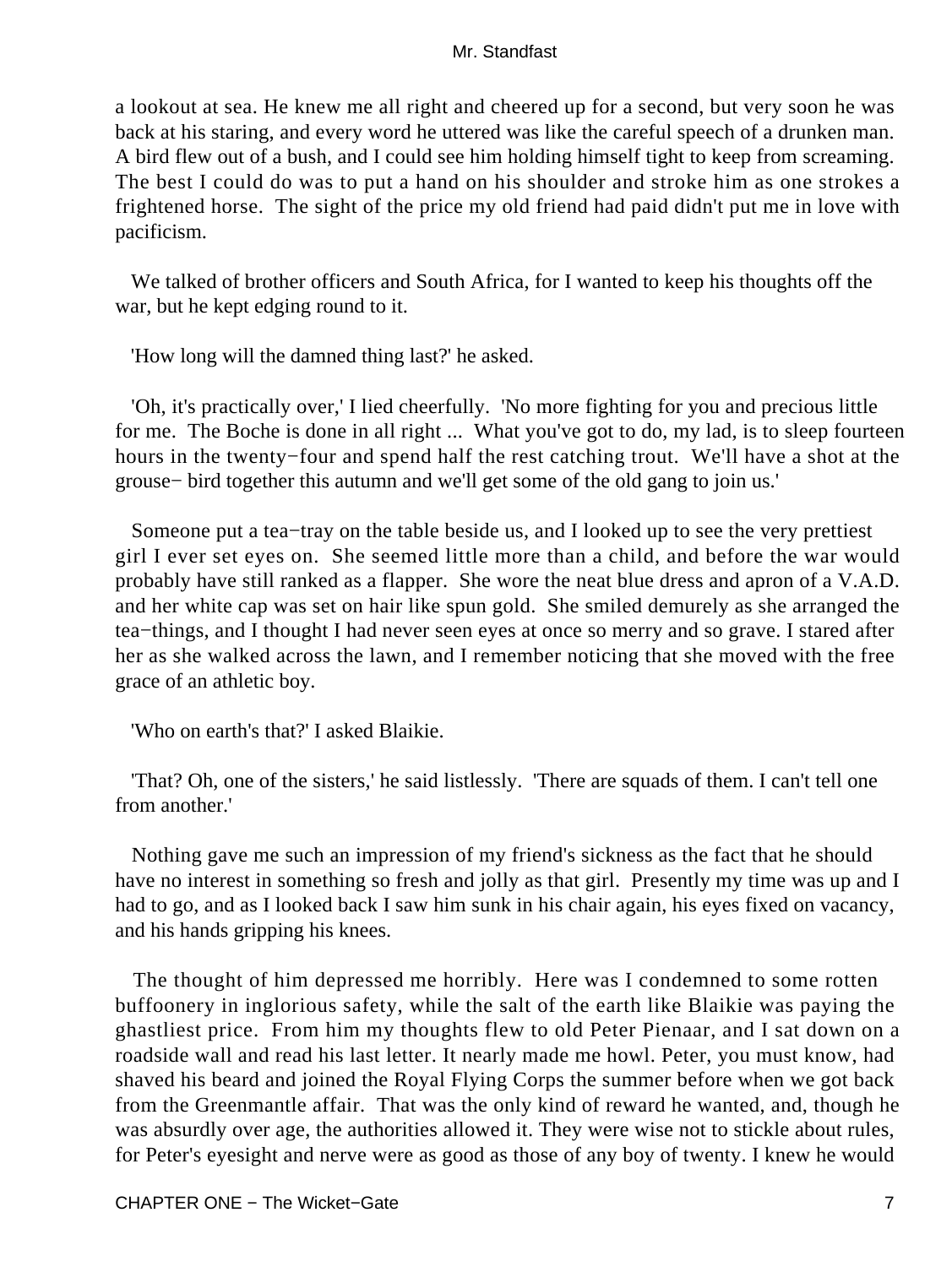a lookout at sea. He knew me all right and cheered up for a second, but very soon he was back at his staring, and every word he uttered was like the careful speech of a drunken man. A bird flew out of a bush, and I could see him holding himself tight to keep from screaming. The best I could do was to put a hand on his shoulder and stroke him as one strokes a frightened horse. The sight of the price my old friend had paid didn't put me in love with pacificism.

 We talked of brother officers and South Africa, for I wanted to keep his thoughts off the war, but he kept edging round to it.

'How long will the damned thing last?' he asked.

 'Oh, it's practically over,' I lied cheerfully. 'No more fighting for you and precious little for me. The Boche is done in all right ... What you've got to do, my lad, is to sleep fourteen hours in the twenty−four and spend half the rest catching trout. We'll have a shot at the grouse− bird together this autumn and we'll get some of the old gang to join us.'

 Someone put a tea−tray on the table beside us, and I looked up to see the very prettiest girl I ever set eyes on. She seemed little more than a child, and before the war would probably have still ranked as a flapper. She wore the neat blue dress and apron of a V.A.D. and her white cap was set on hair like spun gold. She smiled demurely as she arranged the tea−things, and I thought I had never seen eyes at once so merry and so grave. I stared after her as she walked across the lawn, and I remember noticing that she moved with the free grace of an athletic boy.

'Who on earth's that?' I asked Blaikie.

 'That? Oh, one of the sisters,' he said listlessly. 'There are squads of them. I can't tell one from another.'

 Nothing gave me such an impression of my friend's sickness as the fact that he should have no interest in something so fresh and jolly as that girl. Presently my time was up and I had to go, and as I looked back I saw him sunk in his chair again, his eyes fixed on vacancy, and his hands gripping his knees.

 The thought of him depressed me horribly. Here was I condemned to some rotten buffoonery in inglorious safety, while the salt of the earth like Blaikie was paying the ghastliest price. From him my thoughts flew to old Peter Pienaar, and I sat down on a roadside wall and read his last letter. It nearly made me howl. Peter, you must know, had shaved his beard and joined the Royal Flying Corps the summer before when we got back from the Greenmantle affair. That was the only kind of reward he wanted, and, though he was absurdly over age, the authorities allowed it. They were wise not to stickle about rules, for Peter's eyesight and nerve were as good as those of any boy of twenty. I knew he would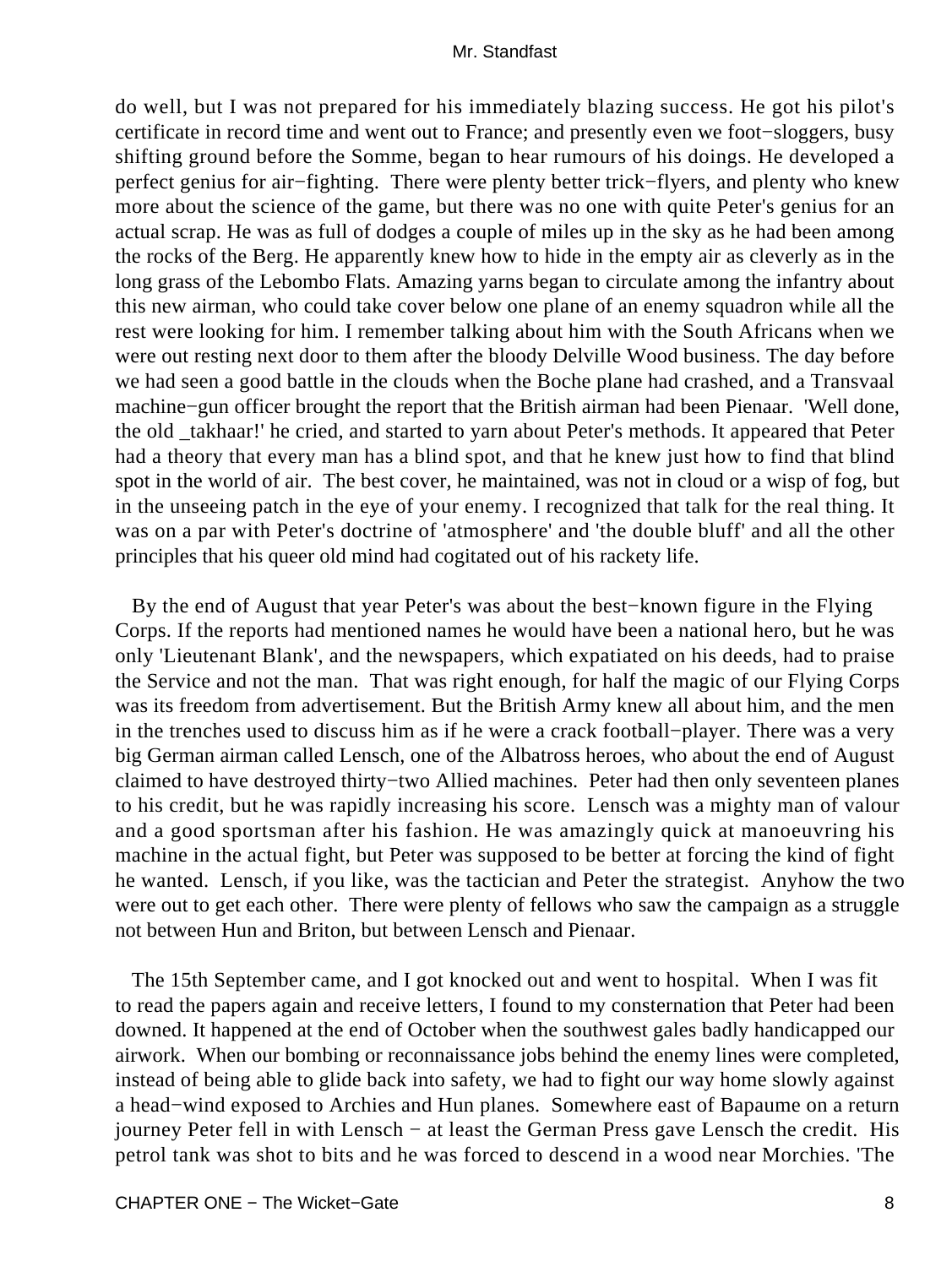do well, but I was not prepared for his immediately blazing success. He got his pilot's certificate in record time and went out to France; and presently even we foot−sloggers, busy shifting ground before the Somme, began to hear rumours of his doings. He developed a perfect genius for air−fighting. There were plenty better trick−flyers, and plenty who knew more about the science of the game, but there was no one with quite Peter's genius for an actual scrap. He was as full of dodges a couple of miles up in the sky as he had been among the rocks of the Berg. He apparently knew how to hide in the empty air as cleverly as in the long grass of the Lebombo Flats. Amazing yarns began to circulate among the infantry about this new airman, who could take cover below one plane of an enemy squadron while all the rest were looking for him. I remember talking about him with the South Africans when we were out resting next door to them after the bloody Delville Wood business. The day before we had seen a good battle in the clouds when the Boche plane had crashed, and a Transvaal machine−gun officer brought the report that the British airman had been Pienaar. 'Well done, the old \_takhaar!' he cried, and started to yarn about Peter's methods. It appeared that Peter had a theory that every man has a blind spot, and that he knew just how to find that blind spot in the world of air. The best cover, he maintained, was not in cloud or a wisp of fog, but in the unseeing patch in the eye of your enemy. I recognized that talk for the real thing. It was on a par with Peter's doctrine of 'atmosphere' and 'the double bluff' and all the other principles that his queer old mind had cogitated out of his rackety life.

 By the end of August that year Peter's was about the best−known figure in the Flying Corps. If the reports had mentioned names he would have been a national hero, but he was only 'Lieutenant Blank', and the newspapers, which expatiated on his deeds, had to praise the Service and not the man. That was right enough, for half the magic of our Flying Corps was its freedom from advertisement. But the British Army knew all about him, and the men in the trenches used to discuss him as if he were a crack football−player. There was a very big German airman called Lensch, one of the Albatross heroes, who about the end of August claimed to have destroyed thirty−two Allied machines. Peter had then only seventeen planes to his credit, but he was rapidly increasing his score. Lensch was a mighty man of valour and a good sportsman after his fashion. He was amazingly quick at manoeuvring his machine in the actual fight, but Peter was supposed to be better at forcing the kind of fight he wanted. Lensch, if you like, was the tactician and Peter the strategist. Anyhow the two were out to get each other. There were plenty of fellows who saw the campaign as a struggle not between Hun and Briton, but between Lensch and Pienaar.

 The 15th September came, and I got knocked out and went to hospital. When I was fit to read the papers again and receive letters, I found to my consternation that Peter had been downed. It happened at the end of October when the southwest gales badly handicapped our airwork. When our bombing or reconnaissance jobs behind the enemy lines were completed, instead of being able to glide back into safety, we had to fight our way home slowly against a head−wind exposed to Archies and Hun planes. Somewhere east of Bapaume on a return journey Peter fell in with Lensch − at least the German Press gave Lensch the credit. His petrol tank was shot to bits and he was forced to descend in a wood near Morchies. 'The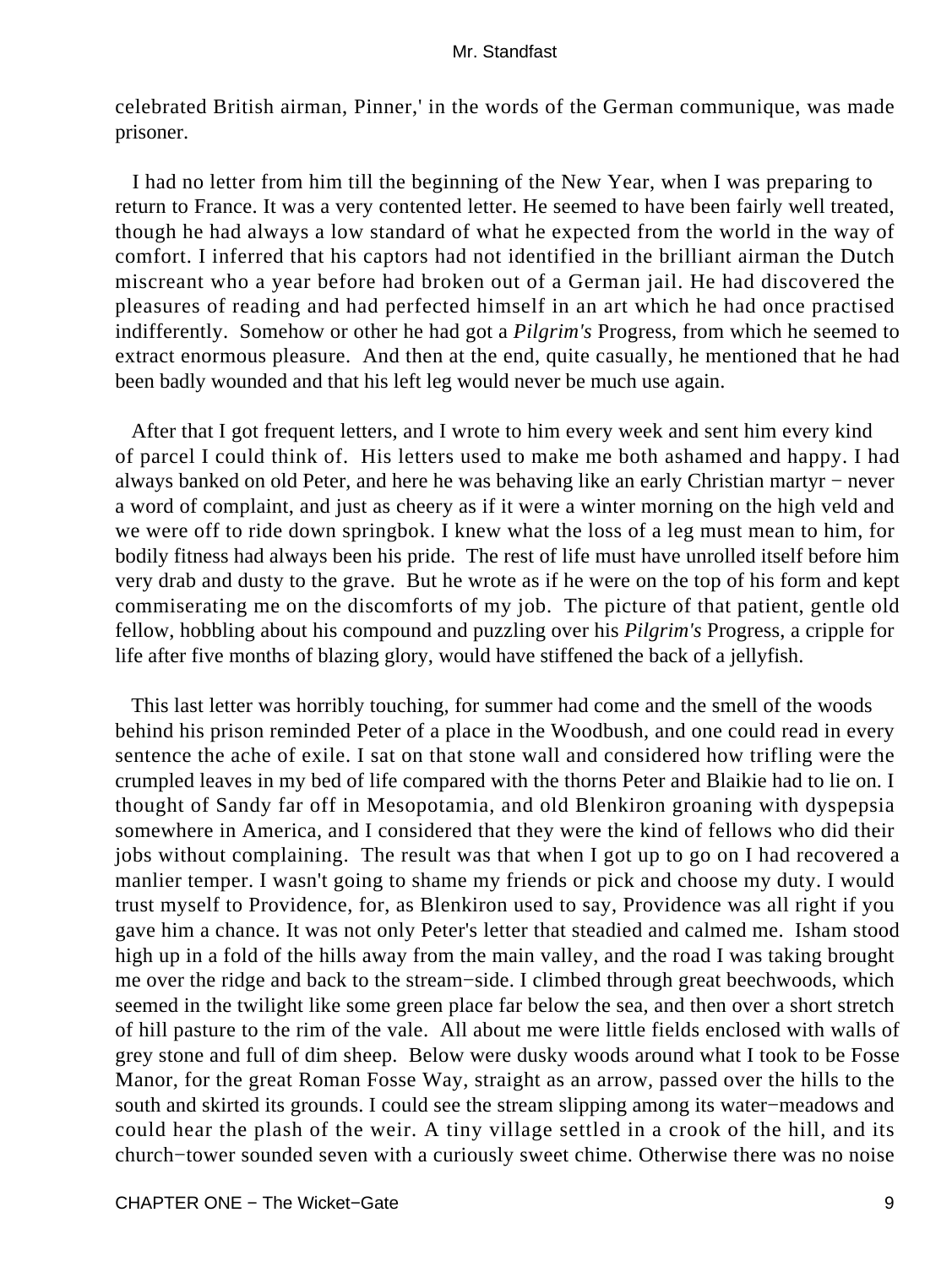celebrated British airman, Pinner,' in the words of the German communique, was made prisoner.

 I had no letter from him till the beginning of the New Year, when I was preparing to return to France. It was a very contented letter. He seemed to have been fairly well treated, though he had always a low standard of what he expected from the world in the way of comfort. I inferred that his captors had not identified in the brilliant airman the Dutch miscreant who a year before had broken out of a German jail. He had discovered the pleasures of reading and had perfected himself in an art which he had once practised indifferently. Somehow or other he had got a *Pilgrim's* Progress, from which he seemed to extract enormous pleasure. And then at the end, quite casually, he mentioned that he had been badly wounded and that his left leg would never be much use again.

 After that I got frequent letters, and I wrote to him every week and sent him every kind of parcel I could think of. His letters used to make me both ashamed and happy. I had always banked on old Peter, and here he was behaving like an early Christian martyr − never a word of complaint, and just as cheery as if it were a winter morning on the high veld and we were off to ride down springbok. I knew what the loss of a leg must mean to him, for bodily fitness had always been his pride. The rest of life must have unrolled itself before him very drab and dusty to the grave. But he wrote as if he were on the top of his form and kept commiserating me on the discomforts of my job. The picture of that patient, gentle old fellow, hobbling about his compound and puzzling over his *Pilgrim's* Progress, a cripple for life after five months of blazing glory, would have stiffened the back of a jellyfish.

 This last letter was horribly touching, for summer had come and the smell of the woods behind his prison reminded Peter of a place in the Woodbush, and one could read in every sentence the ache of exile. I sat on that stone wall and considered how trifling were the crumpled leaves in my bed of life compared with the thorns Peter and Blaikie had to lie on. I thought of Sandy far off in Mesopotamia, and old Blenkiron groaning with dyspepsia somewhere in America, and I considered that they were the kind of fellows who did their jobs without complaining. The result was that when I got up to go on I had recovered a manlier temper. I wasn't going to shame my friends or pick and choose my duty. I would trust myself to Providence, for, as Blenkiron used to say, Providence was all right if you gave him a chance. It was not only Peter's letter that steadied and calmed me. Isham stood high up in a fold of the hills away from the main valley, and the road I was taking brought me over the ridge and back to the stream−side. I climbed through great beechwoods, which seemed in the twilight like some green place far below the sea, and then over a short stretch of hill pasture to the rim of the vale. All about me were little fields enclosed with walls of grey stone and full of dim sheep. Below were dusky woods around what I took to be Fosse Manor, for the great Roman Fosse Way, straight as an arrow, passed over the hills to the south and skirted its grounds. I could see the stream slipping among its water−meadows and could hear the plash of the weir. A tiny village settled in a crook of the hill, and its church−tower sounded seven with a curiously sweet chime. Otherwise there was no noise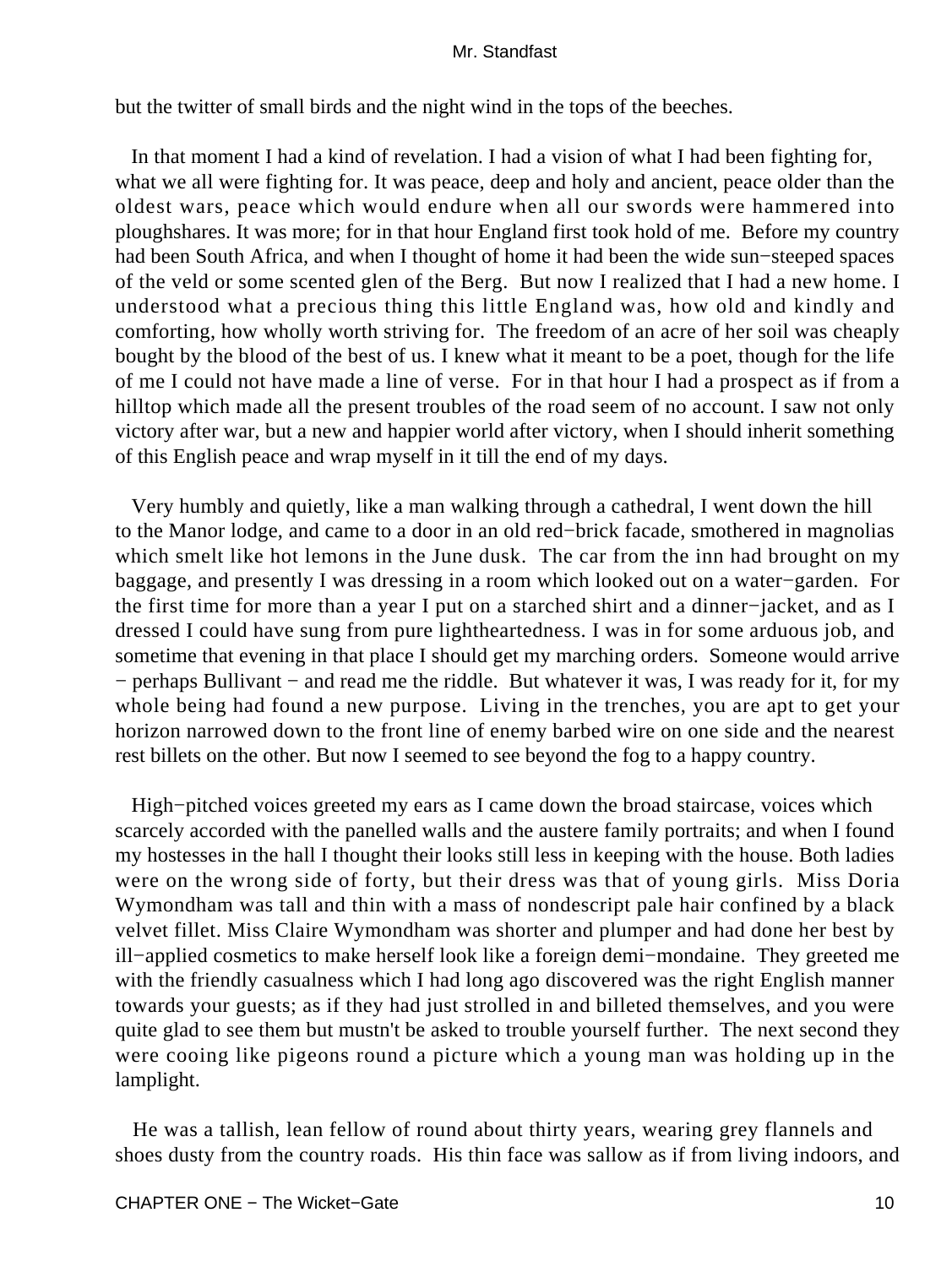but the twitter of small birds and the night wind in the tops of the beeches.

 In that moment I had a kind of revelation. I had a vision of what I had been fighting for, what we all were fighting for. It was peace, deep and holy and ancient, peace older than the oldest wars, peace which would endure when all our swords were hammered into ploughshares. It was more; for in that hour England first took hold of me. Before my country had been South Africa, and when I thought of home it had been the wide sun−steeped spaces of the veld or some scented glen of the Berg. But now I realized that I had a new home. I understood what a precious thing this little England was, how old and kindly and comforting, how wholly worth striving for. The freedom of an acre of her soil was cheaply bought by the blood of the best of us. I knew what it meant to be a poet, though for the life of me I could not have made a line of verse. For in that hour I had a prospect as if from a hilltop which made all the present troubles of the road seem of no account. I saw not only victory after war, but a new and happier world after victory, when I should inherit something of this English peace and wrap myself in it till the end of my days.

 Very humbly and quietly, like a man walking through a cathedral, I went down the hill to the Manor lodge, and came to a door in an old red−brick facade, smothered in magnolias which smelt like hot lemons in the June dusk. The car from the inn had brought on my baggage, and presently I was dressing in a room which looked out on a water−garden. For the first time for more than a year I put on a starched shirt and a dinner−jacket, and as I dressed I could have sung from pure lightheartedness. I was in for some arduous job, and sometime that evening in that place I should get my marching orders. Someone would arrive − perhaps Bullivant − and read me the riddle. But whatever it was, I was ready for it, for my whole being had found a new purpose. Living in the trenches, you are apt to get your horizon narrowed down to the front line of enemy barbed wire on one side and the nearest rest billets on the other. But now I seemed to see beyond the fog to a happy country.

 High−pitched voices greeted my ears as I came down the broad staircase, voices which scarcely accorded with the panelled walls and the austere family portraits; and when I found my hostesses in the hall I thought their looks still less in keeping with the house. Both ladies were on the wrong side of forty, but their dress was that of young girls. Miss Doria Wymondham was tall and thin with a mass of nondescript pale hair confined by a black velvet fillet. Miss Claire Wymondham was shorter and plumper and had done her best by ill−applied cosmetics to make herself look like a foreign demi−mondaine. They greeted me with the friendly casualness which I had long ago discovered was the right English manner towards your guests; as if they had just strolled in and billeted themselves, and you were quite glad to see them but mustn't be asked to trouble yourself further. The next second they were cooing like pigeons round a picture which a young man was holding up in the lamplight.

 He was a tallish, lean fellow of round about thirty years, wearing grey flannels and shoes dusty from the country roads. His thin face was sallow as if from living indoors, and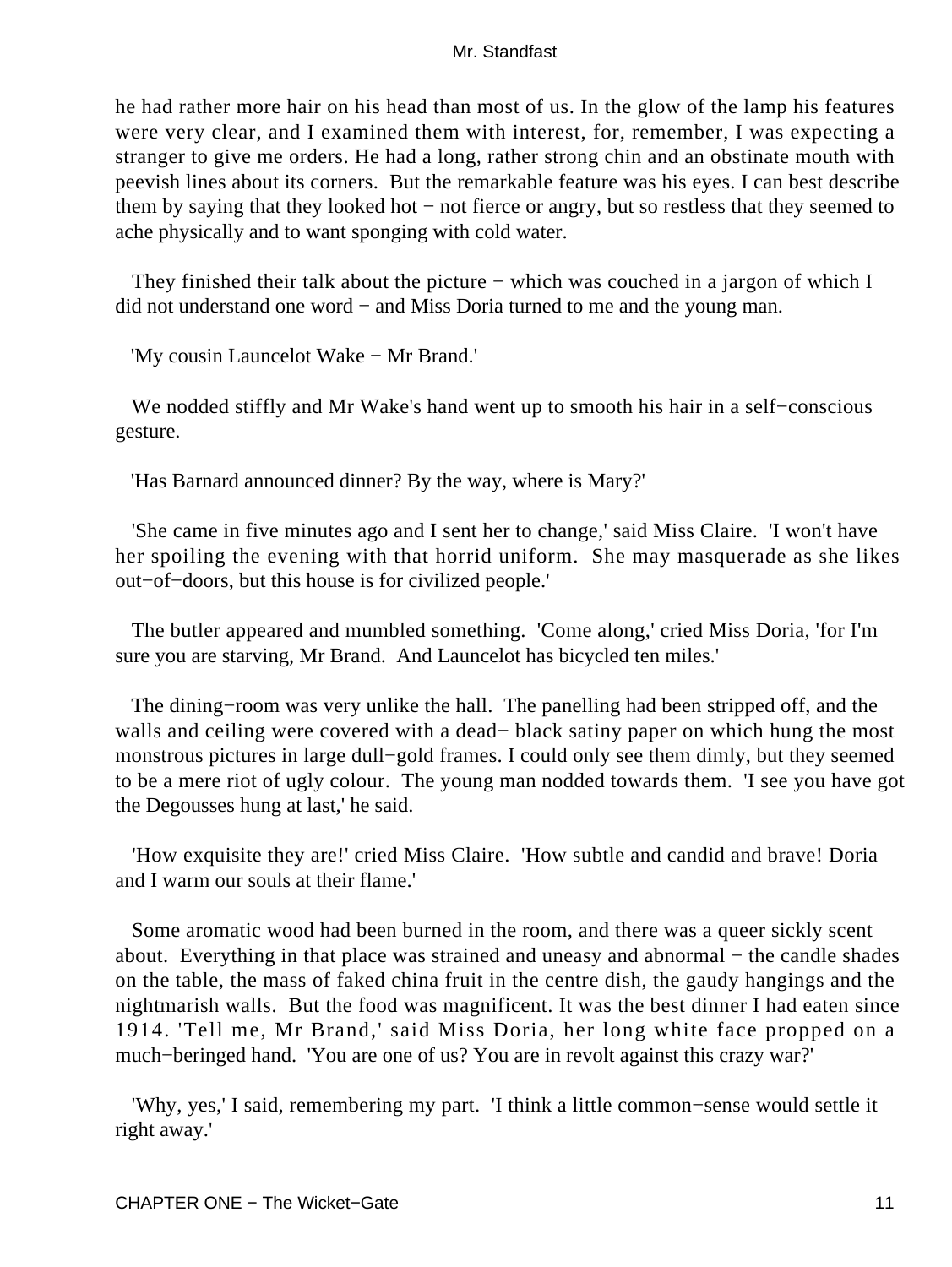he had rather more hair on his head than most of us. In the glow of the lamp his features were very clear, and I examined them with interest, for, remember, I was expecting a stranger to give me orders. He had a long, rather strong chin and an obstinate mouth with peevish lines about its corners. But the remarkable feature was his eyes. I can best describe them by saying that they looked hot − not fierce or angry, but so restless that they seemed to ache physically and to want sponging with cold water.

They finished their talk about the picture – which was couched in a jargon of which I did not understand one word − and Miss Doria turned to me and the young man.

'My cousin Launcelot Wake − Mr Brand.'

 We nodded stiffly and Mr Wake's hand went up to smooth his hair in a self−conscious gesture.

'Has Barnard announced dinner? By the way, where is Mary?'

 'She came in five minutes ago and I sent her to change,' said Miss Claire. 'I won't have her spoiling the evening with that horrid uniform. She may masquerade as she likes out−of−doors, but this house is for civilized people.'

 The butler appeared and mumbled something. 'Come along,' cried Miss Doria, 'for I'm sure you are starving, Mr Brand. And Launcelot has bicycled ten miles.'

 The dining−room was very unlike the hall. The panelling had been stripped off, and the walls and ceiling were covered with a dead− black satiny paper on which hung the most monstrous pictures in large dull−gold frames. I could only see them dimly, but they seemed to be a mere riot of ugly colour. The young man nodded towards them. 'I see you have got the Degousses hung at last,' he said.

 'How exquisite they are!' cried Miss Claire. 'How subtle and candid and brave! Doria and I warm our souls at their flame.'

 Some aromatic wood had been burned in the room, and there was a queer sickly scent about. Everything in that place was strained and uneasy and abnormal − the candle shades on the table, the mass of faked china fruit in the centre dish, the gaudy hangings and the nightmarish walls. But the food was magnificent. It was the best dinner I had eaten since 1914. 'Tell me, Mr Brand,' said Miss Doria, her long white face propped on a much−beringed hand. 'You are one of us? You are in revolt against this crazy war?'

 'Why, yes,' I said, remembering my part. 'I think a little common−sense would settle it right away.'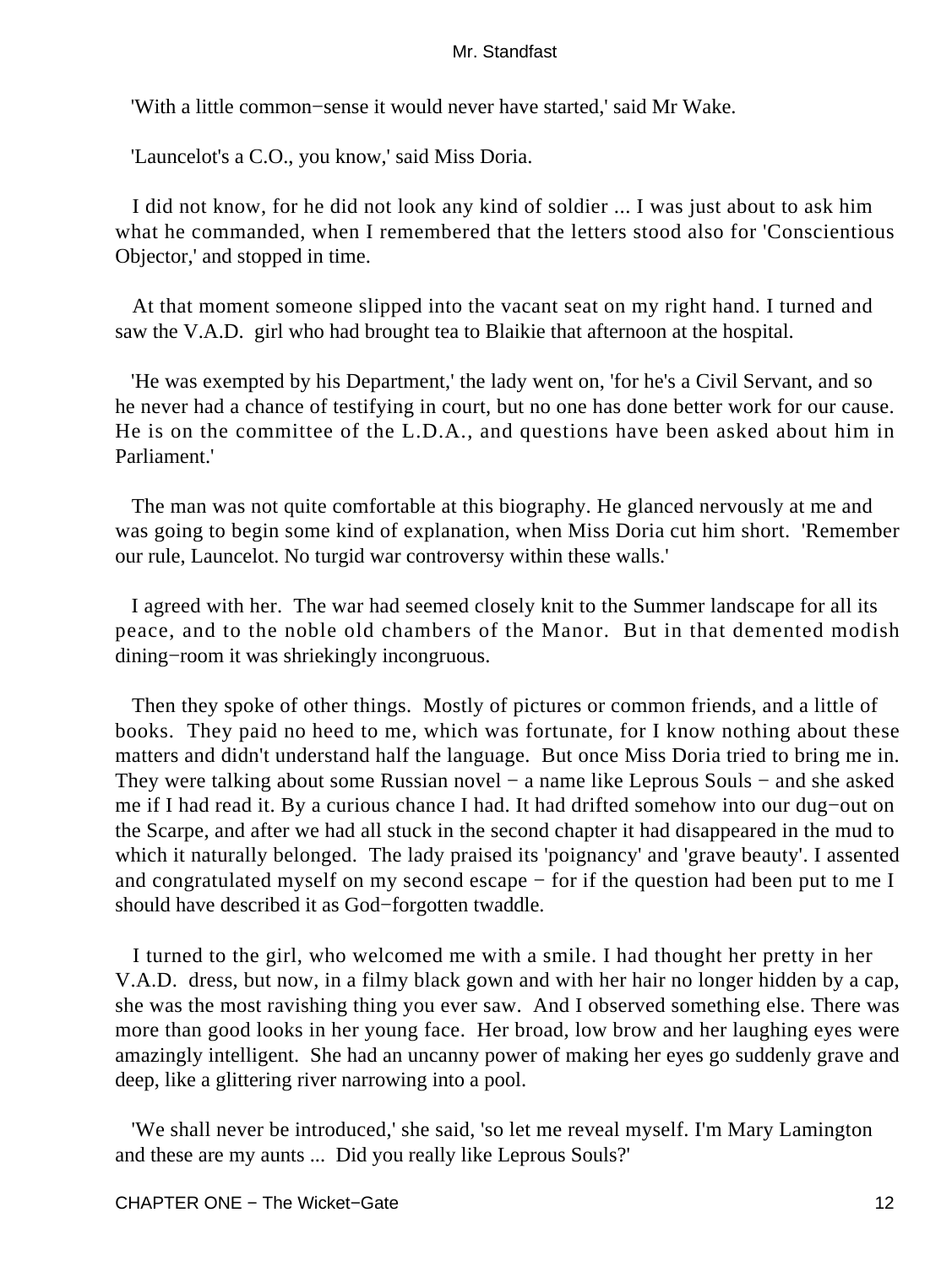'With a little common−sense it would never have started,' said Mr Wake.

'Launcelot's a C.O., you know,' said Miss Doria.

 I did not know, for he did not look any kind of soldier ... I was just about to ask him what he commanded, when I remembered that the letters stood also for 'Conscientious Objector,' and stopped in time.

 At that moment someone slipped into the vacant seat on my right hand. I turned and saw the V.A.D. girl who had brought tea to Blaikie that afternoon at the hospital.

 'He was exempted by his Department,' the lady went on, 'for he's a Civil Servant, and so he never had a chance of testifying in court, but no one has done better work for our cause. He is on the committee of the L.D.A., and questions have been asked about him in Parliament.'

 The man was not quite comfortable at this biography. He glanced nervously at me and was going to begin some kind of explanation, when Miss Doria cut him short. 'Remember our rule, Launcelot. No turgid war controversy within these walls.'

 I agreed with her. The war had seemed closely knit to the Summer landscape for all its peace, and to the noble old chambers of the Manor. But in that demented modish dining−room it was shriekingly incongruous.

 Then they spoke of other things. Mostly of pictures or common friends, and a little of books. They paid no heed to me, which was fortunate, for I know nothing about these matters and didn't understand half the language. But once Miss Doria tried to bring me in. They were talking about some Russian novel – a name like Leprous Souls – and she asked me if I had read it. By a curious chance I had. It had drifted somehow into our dug−out on the Scarpe, and after we had all stuck in the second chapter it had disappeared in the mud to which it naturally belonged. The lady praised its 'poignancy' and 'grave beauty'. I assented and congratulated myself on my second escape − for if the question had been put to me I should have described it as God−forgotten twaddle.

 I turned to the girl, who welcomed me with a smile. I had thought her pretty in her V.A.D. dress, but now, in a filmy black gown and with her hair no longer hidden by a cap, she was the most ravishing thing you ever saw. And I observed something else. There was more than good looks in her young face. Her broad, low brow and her laughing eyes were amazingly intelligent. She had an uncanny power of making her eyes go suddenly grave and deep, like a glittering river narrowing into a pool.

 'We shall never be introduced,' she said, 'so let me reveal myself. I'm Mary Lamington and these are my aunts ... Did you really like Leprous Souls?'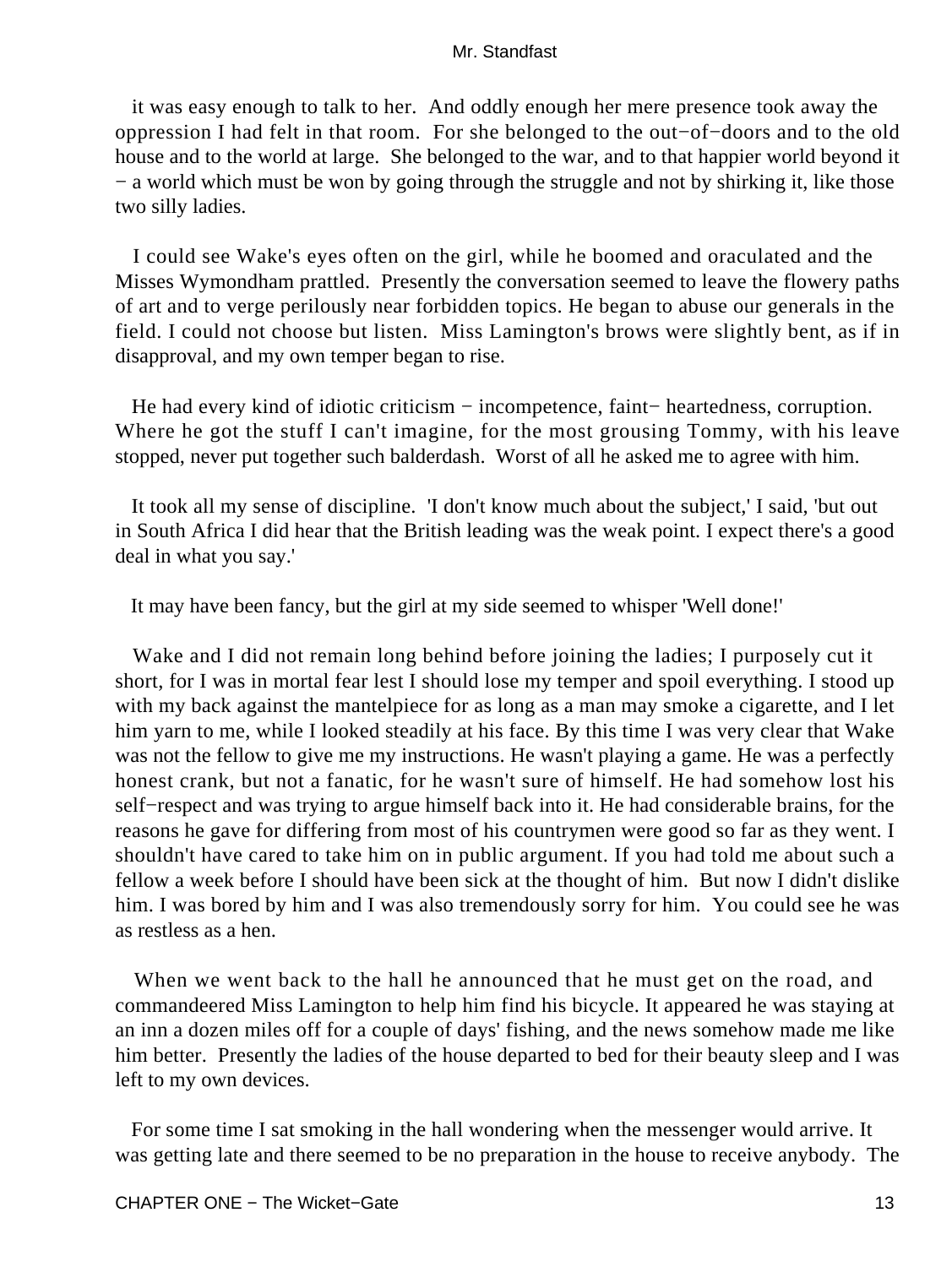it was easy enough to talk to her. And oddly enough her mere presence took away the oppression I had felt in that room. For she belonged to the out−of−doors and to the old house and to the world at large. She belonged to the war, and to that happier world beyond it − a world which must be won by going through the struggle and not by shirking it, like those two silly ladies.

 I could see Wake's eyes often on the girl, while he boomed and oraculated and the Misses Wymondham prattled. Presently the conversation seemed to leave the flowery paths of art and to verge perilously near forbidden topics. He began to abuse our generals in the field. I could not choose but listen. Miss Lamington's brows were slightly bent, as if in disapproval, and my own temper began to rise.

He had every kind of idiotic criticism – incompetence, faint– heartedness, corruption. Where he got the stuff I can't imagine, for the most grousing Tommy, with his leave stopped, never put together such balderdash. Worst of all he asked me to agree with him.

 It took all my sense of discipline. 'I don't know much about the subject,' I said, 'but out in South Africa I did hear that the British leading was the weak point. I expect there's a good deal in what you say.'

It may have been fancy, but the girl at my side seemed to whisper 'Well done!'

 Wake and I did not remain long behind before joining the ladies; I purposely cut it short, for I was in mortal fear lest I should lose my temper and spoil everything. I stood up with my back against the mantelpiece for as long as a man may smoke a cigarette, and I let him yarn to me, while I looked steadily at his face. By this time I was very clear that Wake was not the fellow to give me my instructions. He wasn't playing a game. He was a perfectly honest crank, but not a fanatic, for he wasn't sure of himself. He had somehow lost his self−respect and was trying to argue himself back into it. He had considerable brains, for the reasons he gave for differing from most of his countrymen were good so far as they went. I shouldn't have cared to take him on in public argument. If you had told me about such a fellow a week before I should have been sick at the thought of him. But now I didn't dislike him. I was bored by him and I was also tremendously sorry for him. You could see he was as restless as a hen.

 When we went back to the hall he announced that he must get on the road, and commandeered Miss Lamington to help him find his bicycle. It appeared he was staying at an inn a dozen miles off for a couple of days' fishing, and the news somehow made me like him better. Presently the ladies of the house departed to bed for their beauty sleep and I was left to my own devices.

 For some time I sat smoking in the hall wondering when the messenger would arrive. It was getting late and there seemed to be no preparation in the house to receive anybody. The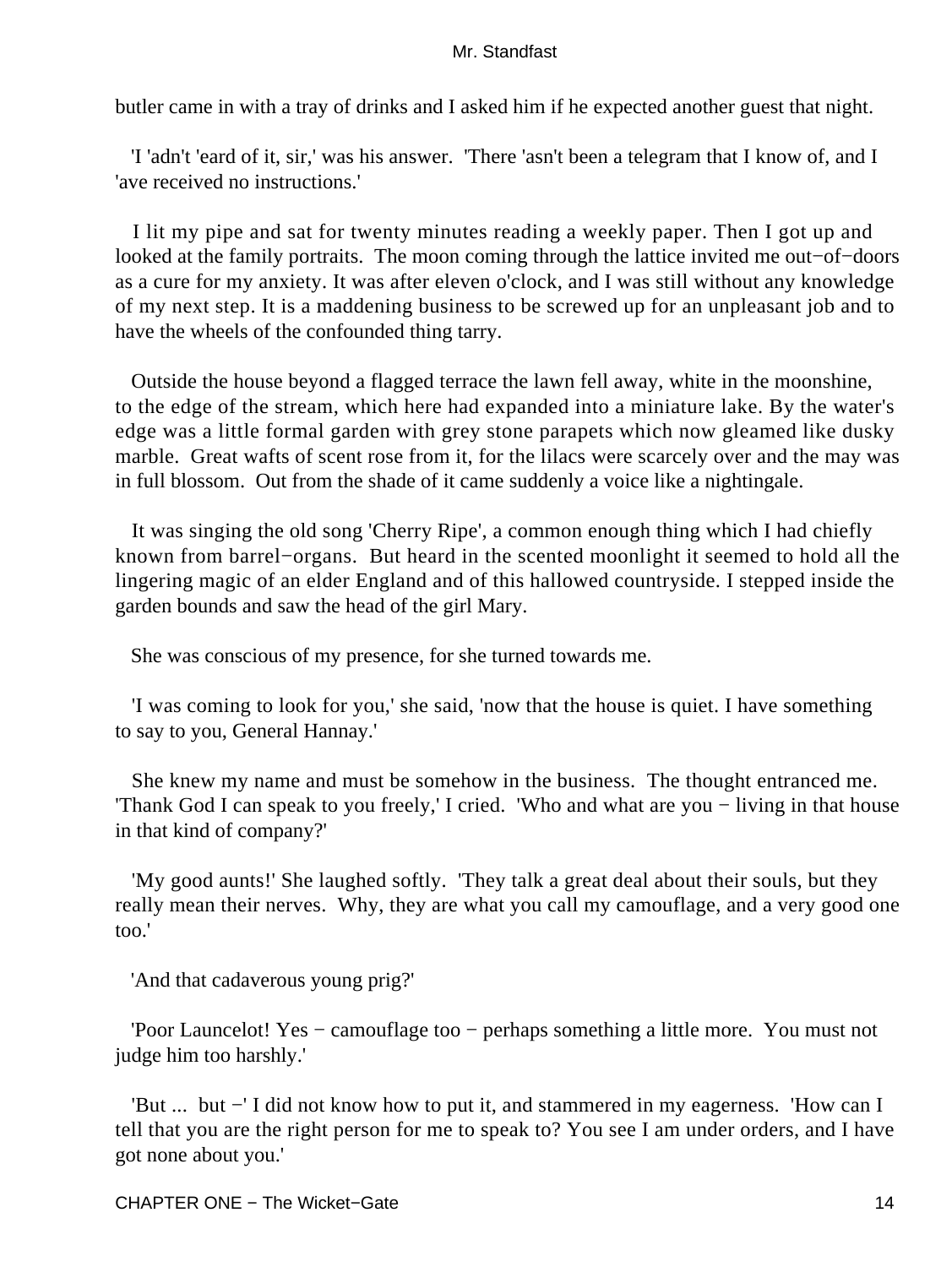butler came in with a tray of drinks and I asked him if he expected another guest that night.

 'I 'adn't 'eard of it, sir,' was his answer. 'There 'asn't been a telegram that I know of, and I 'ave received no instructions.'

 I lit my pipe and sat for twenty minutes reading a weekly paper. Then I got up and looked at the family portraits. The moon coming through the lattice invited me out−of−doors as a cure for my anxiety. It was after eleven o'clock, and I was still without any knowledge of my next step. It is a maddening business to be screwed up for an unpleasant job and to have the wheels of the confounded thing tarry.

 Outside the house beyond a flagged terrace the lawn fell away, white in the moonshine, to the edge of the stream, which here had expanded into a miniature lake. By the water's edge was a little formal garden with grey stone parapets which now gleamed like dusky marble. Great wafts of scent rose from it, for the lilacs were scarcely over and the may was in full blossom. Out from the shade of it came suddenly a voice like a nightingale.

 It was singing the old song 'Cherry Ripe', a common enough thing which I had chiefly known from barrel−organs. But heard in the scented moonlight it seemed to hold all the lingering magic of an elder England and of this hallowed countryside. I stepped inside the garden bounds and saw the head of the girl Mary.

She was conscious of my presence, for she turned towards me.

 'I was coming to look for you,' she said, 'now that the house is quiet. I have something to say to you, General Hannay.'

 She knew my name and must be somehow in the business. The thought entranced me. 'Thank God I can speak to you freely,' I cried. 'Who and what are you − living in that house in that kind of company?'

 'My good aunts!' She laughed softly. 'They talk a great deal about their souls, but they really mean their nerves. Why, they are what you call my camouflage, and a very good one too.'

'And that cadaverous young prig?'

 'Poor Launcelot! Yes − camouflage too − perhaps something a little more. You must not judge him too harshly.'

 'But ... but −' I did not know how to put it, and stammered in my eagerness. 'How can I tell that you are the right person for me to speak to? You see I am under orders, and I have got none about you.'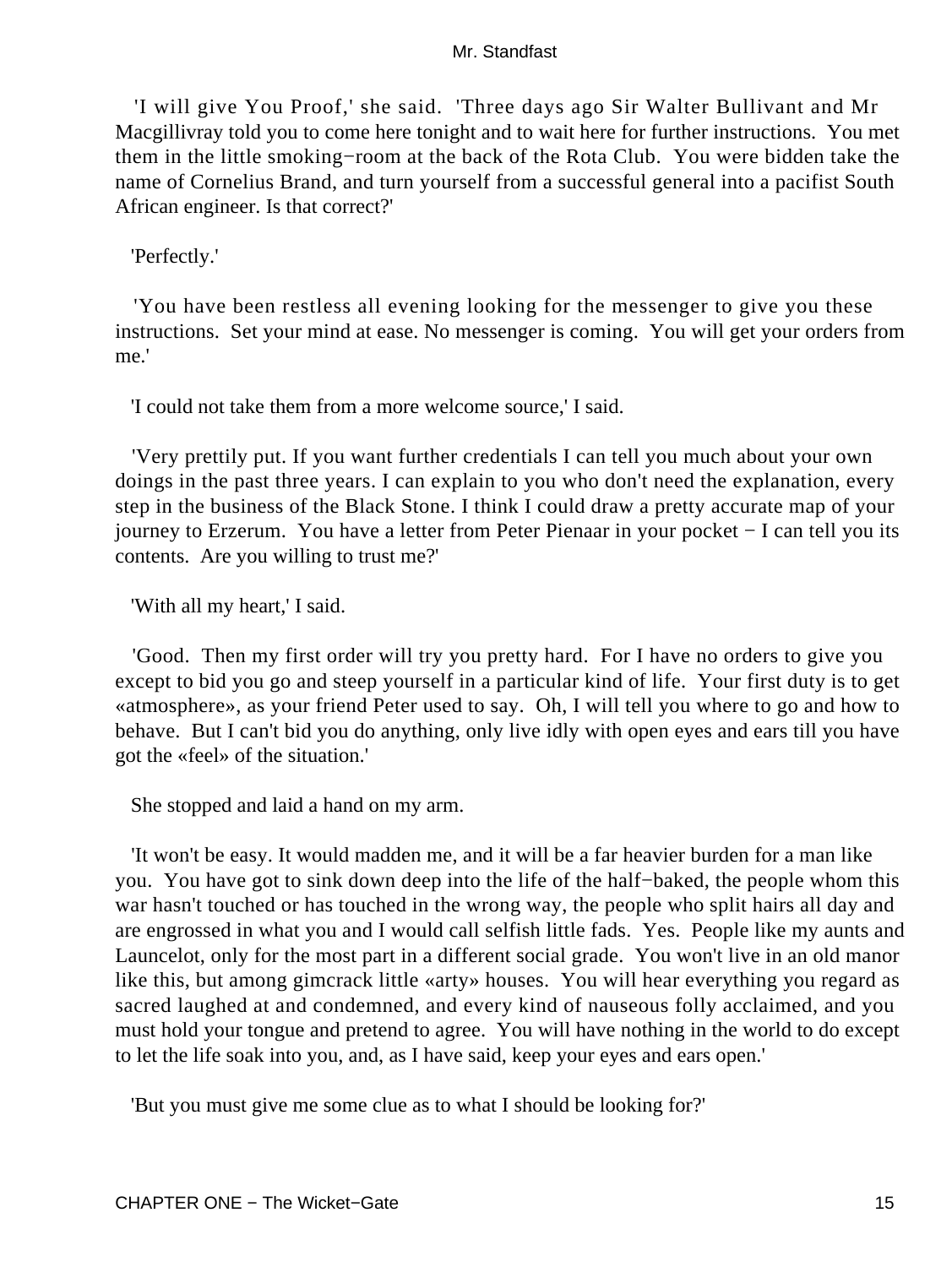'I will give You Proof,' she said. 'Three days ago Sir Walter Bullivant and Mr Macgillivray told you to come here tonight and to wait here for further instructions. You met them in the little smoking−room at the back of the Rota Club. You were bidden take the name of Cornelius Brand, and turn yourself from a successful general into a pacifist South African engineer. Is that correct?'

'Perfectly.'

 'You have been restless all evening looking for the messenger to give you these instructions. Set your mind at ease. No messenger is coming. You will get your orders from me.'

'I could not take them from a more welcome source,' I said.

 'Very prettily put. If you want further credentials I can tell you much about your own doings in the past three years. I can explain to you who don't need the explanation, every step in the business of the Black Stone. I think I could draw a pretty accurate map of your journey to Erzerum. You have a letter from Peter Pienaar in your pocket − I can tell you its contents. Are you willing to trust me?'

'With all my heart,' I said.

 'Good. Then my first order will try you pretty hard. For I have no orders to give you except to bid you go and steep yourself in a particular kind of life. Your first duty is to get «atmosphere», as your friend Peter used to say. Oh, I will tell you where to go and how to behave. But I can't bid you do anything, only live idly with open eyes and ears till you have got the «feel» of the situation.'

She stopped and laid a hand on my arm.

 'It won't be easy. It would madden me, and it will be a far heavier burden for a man like you. You have got to sink down deep into the life of the half−baked, the people whom this war hasn't touched or has touched in the wrong way, the people who split hairs all day and are engrossed in what you and I would call selfish little fads. Yes. People like my aunts and Launcelot, only for the most part in a different social grade. You won't live in an old manor like this, but among gimcrack little «arty» houses. You will hear everything you regard as sacred laughed at and condemned, and every kind of nauseous folly acclaimed, and you must hold your tongue and pretend to agree. You will have nothing in the world to do except to let the life soak into you, and, as I have said, keep your eyes and ears open.'

'But you must give me some clue as to what I should be looking for?'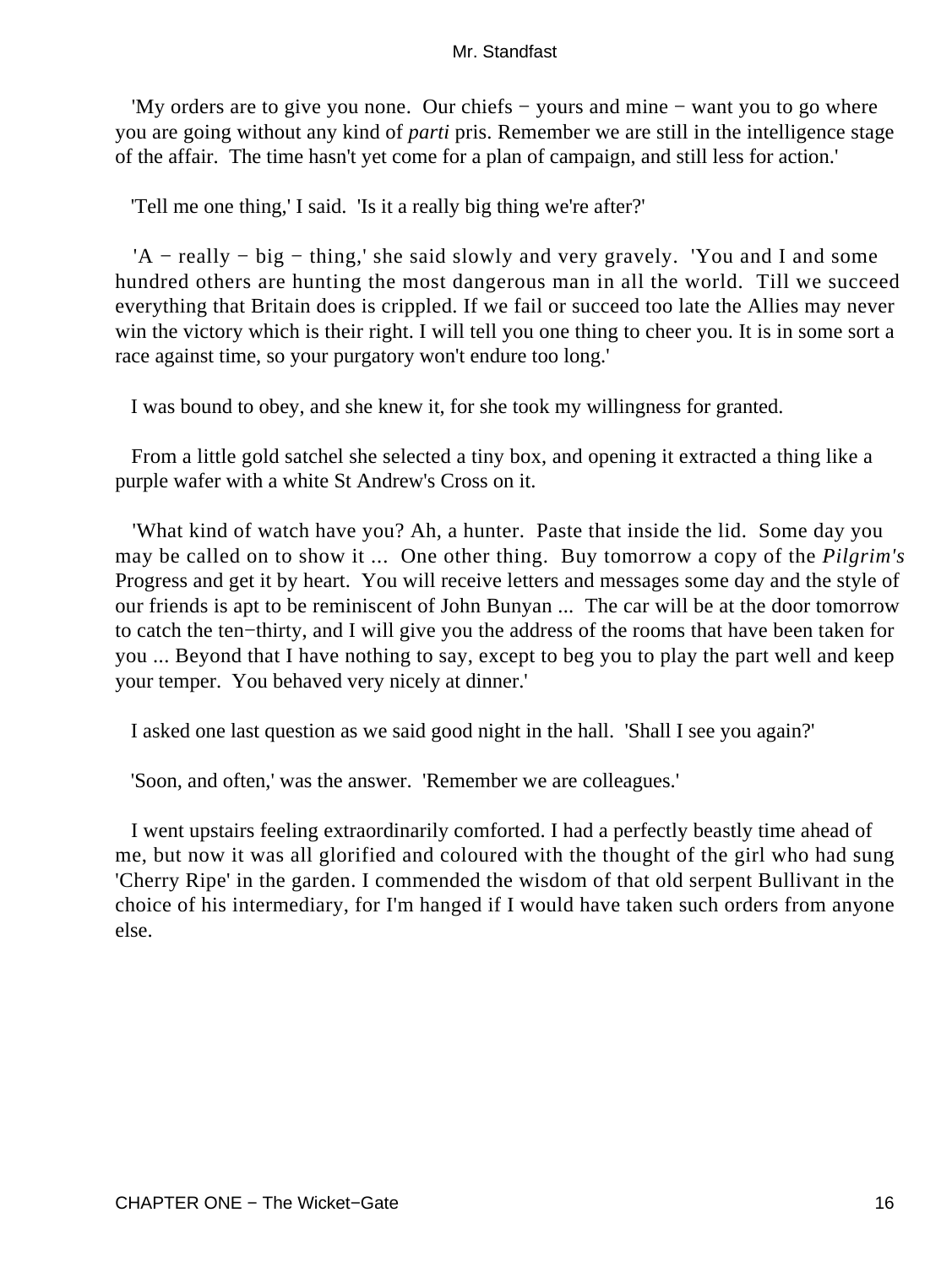'My orders are to give you none. Our chiefs − yours and mine − want you to go where you are going without any kind of *parti* pris. Remember we are still in the intelligence stage of the affair. The time hasn't yet come for a plan of campaign, and still less for action.'

'Tell me one thing,' I said. 'Is it a really big thing we're after?'

 'A − really − big − thing,' she said slowly and very gravely. 'You and I and some hundred others are hunting the most dangerous man in all the world. Till we succeed everything that Britain does is crippled. If we fail or succeed too late the Allies may never win the victory which is their right. I will tell you one thing to cheer you. It is in some sort a race against time, so your purgatory won't endure too long.'

I was bound to obey, and she knew it, for she took my willingness for granted.

 From a little gold satchel she selected a tiny box, and opening it extracted a thing like a purple wafer with a white St Andrew's Cross on it.

 'What kind of watch have you? Ah, a hunter. Paste that inside the lid. Some day you may be called on to show it ... One other thing. Buy tomorrow a copy of the *Pilgrim's* Progress and get it by heart. You will receive letters and messages some day and the style of our friends is apt to be reminiscent of John Bunyan ... The car will be at the door tomorrow to catch the ten−thirty, and I will give you the address of the rooms that have been taken for you ... Beyond that I have nothing to say, except to beg you to play the part well and keep your temper. You behaved very nicely at dinner.'

I asked one last question as we said good night in the hall. 'Shall I see you again?'

'Soon, and often,' was the answer. 'Remember we are colleagues.'

 I went upstairs feeling extraordinarily comforted. I had a perfectly beastly time ahead of me, but now it was all glorified and coloured with the thought of the girl who had sung 'Cherry Ripe' in the garden. I commended the wisdom of that old serpent Bullivant in the choice of his intermediary, for I'm hanged if I would have taken such orders from anyone else.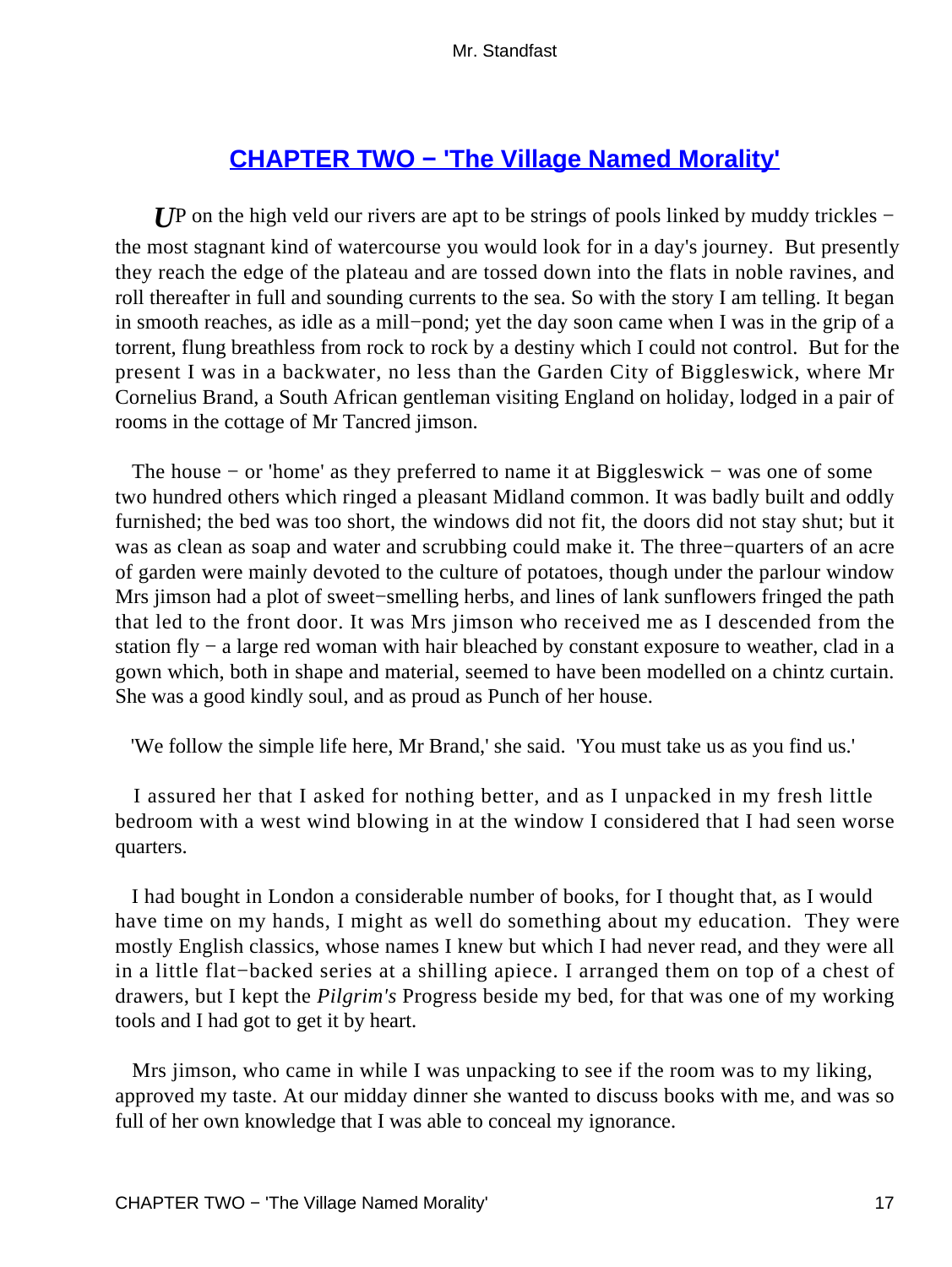# **[CHAPTER TWO − 'The Village Named Morality'](#page-255-0)**

*U*P on the high veld our rivers are apt to be strings of pools linked by muddy trickles − the most stagnant kind of watercourse you would look for in a day's journey. But presently they reach the edge of the plateau and are tossed down into the flats in noble ravines, and roll thereafter in full and sounding currents to the sea. So with the story I am telling. It began in smooth reaches, as idle as a mill−pond; yet the day soon came when I was in the grip of a torrent, flung breathless from rock to rock by a destiny which I could not control. But for the present I was in a backwater, no less than the Garden City of Biggleswick, where Mr Cornelius Brand, a South African gentleman visiting England on holiday, lodged in a pair of rooms in the cottage of Mr Tancred jimson.

 The house − or 'home' as they preferred to name it at Biggleswick − was one of some two hundred others which ringed a pleasant Midland common. It was badly built and oddly furnished; the bed was too short, the windows did not fit, the doors did not stay shut; but it was as clean as soap and water and scrubbing could make it. The three−quarters of an acre of garden were mainly devoted to the culture of potatoes, though under the parlour window Mrs jimson had a plot of sweet−smelling herbs, and lines of lank sunflowers fringed the path that led to the front door. It was Mrs jimson who received me as I descended from the station fly − a large red woman with hair bleached by constant exposure to weather, clad in a gown which, both in shape and material, seemed to have been modelled on a chintz curtain. She was a good kindly soul, and as proud as Punch of her house.

'We follow the simple life here, Mr Brand,' she said. 'You must take us as you find us.'

 I assured her that I asked for nothing better, and as I unpacked in my fresh little bedroom with a west wind blowing in at the window I considered that I had seen worse quarters.

 I had bought in London a considerable number of books, for I thought that, as I would have time on my hands, I might as well do something about my education. They were mostly English classics, whose names I knew but which I had never read, and they were all in a little flat−backed series at a shilling apiece. I arranged them on top of a chest of drawers, but I kept the *Pilgrim's* Progress beside my bed, for that was one of my working tools and I had got to get it by heart.

 Mrs jimson, who came in while I was unpacking to see if the room was to my liking, approved my taste. At our midday dinner she wanted to discuss books with me, and was so full of her own knowledge that I was able to conceal my ignorance.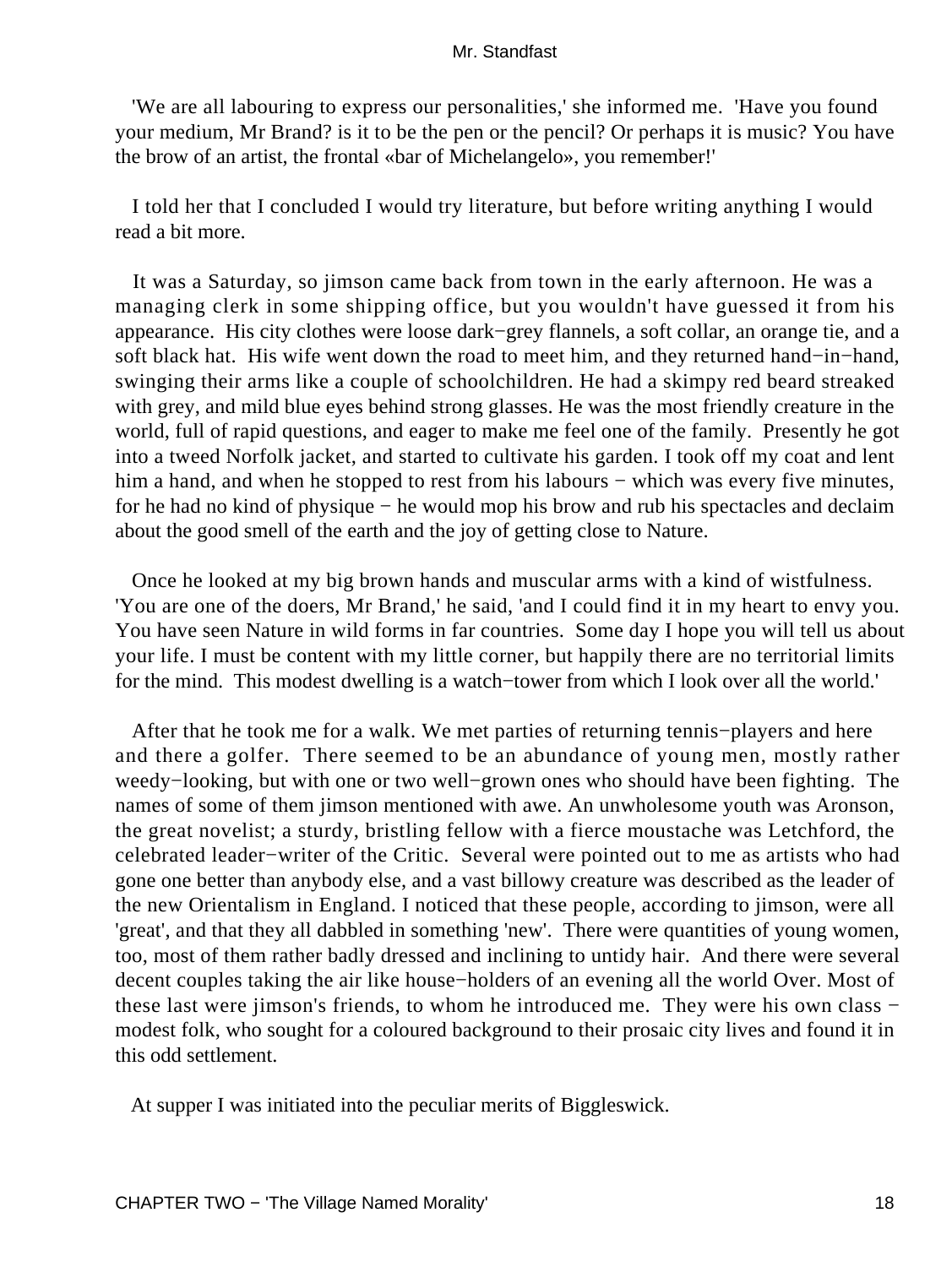'We are all labouring to express our personalities,' she informed me. 'Have you found your medium, Mr Brand? is it to be the pen or the pencil? Or perhaps it is music? You have the brow of an artist, the frontal «bar of Michelangelo», you remember!'

 I told her that I concluded I would try literature, but before writing anything I would read a bit more.

 It was a Saturday, so jimson came back from town in the early afternoon. He was a managing clerk in some shipping office, but you wouldn't have guessed it from his appearance. His city clothes were loose dark−grey flannels, a soft collar, an orange tie, and a soft black hat. His wife went down the road to meet him, and they returned hand−in−hand, swinging their arms like a couple of schoolchildren. He had a skimpy red beard streaked with grey, and mild blue eyes behind strong glasses. He was the most friendly creature in the world, full of rapid questions, and eager to make me feel one of the family. Presently he got into a tweed Norfolk jacket, and started to cultivate his garden. I took off my coat and lent him a hand, and when he stopped to rest from his labours – which was every five minutes, for he had no kind of physique − he would mop his brow and rub his spectacles and declaim about the good smell of the earth and the joy of getting close to Nature.

 Once he looked at my big brown hands and muscular arms with a kind of wistfulness. 'You are one of the doers, Mr Brand,' he said, 'and I could find it in my heart to envy you. You have seen Nature in wild forms in far countries. Some day I hope you will tell us about your life. I must be content with my little corner, but happily there are no territorial limits for the mind. This modest dwelling is a watch−tower from which I look over all the world.'

 After that he took me for a walk. We met parties of returning tennis−players and here and there a golfer. There seemed to be an abundance of young men, mostly rather weedy−looking, but with one or two well−grown ones who should have been fighting. The names of some of them jimson mentioned with awe. An unwholesome youth was Aronson, the great novelist; a sturdy, bristling fellow with a fierce moustache was Letchford, the celebrated leader−writer of the Critic. Several were pointed out to me as artists who had gone one better than anybody else, and a vast billowy creature was described as the leader of the new Orientalism in England. I noticed that these people, according to jimson, were all 'great', and that they all dabbled in something 'new'. There were quantities of young women, too, most of them rather badly dressed and inclining to untidy hair. And there were several decent couples taking the air like house−holders of an evening all the world Over. Most of these last were jimson's friends, to whom he introduced me. They were his own class − modest folk, who sought for a coloured background to their prosaic city lives and found it in this odd settlement.

At supper I was initiated into the peculiar merits of Biggleswick.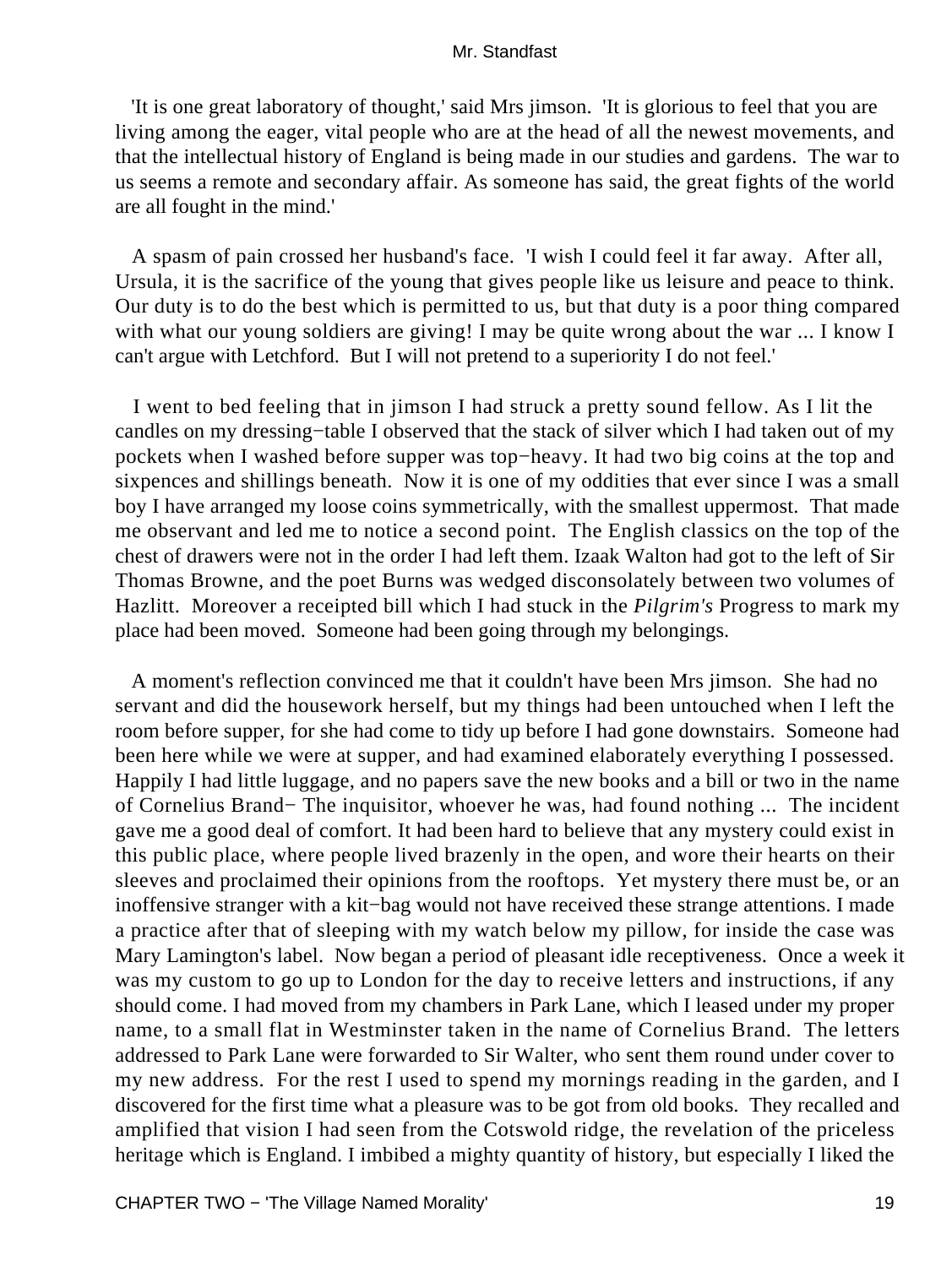'It is one great laboratory of thought,' said Mrs jimson. 'It is glorious to feel that you are living among the eager, vital people who are at the head of all the newest movements, and that the intellectual history of England is being made in our studies and gardens. The war to us seems a remote and secondary affair. As someone has said, the great fights of the world are all fought in the mind.'

 A spasm of pain crossed her husband's face. 'I wish I could feel it far away. After all, Ursula, it is the sacrifice of the young that gives people like us leisure and peace to think. Our duty is to do the best which is permitted to us, but that duty is a poor thing compared with what our young soldiers are giving! I may be quite wrong about the war ... I know I can't argue with Letchford. But I will not pretend to a superiority I do not feel.'

 I went to bed feeling that in jimson I had struck a pretty sound fellow. As I lit the candles on my dressing−table I observed that the stack of silver which I had taken out of my pockets when I washed before supper was top−heavy. It had two big coins at the top and sixpences and shillings beneath. Now it is one of my oddities that ever since I was a small boy I have arranged my loose coins symmetrically, with the smallest uppermost. That made me observant and led me to notice a second point. The English classics on the top of the chest of drawers were not in the order I had left them. Izaak Walton had got to the left of Sir Thomas Browne, and the poet Burns was wedged disconsolately between two volumes of Hazlitt. Moreover a receipted bill which I had stuck in the *Pilgrim's* Progress to mark my place had been moved. Someone had been going through my belongings.

 A moment's reflection convinced me that it couldn't have been Mrs jimson. She had no servant and did the housework herself, but my things had been untouched when I left the room before supper, for she had come to tidy up before I had gone downstairs. Someone had been here while we were at supper, and had examined elaborately everything I possessed. Happily I had little luggage, and no papers save the new books and a bill or two in the name of Cornelius Brand− The inquisitor, whoever he was, had found nothing ... The incident gave me a good deal of comfort. It had been hard to believe that any mystery could exist in this public place, where people lived brazenly in the open, and wore their hearts on their sleeves and proclaimed their opinions from the rooftops. Yet mystery there must be, or an inoffensive stranger with a kit−bag would not have received these strange attentions. I made a practice after that of sleeping with my watch below my pillow, for inside the case was Mary Lamington's label. Now began a period of pleasant idle receptiveness. Once a week it was my custom to go up to London for the day to receive letters and instructions, if any should come. I had moved from my chambers in Park Lane, which I leased under my proper name, to a small flat in Westminster taken in the name of Cornelius Brand. The letters addressed to Park Lane were forwarded to Sir Walter, who sent them round under cover to my new address. For the rest I used to spend my mornings reading in the garden, and I discovered for the first time what a pleasure was to be got from old books. They recalled and amplified that vision I had seen from the Cotswold ridge, the revelation of the priceless heritage which is England. I imbibed a mighty quantity of history, but especially I liked the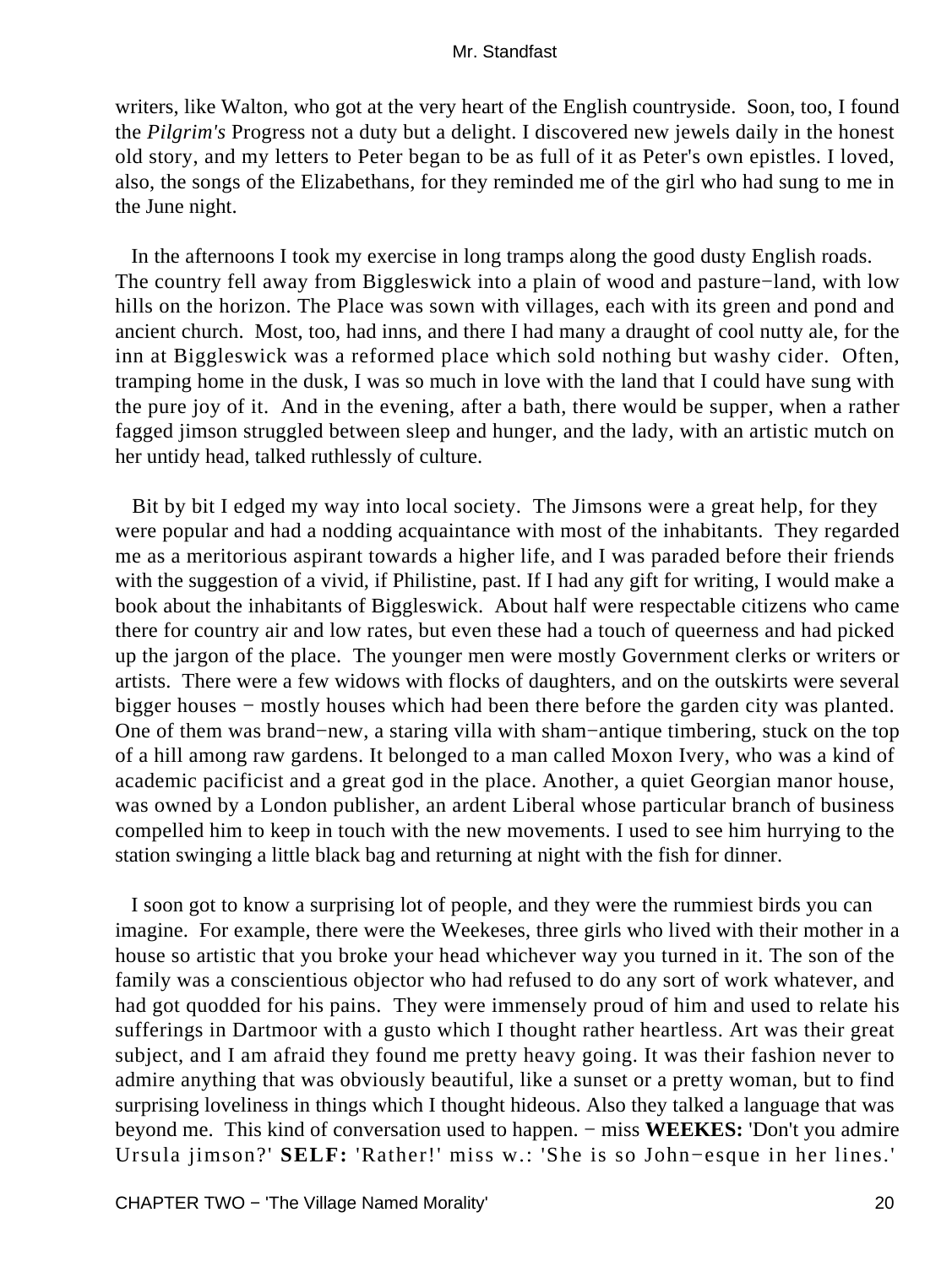writers, like Walton, who got at the very heart of the English countryside. Soon, too, I found the *Pilgrim's* Progress not a duty but a delight. I discovered new jewels daily in the honest old story, and my letters to Peter began to be as full of it as Peter's own epistles. I loved, also, the songs of the Elizabethans, for they reminded me of the girl who had sung to me in the June night.

 In the afternoons I took my exercise in long tramps along the good dusty English roads. The country fell away from Biggleswick into a plain of wood and pasture−land, with low hills on the horizon. The Place was sown with villages, each with its green and pond and ancient church. Most, too, had inns, and there I had many a draught of cool nutty ale, for the inn at Biggleswick was a reformed place which sold nothing but washy cider. Often, tramping home in the dusk, I was so much in love with the land that I could have sung with the pure joy of it. And in the evening, after a bath, there would be supper, when a rather fagged jimson struggled between sleep and hunger, and the lady, with an artistic mutch on her untidy head, talked ruthlessly of culture.

 Bit by bit I edged my way into local society. The Jimsons were a great help, for they were popular and had a nodding acquaintance with most of the inhabitants. They regarded me as a meritorious aspirant towards a higher life, and I was paraded before their friends with the suggestion of a vivid, if Philistine, past. If I had any gift for writing, I would make a book about the inhabitants of Biggleswick. About half were respectable citizens who came there for country air and low rates, but even these had a touch of queerness and had picked up the jargon of the place. The younger men were mostly Government clerks or writers or artists. There were a few widows with flocks of daughters, and on the outskirts were several bigger houses − mostly houses which had been there before the garden city was planted. One of them was brand−new, a staring villa with sham−antique timbering, stuck on the top of a hill among raw gardens. It belonged to a man called Moxon Ivery, who was a kind of academic pacificist and a great god in the place. Another, a quiet Georgian manor house, was owned by a London publisher, an ardent Liberal whose particular branch of business compelled him to keep in touch with the new movements. I used to see him hurrying to the station swinging a little black bag and returning at night with the fish for dinner.

 I soon got to know a surprising lot of people, and they were the rummiest birds you can imagine. For example, there were the Weekeses, three girls who lived with their mother in a house so artistic that you broke your head whichever way you turned in it. The son of the family was a conscientious objector who had refused to do any sort of work whatever, and had got quodded for his pains. They were immensely proud of him and used to relate his sufferings in Dartmoor with a gusto which I thought rather heartless. Art was their great subject, and I am afraid they found me pretty heavy going. It was their fashion never to admire anything that was obviously beautiful, like a sunset or a pretty woman, but to find surprising loveliness in things which I thought hideous. Also they talked a language that was beyond me. This kind of conversation used to happen. − miss **WEEKES:** 'Don't you admire Ursula jimson?' **SELF:** 'Rather!' miss w.: 'She is so John−esque in her lines.'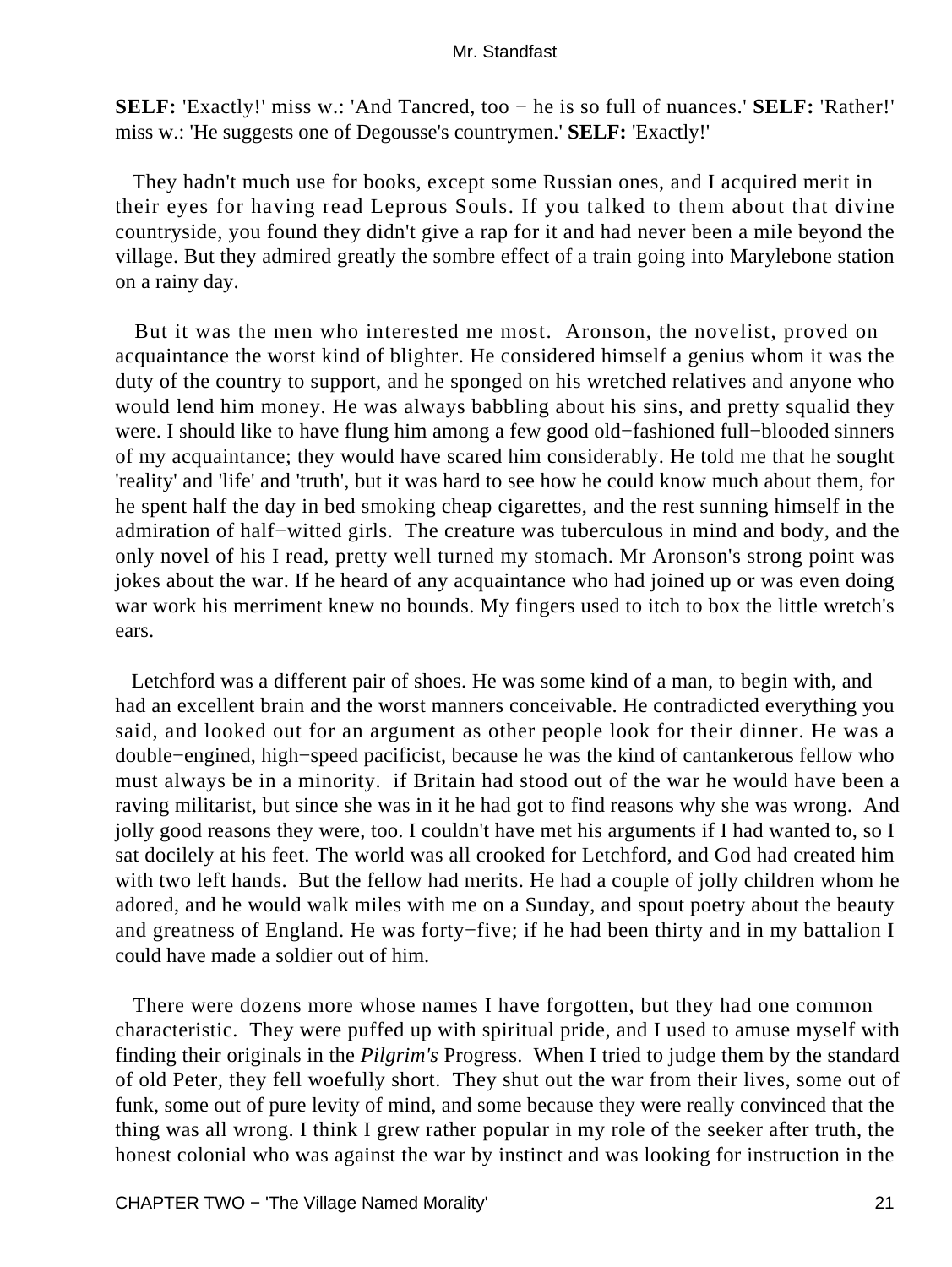**SELF:** 'Exactly!' miss w.: 'And Tancred, too − he is so full of nuances.' **SELF:** 'Rather!' miss w.: 'He suggests one of Degousse's countrymen.' **SELF:** 'Exactly!'

 They hadn't much use for books, except some Russian ones, and I acquired merit in their eyes for having read Leprous Souls. If you talked to them about that divine countryside, you found they didn't give a rap for it and had never been a mile beyond the village. But they admired greatly the sombre effect of a train going into Marylebone station on a rainy day.

 But it was the men who interested me most. Aronson, the novelist, proved on acquaintance the worst kind of blighter. He considered himself a genius whom it was the duty of the country to support, and he sponged on his wretched relatives and anyone who would lend him money. He was always babbling about his sins, and pretty squalid they were. I should like to have flung him among a few good old−fashioned full−blooded sinners of my acquaintance; they would have scared him considerably. He told me that he sought 'reality' and 'life' and 'truth', but it was hard to see how he could know much about them, for he spent half the day in bed smoking cheap cigarettes, and the rest sunning himself in the admiration of half−witted girls. The creature was tuberculous in mind and body, and the only novel of his I read, pretty well turned my stomach. Mr Aronson's strong point was jokes about the war. If he heard of any acquaintance who had joined up or was even doing war work his merriment knew no bounds. My fingers used to itch to box the little wretch's ears.

 Letchford was a different pair of shoes. He was some kind of a man, to begin with, and had an excellent brain and the worst manners conceivable. He contradicted everything you said, and looked out for an argument as other people look for their dinner. He was a double−engined, high−speed pacificist, because he was the kind of cantankerous fellow who must always be in a minority. if Britain had stood out of the war he would have been a raving militarist, but since she was in it he had got to find reasons why she was wrong. And jolly good reasons they were, too. I couldn't have met his arguments if I had wanted to, so I sat docilely at his feet. The world was all crooked for Letchford, and God had created him with two left hands. But the fellow had merits. He had a couple of jolly children whom he adored, and he would walk miles with me on a Sunday, and spout poetry about the beauty and greatness of England. He was forty−five; if he had been thirty and in my battalion I could have made a soldier out of him.

 There were dozens more whose names I have forgotten, but they had one common characteristic. They were puffed up with spiritual pride, and I used to amuse myself with finding their originals in the *Pilgrim's* Progress. When I tried to judge them by the standard of old Peter, they fell woefully short. They shut out the war from their lives, some out of funk, some out of pure levity of mind, and some because they were really convinced that the thing was all wrong. I think I grew rather popular in my role of the seeker after truth, the honest colonial who was against the war by instinct and was looking for instruction in the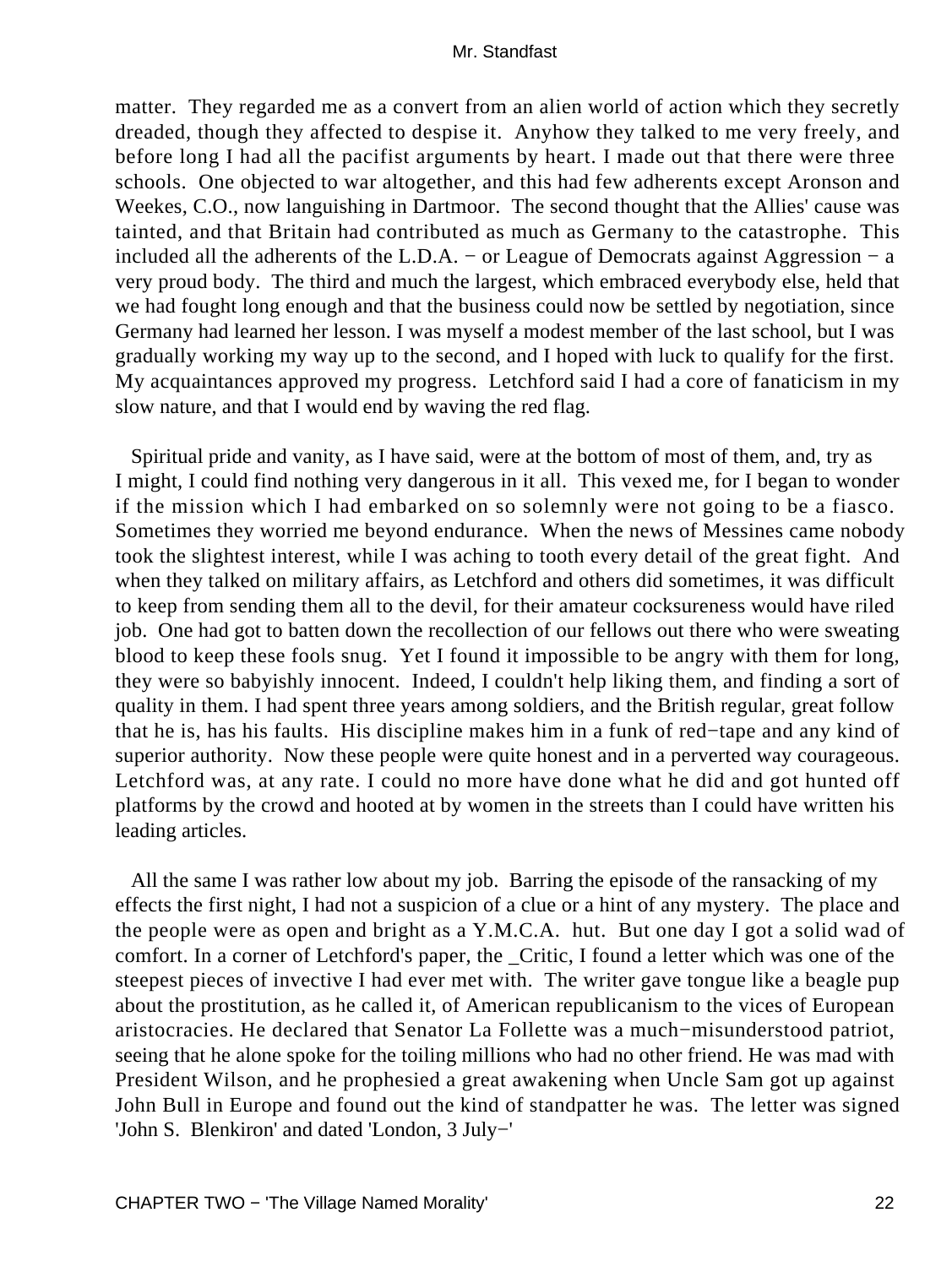matter. They regarded me as a convert from an alien world of action which they secretly dreaded, though they affected to despise it. Anyhow they talked to me very freely, and before long I had all the pacifist arguments by heart. I made out that there were three schools. One objected to war altogether, and this had few adherents except Aronson and Weekes, C.O., now languishing in Dartmoor. The second thought that the Allies' cause was tainted, and that Britain had contributed as much as Germany to the catastrophe. This included all the adherents of the L.D.A. – or League of Democrats against Aggression  $- a$ very proud body. The third and much the largest, which embraced everybody else, held that we had fought long enough and that the business could now be settled by negotiation, since Germany had learned her lesson. I was myself a modest member of the last school, but I was gradually working my way up to the second, and I hoped with luck to qualify for the first. My acquaintances approved my progress. Letchford said I had a core of fanaticism in my slow nature, and that I would end by waving the red flag.

 Spiritual pride and vanity, as I have said, were at the bottom of most of them, and, try as I might, I could find nothing very dangerous in it all. This vexed me, for I began to wonder if the mission which I had embarked on so solemnly were not going to be a fiasco. Sometimes they worried me beyond endurance. When the news of Messines came nobody took the slightest interest, while I was aching to tooth every detail of the great fight. And when they talked on military affairs, as Letchford and others did sometimes, it was difficult to keep from sending them all to the devil, for their amateur cocksureness would have riled job. One had got to batten down the recollection of our fellows out there who were sweating blood to keep these fools snug. Yet I found it impossible to be angry with them for long, they were so babyishly innocent. Indeed, I couldn't help liking them, and finding a sort of quality in them. I had spent three years among soldiers, and the British regular, great follow that he is, has his faults. His discipline makes him in a funk of red−tape and any kind of superior authority. Now these people were quite honest and in a perverted way courageous. Letchford was, at any rate. I could no more have done what he did and got hunted off platforms by the crowd and hooted at by women in the streets than I could have written his leading articles.

 All the same I was rather low about my job. Barring the episode of the ransacking of my effects the first night, I had not a suspicion of a clue or a hint of any mystery. The place and the people were as open and bright as a Y.M.C.A. hut. But one day I got a solid wad of comfort. In a corner of Letchford's paper, the \_Critic, I found a letter which was one of the steepest pieces of invective I had ever met with. The writer gave tongue like a beagle pup about the prostitution, as he called it, of American republicanism to the vices of European aristocracies. He declared that Senator La Follette was a much−misunderstood patriot, seeing that he alone spoke for the toiling millions who had no other friend. He was mad with President Wilson, and he prophesied a great awakening when Uncle Sam got up against John Bull in Europe and found out the kind of standpatter he was. The letter was signed 'John S. Blenkiron' and dated 'London, 3 July−'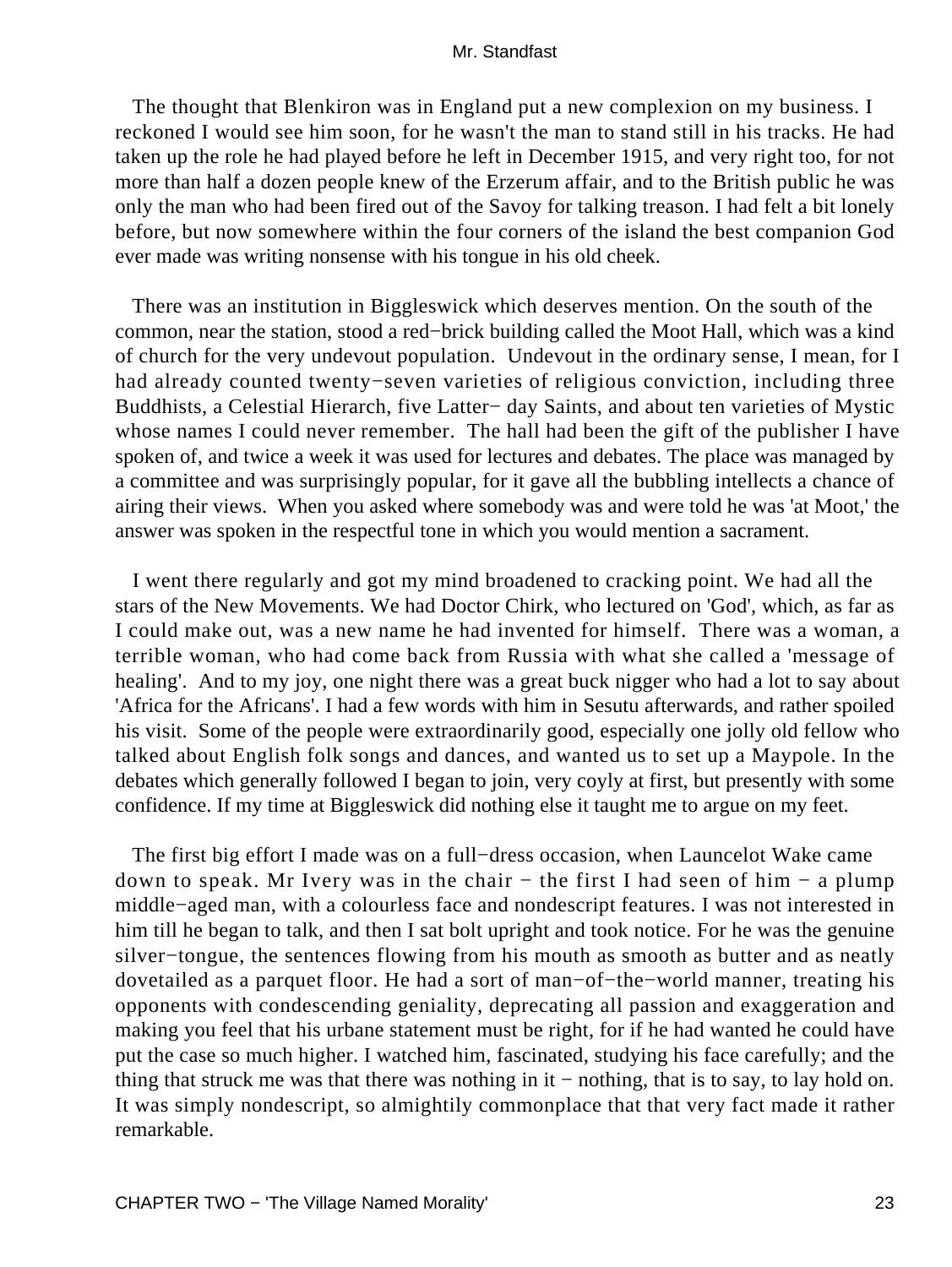The thought that Blenkiron was in England put a new complexion on my business. I reckoned I would see him soon, for he wasn't the man to stand still in his tracks. He had taken up the role he had played before he left in December 1915, and very right too, for not more than half a dozen people knew of the Erzerum affair, and to the British public he was only the man who had been fired out of the Savoy for talking treason. I had felt a bit lonely before, but now somewhere within the four corners of the island the best companion God ever made was writing nonsense with his tongue in his old cheek.

 There was an institution in Biggleswick which deserves mention. On the south of the common, near the station, stood a red−brick building called the Moot Hall, which was a kind of church for the very undevout population. Undevout in the ordinary sense, I mean, for I had already counted twenty−seven varieties of religious conviction, including three Buddhists, a Celestial Hierarch, five Latter− day Saints, and about ten varieties of Mystic whose names I could never remember. The hall had been the gift of the publisher I have spoken of, and twice a week it was used for lectures and debates. The place was managed by a committee and was surprisingly popular, for it gave all the bubbling intellects a chance of airing their views. When you asked where somebody was and were told he was 'at Moot,' the answer was spoken in the respectful tone in which you would mention a sacrament.

 I went there regularly and got my mind broadened to cracking point. We had all the stars of the New Movements. We had Doctor Chirk, who lectured on 'God', which, as far as I could make out, was a new name he had invented for himself. There was a woman, a terrible woman, who had come back from Russia with what she called a 'message of healing'. And to my joy, one night there was a great buck nigger who had a lot to say about 'Africa for the Africans'. I had a few words with him in Sesutu afterwards, and rather spoiled his visit. Some of the people were extraordinarily good, especially one jolly old fellow who talked about English folk songs and dances, and wanted us to set up a Maypole. In the debates which generally followed I began to join, very coyly at first, but presently with some confidence. If my time at Biggleswick did nothing else it taught me to argue on my feet.

 The first big effort I made was on a full−dress occasion, when Launcelot Wake came down to speak. Mr Ivery was in the chair − the first I had seen of him − a plump middle−aged man, with a colourless face and nondescript features. I was not interested in him till he began to talk, and then I sat bolt upright and took notice. For he was the genuine silver−tongue, the sentences flowing from his mouth as smooth as butter and as neatly dovetailed as a parquet floor. He had a sort of man−of−the−world manner, treating his opponents with condescending geniality, deprecating all passion and exaggeration and making you feel that his urbane statement must be right, for if he had wanted he could have put the case so much higher. I watched him, fascinated, studying his face carefully; and the thing that struck me was that there was nothing in it − nothing, that is to say, to lay hold on. It was simply nondescript, so almightily commonplace that that very fact made it rather remarkable.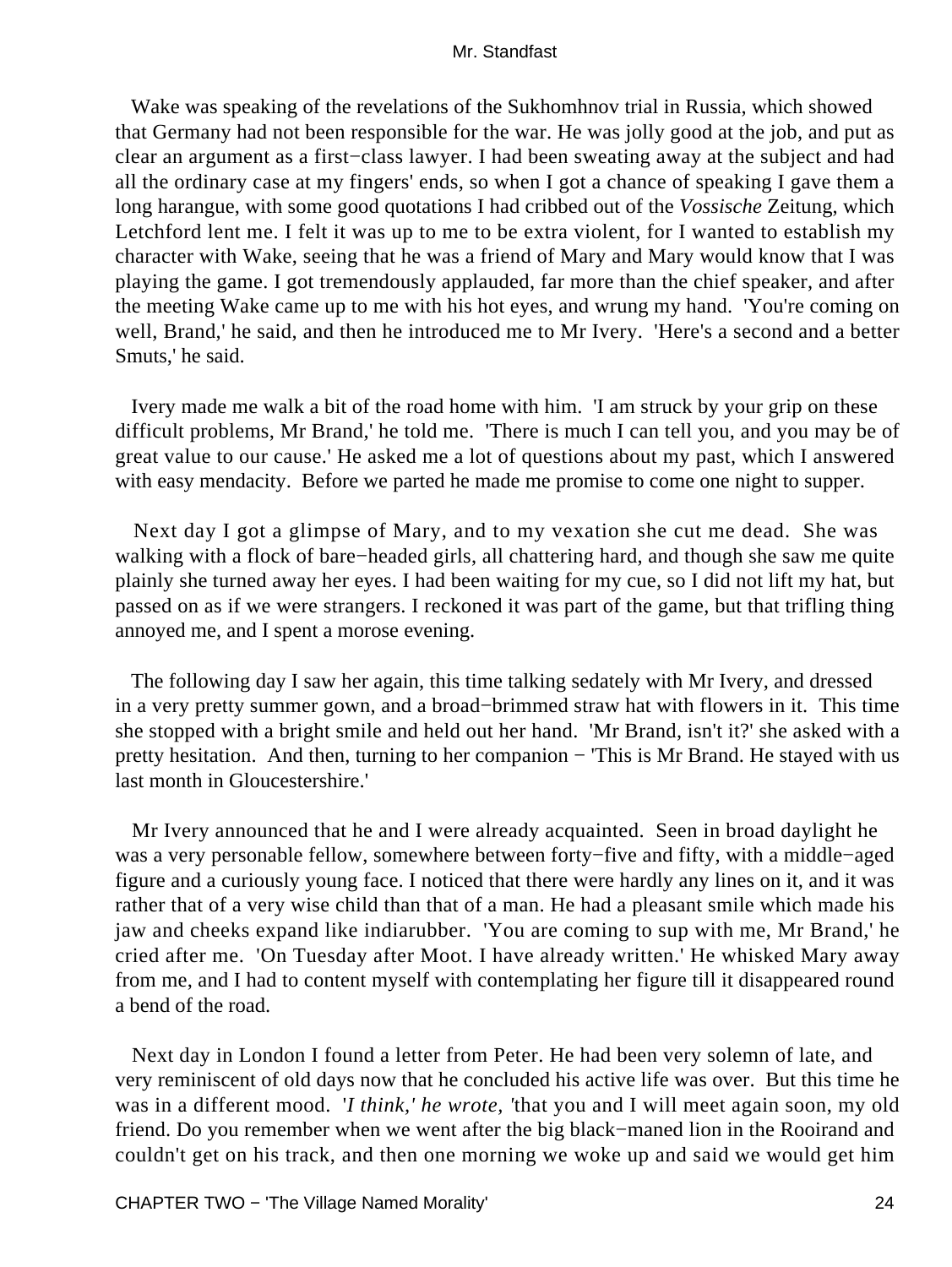Wake was speaking of the revelations of the Sukhomhnov trial in Russia, which showed that Germany had not been responsible for the war. He was jolly good at the job, and put as clear an argument as a first−class lawyer. I had been sweating away at the subject and had all the ordinary case at my fingers' ends, so when I got a chance of speaking I gave them a long harangue, with some good quotations I had cribbed out of the *Vossische* Zeitung, which Letchford lent me. I felt it was up to me to be extra violent, for I wanted to establish my character with Wake, seeing that he was a friend of Mary and Mary would know that I was playing the game. I got tremendously applauded, far more than the chief speaker, and after the meeting Wake came up to me with his hot eyes, and wrung my hand. 'You're coming on well, Brand,' he said, and then he introduced me to Mr Ivery. 'Here's a second and a better Smuts,' he said.

 Ivery made me walk a bit of the road home with him. 'I am struck by your grip on these difficult problems, Mr Brand,' he told me. 'There is much I can tell you, and you may be of great value to our cause.' He asked me a lot of questions about my past, which I answered with easy mendacity. Before we parted he made me promise to come one night to supper.

 Next day I got a glimpse of Mary, and to my vexation she cut me dead. She was walking with a flock of bare−headed girls, all chattering hard, and though she saw me quite plainly she turned away her eyes. I had been waiting for my cue, so I did not lift my hat, but passed on as if we were strangers. I reckoned it was part of the game, but that trifling thing annoyed me, and I spent a morose evening.

 The following day I saw her again, this time talking sedately with Mr Ivery, and dressed in a very pretty summer gown, and a broad−brimmed straw hat with flowers in it. This time she stopped with a bright smile and held out her hand. 'Mr Brand, isn't it?' she asked with a pretty hesitation. And then, turning to her companion − 'This is Mr Brand. He stayed with us last month in Gloucestershire.'

 Mr Ivery announced that he and I were already acquainted. Seen in broad daylight he was a very personable fellow, somewhere between forty−five and fifty, with a middle−aged figure and a curiously young face. I noticed that there were hardly any lines on it, and it was rather that of a very wise child than that of a man. He had a pleasant smile which made his jaw and cheeks expand like indiarubber. 'You are coming to sup with me, Mr Brand,' he cried after me. 'On Tuesday after Moot. I have already written.' He whisked Mary away from me, and I had to content myself with contemplating her figure till it disappeared round a bend of the road.

 Next day in London I found a letter from Peter. He had been very solemn of late, and very reminiscent of old days now that he concluded his active life was over. But this time he was in a different mood. '*I think,' he wrote, '*that you and I will meet again soon, my old friend. Do you remember when we went after the big black−maned lion in the Rooirand and couldn't get on his track, and then one morning we woke up and said we would get him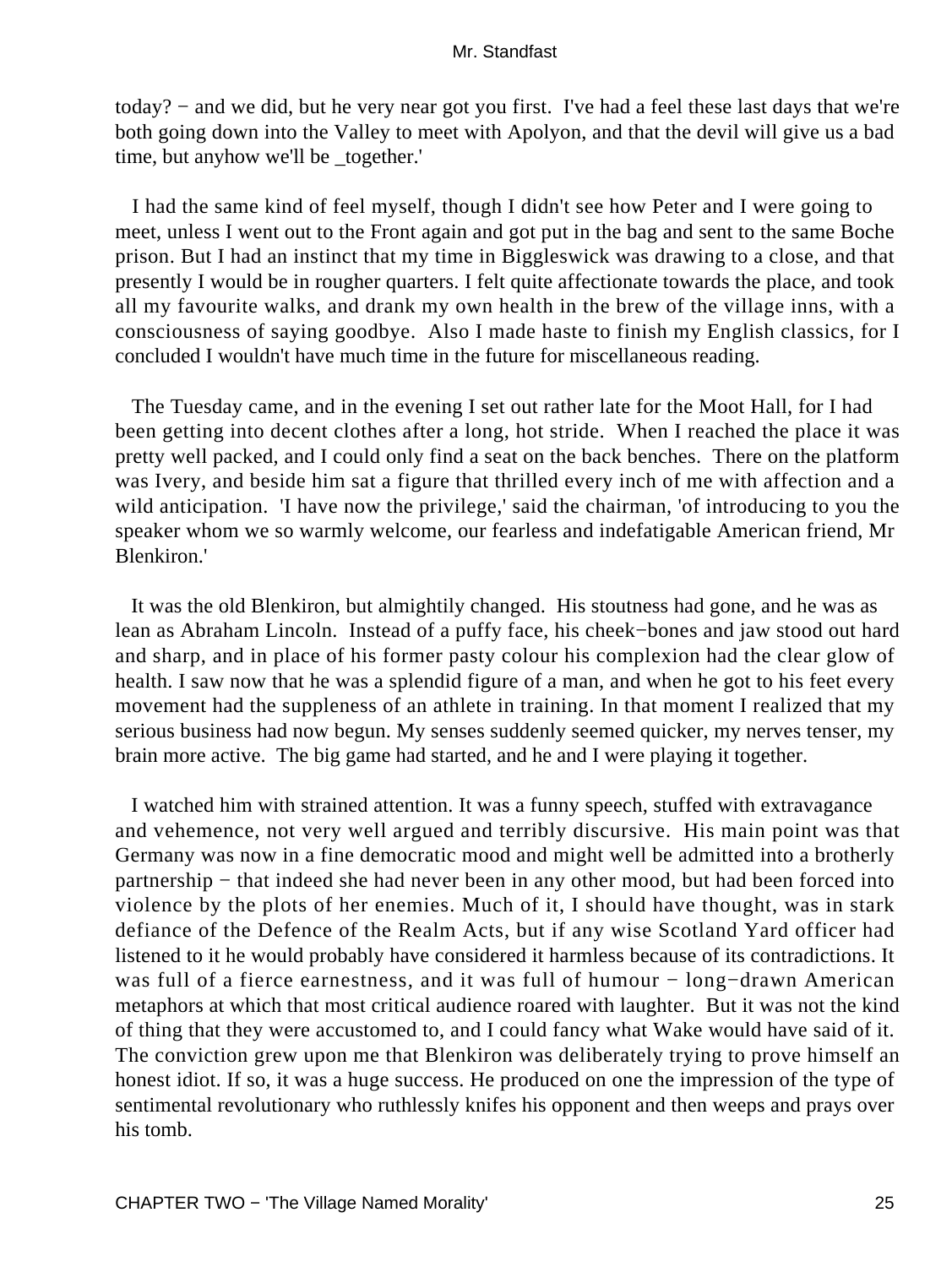today? − and we did, but he very near got you first. I've had a feel these last days that we're both going down into the Valley to meet with Apolyon, and that the devil will give us a bad time, but anyhow we'll be \_together.'

 I had the same kind of feel myself, though I didn't see how Peter and I were going to meet, unless I went out to the Front again and got put in the bag and sent to the same Boche prison. But I had an instinct that my time in Biggleswick was drawing to a close, and that presently I would be in rougher quarters. I felt quite affectionate towards the place, and took all my favourite walks, and drank my own health in the brew of the village inns, with a consciousness of saying goodbye. Also I made haste to finish my English classics, for I concluded I wouldn't have much time in the future for miscellaneous reading.

 The Tuesday came, and in the evening I set out rather late for the Moot Hall, for I had been getting into decent clothes after a long, hot stride. When I reached the place it was pretty well packed, and I could only find a seat on the back benches. There on the platform was Ivery, and beside him sat a figure that thrilled every inch of me with affection and a wild anticipation. 'I have now the privilege,' said the chairman, 'of introducing to you the speaker whom we so warmly welcome, our fearless and indefatigable American friend, Mr Blenkiron.'

 It was the old Blenkiron, but almightily changed. His stoutness had gone, and he was as lean as Abraham Lincoln. Instead of a puffy face, his cheek−bones and jaw stood out hard and sharp, and in place of his former pasty colour his complexion had the clear glow of health. I saw now that he was a splendid figure of a man, and when he got to his feet every movement had the suppleness of an athlete in training. In that moment I realized that my serious business had now begun. My senses suddenly seemed quicker, my nerves tenser, my brain more active. The big game had started, and he and I were playing it together.

 I watched him with strained attention. It was a funny speech, stuffed with extravagance and vehemence, not very well argued and terribly discursive. His main point was that Germany was now in a fine democratic mood and might well be admitted into a brotherly partnership – that indeed she had never been in any other mood, but had been forced into violence by the plots of her enemies. Much of it, I should have thought, was in stark defiance of the Defence of the Realm Acts, but if any wise Scotland Yard officer had listened to it he would probably have considered it harmless because of its contradictions. It was full of a fierce earnestness, and it was full of humour − long−drawn American metaphors at which that most critical audience roared with laughter. But it was not the kind of thing that they were accustomed to, and I could fancy what Wake would have said of it. The conviction grew upon me that Blenkiron was deliberately trying to prove himself an honest idiot. If so, it was a huge success. He produced on one the impression of the type of sentimental revolutionary who ruthlessly knifes his opponent and then weeps and prays over his tomb.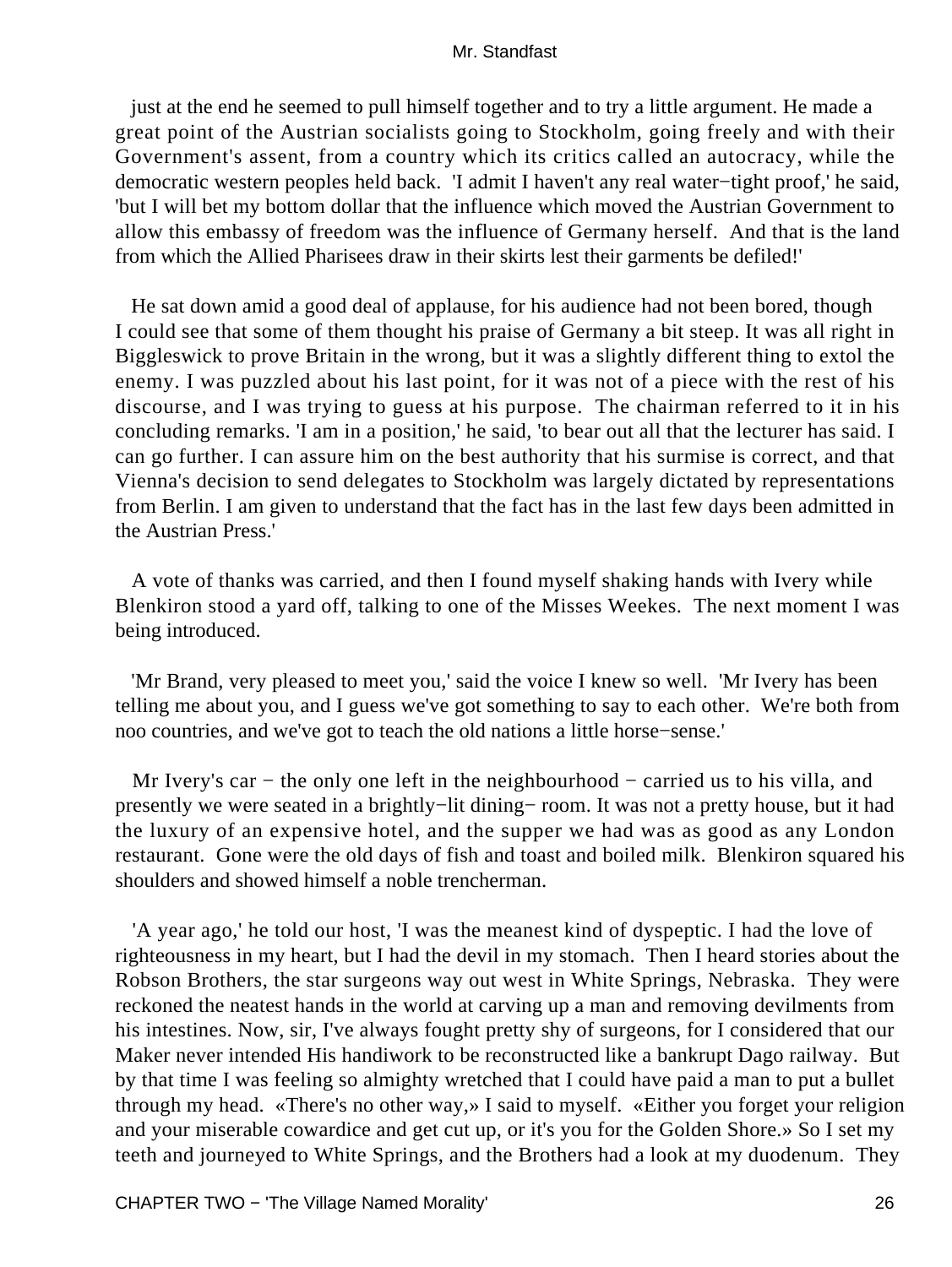just at the end he seemed to pull himself together and to try a little argument. He made a great point of the Austrian socialists going to Stockholm, going freely and with their Government's assent, from a country which its critics called an autocracy, while the democratic western peoples held back. 'I admit I haven't any real water−tight proof,' he said, 'but I will bet my bottom dollar that the influence which moved the Austrian Government to allow this embassy of freedom was the influence of Germany herself. And that is the land from which the Allied Pharisees draw in their skirts lest their garments be defiled!'

 He sat down amid a good deal of applause, for his audience had not been bored, though I could see that some of them thought his praise of Germany a bit steep. It was all right in Biggleswick to prove Britain in the wrong, but it was a slightly different thing to extol the enemy. I was puzzled about his last point, for it was not of a piece with the rest of his discourse, and I was trying to guess at his purpose. The chairman referred to it in his concluding remarks. 'I am in a position,' he said, 'to bear out all that the lecturer has said. I can go further. I can assure him on the best authority that his surmise is correct, and that Vienna's decision to send delegates to Stockholm was largely dictated by representations from Berlin. I am given to understand that the fact has in the last few days been admitted in the Austrian Press.'

 A vote of thanks was carried, and then I found myself shaking hands with Ivery while Blenkiron stood a yard off, talking to one of the Misses Weekes. The next moment I was being introduced.

 'Mr Brand, very pleased to meet you,' said the voice I knew so well. 'Mr Ivery has been telling me about you, and I guess we've got something to say to each other. We're both from noo countries, and we've got to teach the old nations a little horse−sense.'

Mr Ivery's car – the only one left in the neighbourhood – carried us to his villa, and presently we were seated in a brightly−lit dining− room. It was not a pretty house, but it had the luxury of an expensive hotel, and the supper we had was as good as any London restaurant. Gone were the old days of fish and toast and boiled milk. Blenkiron squared his shoulders and showed himself a noble trencherman.

 'A year ago,' he told our host, 'I was the meanest kind of dyspeptic. I had the love of righteousness in my heart, but I had the devil in my stomach. Then I heard stories about the Robson Brothers, the star surgeons way out west in White Springs, Nebraska. They were reckoned the neatest hands in the world at carving up a man and removing devilments from his intestines. Now, sir, I've always fought pretty shy of surgeons, for I considered that our Maker never intended His handiwork to be reconstructed like a bankrupt Dago railway. But by that time I was feeling so almighty wretched that I could have paid a man to put a bullet through my head. «There's no other way,» I said to myself. «Either you forget your religion and your miserable cowardice and get cut up, or it's you for the Golden Shore.» So I set my teeth and journeyed to White Springs, and the Brothers had a look at my duodenum. They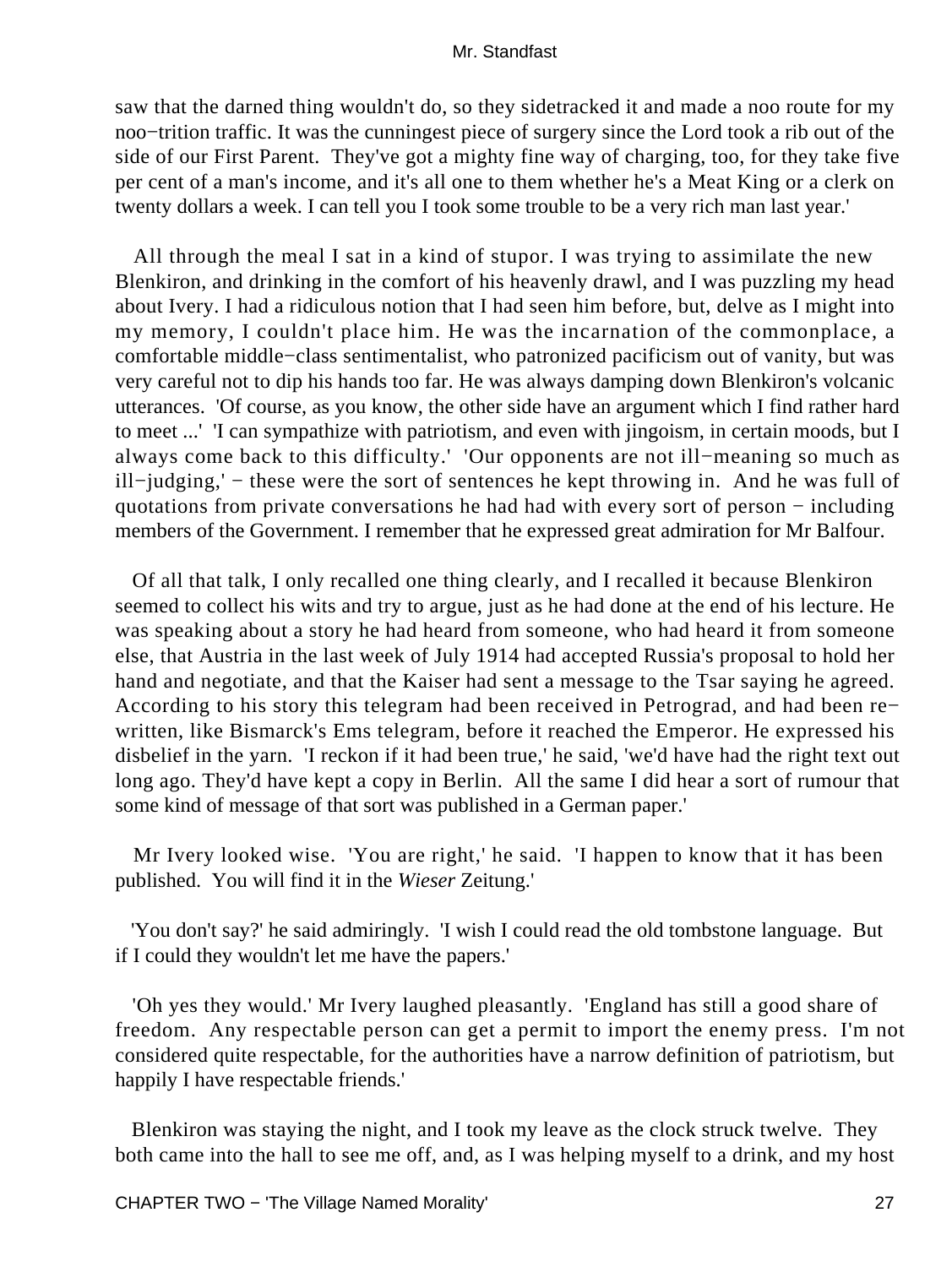saw that the darned thing wouldn't do, so they sidetracked it and made a noo route for my noo−trition traffic. It was the cunningest piece of surgery since the Lord took a rib out of the side of our First Parent. They've got a mighty fine way of charging, too, for they take five per cent of a man's income, and it's all one to them whether he's a Meat King or a clerk on twenty dollars a week. I can tell you I took some trouble to be a very rich man last year.'

 All through the meal I sat in a kind of stupor. I was trying to assimilate the new Blenkiron, and drinking in the comfort of his heavenly drawl, and I was puzzling my head about Ivery. I had a ridiculous notion that I had seen him before, but, delve as I might into my memory, I couldn't place him. He was the incarnation of the commonplace, a comfortable middle−class sentimentalist, who patronized pacificism out of vanity, but was very careful not to dip his hands too far. He was always damping down Blenkiron's volcanic utterances. 'Of course, as you know, the other side have an argument which I find rather hard to meet ...' 'I can sympathize with patriotism, and even with jingoism, in certain moods, but I always come back to this difficulty.' 'Our opponents are not ill−meaning so much as ill−judging,' − these were the sort of sentences he kept throwing in. And he was full of quotations from private conversations he had had with every sort of person − including members of the Government. I remember that he expressed great admiration for Mr Balfour.

 Of all that talk, I only recalled one thing clearly, and I recalled it because Blenkiron seemed to collect his wits and try to argue, just as he had done at the end of his lecture. He was speaking about a story he had heard from someone, who had heard it from someone else, that Austria in the last week of July 1914 had accepted Russia's proposal to hold her hand and negotiate, and that the Kaiser had sent a message to the Tsar saying he agreed. According to his story this telegram had been received in Petrograd, and had been re− written, like Bismarck's Ems telegram, before it reached the Emperor. He expressed his disbelief in the yarn. 'I reckon if it had been true,' he said, 'we'd have had the right text out long ago. They'd have kept a copy in Berlin. All the same I did hear a sort of rumour that some kind of message of that sort was published in a German paper.'

 Mr Ivery looked wise. 'You are right,' he said. 'I happen to know that it has been published. You will find it in the *Wieser* Zeitung.'

 'You don't say?' he said admiringly. 'I wish I could read the old tombstone language. But if I could they wouldn't let me have the papers.'

 'Oh yes they would.' Mr Ivery laughed pleasantly. 'England has still a good share of freedom. Any respectable person can get a permit to import the enemy press. I'm not considered quite respectable, for the authorities have a narrow definition of patriotism, but happily I have respectable friends.'

 Blenkiron was staying the night, and I took my leave as the clock struck twelve. They both came into the hall to see me off, and, as I was helping myself to a drink, and my host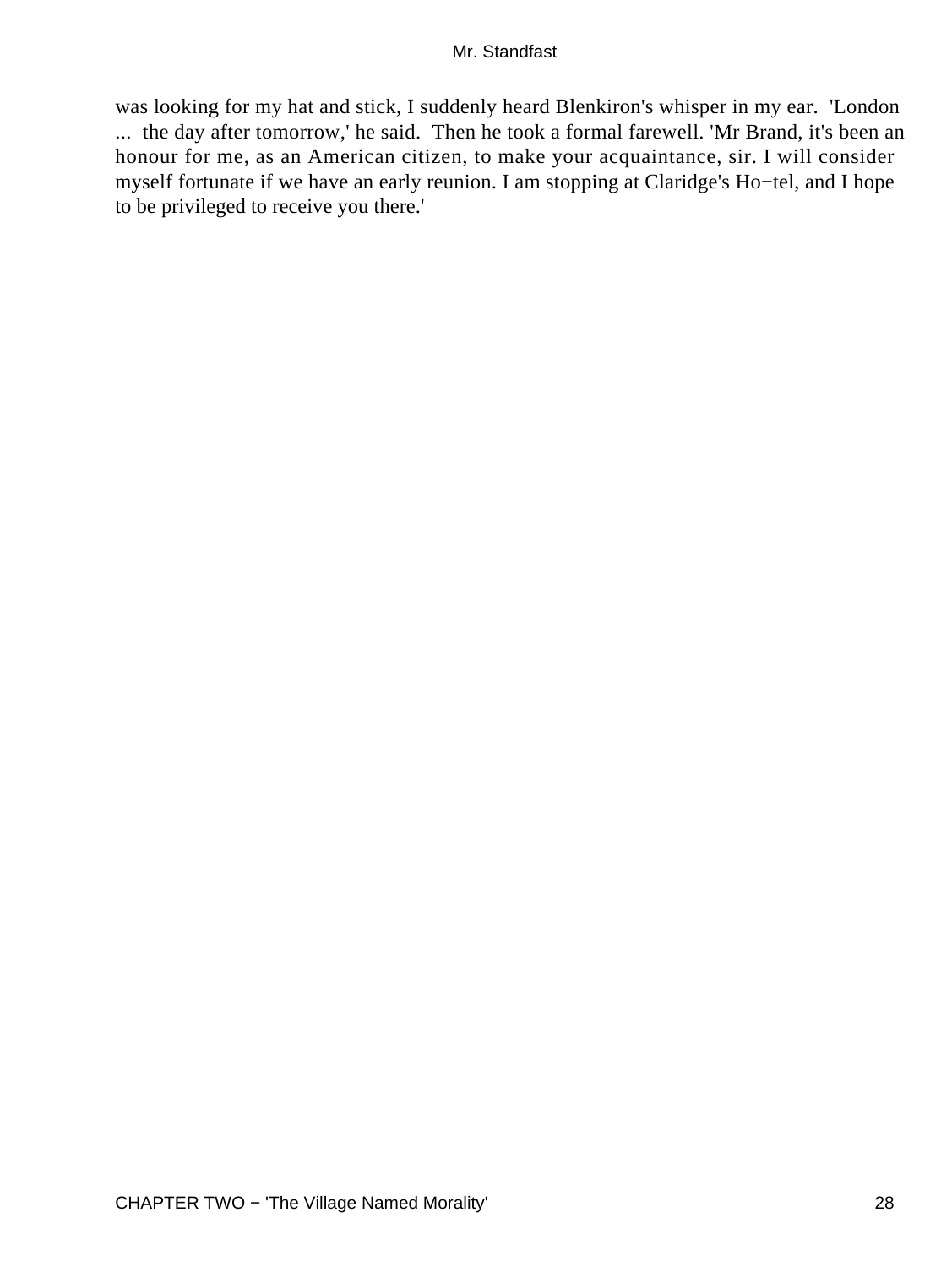was looking for my hat and stick, I suddenly heard Blenkiron's whisper in my ear. 'London ... the day after tomorrow,' he said. Then he took a formal farewell. 'Mr Brand, it's been an honour for me, as an American citizen, to make your acquaintance, sir. I will consider myself fortunate if we have an early reunion. I am stopping at Claridge's Ho−tel, and I hope to be privileged to receive you there.'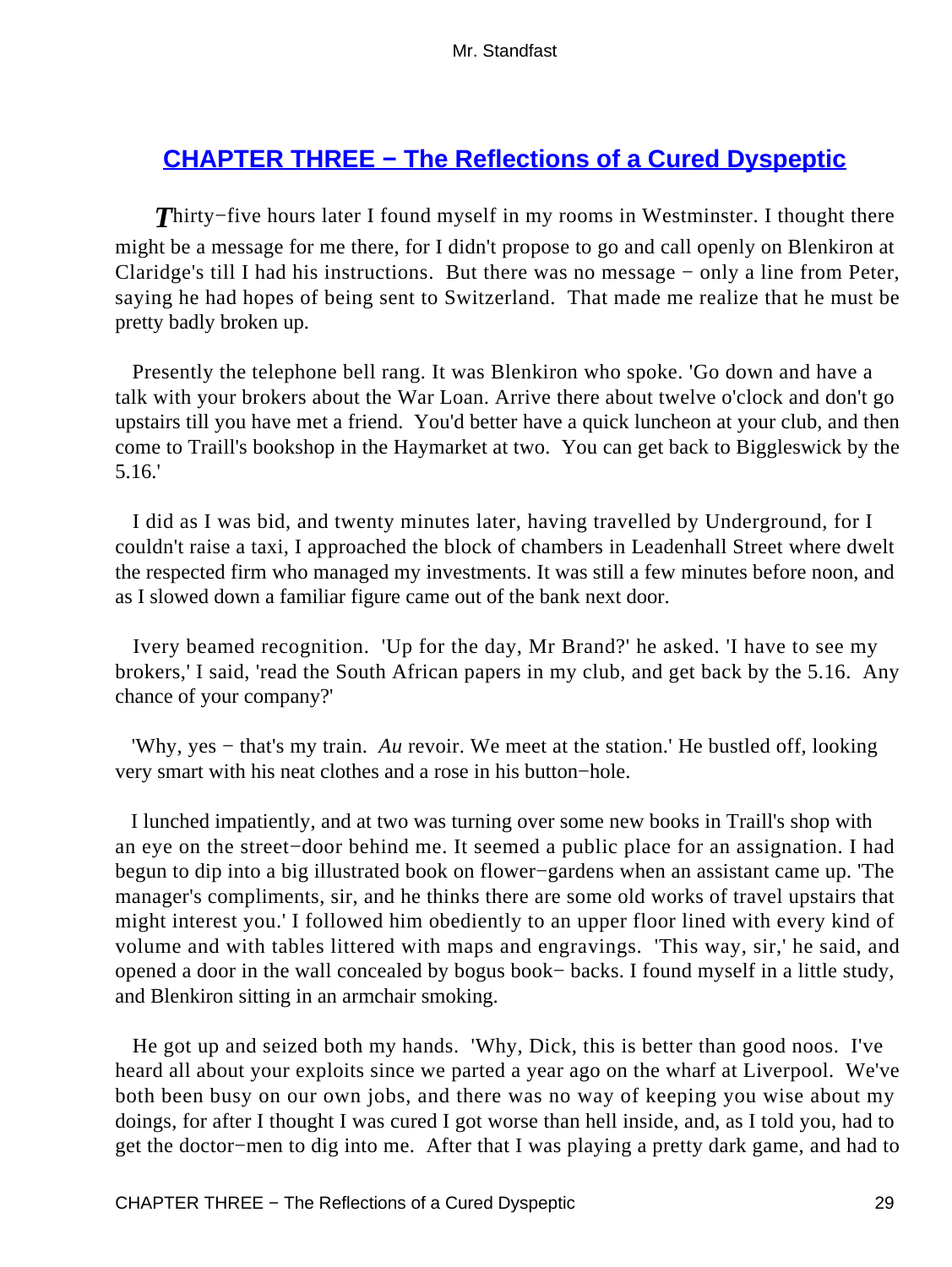# **[CHAPTER THREE − The Reflections of a Cured Dyspeptic](#page-255-0)**

*T*hirty−five hours later I found myself in my rooms in Westminster. I thought there might be a message for me there, for I didn't propose to go and call openly on Blenkiron at Claridge's till I had his instructions. But there was no message − only a line from Peter, saying he had hopes of being sent to Switzerland. That made me realize that he must be pretty badly broken up.

 Presently the telephone bell rang. It was Blenkiron who spoke. 'Go down and have a talk with your brokers about the War Loan. Arrive there about twelve o'clock and don't go upstairs till you have met a friend. You'd better have a quick luncheon at your club, and then come to Traill's bookshop in the Haymarket at two. You can get back to Biggleswick by the 5.16.'

 I did as I was bid, and twenty minutes later, having travelled by Underground, for I couldn't raise a taxi, I approached the block of chambers in Leadenhall Street where dwelt the respected firm who managed my investments. It was still a few minutes before noon, and as I slowed down a familiar figure came out of the bank next door.

 Ivery beamed recognition. 'Up for the day, Mr Brand?' he asked. 'I have to see my brokers,' I said, 'read the South African papers in my club, and get back by the 5.16. Any chance of your company?'

 'Why, yes − that's my train. *Au* revoir. We meet at the station.' He bustled off, looking very smart with his neat clothes and a rose in his button−hole.

 I lunched impatiently, and at two was turning over some new books in Traill's shop with an eye on the street−door behind me. It seemed a public place for an assignation. I had begun to dip into a big illustrated book on flower−gardens when an assistant came up. 'The manager's compliments, sir, and he thinks there are some old works of travel upstairs that might interest you.' I followed him obediently to an upper floor lined with every kind of volume and with tables littered with maps and engravings. 'This way, sir,' he said, and opened a door in the wall concealed by bogus book− backs. I found myself in a little study, and Blenkiron sitting in an armchair smoking.

 He got up and seized both my hands. 'Why, Dick, this is better than good noos. I've heard all about your exploits since we parted a year ago on the wharf at Liverpool. We've both been busy on our own jobs, and there was no way of keeping you wise about my doings, for after I thought I was cured I got worse than hell inside, and, as I told you, had to get the doctor−men to dig into me. After that I was playing a pretty dark game, and had to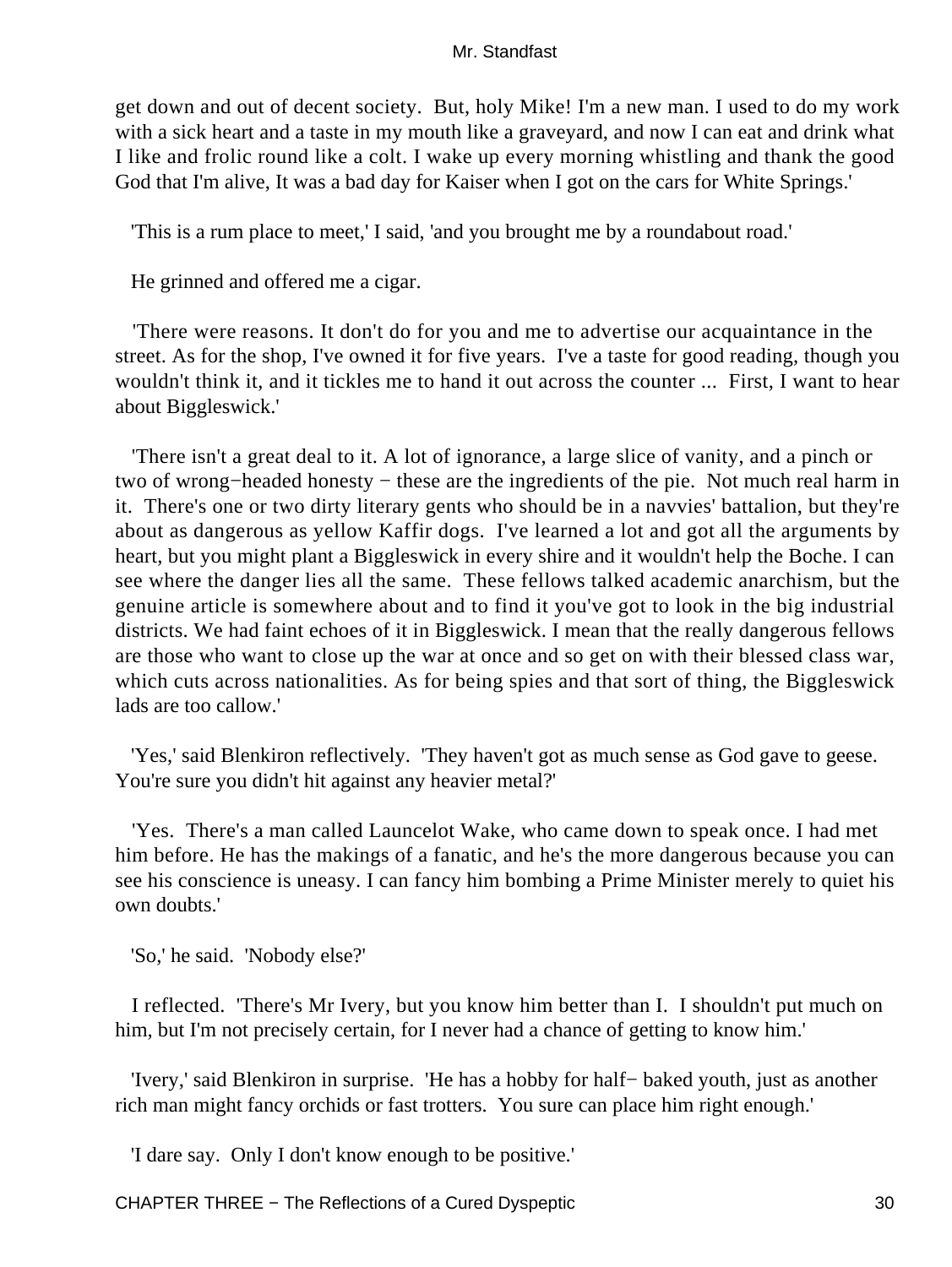get down and out of decent society. But, holy Mike! I'm a new man. I used to do my work with a sick heart and a taste in my mouth like a graveyard, and now I can eat and drink what I like and frolic round like a colt. I wake up every morning whistling and thank the good God that I'm alive, It was a bad day for Kaiser when I got on the cars for White Springs.'

'This is a rum place to meet,' I said, 'and you brought me by a roundabout road.'

He grinned and offered me a cigar.

 'There were reasons. It don't do for you and me to advertise our acquaintance in the street. As for the shop, I've owned it for five years. I've a taste for good reading, though you wouldn't think it, and it tickles me to hand it out across the counter ... First, I want to hear about Biggleswick.'

 'There isn't a great deal to it. A lot of ignorance, a large slice of vanity, and a pinch or two of wrong−headed honesty − these are the ingredients of the pie. Not much real harm in it. There's one or two dirty literary gents who should be in a navvies' battalion, but they're about as dangerous as yellow Kaffir dogs. I've learned a lot and got all the arguments by heart, but you might plant a Biggleswick in every shire and it wouldn't help the Boche. I can see where the danger lies all the same. These fellows talked academic anarchism, but the genuine article is somewhere about and to find it you've got to look in the big industrial districts. We had faint echoes of it in Biggleswick. I mean that the really dangerous fellows are those who want to close up the war at once and so get on with their blessed class war, which cuts across nationalities. As for being spies and that sort of thing, the Biggleswick lads are too callow.'

 'Yes,' said Blenkiron reflectively. 'They haven't got as much sense as God gave to geese. You're sure you didn't hit against any heavier metal?'

 'Yes. There's a man called Launcelot Wake, who came down to speak once. I had met him before. He has the makings of a fanatic, and he's the more dangerous because you can see his conscience is uneasy. I can fancy him bombing a Prime Minister merely to quiet his own doubts.'

'So,' he said. 'Nobody else?'

 I reflected. 'There's Mr Ivery, but you know him better than I. I shouldn't put much on him, but I'm not precisely certain, for I never had a chance of getting to know him.'

 'Ivery,' said Blenkiron in surprise. 'He has a hobby for half− baked youth, just as another rich man might fancy orchids or fast trotters. You sure can place him right enough.'

'I dare say. Only I don't know enough to be positive.'

CHAPTER THREE – The Reflections of a Cured Dyspeptic 30 30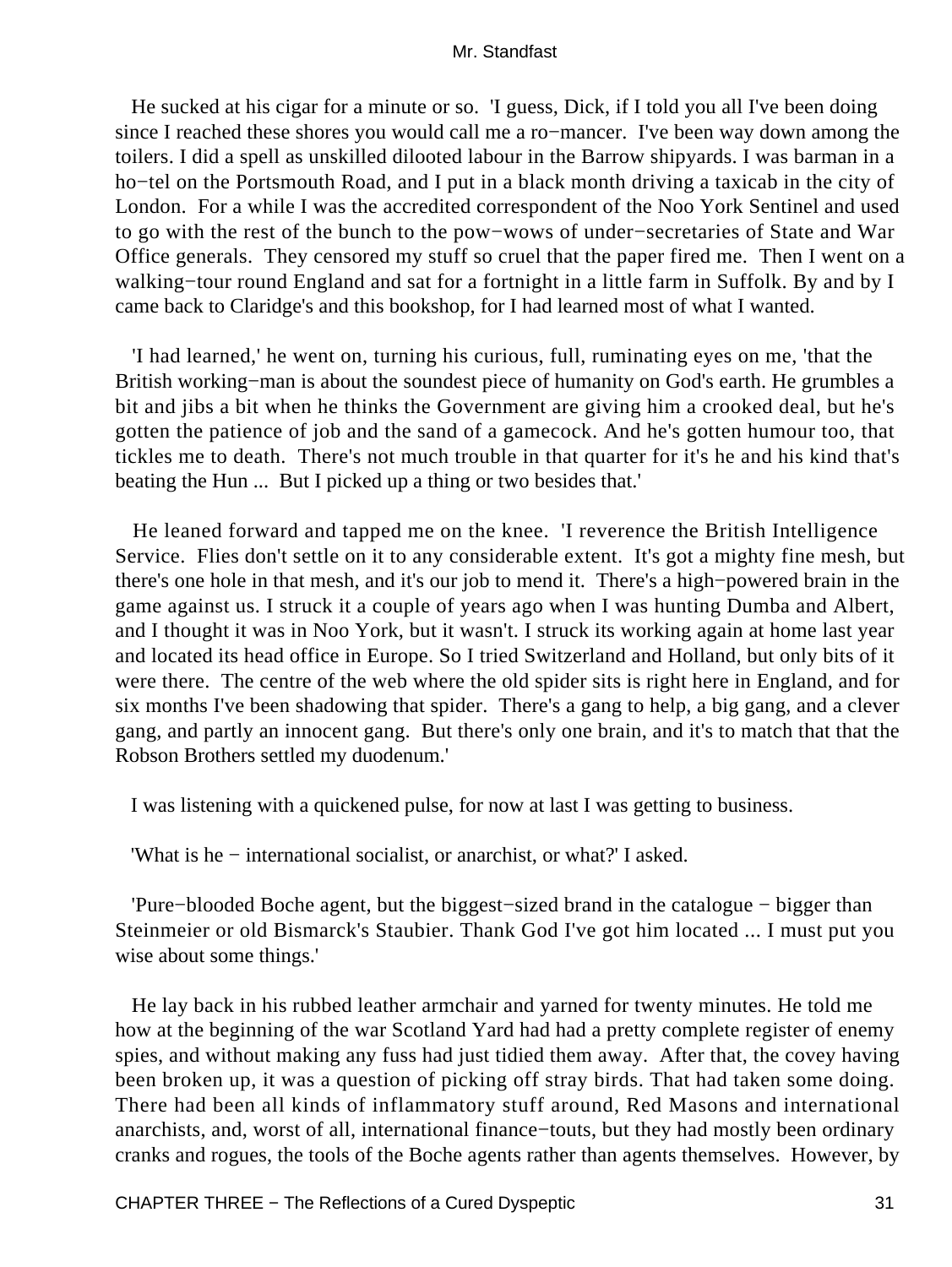He sucked at his cigar for a minute or so. 'I guess, Dick, if I told you all I've been doing since I reached these shores you would call me a ro−mancer. I've been way down among the toilers. I did a spell as unskilled dilooted labour in the Barrow shipyards. I was barman in a ho−tel on the Portsmouth Road, and I put in a black month driving a taxicab in the city of London. For a while I was the accredited correspondent of the Noo York Sentinel and used to go with the rest of the bunch to the pow−wows of under−secretaries of State and War Office generals. They censored my stuff so cruel that the paper fired me. Then I went on a walking−tour round England and sat for a fortnight in a little farm in Suffolk. By and by I came back to Claridge's and this bookshop, for I had learned most of what I wanted.

 'I had learned,' he went on, turning his curious, full, ruminating eyes on me, 'that the British working−man is about the soundest piece of humanity on God's earth. He grumbles a bit and jibs a bit when he thinks the Government are giving him a crooked deal, but he's gotten the patience of job and the sand of a gamecock. And he's gotten humour too, that tickles me to death. There's not much trouble in that quarter for it's he and his kind that's beating the Hun ... But I picked up a thing or two besides that.'

 He leaned forward and tapped me on the knee. 'I reverence the British Intelligence Service. Flies don't settle on it to any considerable extent. It's got a mighty fine mesh, but there's one hole in that mesh, and it's our job to mend it. There's a high−powered brain in the game against us. I struck it a couple of years ago when I was hunting Dumba and Albert, and I thought it was in Noo York, but it wasn't. I struck its working again at home last year and located its head office in Europe. So I tried Switzerland and Holland, but only bits of it were there. The centre of the web where the old spider sits is right here in England, and for six months I've been shadowing that spider. There's a gang to help, a big gang, and a clever gang, and partly an innocent gang. But there's only one brain, and it's to match that that the Robson Brothers settled my duodenum.'

I was listening with a quickened pulse, for now at last I was getting to business.

'What is he − international socialist, or anarchist, or what?' I asked.

 'Pure−blooded Boche agent, but the biggest−sized brand in the catalogue − bigger than Steinmeier or old Bismarck's Staubier. Thank God I've got him located ... I must put you wise about some things.'

 He lay back in his rubbed leather armchair and yarned for twenty minutes. He told me how at the beginning of the war Scotland Yard had had a pretty complete register of enemy spies, and without making any fuss had just tidied them away. After that, the covey having been broken up, it was a question of picking off stray birds. That had taken some doing. There had been all kinds of inflammatory stuff around, Red Masons and international anarchists, and, worst of all, international finance−touts, but they had mostly been ordinary cranks and rogues, the tools of the Boche agents rather than agents themselves. However, by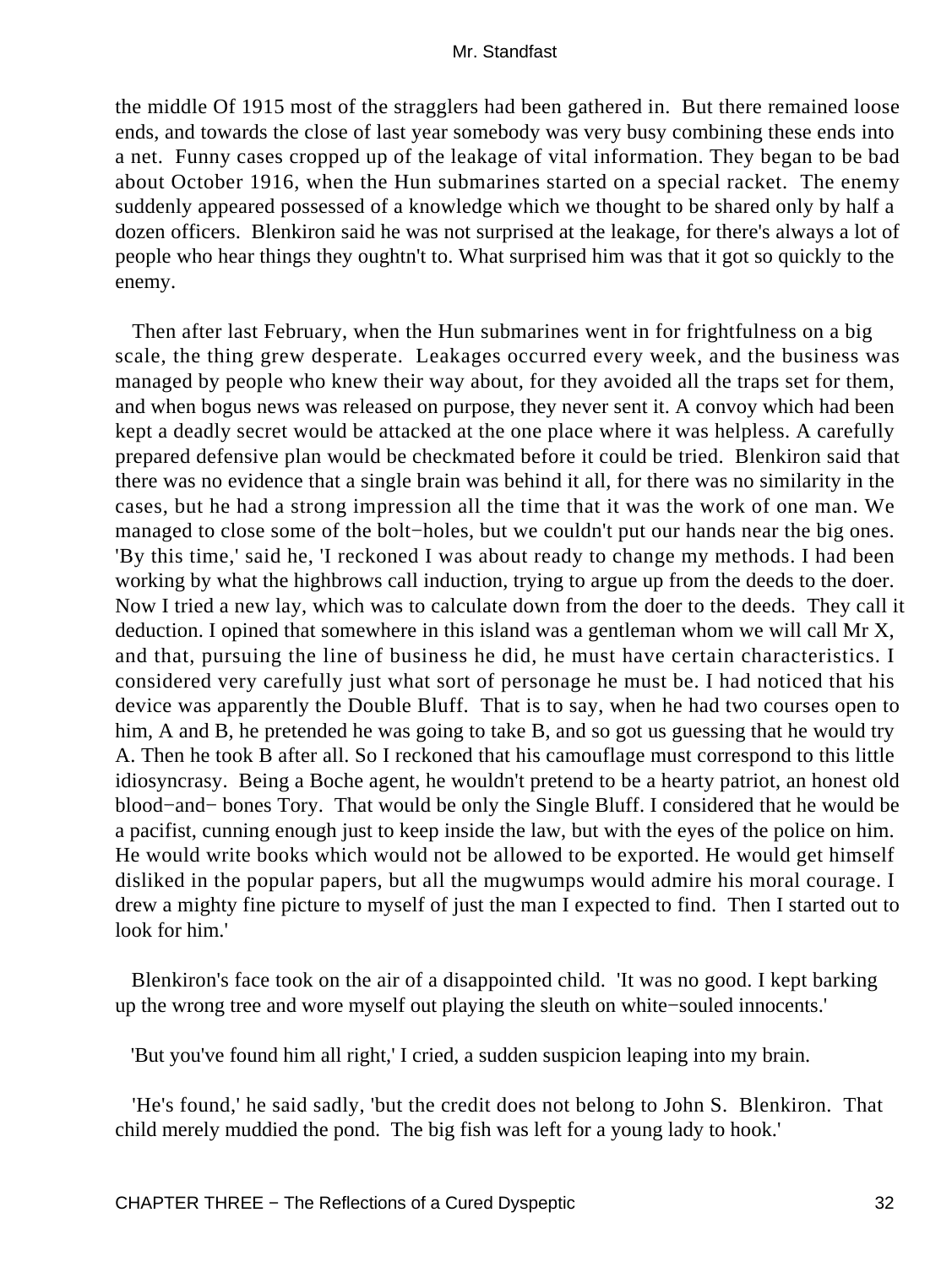the middle Of 1915 most of the stragglers had been gathered in. But there remained loose ends, and towards the close of last year somebody was very busy combining these ends into a net. Funny cases cropped up of the leakage of vital information. They began to be bad about October 1916, when the Hun submarines started on a special racket. The enemy suddenly appeared possessed of a knowledge which we thought to be shared only by half a dozen officers. Blenkiron said he was not surprised at the leakage, for there's always a lot of people who hear things they oughtn't to. What surprised him was that it got so quickly to the enemy.

 Then after last February, when the Hun submarines went in for frightfulness on a big scale, the thing grew desperate. Leakages occurred every week, and the business was managed by people who knew their way about, for they avoided all the traps set for them, and when bogus news was released on purpose, they never sent it. A convoy which had been kept a deadly secret would be attacked at the one place where it was helpless. A carefully prepared defensive plan would be checkmated before it could be tried. Blenkiron said that there was no evidence that a single brain was behind it all, for there was no similarity in the cases, but he had a strong impression all the time that it was the work of one man. We managed to close some of the bolt−holes, but we couldn't put our hands near the big ones. 'By this time,' said he, 'I reckoned I was about ready to change my methods. I had been working by what the highbrows call induction, trying to argue up from the deeds to the doer. Now I tried a new lay, which was to calculate down from the doer to the deeds. They call it deduction. I opined that somewhere in this island was a gentleman whom we will call Mr X, and that, pursuing the line of business he did, he must have certain characteristics. I considered very carefully just what sort of personage he must be. I had noticed that his device was apparently the Double Bluff. That is to say, when he had two courses open to him, A and B, he pretended he was going to take B, and so got us guessing that he would try A. Then he took B after all. So I reckoned that his camouflage must correspond to this little idiosyncrasy. Being a Boche agent, he wouldn't pretend to be a hearty patriot, an honest old blood−and− bones Tory. That would be only the Single Bluff. I considered that he would be a pacifist, cunning enough just to keep inside the law, but with the eyes of the police on him. He would write books which would not be allowed to be exported. He would get himself disliked in the popular papers, but all the mugwumps would admire his moral courage. I drew a mighty fine picture to myself of just the man I expected to find. Then I started out to look for him.'

 Blenkiron's face took on the air of a disappointed child. 'It was no good. I kept barking up the wrong tree and wore myself out playing the sleuth on white−souled innocents.'

'But you've found him all right,' I cried, a sudden suspicion leaping into my brain.

 'He's found,' he said sadly, 'but the credit does not belong to John S. Blenkiron. That child merely muddied the pond. The big fish was left for a young lady to hook.'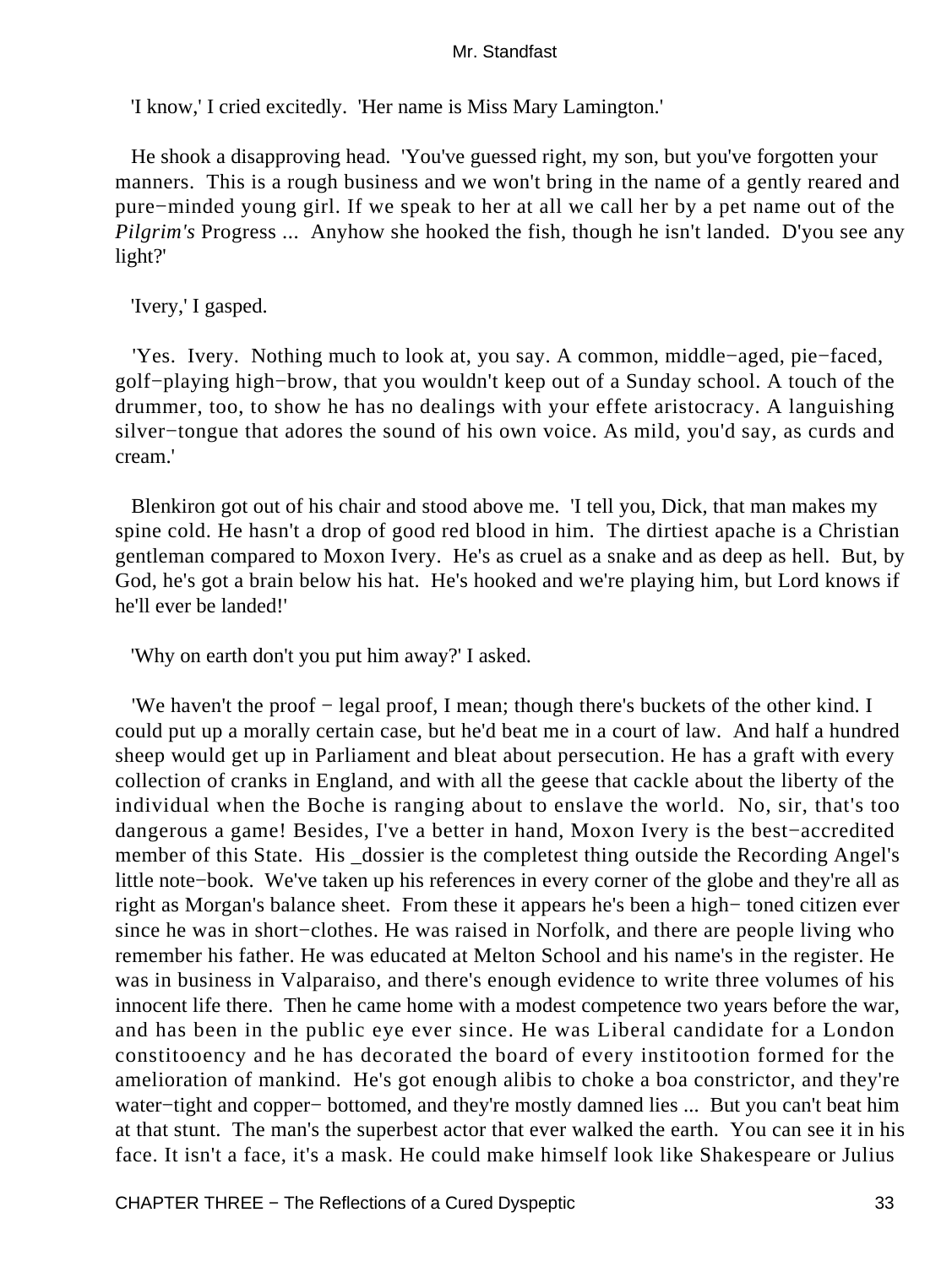'I know,' I cried excitedly. 'Her name is Miss Mary Lamington.'

 He shook a disapproving head. 'You've guessed right, my son, but you've forgotten your manners. This is a rough business and we won't bring in the name of a gently reared and pure−minded young girl. If we speak to her at all we call her by a pet name out of the *Pilgrim's* Progress ... Anyhow she hooked the fish, though he isn't landed. D'you see any light?'

'Ivery,' I gasped.

 'Yes. Ivery. Nothing much to look at, you say. A common, middle−aged, pie−faced, golf−playing high−brow, that you wouldn't keep out of a Sunday school. A touch of the drummer, too, to show he has no dealings with your effete aristocracy. A languishing silver−tongue that adores the sound of his own voice. As mild, you'd say, as curds and cream.'

 Blenkiron got out of his chair and stood above me. 'I tell you, Dick, that man makes my spine cold. He hasn't a drop of good red blood in him. The dirtiest apache is a Christian gentleman compared to Moxon Ivery. He's as cruel as a snake and as deep as hell. But, by God, he's got a brain below his hat. He's hooked and we're playing him, but Lord knows if he'll ever be landed!'

'Why on earth don't you put him away?' I asked.

 'We haven't the proof − legal proof, I mean; though there's buckets of the other kind. I could put up a morally certain case, but he'd beat me in a court of law. And half a hundred sheep would get up in Parliament and bleat about persecution. He has a graft with every collection of cranks in England, and with all the geese that cackle about the liberty of the individual when the Boche is ranging about to enslave the world. No, sir, that's too dangerous a game! Besides, I've a better in hand, Moxon Ivery is the best−accredited member of this State. His \_dossier is the completest thing outside the Recording Angel's little note−book. We've taken up his references in every corner of the globe and they're all as right as Morgan's balance sheet. From these it appears he's been a high− toned citizen ever since he was in short−clothes. He was raised in Norfolk, and there are people living who remember his father. He was educated at Melton School and his name's in the register. He was in business in Valparaiso, and there's enough evidence to write three volumes of his innocent life there. Then he came home with a modest competence two years before the war, and has been in the public eye ever since. He was Liberal candidate for a London constitooency and he has decorated the board of every institootion formed for the amelioration of mankind. He's got enough alibis to choke a boa constrictor, and they're water−tight and copper− bottomed, and they're mostly damned lies ... But you can't beat him at that stunt. The man's the superbest actor that ever walked the earth. You can see it in his face. It isn't a face, it's a mask. He could make himself look like Shakespeare or Julius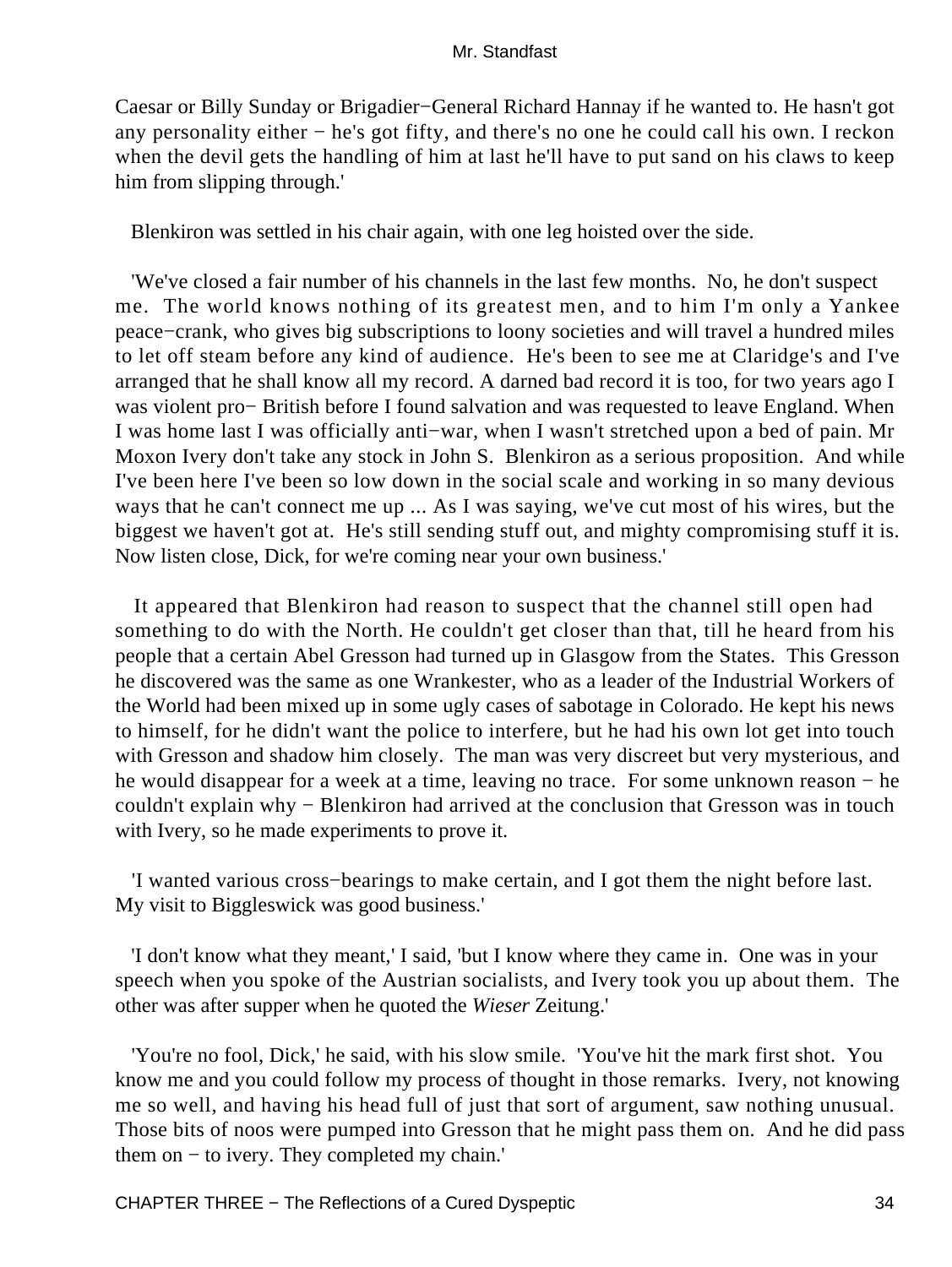Caesar or Billy Sunday or Brigadier−General Richard Hannay if he wanted to. He hasn't got any personality either − he's got fifty, and there's no one he could call his own. I reckon when the devil gets the handling of him at last he'll have to put sand on his claws to keep him from slipping through.'

Blenkiron was settled in his chair again, with one leg hoisted over the side.

 'We've closed a fair number of his channels in the last few months. No, he don't suspect me. The world knows nothing of its greatest men, and to him I'm only a Yankee peace−crank, who gives big subscriptions to loony societies and will travel a hundred miles to let off steam before any kind of audience. He's been to see me at Claridge's and I've arranged that he shall know all my record. A darned bad record it is too, for two years ago I was violent pro− British before I found salvation and was requested to leave England. When I was home last I was officially anti−war, when I wasn't stretched upon a bed of pain. Mr Moxon Ivery don't take any stock in John S. Blenkiron as a serious proposition. And while I've been here I've been so low down in the social scale and working in so many devious ways that he can't connect me up ... As I was saying, we've cut most of his wires, but the biggest we haven't got at. He's still sending stuff out, and mighty compromising stuff it is. Now listen close, Dick, for we're coming near your own business.'

 It appeared that Blenkiron had reason to suspect that the channel still open had something to do with the North. He couldn't get closer than that, till he heard from his people that a certain Abel Gresson had turned up in Glasgow from the States. This Gresson he discovered was the same as one Wrankester, who as a leader of the Industrial Workers of the World had been mixed up in some ugly cases of sabotage in Colorado. He kept his news to himself, for he didn't want the police to interfere, but he had his own lot get into touch with Gresson and shadow him closely. The man was very discreet but very mysterious, and he would disappear for a week at a time, leaving no trace. For some unknown reason – he couldn't explain why − Blenkiron had arrived at the conclusion that Gresson was in touch with Ivery, so he made experiments to prove it.

 'I wanted various cross−bearings to make certain, and I got them the night before last. My visit to Biggleswick was good business.'

 'I don't know what they meant,' I said, 'but I know where they came in. One was in your speech when you spoke of the Austrian socialists, and Ivery took you up about them. The other was after supper when he quoted the *Wieser* Zeitung.'

 'You're no fool, Dick,' he said, with his slow smile. 'You've hit the mark first shot. You know me and you could follow my process of thought in those remarks. Ivery, not knowing me so well, and having his head full of just that sort of argument, saw nothing unusual. Those bits of noos were pumped into Gresson that he might pass them on. And he did pass them on − to ivery. They completed my chain.'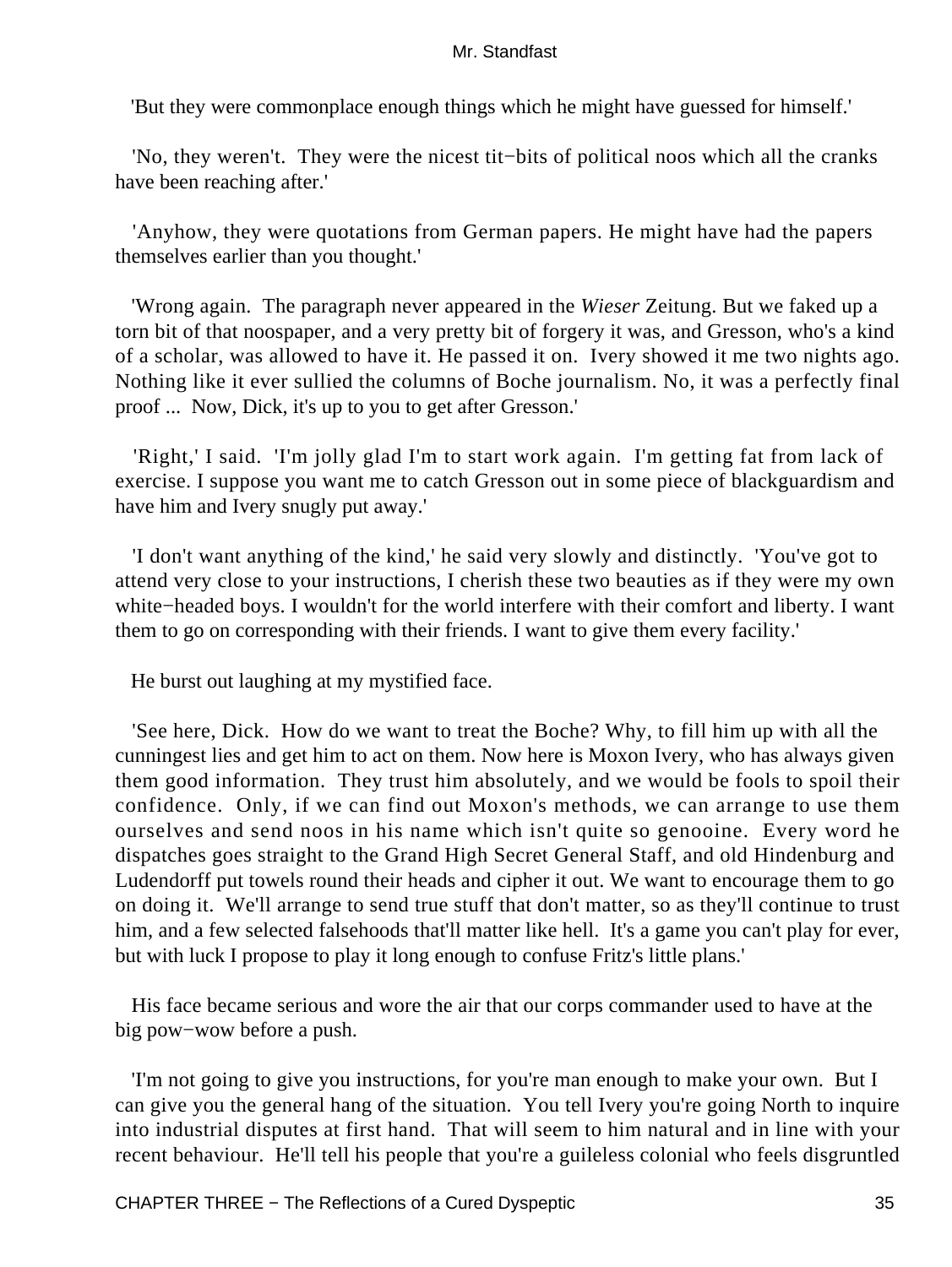'But they were commonplace enough things which he might have guessed for himself.'

 'No, they weren't. They were the nicest tit−bits of political noos which all the cranks have been reaching after.'

 'Anyhow, they were quotations from German papers. He might have had the papers themselves earlier than you thought.'

 'Wrong again. The paragraph never appeared in the *Wieser* Zeitung. But we faked up a torn bit of that noospaper, and a very pretty bit of forgery it was, and Gresson, who's a kind of a scholar, was allowed to have it. He passed it on. Ivery showed it me two nights ago. Nothing like it ever sullied the columns of Boche journalism. No, it was a perfectly final proof ... Now, Dick, it's up to you to get after Gresson.'

 'Right,' I said. 'I'm jolly glad I'm to start work again. I'm getting fat from lack of exercise. I suppose you want me to catch Gresson out in some piece of blackguardism and have him and Ivery snugly put away.'

 'I don't want anything of the kind,' he said very slowly and distinctly. 'You've got to attend very close to your instructions, I cherish these two beauties as if they were my own white−headed boys. I wouldn't for the world interfere with their comfort and liberty. I want them to go on corresponding with their friends. I want to give them every facility.'

He burst out laughing at my mystified face.

 'See here, Dick. How do we want to treat the Boche? Why, to fill him up with all the cunningest lies and get him to act on them. Now here is Moxon Ivery, who has always given them good information. They trust him absolutely, and we would be fools to spoil their confidence. Only, if we can find out Moxon's methods, we can arrange to use them ourselves and send noos in his name which isn't quite so genooine. Every word he dispatches goes straight to the Grand High Secret General Staff, and old Hindenburg and Ludendorff put towels round their heads and cipher it out. We want to encourage them to go on doing it. We'll arrange to send true stuff that don't matter, so as they'll continue to trust him, and a few selected falsehoods that'll matter like hell. It's a game you can't play for ever, but with luck I propose to play it long enough to confuse Fritz's little plans.'

 His face became serious and wore the air that our corps commander used to have at the big pow−wow before a push.

 'I'm not going to give you instructions, for you're man enough to make your own. But I can give you the general hang of the situation. You tell Ivery you're going North to inquire into industrial disputes at first hand. That will seem to him natural and in line with your recent behaviour. He'll tell his people that you're a guileless colonial who feels disgruntled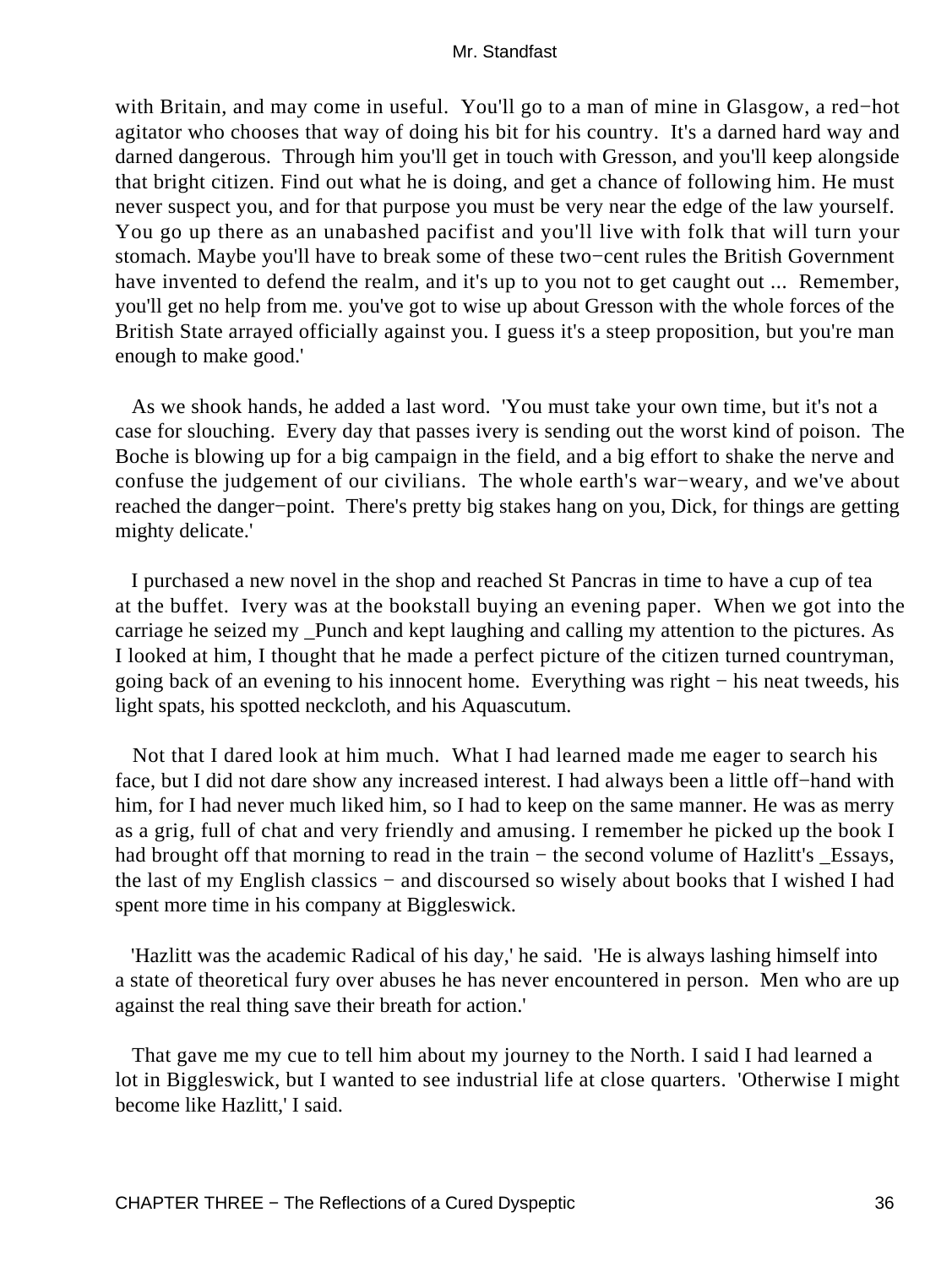with Britain, and may come in useful. You'll go to a man of mine in Glasgow, a red−hot agitator who chooses that way of doing his bit for his country. It's a darned hard way and darned dangerous. Through him you'll get in touch with Gresson, and you'll keep alongside that bright citizen. Find out what he is doing, and get a chance of following him. He must never suspect you, and for that purpose you must be very near the edge of the law yourself. You go up there as an unabashed pacifist and you'll live with folk that will turn your stomach. Maybe you'll have to break some of these two−cent rules the British Government have invented to defend the realm, and it's up to you not to get caught out ... Remember, you'll get no help from me. you've got to wise up about Gresson with the whole forces of the British State arrayed officially against you. I guess it's a steep proposition, but you're man enough to make good.'

 As we shook hands, he added a last word. 'You must take your own time, but it's not a case for slouching. Every day that passes ivery is sending out the worst kind of poison. The Boche is blowing up for a big campaign in the field, and a big effort to shake the nerve and confuse the judgement of our civilians. The whole earth's war−weary, and we've about reached the danger−point. There's pretty big stakes hang on you, Dick, for things are getting mighty delicate.'

 I purchased a new novel in the shop and reached St Pancras in time to have a cup of tea at the buffet. Ivery was at the bookstall buying an evening paper. When we got into the carriage he seized my \_Punch and kept laughing and calling my attention to the pictures. As I looked at him, I thought that he made a perfect picture of the citizen turned countryman, going back of an evening to his innocent home. Everything was right − his neat tweeds, his light spats, his spotted neckcloth, and his Aquascutum.

 Not that I dared look at him much. What I had learned made me eager to search his face, but I did not dare show any increased interest. I had always been a little off−hand with him, for I had never much liked him, so I had to keep on the same manner. He was as merry as a grig, full of chat and very friendly and amusing. I remember he picked up the book I had brought off that morning to read in the train – the second volume of Hazlitt's \_Essays, the last of my English classics − and discoursed so wisely about books that I wished I had spent more time in his company at Biggleswick.

 'Hazlitt was the academic Radical of his day,' he said. 'He is always lashing himself into a state of theoretical fury over abuses he has never encountered in person. Men who are up against the real thing save their breath for action.'

 That gave me my cue to tell him about my journey to the North. I said I had learned a lot in Biggleswick, but I wanted to see industrial life at close quarters. 'Otherwise I might become like Hazlitt,' I said.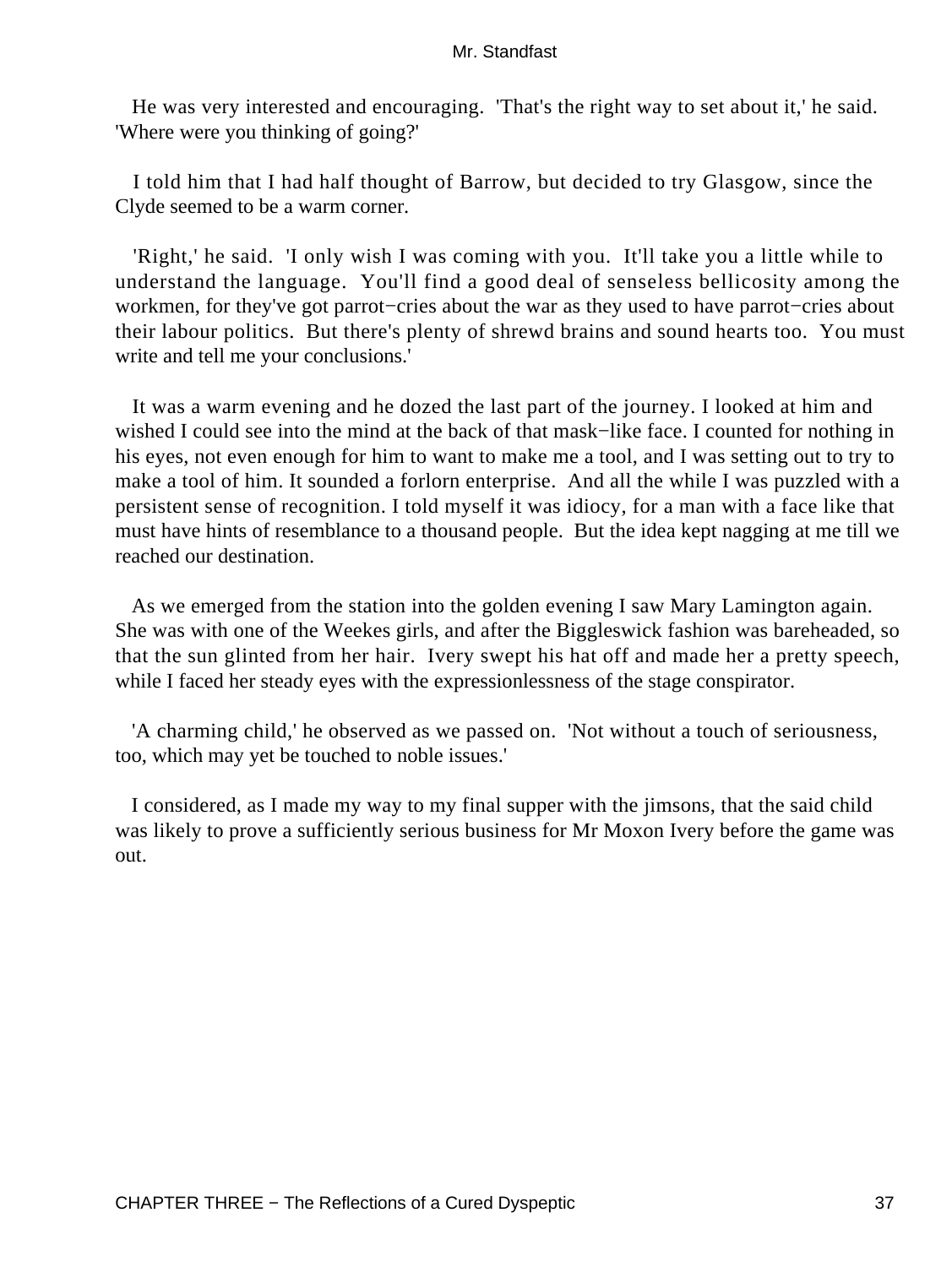He was very interested and encouraging. 'That's the right way to set about it,' he said. 'Where were you thinking of going?'

 I told him that I had half thought of Barrow, but decided to try Glasgow, since the Clyde seemed to be a warm corner.

 'Right,' he said. 'I only wish I was coming with you. It'll take you a little while to understand the language. You'll find a good deal of senseless bellicosity among the workmen, for they've got parrot−cries about the war as they used to have parrot−cries about their labour politics. But there's plenty of shrewd brains and sound hearts too. You must write and tell me your conclusions.'

 It was a warm evening and he dozed the last part of the journey. I looked at him and wished I could see into the mind at the back of that mask−like face. I counted for nothing in his eyes, not even enough for him to want to make me a tool, and I was setting out to try to make a tool of him. It sounded a forlorn enterprise. And all the while I was puzzled with a persistent sense of recognition. I told myself it was idiocy, for a man with a face like that must have hints of resemblance to a thousand people. But the idea kept nagging at me till we reached our destination.

 As we emerged from the station into the golden evening I saw Mary Lamington again. She was with one of the Weekes girls, and after the Biggleswick fashion was bareheaded, so that the sun glinted from her hair. Ivery swept his hat off and made her a pretty speech, while I faced her steady eyes with the expressionlessness of the stage conspirator.

 'A charming child,' he observed as we passed on. 'Not without a touch of seriousness, too, which may yet be touched to noble issues.'

 I considered, as I made my way to my final supper with the jimsons, that the said child was likely to prove a sufficiently serious business for Mr Moxon Ivery before the game was out.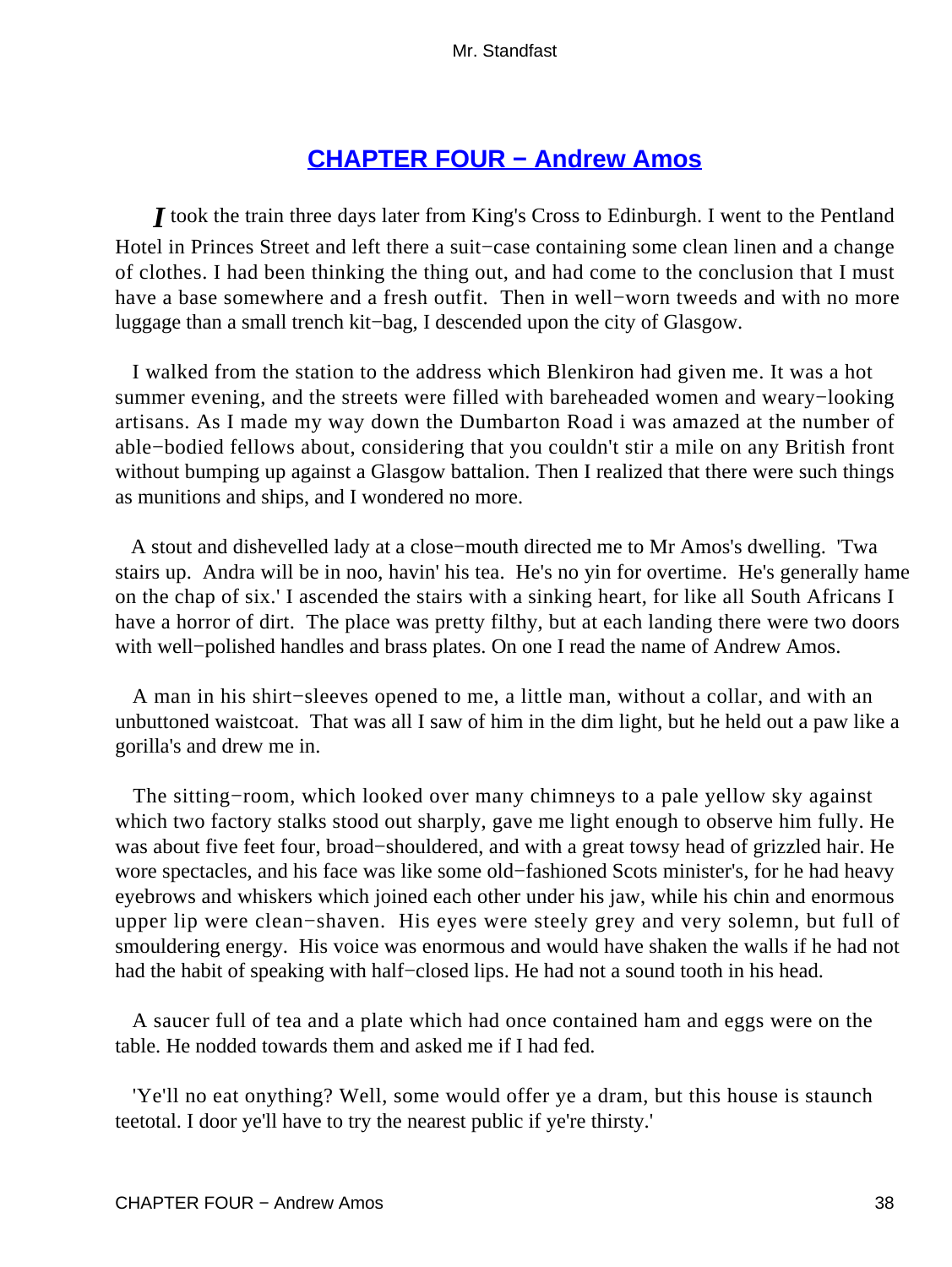# **[CHAPTER FOUR − Andrew Amos](#page-255-0)**

*I* took the train three days later from King's Cross to Edinburgh. I went to the Pentland Hotel in Princes Street and left there a suit−case containing some clean linen and a change of clothes. I had been thinking the thing out, and had come to the conclusion that I must have a base somewhere and a fresh outfit. Then in well−worn tweeds and with no more luggage than a small trench kit−bag, I descended upon the city of Glasgow.

 I walked from the station to the address which Blenkiron had given me. It was a hot summer evening, and the streets were filled with bareheaded women and weary−looking artisans. As I made my way down the Dumbarton Road i was amazed at the number of able−bodied fellows about, considering that you couldn't stir a mile on any British front without bumping up against a Glasgow battalion. Then I realized that there were such things as munitions and ships, and I wondered no more.

 A stout and dishevelled lady at a close−mouth directed me to Mr Amos's dwelling. 'Twa stairs up. Andra will be in noo, havin' his tea. He's no yin for overtime. He's generally hame on the chap of six.' I ascended the stairs with a sinking heart, for like all South Africans I have a horror of dirt. The place was pretty filthy, but at each landing there were two doors with well−polished handles and brass plates. On one I read the name of Andrew Amos.

 A man in his shirt−sleeves opened to me, a little man, without a collar, and with an unbuttoned waistcoat. That was all I saw of him in the dim light, but he held out a paw like a gorilla's and drew me in.

The sitting–room, which looked over many chimneys to a pale yellow sky against which two factory stalks stood out sharply, gave me light enough to observe him fully. He was about five feet four, broad−shouldered, and with a great towsy head of grizzled hair. He wore spectacles, and his face was like some old−fashioned Scots minister's, for he had heavy eyebrows and whiskers which joined each other under his jaw, while his chin and enormous upper lip were clean−shaven. His eyes were steely grey and very solemn, but full of smouldering energy. His voice was enormous and would have shaken the walls if he had not had the habit of speaking with half−closed lips. He had not a sound tooth in his head.

 A saucer full of tea and a plate which had once contained ham and eggs were on the table. He nodded towards them and asked me if I had fed.

 'Ye'll no eat onything? Well, some would offer ye a dram, but this house is staunch teetotal. I door ye'll have to try the nearest public if ye're thirsty.'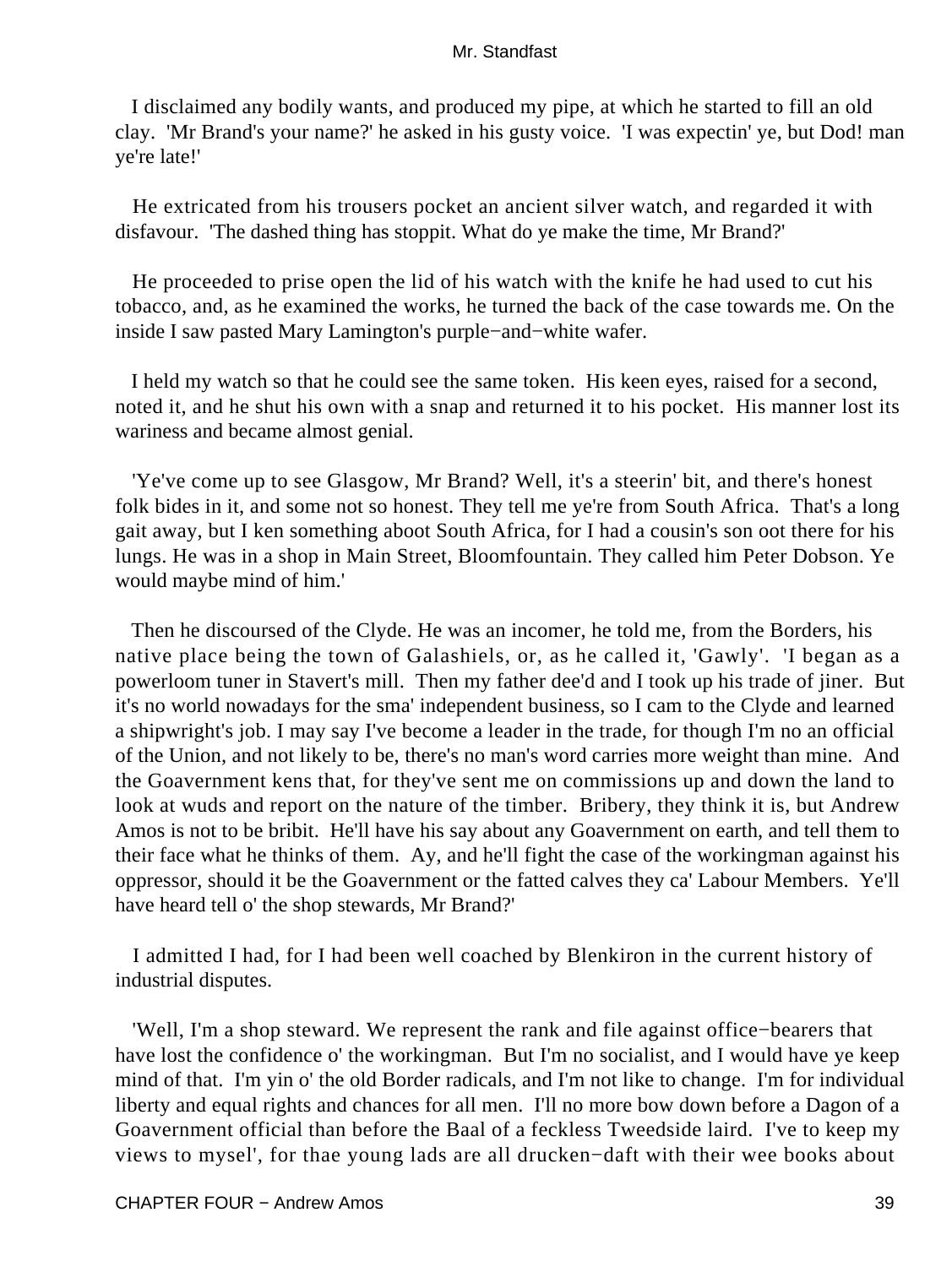I disclaimed any bodily wants, and produced my pipe, at which he started to fill an old clay. 'Mr Brand's your name?' he asked in his gusty voice. 'I was expectin' ye, but Dod! man ye're late!'

 He extricated from his trousers pocket an ancient silver watch, and regarded it with disfavour. 'The dashed thing has stoppit. What do ye make the time, Mr Brand?'

 He proceeded to prise open the lid of his watch with the knife he had used to cut his tobacco, and, as he examined the works, he turned the back of the case towards me. On the inside I saw pasted Mary Lamington's purple−and−white wafer.

 I held my watch so that he could see the same token. His keen eyes, raised for a second, noted it, and he shut his own with a snap and returned it to his pocket. His manner lost its wariness and became almost genial.

 'Ye've come up to see Glasgow, Mr Brand? Well, it's a steerin' bit, and there's honest folk bides in it, and some not so honest. They tell me ye're from South Africa. That's a long gait away, but I ken something aboot South Africa, for I had a cousin's son oot there for his lungs. He was in a shop in Main Street, Bloomfountain. They called him Peter Dobson. Ye would maybe mind of him.'

 Then he discoursed of the Clyde. He was an incomer, he told me, from the Borders, his native place being the town of Galashiels, or, as he called it, 'Gawly'. 'I began as a powerloom tuner in Stavert's mill. Then my father dee'd and I took up his trade of jiner. But it's no world nowadays for the sma' independent business, so I cam to the Clyde and learned a shipwright's job. I may say I've become a leader in the trade, for though I'm no an official of the Union, and not likely to be, there's no man's word carries more weight than mine. And the Goavernment kens that, for they've sent me on commissions up and down the land to look at wuds and report on the nature of the timber. Bribery, they think it is, but Andrew Amos is not to be bribit. He'll have his say about any Goavernment on earth, and tell them to their face what he thinks of them. Ay, and he'll fight the case of the workingman against his oppressor, should it be the Goavernment or the fatted calves they ca' Labour Members. Ye'll have heard tell o' the shop stewards, Mr Brand?'

 I admitted I had, for I had been well coached by Blenkiron in the current history of industrial disputes.

 'Well, I'm a shop steward. We represent the rank and file against office−bearers that have lost the confidence o' the workingman. But I'm no socialist, and I would have ye keep mind of that. I'm yin o' the old Border radicals, and I'm not like to change. I'm for individual liberty and equal rights and chances for all men. I'll no more bow down before a Dagon of a Goavernment official than before the Baal of a feckless Tweedside laird. I've to keep my views to mysel', for thae young lads are all drucken−daft with their wee books about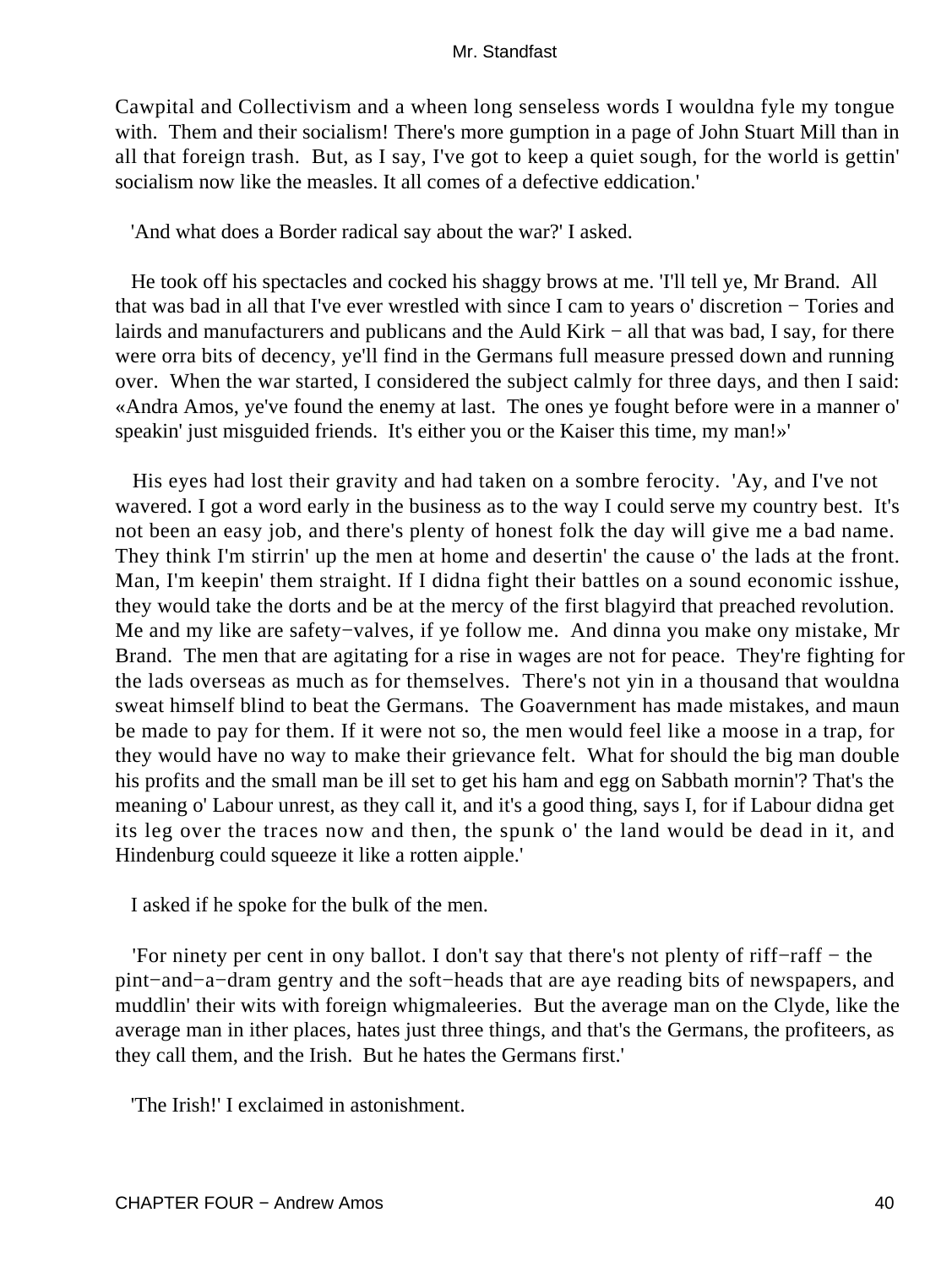Cawpital and Collectivism and a wheen long senseless words I wouldna fyle my tongue with. Them and their socialism! There's more gumption in a page of John Stuart Mill than in all that foreign trash. But, as I say, I've got to keep a quiet sough, for the world is gettin' socialism now like the measles. It all comes of a defective eddication.'

'And what does a Border radical say about the war?' I asked.

 He took off his spectacles and cocked his shaggy brows at me. 'I'll tell ye, Mr Brand. All that was bad in all that I've ever wrestled with since I cam to years o' discretion − Tories and lairds and manufacturers and publicans and the Auld Kirk − all that was bad, I say, for there were orra bits of decency, ye'll find in the Germans full measure pressed down and running over. When the war started, I considered the subject calmly for three days, and then I said: «Andra Amos, ye've found the enemy at last. The ones ye fought before were in a manner o' speakin' just misguided friends. It's either you or the Kaiser this time, my man!»'

 His eyes had lost their gravity and had taken on a sombre ferocity. 'Ay, and I've not wavered. I got a word early in the business as to the way I could serve my country best. It's not been an easy job, and there's plenty of honest folk the day will give me a bad name. They think I'm stirrin' up the men at home and desertin' the cause o' the lads at the front. Man, I'm keepin' them straight. If I didna fight their battles on a sound economic isshue, they would take the dorts and be at the mercy of the first blagyird that preached revolution. Me and my like are safety−valves, if ye follow me. And dinna you make ony mistake, Mr Brand. The men that are agitating for a rise in wages are not for peace. They're fighting for the lads overseas as much as for themselves. There's not yin in a thousand that wouldna sweat himself blind to beat the Germans. The Goavernment has made mistakes, and maun be made to pay for them. If it were not so, the men would feel like a moose in a trap, for they would have no way to make their grievance felt. What for should the big man double his profits and the small man be ill set to get his ham and egg on Sabbath mornin'? That's the meaning o' Labour unrest, as they call it, and it's a good thing, says I, for if Labour didna get its leg over the traces now and then, the spunk o' the land would be dead in it, and Hindenburg could squeeze it like a rotten aipple.'

I asked if he spoke for the bulk of the men.

 'For ninety per cent in ony ballot. I don't say that there's not plenty of riff−raff − the pint−and−a−dram gentry and the soft−heads that are aye reading bits of newspapers, and muddlin' their wits with foreign whigmaleeries. But the average man on the Clyde, like the average man in ither places, hates just three things, and that's the Germans, the profiteers, as they call them, and the Irish. But he hates the Germans first.'

'The Irish!' I exclaimed in astonishment.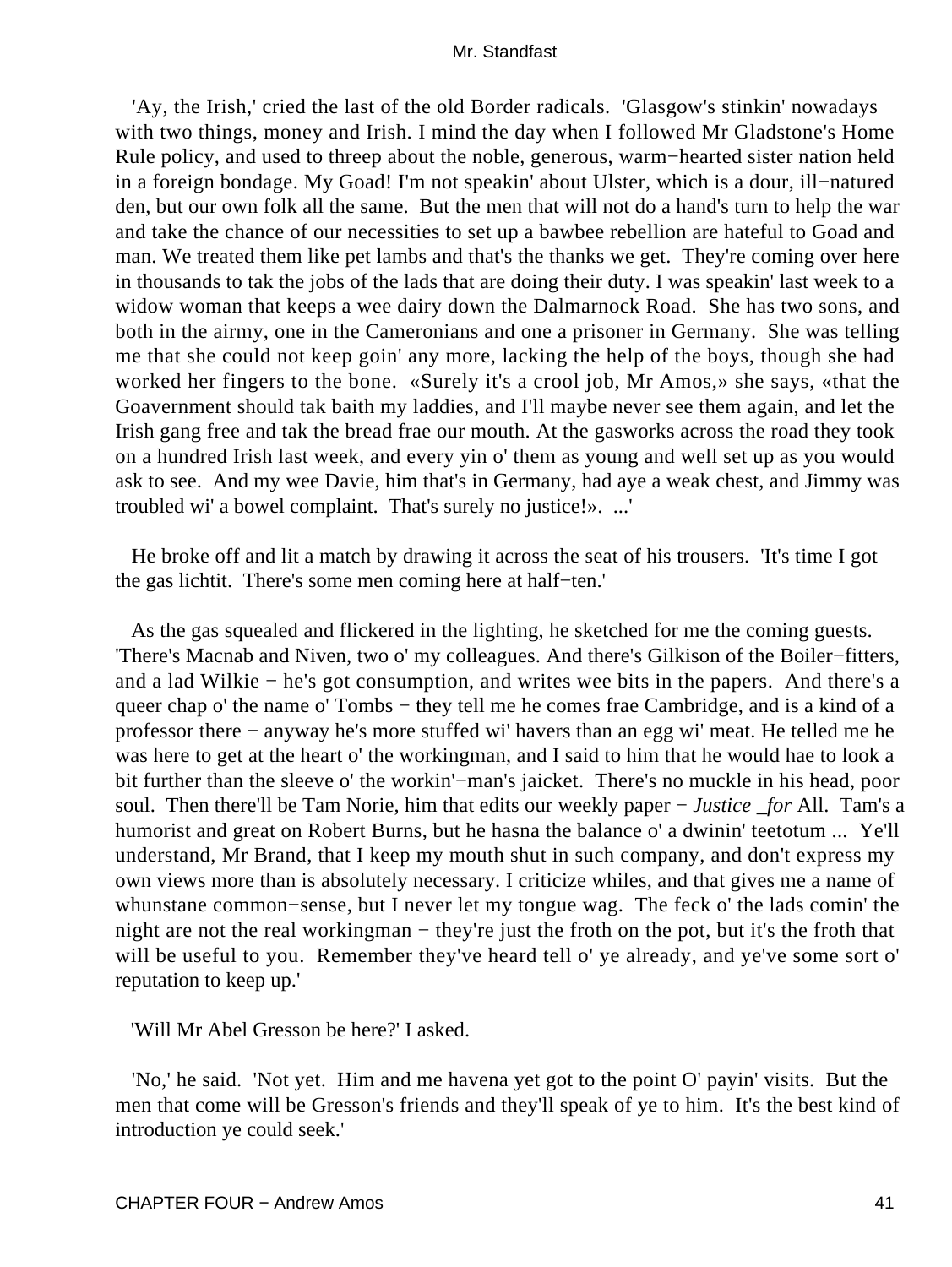'Ay, the Irish,' cried the last of the old Border radicals. 'Glasgow's stinkin' nowadays with two things, money and Irish. I mind the day when I followed Mr Gladstone's Home Rule policy, and used to threep about the noble, generous, warm−hearted sister nation held in a foreign bondage. My Goad! I'm not speakin' about Ulster, which is a dour, ill−natured den, but our own folk all the same. But the men that will not do a hand's turn to help the war and take the chance of our necessities to set up a bawbee rebellion are hateful to Goad and man. We treated them like pet lambs and that's the thanks we get. They're coming over here in thousands to tak the jobs of the lads that are doing their duty. I was speakin' last week to a widow woman that keeps a wee dairy down the Dalmarnock Road. She has two sons, and both in the airmy, one in the Cameronians and one a prisoner in Germany. She was telling me that she could not keep goin' any more, lacking the help of the boys, though she had worked her fingers to the bone. «Surely it's a crool job, Mr Amos,» she says, «that the Goavernment should tak baith my laddies, and I'll maybe never see them again, and let the Irish gang free and tak the bread frae our mouth. At the gasworks across the road they took on a hundred Irish last week, and every yin o' them as young and well set up as you would ask to see. And my wee Davie, him that's in Germany, had aye a weak chest, and Jimmy was troubled wi' a bowel complaint. That's surely no justice!». ...'

 He broke off and lit a match by drawing it across the seat of his trousers. 'It's time I got the gas lichtit. There's some men coming here at half−ten.'

 As the gas squealed and flickered in the lighting, he sketched for me the coming guests. 'There's Macnab and Niven, two o' my colleagues. And there's Gilkison of the Boiler−fitters, and a lad Wilkie − he's got consumption, and writes wee bits in the papers. And there's a queer chap o' the name o' Tombs – they tell me he comes frae Cambridge, and is a kind of a professor there − anyway he's more stuffed wi' havers than an egg wi' meat. He telled me he was here to get at the heart o' the workingman, and I said to him that he would hae to look a bit further than the sleeve o' the workin'−man's jaicket. There's no muckle in his head, poor soul. Then there'll be Tam Norie, him that edits our weekly paper − *Justice \_for* All. Tam's a humorist and great on Robert Burns, but he hasna the balance o' a dwinin' teetotum ... Ye'll understand, Mr Brand, that I keep my mouth shut in such company, and don't express my own views more than is absolutely necessary. I criticize whiles, and that gives me a name of whunstane common−sense, but I never let my tongue wag. The feck o' the lads comin' the night are not the real workingman – they're just the froth on the pot, but it's the froth that will be useful to you. Remember they've heard tell o' ye already, and ye've some sort o' reputation to keep up.'

'Will Mr Abel Gresson be here?' I asked.

 'No,' he said. 'Not yet. Him and me havena yet got to the point O' payin' visits. But the men that come will be Gresson's friends and they'll speak of ye to him. It's the best kind of introduction ye could seek.'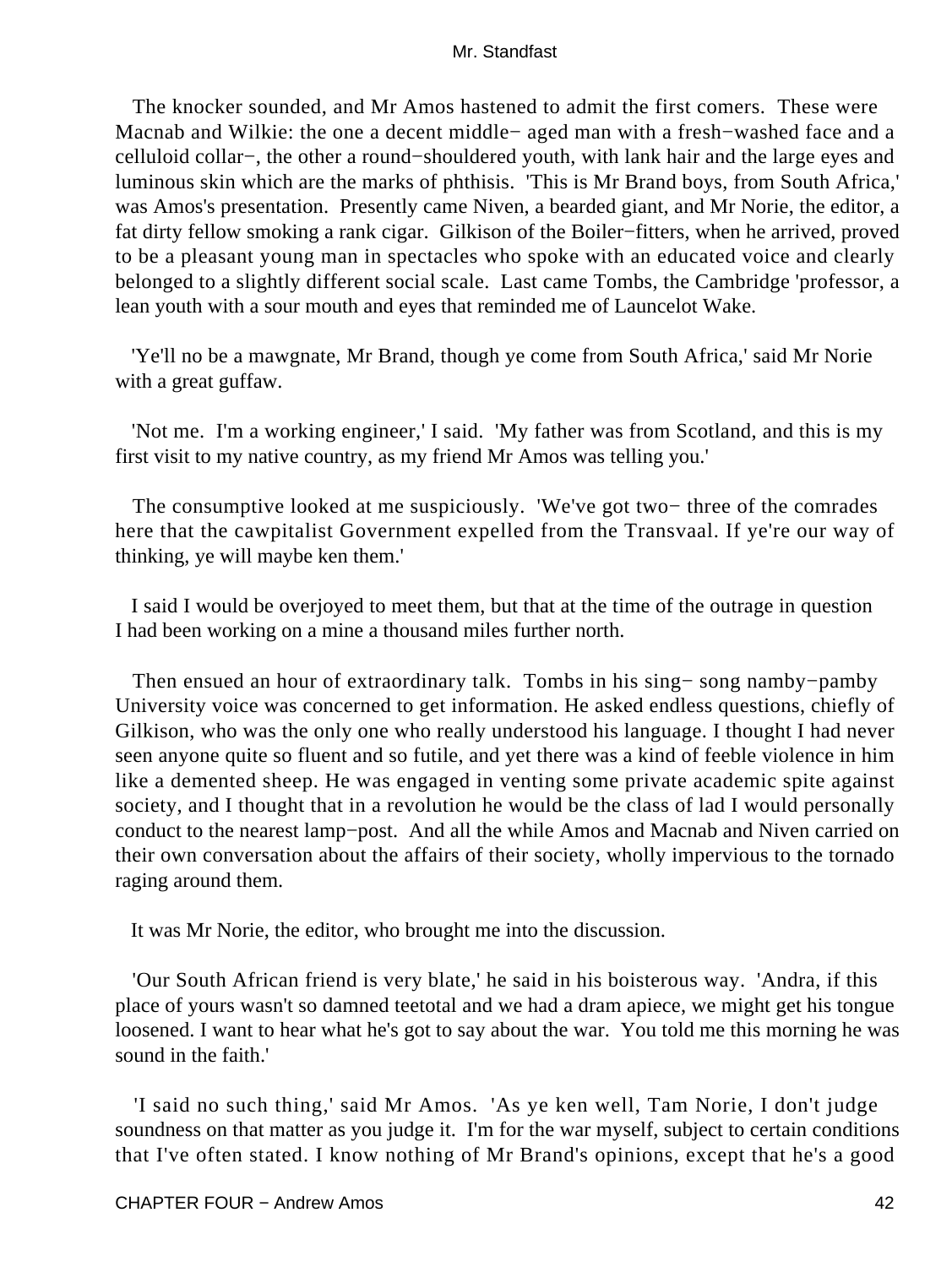The knocker sounded, and Mr Amos hastened to admit the first comers. These were Macnab and Wilkie: the one a decent middle− aged man with a fresh−washed face and a celluloid collar−, the other a round−shouldered youth, with lank hair and the large eyes and luminous skin which are the marks of phthisis. 'This is Mr Brand boys, from South Africa,' was Amos's presentation. Presently came Niven, a bearded giant, and Mr Norie, the editor, a fat dirty fellow smoking a rank cigar. Gilkison of the Boiler−fitters, when he arrived, proved to be a pleasant young man in spectacles who spoke with an educated voice and clearly belonged to a slightly different social scale. Last came Tombs, the Cambridge 'professor, a lean youth with a sour mouth and eyes that reminded me of Launcelot Wake.

 'Ye'll no be a mawgnate, Mr Brand, though ye come from South Africa,' said Mr Norie with a great guffaw.

 'Not me. I'm a working engineer,' I said. 'My father was from Scotland, and this is my first visit to my native country, as my friend Mr Amos was telling you.'

 The consumptive looked at me suspiciously. 'We've got two− three of the comrades here that the cawpitalist Government expelled from the Transvaal. If ye're our way of thinking, ye will maybe ken them.'

 I said I would be overjoyed to meet them, but that at the time of the outrage in question I had been working on a mine a thousand miles further north.

 Then ensued an hour of extraordinary talk. Tombs in his sing− song namby−pamby University voice was concerned to get information. He asked endless questions, chiefly of Gilkison, who was the only one who really understood his language. I thought I had never seen anyone quite so fluent and so futile, and yet there was a kind of feeble violence in him like a demented sheep. He was engaged in venting some private academic spite against society, and I thought that in a revolution he would be the class of lad I would personally conduct to the nearest lamp−post. And all the while Amos and Macnab and Niven carried on their own conversation about the affairs of their society, wholly impervious to the tornado raging around them.

It was Mr Norie, the editor, who brought me into the discussion.

 'Our South African friend is very blate,' he said in his boisterous way. 'Andra, if this place of yours wasn't so damned teetotal and we had a dram apiece, we might get his tongue loosened. I want to hear what he's got to say about the war. You told me this morning he was sound in the faith.'

 'I said no such thing,' said Mr Amos. 'As ye ken well, Tam Norie, I don't judge soundness on that matter as you judge it. I'm for the war myself, subject to certain conditions that I've often stated. I know nothing of Mr Brand's opinions, except that he's a good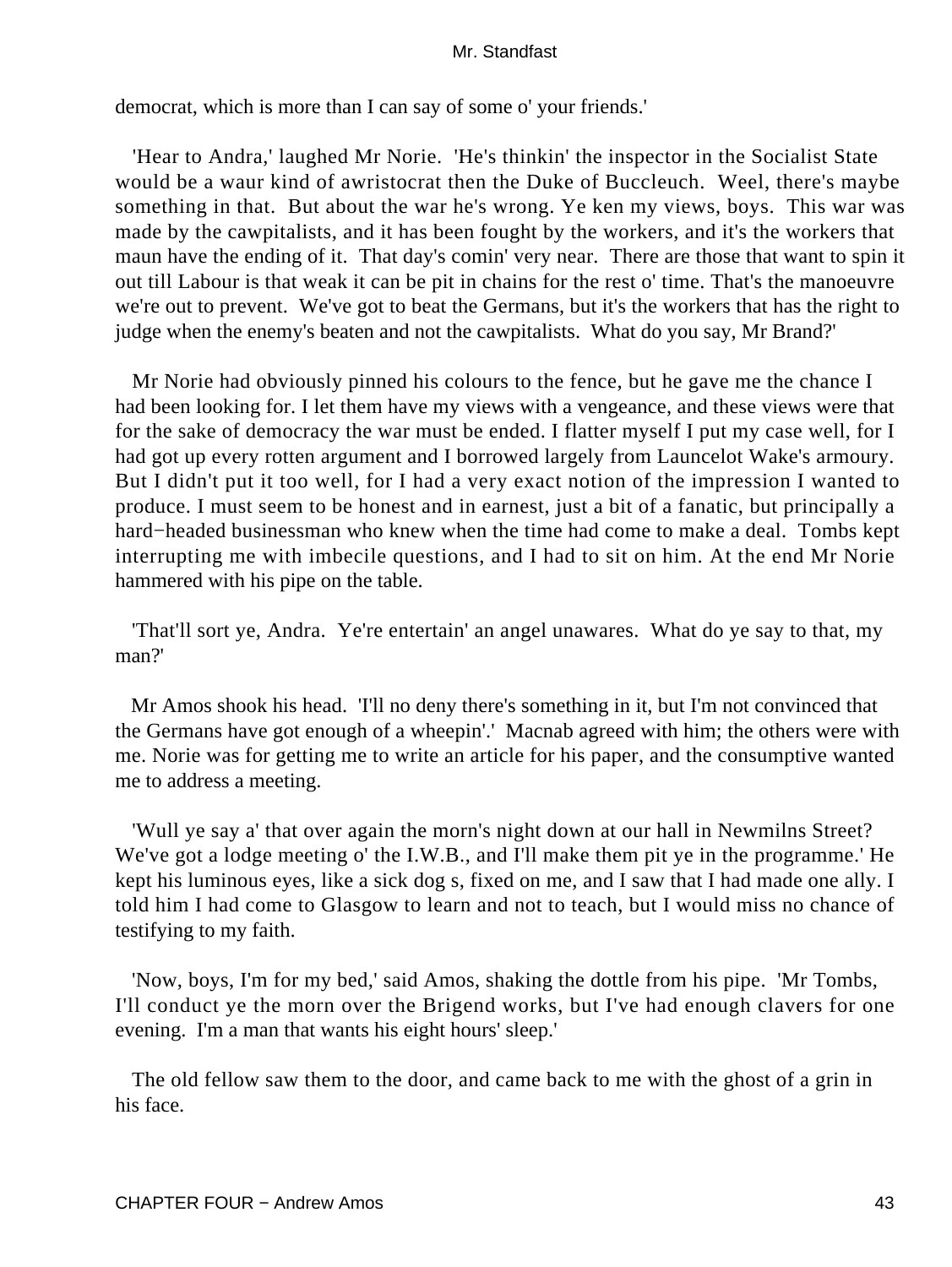democrat, which is more than I can say of some o' your friends.'

 'Hear to Andra,' laughed Mr Norie. 'He's thinkin' the inspector in the Socialist State would be a waur kind of awristocrat then the Duke of Buccleuch. Weel, there's maybe something in that. But about the war he's wrong. Ye ken my views, boys. This war was made by the cawpitalists, and it has been fought by the workers, and it's the workers that maun have the ending of it. That day's comin' very near. There are those that want to spin it out till Labour is that weak it can be pit in chains for the rest o' time. That's the manoeuvre we're out to prevent. We've got to beat the Germans, but it's the workers that has the right to judge when the enemy's beaten and not the cawpitalists. What do you say, Mr Brand?'

 Mr Norie had obviously pinned his colours to the fence, but he gave me the chance I had been looking for. I let them have my views with a vengeance, and these views were that for the sake of democracy the war must be ended. I flatter myself I put my case well, for I had got up every rotten argument and I borrowed largely from Launcelot Wake's armoury. But I didn't put it too well, for I had a very exact notion of the impression I wanted to produce. I must seem to be honest and in earnest, just a bit of a fanatic, but principally a hard−headed businessman who knew when the time had come to make a deal. Tombs kept interrupting me with imbecile questions, and I had to sit on him. At the end Mr Norie hammered with his pipe on the table.

 'That'll sort ye, Andra. Ye're entertain' an angel unawares. What do ye say to that, my man?'

 Mr Amos shook his head. 'I'll no deny there's something in it, but I'm not convinced that the Germans have got enough of a wheepin'.' Macnab agreed with him; the others were with me. Norie was for getting me to write an article for his paper, and the consumptive wanted me to address a meeting.

 'Wull ye say a' that over again the morn's night down at our hall in Newmilns Street? We've got a lodge meeting o' the I.W.B., and I'll make them pit ye in the programme.' He kept his luminous eyes, like a sick dog s, fixed on me, and I saw that I had made one ally. I told him I had come to Glasgow to learn and not to teach, but I would miss no chance of testifying to my faith.

 'Now, boys, I'm for my bed,' said Amos, shaking the dottle from his pipe. 'Mr Tombs, I'll conduct ye the morn over the Brigend works, but I've had enough clavers for one evening. I'm a man that wants his eight hours' sleep.'

 The old fellow saw them to the door, and came back to me with the ghost of a grin in his face.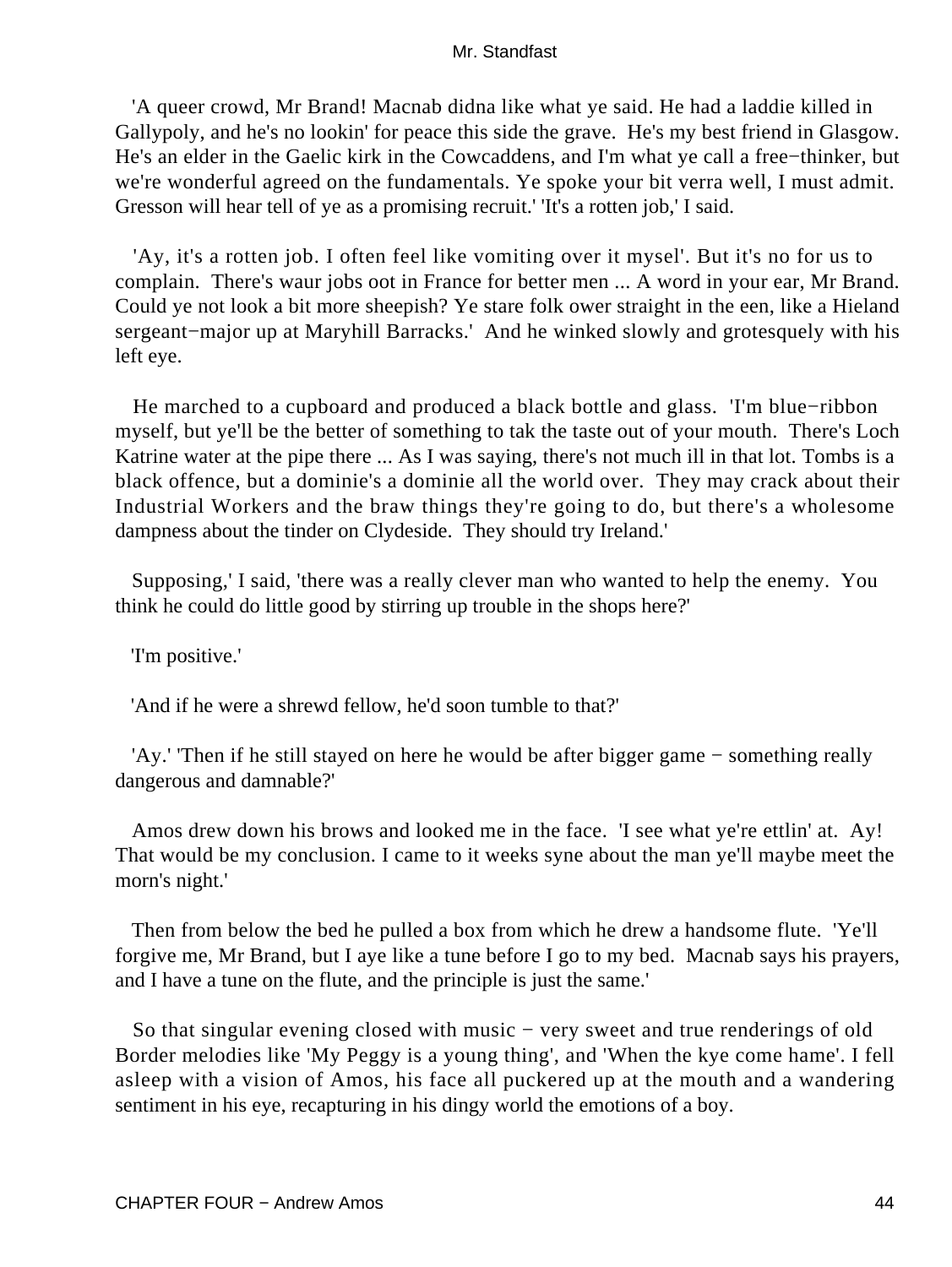'A queer crowd, Mr Brand! Macnab didna like what ye said. He had a laddie killed in Gallypoly, and he's no lookin' for peace this side the grave. He's my best friend in Glasgow. He's an elder in the Gaelic kirk in the Cowcaddens, and I'm what ye call a free−thinker, but we're wonderful agreed on the fundamentals. Ye spoke your bit verra well, I must admit. Gresson will hear tell of ye as a promising recruit.' 'It's a rotten job,' I said.

 'Ay, it's a rotten job. I often feel like vomiting over it mysel'. But it's no for us to complain. There's waur jobs oot in France for better men ... A word in your ear, Mr Brand. Could ye not look a bit more sheepish? Ye stare folk ower straight in the een, like a Hieland sergeant−major up at Maryhill Barracks.' And he winked slowly and grotesquely with his left eye.

 He marched to a cupboard and produced a black bottle and glass. 'I'm blue−ribbon myself, but ye'll be the better of something to tak the taste out of your mouth. There's Loch Katrine water at the pipe there ... As I was saying, there's not much ill in that lot. Tombs is a black offence, but a dominie's a dominie all the world over. They may crack about their Industrial Workers and the braw things they're going to do, but there's a wholesome dampness about the tinder on Clydeside. They should try Ireland.'

 Supposing,' I said, 'there was a really clever man who wanted to help the enemy. You think he could do little good by stirring up trouble in the shops here?'

'I'm positive.'

'And if he were a shrewd fellow, he'd soon tumble to that?'

 'Ay.' 'Then if he still stayed on here he would be after bigger game − something really dangerous and damnable?'

 Amos drew down his brows and looked me in the face. 'I see what ye're ettlin' at. Ay! That would be my conclusion. I came to it weeks syne about the man ye'll maybe meet the morn's night.'

 Then from below the bed he pulled a box from which he drew a handsome flute. 'Ye'll forgive me, Mr Brand, but I aye like a tune before I go to my bed. Macnab says his prayers, and I have a tune on the flute, and the principle is just the same.'

So that singular evening closed with music – very sweet and true renderings of old Border melodies like 'My Peggy is a young thing', and 'When the kye come hame'. I fell asleep with a vision of Amos, his face all puckered up at the mouth and a wandering sentiment in his eye, recapturing in his dingy world the emotions of a boy.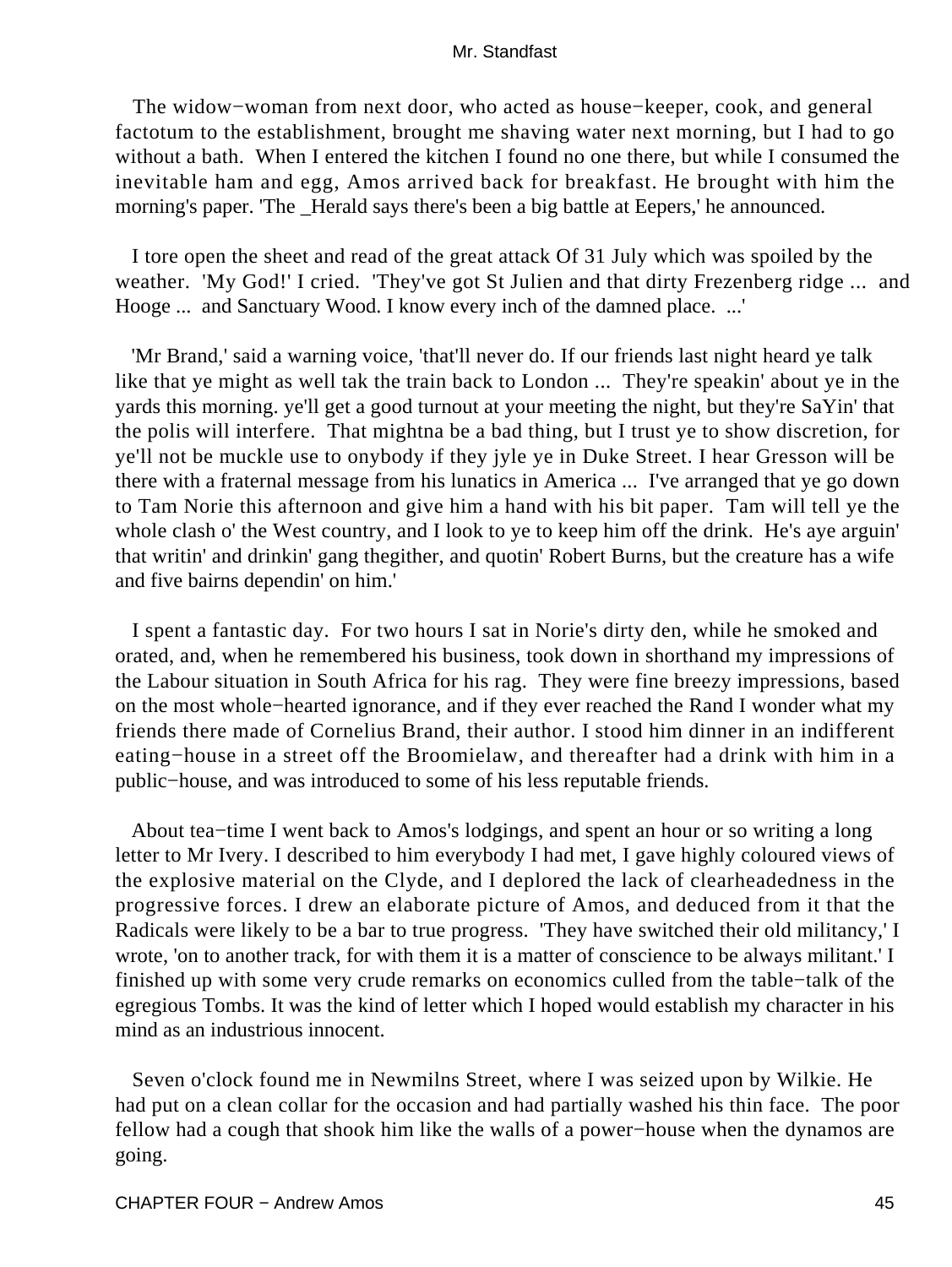The widow−woman from next door, who acted as house−keeper, cook, and general factotum to the establishment, brought me shaving water next morning, but I had to go without a bath. When I entered the kitchen I found no one there, but while I consumed the inevitable ham and egg, Amos arrived back for breakfast. He brought with him the morning's paper. 'The \_Herald says there's been a big battle at Eepers,' he announced.

 I tore open the sheet and read of the great attack Of 31 July which was spoiled by the weather. 'My God!' I cried. 'They've got St Julien and that dirty Frezenberg ridge ... and Hooge ... and Sanctuary Wood. I know every inch of the damned place. ...'

 'Mr Brand,' said a warning voice, 'that'll never do. If our friends last night heard ye talk like that ye might as well tak the train back to London ... They're speakin' about ye in the yards this morning. ye'll get a good turnout at your meeting the night, but they're SaYin' that the polis will interfere. That mightna be a bad thing, but I trust ye to show discretion, for ye'll not be muckle use to onybody if they jyle ye in Duke Street. I hear Gresson will be there with a fraternal message from his lunatics in America ... I've arranged that ye go down to Tam Norie this afternoon and give him a hand with his bit paper. Tam will tell ye the whole clash o' the West country, and I look to ye to keep him off the drink. He's aye arguin' that writin' and drinkin' gang thegither, and quotin' Robert Burns, but the creature has a wife and five bairns dependin' on him.'

 I spent a fantastic day. For two hours I sat in Norie's dirty den, while he smoked and orated, and, when he remembered his business, took down in shorthand my impressions of the Labour situation in South Africa for his rag. They were fine breezy impressions, based on the most whole−hearted ignorance, and if they ever reached the Rand I wonder what my friends there made of Cornelius Brand, their author. I stood him dinner in an indifferent eating−house in a street off the Broomielaw, and thereafter had a drink with him in a public−house, and was introduced to some of his less reputable friends.

 About tea−time I went back to Amos's lodgings, and spent an hour or so writing a long letter to Mr Ivery. I described to him everybody I had met, I gave highly coloured views of the explosive material on the Clyde, and I deplored the lack of clearheadedness in the progressive forces. I drew an elaborate picture of Amos, and deduced from it that the Radicals were likely to be a bar to true progress. 'They have switched their old militancy,' I wrote, 'on to another track, for with them it is a matter of conscience to be always militant.' I finished up with some very crude remarks on economics culled from the table−talk of the egregious Tombs. It was the kind of letter which I hoped would establish my character in his mind as an industrious innocent.

 Seven o'clock found me in Newmilns Street, where I was seized upon by Wilkie. He had put on a clean collar for the occasion and had partially washed his thin face. The poor fellow had a cough that shook him like the walls of a power−house when the dynamos are going.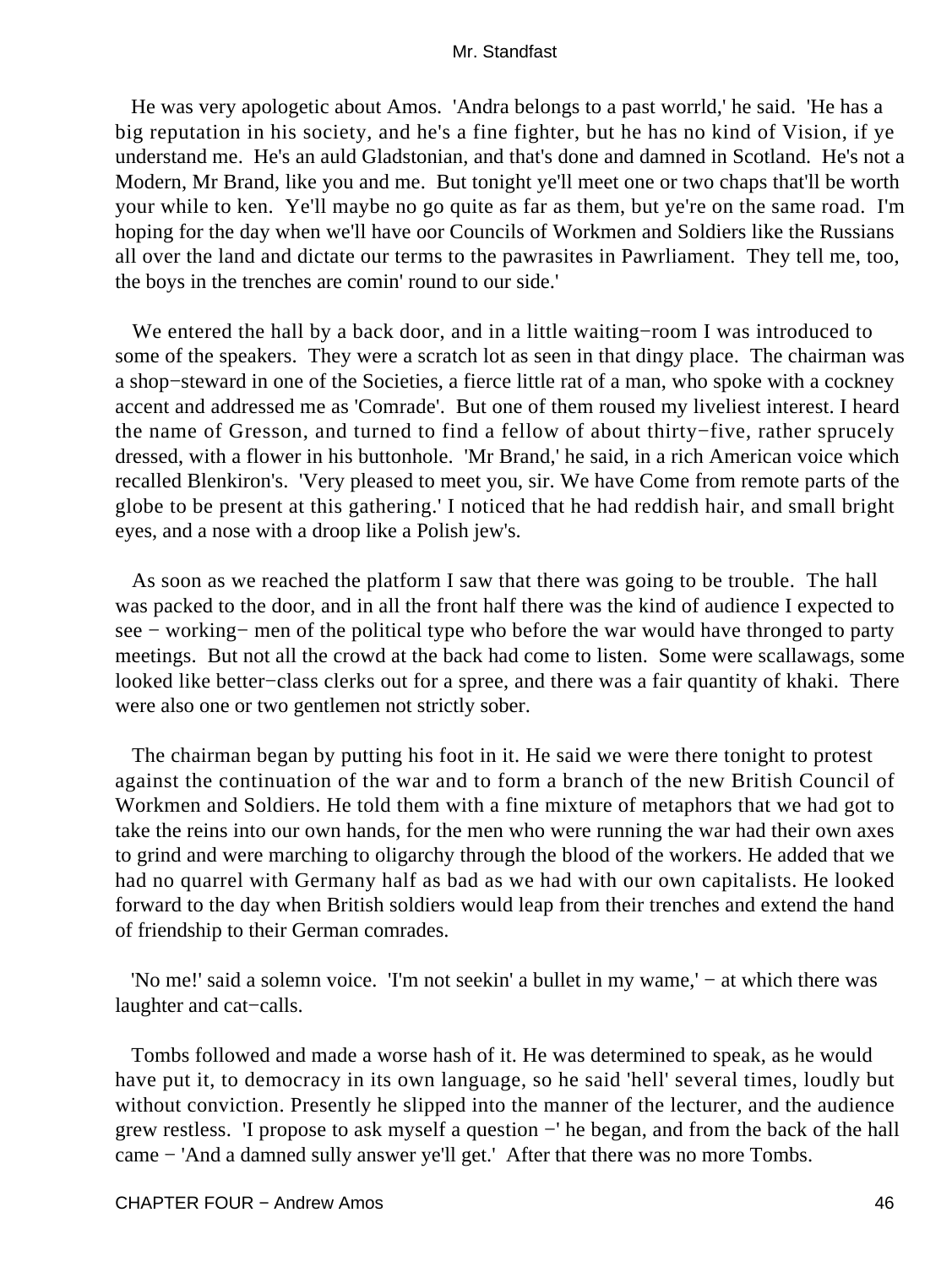He was very apologetic about Amos. 'Andra belongs to a past worrld,' he said. 'He has a big reputation in his society, and he's a fine fighter, but he has no kind of Vision, if ye understand me. He's an auld Gladstonian, and that's done and damned in Scotland. He's not a Modern, Mr Brand, like you and me. But tonight ye'll meet one or two chaps that'll be worth your while to ken. Ye'll maybe no go quite as far as them, but ye're on the same road. I'm hoping for the day when we'll have oor Councils of Workmen and Soldiers like the Russians all over the land and dictate our terms to the pawrasites in Pawrliament. They tell me, too, the boys in the trenches are comin' round to our side.'

 We entered the hall by a back door, and in a little waiting−room I was introduced to some of the speakers. They were a scratch lot as seen in that dingy place. The chairman was a shop−steward in one of the Societies, a fierce little rat of a man, who spoke with a cockney accent and addressed me as 'Comrade'. But one of them roused my liveliest interest. I heard the name of Gresson, and turned to find a fellow of about thirty−five, rather sprucely dressed, with a flower in his buttonhole. 'Mr Brand,' he said, in a rich American voice which recalled Blenkiron's. 'Very pleased to meet you, sir. We have Come from remote parts of the globe to be present at this gathering.' I noticed that he had reddish hair, and small bright eyes, and a nose with a droop like a Polish jew's.

 As soon as we reached the platform I saw that there was going to be trouble. The hall was packed to the door, and in all the front half there was the kind of audience I expected to see − working− men of the political type who before the war would have thronged to party meetings. But not all the crowd at the back had come to listen. Some were scallawags, some looked like better−class clerks out for a spree, and there was a fair quantity of khaki. There were also one or two gentlemen not strictly sober.

 The chairman began by putting his foot in it. He said we were there tonight to protest against the continuation of the war and to form a branch of the new British Council of Workmen and Soldiers. He told them with a fine mixture of metaphors that we had got to take the reins into our own hands, for the men who were running the war had their own axes to grind and were marching to oligarchy through the blood of the workers. He added that we had no quarrel with Germany half as bad as we had with our own capitalists. He looked forward to the day when British soldiers would leap from their trenches and extend the hand of friendship to their German comrades.

 'No me!' said a solemn voice. 'I'm not seekin' a bullet in my wame,' − at which there was laughter and cat−calls.

 Tombs followed and made a worse hash of it. He was determined to speak, as he would have put it, to democracy in its own language, so he said 'hell' several times, loudly but without conviction. Presently he slipped into the manner of the lecturer, and the audience grew restless. 'I propose to ask myself a question −' he began, and from the back of the hall came − 'And a damned sully answer ye'll get.' After that there was no more Tombs.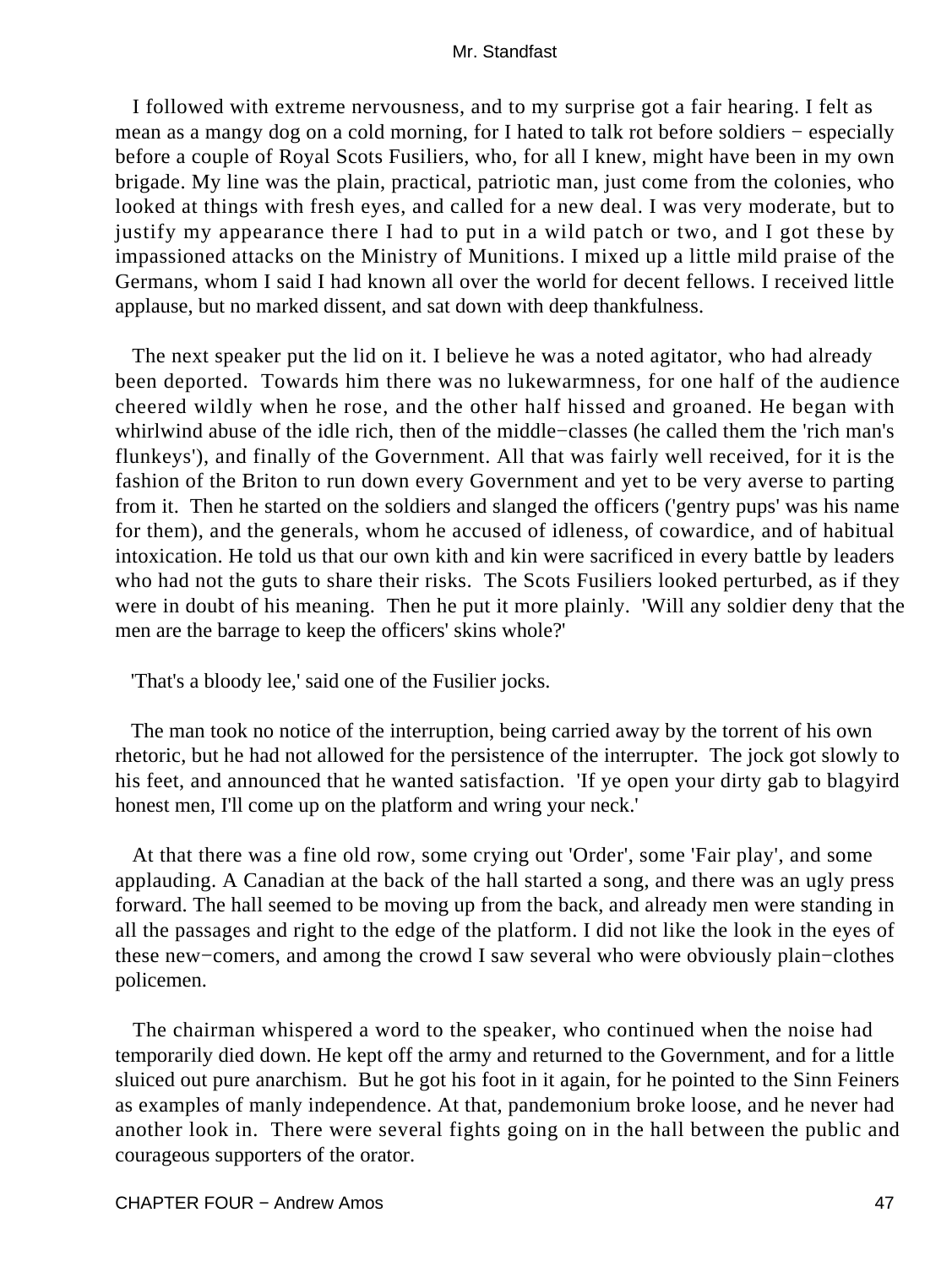I followed with extreme nervousness, and to my surprise got a fair hearing. I felt as mean as a mangy dog on a cold morning, for I hated to talk rot before soldiers − especially before a couple of Royal Scots Fusiliers, who, for all I knew, might have been in my own brigade. My line was the plain, practical, patriotic man, just come from the colonies, who looked at things with fresh eyes, and called for a new deal. I was very moderate, but to justify my appearance there I had to put in a wild patch or two, and I got these by impassioned attacks on the Ministry of Munitions. I mixed up a little mild praise of the Germans, whom I said I had known all over the world for decent fellows. I received little applause, but no marked dissent, and sat down with deep thankfulness.

 The next speaker put the lid on it. I believe he was a noted agitator, who had already been deported. Towards him there was no lukewarmness, for one half of the audience cheered wildly when he rose, and the other half hissed and groaned. He began with whirlwind abuse of the idle rich, then of the middle−classes (he called them the 'rich man's flunkeys'), and finally of the Government. All that was fairly well received, for it is the fashion of the Briton to run down every Government and yet to be very averse to parting from it. Then he started on the soldiers and slanged the officers ('gentry pups' was his name for them), and the generals, whom he accused of idleness, of cowardice, and of habitual intoxication. He told us that our own kith and kin were sacrificed in every battle by leaders who had not the guts to share their risks. The Scots Fusiliers looked perturbed, as if they were in doubt of his meaning. Then he put it more plainly. 'Will any soldier deny that the men are the barrage to keep the officers' skins whole?'

'That's a bloody lee,' said one of the Fusilier jocks.

 The man took no notice of the interruption, being carried away by the torrent of his own rhetoric, but he had not allowed for the persistence of the interrupter. The jock got slowly to his feet, and announced that he wanted satisfaction. 'If ye open your dirty gab to blagyird honest men, I'll come up on the platform and wring your neck.'

 At that there was a fine old row, some crying out 'Order', some 'Fair play', and some applauding. A Canadian at the back of the hall started a song, and there was an ugly press forward. The hall seemed to be moving up from the back, and already men were standing in all the passages and right to the edge of the platform. I did not like the look in the eyes of these new−comers, and among the crowd I saw several who were obviously plain−clothes policemen.

 The chairman whispered a word to the speaker, who continued when the noise had temporarily died down. He kept off the army and returned to the Government, and for a little sluiced out pure anarchism. But he got his foot in it again, for he pointed to the Sinn Feiners as examples of manly independence. At that, pandemonium broke loose, and he never had another look in. There were several fights going on in the hall between the public and courageous supporters of the orator.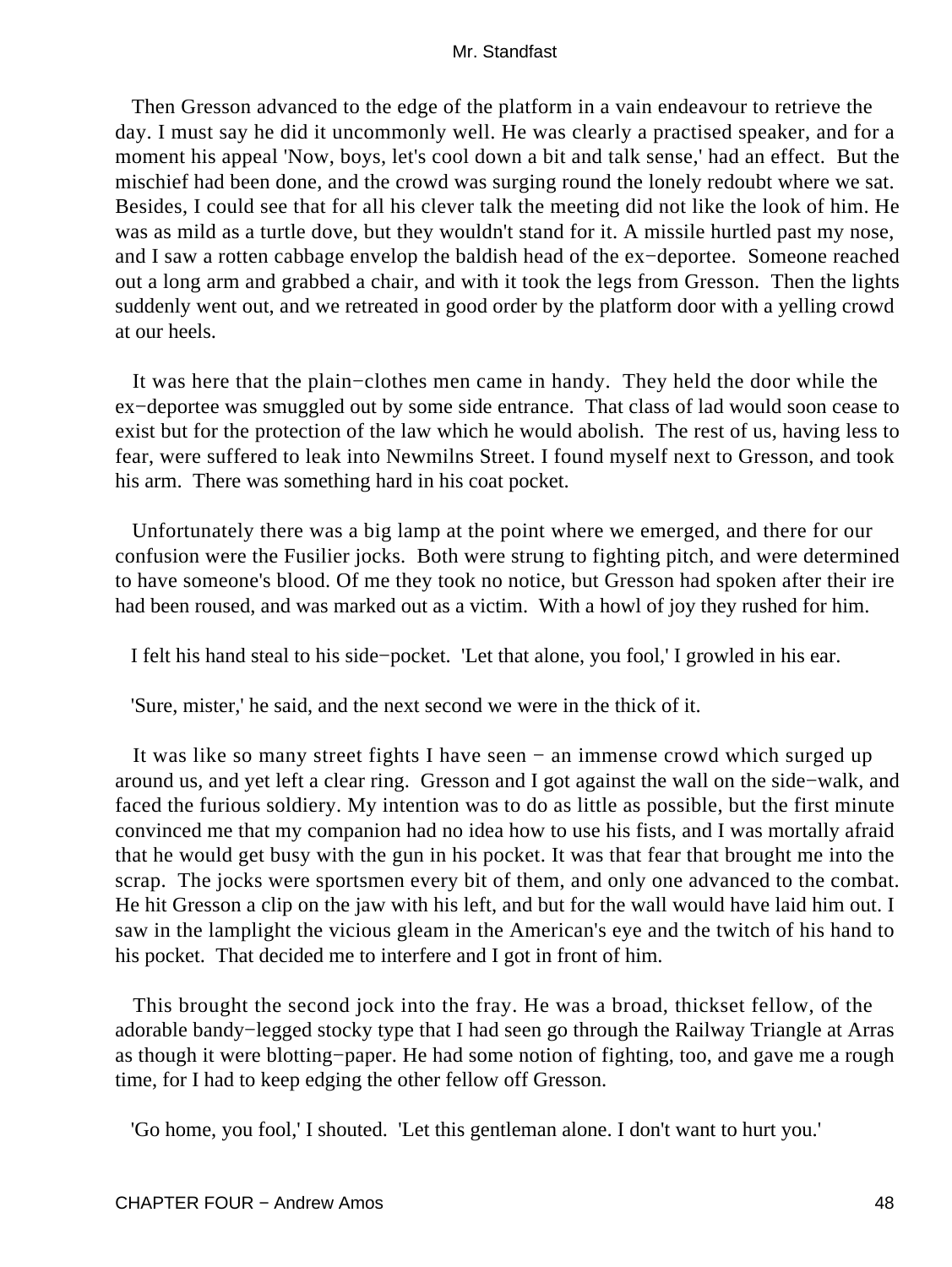Then Gresson advanced to the edge of the platform in a vain endeavour to retrieve the day. I must say he did it uncommonly well. He was clearly a practised speaker, and for a moment his appeal 'Now, boys, let's cool down a bit and talk sense,' had an effect. But the mischief had been done, and the crowd was surging round the lonely redoubt where we sat. Besides, I could see that for all his clever talk the meeting did not like the look of him. He was as mild as a turtle dove, but they wouldn't stand for it. A missile hurtled past my nose, and I saw a rotten cabbage envelop the baldish head of the ex−deportee. Someone reached out a long arm and grabbed a chair, and with it took the legs from Gresson. Then the lights suddenly went out, and we retreated in good order by the platform door with a yelling crowd at our heels.

 It was here that the plain−clothes men came in handy. They held the door while the ex−deportee was smuggled out by some side entrance. That class of lad would soon cease to exist but for the protection of the law which he would abolish. The rest of us, having less to fear, were suffered to leak into Newmilns Street. I found myself next to Gresson, and took his arm. There was something hard in his coat pocket.

 Unfortunately there was a big lamp at the point where we emerged, and there for our confusion were the Fusilier jocks. Both were strung to fighting pitch, and were determined to have someone's blood. Of me they took no notice, but Gresson had spoken after their ire had been roused, and was marked out as a victim. With a howl of joy they rushed for him.

I felt his hand steal to his side−pocket. 'Let that alone, you fool,' I growled in his ear.

'Sure, mister,' he said, and the next second we were in the thick of it.

 It was like so many street fights I have seen − an immense crowd which surged up around us, and yet left a clear ring. Gresson and I got against the wall on the side−walk, and faced the furious soldiery. My intention was to do as little as possible, but the first minute convinced me that my companion had no idea how to use his fists, and I was mortally afraid that he would get busy with the gun in his pocket. It was that fear that brought me into the scrap. The jocks were sportsmen every bit of them, and only one advanced to the combat. He hit Gresson a clip on the jaw with his left, and but for the wall would have laid him out. I saw in the lamplight the vicious gleam in the American's eye and the twitch of his hand to his pocket. That decided me to interfere and I got in front of him.

 This brought the second jock into the fray. He was a broad, thickset fellow, of the adorable bandy−legged stocky type that I had seen go through the Railway Triangle at Arras as though it were blotting−paper. He had some notion of fighting, too, and gave me a rough time, for I had to keep edging the other fellow off Gresson.

'Go home, you fool,' I shouted. 'Let this gentleman alone. I don't want to hurt you.'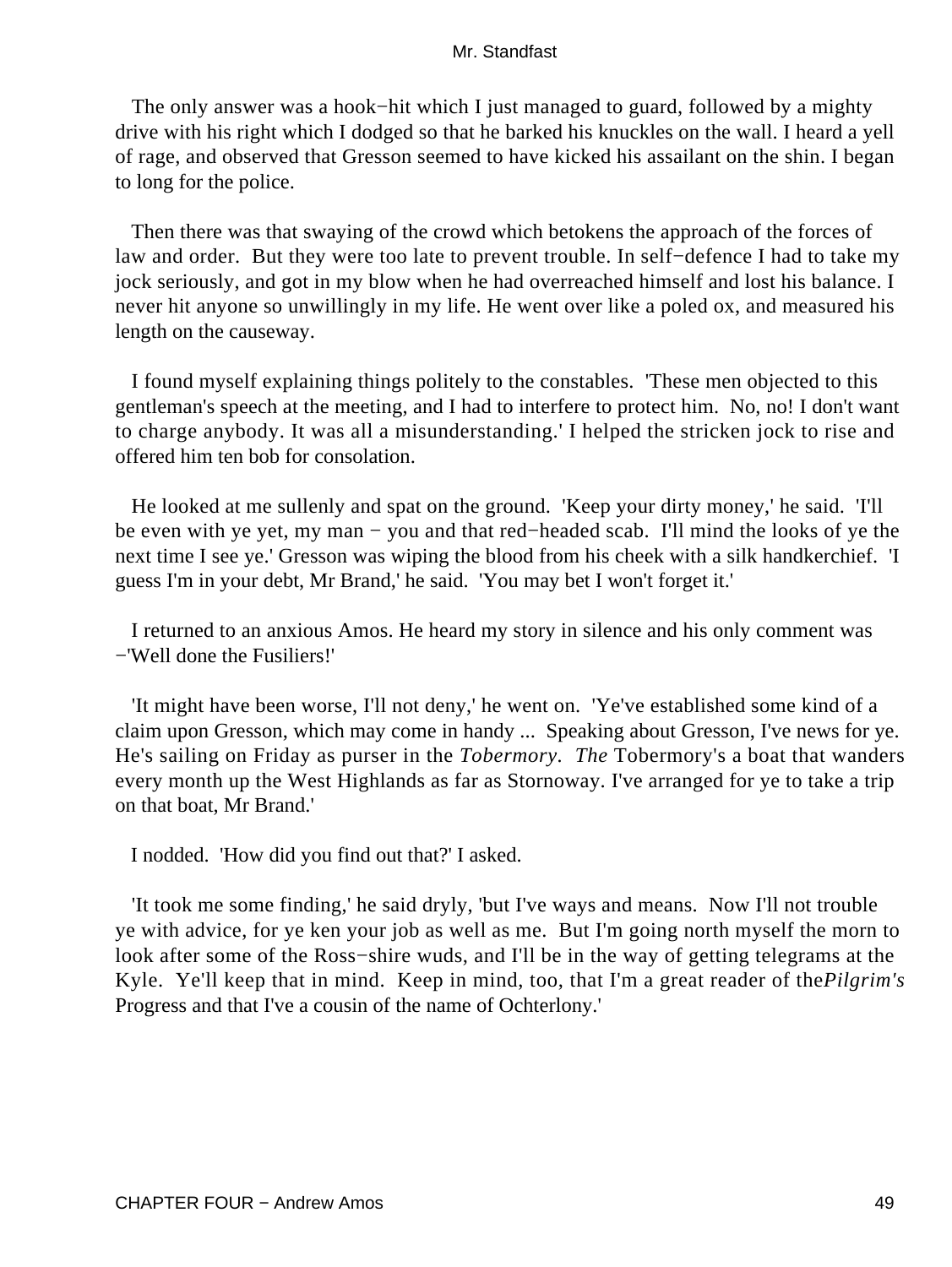The only answer was a hook−hit which I just managed to guard, followed by a mighty drive with his right which I dodged so that he barked his knuckles on the wall. I heard a yell of rage, and observed that Gresson seemed to have kicked his assailant on the shin. I began to long for the police.

 Then there was that swaying of the crowd which betokens the approach of the forces of law and order. But they were too late to prevent trouble. In self−defence I had to take my jock seriously, and got in my blow when he had overreached himself and lost his balance. I never hit anyone so unwillingly in my life. He went over like a poled ox, and measured his length on the causeway.

 I found myself explaining things politely to the constables. 'These men objected to this gentleman's speech at the meeting, and I had to interfere to protect him. No, no! I don't want to charge anybody. It was all a misunderstanding.' I helped the stricken jock to rise and offered him ten bob for consolation.

 He looked at me sullenly and spat on the ground. 'Keep your dirty money,' he said. 'I'll be even with ye yet, my man − you and that red−headed scab. I'll mind the looks of ye the next time I see ye.' Gresson was wiping the blood from his cheek with a silk handkerchief. 'I guess I'm in your debt, Mr Brand,' he said. 'You may bet I won't forget it.'

 I returned to an anxious Amos. He heard my story in silence and his only comment was −'Well done the Fusiliers!'

 'It might have been worse, I'll not deny,' he went on. 'Ye've established some kind of a claim upon Gresson, which may come in handy ... Speaking about Gresson, I've news for ye. He's sailing on Friday as purser in the *Tobermory. The* Tobermory's a boat that wanders every month up the West Highlands as far as Stornoway. I've arranged for ye to take a trip on that boat, Mr Brand.'

I nodded. 'How did you find out that?' I asked.

 'It took me some finding,' he said dryly, 'but I've ways and means. Now I'll not trouble ye with advice, for ye ken your job as well as me. But I'm going north myself the morn to look after some of the Ross−shire wuds, and I'll be in the way of getting telegrams at the Kyle. Ye'll keep that in mind. Keep in mind, too, that I'm a great reader of the*Pilgrim's* Progress and that I've a cousin of the name of Ochterlony.'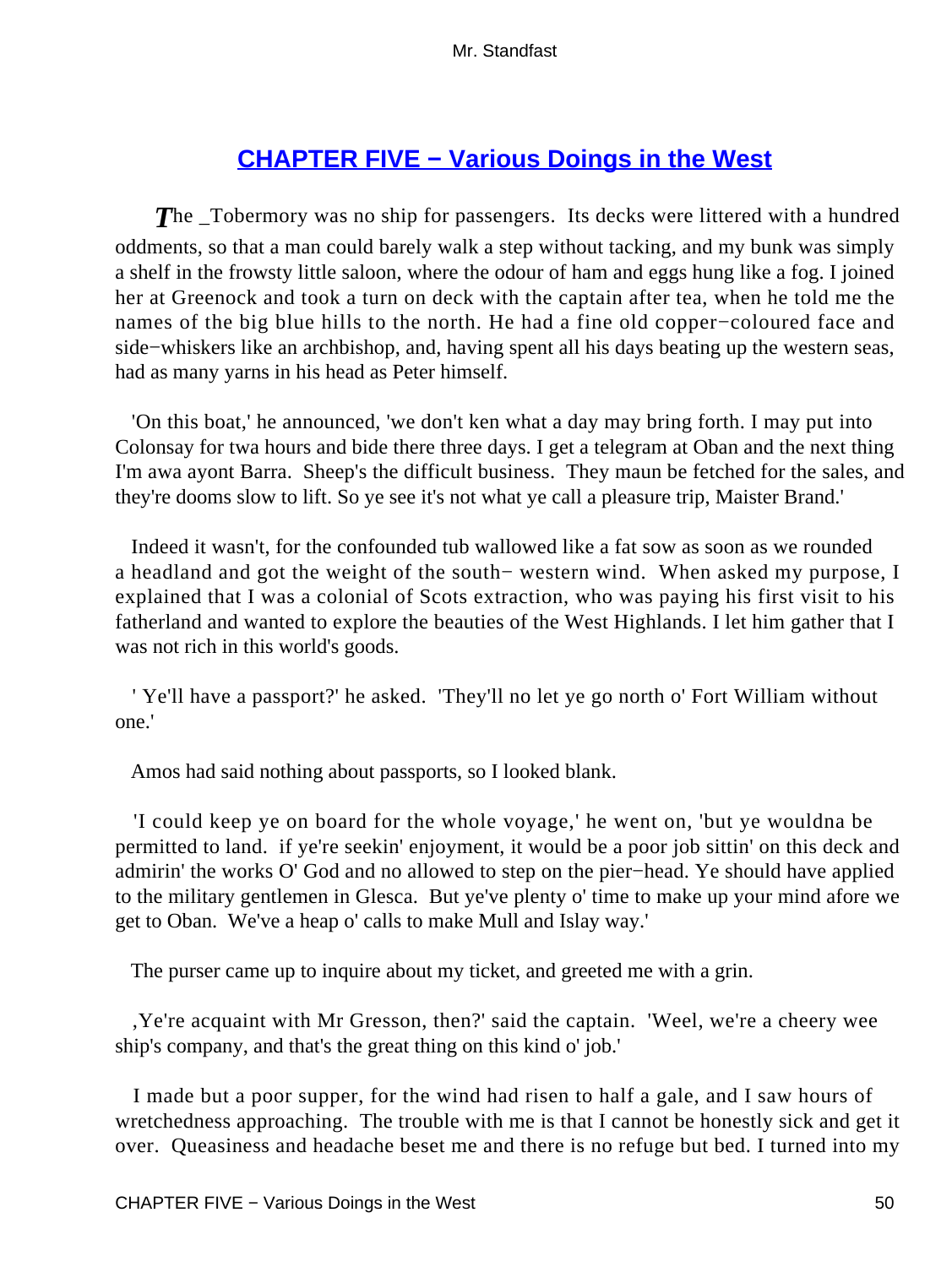# **[CHAPTER FIVE − Various Doings in the West](#page-255-0)**

**The Tobermory was no ship for passengers.** Its decks were littered with a hundred oddments, so that a man could barely walk a step without tacking, and my bunk was simply a shelf in the frowsty little saloon, where the odour of ham and eggs hung like a fog. I joined her at Greenock and took a turn on deck with the captain after tea, when he told me the names of the big blue hills to the north. He had a fine old copper−coloured face and side−whiskers like an archbishop, and, having spent all his days beating up the western seas, had as many yarns in his head as Peter himself.

 'On this boat,' he announced, 'we don't ken what a day may bring forth. I may put into Colonsay for twa hours and bide there three days. I get a telegram at Oban and the next thing I'm awa ayont Barra. Sheep's the difficult business. They maun be fetched for the sales, and they're dooms slow to lift. So ye see it's not what ye call a pleasure trip, Maister Brand.'

 Indeed it wasn't, for the confounded tub wallowed like a fat sow as soon as we rounded a headland and got the weight of the south− western wind. When asked my purpose, I explained that I was a colonial of Scots extraction, who was paying his first visit to his fatherland and wanted to explore the beauties of the West Highlands. I let him gather that I was not rich in this world's goods.

 ' Ye'll have a passport?' he asked. 'They'll no let ye go north o' Fort William without one.'

Amos had said nothing about passports, so I looked blank.

 'I could keep ye on board for the whole voyage,' he went on, 'but ye wouldna be permitted to land. if ye're seekin' enjoyment, it would be a poor job sittin' on this deck and admirin' the works O' God and no allowed to step on the pier−head. Ye should have applied to the military gentlemen in Glesca. But ye've plenty o' time to make up your mind afore we get to Oban. We've a heap o' calls to make Mull and Islay way.'

The purser came up to inquire about my ticket, and greeted me with a grin.

 ,Ye're acquaint with Mr Gresson, then?' said the captain. 'Weel, we're a cheery wee ship's company, and that's the great thing on this kind o' job.'

 I made but a poor supper, for the wind had risen to half a gale, and I saw hours of wretchedness approaching. The trouble with me is that I cannot be honestly sick and get it over. Queasiness and headache beset me and there is no refuge but bed. I turned into my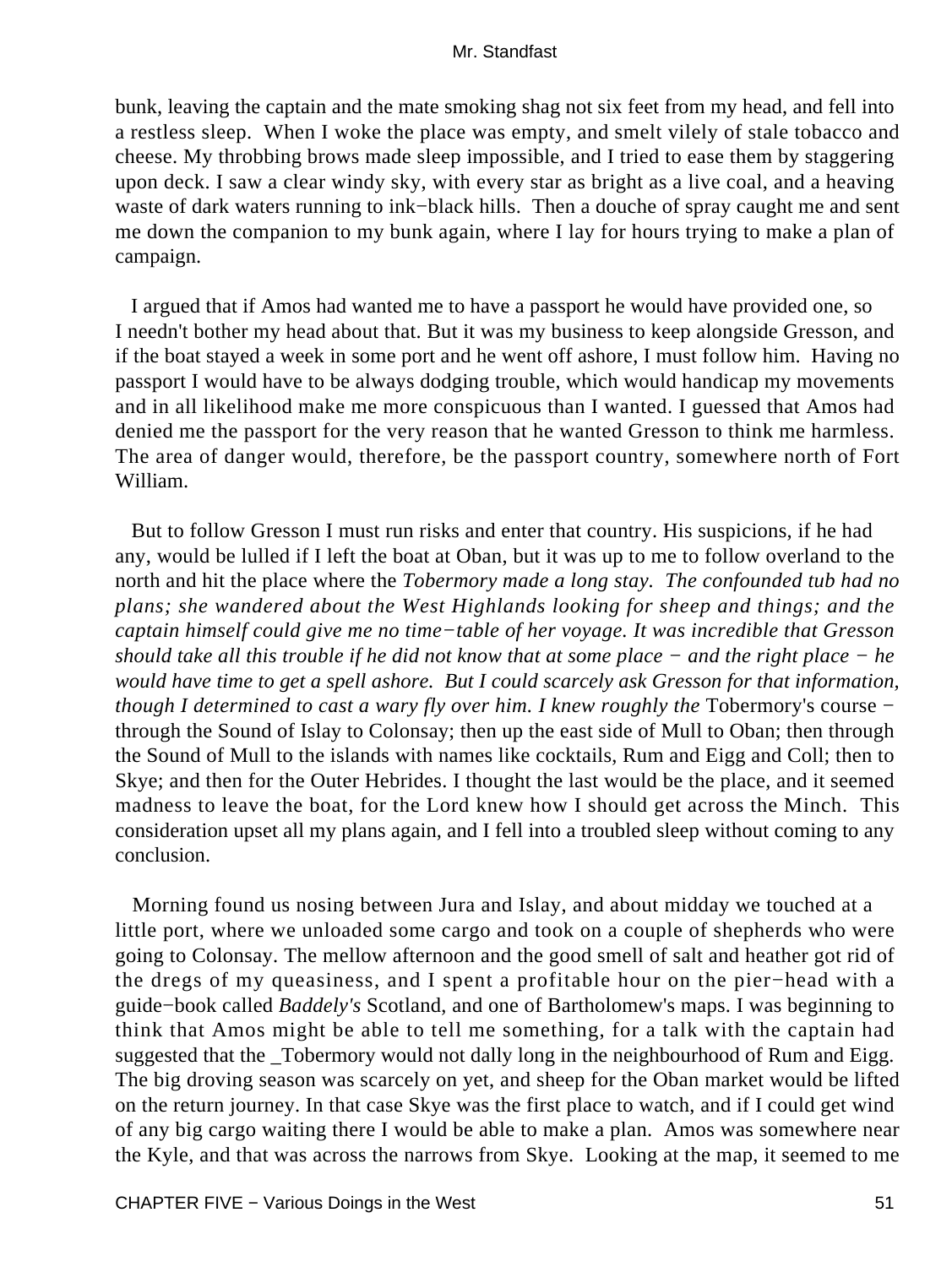bunk, leaving the captain and the mate smoking shag not six feet from my head, and fell into a restless sleep. When I woke the place was empty, and smelt vilely of stale tobacco and cheese. My throbbing brows made sleep impossible, and I tried to ease them by staggering upon deck. I saw a clear windy sky, with every star as bright as a live coal, and a heaving waste of dark waters running to ink−black hills. Then a douche of spray caught me and sent me down the companion to my bunk again, where I lay for hours trying to make a plan of campaign.

 I argued that if Amos had wanted me to have a passport he would have provided one, so I needn't bother my head about that. But it was my business to keep alongside Gresson, and if the boat stayed a week in some port and he went off ashore, I must follow him. Having no passport I would have to be always dodging trouble, which would handicap my movements and in all likelihood make me more conspicuous than I wanted. I guessed that Amos had denied me the passport for the very reason that he wanted Gresson to think me harmless. The area of danger would, therefore, be the passport country, somewhere north of Fort William.

 But to follow Gresson I must run risks and enter that country. His suspicions, if he had any, would be lulled if I left the boat at Oban, but it was up to me to follow overland to the north and hit the place where the *Tobermory made a long stay. The confounded tub had no plans; she wandered about the West Highlands looking for sheep and things; and the captain himself could give me no time−table of her voyage. It was incredible that Gresson should take all this trouble if he did not know that at some place − and the right place − he would have time to get a spell ashore. But I could scarcely ask Gresson for that information, though I determined to cast a wary fly over him. I knew roughly the Tobermory's course −* through the Sound of Islay to Colonsay; then up the east side of Mull to Oban; then through the Sound of Mull to the islands with names like cocktails, Rum and Eigg and Coll; then to Skye; and then for the Outer Hebrides. I thought the last would be the place, and it seemed madness to leave the boat, for the Lord knew how I should get across the Minch. This consideration upset all my plans again, and I fell into a troubled sleep without coming to any conclusion.

 Morning found us nosing between Jura and Islay, and about midday we touched at a little port, where we unloaded some cargo and took on a couple of shepherds who were going to Colonsay. The mellow afternoon and the good smell of salt and heather got rid of the dregs of my queasiness, and I spent a profitable hour on the pier−head with a guide−book called *Baddely's* Scotland, and one of Bartholomew's maps. I was beginning to think that Amos might be able to tell me something, for a talk with the captain had suggested that the \_Tobermory would not dally long in the neighbourhood of Rum and Eigg. The big droving season was scarcely on yet, and sheep for the Oban market would be lifted on the return journey. In that case Skye was the first place to watch, and if I could get wind of any big cargo waiting there I would be able to make a plan. Amos was somewhere near the Kyle, and that was across the narrows from Skye. Looking at the map, it seemed to me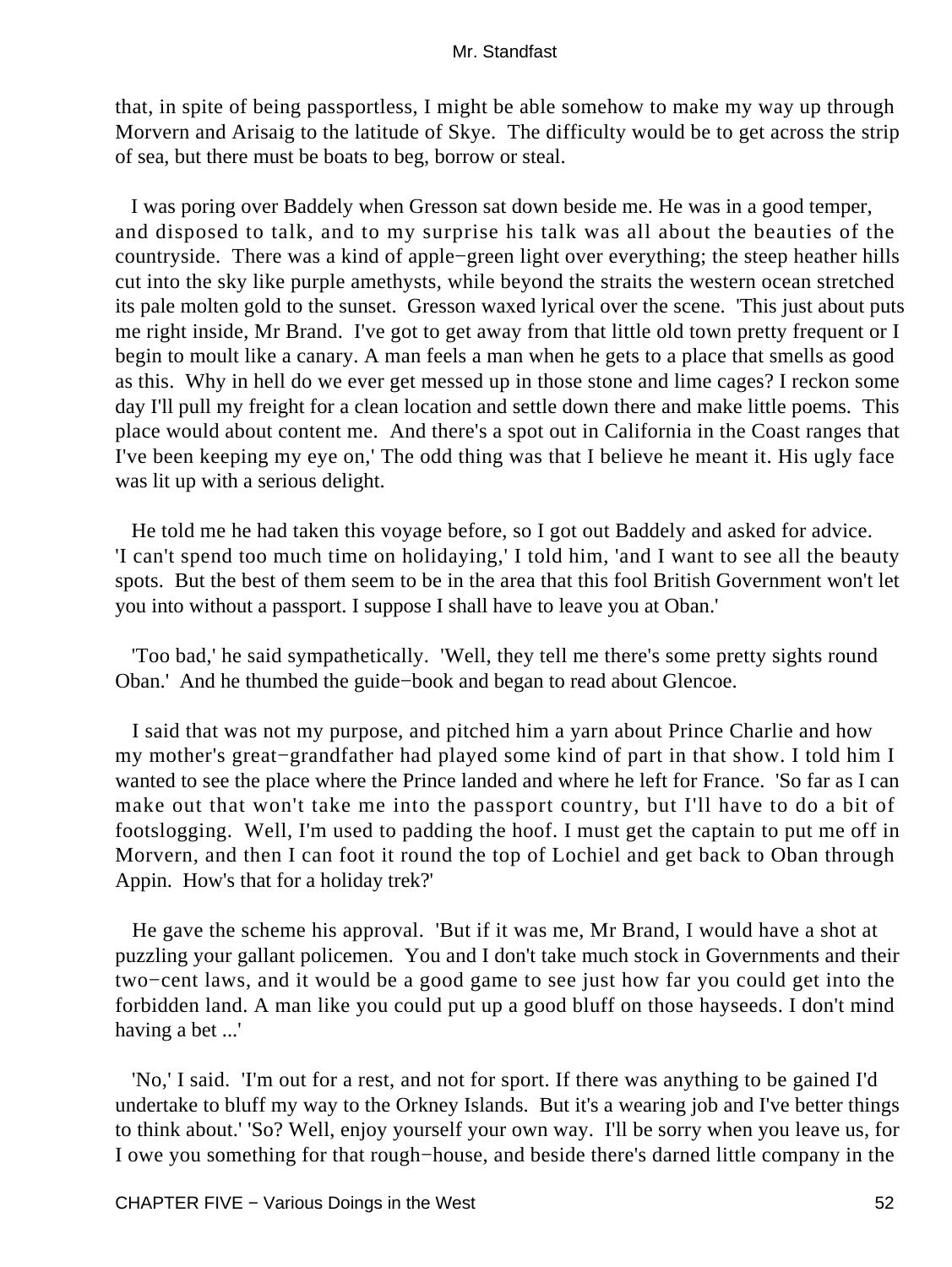that, in spite of being passportless, I might be able somehow to make my way up through Morvern and Arisaig to the latitude of Skye. The difficulty would be to get across the strip of sea, but there must be boats to beg, borrow or steal.

 I was poring over Baddely when Gresson sat down beside me. He was in a good temper, and disposed to talk, and to my surprise his talk was all about the beauties of the countryside. There was a kind of apple−green light over everything; the steep heather hills cut into the sky like purple amethysts, while beyond the straits the western ocean stretched its pale molten gold to the sunset. Gresson waxed lyrical over the scene. 'This just about puts me right inside, Mr Brand. I've got to get away from that little old town pretty frequent or I begin to moult like a canary. A man feels a man when he gets to a place that smells as good as this. Why in hell do we ever get messed up in those stone and lime cages? I reckon some day I'll pull my freight for a clean location and settle down there and make little poems. This place would about content me. And there's a spot out in California in the Coast ranges that I've been keeping my eye on,' The odd thing was that I believe he meant it. His ugly face was lit up with a serious delight.

 He told me he had taken this voyage before, so I got out Baddely and asked for advice. 'I can't spend too much time on holidaying,' I told him, 'and I want to see all the beauty spots. But the best of them seem to be in the area that this fool British Government won't let you into without a passport. I suppose I shall have to leave you at Oban.'

 'Too bad,' he said sympathetically. 'Well, they tell me there's some pretty sights round Oban.' And he thumbed the guide−book and began to read about Glencoe.

 I said that was not my purpose, and pitched him a yarn about Prince Charlie and how my mother's great−grandfather had played some kind of part in that show. I told him I wanted to see the place where the Prince landed and where he left for France. 'So far as I can make out that won't take me into the passport country, but I'll have to do a bit of footslogging. Well, I'm used to padding the hoof. I must get the captain to put me off in Morvern, and then I can foot it round the top of Lochiel and get back to Oban through Appin. How's that for a holiday trek?'

 He gave the scheme his approval. 'But if it was me, Mr Brand, I would have a shot at puzzling your gallant policemen. You and I don't take much stock in Governments and their two−cent laws, and it would be a good game to see just how far you could get into the forbidden land. A man like you could put up a good bluff on those hayseeds. I don't mind having a bet ...'

 'No,' I said. 'I'm out for a rest, and not for sport. If there was anything to be gained I'd undertake to bluff my way to the Orkney Islands. But it's a wearing job and I've better things to think about.' 'So? Well, enjoy yourself your own way. I'll be sorry when you leave us, for I owe you something for that rough−house, and beside there's darned little company in the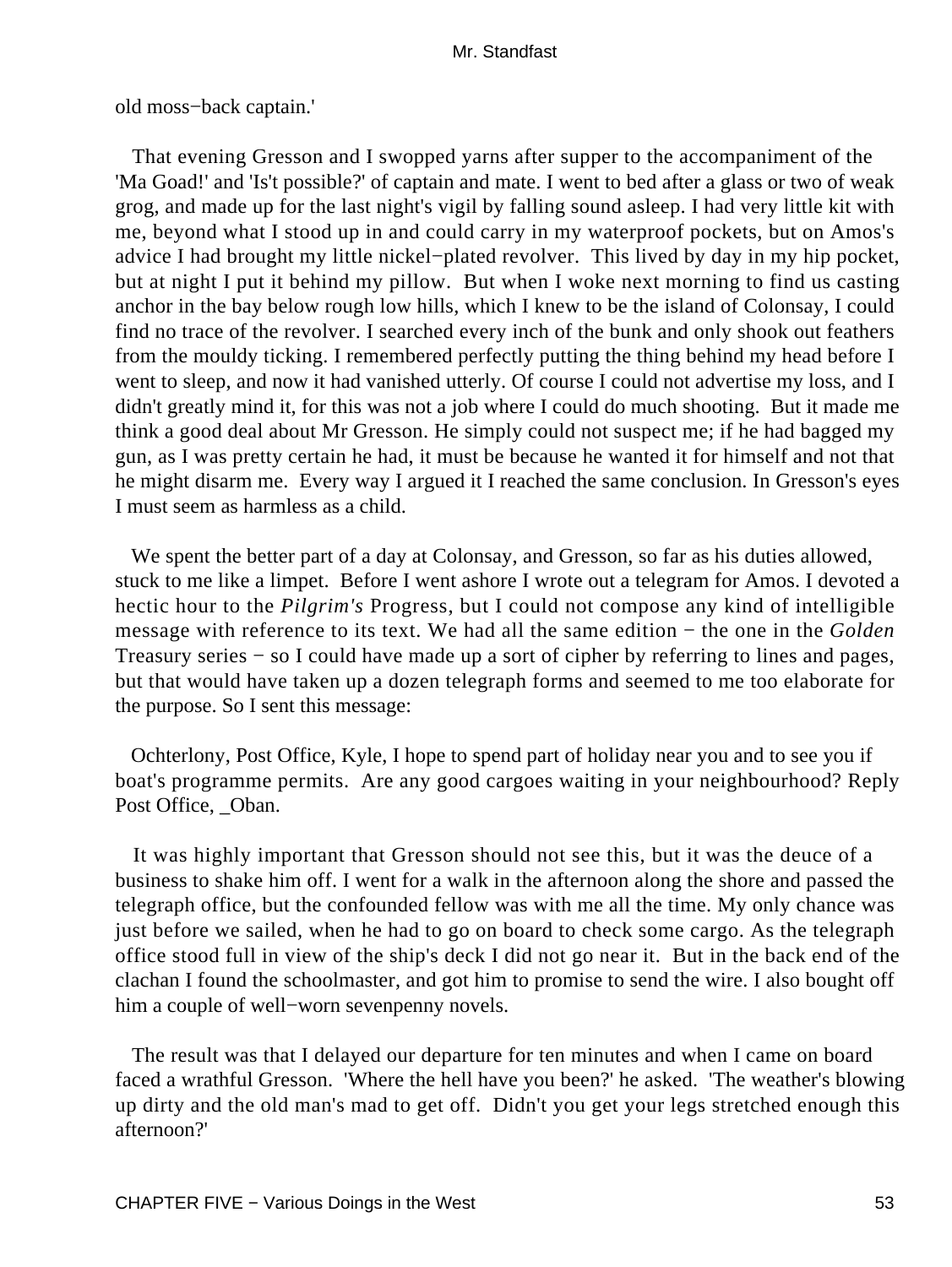old moss−back captain.'

 That evening Gresson and I swopped yarns after supper to the accompaniment of the 'Ma Goad!' and 'Is't possible?' of captain and mate. I went to bed after a glass or two of weak grog, and made up for the last night's vigil by falling sound asleep. I had very little kit with me, beyond what I stood up in and could carry in my waterproof pockets, but on Amos's advice I had brought my little nickel−plated revolver. This lived by day in my hip pocket, but at night I put it behind my pillow. But when I woke next morning to find us casting anchor in the bay below rough low hills, which I knew to be the island of Colonsay, I could find no trace of the revolver. I searched every inch of the bunk and only shook out feathers from the mouldy ticking. I remembered perfectly putting the thing behind my head before I went to sleep, and now it had vanished utterly. Of course I could not advertise my loss, and I didn't greatly mind it, for this was not a job where I could do much shooting. But it made me think a good deal about Mr Gresson. He simply could not suspect me; if he had bagged my gun, as I was pretty certain he had, it must be because he wanted it for himself and not that he might disarm me. Every way I argued it I reached the same conclusion. In Gresson's eyes I must seem as harmless as a child.

 We spent the better part of a day at Colonsay, and Gresson, so far as his duties allowed, stuck to me like a limpet. Before I went ashore I wrote out a telegram for Amos. I devoted a hectic hour to the *Pilgrim's* Progress, but I could not compose any kind of intelligible message with reference to its text. We had all the same edition − the one in the *Golden* Treasury series − so I could have made up a sort of cipher by referring to lines and pages, but that would have taken up a dozen telegraph forms and seemed to me too elaborate for the purpose. So I sent this message:

 Ochterlony, Post Office, Kyle, I hope to spend part of holiday near you and to see you if boat's programme permits. Are any good cargoes waiting in your neighbourhood? Reply Post Office, Oban.

 It was highly important that Gresson should not see this, but it was the deuce of a business to shake him off. I went for a walk in the afternoon along the shore and passed the telegraph office, but the confounded fellow was with me all the time. My only chance was just before we sailed, when he had to go on board to check some cargo. As the telegraph office stood full in view of the ship's deck I did not go near it. But in the back end of the clachan I found the schoolmaster, and got him to promise to send the wire. I also bought off him a couple of well−worn sevenpenny novels.

 The result was that I delayed our departure for ten minutes and when I came on board faced a wrathful Gresson. 'Where the hell have you been?' he asked. 'The weather's blowing up dirty and the old man's mad to get off. Didn't you get your legs stretched enough this afternoon?'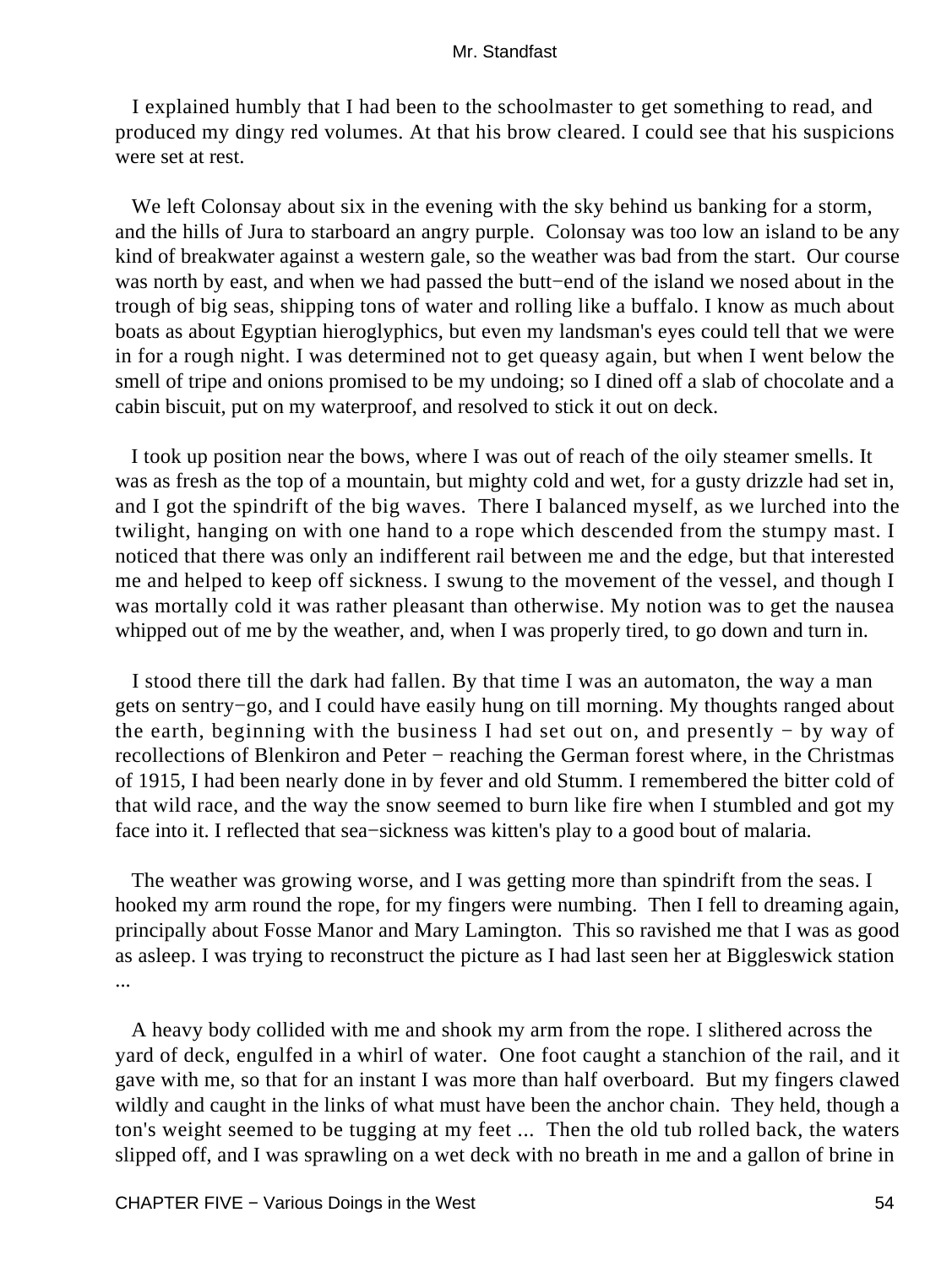I explained humbly that I had been to the schoolmaster to get something to read, and produced my dingy red volumes. At that his brow cleared. I could see that his suspicions were set at rest.

We left Colonsay about six in the evening with the sky behind us banking for a storm, and the hills of Jura to starboard an angry purple. Colonsay was too low an island to be any kind of breakwater against a western gale, so the weather was bad from the start. Our course was north by east, and when we had passed the butt−end of the island we nosed about in the trough of big seas, shipping tons of water and rolling like a buffalo. I know as much about boats as about Egyptian hieroglyphics, but even my landsman's eyes could tell that we were in for a rough night. I was determined not to get queasy again, but when I went below the smell of tripe and onions promised to be my undoing; so I dined off a slab of chocolate and a cabin biscuit, put on my waterproof, and resolved to stick it out on deck.

 I took up position near the bows, where I was out of reach of the oily steamer smells. It was as fresh as the top of a mountain, but mighty cold and wet, for a gusty drizzle had set in, and I got the spindrift of the big waves. There I balanced myself, as we lurched into the twilight, hanging on with one hand to a rope which descended from the stumpy mast. I noticed that there was only an indifferent rail between me and the edge, but that interested me and helped to keep off sickness. I swung to the movement of the vessel, and though I was mortally cold it was rather pleasant than otherwise. My notion was to get the nausea whipped out of me by the weather, and, when I was properly tired, to go down and turn in.

 I stood there till the dark had fallen. By that time I was an automaton, the way a man gets on sentry−go, and I could have easily hung on till morning. My thoughts ranged about the earth, beginning with the business I had set out on, and presently − by way of recollections of Blenkiron and Peter − reaching the German forest where, in the Christmas of 1915, I had been nearly done in by fever and old Stumm. I remembered the bitter cold of that wild race, and the way the snow seemed to burn like fire when I stumbled and got my face into it. I reflected that sea−sickness was kitten's play to a good bout of malaria.

 The weather was growing worse, and I was getting more than spindrift from the seas. I hooked my arm round the rope, for my fingers were numbing. Then I fell to dreaming again, principally about Fosse Manor and Mary Lamington. This so ravished me that I was as good as asleep. I was trying to reconstruct the picture as I had last seen her at Biggleswick station ...

 A heavy body collided with me and shook my arm from the rope. I slithered across the yard of deck, engulfed in a whirl of water. One foot caught a stanchion of the rail, and it gave with me, so that for an instant I was more than half overboard. But my fingers clawed wildly and caught in the links of what must have been the anchor chain. They held, though a ton's weight seemed to be tugging at my feet ... Then the old tub rolled back, the waters slipped off, and I was sprawling on a wet deck with no breath in me and a gallon of brine in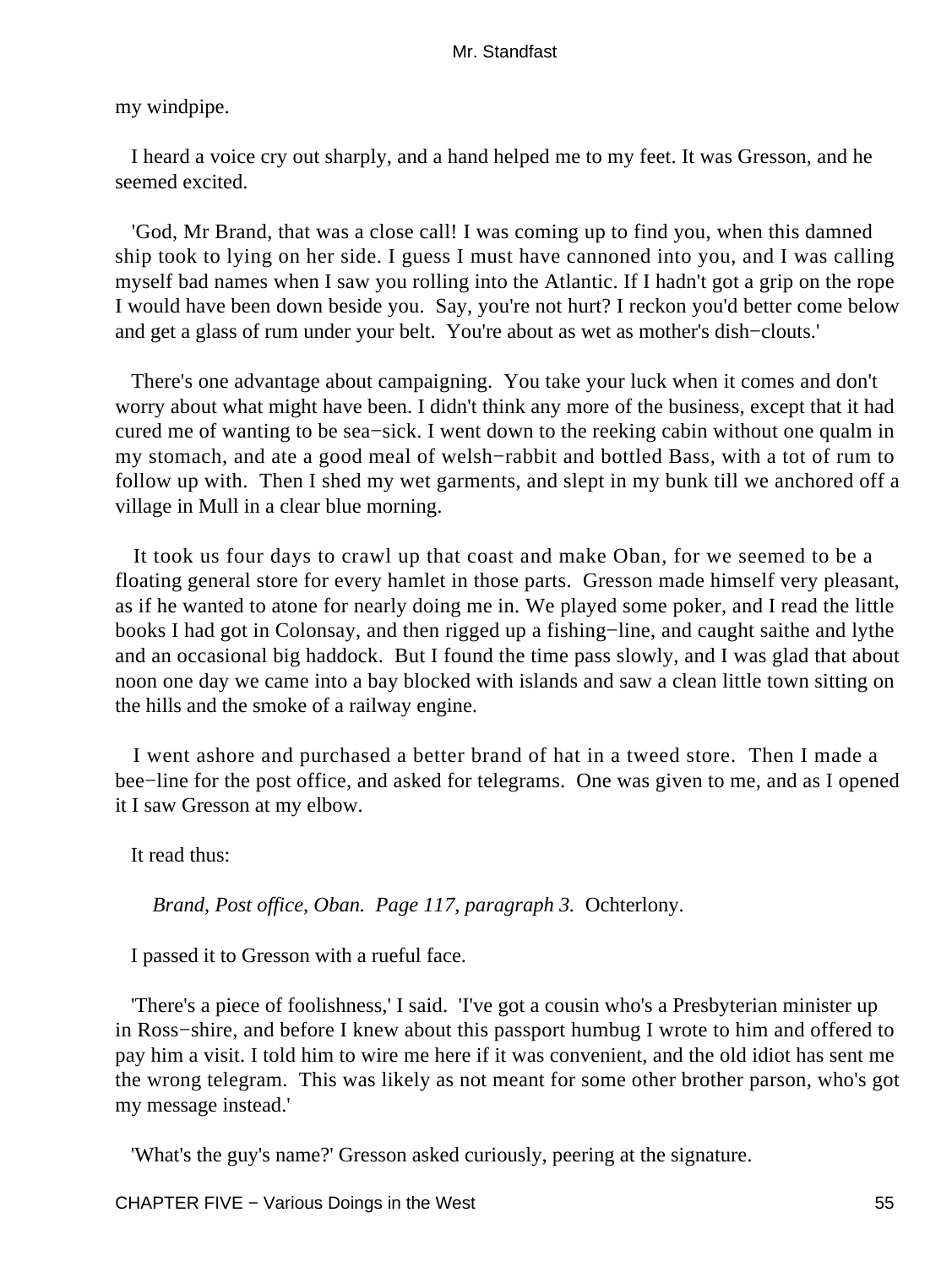my windpipe.

 I heard a voice cry out sharply, and a hand helped me to my feet. It was Gresson, and he seemed excited.

 'God, Mr Brand, that was a close call! I was coming up to find you, when this damned ship took to lying on her side. I guess I must have cannoned into you, and I was calling myself bad names when I saw you rolling into the Atlantic. If I hadn't got a grip on the rope I would have been down beside you. Say, you're not hurt? I reckon you'd better come below and get a glass of rum under your belt. You're about as wet as mother's dish−clouts.'

 There's one advantage about campaigning. You take your luck when it comes and don't worry about what might have been. I didn't think any more of the business, except that it had cured me of wanting to be sea−sick. I went down to the reeking cabin without one qualm in my stomach, and ate a good meal of welsh−rabbit and bottled Bass, with a tot of rum to follow up with. Then I shed my wet garments, and slept in my bunk till we anchored off a village in Mull in a clear blue morning.

 It took us four days to crawl up that coast and make Oban, for we seemed to be a floating general store for every hamlet in those parts. Gresson made himself very pleasant, as if he wanted to atone for nearly doing me in. We played some poker, and I read the little books I had got in Colonsay, and then rigged up a fishing−line, and caught saithe and lythe and an occasional big haddock. But I found the time pass slowly, and I was glad that about noon one day we came into a bay blocked with islands and saw a clean little town sitting on the hills and the smoke of a railway engine.

 I went ashore and purchased a better brand of hat in a tweed store. Then I made a bee−line for the post office, and asked for telegrams. One was given to me, and as I opened it I saw Gresson at my elbow.

It read thus:

*Brand, Post office, Oban. Page 117, paragraph 3.* Ochterlony.

I passed it to Gresson with a rueful face.

 'There's a piece of foolishness,' I said. 'I've got a cousin who's a Presbyterian minister up in Ross−shire, and before I knew about this passport humbug I wrote to him and offered to pay him a visit. I told him to wire me here if it was convenient, and the old idiot has sent me the wrong telegram. This was likely as not meant for some other brother parson, who's got my message instead.'

'What's the guy's name?' Gresson asked curiously, peering at the signature.

CHAPTER FIVE − Various Doings in the West 55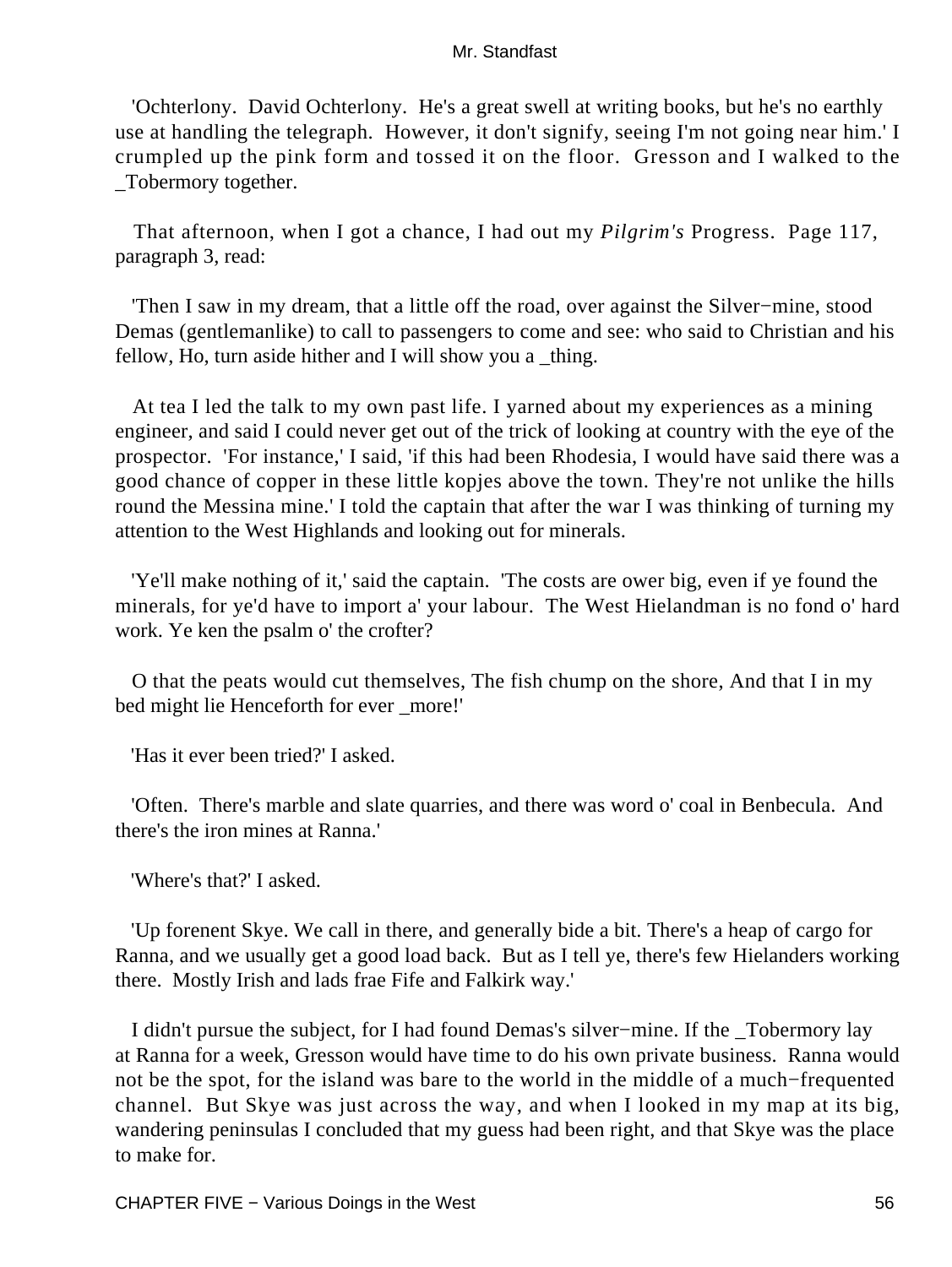'Ochterlony. David Ochterlony. He's a great swell at writing books, but he's no earthly use at handling the telegraph. However, it don't signify, seeing I'm not going near him.' I crumpled up the pink form and tossed it on the floor. Gresson and I walked to the \_Tobermory together.

 That afternoon, when I got a chance, I had out my *Pilgrim's* Progress. Page 117, paragraph 3, read:

 'Then I saw in my dream, that a little off the road, over against the Silver−mine, stood Demas (gentlemanlike) to call to passengers to come and see: who said to Christian and his fellow, Ho, turn aside hither and I will show you a \_thing.

 At tea I led the talk to my own past life. I yarned about my experiences as a mining engineer, and said I could never get out of the trick of looking at country with the eye of the prospector. 'For instance,' I said, 'if this had been Rhodesia, I would have said there was a good chance of copper in these little kopjes above the town. They're not unlike the hills round the Messina mine.' I told the captain that after the war I was thinking of turning my attention to the West Highlands and looking out for minerals.

 'Ye'll make nothing of it,' said the captain. 'The costs are ower big, even if ye found the minerals, for ye'd have to import a' your labour. The West Hielandman is no fond o' hard work. Ye ken the psalm o' the crofter?

 O that the peats would cut themselves, The fish chump on the shore, And that I in my bed might lie Henceforth for ever \_more!'

'Has it ever been tried?' I asked.

 'Often. There's marble and slate quarries, and there was word o' coal in Benbecula. And there's the iron mines at Ranna.'

'Where's that?' I asked.

 'Up forenent Skye. We call in there, and generally bide a bit. There's a heap of cargo for Ranna, and we usually get a good load back. But as I tell ye, there's few Hielanders working there. Mostly Irish and lads frae Fife and Falkirk way.'

 I didn't pursue the subject, for I had found Demas's silver−mine. If the \_Tobermory lay at Ranna for a week, Gresson would have time to do his own private business. Ranna would not be the spot, for the island was bare to the world in the middle of a much−frequented channel. But Skye was just across the way, and when I looked in my map at its big, wandering peninsulas I concluded that my guess had been right, and that Skye was the place to make for.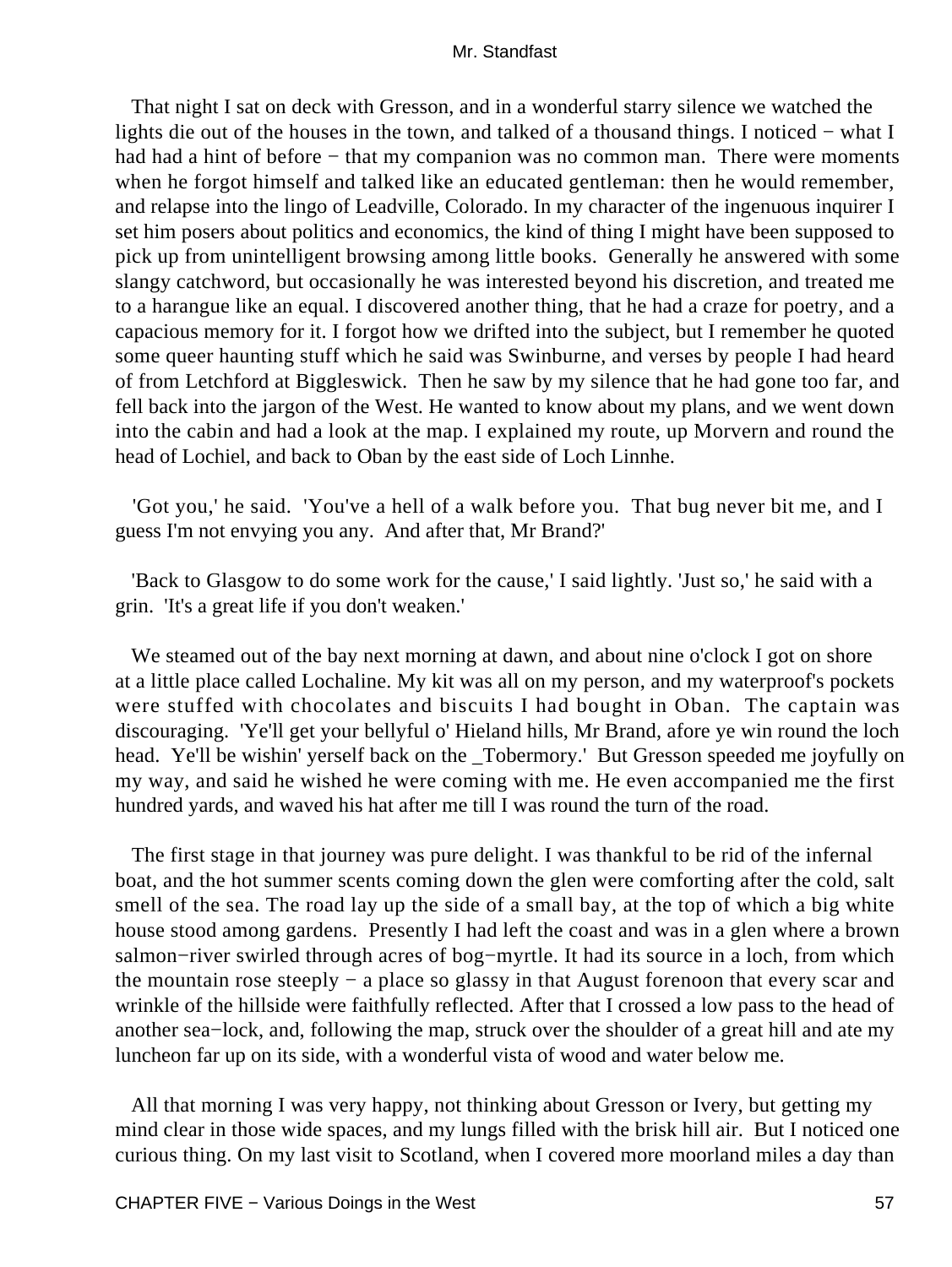That night I sat on deck with Gresson, and in a wonderful starry silence we watched the lights die out of the houses in the town, and talked of a thousand things. I noticed − what I had had a hint of before – that my companion was no common man. There were moments when he forgot himself and talked like an educated gentleman: then he would remember, and relapse into the lingo of Leadville, Colorado. In my character of the ingenuous inquirer I set him posers about politics and economics, the kind of thing I might have been supposed to pick up from unintelligent browsing among little books. Generally he answered with some slangy catchword, but occasionally he was interested beyond his discretion, and treated me to a harangue like an equal. I discovered another thing, that he had a craze for poetry, and a capacious memory for it. I forgot how we drifted into the subject, but I remember he quoted some queer haunting stuff which he said was Swinburne, and verses by people I had heard of from Letchford at Biggleswick. Then he saw by my silence that he had gone too far, and fell back into the jargon of the West. He wanted to know about my plans, and we went down into the cabin and had a look at the map. I explained my route, up Morvern and round the head of Lochiel, and back to Oban by the east side of Loch Linnhe.

 'Got you,' he said. 'You've a hell of a walk before you. That bug never bit me, and I guess I'm not envying you any. And after that, Mr Brand?'

 'Back to Glasgow to do some work for the cause,' I said lightly. 'Just so,' he said with a grin. 'It's a great life if you don't weaken.'

We steamed out of the bay next morning at dawn, and about nine o'clock I got on shore at a little place called Lochaline. My kit was all on my person, and my waterproof's pockets were stuffed with chocolates and biscuits I had bought in Oban. The captain was discouraging. 'Ye'll get your bellyful o' Hieland hills, Mr Brand, afore ye win round the loch head. Ye'll be wishin' yerself back on the \_Tobermory.' But Gresson speeded me joyfully on my way, and said he wished he were coming with me. He even accompanied me the first hundred yards, and waved his hat after me till I was round the turn of the road.

 The first stage in that journey was pure delight. I was thankful to be rid of the infernal boat, and the hot summer scents coming down the glen were comforting after the cold, salt smell of the sea. The road lay up the side of a small bay, at the top of which a big white house stood among gardens. Presently I had left the coast and was in a glen where a brown salmon−river swirled through acres of bog−myrtle. It had its source in a loch, from which the mountain rose steeply − a place so glassy in that August forenoon that every scar and wrinkle of the hillside were faithfully reflected. After that I crossed a low pass to the head of another sea−lock, and, following the map, struck over the shoulder of a great hill and ate my luncheon far up on its side, with a wonderful vista of wood and water below me.

 All that morning I was very happy, not thinking about Gresson or Ivery, but getting my mind clear in those wide spaces, and my lungs filled with the brisk hill air. But I noticed one curious thing. On my last visit to Scotland, when I covered more moorland miles a day than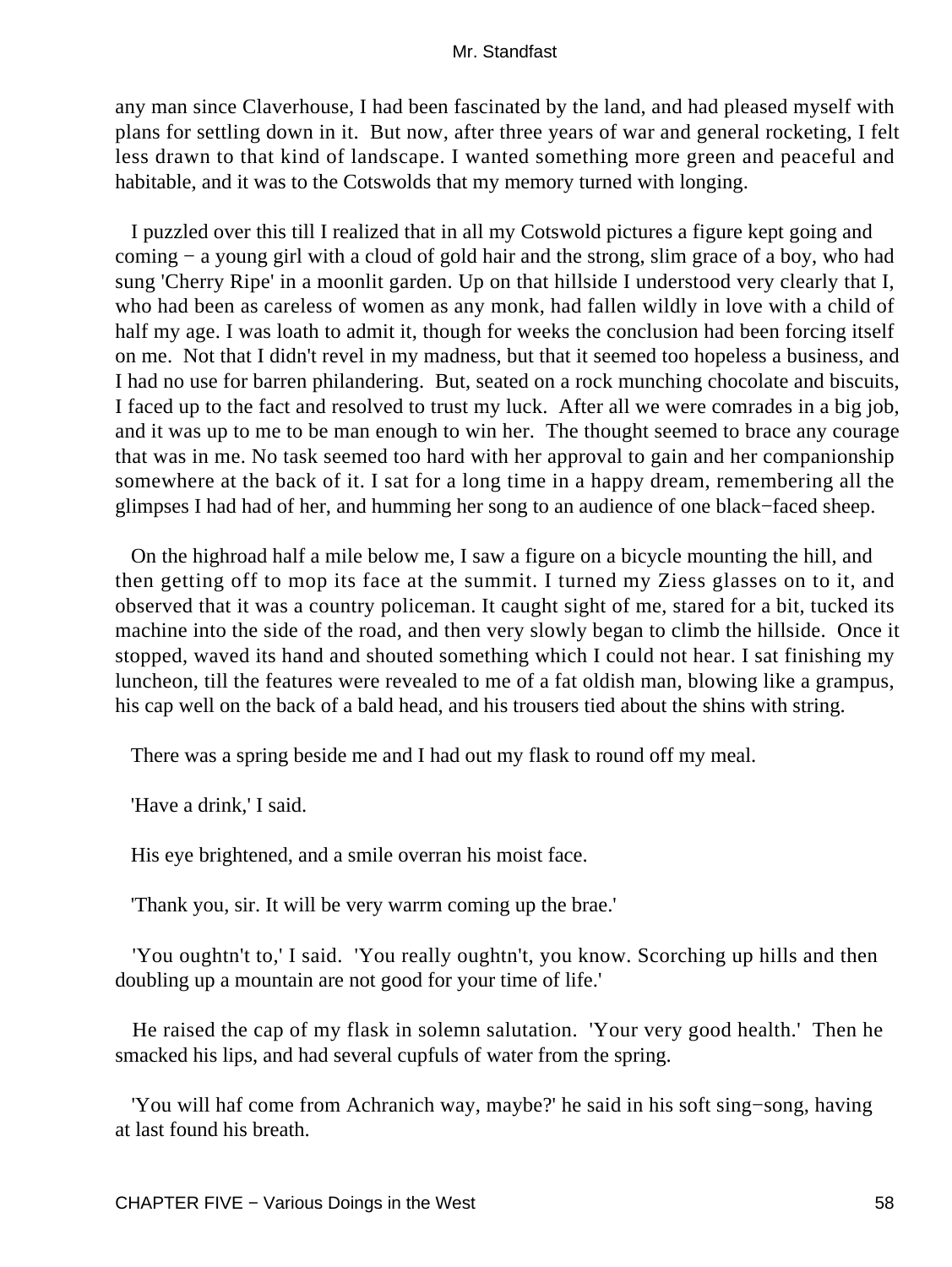any man since Claverhouse, I had been fascinated by the land, and had pleased myself with plans for settling down in it. But now, after three years of war and general rocketing, I felt less drawn to that kind of landscape. I wanted something more green and peaceful and habitable, and it was to the Cotswolds that my memory turned with longing.

 I puzzled over this till I realized that in all my Cotswold pictures a figure kept going and coming − a young girl with a cloud of gold hair and the strong, slim grace of a boy, who had sung 'Cherry Ripe' in a moonlit garden. Up on that hillside I understood very clearly that I, who had been as careless of women as any monk, had fallen wildly in love with a child of half my age. I was loath to admit it, though for weeks the conclusion had been forcing itself on me. Not that I didn't revel in my madness, but that it seemed too hopeless a business, and I had no use for barren philandering. But, seated on a rock munching chocolate and biscuits, I faced up to the fact and resolved to trust my luck. After all we were comrades in a big job, and it was up to me to be man enough to win her. The thought seemed to brace any courage that was in me. No task seemed too hard with her approval to gain and her companionship somewhere at the back of it. I sat for a long time in a happy dream, remembering all the glimpses I had had of her, and humming her song to an audience of one black−faced sheep.

 On the highroad half a mile below me, I saw a figure on a bicycle mounting the hill, and then getting off to mop its face at the summit. I turned my Ziess glasses on to it, and observed that it was a country policeman. It caught sight of me, stared for a bit, tucked its machine into the side of the road, and then very slowly began to climb the hillside. Once it stopped, waved its hand and shouted something which I could not hear. I sat finishing my luncheon, till the features were revealed to me of a fat oldish man, blowing like a grampus, his cap well on the back of a bald head, and his trousers tied about the shins with string.

There was a spring beside me and I had out my flask to round off my meal.

'Have a drink,' I said.

His eye brightened, and a smile overran his moist face.

'Thank you, sir. It will be very warrm coming up the brae.'

 'You oughtn't to,' I said. 'You really oughtn't, you know. Scorching up hills and then doubling up a mountain are not good for your time of life.'

 He raised the cap of my flask in solemn salutation. 'Your very good health.' Then he smacked his lips, and had several cupfuls of water from the spring.

 'You will haf come from Achranich way, maybe?' he said in his soft sing−song, having at last found his breath.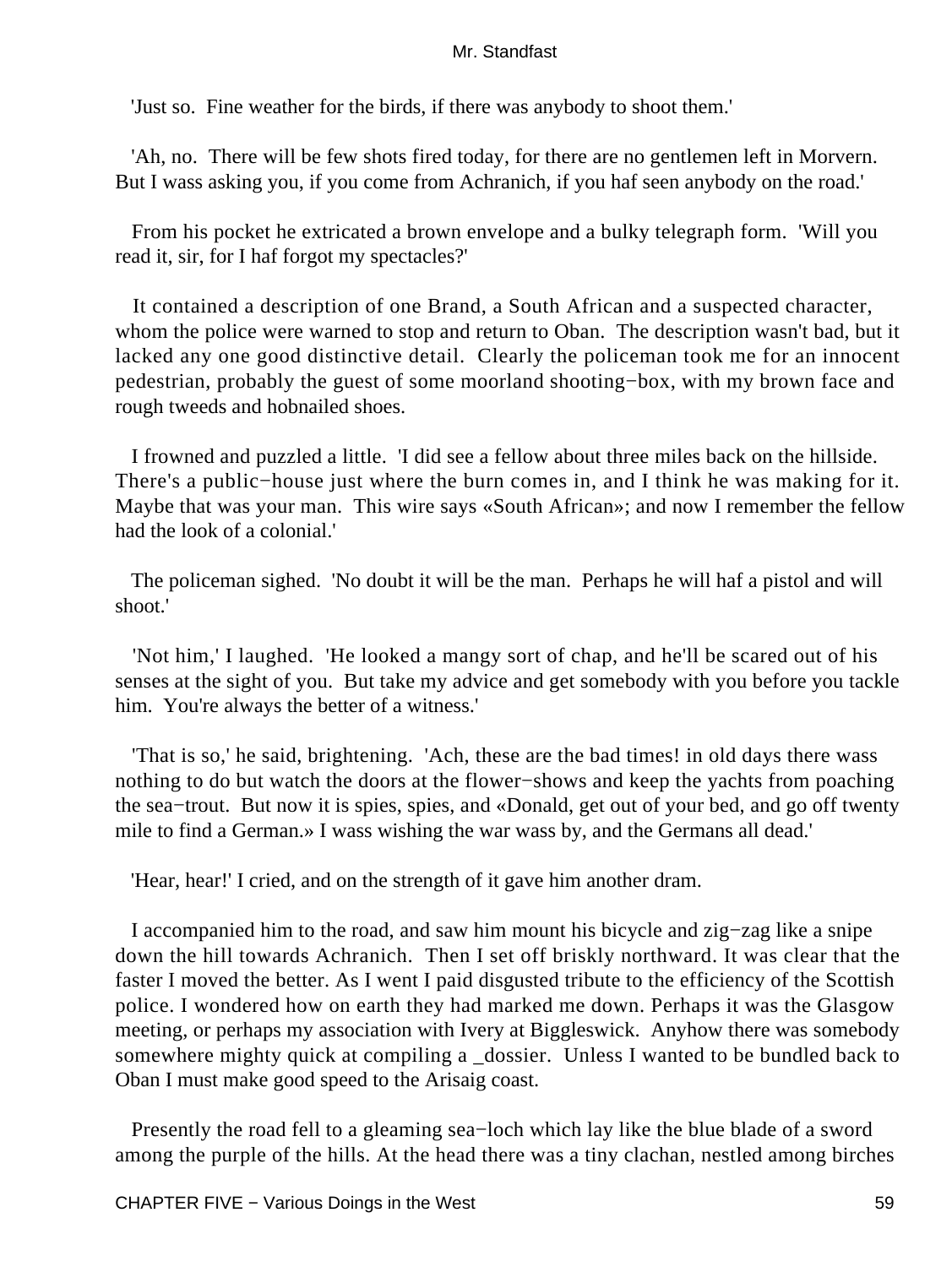'Just so. Fine weather for the birds, if there was anybody to shoot them.'

 'Ah, no. There will be few shots fired today, for there are no gentlemen left in Morvern. But I wass asking you, if you come from Achranich, if you haf seen anybody on the road.'

 From his pocket he extricated a brown envelope and a bulky telegraph form. 'Will you read it, sir, for I haf forgot my spectacles?'

 It contained a description of one Brand, a South African and a suspected character, whom the police were warned to stop and return to Oban. The description wasn't bad, but it lacked any one good distinctive detail. Clearly the policeman took me for an innocent pedestrian, probably the guest of some moorland shooting−box, with my brown face and rough tweeds and hobnailed shoes.

 I frowned and puzzled a little. 'I did see a fellow about three miles back on the hillside. There's a public−house just where the burn comes in, and I think he was making for it. Maybe that was your man. This wire says «South African»; and now I remember the fellow had the look of a colonial.'

 The policeman sighed. 'No doubt it will be the man. Perhaps he will haf a pistol and will shoot.'

 'Not him,' I laughed. 'He looked a mangy sort of chap, and he'll be scared out of his senses at the sight of you. But take my advice and get somebody with you before you tackle him. You're always the better of a witness.'

 'That is so,' he said, brightening. 'Ach, these are the bad times! in old days there wass nothing to do but watch the doors at the flower−shows and keep the yachts from poaching the sea−trout. But now it is spies, spies, and «Donald, get out of your bed, and go off twenty mile to find a German.» I wass wishing the war wass by, and the Germans all dead.'

'Hear, hear!' I cried, and on the strength of it gave him another dram.

 I accompanied him to the road, and saw him mount his bicycle and zig−zag like a snipe down the hill towards Achranich. Then I set off briskly northward. It was clear that the faster I moved the better. As I went I paid disgusted tribute to the efficiency of the Scottish police. I wondered how on earth they had marked me down. Perhaps it was the Glasgow meeting, or perhaps my association with Ivery at Biggleswick. Anyhow there was somebody somewhere mighty quick at compiling a \_dossier. Unless I wanted to be bundled back to Oban I must make good speed to the Arisaig coast.

 Presently the road fell to a gleaming sea−loch which lay like the blue blade of a sword among the purple of the hills. At the head there was a tiny clachan, nestled among birches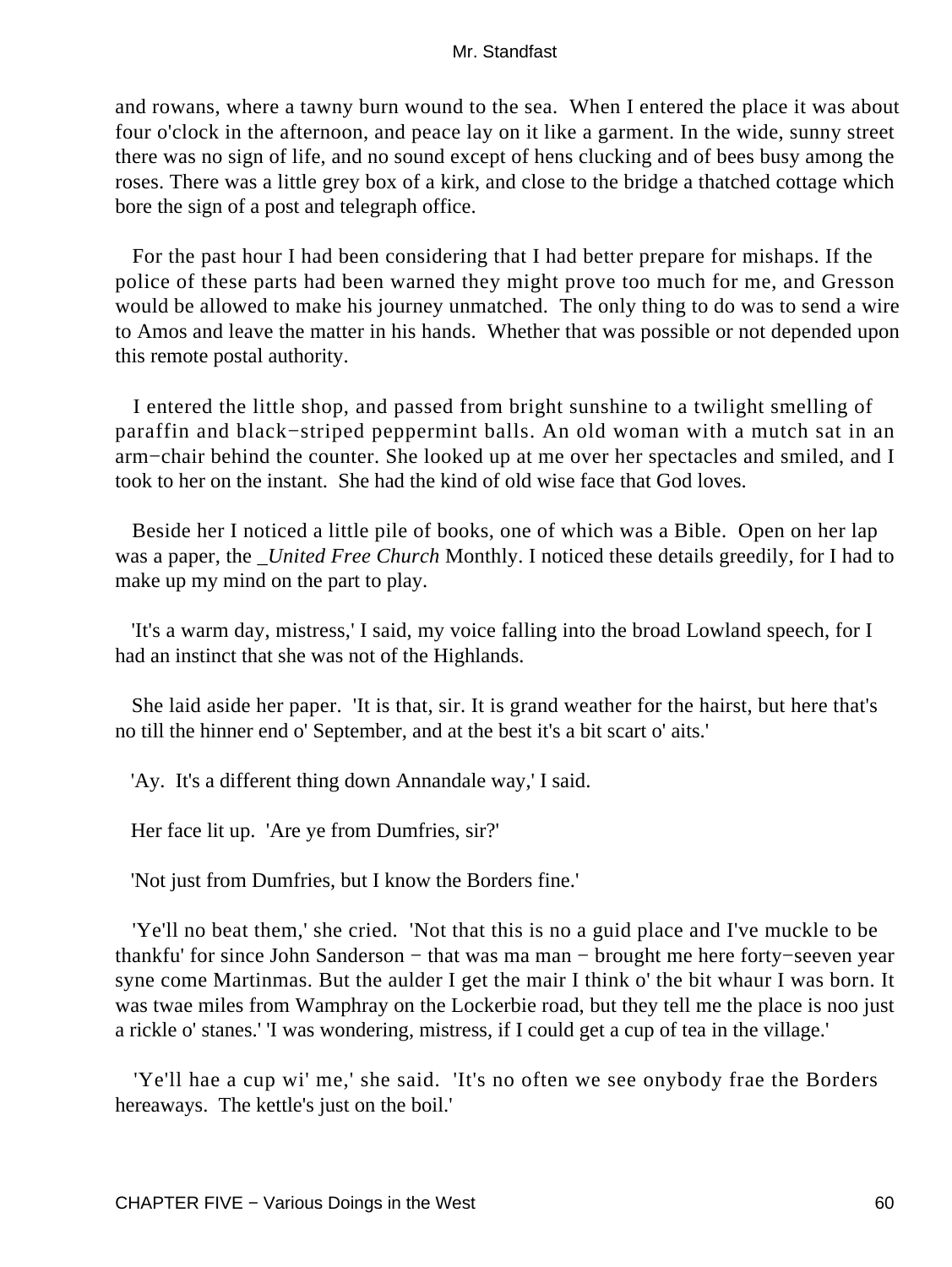and rowans, where a tawny burn wound to the sea. When I entered the place it was about four o'clock in the afternoon, and peace lay on it like a garment. In the wide, sunny street there was no sign of life, and no sound except of hens clucking and of bees busy among the roses. There was a little grey box of a kirk, and close to the bridge a thatched cottage which bore the sign of a post and telegraph office.

 For the past hour I had been considering that I had better prepare for mishaps. If the police of these parts had been warned they might prove too much for me, and Gresson would be allowed to make his journey unmatched. The only thing to do was to send a wire to Amos and leave the matter in his hands. Whether that was possible or not depended upon this remote postal authority.

 I entered the little shop, and passed from bright sunshine to a twilight smelling of paraffin and black−striped peppermint balls. An old woman with a mutch sat in an arm−chair behind the counter. She looked up at me over her spectacles and smiled, and I took to her on the instant. She had the kind of old wise face that God loves.

 Beside her I noticed a little pile of books, one of which was a Bible. Open on her lap was a paper, the *\_United Free Church* Monthly. I noticed these details greedily, for I had to make up my mind on the part to play.

 'It's a warm day, mistress,' I said, my voice falling into the broad Lowland speech, for I had an instinct that she was not of the Highlands.

 She laid aside her paper. 'It is that, sir. It is grand weather for the hairst, but here that's no till the hinner end o' September, and at the best it's a bit scart o' aits.'

'Ay. It's a different thing down Annandale way,' I said.

Her face lit up. 'Are ye from Dumfries, sir?'

'Not just from Dumfries, but I know the Borders fine.'

 'Ye'll no beat them,' she cried. 'Not that this is no a guid place and I've muckle to be thankfu' for since John Sanderson − that was ma man − brought me here forty−seeven year syne come Martinmas. But the aulder I get the mair I think o' the bit whaur I was born. It was twae miles from Wamphray on the Lockerbie road, but they tell me the place is noo just a rickle o' stanes.' 'I was wondering, mistress, if I could get a cup of tea in the village.'

 'Ye'll hae a cup wi' me,' she said. 'It's no often we see onybody frae the Borders hereaways. The kettle's just on the boil.'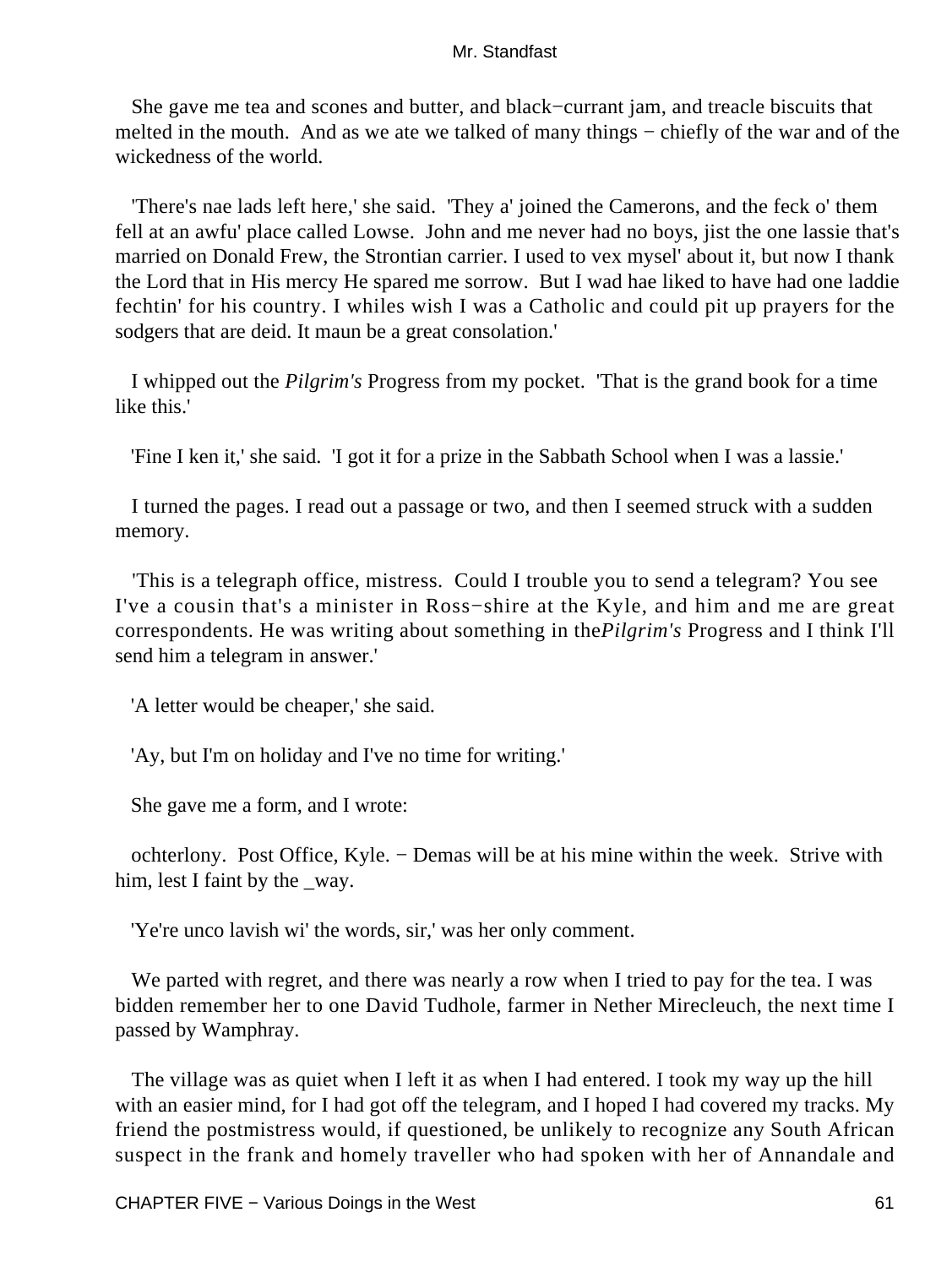She gave me tea and scones and butter, and black−currant jam, and treacle biscuits that melted in the mouth. And as we ate we talked of many things – chiefly of the war and of the wickedness of the world.

 'There's nae lads left here,' she said. 'They a' joined the Camerons, and the feck o' them fell at an awfu' place called Lowse. John and me never had no boys, jist the one lassie that's married on Donald Frew, the Strontian carrier. I used to vex mysel' about it, but now I thank the Lord that in His mercy He spared me sorrow. But I wad hae liked to have had one laddie fechtin' for his country. I whiles wish I was a Catholic and could pit up prayers for the sodgers that are deid. It maun be a great consolation.'

 I whipped out the *Pilgrim's* Progress from my pocket. 'That is the grand book for a time like this.'

'Fine I ken it,' she said. 'I got it for a prize in the Sabbath School when I was a lassie.'

 I turned the pages. I read out a passage or two, and then I seemed struck with a sudden memory.

 'This is a telegraph office, mistress. Could I trouble you to send a telegram? You see I've a cousin that's a minister in Ross−shire at the Kyle, and him and me are great correspondents. He was writing about something in the*Pilgrim's* Progress and I think I'll send him a telegram in answer.'

'A letter would be cheaper,' she said.

'Ay, but I'm on holiday and I've no time for writing.'

She gave me a form, and I wrote:

 ochterlony. Post Office, Kyle. − Demas will be at his mine within the week. Strive with him, lest I faint by the way.

'Ye're unco lavish wi' the words, sir,' was her only comment.

We parted with regret, and there was nearly a row when I tried to pay for the tea. I was bidden remember her to one David Tudhole, farmer in Nether Mirecleuch, the next time I passed by Wamphray.

 The village was as quiet when I left it as when I had entered. I took my way up the hill with an easier mind, for I had got off the telegram, and I hoped I had covered my tracks. My friend the postmistress would, if questioned, be unlikely to recognize any South African suspect in the frank and homely traveller who had spoken with her of Annandale and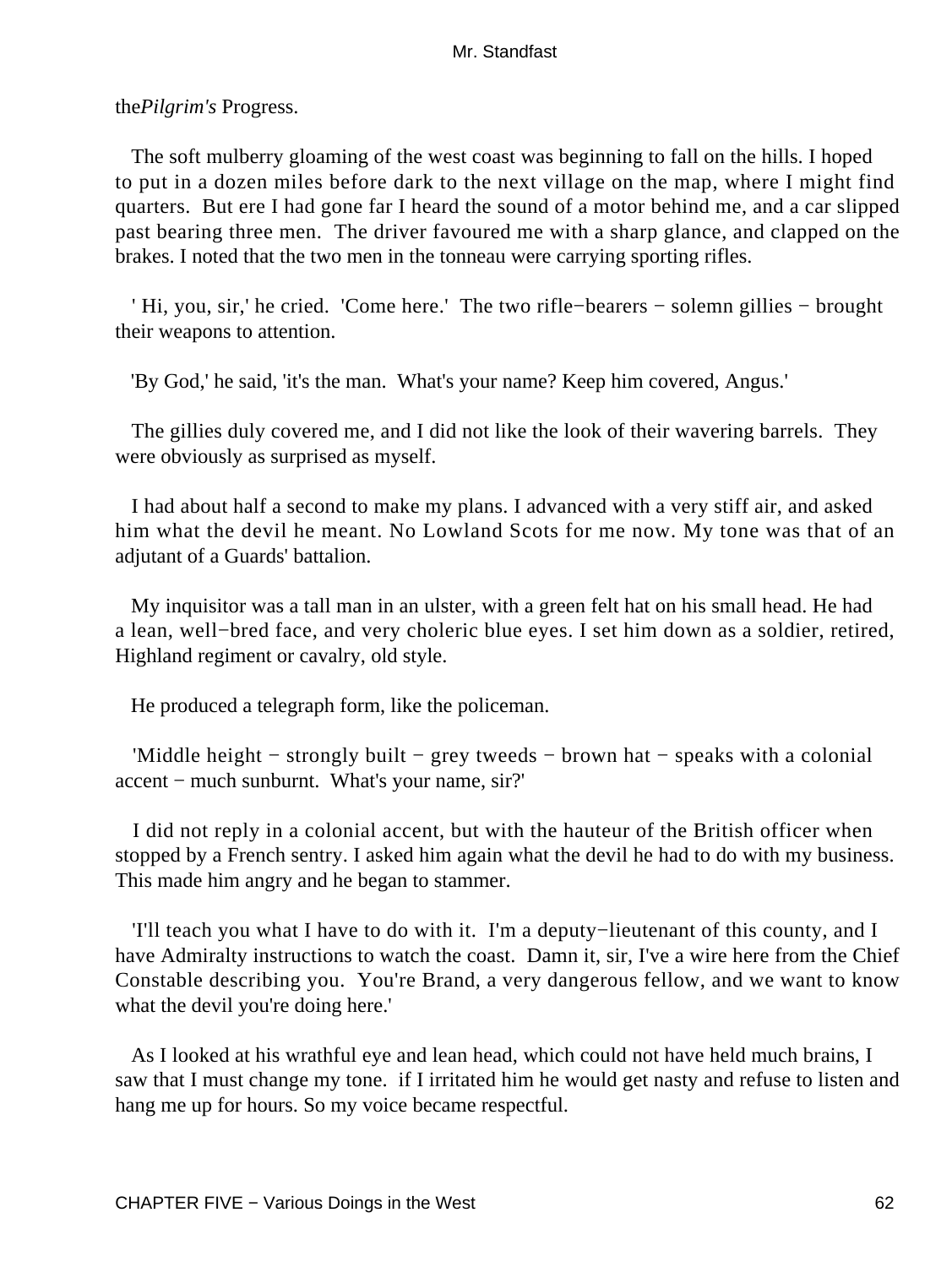the*Pilgrim's* Progress.

 The soft mulberry gloaming of the west coast was beginning to fall on the hills. I hoped to put in a dozen miles before dark to the next village on the map, where I might find quarters. But ere I had gone far I heard the sound of a motor behind me, and a car slipped past bearing three men. The driver favoured me with a sharp glance, and clapped on the brakes. I noted that the two men in the tonneau were carrying sporting rifles.

 ' Hi, you, sir,' he cried. 'Come here.' The two rifle−bearers − solemn gillies − brought their weapons to attention.

'By God,' he said, 'it's the man. What's your name? Keep him covered, Angus.'

 The gillies duly covered me, and I did not like the look of their wavering barrels. They were obviously as surprised as myself.

 I had about half a second to make my plans. I advanced with a very stiff air, and asked him what the devil he meant. No Lowland Scots for me now. My tone was that of an adjutant of a Guards' battalion.

 My inquisitor was a tall man in an ulster, with a green felt hat on his small head. He had a lean, well−bred face, and very choleric blue eyes. I set him down as a soldier, retired, Highland regiment or cavalry, old style.

He produced a telegraph form, like the policeman.

 'Middle height − strongly built − grey tweeds − brown hat − speaks with a colonial accent − much sunburnt. What's your name, sir?'

 I did not reply in a colonial accent, but with the hauteur of the British officer when stopped by a French sentry. I asked him again what the devil he had to do with my business. This made him angry and he began to stammer.

 'I'll teach you what I have to do with it. I'm a deputy−lieutenant of this county, and I have Admiralty instructions to watch the coast. Damn it, sir, I've a wire here from the Chief Constable describing you. You're Brand, a very dangerous fellow, and we want to know what the devil you're doing here.'

 As I looked at his wrathful eye and lean head, which could not have held much brains, I saw that I must change my tone. if I irritated him he would get nasty and refuse to listen and hang me up for hours. So my voice became respectful.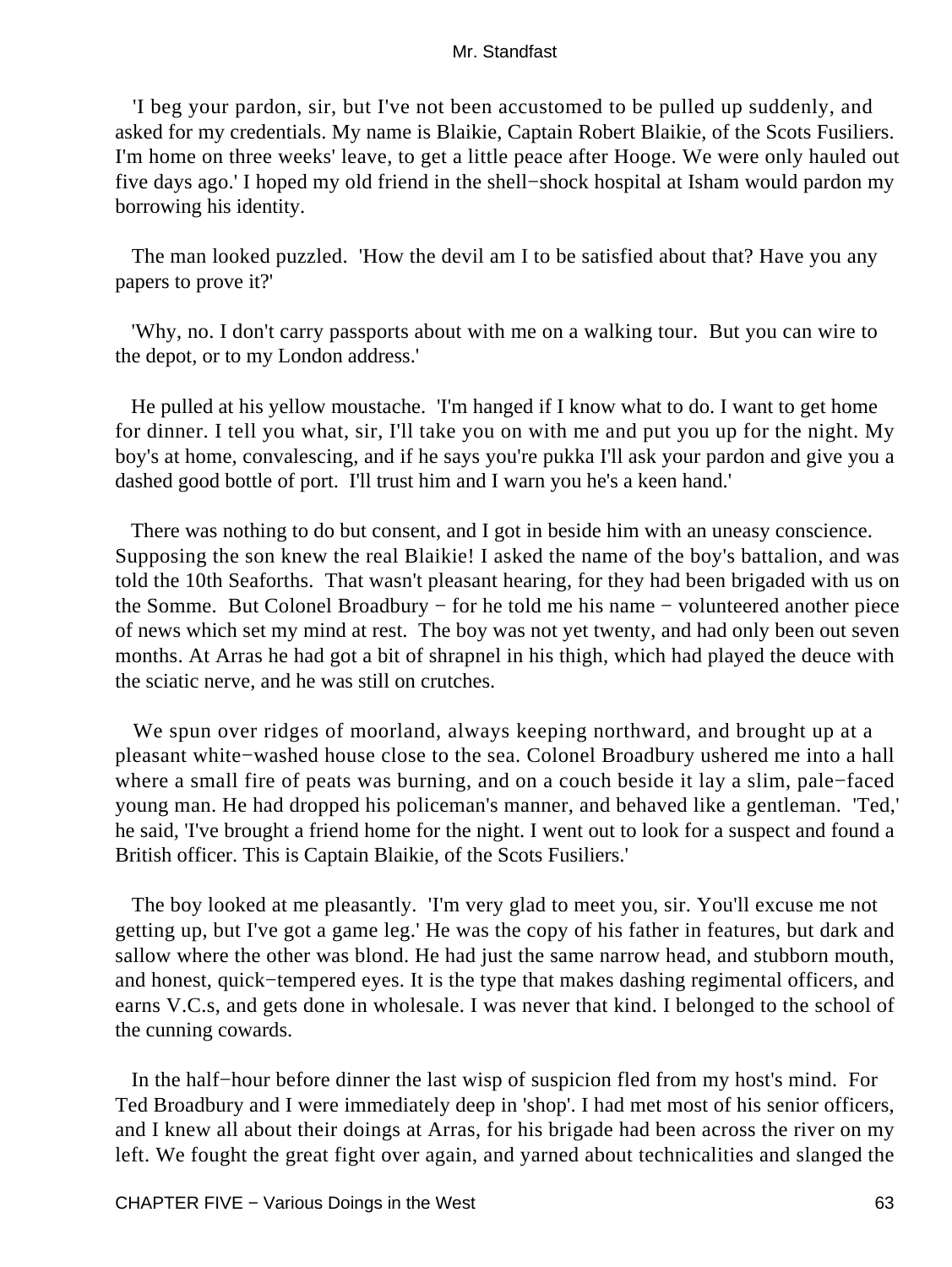'I beg your pardon, sir, but I've not been accustomed to be pulled up suddenly, and asked for my credentials. My name is Blaikie, Captain Robert Blaikie, of the Scots Fusiliers. I'm home on three weeks' leave, to get a little peace after Hooge. We were only hauled out five days ago.' I hoped my old friend in the shell−shock hospital at Isham would pardon my borrowing his identity.

 The man looked puzzled. 'How the devil am I to be satisfied about that? Have you any papers to prove it?'

 'Why, no. I don't carry passports about with me on a walking tour. But you can wire to the depot, or to my London address.'

 He pulled at his yellow moustache. 'I'm hanged if I know what to do. I want to get home for dinner. I tell you what, sir, I'll take you on with me and put you up for the night. My boy's at home, convalescing, and if he says you're pukka I'll ask your pardon and give you a dashed good bottle of port. I'll trust him and I warn you he's a keen hand.'

 There was nothing to do but consent, and I got in beside him with an uneasy conscience. Supposing the son knew the real Blaikie! I asked the name of the boy's battalion, and was told the 10th Seaforths. That wasn't pleasant hearing, for they had been brigaded with us on the Somme. But Colonel Broadbury − for he told me his name − volunteered another piece of news which set my mind at rest. The boy was not yet twenty, and had only been out seven months. At Arras he had got a bit of shrapnel in his thigh, which had played the deuce with the sciatic nerve, and he was still on crutches.

 We spun over ridges of moorland, always keeping northward, and brought up at a pleasant white−washed house close to the sea. Colonel Broadbury ushered me into a hall where a small fire of peats was burning, and on a couch beside it lay a slim, pale−faced young man. He had dropped his policeman's manner, and behaved like a gentleman. 'Ted,' he said, 'I've brought a friend home for the night. I went out to look for a suspect and found a British officer. This is Captain Blaikie, of the Scots Fusiliers.'

 The boy looked at me pleasantly. 'I'm very glad to meet you, sir. You'll excuse me not getting up, but I've got a game leg.' He was the copy of his father in features, but dark and sallow where the other was blond. He had just the same narrow head, and stubborn mouth, and honest, quick−tempered eyes. It is the type that makes dashing regimental officers, and earns V.C.s, and gets done in wholesale. I was never that kind. I belonged to the school of the cunning cowards.

 In the half−hour before dinner the last wisp of suspicion fled from my host's mind. For Ted Broadbury and I were immediately deep in 'shop'. I had met most of his senior officers, and I knew all about their doings at Arras, for his brigade had been across the river on my left. We fought the great fight over again, and yarned about technicalities and slanged the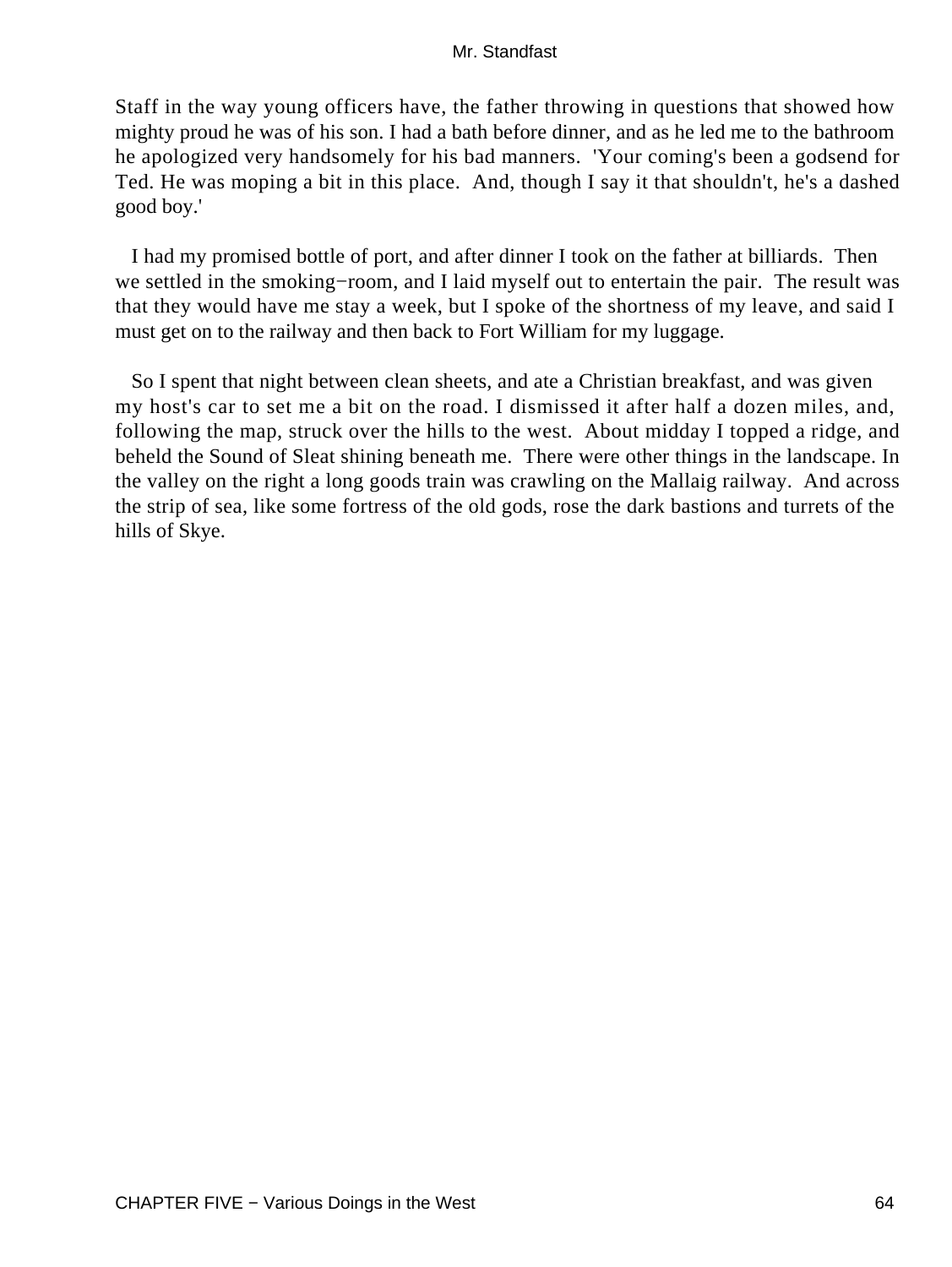Staff in the way young officers have, the father throwing in questions that showed how mighty proud he was of his son. I had a bath before dinner, and as he led me to the bathroom he apologized very handsomely for his bad manners. 'Your coming's been a godsend for Ted. He was moping a bit in this place. And, though I say it that shouldn't, he's a dashed good boy.'

 I had my promised bottle of port, and after dinner I took on the father at billiards. Then we settled in the smoking−room, and I laid myself out to entertain the pair. The result was that they would have me stay a week, but I spoke of the shortness of my leave, and said I must get on to the railway and then back to Fort William for my luggage.

 So I spent that night between clean sheets, and ate a Christian breakfast, and was given my host's car to set me a bit on the road. I dismissed it after half a dozen miles, and, following the map, struck over the hills to the west. About midday I topped a ridge, and beheld the Sound of Sleat shining beneath me. There were other things in the landscape. In the valley on the right a long goods train was crawling on the Mallaig railway. And across the strip of sea, like some fortress of the old gods, rose the dark bastions and turrets of the hills of Skye.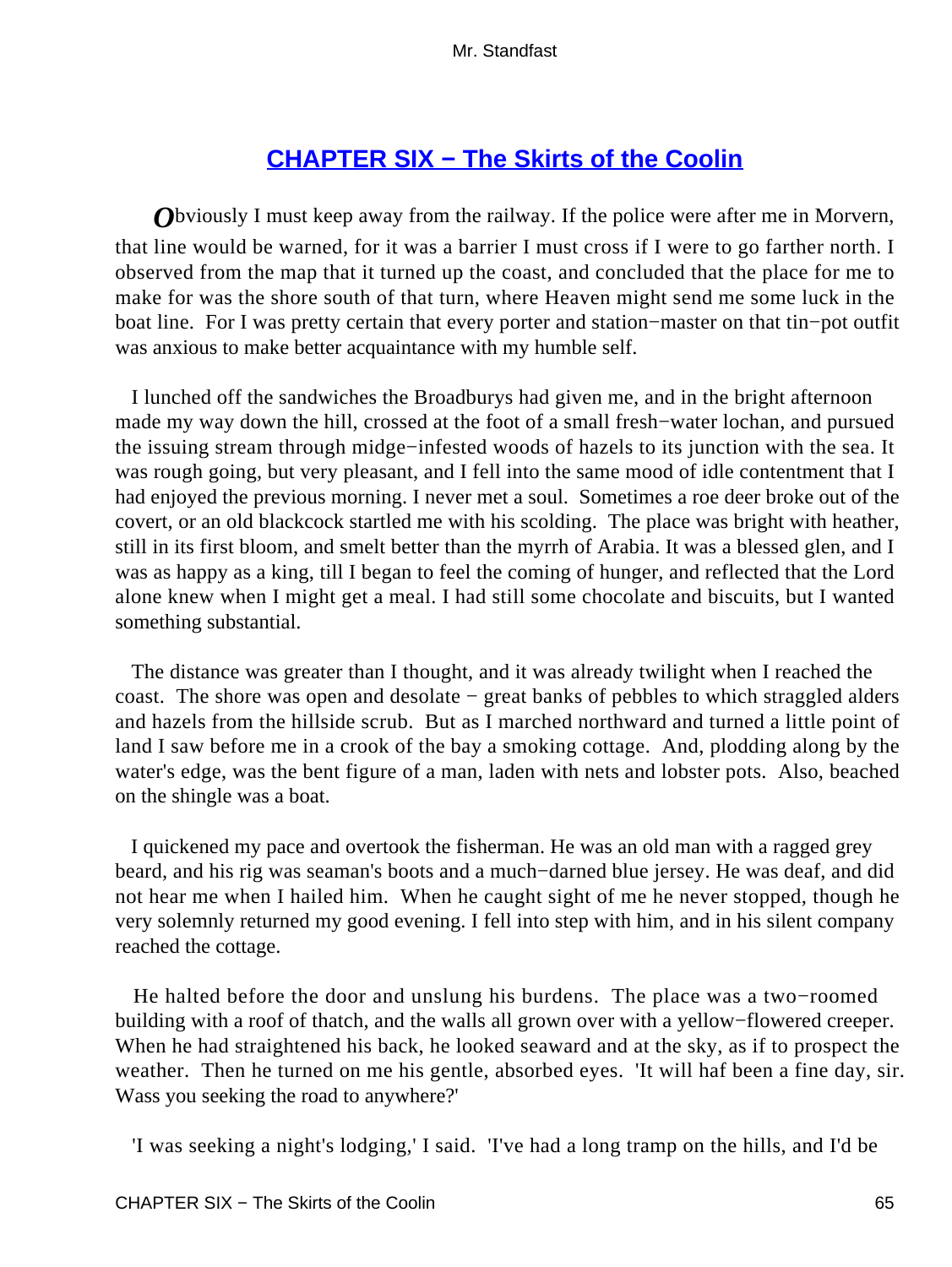# **[CHAPTER SIX − The Skirts of the Coolin](#page-255-0)**

*O*bviously I must keep away from the railway. If the police were after me in Morvern, that line would be warned, for it was a barrier I must cross if I were to go farther north. I observed from the map that it turned up the coast, and concluded that the place for me to make for was the shore south of that turn, where Heaven might send me some luck in the boat line. For I was pretty certain that every porter and station−master on that tin−pot outfit was anxious to make better acquaintance with my humble self.

 I lunched off the sandwiches the Broadburys had given me, and in the bright afternoon made my way down the hill, crossed at the foot of a small fresh−water lochan, and pursued the issuing stream through midge−infested woods of hazels to its junction with the sea. It was rough going, but very pleasant, and I fell into the same mood of idle contentment that I had enjoyed the previous morning. I never met a soul. Sometimes a roe deer broke out of the covert, or an old blackcock startled me with his scolding. The place was bright with heather, still in its first bloom, and smelt better than the myrrh of Arabia. It was a blessed glen, and I was as happy as a king, till I began to feel the coming of hunger, and reflected that the Lord alone knew when I might get a meal. I had still some chocolate and biscuits, but I wanted something substantial.

 The distance was greater than I thought, and it was already twilight when I reached the coast. The shore was open and desolate − great banks of pebbles to which straggled alders and hazels from the hillside scrub. But as I marched northward and turned a little point of land I saw before me in a crook of the bay a smoking cottage. And, plodding along by the water's edge, was the bent figure of a man, laden with nets and lobster pots. Also, beached on the shingle was a boat.

 I quickened my pace and overtook the fisherman. He was an old man with a ragged grey beard, and his rig was seaman's boots and a much−darned blue jersey. He was deaf, and did not hear me when I hailed him. When he caught sight of me he never stopped, though he very solemnly returned my good evening. I fell into step with him, and in his silent company reached the cottage.

 He halted before the door and unslung his burdens. The place was a two−roomed building with a roof of thatch, and the walls all grown over with a yellow−flowered creeper. When he had straightened his back, he looked seaward and at the sky, as if to prospect the weather. Then he turned on me his gentle, absorbed eyes. 'It will haf been a fine day, sir. Wass you seeking the road to anywhere?'

'I was seeking a night's lodging,' I said. 'I've had a long tramp on the hills, and I'd be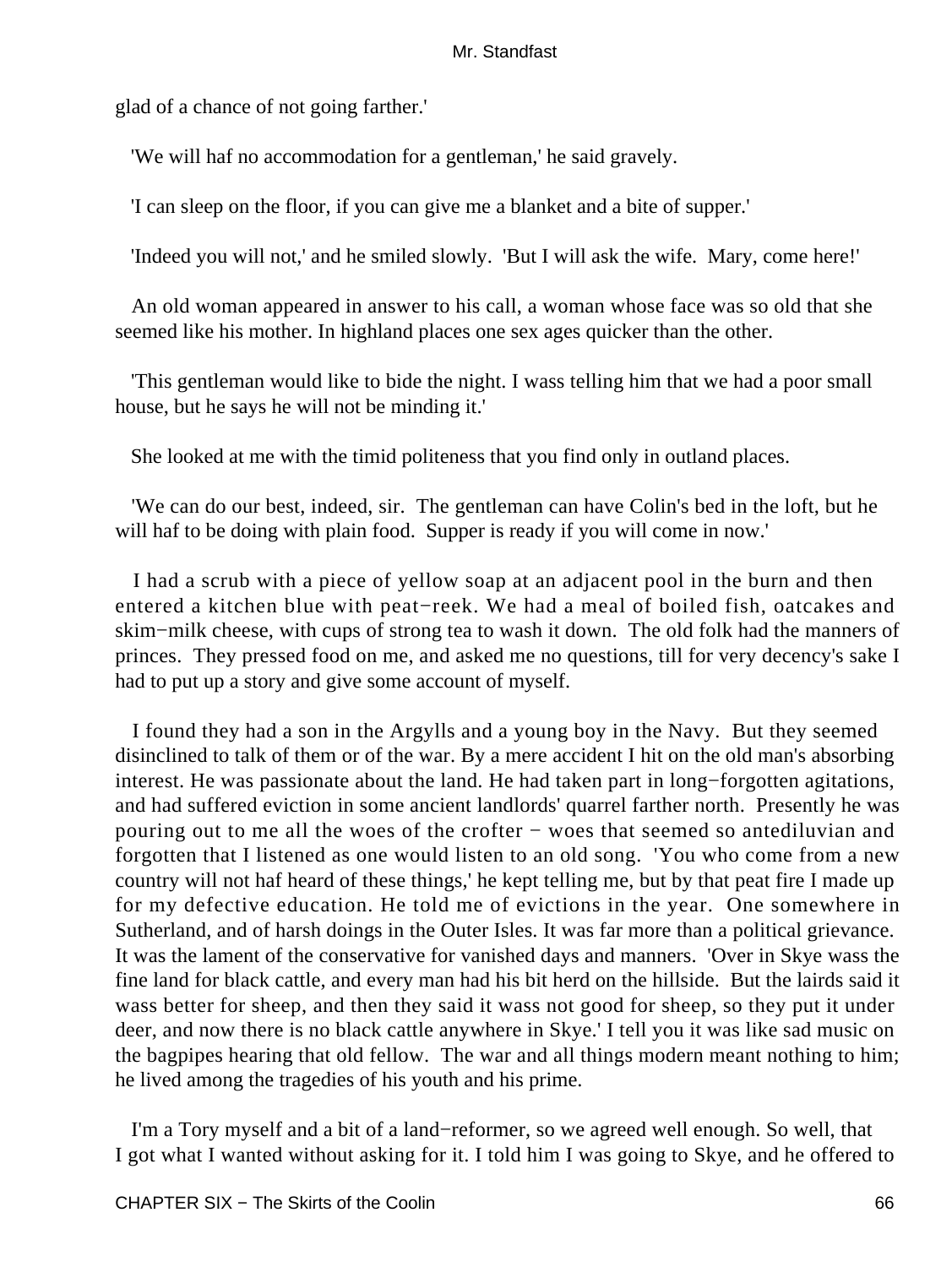glad of a chance of not going farther.'

'We will haf no accommodation for a gentleman,' he said gravely.

'I can sleep on the floor, if you can give me a blanket and a bite of supper.'

'Indeed you will not,' and he smiled slowly. 'But I will ask the wife. Mary, come here!'

 An old woman appeared in answer to his call, a woman whose face was so old that she seemed like his mother. In highland places one sex ages quicker than the other.

 'This gentleman would like to bide the night. I wass telling him that we had a poor small house, but he says he will not be minding it.'

She looked at me with the timid politeness that you find only in outland places.

 'We can do our best, indeed, sir. The gentleman can have Colin's bed in the loft, but he will haf to be doing with plain food. Supper is ready if you will come in now.'

 I had a scrub with a piece of yellow soap at an adjacent pool in the burn and then entered a kitchen blue with peat−reek. We had a meal of boiled fish, oatcakes and skim−milk cheese, with cups of strong tea to wash it down. The old folk had the manners of princes. They pressed food on me, and asked me no questions, till for very decency's sake I had to put up a story and give some account of myself.

 I found they had a son in the Argylls and a young boy in the Navy. But they seemed disinclined to talk of them or of the war. By a mere accident I hit on the old man's absorbing interest. He was passionate about the land. He had taken part in long−forgotten agitations, and had suffered eviction in some ancient landlords' quarrel farther north. Presently he was pouring out to me all the woes of the crofter − woes that seemed so antediluvian and forgotten that I listened as one would listen to an old song. 'You who come from a new country will not haf heard of these things,' he kept telling me, but by that peat fire I made up for my defective education. He told me of evictions in the year. One somewhere in Sutherland, and of harsh doings in the Outer Isles. It was far more than a political grievance. It was the lament of the conservative for vanished days and manners. 'Over in Skye wass the fine land for black cattle, and every man had his bit herd on the hillside. But the lairds said it wass better for sheep, and then they said it wass not good for sheep, so they put it under deer, and now there is no black cattle anywhere in Skye.' I tell you it was like sad music on the bagpipes hearing that old fellow. The war and all things modern meant nothing to him; he lived among the tragedies of his youth and his prime.

 I'm a Tory myself and a bit of a land−reformer, so we agreed well enough. So well, that I got what I wanted without asking for it. I told him I was going to Skye, and he offered to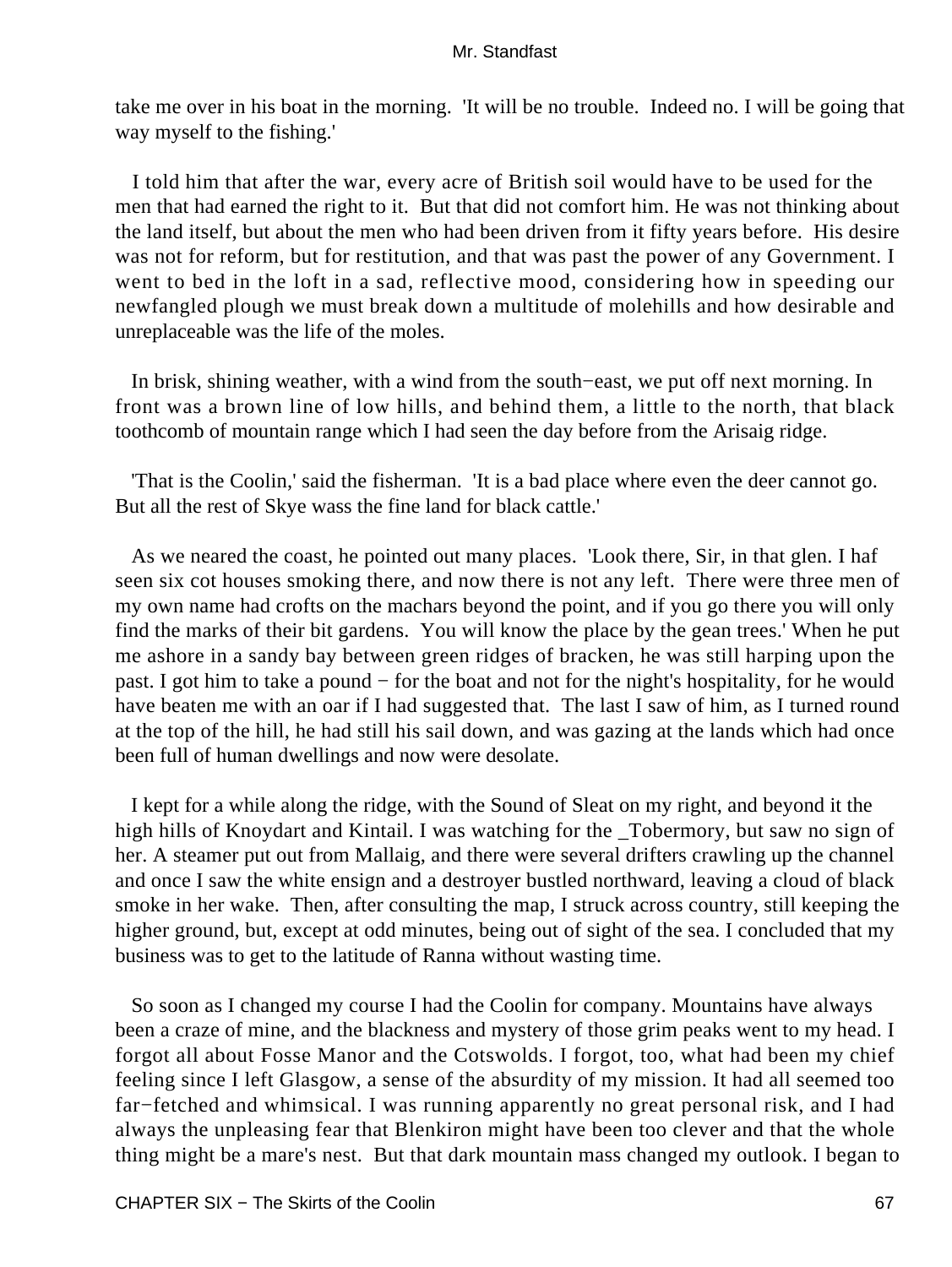take me over in his boat in the morning. 'It will be no trouble. Indeed no. I will be going that way myself to the fishing.'

 I told him that after the war, every acre of British soil would have to be used for the men that had earned the right to it. But that did not comfort him. He was not thinking about the land itself, but about the men who had been driven from it fifty years before. His desire was not for reform, but for restitution, and that was past the power of any Government. I went to bed in the loft in a sad, reflective mood, considering how in speeding our newfangled plough we must break down a multitude of molehills and how desirable and unreplaceable was the life of the moles.

 In brisk, shining weather, with a wind from the south−east, we put off next morning. In front was a brown line of low hills, and behind them, a little to the north, that black toothcomb of mountain range which I had seen the day before from the Arisaig ridge.

 'That is the Coolin,' said the fisherman. 'It is a bad place where even the deer cannot go. But all the rest of Skye wass the fine land for black cattle.'

 As we neared the coast, he pointed out many places. 'Look there, Sir, in that glen. I haf seen six cot houses smoking there, and now there is not any left. There were three men of my own name had crofts on the machars beyond the point, and if you go there you will only find the marks of their bit gardens. You will know the place by the gean trees.' When he put me ashore in a sandy bay between green ridges of bracken, he was still harping upon the past. I got him to take a pound − for the boat and not for the night's hospitality, for he would have beaten me with an oar if I had suggested that. The last I saw of him, as I turned round at the top of the hill, he had still his sail down, and was gazing at the lands which had once been full of human dwellings and now were desolate.

 I kept for a while along the ridge, with the Sound of Sleat on my right, and beyond it the high hills of Knoydart and Kintail. I was watching for the \_Tobermory, but saw no sign of her. A steamer put out from Mallaig, and there were several drifters crawling up the channel and once I saw the white ensign and a destroyer bustled northward, leaving a cloud of black smoke in her wake. Then, after consulting the map, I struck across country, still keeping the higher ground, but, except at odd minutes, being out of sight of the sea. I concluded that my business was to get to the latitude of Ranna without wasting time.

 So soon as I changed my course I had the Coolin for company. Mountains have always been a craze of mine, and the blackness and mystery of those grim peaks went to my head. I forgot all about Fosse Manor and the Cotswolds. I forgot, too, what had been my chief feeling since I left Glasgow, a sense of the absurdity of my mission. It had all seemed too far−fetched and whimsical. I was running apparently no great personal risk, and I had always the unpleasing fear that Blenkiron might have been too clever and that the whole thing might be a mare's nest. But that dark mountain mass changed my outlook. I began to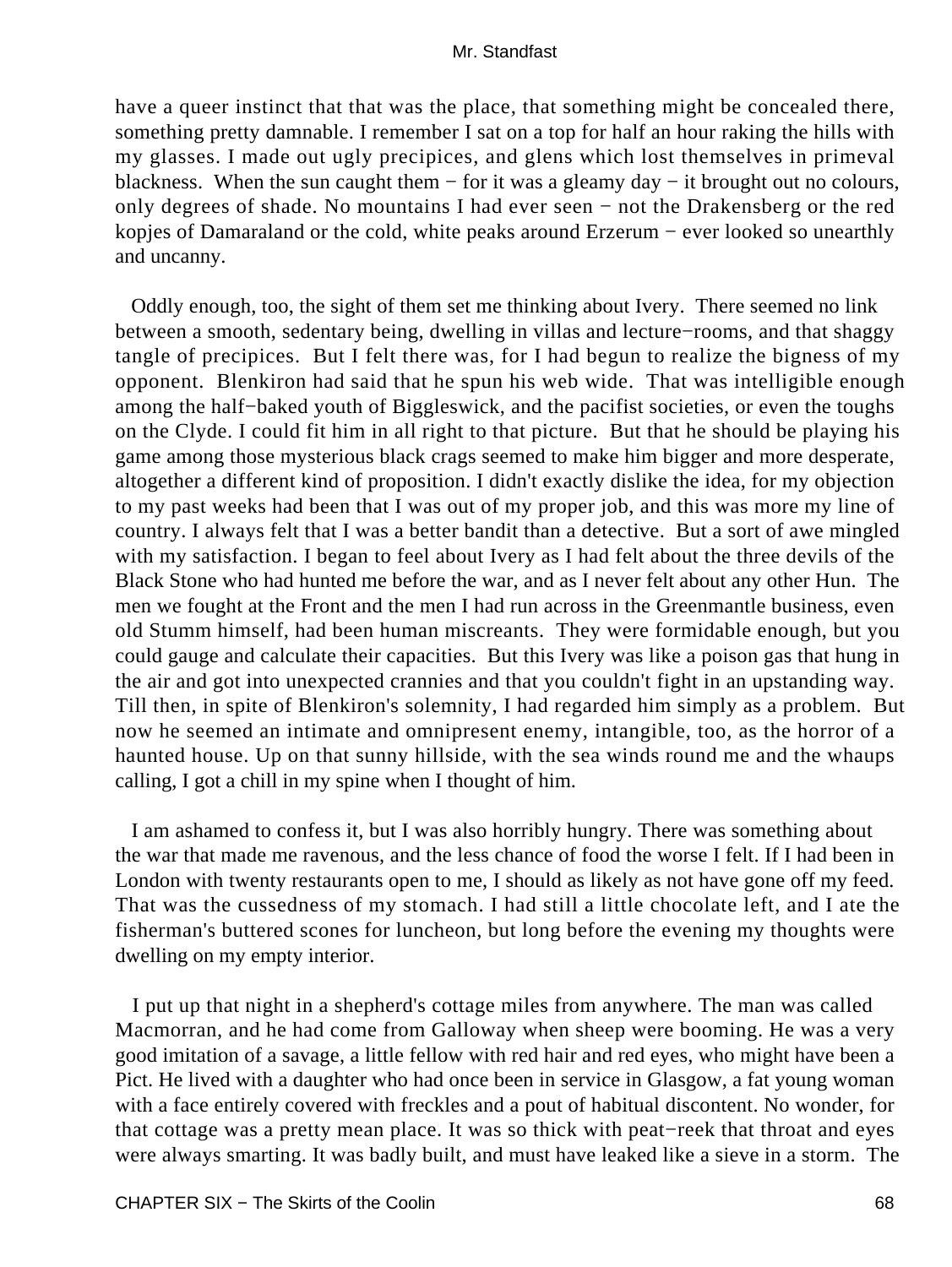have a queer instinct that that was the place, that something might be concealed there, something pretty damnable. I remember I sat on a top for half an hour raking the hills with my glasses. I made out ugly precipices, and glens which lost themselves in primeval blackness. When the sun caught them − for it was a gleamy day − it brought out no colours, only degrees of shade. No mountains I had ever seen − not the Drakensberg or the red kopjes of Damaraland or the cold, white peaks around Erzerum − ever looked so unearthly and uncanny.

 Oddly enough, too, the sight of them set me thinking about Ivery. There seemed no link between a smooth, sedentary being, dwelling in villas and lecture−rooms, and that shaggy tangle of precipices. But I felt there was, for I had begun to realize the bigness of my opponent. Blenkiron had said that he spun his web wide. That was intelligible enough among the half−baked youth of Biggleswick, and the pacifist societies, or even the toughs on the Clyde. I could fit him in all right to that picture. But that he should be playing his game among those mysterious black crags seemed to make him bigger and more desperate, altogether a different kind of proposition. I didn't exactly dislike the idea, for my objection to my past weeks had been that I was out of my proper job, and this was more my line of country. I always felt that I was a better bandit than a detective. But a sort of awe mingled with my satisfaction. I began to feel about Ivery as I had felt about the three devils of the Black Stone who had hunted me before the war, and as I never felt about any other Hun. The men we fought at the Front and the men I had run across in the Greenmantle business, even old Stumm himself, had been human miscreants. They were formidable enough, but you could gauge and calculate their capacities. But this Ivery was like a poison gas that hung in the air and got into unexpected crannies and that you couldn't fight in an upstanding way. Till then, in spite of Blenkiron's solemnity, I had regarded him simply as a problem. But now he seemed an intimate and omnipresent enemy, intangible, too, as the horror of a haunted house. Up on that sunny hillside, with the sea winds round me and the whaups calling, I got a chill in my spine when I thought of him.

 I am ashamed to confess it, but I was also horribly hungry. There was something about the war that made me ravenous, and the less chance of food the worse I felt. If I had been in London with twenty restaurants open to me, I should as likely as not have gone off my feed. That was the cussedness of my stomach. I had still a little chocolate left, and I ate the fisherman's buttered scones for luncheon, but long before the evening my thoughts were dwelling on my empty interior.

 I put up that night in a shepherd's cottage miles from anywhere. The man was called Macmorran, and he had come from Galloway when sheep were booming. He was a very good imitation of a savage, a little fellow with red hair and red eyes, who might have been a Pict. He lived with a daughter who had once been in service in Glasgow, a fat young woman with a face entirely covered with freckles and a pout of habitual discontent. No wonder, for that cottage was a pretty mean place. It was so thick with peat−reek that throat and eyes were always smarting. It was badly built, and must have leaked like a sieve in a storm. The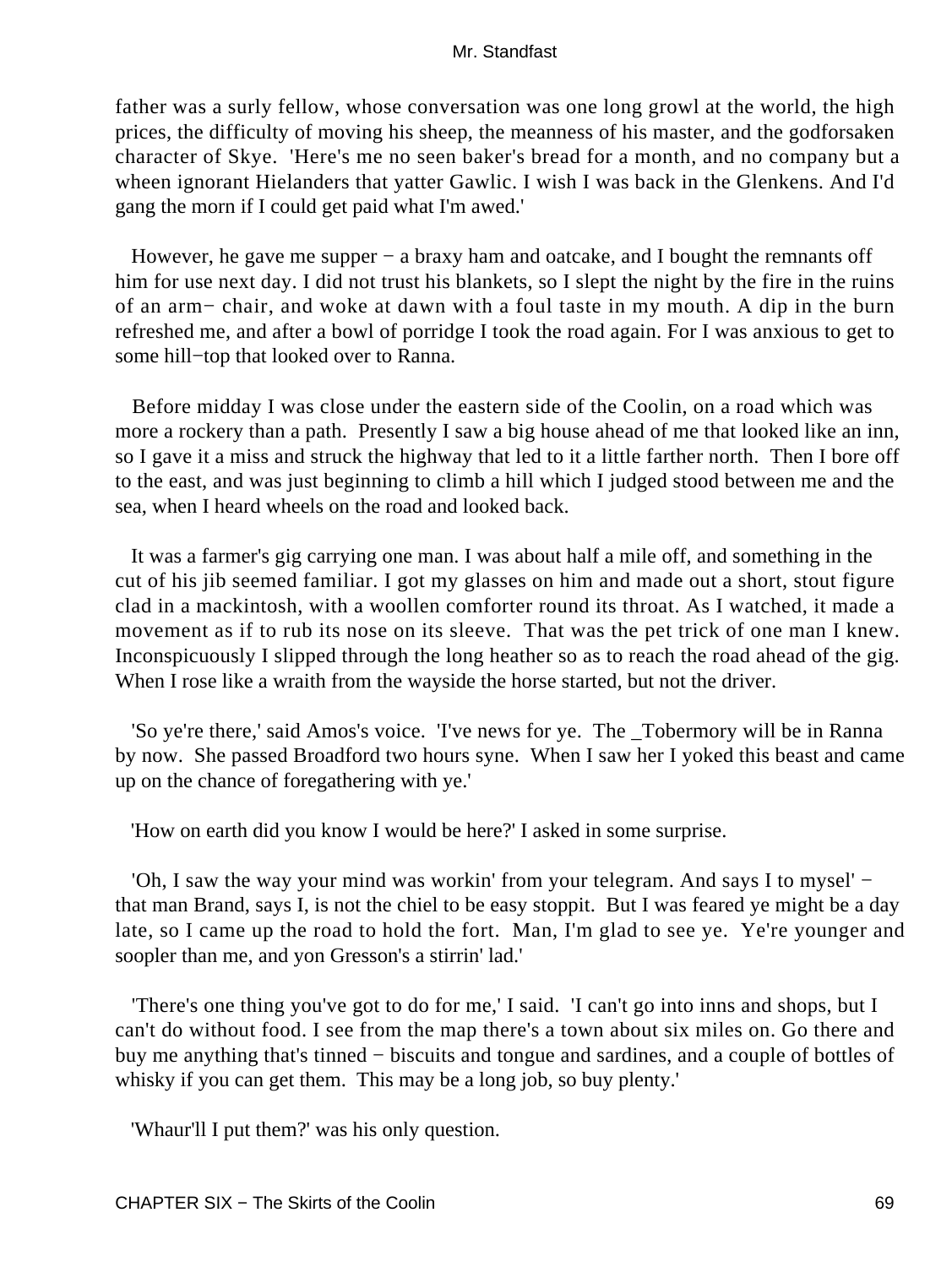father was a surly fellow, whose conversation was one long growl at the world, the high prices, the difficulty of moving his sheep, the meanness of his master, and the godforsaken character of Skye. 'Here's me no seen baker's bread for a month, and no company but a wheen ignorant Hielanders that yatter Gawlic. I wish I was back in the Glenkens. And I'd gang the morn if I could get paid what I'm awed.'

However, he gave me supper – a braxy ham and oatcake, and I bought the remnants off him for use next day. I did not trust his blankets, so I slept the night by the fire in the ruins of an arm− chair, and woke at dawn with a foul taste in my mouth. A dip in the burn refreshed me, and after a bowl of porridge I took the road again. For I was anxious to get to some hill−top that looked over to Ranna.

 Before midday I was close under the eastern side of the Coolin, on a road which was more a rockery than a path. Presently I saw a big house ahead of me that looked like an inn, so I gave it a miss and struck the highway that led to it a little farther north. Then I bore off to the east, and was just beginning to climb a hill which I judged stood between me and the sea, when I heard wheels on the road and looked back.

 It was a farmer's gig carrying one man. I was about half a mile off, and something in the cut of his jib seemed familiar. I got my glasses on him and made out a short, stout figure clad in a mackintosh, with a woollen comforter round its throat. As I watched, it made a movement as if to rub its nose on its sleeve. That was the pet trick of one man I knew. Inconspicuously I slipped through the long heather so as to reach the road ahead of the gig. When I rose like a wraith from the wayside the horse started, but not the driver.

 'So ye're there,' said Amos's voice. 'I've news for ye. The \_Tobermory will be in Ranna by now. She passed Broadford two hours syne. When I saw her I yoked this beast and came up on the chance of foregathering with ye.'

'How on earth did you know I would be here?' I asked in some surprise.

 'Oh, I saw the way your mind was workin' from your telegram. And says I to mysel' − that man Brand, says I, is not the chiel to be easy stoppit. But I was feared ye might be a day late, so I came up the road to hold the fort. Man, I'm glad to see ye. Ye're younger and soopler than me, and yon Gresson's a stirrin' lad.'

 'There's one thing you've got to do for me,' I said. 'I can't go into inns and shops, but I can't do without food. I see from the map there's a town about six miles on. Go there and buy me anything that's tinned − biscuits and tongue and sardines, and a couple of bottles of whisky if you can get them. This may be a long job, so buy plenty.'

'Whaur'll I put them?' was his only question.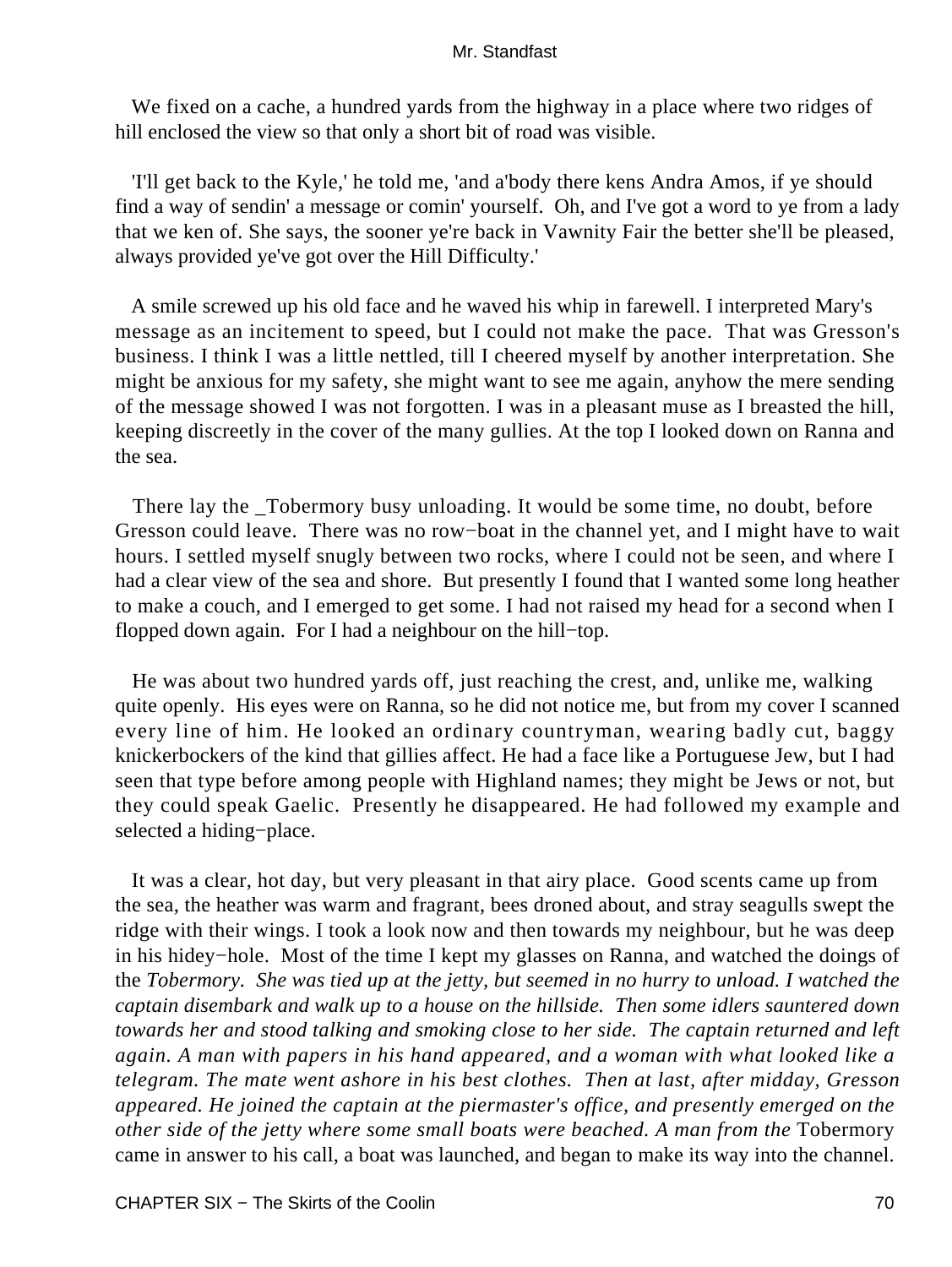We fixed on a cache, a hundred yards from the highway in a place where two ridges of hill enclosed the view so that only a short bit of road was visible.

 'I'll get back to the Kyle,' he told me, 'and a'body there kens Andra Amos, if ye should find a way of sendin' a message or comin' yourself. Oh, and I've got a word to ye from a lady that we ken of. She says, the sooner ye're back in Vawnity Fair the better she'll be pleased, always provided ye've got over the Hill Difficulty.'

 A smile screwed up his old face and he waved his whip in farewell. I interpreted Mary's message as an incitement to speed, but I could not make the pace. That was Gresson's business. I think I was a little nettled, till I cheered myself by another interpretation. She might be anxious for my safety, she might want to see me again, anyhow the mere sending of the message showed I was not forgotten. I was in a pleasant muse as I breasted the hill, keeping discreetly in the cover of the many gullies. At the top I looked down on Ranna and the sea.

 There lay the \_Tobermory busy unloading. It would be some time, no doubt, before Gresson could leave. There was no row−boat in the channel yet, and I might have to wait hours. I settled myself snugly between two rocks, where I could not be seen, and where I had a clear view of the sea and shore. But presently I found that I wanted some long heather to make a couch, and I emerged to get some. I had not raised my head for a second when I flopped down again. For I had a neighbour on the hill−top.

 He was about two hundred yards off, just reaching the crest, and, unlike me, walking quite openly. His eyes were on Ranna, so he did not notice me, but from my cover I scanned every line of him. He looked an ordinary countryman, wearing badly cut, baggy knickerbockers of the kind that gillies affect. He had a face like a Portuguese Jew, but I had seen that type before among people with Highland names; they might be Jews or not, but they could speak Gaelic. Presently he disappeared. He had followed my example and selected a hiding−place.

 It was a clear, hot day, but very pleasant in that airy place. Good scents came up from the sea, the heather was warm and fragrant, bees droned about, and stray seagulls swept the ridge with their wings. I took a look now and then towards my neighbour, but he was deep in his hidey−hole. Most of the time I kept my glasses on Ranna, and watched the doings of the *Tobermory. She was tied up at the jetty, but seemed in no hurry to unload. I watched the captain disembark and walk up to a house on the hillside. Then some idlers sauntered down towards her and stood talking and smoking close to her side. The captain returned and left again. A man with papers in his hand appeared, and a woman with what looked like a telegram. The mate went ashore in his best clothes. Then at last, after midday, Gresson appeared. He joined the captain at the piermaster's office, and presently emerged on the other side of the jetty where some small boats were beached. A man from the Tobermory* came in answer to his call, a boat was launched, and began to make its way into the channel.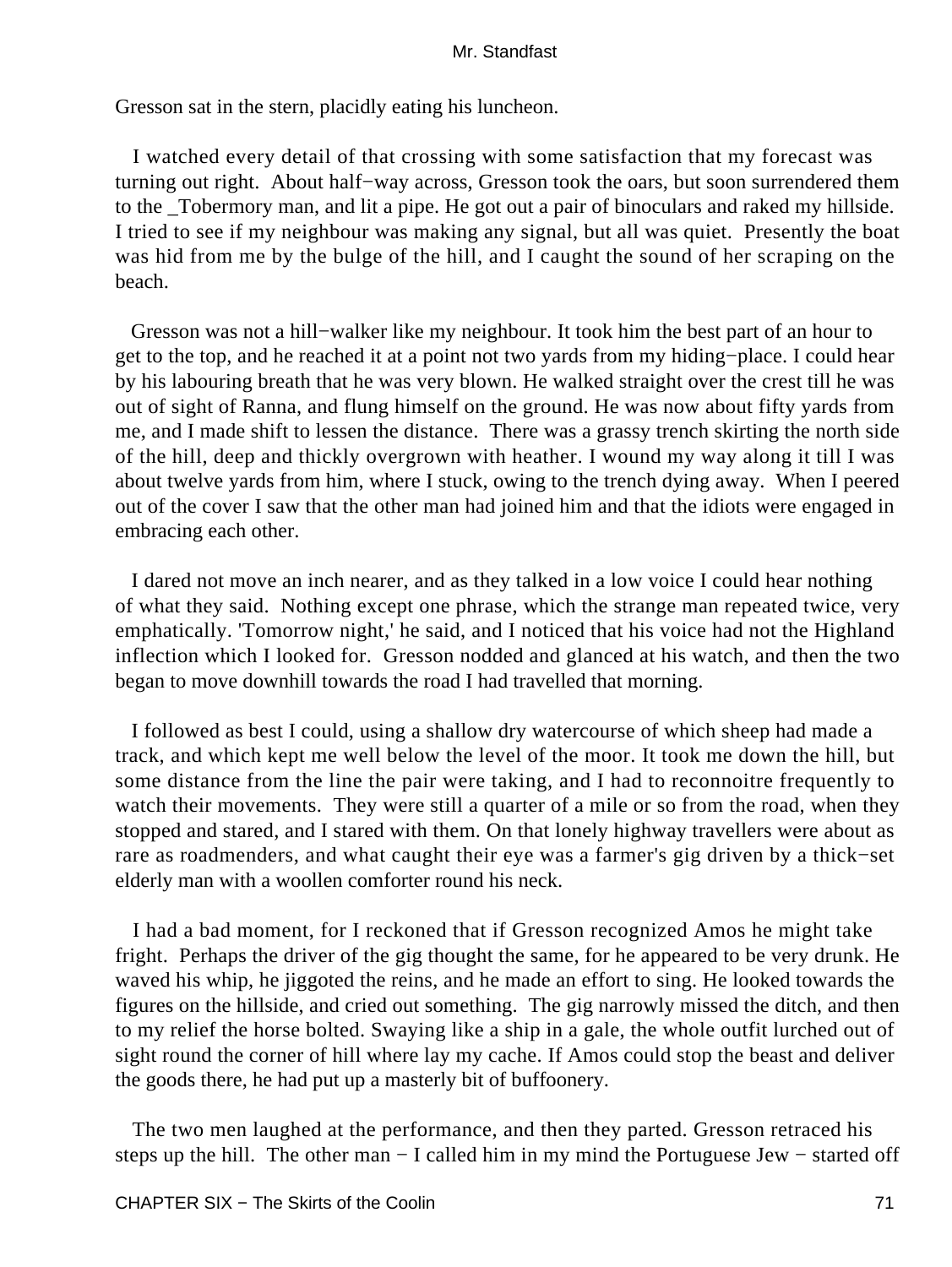Gresson sat in the stern, placidly eating his luncheon.

 I watched every detail of that crossing with some satisfaction that my forecast was turning out right. About half−way across, Gresson took the oars, but soon surrendered them to the \_Tobermory man, and lit a pipe. He got out a pair of binoculars and raked my hillside. I tried to see if my neighbour was making any signal, but all was quiet. Presently the boat was hid from me by the bulge of the hill, and I caught the sound of her scraping on the beach.

 Gresson was not a hill−walker like my neighbour. It took him the best part of an hour to get to the top, and he reached it at a point not two yards from my hiding−place. I could hear by his labouring breath that he was very blown. He walked straight over the crest till he was out of sight of Ranna, and flung himself on the ground. He was now about fifty yards from me, and I made shift to lessen the distance. There was a grassy trench skirting the north side of the hill, deep and thickly overgrown with heather. I wound my way along it till I was about twelve yards from him, where I stuck, owing to the trench dying away. When I peered out of the cover I saw that the other man had joined him and that the idiots were engaged in embracing each other.

 I dared not move an inch nearer, and as they talked in a low voice I could hear nothing of what they said. Nothing except one phrase, which the strange man repeated twice, very emphatically. 'Tomorrow night,' he said, and I noticed that his voice had not the Highland inflection which I looked for. Gresson nodded and glanced at his watch, and then the two began to move downhill towards the road I had travelled that morning.

 I followed as best I could, using a shallow dry watercourse of which sheep had made a track, and which kept me well below the level of the moor. It took me down the hill, but some distance from the line the pair were taking, and I had to reconnoitre frequently to watch their movements. They were still a quarter of a mile or so from the road, when they stopped and stared, and I stared with them. On that lonely highway travellers were about as rare as roadmenders, and what caught their eye was a farmer's gig driven by a thick−set elderly man with a woollen comforter round his neck.

 I had a bad moment, for I reckoned that if Gresson recognized Amos he might take fright. Perhaps the driver of the gig thought the same, for he appeared to be very drunk. He waved his whip, he jiggoted the reins, and he made an effort to sing. He looked towards the figures on the hillside, and cried out something. The gig narrowly missed the ditch, and then to my relief the horse bolted. Swaying like a ship in a gale, the whole outfit lurched out of sight round the corner of hill where lay my cache. If Amos could stop the beast and deliver the goods there, he had put up a masterly bit of buffoonery.

 The two men laughed at the performance, and then they parted. Gresson retraced his steps up the hill. The other man – I called him in my mind the Portuguese Jew – started off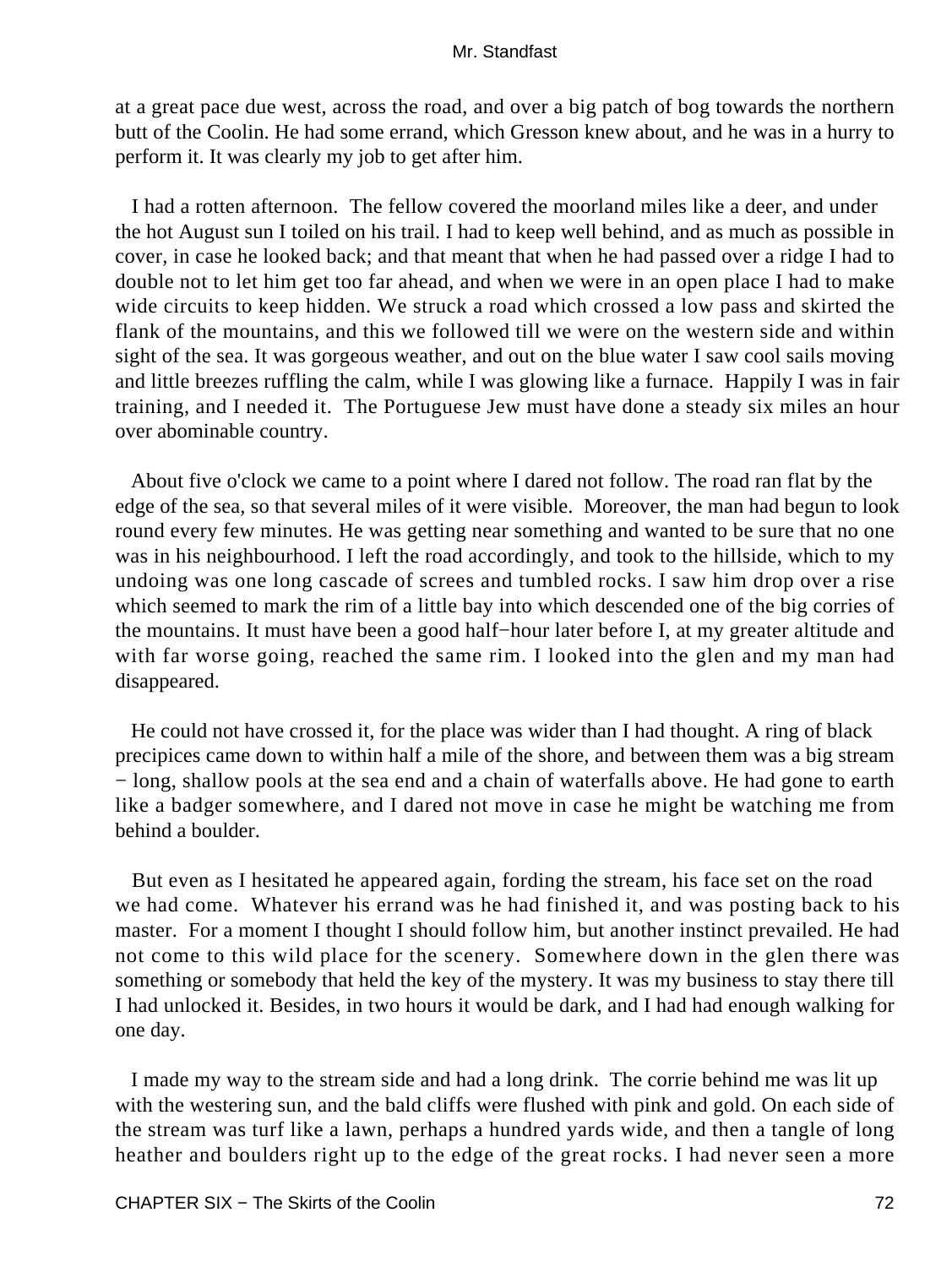at a great pace due west, across the road, and over a big patch of bog towards the northern butt of the Coolin. He had some errand, which Gresson knew about, and he was in a hurry to perform it. It was clearly my job to get after him.

 I had a rotten afternoon. The fellow covered the moorland miles like a deer, and under the hot August sun I toiled on his trail. I had to keep well behind, and as much as possible in cover, in case he looked back; and that meant that when he had passed over a ridge I had to double not to let him get too far ahead, and when we were in an open place I had to make wide circuits to keep hidden. We struck a road which crossed a low pass and skirted the flank of the mountains, and this we followed till we were on the western side and within sight of the sea. It was gorgeous weather, and out on the blue water I saw cool sails moving and little breezes ruffling the calm, while I was glowing like a furnace. Happily I was in fair training, and I needed it. The Portuguese Jew must have done a steady six miles an hour over abominable country.

 About five o'clock we came to a point where I dared not follow. The road ran flat by the edge of the sea, so that several miles of it were visible. Moreover, the man had begun to look round every few minutes. He was getting near something and wanted to be sure that no one was in his neighbourhood. I left the road accordingly, and took to the hillside, which to my undoing was one long cascade of screes and tumbled rocks. I saw him drop over a rise which seemed to mark the rim of a little bay into which descended one of the big corries of the mountains. It must have been a good half−hour later before I, at my greater altitude and with far worse going, reached the same rim. I looked into the glen and my man had disappeared.

 He could not have crossed it, for the place was wider than I had thought. A ring of black precipices came down to within half a mile of the shore, and between them was a big stream − long, shallow pools at the sea end and a chain of waterfalls above. He had gone to earth like a badger somewhere, and I dared not move in case he might be watching me from behind a boulder.

 But even as I hesitated he appeared again, fording the stream, his face set on the road we had come. Whatever his errand was he had finished it, and was posting back to his master. For a moment I thought I should follow him, but another instinct prevailed. He had not come to this wild place for the scenery. Somewhere down in the glen there was something or somebody that held the key of the mystery. It was my business to stay there till I had unlocked it. Besides, in two hours it would be dark, and I had had enough walking for one day.

 I made my way to the stream side and had a long drink. The corrie behind me was lit up with the westering sun, and the bald cliffs were flushed with pink and gold. On each side of the stream was turf like a lawn, perhaps a hundred yards wide, and then a tangle of long heather and boulders right up to the edge of the great rocks. I had never seen a more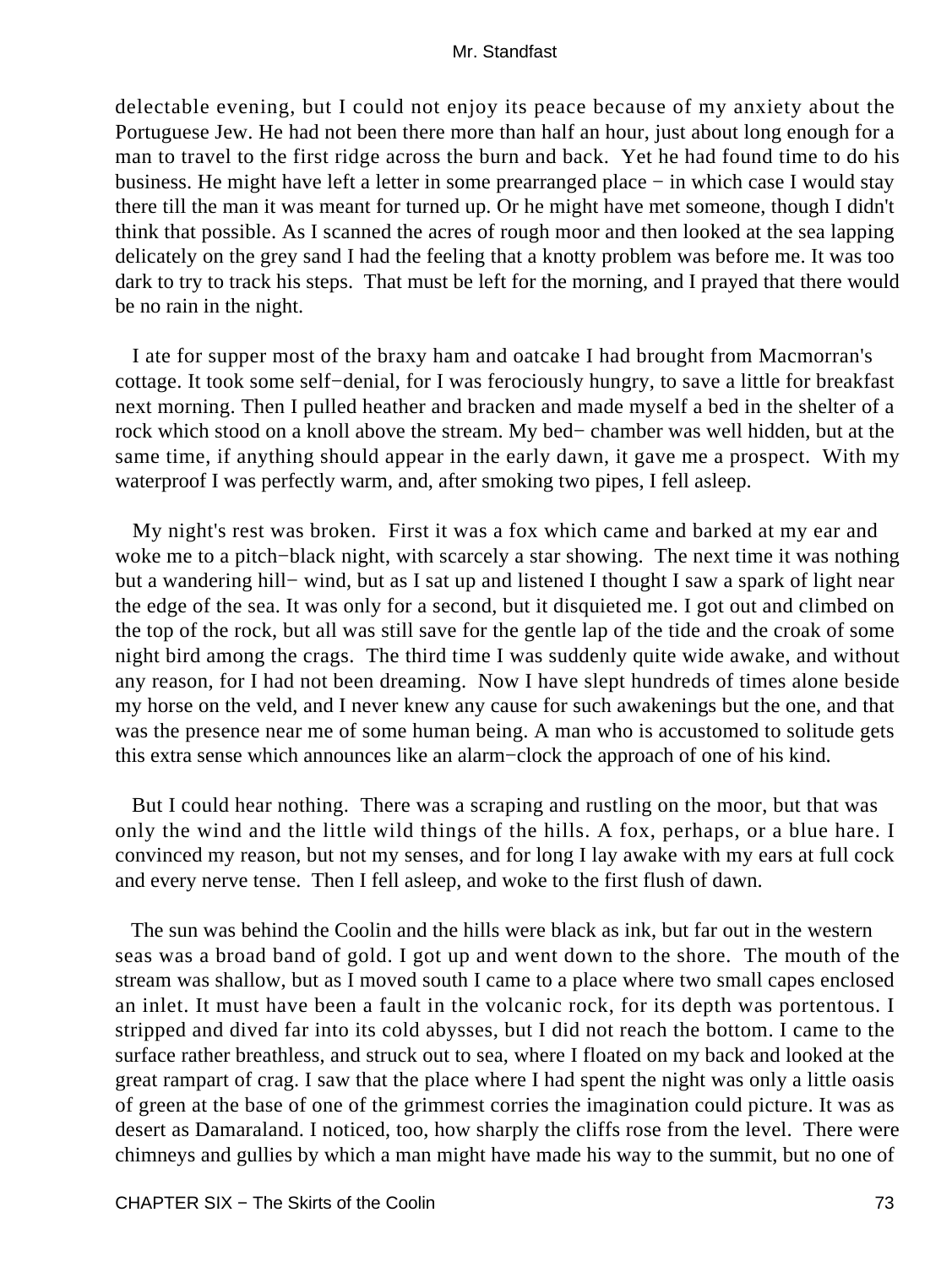delectable evening, but I could not enjoy its peace because of my anxiety about the Portuguese Jew. He had not been there more than half an hour, just about long enough for a man to travel to the first ridge across the burn and back. Yet he had found time to do his business. He might have left a letter in some prearranged place − in which case I would stay there till the man it was meant for turned up. Or he might have met someone, though I didn't think that possible. As I scanned the acres of rough moor and then looked at the sea lapping delicately on the grey sand I had the feeling that a knotty problem was before me. It was too dark to try to track his steps. That must be left for the morning, and I prayed that there would be no rain in the night.

 I ate for supper most of the braxy ham and oatcake I had brought from Macmorran's cottage. It took some self−denial, for I was ferociously hungry, to save a little for breakfast next morning. Then I pulled heather and bracken and made myself a bed in the shelter of a rock which stood on a knoll above the stream. My bed− chamber was well hidden, but at the same time, if anything should appear in the early dawn, it gave me a prospect. With my waterproof I was perfectly warm, and, after smoking two pipes, I fell asleep.

 My night's rest was broken. First it was a fox which came and barked at my ear and woke me to a pitch−black night, with scarcely a star showing. The next time it was nothing but a wandering hill− wind, but as I sat up and listened I thought I saw a spark of light near the edge of the sea. It was only for a second, but it disquieted me. I got out and climbed on the top of the rock, but all was still save for the gentle lap of the tide and the croak of some night bird among the crags. The third time I was suddenly quite wide awake, and without any reason, for I had not been dreaming. Now I have slept hundreds of times alone beside my horse on the veld, and I never knew any cause for such awakenings but the one, and that was the presence near me of some human being. A man who is accustomed to solitude gets this extra sense which announces like an alarm−clock the approach of one of his kind.

 But I could hear nothing. There was a scraping and rustling on the moor, but that was only the wind and the little wild things of the hills. A fox, perhaps, or a blue hare. I convinced my reason, but not my senses, and for long I lay awake with my ears at full cock and every nerve tense. Then I fell asleep, and woke to the first flush of dawn.

 The sun was behind the Coolin and the hills were black as ink, but far out in the western seas was a broad band of gold. I got up and went down to the shore. The mouth of the stream was shallow, but as I moved south I came to a place where two small capes enclosed an inlet. It must have been a fault in the volcanic rock, for its depth was portentous. I stripped and dived far into its cold abysses, but I did not reach the bottom. I came to the surface rather breathless, and struck out to sea, where I floated on my back and looked at the great rampart of crag. I saw that the place where I had spent the night was only a little oasis of green at the base of one of the grimmest corries the imagination could picture. It was as desert as Damaraland. I noticed, too, how sharply the cliffs rose from the level. There were chimneys and gullies by which a man might have made his way to the summit, but no one of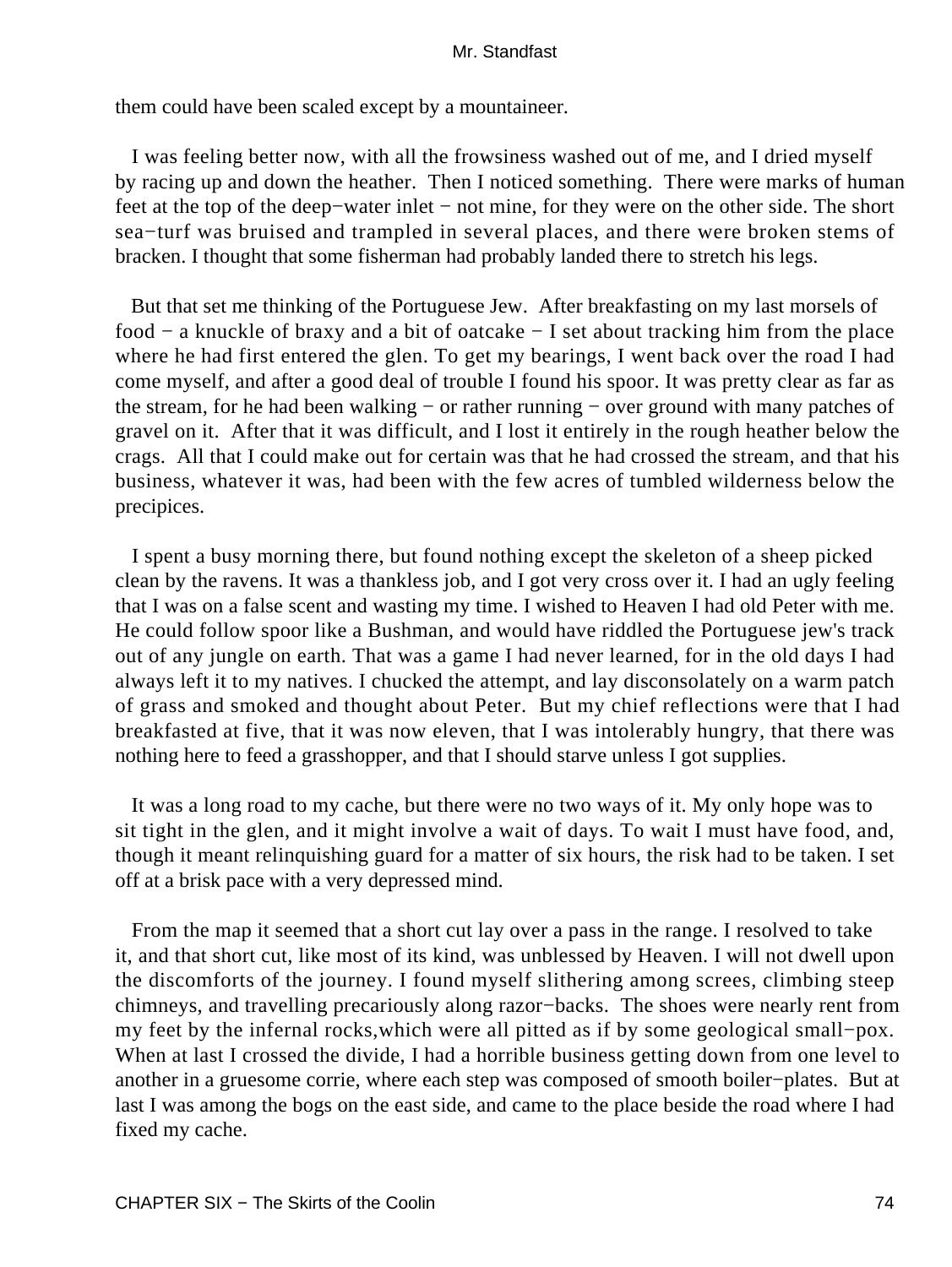them could have been scaled except by a mountaineer.

 I was feeling better now, with all the frowsiness washed out of me, and I dried myself by racing up and down the heather. Then I noticed something. There were marks of human feet at the top of the deep−water inlet − not mine, for they were on the other side. The short sea−turf was bruised and trampled in several places, and there were broken stems of bracken. I thought that some fisherman had probably landed there to stretch his legs.

 But that set me thinking of the Portuguese Jew. After breakfasting on my last morsels of food − a knuckle of braxy and a bit of oatcake − I set about tracking him from the place where he had first entered the glen. To get my bearings, I went back over the road I had come myself, and after a good deal of trouble I found his spoor. It was pretty clear as far as the stream, for he had been walking − or rather running − over ground with many patches of gravel on it. After that it was difficult, and I lost it entirely in the rough heather below the crags. All that I could make out for certain was that he had crossed the stream, and that his business, whatever it was, had been with the few acres of tumbled wilderness below the precipices.

 I spent a busy morning there, but found nothing except the skeleton of a sheep picked clean by the ravens. It was a thankless job, and I got very cross over it. I had an ugly feeling that I was on a false scent and wasting my time. I wished to Heaven I had old Peter with me. He could follow spoor like a Bushman, and would have riddled the Portuguese jew's track out of any jungle on earth. That was a game I had never learned, for in the old days I had always left it to my natives. I chucked the attempt, and lay disconsolately on a warm patch of grass and smoked and thought about Peter. But my chief reflections were that I had breakfasted at five, that it was now eleven, that I was intolerably hungry, that there was nothing here to feed a grasshopper, and that I should starve unless I got supplies.

 It was a long road to my cache, but there were no two ways of it. My only hope was to sit tight in the glen, and it might involve a wait of days. To wait I must have food, and, though it meant relinquishing guard for a matter of six hours, the risk had to be taken. I set off at a brisk pace with a very depressed mind.

 From the map it seemed that a short cut lay over a pass in the range. I resolved to take it, and that short cut, like most of its kind, was unblessed by Heaven. I will not dwell upon the discomforts of the journey. I found myself slithering among screes, climbing steep chimneys, and travelling precariously along razor−backs. The shoes were nearly rent from my feet by the infernal rocks,which were all pitted as if by some geological small−pox. When at last I crossed the divide, I had a horrible business getting down from one level to another in a gruesome corrie, where each step was composed of smooth boiler−plates. But at last I was among the bogs on the east side, and came to the place beside the road where I had fixed my cache.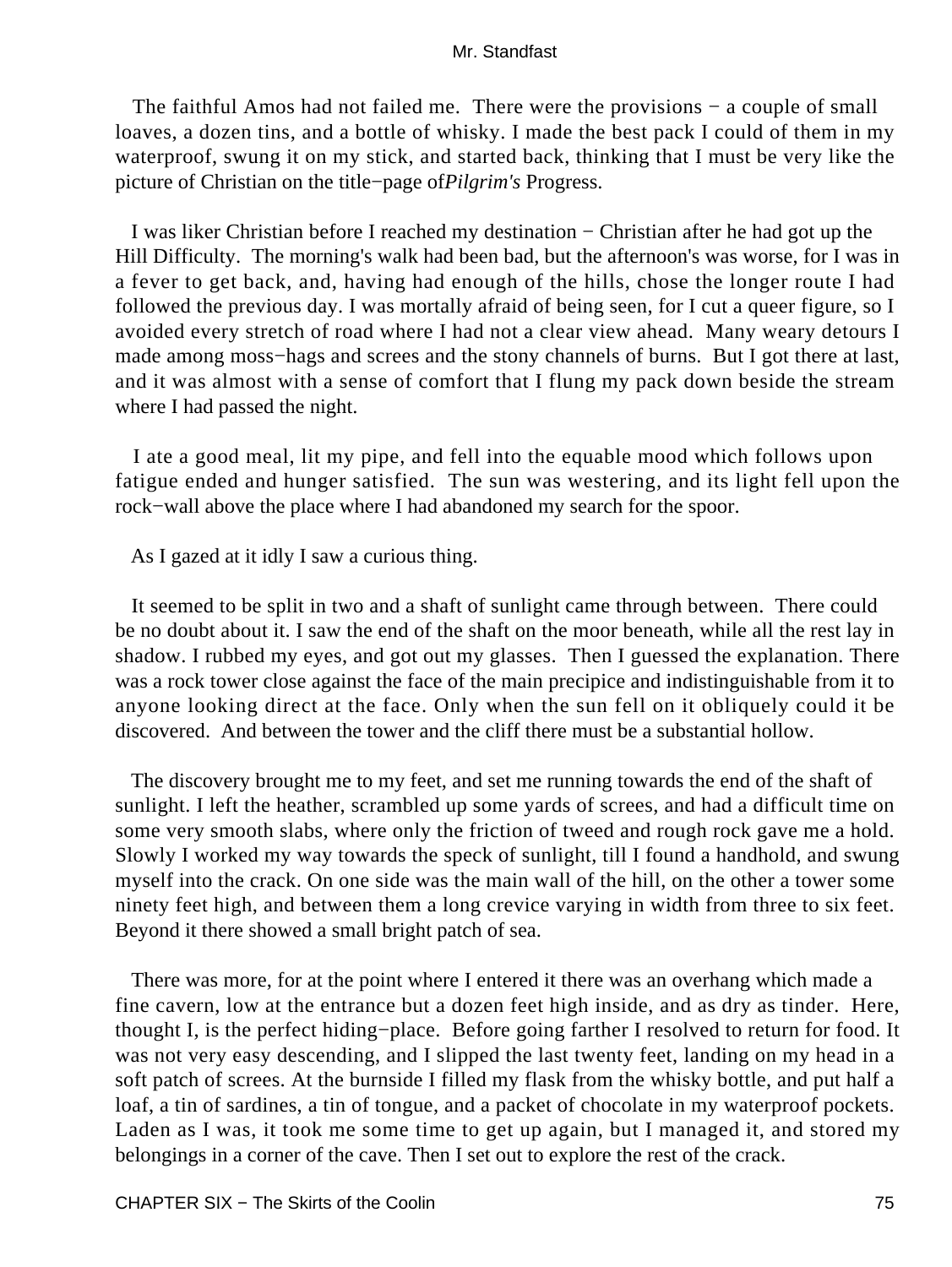The faithful Amos had not failed me. There were the provisions − a couple of small loaves, a dozen tins, and a bottle of whisky. I made the best pack I could of them in my waterproof, swung it on my stick, and started back, thinking that I must be very like the picture of Christian on the title−page of*Pilgrim's* Progress.

 I was liker Christian before I reached my destination − Christian after he had got up the Hill Difficulty. The morning's walk had been bad, but the afternoon's was worse, for I was in a fever to get back, and, having had enough of the hills, chose the longer route I had followed the previous day. I was mortally afraid of being seen, for I cut a queer figure, so I avoided every stretch of road where I had not a clear view ahead. Many weary detours I made among moss−hags and screes and the stony channels of burns. But I got there at last, and it was almost with a sense of comfort that I flung my pack down beside the stream where I had passed the night.

 I ate a good meal, lit my pipe, and fell into the equable mood which follows upon fatigue ended and hunger satisfied. The sun was westering, and its light fell upon the rock−wall above the place where I had abandoned my search for the spoor.

As I gazed at it idly I saw a curious thing.

 It seemed to be split in two and a shaft of sunlight came through between. There could be no doubt about it. I saw the end of the shaft on the moor beneath, while all the rest lay in shadow. I rubbed my eyes, and got out my glasses. Then I guessed the explanation. There was a rock tower close against the face of the main precipice and indistinguishable from it to anyone looking direct at the face. Only when the sun fell on it obliquely could it be discovered. And between the tower and the cliff there must be a substantial hollow.

 The discovery brought me to my feet, and set me running towards the end of the shaft of sunlight. I left the heather, scrambled up some yards of screes, and had a difficult time on some very smooth slabs, where only the friction of tweed and rough rock gave me a hold. Slowly I worked my way towards the speck of sunlight, till I found a handhold, and swung myself into the crack. On one side was the main wall of the hill, on the other a tower some ninety feet high, and between them a long crevice varying in width from three to six feet. Beyond it there showed a small bright patch of sea.

 There was more, for at the point where I entered it there was an overhang which made a fine cavern, low at the entrance but a dozen feet high inside, and as dry as tinder. Here, thought I, is the perfect hiding−place. Before going farther I resolved to return for food. It was not very easy descending, and I slipped the last twenty feet, landing on my head in a soft patch of screes. At the burnside I filled my flask from the whisky bottle, and put half a loaf, a tin of sardines, a tin of tongue, and a packet of chocolate in my waterproof pockets. Laden as I was, it took me some time to get up again, but I managed it, and stored my belongings in a corner of the cave. Then I set out to explore the rest of the crack.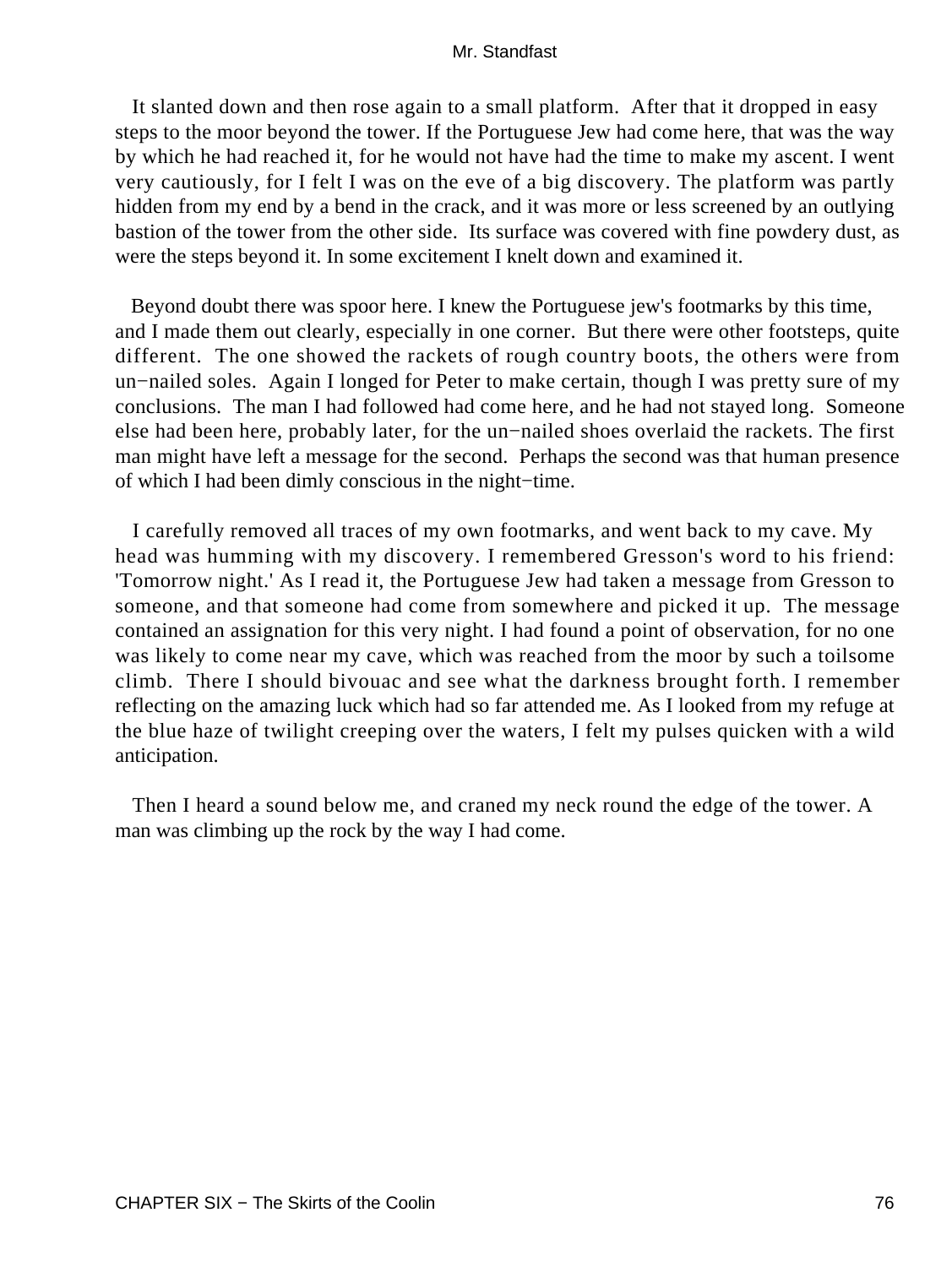It slanted down and then rose again to a small platform. After that it dropped in easy steps to the moor beyond the tower. If the Portuguese Jew had come here, that was the way by which he had reached it, for he would not have had the time to make my ascent. I went very cautiously, for I felt I was on the eve of a big discovery. The platform was partly hidden from my end by a bend in the crack, and it was more or less screened by an outlying bastion of the tower from the other side. Its surface was covered with fine powdery dust, as were the steps beyond it. In some excitement I knelt down and examined it.

 Beyond doubt there was spoor here. I knew the Portuguese jew's footmarks by this time, and I made them out clearly, especially in one corner. But there were other footsteps, quite different. The one showed the rackets of rough country boots, the others were from un−nailed soles. Again I longed for Peter to make certain, though I was pretty sure of my conclusions. The man I had followed had come here, and he had not stayed long. Someone else had been here, probably later, for the un−nailed shoes overlaid the rackets. The first man might have left a message for the second. Perhaps the second was that human presence of which I had been dimly conscious in the night−time.

 I carefully removed all traces of my own footmarks, and went back to my cave. My head was humming with my discovery. I remembered Gresson's word to his friend: 'Tomorrow night.' As I read it, the Portuguese Jew had taken a message from Gresson to someone, and that someone had come from somewhere and picked it up. The message contained an assignation for this very night. I had found a point of observation, for no one was likely to come near my cave, which was reached from the moor by such a toilsome climb. There I should bivouac and see what the darkness brought forth. I remember reflecting on the amazing luck which had so far attended me. As I looked from my refuge at the blue haze of twilight creeping over the waters, I felt my pulses quicken with a wild anticipation.

 Then I heard a sound below me, and craned my neck round the edge of the tower. A man was climbing up the rock by the way I had come.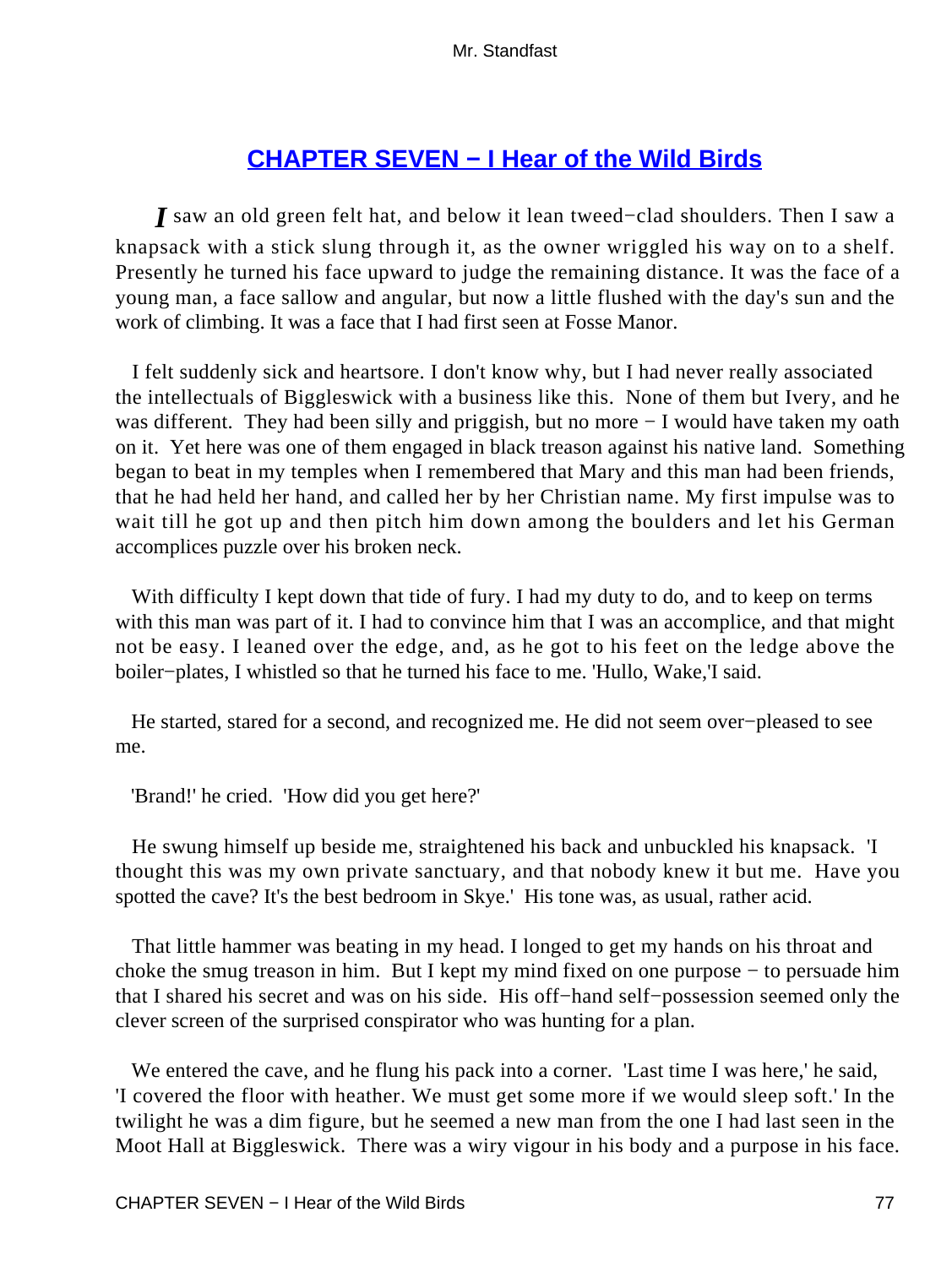# **[CHAPTER SEVEN − I Hear of the Wild Birds](#page-255-0)**

*I* saw an old green felt hat, and below it lean tweed−clad shoulders. Then I saw a knapsack with a stick slung through it, as the owner wriggled his way on to a shelf. Presently he turned his face upward to judge the remaining distance. It was the face of a young man, a face sallow and angular, but now a little flushed with the day's sun and the work of climbing. It was a face that I had first seen at Fosse Manor.

 I felt suddenly sick and heartsore. I don't know why, but I had never really associated the intellectuals of Biggleswick with a business like this. None of them but Ivery, and he was different. They had been silly and priggish, but no more − I would have taken my oath on it. Yet here was one of them engaged in black treason against his native land. Something began to beat in my temples when I remembered that Mary and this man had been friends, that he had held her hand, and called her by her Christian name. My first impulse was to wait till he got up and then pitch him down among the boulders and let his German accomplices puzzle over his broken neck.

With difficulty I kept down that tide of fury. I had my duty to do, and to keep on terms with this man was part of it. I had to convince him that I was an accomplice, and that might not be easy. I leaned over the edge, and, as he got to his feet on the ledge above the boiler−plates, I whistled so that he turned his face to me. 'Hullo, Wake,'I said.

 He started, stared for a second, and recognized me. He did not seem over−pleased to see me.

'Brand!' he cried. 'How did you get here?'

 He swung himself up beside me, straightened his back and unbuckled his knapsack. 'I thought this was my own private sanctuary, and that nobody knew it but me. Have you spotted the cave? It's the best bedroom in Skye.' His tone was, as usual, rather acid.

 That little hammer was beating in my head. I longed to get my hands on his throat and choke the smug treason in him. But I kept my mind fixed on one purpose − to persuade him that I shared his secret and was on his side. His off−hand self−possession seemed only the clever screen of the surprised conspirator who was hunting for a plan.

 We entered the cave, and he flung his pack into a corner. 'Last time I was here,' he said, 'I covered the floor with heather. We must get some more if we would sleep soft.' In the twilight he was a dim figure, but he seemed a new man from the one I had last seen in the Moot Hall at Biggleswick. There was a wiry vigour in his body and a purpose in his face.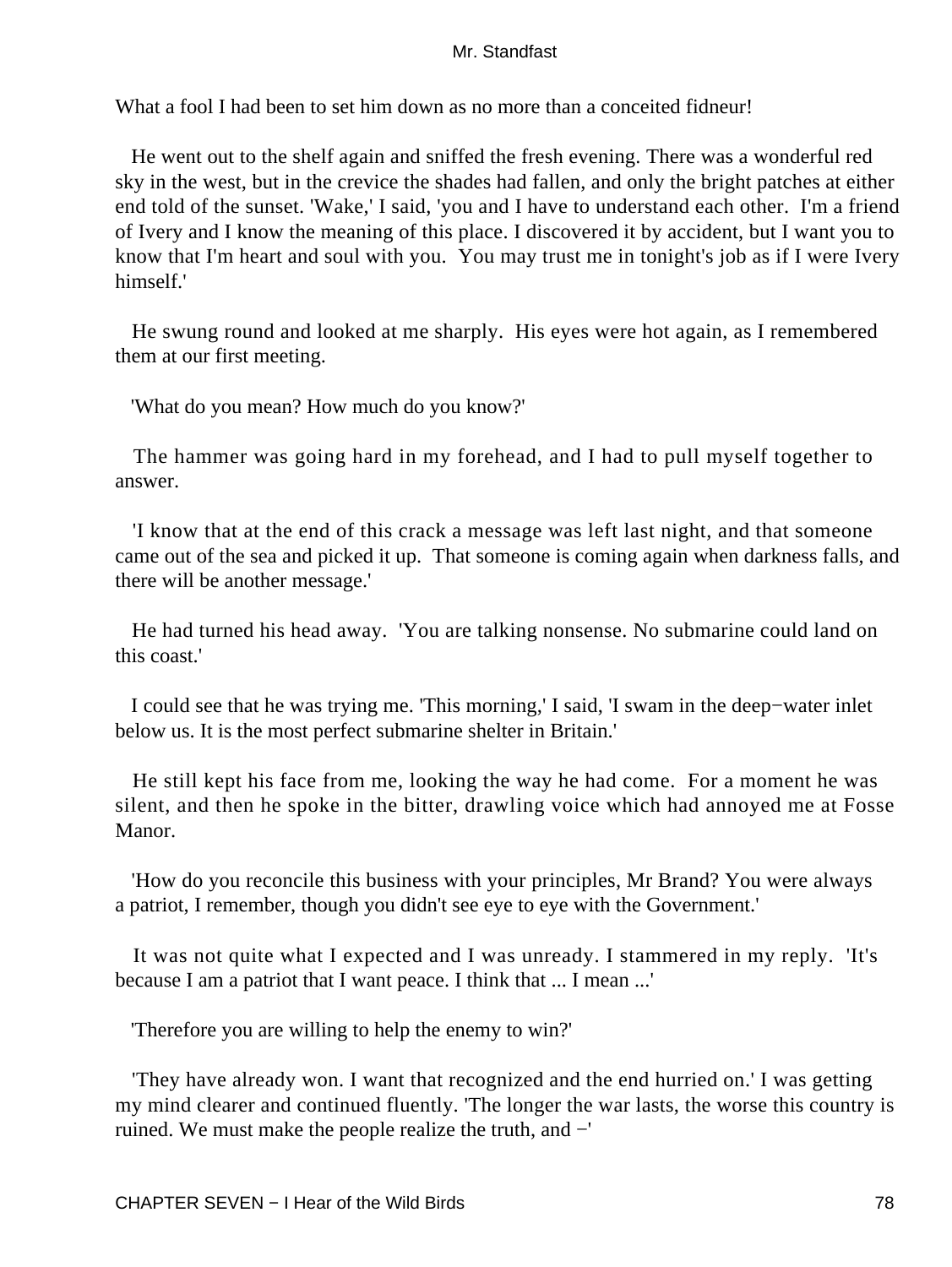What a fool I had been to set him down as no more than a conceited fidneur!

 He went out to the shelf again and sniffed the fresh evening. There was a wonderful red sky in the west, but in the crevice the shades had fallen, and only the bright patches at either end told of the sunset. 'Wake,' I said, 'you and I have to understand each other. I'm a friend of Ivery and I know the meaning of this place. I discovered it by accident, but I want you to know that I'm heart and soul with you. You may trust me in tonight's job as if I were Ivery himself.'

 He swung round and looked at me sharply. His eyes were hot again, as I remembered them at our first meeting.

'What do you mean? How much do you know?'

 The hammer was going hard in my forehead, and I had to pull myself together to answer.

 'I know that at the end of this crack a message was left last night, and that someone came out of the sea and picked it up. That someone is coming again when darkness falls, and there will be another message.'

 He had turned his head away. 'You are talking nonsense. No submarine could land on this coast.'

 I could see that he was trying me. 'This morning,' I said, 'I swam in the deep−water inlet below us. It is the most perfect submarine shelter in Britain.'

 He still kept his face from me, looking the way he had come. For a moment he was silent, and then he spoke in the bitter, drawling voice which had annoyed me at Fosse Manor.

 'How do you reconcile this business with your principles, Mr Brand? You were always a patriot, I remember, though you didn't see eye to eye with the Government.'

 It was not quite what I expected and I was unready. I stammered in my reply. 'It's because I am a patriot that I want peace. I think that ... I mean ...'

'Therefore you are willing to help the enemy to win?'

 'They have already won. I want that recognized and the end hurried on.' I was getting my mind clearer and continued fluently. 'The longer the war lasts, the worse this country is ruined. We must make the people realize the truth, and −'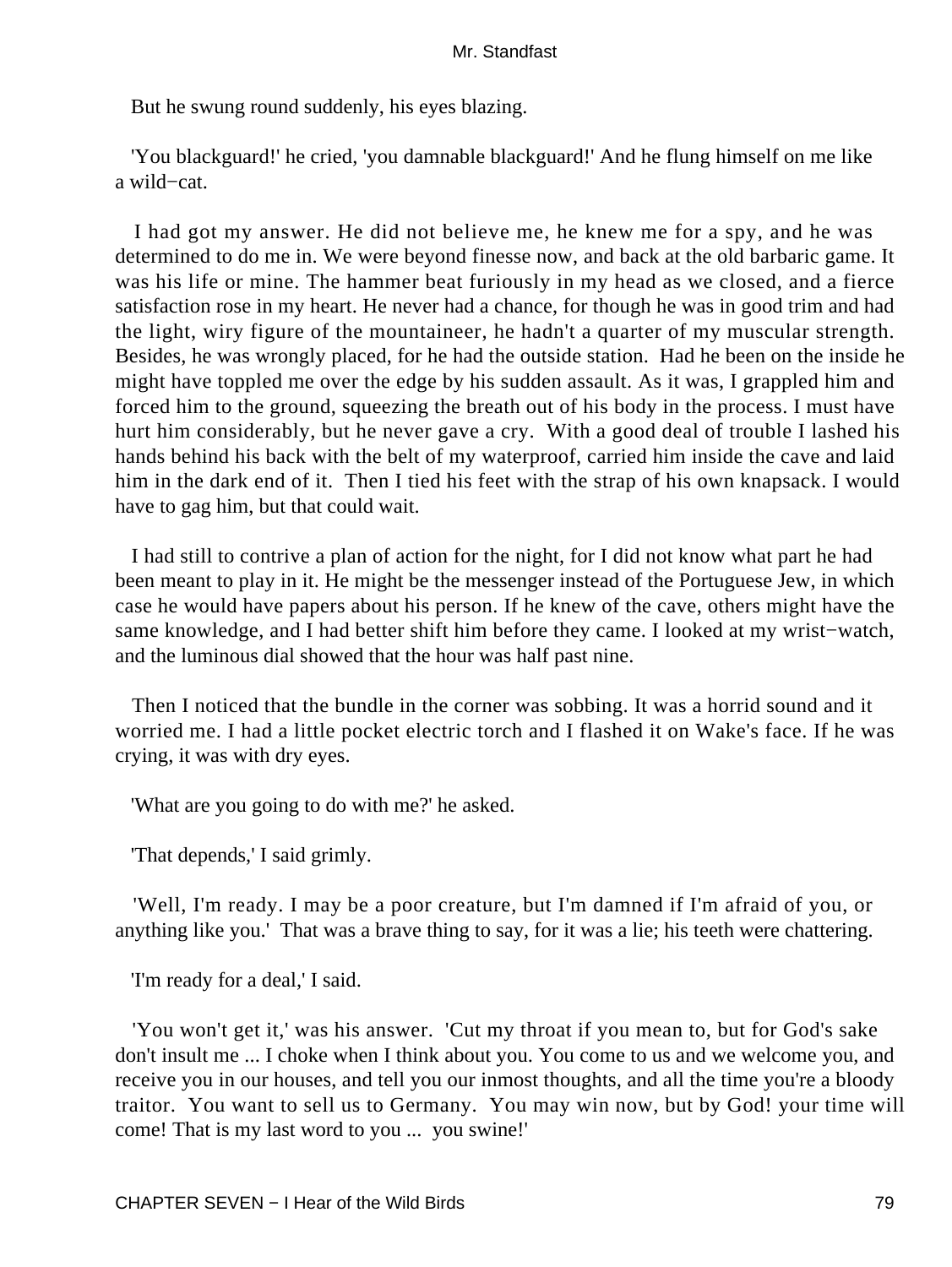But he swung round suddenly, his eyes blazing.

 'You blackguard!' he cried, 'you damnable blackguard!' And he flung himself on me like a wild−cat.

 I had got my answer. He did not believe me, he knew me for a spy, and he was determined to do me in. We were beyond finesse now, and back at the old barbaric game. It was his life or mine. The hammer beat furiously in my head as we closed, and a fierce satisfaction rose in my heart. He never had a chance, for though he was in good trim and had the light, wiry figure of the mountaineer, he hadn't a quarter of my muscular strength. Besides, he was wrongly placed, for he had the outside station. Had he been on the inside he might have toppled me over the edge by his sudden assault. As it was, I grappled him and forced him to the ground, squeezing the breath out of his body in the process. I must have hurt him considerably, but he never gave a cry. With a good deal of trouble I lashed his hands behind his back with the belt of my waterproof, carried him inside the cave and laid him in the dark end of it. Then I tied his feet with the strap of his own knapsack. I would have to gag him, but that could wait.

 I had still to contrive a plan of action for the night, for I did not know what part he had been meant to play in it. He might be the messenger instead of the Portuguese Jew, in which case he would have papers about his person. If he knew of the cave, others might have the same knowledge, and I had better shift him before they came. I looked at my wrist−watch, and the luminous dial showed that the hour was half past nine.

 Then I noticed that the bundle in the corner was sobbing. It was a horrid sound and it worried me. I had a little pocket electric torch and I flashed it on Wake's face. If he was crying, it was with dry eyes.

'What are you going to do with me?' he asked.

'That depends,' I said grimly.

 'Well, I'm ready. I may be a poor creature, but I'm damned if I'm afraid of you, or anything like you.' That was a brave thing to say, for it was a lie; his teeth were chattering.

'I'm ready for a deal,' I said.

 'You won't get it,' was his answer. 'Cut my throat if you mean to, but for God's sake don't insult me ... I choke when I think about you. You come to us and we welcome you, and receive you in our houses, and tell you our inmost thoughts, and all the time you're a bloody traitor. You want to sell us to Germany. You may win now, but by God! your time will come! That is my last word to you ... you swine!'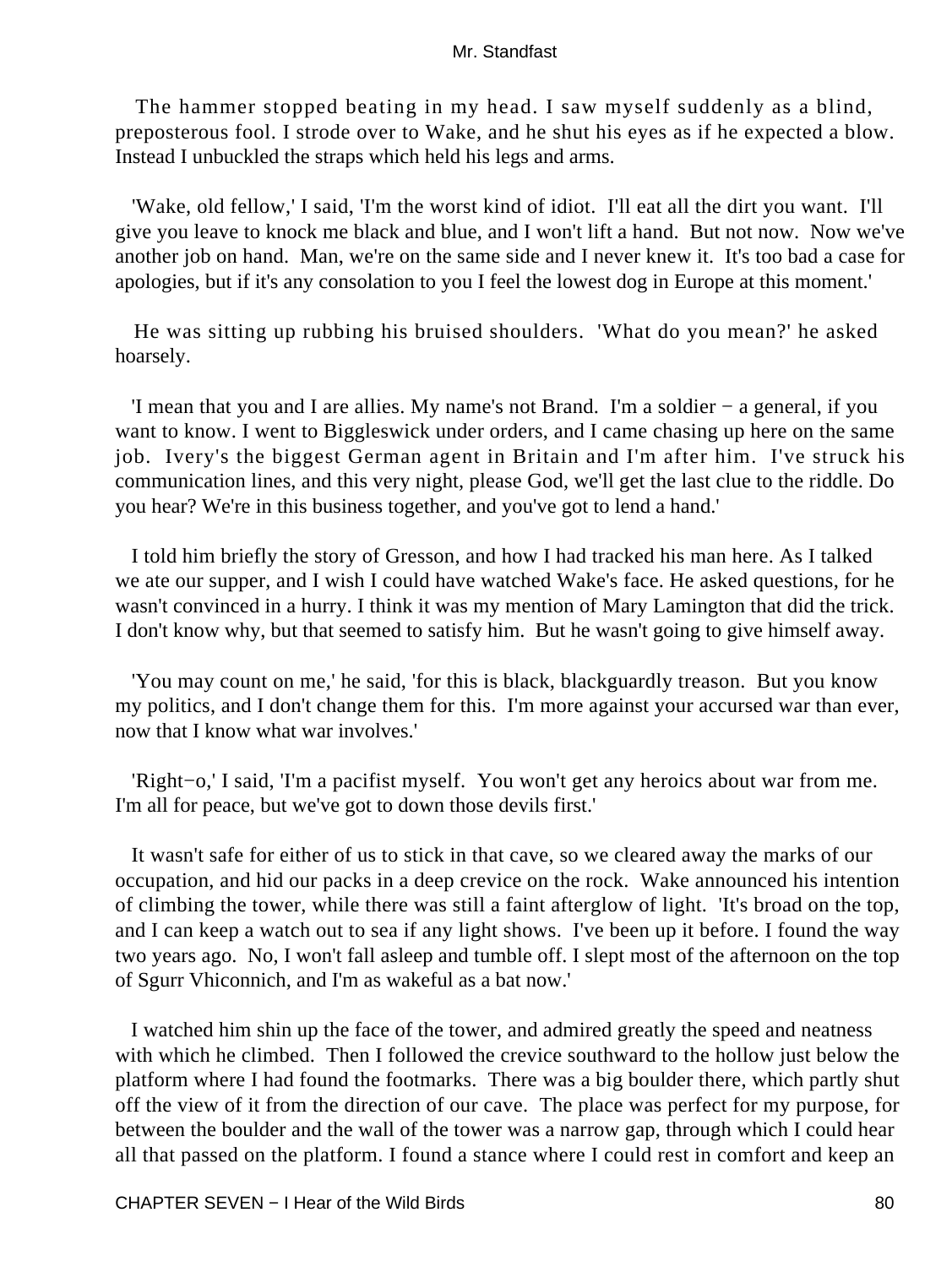The hammer stopped beating in my head. I saw myself suddenly as a blind, preposterous fool. I strode over to Wake, and he shut his eyes as if he expected a blow. Instead I unbuckled the straps which held his legs and arms.

 'Wake, old fellow,' I said, 'I'm the worst kind of idiot. I'll eat all the dirt you want. I'll give you leave to knock me black and blue, and I won't lift a hand. But not now. Now we've another job on hand. Man, we're on the same side and I never knew it. It's too bad a case for apologies, but if it's any consolation to you I feel the lowest dog in Europe at this moment.'

 He was sitting up rubbing his bruised shoulders. 'What do you mean?' he asked hoarsely.

 'I mean that you and I are allies. My name's not Brand. I'm a soldier − a general, if you want to know. I went to Biggleswick under orders, and I came chasing up here on the same job. Ivery's the biggest German agent in Britain and I'm after him. I've struck his communication lines, and this very night, please God, we'll get the last clue to the riddle. Do you hear? We're in this business together, and you've got to lend a hand.'

 I told him briefly the story of Gresson, and how I had tracked his man here. As I talked we ate our supper, and I wish I could have watched Wake's face. He asked questions, for he wasn't convinced in a hurry. I think it was my mention of Mary Lamington that did the trick. I don't know why, but that seemed to satisfy him. But he wasn't going to give himself away.

 'You may count on me,' he said, 'for this is black, blackguardly treason. But you know my politics, and I don't change them for this. I'm more against your accursed war than ever, now that I know what war involves.'

 'Right−o,' I said, 'I'm a pacifist myself. You won't get any heroics about war from me. I'm all for peace, but we've got to down those devils first.'

 It wasn't safe for either of us to stick in that cave, so we cleared away the marks of our occupation, and hid our packs in a deep crevice on the rock. Wake announced his intention of climbing the tower, while there was still a faint afterglow of light. 'It's broad on the top, and I can keep a watch out to sea if any light shows. I've been up it before. I found the way two years ago. No, I won't fall asleep and tumble off. I slept most of the afternoon on the top of Sgurr Vhiconnich, and I'm as wakeful as a bat now.'

 I watched him shin up the face of the tower, and admired greatly the speed and neatness with which he climbed. Then I followed the crevice southward to the hollow just below the platform where I had found the footmarks. There was a big boulder there, which partly shut off the view of it from the direction of our cave. The place was perfect for my purpose, for between the boulder and the wall of the tower was a narrow gap, through which I could hear all that passed on the platform. I found a stance where I could rest in comfort and keep an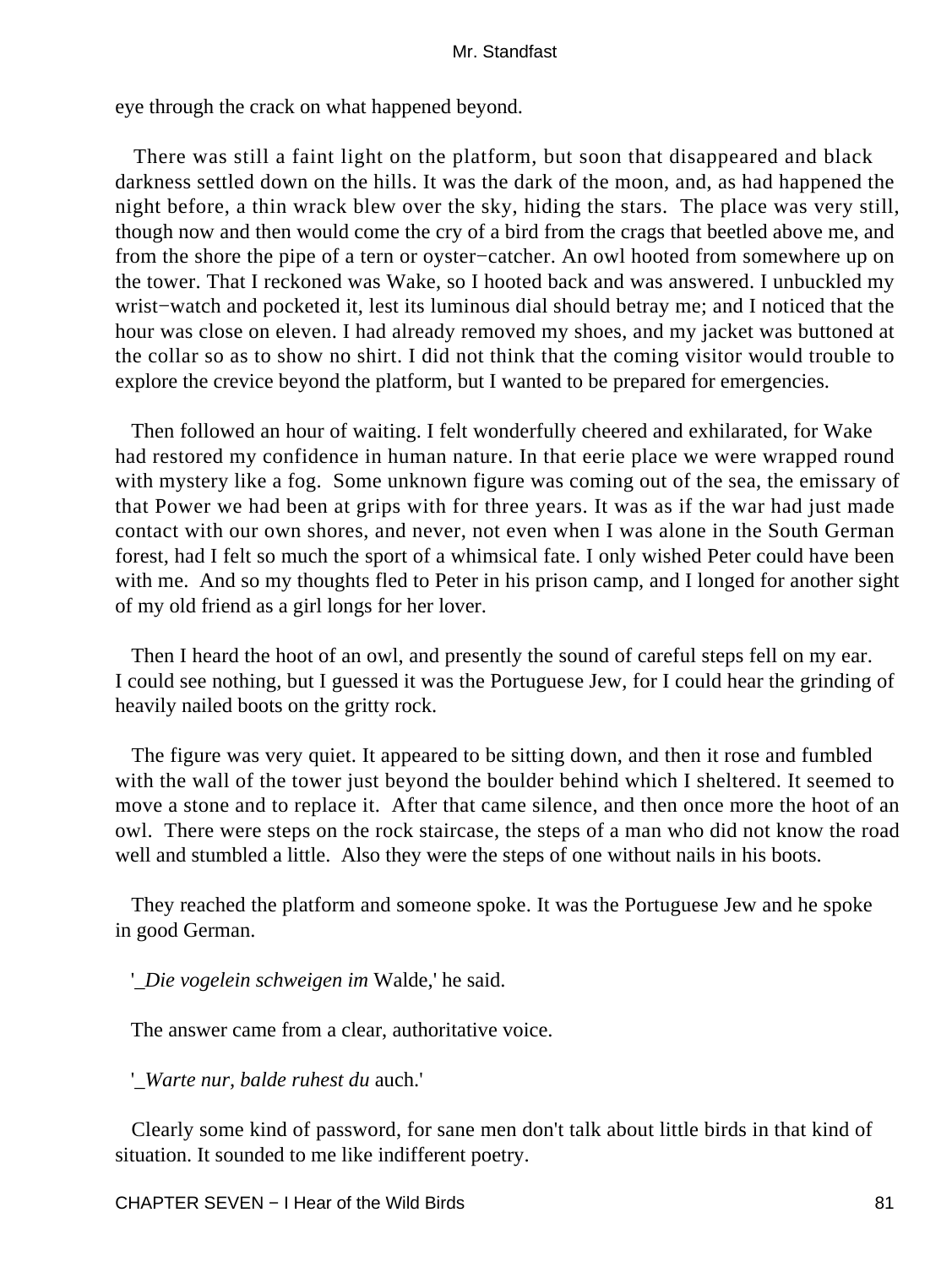eye through the crack on what happened beyond.

 There was still a faint light on the platform, but soon that disappeared and black darkness settled down on the hills. It was the dark of the moon, and, as had happened the night before, a thin wrack blew over the sky, hiding the stars. The place was very still, though now and then would come the cry of a bird from the crags that beetled above me, and from the shore the pipe of a tern or oyster−catcher. An owl hooted from somewhere up on the tower. That I reckoned was Wake, so I hooted back and was answered. I unbuckled my wrist−watch and pocketed it, lest its luminous dial should betray me; and I noticed that the hour was close on eleven. I had already removed my shoes, and my jacket was buttoned at the collar so as to show no shirt. I did not think that the coming visitor would trouble to explore the crevice beyond the platform, but I wanted to be prepared for emergencies.

 Then followed an hour of waiting. I felt wonderfully cheered and exhilarated, for Wake had restored my confidence in human nature. In that eerie place we were wrapped round with mystery like a fog. Some unknown figure was coming out of the sea, the emissary of that Power we had been at grips with for three years. It was as if the war had just made contact with our own shores, and never, not even when I was alone in the South German forest, had I felt so much the sport of a whimsical fate. I only wished Peter could have been with me. And so my thoughts fled to Peter in his prison camp, and I longed for another sight of my old friend as a girl longs for her lover.

 Then I heard the hoot of an owl, and presently the sound of careful steps fell on my ear. I could see nothing, but I guessed it was the Portuguese Jew, for I could hear the grinding of heavily nailed boots on the gritty rock.

 The figure was very quiet. It appeared to be sitting down, and then it rose and fumbled with the wall of the tower just beyond the boulder behind which I sheltered. It seemed to move a stone and to replace it. After that came silence, and then once more the hoot of an owl. There were steps on the rock staircase, the steps of a man who did not know the road well and stumbled a little. Also they were the steps of one without nails in his boots.

 They reached the platform and someone spoke. It was the Portuguese Jew and he spoke in good German.

'*\_Die vogelein schweigen im* Walde,' he said.

The answer came from a clear, authoritative voice.

'*\_Warte nur, balde ruhest du* auch.'

 Clearly some kind of password, for sane men don't talk about little birds in that kind of situation. It sounded to me like indifferent poetry.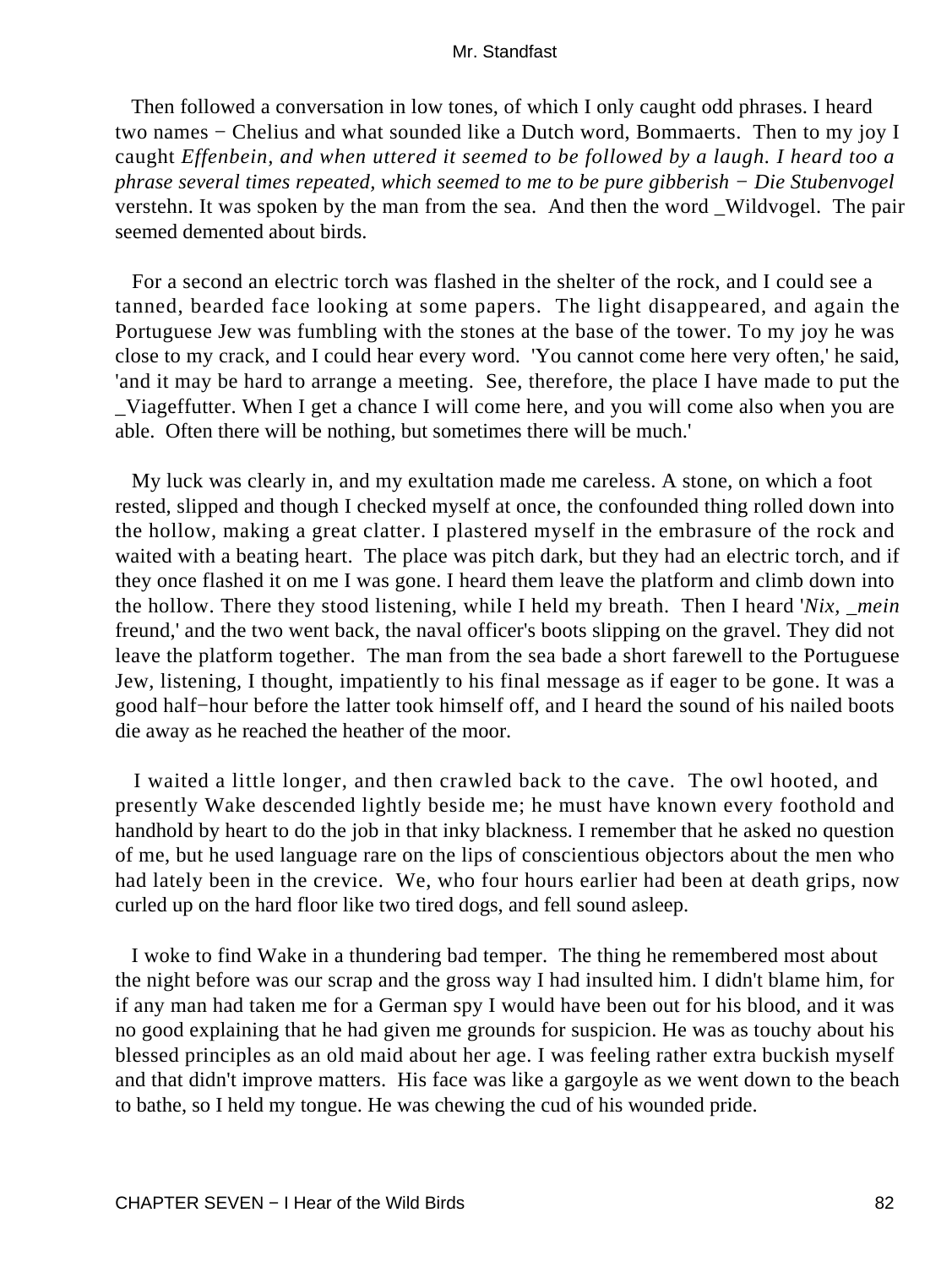Then followed a conversation in low tones, of which I only caught odd phrases. I heard two names − Chelius and what sounded like a Dutch word, Bommaerts. Then to my joy I caught *Effenbein, and when uttered it seemed to be followed by a laugh. I heard too a phrase several times repeated, which seemed to me to be pure gibberish − Die Stubenvogel* verstehn. It was spoken by the man from the sea. And then the word \_Wildvogel. The pair seemed demented about birds.

 For a second an electric torch was flashed in the shelter of the rock, and I could see a tanned, bearded face looking at some papers. The light disappeared, and again the Portuguese Jew was fumbling with the stones at the base of the tower. To my joy he was close to my crack, and I could hear every word. 'You cannot come here very often,' he said, 'and it may be hard to arrange a meeting. See, therefore, the place I have made to put the Viageffutter. When I get a chance I will come here, and you will come also when you are able. Often there will be nothing, but sometimes there will be much.'

 My luck was clearly in, and my exultation made me careless. A stone, on which a foot rested, slipped and though I checked myself at once, the confounded thing rolled down into the hollow, making a great clatter. I plastered myself in the embrasure of the rock and waited with a beating heart. The place was pitch dark, but they had an electric torch, and if they once flashed it on me I was gone. I heard them leave the platform and climb down into the hollow. There they stood listening, while I held my breath. Then I heard '*Nix, \_mein* freund,' and the two went back, the naval officer's boots slipping on the gravel. They did not leave the platform together. The man from the sea bade a short farewell to the Portuguese Jew, listening, I thought, impatiently to his final message as if eager to be gone. It was a good half−hour before the latter took himself off, and I heard the sound of his nailed boots die away as he reached the heather of the moor.

 I waited a little longer, and then crawled back to the cave. The owl hooted, and presently Wake descended lightly beside me; he must have known every foothold and handhold by heart to do the job in that inky blackness. I remember that he asked no question of me, but he used language rare on the lips of conscientious objectors about the men who had lately been in the crevice. We, who four hours earlier had been at death grips, now curled up on the hard floor like two tired dogs, and fell sound asleep.

 I woke to find Wake in a thundering bad temper. The thing he remembered most about the night before was our scrap and the gross way I had insulted him. I didn't blame him, for if any man had taken me for a German spy I would have been out for his blood, and it was no good explaining that he had given me grounds for suspicion. He was as touchy about his blessed principles as an old maid about her age. I was feeling rather extra buckish myself and that didn't improve matters. His face was like a gargoyle as we went down to the beach to bathe, so I held my tongue. He was chewing the cud of his wounded pride.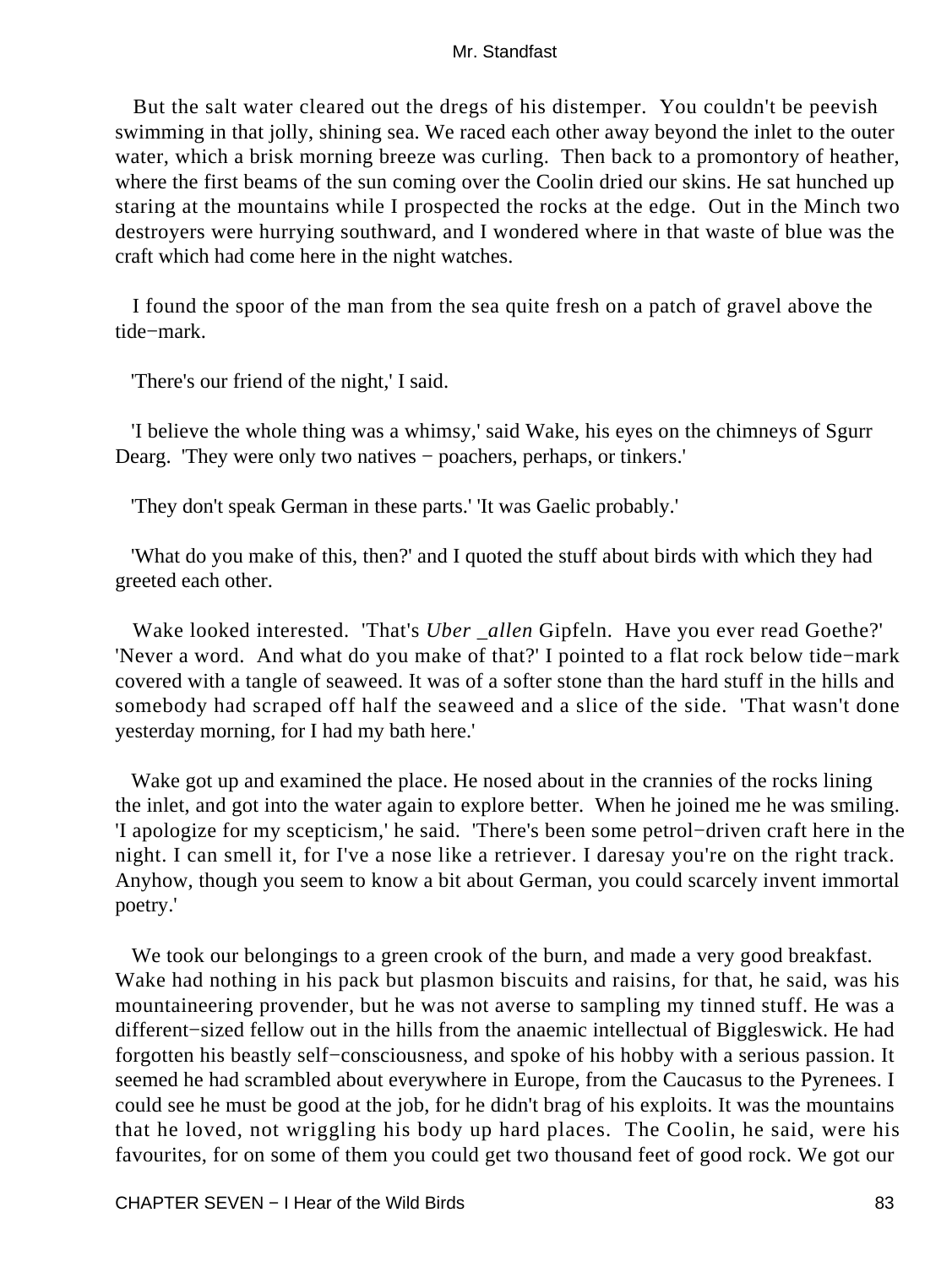But the salt water cleared out the dregs of his distemper. You couldn't be peevish swimming in that jolly, shining sea. We raced each other away beyond the inlet to the outer water, which a brisk morning breeze was curling. Then back to a promontory of heather, where the first beams of the sun coming over the Coolin dried our skins. He sat hunched up staring at the mountains while I prospected the rocks at the edge. Out in the Minch two destroyers were hurrying southward, and I wondered where in that waste of blue was the craft which had come here in the night watches.

 I found the spoor of the man from the sea quite fresh on a patch of gravel above the tide−mark.

'There's our friend of the night,' I said.

 'I believe the whole thing was a whimsy,' said Wake, his eyes on the chimneys of Sgurr Dearg. 'They were only two natives − poachers, perhaps, or tinkers.'

'They don't speak German in these parts.' 'It was Gaelic probably.'

 'What do you make of this, then?' and I quoted the stuff about birds with which they had greeted each other.

 Wake looked interested. 'That's *Uber \_allen* Gipfeln. Have you ever read Goethe?' 'Never a word. And what do you make of that?' I pointed to a flat rock below tide−mark covered with a tangle of seaweed. It was of a softer stone than the hard stuff in the hills and somebody had scraped off half the seaweed and a slice of the side. 'That wasn't done yesterday morning, for I had my bath here.'

 Wake got up and examined the place. He nosed about in the crannies of the rocks lining the inlet, and got into the water again to explore better. When he joined me he was smiling. 'I apologize for my scepticism,' he said. 'There's been some petrol−driven craft here in the night. I can smell it, for I've a nose like a retriever. I daresay you're on the right track. Anyhow, though you seem to know a bit about German, you could scarcely invent immortal poetry.'

 We took our belongings to a green crook of the burn, and made a very good breakfast. Wake had nothing in his pack but plasmon biscuits and raisins, for that, he said, was his mountaineering provender, but he was not averse to sampling my tinned stuff. He was a different−sized fellow out in the hills from the anaemic intellectual of Biggleswick. He had forgotten his beastly self−consciousness, and spoke of his hobby with a serious passion. It seemed he had scrambled about everywhere in Europe, from the Caucasus to the Pyrenees. I could see he must be good at the job, for he didn't brag of his exploits. It was the mountains that he loved, not wriggling his body up hard places. The Coolin, he said, were his favourites, for on some of them you could get two thousand feet of good rock. We got our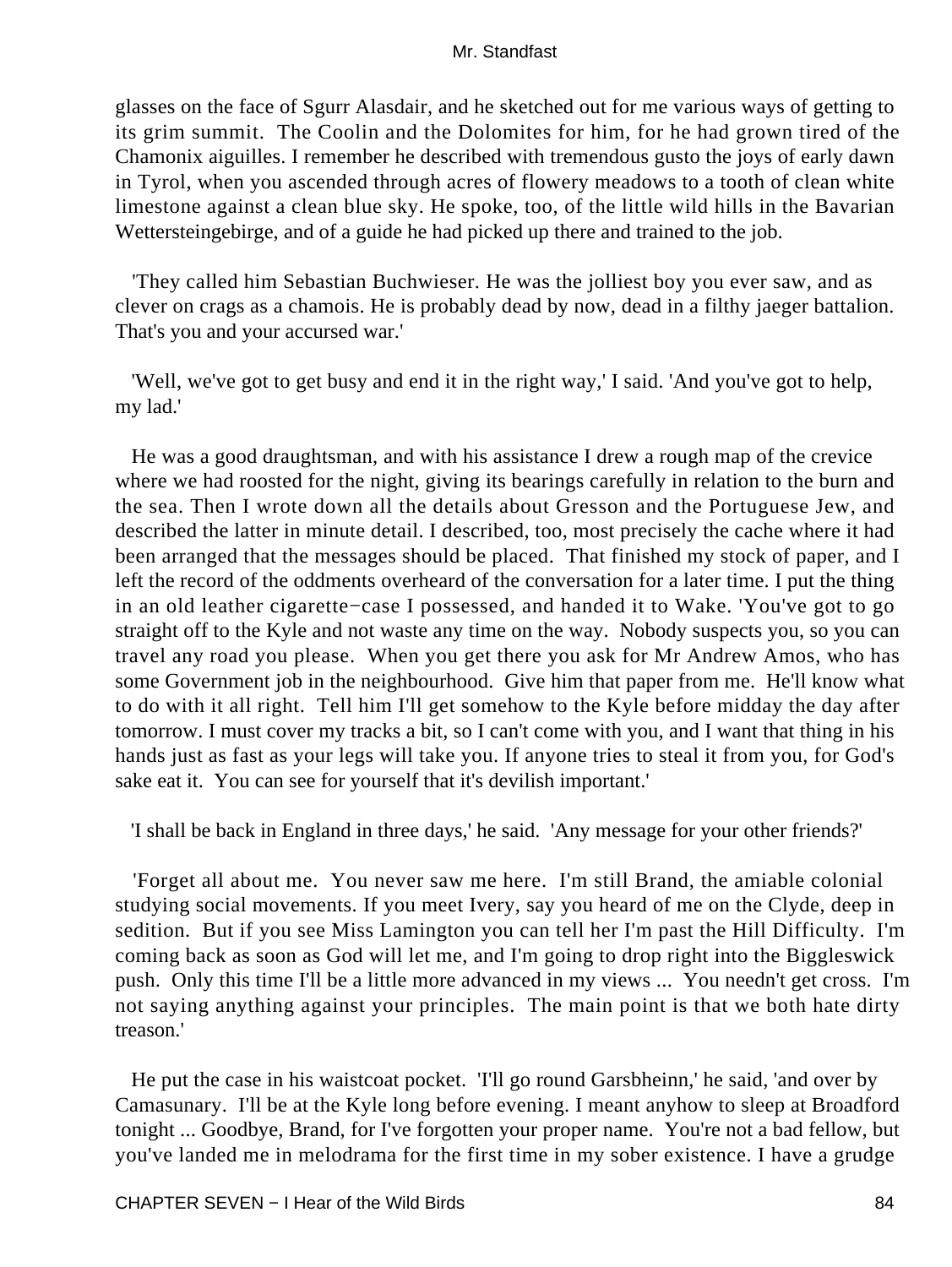glasses on the face of Sgurr Alasdair, and he sketched out for me various ways of getting to its grim summit. The Coolin and the Dolomites for him, for he had grown tired of the Chamonix aiguilles. I remember he described with tremendous gusto the joys of early dawn in Tyrol, when you ascended through acres of flowery meadows to a tooth of clean white limestone against a clean blue sky. He spoke, too, of the little wild hills in the Bavarian Wettersteingebirge, and of a guide he had picked up there and trained to the job.

 'They called him Sebastian Buchwieser. He was the jolliest boy you ever saw, and as clever on crags as a chamois. He is probably dead by now, dead in a filthy jaeger battalion. That's you and your accursed war.'

 'Well, we've got to get busy and end it in the right way,' I said. 'And you've got to help, my lad.'

 He was a good draughtsman, and with his assistance I drew a rough map of the crevice where we had roosted for the night, giving its bearings carefully in relation to the burn and the sea. Then I wrote down all the details about Gresson and the Portuguese Jew, and described the latter in minute detail. I described, too, most precisely the cache where it had been arranged that the messages should be placed. That finished my stock of paper, and I left the record of the oddments overheard of the conversation for a later time. I put the thing in an old leather cigarette−case I possessed, and handed it to Wake. 'You've got to go straight off to the Kyle and not waste any time on the way. Nobody suspects you, so you can travel any road you please. When you get there you ask for Mr Andrew Amos, who has some Government job in the neighbourhood. Give him that paper from me. He'll know what to do with it all right. Tell him I'll get somehow to the Kyle before midday the day after tomorrow. I must cover my tracks a bit, so I can't come with you, and I want that thing in his hands just as fast as your legs will take you. If anyone tries to steal it from you, for God's sake eat it. You can see for yourself that it's devilish important.'

'I shall be back in England in three days,' he said. 'Any message for your other friends?'

 'Forget all about me. You never saw me here. I'm still Brand, the amiable colonial studying social movements. If you meet Ivery, say you heard of me on the Clyde, deep in sedition. But if you see Miss Lamington you can tell her I'm past the Hill Difficulty. I'm coming back as soon as God will let me, and I'm going to drop right into the Biggleswick push. Only this time I'll be a little more advanced in my views ... You needn't get cross. I'm not saying anything against your principles. The main point is that we both hate dirty treason.'

 He put the case in his waistcoat pocket. 'I'll go round Garsbheinn,' he said, 'and over by Camasunary. I'll be at the Kyle long before evening. I meant anyhow to sleep at Broadford tonight ... Goodbye, Brand, for I've forgotten your proper name. You're not a bad fellow, but you've landed me in melodrama for the first time in my sober existence. I have a grudge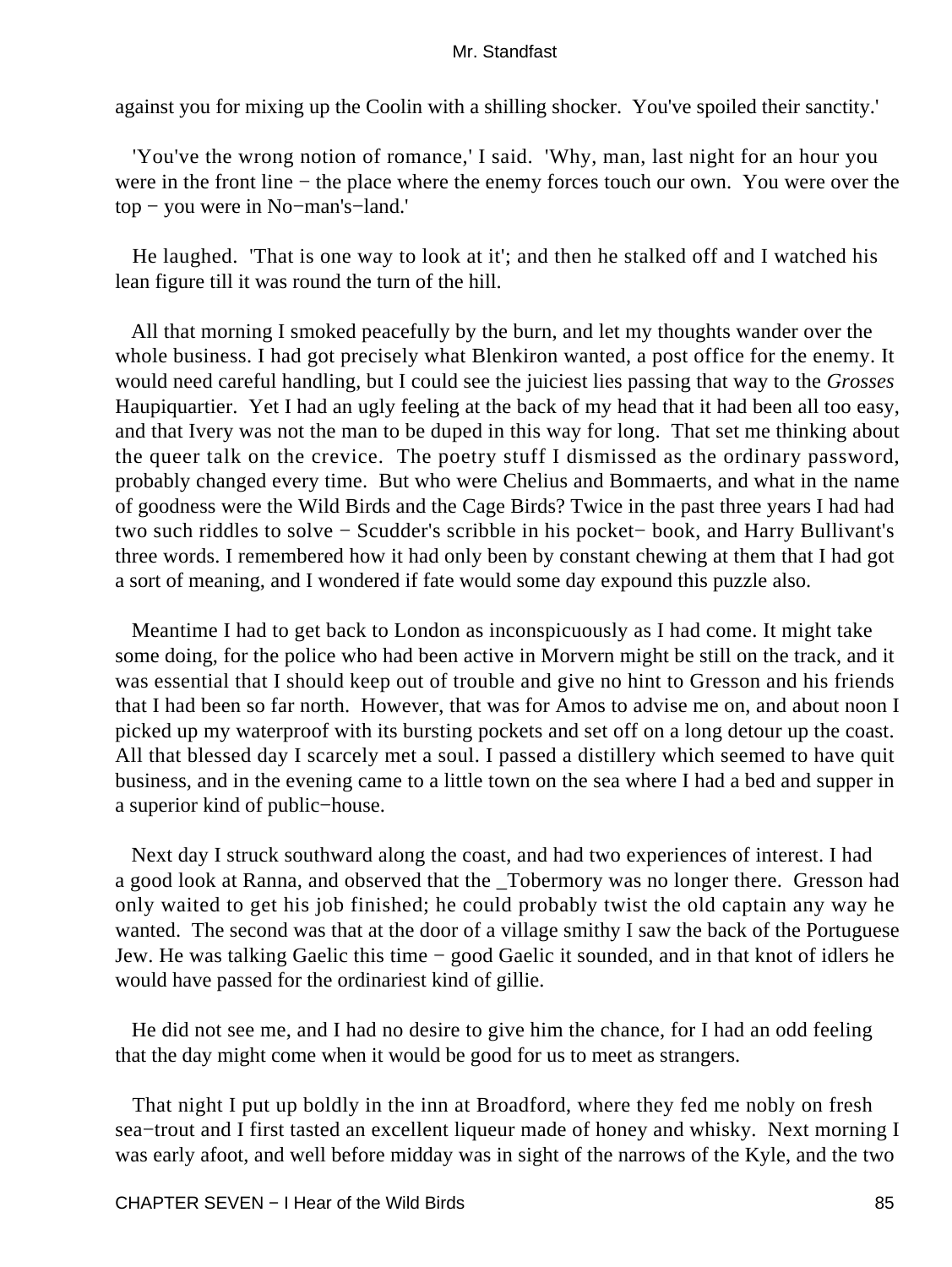against you for mixing up the Coolin with a shilling shocker. You've spoiled their sanctity.'

 'You've the wrong notion of romance,' I said. 'Why, man, last night for an hour you were in the front line − the place where the enemy forces touch our own. You were over the top − you were in No−man's−land.'

 He laughed. 'That is one way to look at it'; and then he stalked off and I watched his lean figure till it was round the turn of the hill.

 All that morning I smoked peacefully by the burn, and let my thoughts wander over the whole business. I had got precisely what Blenkiron wanted, a post office for the enemy. It would need careful handling, but I could see the juiciest lies passing that way to the *Grosses* Haupiquartier. Yet I had an ugly feeling at the back of my head that it had been all too easy, and that Ivery was not the man to be duped in this way for long. That set me thinking about the queer talk on the crevice. The poetry stuff I dismissed as the ordinary password, probably changed every time. But who were Chelius and Bommaerts, and what in the name of goodness were the Wild Birds and the Cage Birds? Twice in the past three years I had had two such riddles to solve − Scudder's scribble in his pocket− book, and Harry Bullivant's three words. I remembered how it had only been by constant chewing at them that I had got a sort of meaning, and I wondered if fate would some day expound this puzzle also.

 Meantime I had to get back to London as inconspicuously as I had come. It might take some doing, for the police who had been active in Morvern might be still on the track, and it was essential that I should keep out of trouble and give no hint to Gresson and his friends that I had been so far north. However, that was for Amos to advise me on, and about noon I picked up my waterproof with its bursting pockets and set off on a long detour up the coast. All that blessed day I scarcely met a soul. I passed a distillery which seemed to have quit business, and in the evening came to a little town on the sea where I had a bed and supper in a superior kind of public−house.

 Next day I struck southward along the coast, and had two experiences of interest. I had a good look at Ranna, and observed that the \_Tobermory was no longer there. Gresson had only waited to get his job finished; he could probably twist the old captain any way he wanted. The second was that at the door of a village smithy I saw the back of the Portuguese Jew. He was talking Gaelic this time − good Gaelic it sounded, and in that knot of idlers he would have passed for the ordinariest kind of gillie.

 He did not see me, and I had no desire to give him the chance, for I had an odd feeling that the day might come when it would be good for us to meet as strangers.

 That night I put up boldly in the inn at Broadford, where they fed me nobly on fresh sea−trout and I first tasted an excellent liqueur made of honey and whisky. Next morning I was early afoot, and well before midday was in sight of the narrows of the Kyle, and the two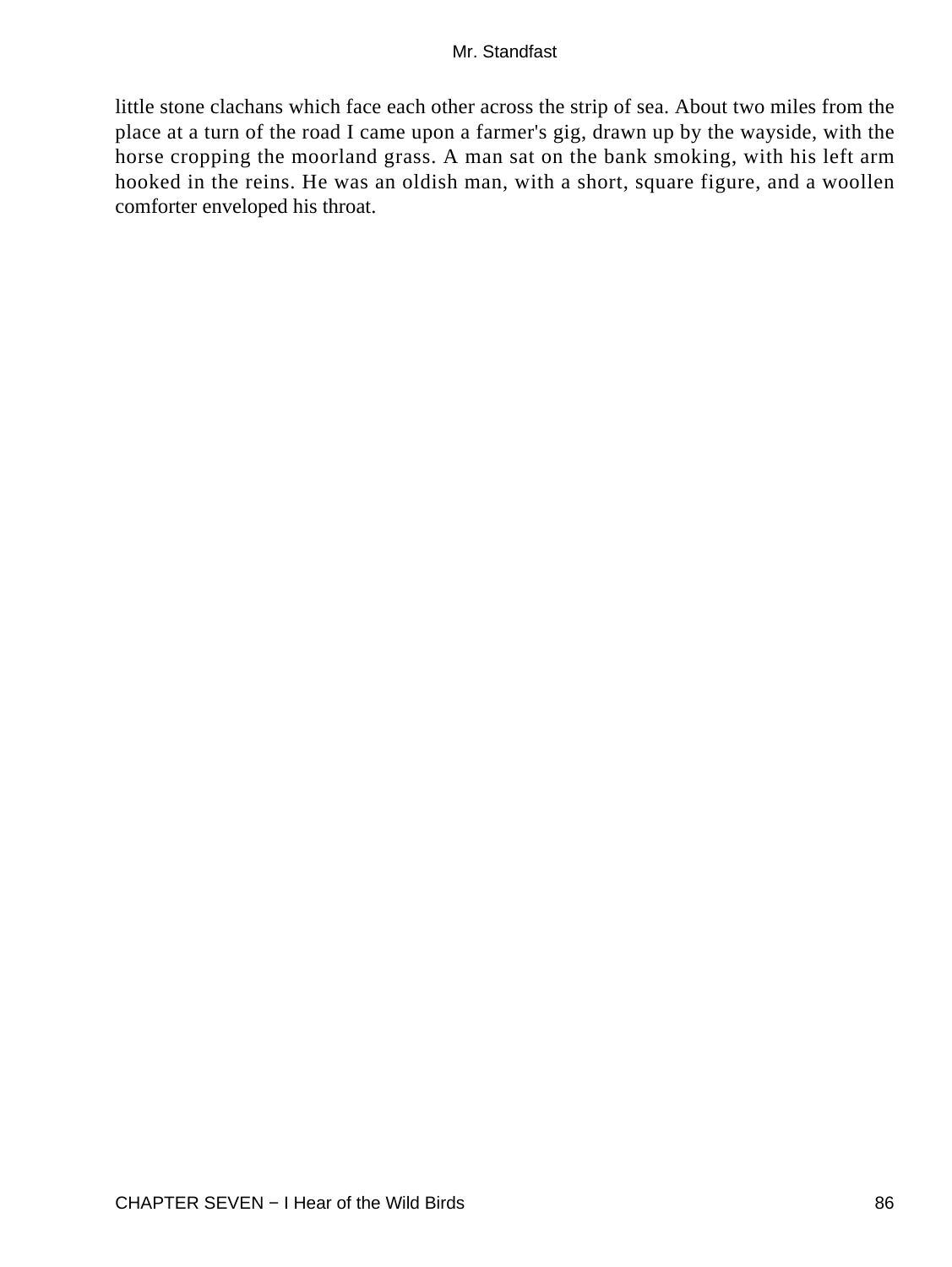little stone clachans which face each other across the strip of sea. About two miles from the place at a turn of the road I came upon a farmer's gig, drawn up by the wayside, with the horse cropping the moorland grass. A man sat on the bank smoking, with his left arm hooked in the reins. He was an oldish man, with a short, square figure, and a woollen comforter enveloped his throat.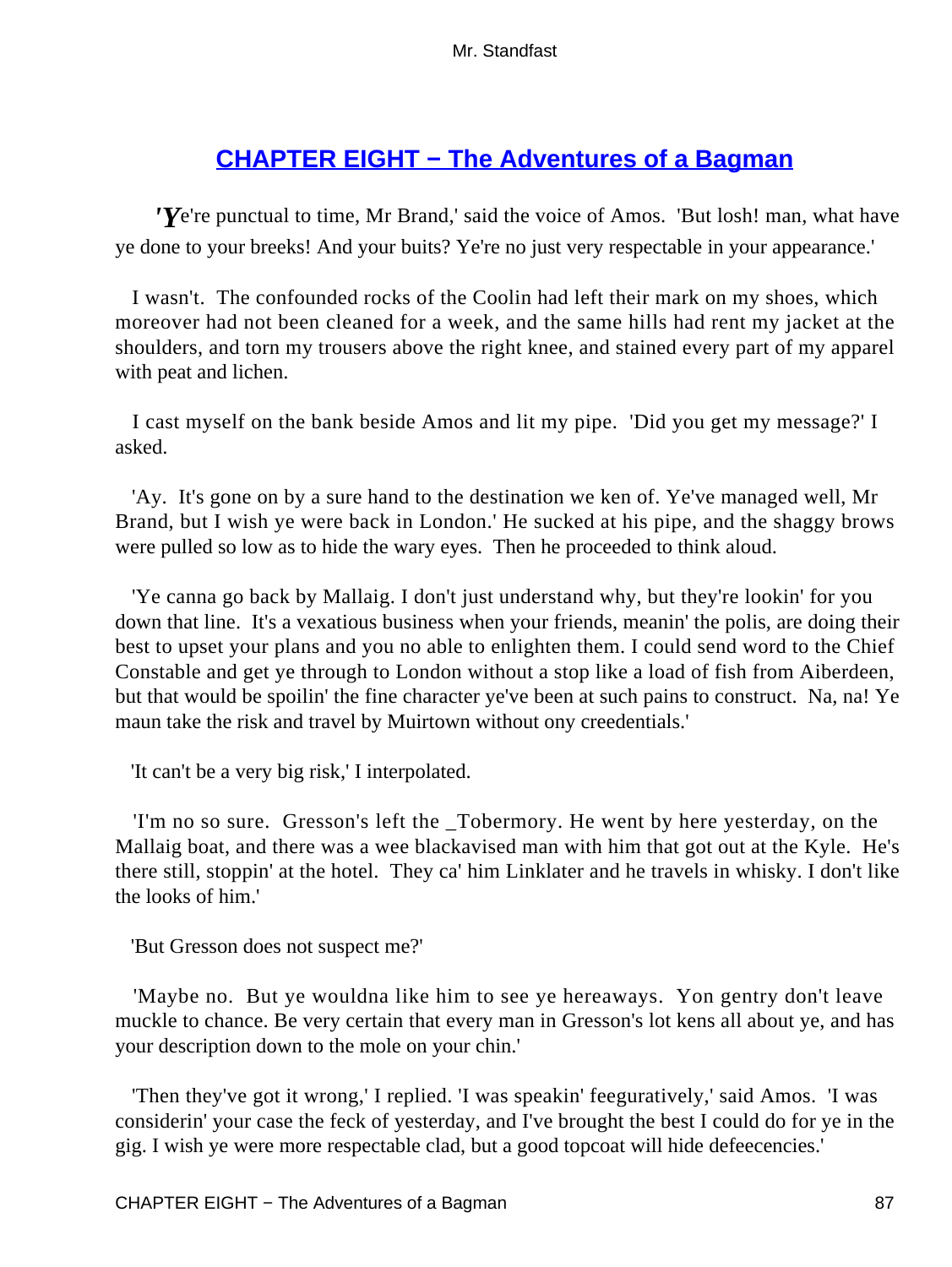# **[CHAPTER EIGHT − The Adventures of a Bagman](#page-255-0)**

*'Y*e're punctual to time, Mr Brand,' said the voice of Amos. 'But losh! man, what have ye done to your breeks! And your buits? Ye're no just very respectable in your appearance.'

 I wasn't. The confounded rocks of the Coolin had left their mark on my shoes, which moreover had not been cleaned for a week, and the same hills had rent my jacket at the shoulders, and torn my trousers above the right knee, and stained every part of my apparel with peat and lichen.

 I cast myself on the bank beside Amos and lit my pipe. 'Did you get my message?' I asked.

 'Ay. It's gone on by a sure hand to the destination we ken of. Ye've managed well, Mr Brand, but I wish ye were back in London.' He sucked at his pipe, and the shaggy brows were pulled so low as to hide the wary eyes. Then he proceeded to think aloud.

 'Ye canna go back by Mallaig. I don't just understand why, but they're lookin' for you down that line. It's a vexatious business when your friends, meanin' the polis, are doing their best to upset your plans and you no able to enlighten them. I could send word to the Chief Constable and get ye through to London without a stop like a load of fish from Aiberdeen, but that would be spoilin' the fine character ye've been at such pains to construct. Na, na! Ye maun take the risk and travel by Muirtown without ony creedentials.'

'It can't be a very big risk,' I interpolated.

 'I'm no so sure. Gresson's left the \_Tobermory. He went by here yesterday, on the Mallaig boat, and there was a wee blackavised man with him that got out at the Kyle. He's there still, stoppin' at the hotel. They ca' him Linklater and he travels in whisky. I don't like the looks of him.'

'But Gresson does not suspect me?'

 'Maybe no. But ye wouldna like him to see ye hereaways. Yon gentry don't leave muckle to chance. Be very certain that every man in Gresson's lot kens all about ye, and has your description down to the mole on your chin.'

 'Then they've got it wrong,' I replied. 'I was speakin' feeguratively,' said Amos. 'I was considerin' your case the feck of yesterday, and I've brought the best I could do for ye in the gig. I wish ye were more respectable clad, but a good topcoat will hide defeecencies.'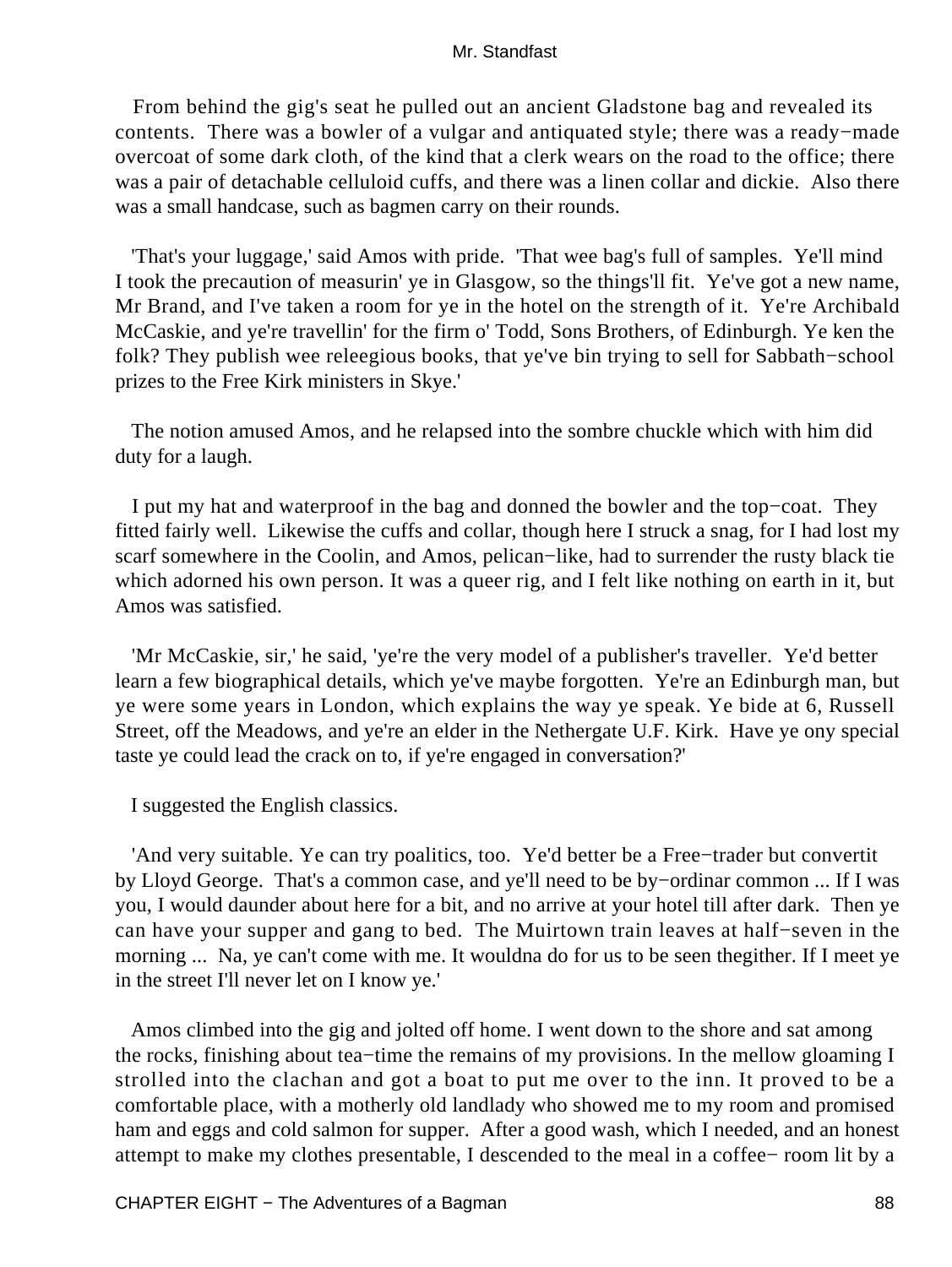From behind the gig's seat he pulled out an ancient Gladstone bag and revealed its contents. There was a bowler of a vulgar and antiquated style; there was a ready−made overcoat of some dark cloth, of the kind that a clerk wears on the road to the office; there was a pair of detachable celluloid cuffs, and there was a linen collar and dickie. Also there was a small handcase, such as bagmen carry on their rounds.

 'That's your luggage,' said Amos with pride. 'That wee bag's full of samples. Ye'll mind I took the precaution of measurin' ye in Glasgow, so the things'll fit. Ye've got a new name, Mr Brand, and I've taken a room for ye in the hotel on the strength of it. Ye're Archibald McCaskie, and ye're travellin' for the firm o' Todd, Sons Brothers, of Edinburgh. Ye ken the folk? They publish wee releegious books, that ye've bin trying to sell for Sabbath−school prizes to the Free Kirk ministers in Skye.'

 The notion amused Amos, and he relapsed into the sombre chuckle which with him did duty for a laugh.

 I put my hat and waterproof in the bag and donned the bowler and the top−coat. They fitted fairly well. Likewise the cuffs and collar, though here I struck a snag, for I had lost my scarf somewhere in the Coolin, and Amos, pelican–like, had to surrender the rusty black tie which adorned his own person. It was a queer rig, and I felt like nothing on earth in it, but Amos was satisfied.

 'Mr McCaskie, sir,' he said, 'ye're the very model of a publisher's traveller. Ye'd better learn a few biographical details, which ye've maybe forgotten. Ye're an Edinburgh man, but ye were some years in London, which explains the way ye speak. Ye bide at 6, Russell Street, off the Meadows, and ye're an elder in the Nethergate U.F. Kirk. Have ye ony special taste ye could lead the crack on to, if ye're engaged in conversation?'

I suggested the English classics.

 'And very suitable. Ye can try poalitics, too. Ye'd better be a Free−trader but convertit by Lloyd George. That's a common case, and ye'll need to be by−ordinar common ... If I was you, I would daunder about here for a bit, and no arrive at your hotel till after dark. Then ye can have your supper and gang to bed. The Muirtown train leaves at half−seven in the morning ... Na, ye can't come with me. It wouldna do for us to be seen thegither. If I meet ye in the street I'll never let on I know ye.'

 Amos climbed into the gig and jolted off home. I went down to the shore and sat among the rocks, finishing about tea−time the remains of my provisions. In the mellow gloaming I strolled into the clachan and got a boat to put me over to the inn. It proved to be a comfortable place, with a motherly old landlady who showed me to my room and promised ham and eggs and cold salmon for supper. After a good wash, which I needed, and an honest attempt to make my clothes presentable, I descended to the meal in a coffee− room lit by a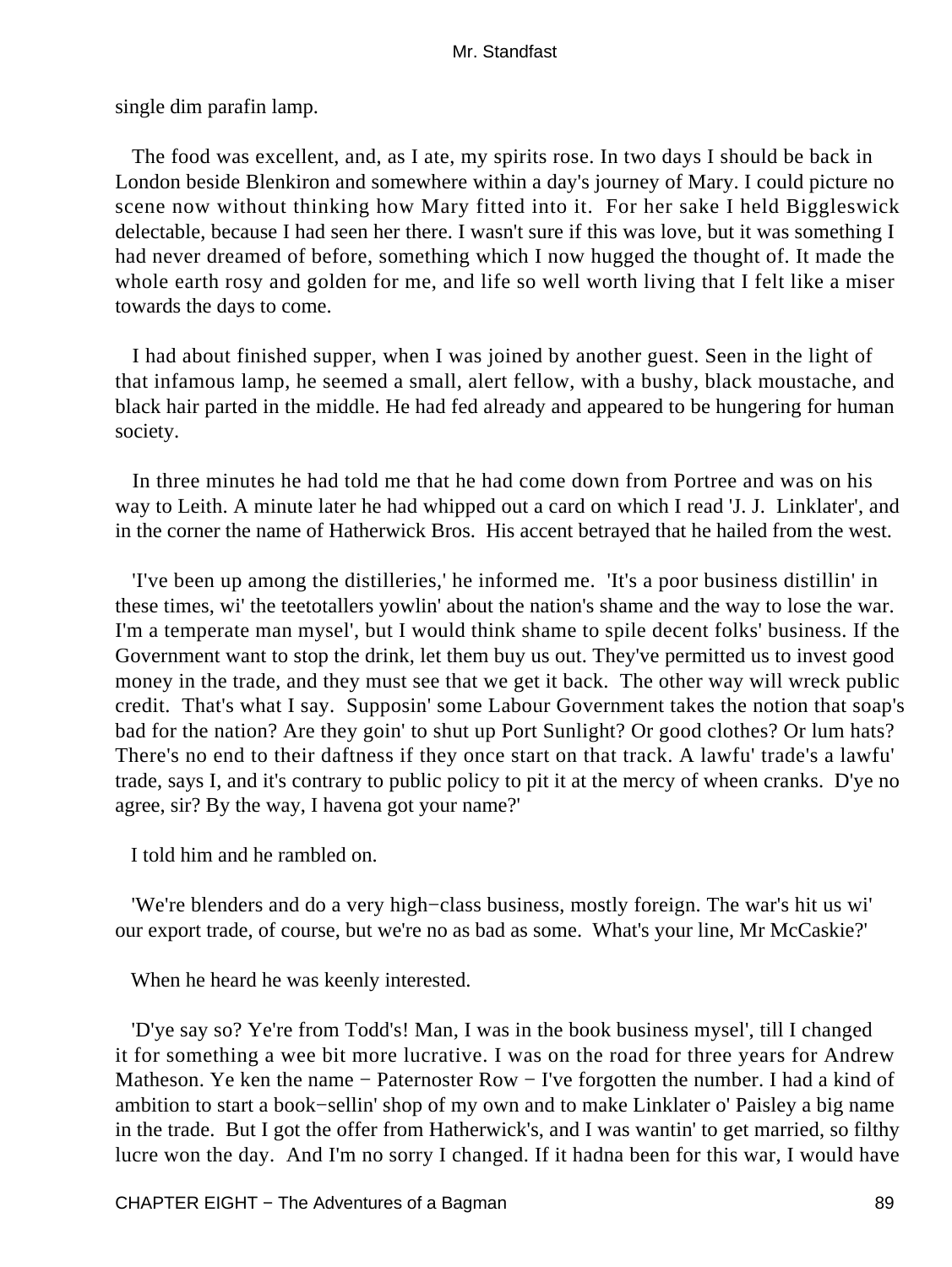single dim parafin lamp.

 The food was excellent, and, as I ate, my spirits rose. In two days I should be back in London beside Blenkiron and somewhere within a day's journey of Mary. I could picture no scene now without thinking how Mary fitted into it. For her sake I held Biggleswick delectable, because I had seen her there. I wasn't sure if this was love, but it was something I had never dreamed of before, something which I now hugged the thought of. It made the whole earth rosy and golden for me, and life so well worth living that I felt like a miser towards the days to come.

 I had about finished supper, when I was joined by another guest. Seen in the light of that infamous lamp, he seemed a small, alert fellow, with a bushy, black moustache, and black hair parted in the middle. He had fed already and appeared to be hungering for human society.

 In three minutes he had told me that he had come down from Portree and was on his way to Leith. A minute later he had whipped out a card on which I read 'J. J. Linklater', and in the corner the name of Hatherwick Bros. His accent betrayed that he hailed from the west.

 'I've been up among the distilleries,' he informed me. 'It's a poor business distillin' in these times, wi' the teetotallers yowlin' about the nation's shame and the way to lose the war. I'm a temperate man mysel', but I would think shame to spile decent folks' business. If the Government want to stop the drink, let them buy us out. They've permitted us to invest good money in the trade, and they must see that we get it back. The other way will wreck public credit. That's what I say. Supposin' some Labour Government takes the notion that soap's bad for the nation? Are they goin' to shut up Port Sunlight? Or good clothes? Or lum hats? There's no end to their daftness if they once start on that track. A lawfu' trade's a lawfu' trade, says I, and it's contrary to public policy to pit it at the mercy of wheen cranks. D'ye no agree, sir? By the way, I havena got your name?'

I told him and he rambled on.

 'We're blenders and do a very high−class business, mostly foreign. The war's hit us wi' our export trade, of course, but we're no as bad as some. What's your line, Mr McCaskie?'

When he heard he was keenly interested.

 'D'ye say so? Ye're from Todd's! Man, I was in the book business mysel', till I changed it for something a wee bit more lucrative. I was on the road for three years for Andrew Matheson. Ye ken the name – Paternoster Row – I've forgotten the number. I had a kind of ambition to start a book−sellin' shop of my own and to make Linklater o' Paisley a big name in the trade. But I got the offer from Hatherwick's, and I was wantin' to get married, so filthy lucre won the day. And I'm no sorry I changed. If it hadna been for this war, I would have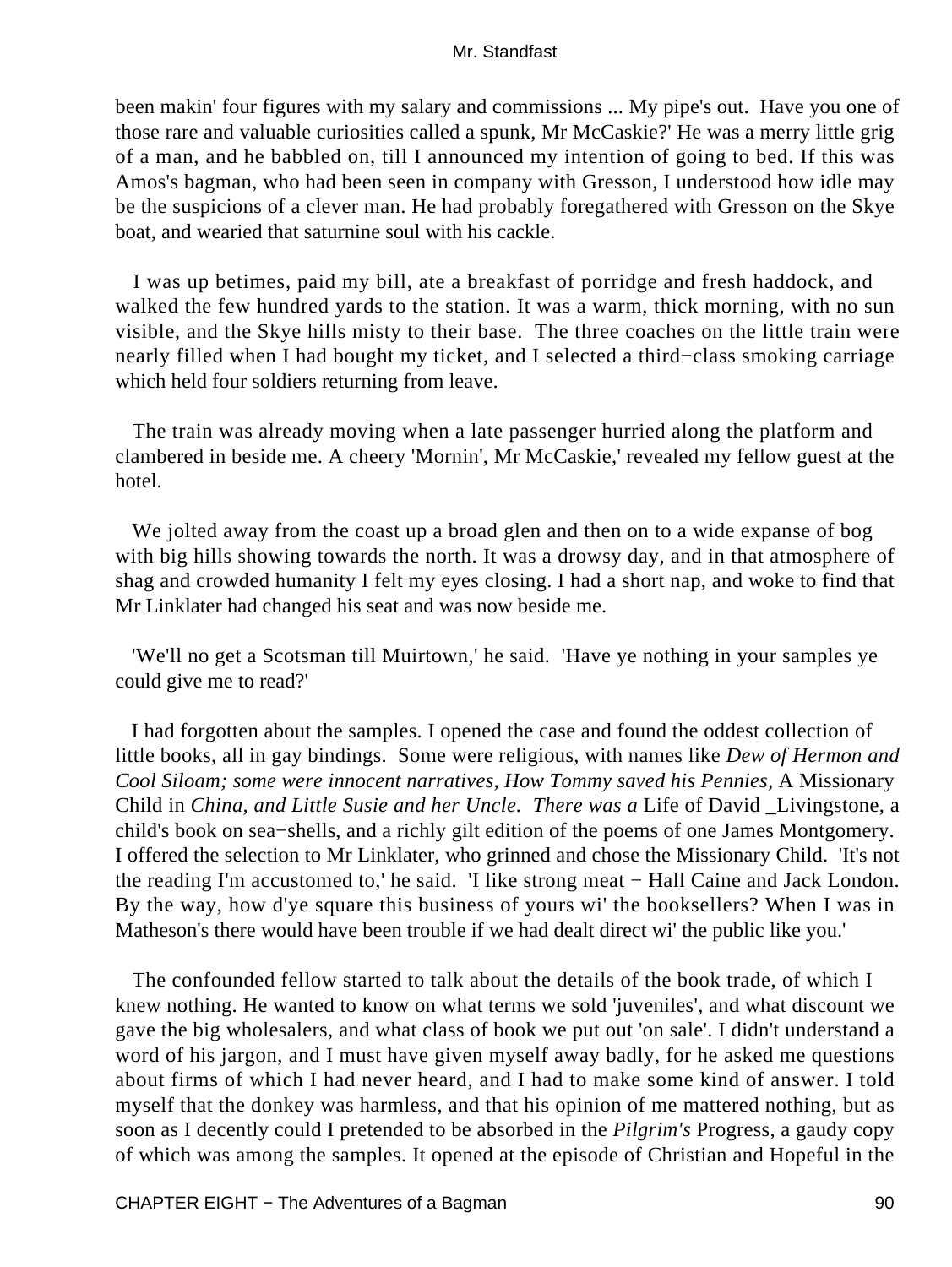been makin' four figures with my salary and commissions ... My pipe's out. Have you one of those rare and valuable curiosities called a spunk, Mr McCaskie?' He was a merry little grig of a man, and he babbled on, till I announced my intention of going to bed. If this was Amos's bagman, who had been seen in company with Gresson, I understood how idle may be the suspicions of a clever man. He had probably foregathered with Gresson on the Skye boat, and wearied that saturnine soul with his cackle.

 I was up betimes, paid my bill, ate a breakfast of porridge and fresh haddock, and walked the few hundred yards to the station. It was a warm, thick morning, with no sun visible, and the Skye hills misty to their base. The three coaches on the little train were nearly filled when I had bought my ticket, and I selected a third−class smoking carriage which held four soldiers returning from leave.

 The train was already moving when a late passenger hurried along the platform and clambered in beside me. A cheery 'Mornin', Mr McCaskie,' revealed my fellow guest at the hotel.

We jolted away from the coast up a broad glen and then on to a wide expanse of bog with big hills showing towards the north. It was a drowsy day, and in that atmosphere of shag and crowded humanity I felt my eyes closing. I had a short nap, and woke to find that Mr Linklater had changed his seat and was now beside me.

 'We'll no get a Scotsman till Muirtown,' he said. 'Have ye nothing in your samples ye could give me to read?'

 I had forgotten about the samples. I opened the case and found the oddest collection of little books, all in gay bindings. Some were religious, with names like *Dew of Hermon and Cool Siloam; some were innocent narratives, How Tommy saved his Pennies,* A Missionary Child in *China, and Little Susie and her Uncle. There was a* Life of David \_Livingstone, a child's book on sea−shells, and a richly gilt edition of the poems of one James Montgomery. I offered the selection to Mr Linklater, who grinned and chose the Missionary Child. 'It's not the reading I'm accustomed to,' he said. 'I like strong meat − Hall Caine and Jack London. By the way, how d'ye square this business of yours wi' the booksellers? When I was in Matheson's there would have been trouble if we had dealt direct wi' the public like you.'

 The confounded fellow started to talk about the details of the book trade, of which I knew nothing. He wanted to know on what terms we sold 'juveniles', and what discount we gave the big wholesalers, and what class of book we put out 'on sale'. I didn't understand a word of his jargon, and I must have given myself away badly, for he asked me questions about firms of which I had never heard, and I had to make some kind of answer. I told myself that the donkey was harmless, and that his opinion of me mattered nothing, but as soon as I decently could I pretended to be absorbed in the *Pilgrim's* Progress, a gaudy copy of which was among the samples. It opened at the episode of Christian and Hopeful in the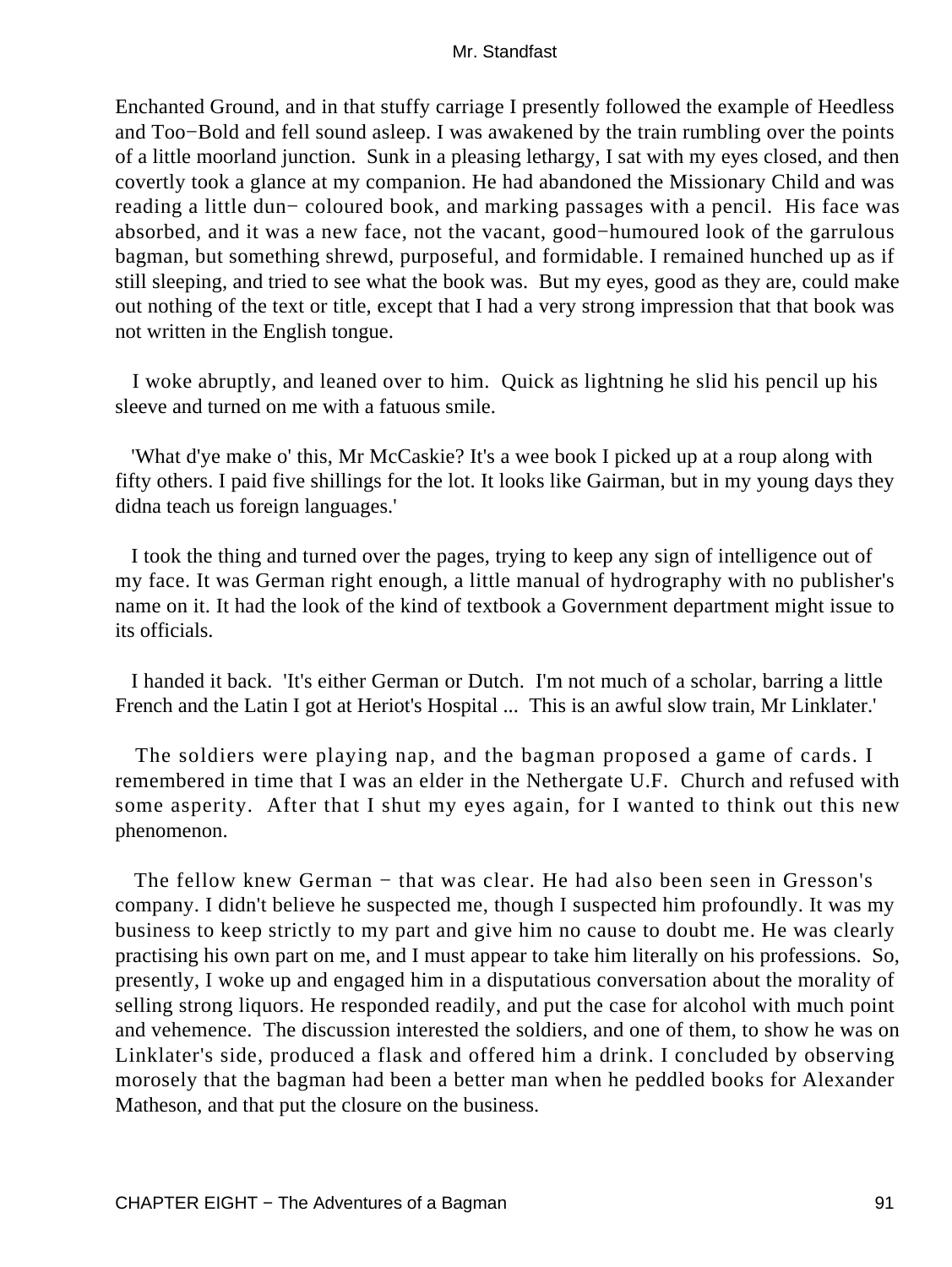Enchanted Ground, and in that stuffy carriage I presently followed the example of Heedless and Too−Bold and fell sound asleep. I was awakened by the train rumbling over the points of a little moorland junction. Sunk in a pleasing lethargy, I sat with my eyes closed, and then covertly took a glance at my companion. He had abandoned the Missionary Child and was reading a little dun− coloured book, and marking passages with a pencil. His face was absorbed, and it was a new face, not the vacant, good−humoured look of the garrulous bagman, but something shrewd, purposeful, and formidable. I remained hunched up as if still sleeping, and tried to see what the book was. But my eyes, good as they are, could make out nothing of the text or title, except that I had a very strong impression that that book was not written in the English tongue.

 I woke abruptly, and leaned over to him. Quick as lightning he slid his pencil up his sleeve and turned on me with a fatuous smile.

 'What d'ye make o' this, Mr McCaskie? It's a wee book I picked up at a roup along with fifty others. I paid five shillings for the lot. It looks like Gairman, but in my young days they didna teach us foreign languages.'

 I took the thing and turned over the pages, trying to keep any sign of intelligence out of my face. It was German right enough, a little manual of hydrography with no publisher's name on it. It had the look of the kind of textbook a Government department might issue to its officials.

 I handed it back. 'It's either German or Dutch. I'm not much of a scholar, barring a little French and the Latin I got at Heriot's Hospital ... This is an awful slow train, Mr Linklater.'

 The soldiers were playing nap, and the bagman proposed a game of cards. I remembered in time that I was an elder in the Nethergate U.F. Church and refused with some asperity. After that I shut my eyes again, for I wanted to think out this new phenomenon.

The fellow knew German – that was clear. He had also been seen in Gresson's company. I didn't believe he suspected me, though I suspected him profoundly. It was my business to keep strictly to my part and give him no cause to doubt me. He was clearly practising his own part on me, and I must appear to take him literally on his professions. So, presently, I woke up and engaged him in a disputatious conversation about the morality of selling strong liquors. He responded readily, and put the case for alcohol with much point and vehemence. The discussion interested the soldiers, and one of them, to show he was on Linklater's side, produced a flask and offered him a drink. I concluded by observing morosely that the bagman had been a better man when he peddled books for Alexander Matheson, and that put the closure on the business.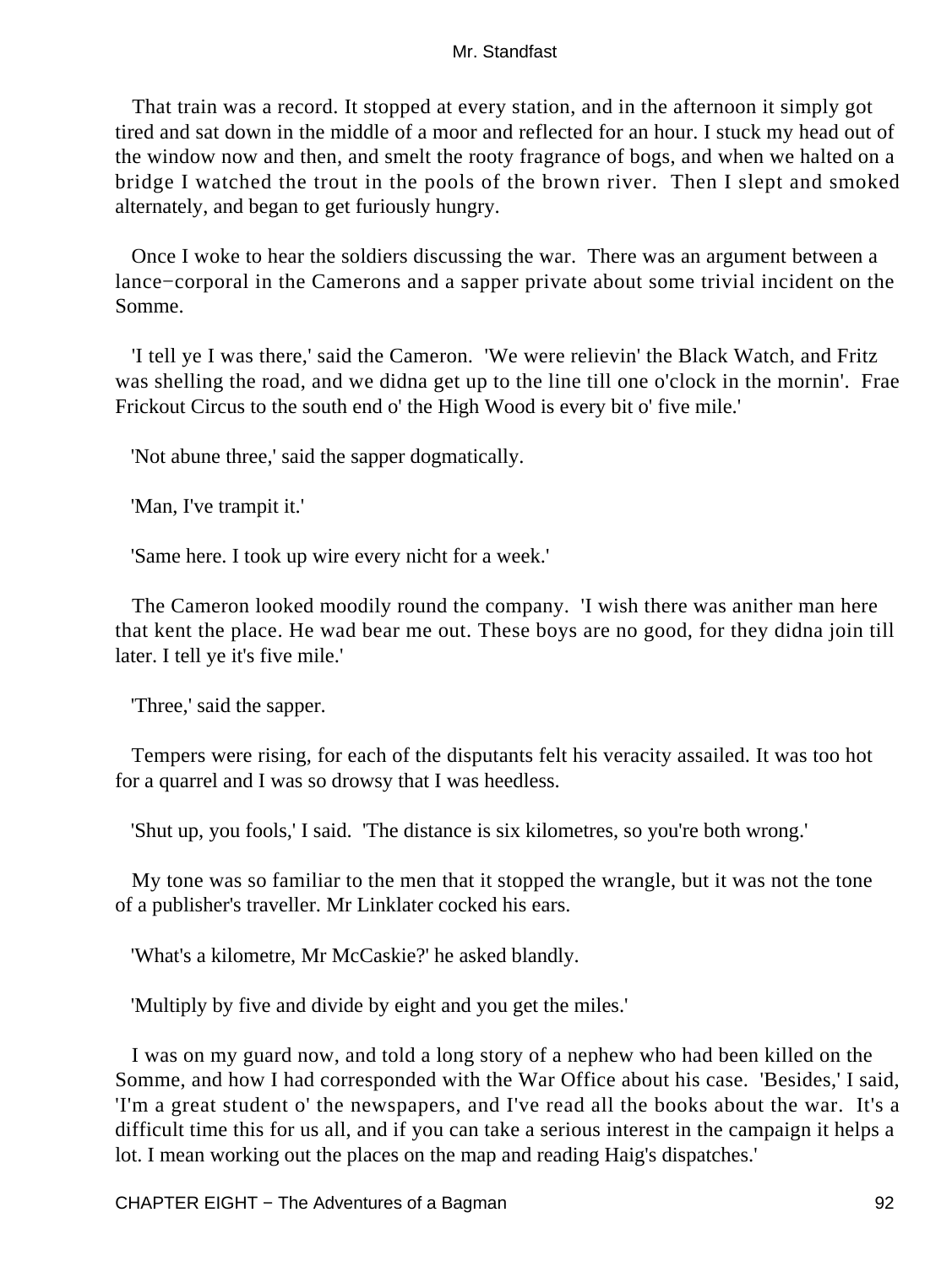That train was a record. It stopped at every station, and in the afternoon it simply got tired and sat down in the middle of a moor and reflected for an hour. I stuck my head out of the window now and then, and smelt the rooty fragrance of bogs, and when we halted on a bridge I watched the trout in the pools of the brown river. Then I slept and smoked alternately, and began to get furiously hungry.

 Once I woke to hear the soldiers discussing the war. There was an argument between a lance−corporal in the Camerons and a sapper private about some trivial incident on the Somme.

 'I tell ye I was there,' said the Cameron. 'We were relievin' the Black Watch, and Fritz was shelling the road, and we didna get up to the line till one o'clock in the mornin'. Frae Frickout Circus to the south end o' the High Wood is every bit o' five mile.'

'Not abune three,' said the sapper dogmatically.

'Man, I've trampit it.'

'Same here. I took up wire every nicht for a week.'

 The Cameron looked moodily round the company. 'I wish there was anither man here that kent the place. He wad bear me out. These boys are no good, for they didna join till later. I tell ye it's five mile.'

'Three,' said the sapper.

 Tempers were rising, for each of the disputants felt his veracity assailed. It was too hot for a quarrel and I was so drowsy that I was heedless.

'Shut up, you fools,' I said. 'The distance is six kilometres, so you're both wrong.'

 My tone was so familiar to the men that it stopped the wrangle, but it was not the tone of a publisher's traveller. Mr Linklater cocked his ears.

'What's a kilometre, Mr McCaskie?' he asked blandly.

'Multiply by five and divide by eight and you get the miles.'

 I was on my guard now, and told a long story of a nephew who had been killed on the Somme, and how I had corresponded with the War Office about his case. 'Besides,' I said, 'I'm a great student o' the newspapers, and I've read all the books about the war. It's a difficult time this for us all, and if you can take a serious interest in the campaign it helps a lot. I mean working out the places on the map and reading Haig's dispatches.'

CHAPTER EIGHT – The Adventures of a Bagman 6 metal and the state of the 92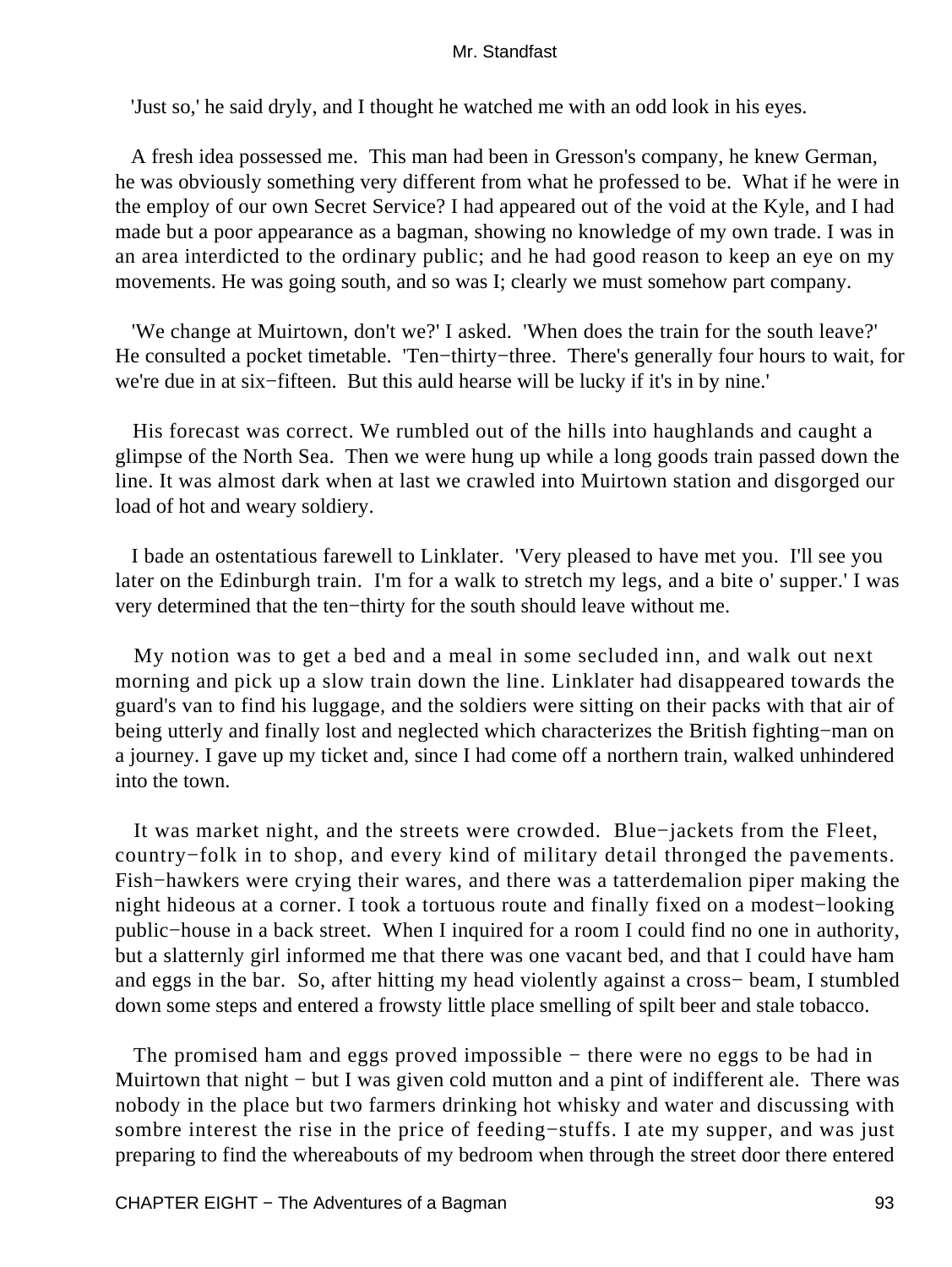'Just so,' he said dryly, and I thought he watched me with an odd look in his eyes.

 A fresh idea possessed me. This man had been in Gresson's company, he knew German, he was obviously something very different from what he professed to be. What if he were in the employ of our own Secret Service? I had appeared out of the void at the Kyle, and I had made but a poor appearance as a bagman, showing no knowledge of my own trade. I was in an area interdicted to the ordinary public; and he had good reason to keep an eye on my movements. He was going south, and so was I; clearly we must somehow part company.

 'We change at Muirtown, don't we?' I asked. 'When does the train for the south leave?' He consulted a pocket timetable. 'Ten−thirty−three. There's generally four hours to wait, for we're due in at six−fifteen. But this auld hearse will be lucky if it's in by nine.'

 His forecast was correct. We rumbled out of the hills into haughlands and caught a glimpse of the North Sea. Then we were hung up while a long goods train passed down the line. It was almost dark when at last we crawled into Muirtown station and disgorged our load of hot and weary soldiery.

 I bade an ostentatious farewell to Linklater. 'Very pleased to have met you. I'll see you later on the Edinburgh train. I'm for a walk to stretch my legs, and a bite o' supper.' I was very determined that the ten−thirty for the south should leave without me.

 My notion was to get a bed and a meal in some secluded inn, and walk out next morning and pick up a slow train down the line. Linklater had disappeared towards the guard's van to find his luggage, and the soldiers were sitting on their packs with that air of being utterly and finally lost and neglected which characterizes the British fighting−man on a journey. I gave up my ticket and, since I had come off a northern train, walked unhindered into the town.

 It was market night, and the streets were crowded. Blue−jackets from the Fleet, country−folk in to shop, and every kind of military detail thronged the pavements. Fish−hawkers were crying their wares, and there was a tatterdemalion piper making the night hideous at a corner. I took a tortuous route and finally fixed on a modest−looking public−house in a back street. When I inquired for a room I could find no one in authority, but a slatternly girl informed me that there was one vacant bed, and that I could have ham and eggs in the bar. So, after hitting my head violently against a cross− beam, I stumbled down some steps and entered a frowsty little place smelling of spilt beer and stale tobacco.

The promised ham and eggs proved impossible – there were no eggs to be had in Muirtown that night – but I was given cold mutton and a pint of indifferent ale. There was nobody in the place but two farmers drinking hot whisky and water and discussing with sombre interest the rise in the price of feeding−stuffs. I ate my supper, and was just preparing to find the whereabouts of my bedroom when through the street door there entered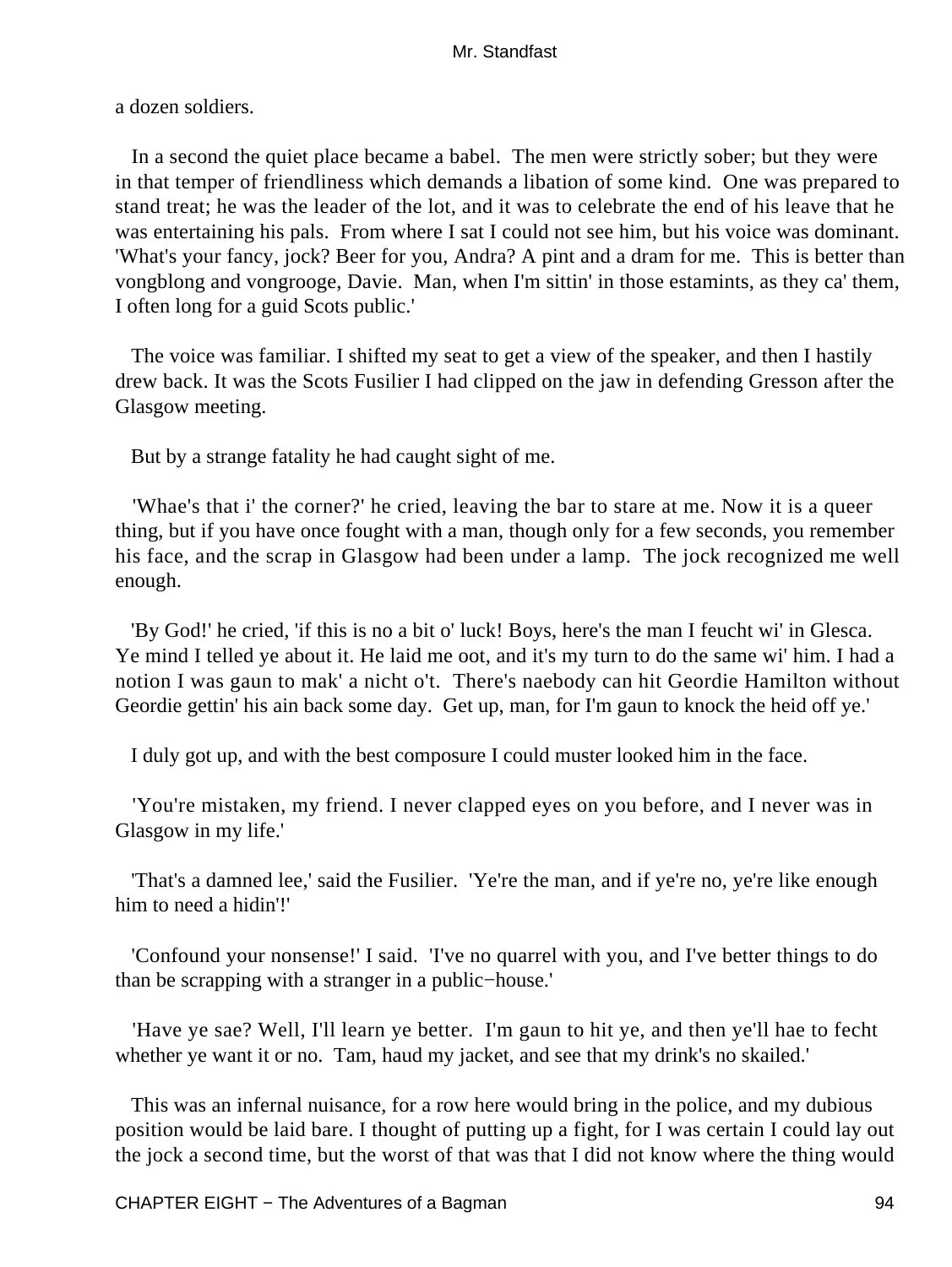a dozen soldiers.

 In a second the quiet place became a babel. The men were strictly sober; but they were in that temper of friendliness which demands a libation of some kind. One was prepared to stand treat; he was the leader of the lot, and it was to celebrate the end of his leave that he was entertaining his pals. From where I sat I could not see him, but his voice was dominant. 'What's your fancy, jock? Beer for you, Andra? A pint and a dram for me. This is better than vongblong and vongrooge, Davie. Man, when I'm sittin' in those estamints, as they ca' them, I often long for a guid Scots public.'

 The voice was familiar. I shifted my seat to get a view of the speaker, and then I hastily drew back. It was the Scots Fusilier I had clipped on the jaw in defending Gresson after the Glasgow meeting.

But by a strange fatality he had caught sight of me.

 'Whae's that i' the corner?' he cried, leaving the bar to stare at me. Now it is a queer thing, but if you have once fought with a man, though only for a few seconds, you remember his face, and the scrap in Glasgow had been under a lamp. The jock recognized me well enough.

 'By God!' he cried, 'if this is no a bit o' luck! Boys, here's the man I feucht wi' in Glesca. Ye mind I telled ye about it. He laid me oot, and it's my turn to do the same wi' him. I had a notion I was gaun to mak' a nicht o't. There's naebody can hit Geordie Hamilton without Geordie gettin' his ain back some day. Get up, man, for I'm gaun to knock the heid off ye.'

I duly got up, and with the best composure I could muster looked him in the face.

 'You're mistaken, my friend. I never clapped eyes on you before, and I never was in Glasgow in my life.'

 'That's a damned lee,' said the Fusilier. 'Ye're the man, and if ye're no, ye're like enough him to need a hidin'!'

 'Confound your nonsense!' I said. 'I've no quarrel with you, and I've better things to do than be scrapping with a stranger in a public−house.'

 'Have ye sae? Well, I'll learn ye better. I'm gaun to hit ye, and then ye'll hae to fecht whether ye want it or no. Tam, haud my jacket, and see that my drink's no skailed.'

 This was an infernal nuisance, for a row here would bring in the police, and my dubious position would be laid bare. I thought of putting up a fight, for I was certain I could lay out the jock a second time, but the worst of that was that I did not know where the thing would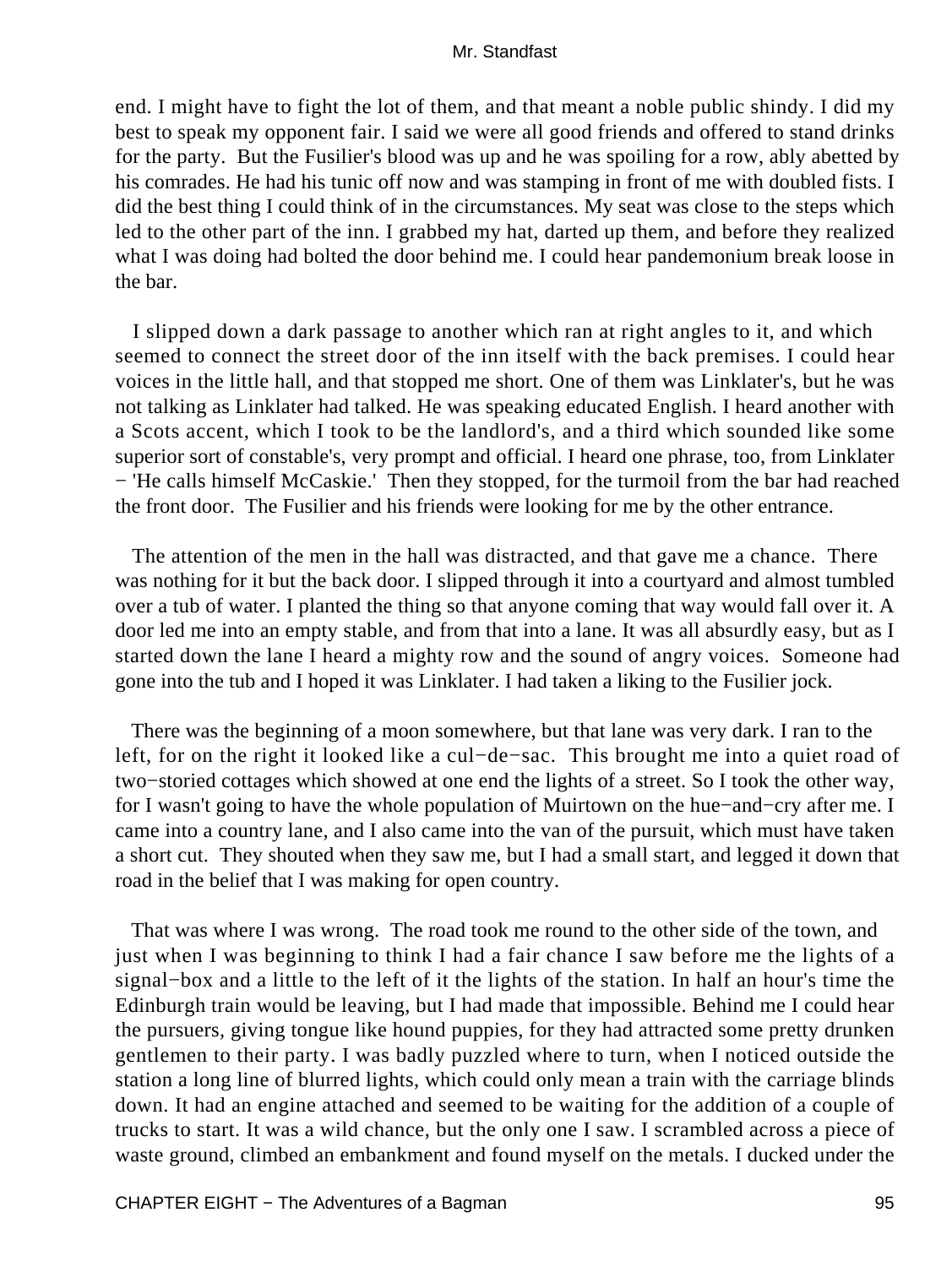end. I might have to fight the lot of them, and that meant a noble public shindy. I did my best to speak my opponent fair. I said we were all good friends and offered to stand drinks for the party. But the Fusilier's blood was up and he was spoiling for a row, ably abetted by his comrades. He had his tunic off now and was stamping in front of me with doubled fists. I did the best thing I could think of in the circumstances. My seat was close to the steps which led to the other part of the inn. I grabbed my hat, darted up them, and before they realized what I was doing had bolted the door behind me. I could hear pandemonium break loose in the bar.

 I slipped down a dark passage to another which ran at right angles to it, and which seemed to connect the street door of the inn itself with the back premises. I could hear voices in the little hall, and that stopped me short. One of them was Linklater's, but he was not talking as Linklater had talked. He was speaking educated English. I heard another with a Scots accent, which I took to be the landlord's, and a third which sounded like some superior sort of constable's, very prompt and official. I heard one phrase, too, from Linklater − 'He calls himself McCaskie.' Then they stopped, for the turmoil from the bar had reached the front door. The Fusilier and his friends were looking for me by the other entrance.

 The attention of the men in the hall was distracted, and that gave me a chance. There was nothing for it but the back door. I slipped through it into a courtyard and almost tumbled over a tub of water. I planted the thing so that anyone coming that way would fall over it. A door led me into an empty stable, and from that into a lane. It was all absurdly easy, but as I started down the lane I heard a mighty row and the sound of angry voices. Someone had gone into the tub and I hoped it was Linklater. I had taken a liking to the Fusilier jock.

 There was the beginning of a moon somewhere, but that lane was very dark. I ran to the left, for on the right it looked like a cul−de−sac. This brought me into a quiet road of two−storied cottages which showed at one end the lights of a street. So I took the other way, for I wasn't going to have the whole population of Muirtown on the hue−and−cry after me. I came into a country lane, and I also came into the van of the pursuit, which must have taken a short cut. They shouted when they saw me, but I had a small start, and legged it down that road in the belief that I was making for open country.

 That was where I was wrong. The road took me round to the other side of the town, and just when I was beginning to think I had a fair chance I saw before me the lights of a signal−box and a little to the left of it the lights of the station. In half an hour's time the Edinburgh train would be leaving, but I had made that impossible. Behind me I could hear the pursuers, giving tongue like hound puppies, for they had attracted some pretty drunken gentlemen to their party. I was badly puzzled where to turn, when I noticed outside the station a long line of blurred lights, which could only mean a train with the carriage blinds down. It had an engine attached and seemed to be waiting for the addition of a couple of trucks to start. It was a wild chance, but the only one I saw. I scrambled across a piece of waste ground, climbed an embankment and found myself on the metals. I ducked under the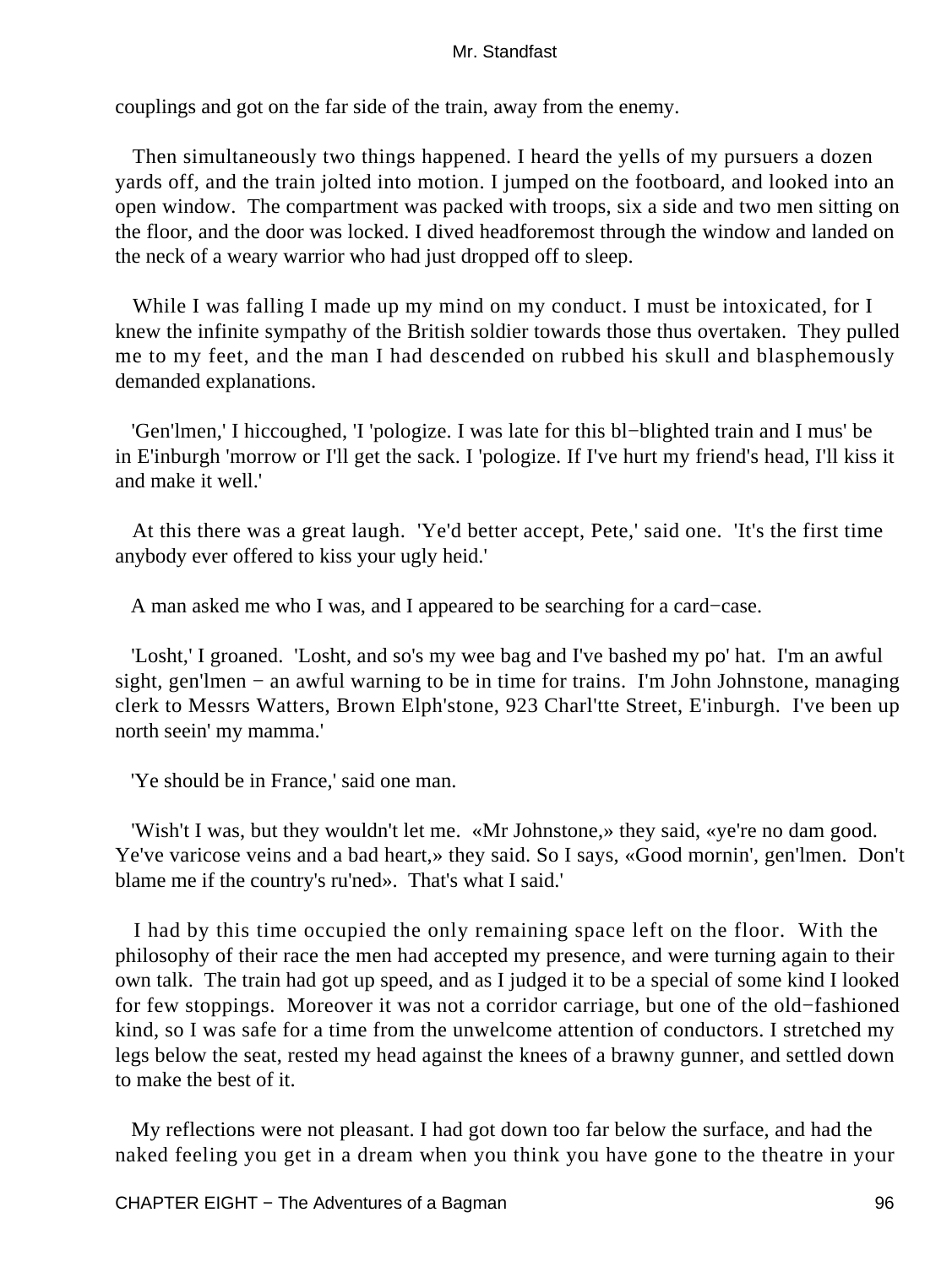couplings and got on the far side of the train, away from the enemy.

 Then simultaneously two things happened. I heard the yells of my pursuers a dozen yards off, and the train jolted into motion. I jumped on the footboard, and looked into an open window. The compartment was packed with troops, six a side and two men sitting on the floor, and the door was locked. I dived headforemost through the window and landed on the neck of a weary warrior who had just dropped off to sleep.

While I was falling I made up my mind on my conduct. I must be intoxicated, for I knew the infinite sympathy of the British soldier towards those thus overtaken. They pulled me to my feet, and the man I had descended on rubbed his skull and blasphemously demanded explanations.

 'Gen'lmen,' I hiccoughed, 'I 'pologize. I was late for this bl−blighted train and I mus' be in E'inburgh 'morrow or I'll get the sack. I 'pologize. If I've hurt my friend's head, I'll kiss it and make it well.'

 At this there was a great laugh. 'Ye'd better accept, Pete,' said one. 'It's the first time anybody ever offered to kiss your ugly heid.'

A man asked me who I was, and I appeared to be searching for a card−case.

 'Losht,' I groaned. 'Losht, and so's my wee bag and I've bashed my po' hat. I'm an awful sight, gen'lmen – an awful warning to be in time for trains. I'm John Johnstone, managing clerk to Messrs Watters, Brown Elph'stone, 923 Charl'tte Street, E'inburgh. I've been up north seein' my mamma.'

'Ye should be in France,' said one man.

 'Wish't I was, but they wouldn't let me. «Mr Johnstone,» they said, «ye're no dam good. Ye've varicose veins and a bad heart,» they said. So I says, «Good mornin', gen'lmen. Don't blame me if the country's ru'ned». That's what I said.'

 I had by this time occupied the only remaining space left on the floor. With the philosophy of their race the men had accepted my presence, and were turning again to their own talk. The train had got up speed, and as I judged it to be a special of some kind I looked for few stoppings. Moreover it was not a corridor carriage, but one of the old−fashioned kind, so I was safe for a time from the unwelcome attention of conductors. I stretched my legs below the seat, rested my head against the knees of a brawny gunner, and settled down to make the best of it.

 My reflections were not pleasant. I had got down too far below the surface, and had the naked feeling you get in a dream when you think you have gone to the theatre in your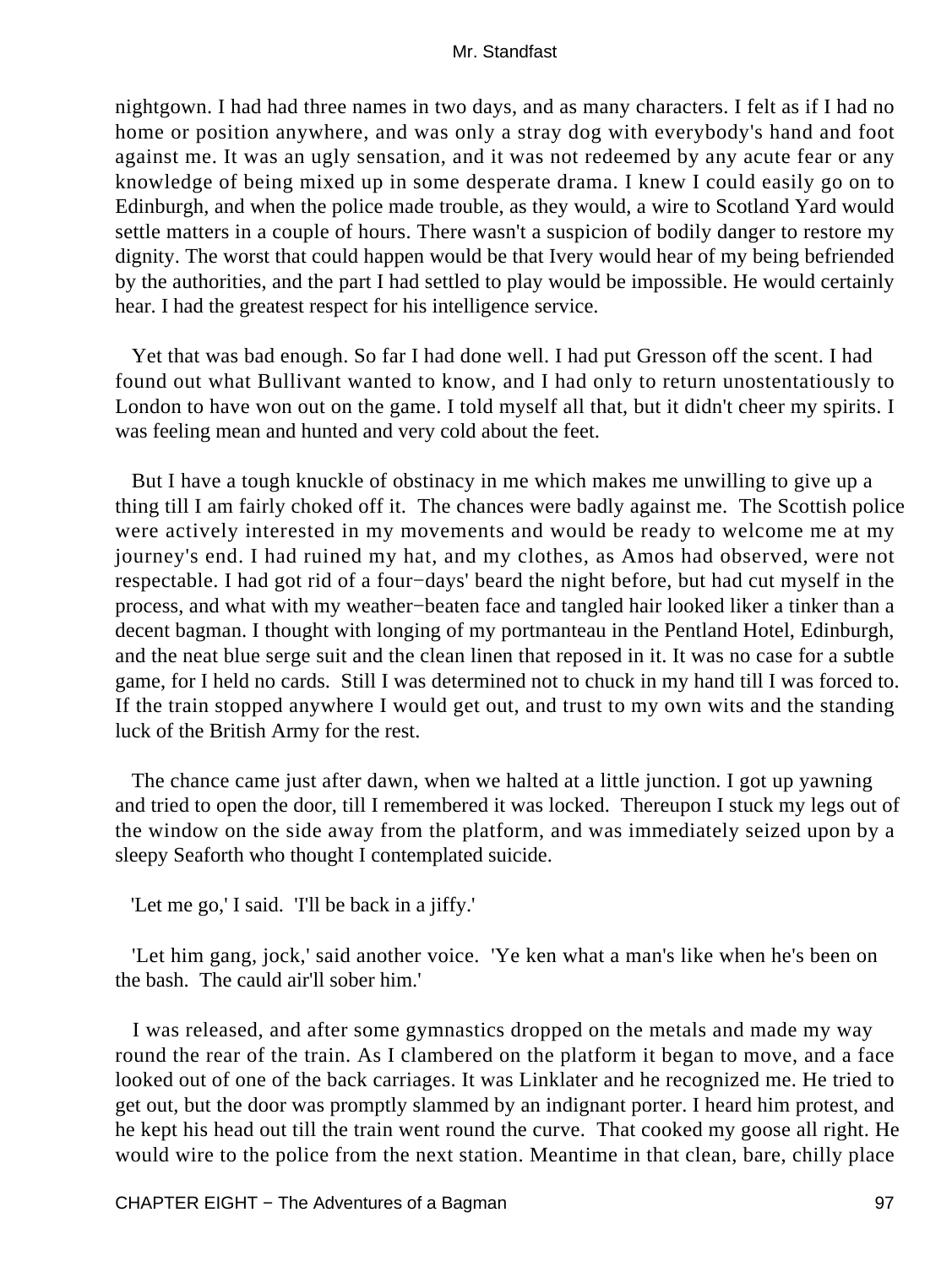nightgown. I had had three names in two days, and as many characters. I felt as if I had no home or position anywhere, and was only a stray dog with everybody's hand and foot against me. It was an ugly sensation, and it was not redeemed by any acute fear or any knowledge of being mixed up in some desperate drama. I knew I could easily go on to Edinburgh, and when the police made trouble, as they would, a wire to Scotland Yard would settle matters in a couple of hours. There wasn't a suspicion of bodily danger to restore my dignity. The worst that could happen would be that Ivery would hear of my being befriended by the authorities, and the part I had settled to play would be impossible. He would certainly hear. I had the greatest respect for his intelligence service.

 Yet that was bad enough. So far I had done well. I had put Gresson off the scent. I had found out what Bullivant wanted to know, and I had only to return unostentatiously to London to have won out on the game. I told myself all that, but it didn't cheer my spirits. I was feeling mean and hunted and very cold about the feet.

 But I have a tough knuckle of obstinacy in me which makes me unwilling to give up a thing till I am fairly choked off it. The chances were badly against me. The Scottish police were actively interested in my movements and would be ready to welcome me at my journey's end. I had ruined my hat, and my clothes, as Amos had observed, were not respectable. I had got rid of a four−days' beard the night before, but had cut myself in the process, and what with my weather−beaten face and tangled hair looked liker a tinker than a decent bagman. I thought with longing of my portmanteau in the Pentland Hotel, Edinburgh, and the neat blue serge suit and the clean linen that reposed in it. It was no case for a subtle game, for I held no cards. Still I was determined not to chuck in my hand till I was forced to. If the train stopped anywhere I would get out, and trust to my own wits and the standing luck of the British Army for the rest.

 The chance came just after dawn, when we halted at a little junction. I got up yawning and tried to open the door, till I remembered it was locked. Thereupon I stuck my legs out of the window on the side away from the platform, and was immediately seized upon by a sleepy Seaforth who thought I contemplated suicide.

'Let me go,' I said. 'I'll be back in a jiffy.'

 'Let him gang, jock,' said another voice. 'Ye ken what a man's like when he's been on the bash. The cauld air'll sober him.'

 I was released, and after some gymnastics dropped on the metals and made my way round the rear of the train. As I clambered on the platform it began to move, and a face looked out of one of the back carriages. It was Linklater and he recognized me. He tried to get out, but the door was promptly slammed by an indignant porter. I heard him protest, and he kept his head out till the train went round the curve. That cooked my goose all right. He would wire to the police from the next station. Meantime in that clean, bare, chilly place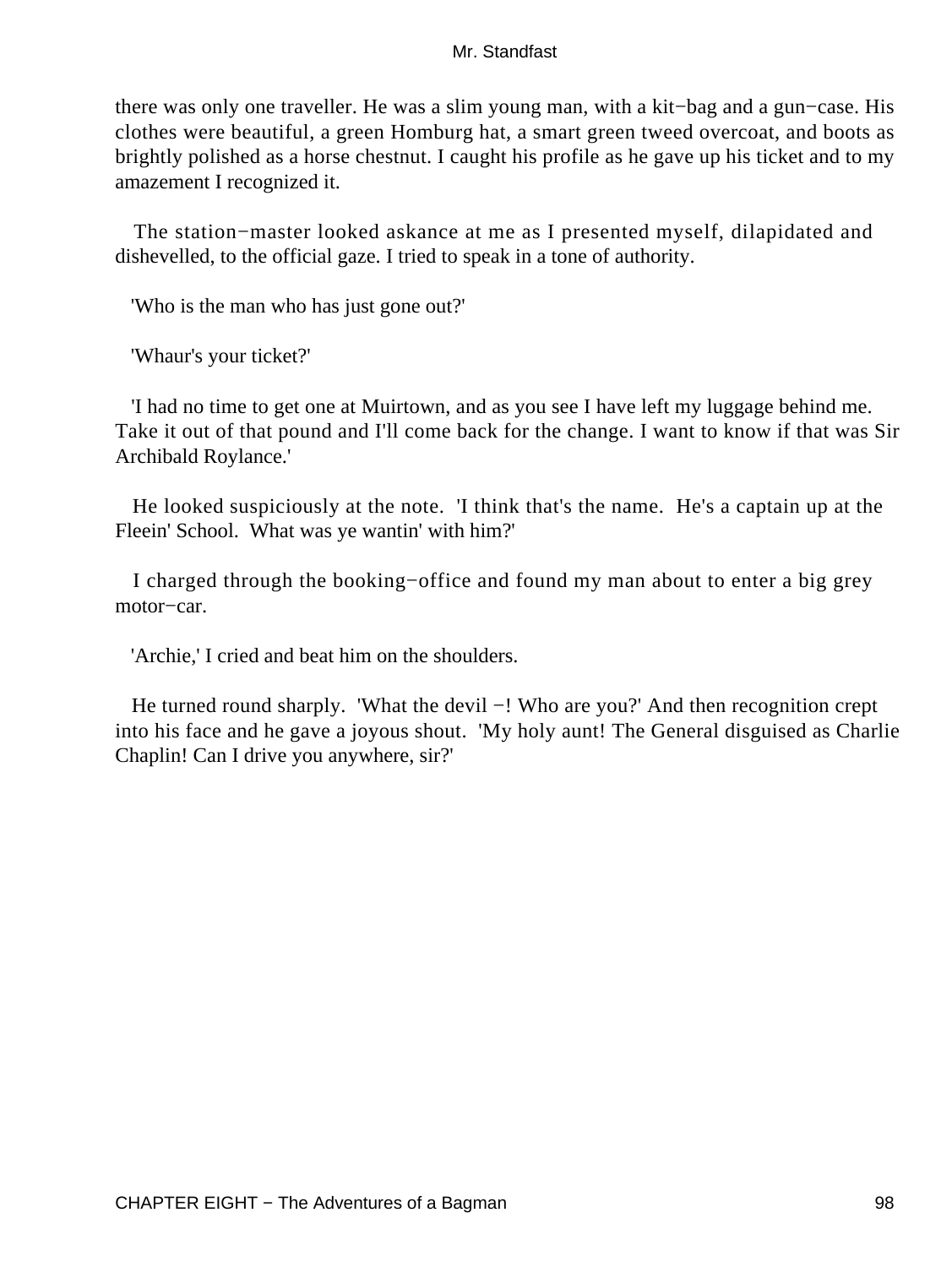there was only one traveller. He was a slim young man, with a kit−bag and a gun−case. His clothes were beautiful, a green Homburg hat, a smart green tweed overcoat, and boots as brightly polished as a horse chestnut. I caught his profile as he gave up his ticket and to my amazement I recognized it.

 The station−master looked askance at me as I presented myself, dilapidated and dishevelled, to the official gaze. I tried to speak in a tone of authority.

'Who is the man who has just gone out?'

'Whaur's your ticket?'

 'I had no time to get one at Muirtown, and as you see I have left my luggage behind me. Take it out of that pound and I'll come back for the change. I want to know if that was Sir Archibald Roylance.'

 He looked suspiciously at the note. 'I think that's the name. He's a captain up at the Fleein' School. What was ye wantin' with him?'

 I charged through the booking−office and found my man about to enter a big grey motor−car.

'Archie,' I cried and beat him on the shoulders.

 He turned round sharply. 'What the devil −! Who are you?' And then recognition crept into his face and he gave a joyous shout. 'My holy aunt! The General disguised as Charlie Chaplin! Can I drive you anywhere, sir?'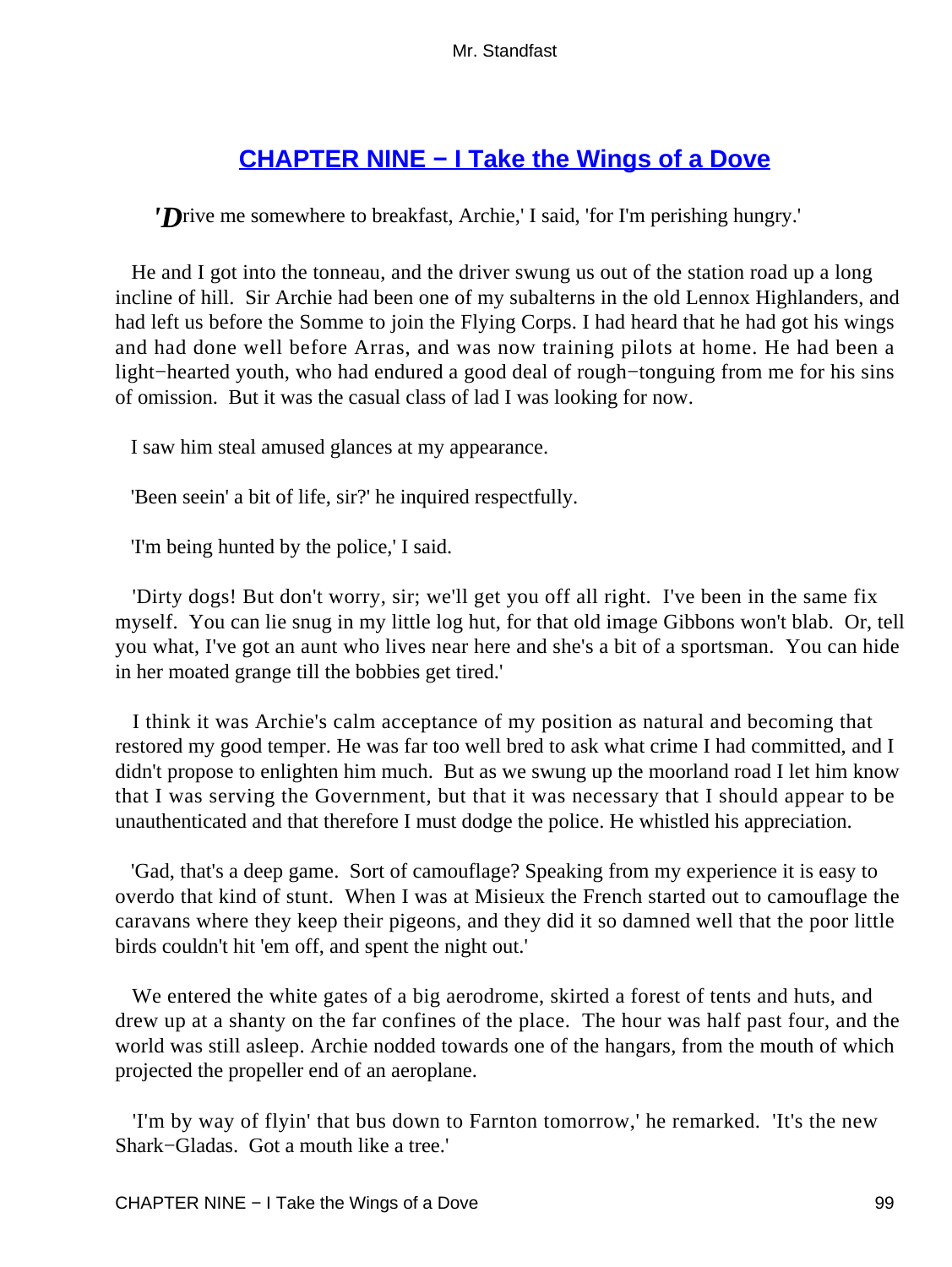# **[CHAPTER NINE − I Take the Wings of a Dove](#page-255-0)**

*'D*rive me somewhere to breakfast, Archie,' I said, 'for I'm perishing hungry.'

 He and I got into the tonneau, and the driver swung us out of the station road up a long incline of hill. Sir Archie had been one of my subalterns in the old Lennox Highlanders, and had left us before the Somme to join the Flying Corps. I had heard that he had got his wings and had done well before Arras, and was now training pilots at home. He had been a light−hearted youth, who had endured a good deal of rough−tonguing from me for his sins of omission. But it was the casual class of lad I was looking for now.

I saw him steal amused glances at my appearance.

'Been seein' a bit of life, sir?' he inquired respectfully.

'I'm being hunted by the police,' I said.

 'Dirty dogs! But don't worry, sir; we'll get you off all right. I've been in the same fix myself. You can lie snug in my little log hut, for that old image Gibbons won't blab. Or, tell you what, I've got an aunt who lives near here and she's a bit of a sportsman. You can hide in her moated grange till the bobbies get tired.'

 I think it was Archie's calm acceptance of my position as natural and becoming that restored my good temper. He was far too well bred to ask what crime I had committed, and I didn't propose to enlighten him much. But as we swung up the moorland road I let him know that I was serving the Government, but that it was necessary that I should appear to be unauthenticated and that therefore I must dodge the police. He whistled his appreciation.

 'Gad, that's a deep game. Sort of camouflage? Speaking from my experience it is easy to overdo that kind of stunt. When I was at Misieux the French started out to camouflage the caravans where they keep their pigeons, and they did it so damned well that the poor little birds couldn't hit 'em off, and spent the night out.'

 We entered the white gates of a big aerodrome, skirted a forest of tents and huts, and drew up at a shanty on the far confines of the place. The hour was half past four, and the world was still asleep. Archie nodded towards one of the hangars, from the mouth of which projected the propeller end of an aeroplane.

 'I'm by way of flyin' that bus down to Farnton tomorrow,' he remarked. 'It's the new Shark−Gladas. Got a mouth like a tree.'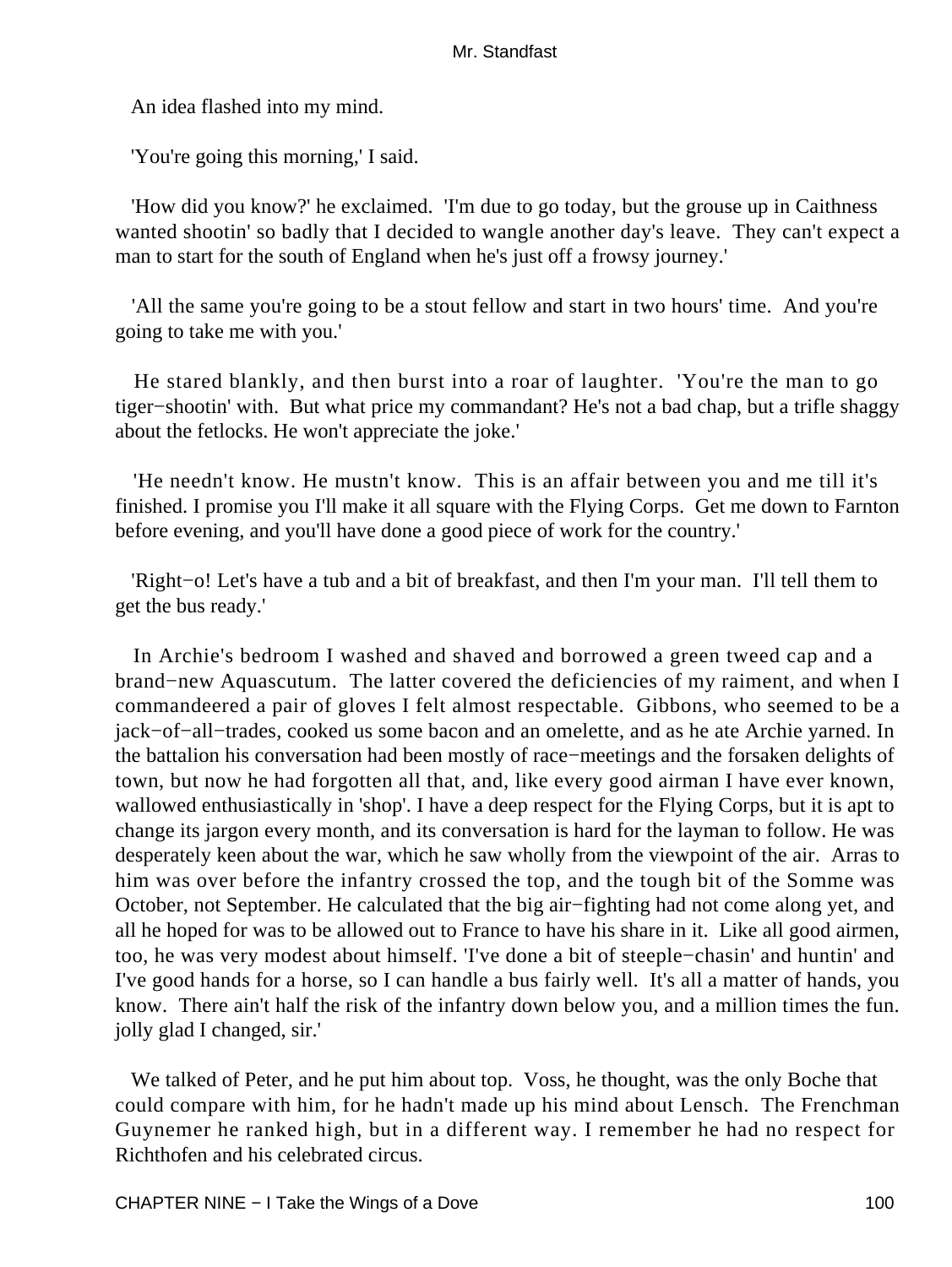An idea flashed into my mind.

'You're going this morning,' I said.

 'How did you know?' he exclaimed. 'I'm due to go today, but the grouse up in Caithness wanted shootin' so badly that I decided to wangle another day's leave. They can't expect a man to start for the south of England when he's just off a frowsy journey.'

 'All the same you're going to be a stout fellow and start in two hours' time. And you're going to take me with you.'

 He stared blankly, and then burst into a roar of laughter. 'You're the man to go tiger−shootin' with. But what price my commandant? He's not a bad chap, but a trifle shaggy about the fetlocks. He won't appreciate the joke.'

 'He needn't know. He mustn't know. This is an affair between you and me till it's finished. I promise you I'll make it all square with the Flying Corps. Get me down to Farnton before evening, and you'll have done a good piece of work for the country.'

 'Right−o! Let's have a tub and a bit of breakfast, and then I'm your man. I'll tell them to get the bus ready.'

 In Archie's bedroom I washed and shaved and borrowed a green tweed cap and a brand−new Aquascutum. The latter covered the deficiencies of my raiment, and when I commandeered a pair of gloves I felt almost respectable. Gibbons, who seemed to be a jack−of−all−trades, cooked us some bacon and an omelette, and as he ate Archie yarned. In the battalion his conversation had been mostly of race−meetings and the forsaken delights of town, but now he had forgotten all that, and, like every good airman I have ever known, wallowed enthusiastically in 'shop'. I have a deep respect for the Flying Corps, but it is apt to change its jargon every month, and its conversation is hard for the layman to follow. He was desperately keen about the war, which he saw wholly from the viewpoint of the air. Arras to him was over before the infantry crossed the top, and the tough bit of the Somme was October, not September. He calculated that the big air−fighting had not come along yet, and all he hoped for was to be allowed out to France to have his share in it. Like all good airmen, too, he was very modest about himself. 'I've done a bit of steeple−chasin' and huntin' and I've good hands for a horse, so I can handle a bus fairly well. It's all a matter of hands, you know. There ain't half the risk of the infantry down below you, and a million times the fun. jolly glad I changed, sir.'

 We talked of Peter, and he put him about top. Voss, he thought, was the only Boche that could compare with him, for he hadn't made up his mind about Lensch. The Frenchman Guynemer he ranked high, but in a different way. I remember he had no respect for Richthofen and his celebrated circus.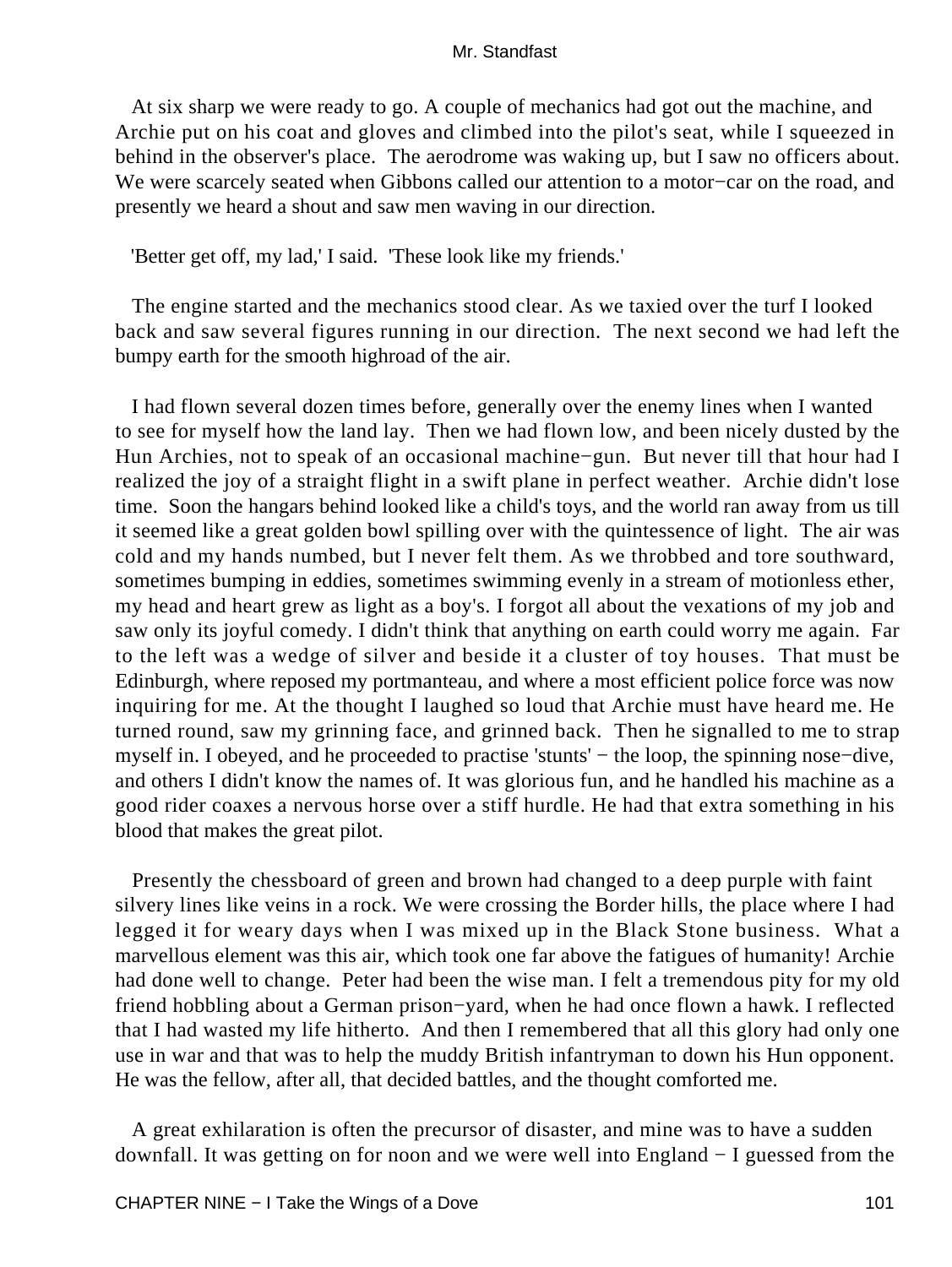At six sharp we were ready to go. A couple of mechanics had got out the machine, and Archie put on his coat and gloves and climbed into the pilot's seat, while I squeezed in behind in the observer's place. The aerodrome was waking up, but I saw no officers about. We were scarcely seated when Gibbons called our attention to a motor−car on the road, and presently we heard a shout and saw men waving in our direction.

'Better get off, my lad,' I said. 'These look like my friends.'

 The engine started and the mechanics stood clear. As we taxied over the turf I looked back and saw several figures running in our direction. The next second we had left the bumpy earth for the smooth highroad of the air.

 I had flown several dozen times before, generally over the enemy lines when I wanted to see for myself how the land lay. Then we had flown low, and been nicely dusted by the Hun Archies, not to speak of an occasional machine−gun. But never till that hour had I realized the joy of a straight flight in a swift plane in perfect weather. Archie didn't lose time. Soon the hangars behind looked like a child's toys, and the world ran away from us till it seemed like a great golden bowl spilling over with the quintessence of light. The air was cold and my hands numbed, but I never felt them. As we throbbed and tore southward, sometimes bumping in eddies, sometimes swimming evenly in a stream of motionless ether, my head and heart grew as light as a boy's. I forgot all about the vexations of my job and saw only its joyful comedy. I didn't think that anything on earth could worry me again. Far to the left was a wedge of silver and beside it a cluster of toy houses. That must be Edinburgh, where reposed my portmanteau, and where a most efficient police force was now inquiring for me. At the thought I laughed so loud that Archie must have heard me. He turned round, saw my grinning face, and grinned back. Then he signalled to me to strap myself in. I obeyed, and he proceeded to practise 'stunts' − the loop, the spinning nose−dive, and others I didn't know the names of. It was glorious fun, and he handled his machine as a good rider coaxes a nervous horse over a stiff hurdle. He had that extra something in his blood that makes the great pilot.

 Presently the chessboard of green and brown had changed to a deep purple with faint silvery lines like veins in a rock. We were crossing the Border hills, the place where I had legged it for weary days when I was mixed up in the Black Stone business. What a marvellous element was this air, which took one far above the fatigues of humanity! Archie had done well to change. Peter had been the wise man. I felt a tremendous pity for my old friend hobbling about a German prison−yard, when he had once flown a hawk. I reflected that I had wasted my life hitherto. And then I remembered that all this glory had only one use in war and that was to help the muddy British infantryman to down his Hun opponent. He was the fellow, after all, that decided battles, and the thought comforted me.

 A great exhilaration is often the precursor of disaster, and mine was to have a sudden downfall. It was getting on for noon and we were well into England − I guessed from the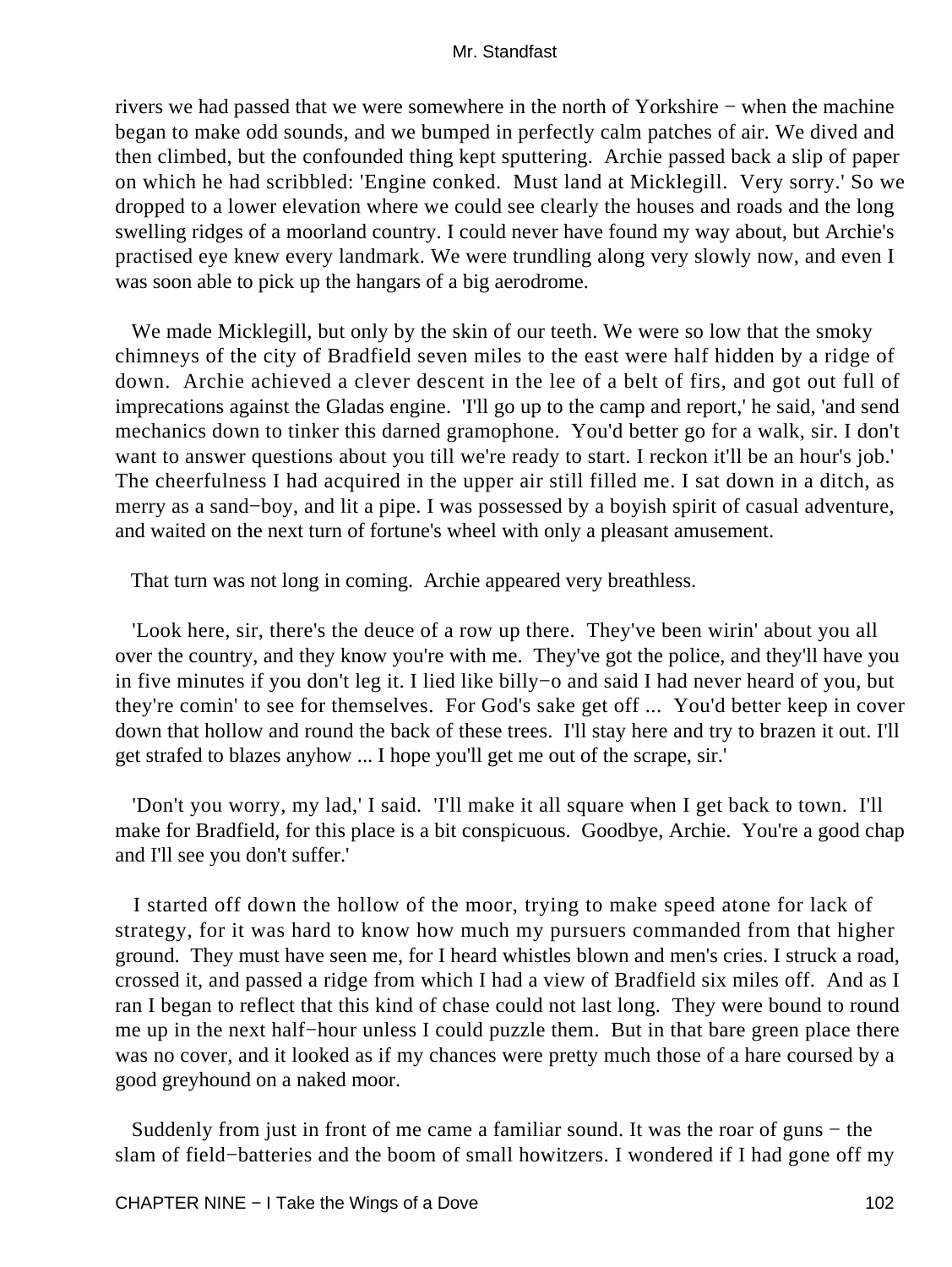rivers we had passed that we were somewhere in the north of Yorkshire − when the machine began to make odd sounds, and we bumped in perfectly calm patches of air. We dived and then climbed, but the confounded thing kept sputtering. Archie passed back a slip of paper on which he had scribbled: 'Engine conked. Must land at Micklegill. Very sorry.' So we dropped to a lower elevation where we could see clearly the houses and roads and the long swelling ridges of a moorland country. I could never have found my way about, but Archie's practised eye knew every landmark. We were trundling along very slowly now, and even I was soon able to pick up the hangars of a big aerodrome.

 We made Micklegill, but only by the skin of our teeth. We were so low that the smoky chimneys of the city of Bradfield seven miles to the east were half hidden by a ridge of down. Archie achieved a clever descent in the lee of a belt of firs, and got out full of imprecations against the Gladas engine. 'I'll go up to the camp and report,' he said, 'and send mechanics down to tinker this darned gramophone. You'd better go for a walk, sir. I don't want to answer questions about you till we're ready to start. I reckon it'll be an hour's job.' The cheerfulness I had acquired in the upper air still filled me. I sat down in a ditch, as merry as a sand−boy, and lit a pipe. I was possessed by a boyish spirit of casual adventure, and waited on the next turn of fortune's wheel with only a pleasant amusement.

That turn was not long in coming. Archie appeared very breathless.

 'Look here, sir, there's the deuce of a row up there. They've been wirin' about you all over the country, and they know you're with me. They've got the police, and they'll have you in five minutes if you don't leg it. I lied like billy−o and said I had never heard of you, but they're comin' to see for themselves. For God's sake get off ... You'd better keep in cover down that hollow and round the back of these trees. I'll stay here and try to brazen it out. I'll get strafed to blazes anyhow ... I hope you'll get me out of the scrape, sir.'

 'Don't you worry, my lad,' I said. 'I'll make it all square when I get back to town. I'll make for Bradfield, for this place is a bit conspicuous. Goodbye, Archie. You're a good chap and I'll see you don't suffer.'

 I started off down the hollow of the moor, trying to make speed atone for lack of strategy, for it was hard to know how much my pursuers commanded from that higher ground. They must have seen me, for I heard whistles blown and men's cries. I struck a road, crossed it, and passed a ridge from which I had a view of Bradfield six miles off. And as I ran I began to reflect that this kind of chase could not last long. They were bound to round me up in the next half−hour unless I could puzzle them. But in that bare green place there was no cover, and it looked as if my chances were pretty much those of a hare coursed by a good greyhound on a naked moor.

 Suddenly from just in front of me came a familiar sound. It was the roar of guns − the slam of field−batteries and the boom of small howitzers. I wondered if I had gone off my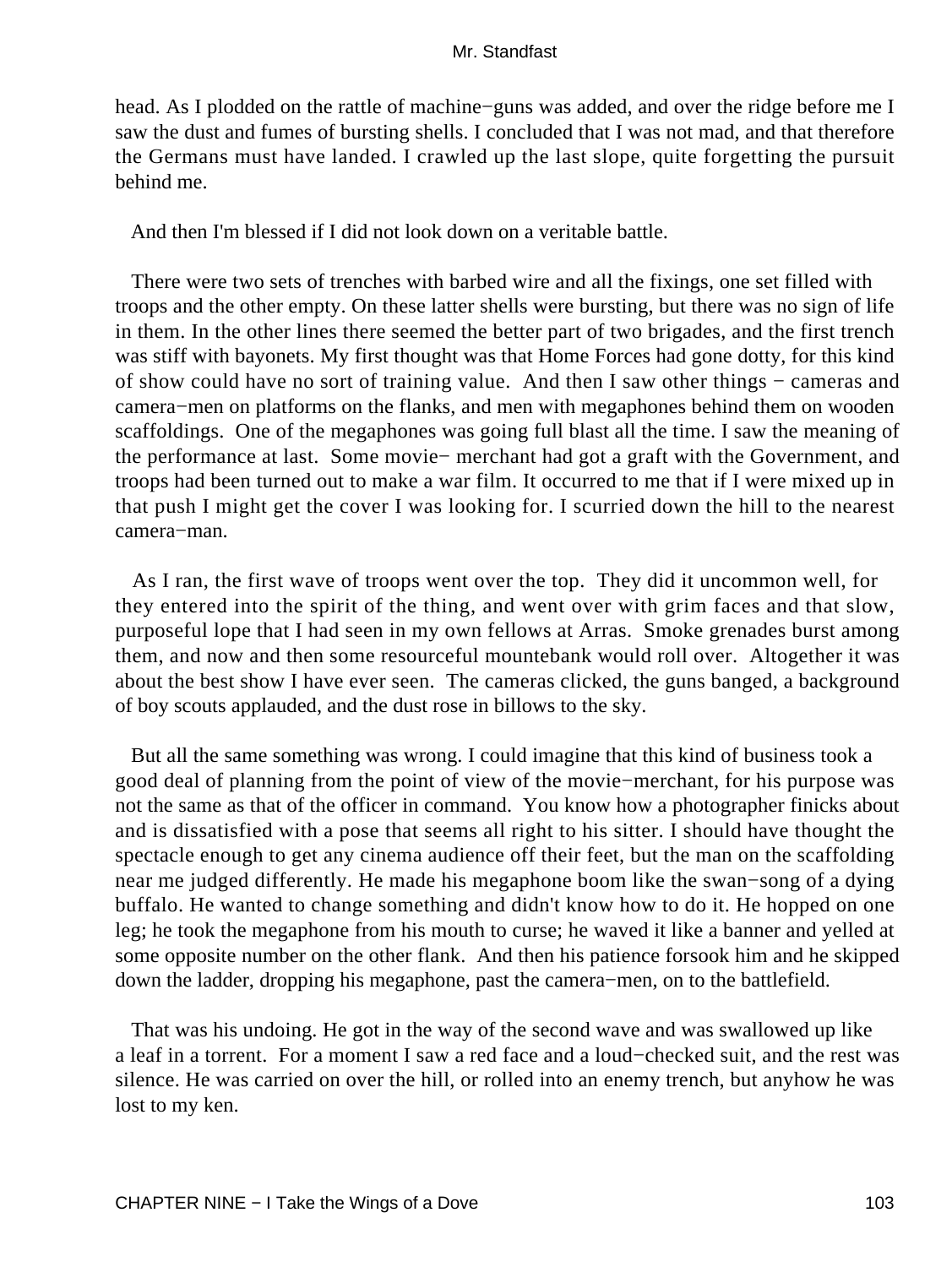head. As I plodded on the rattle of machine−guns was added, and over the ridge before me I saw the dust and fumes of bursting shells. I concluded that I was not mad, and that therefore the Germans must have landed. I crawled up the last slope, quite forgetting the pursuit behind me.

And then I'm blessed if I did not look down on a veritable battle.

 There were two sets of trenches with barbed wire and all the fixings, one set filled with troops and the other empty. On these latter shells were bursting, but there was no sign of life in them. In the other lines there seemed the better part of two brigades, and the first trench was stiff with bayonets. My first thought was that Home Forces had gone dotty, for this kind of show could have no sort of training value. And then I saw other things − cameras and camera−men on platforms on the flanks, and men with megaphones behind them on wooden scaffoldings. One of the megaphones was going full blast all the time. I saw the meaning of the performance at last. Some movie− merchant had got a graft with the Government, and troops had been turned out to make a war film. It occurred to me that if I were mixed up in that push I might get the cover I was looking for. I scurried down the hill to the nearest camera−man.

 As I ran, the first wave of troops went over the top. They did it uncommon well, for they entered into the spirit of the thing, and went over with grim faces and that slow, purposeful lope that I had seen in my own fellows at Arras. Smoke grenades burst among them, and now and then some resourceful mountebank would roll over. Altogether it was about the best show I have ever seen. The cameras clicked, the guns banged, a background of boy scouts applauded, and the dust rose in billows to the sky.

 But all the same something was wrong. I could imagine that this kind of business took a good deal of planning from the point of view of the movie−merchant, for his purpose was not the same as that of the officer in command. You know how a photographer finicks about and is dissatisfied with a pose that seems all right to his sitter. I should have thought the spectacle enough to get any cinema audience off their feet, but the man on the scaffolding near me judged differently. He made his megaphone boom like the swan−song of a dying buffalo. He wanted to change something and didn't know how to do it. He hopped on one leg; he took the megaphone from his mouth to curse; he waved it like a banner and yelled at some opposite number on the other flank. And then his patience forsook him and he skipped down the ladder, dropping his megaphone, past the camera−men, on to the battlefield.

 That was his undoing. He got in the way of the second wave and was swallowed up like a leaf in a torrent. For a moment I saw a red face and a loud−checked suit, and the rest was silence. He was carried on over the hill, or rolled into an enemy trench, but anyhow he was lost to my ken.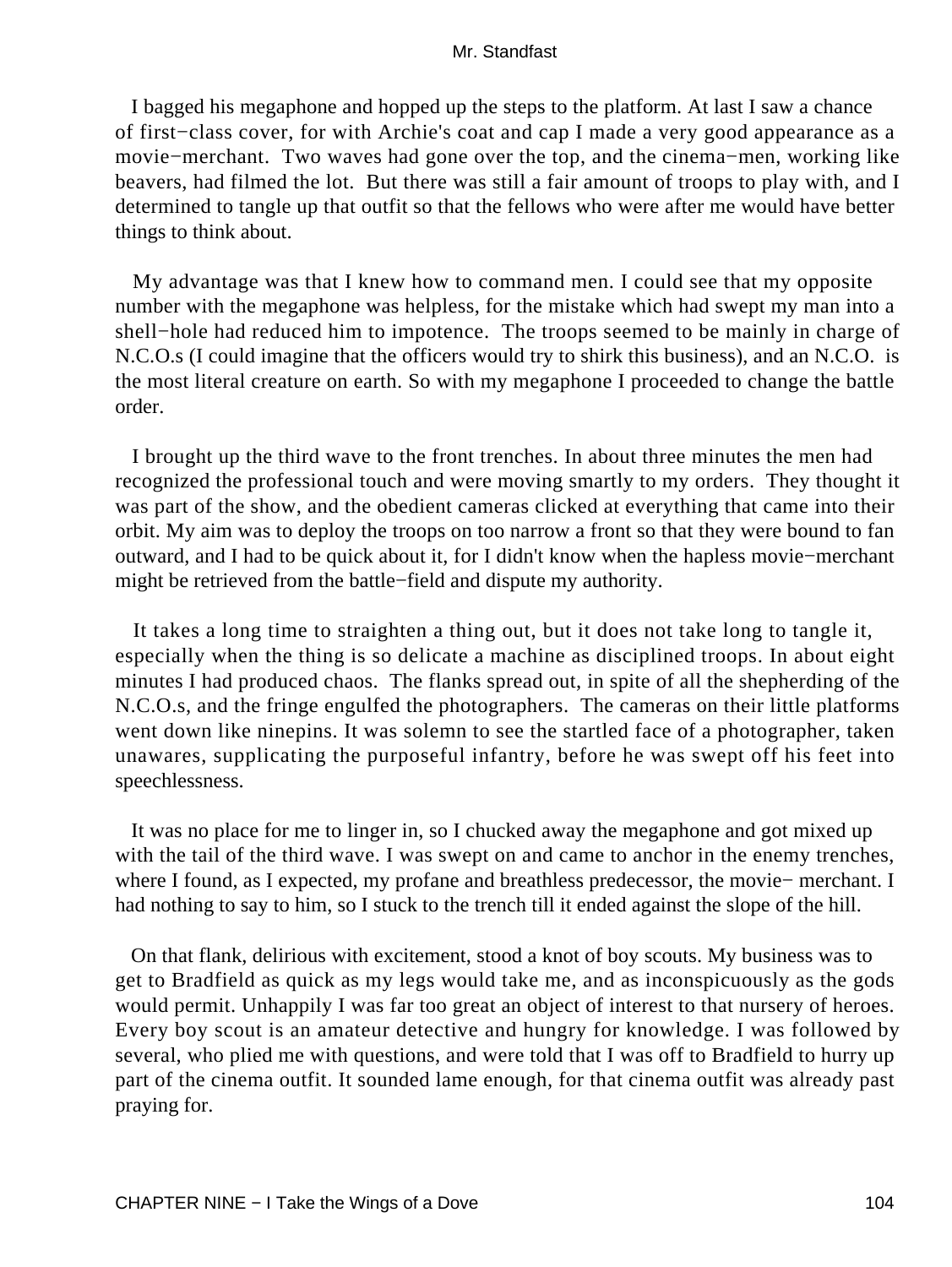I bagged his megaphone and hopped up the steps to the platform. At last I saw a chance of first−class cover, for with Archie's coat and cap I made a very good appearance as a movie−merchant. Two waves had gone over the top, and the cinema−men, working like beavers, had filmed the lot. But there was still a fair amount of troops to play with, and I determined to tangle up that outfit so that the fellows who were after me would have better things to think about.

 My advantage was that I knew how to command men. I could see that my opposite number with the megaphone was helpless, for the mistake which had swept my man into a shell−hole had reduced him to impotence. The troops seemed to be mainly in charge of N.C.O.s (I could imagine that the officers would try to shirk this business), and an N.C.O. is the most literal creature on earth. So with my megaphone I proceeded to change the battle order.

 I brought up the third wave to the front trenches. In about three minutes the men had recognized the professional touch and were moving smartly to my orders. They thought it was part of the show, and the obedient cameras clicked at everything that came into their orbit. My aim was to deploy the troops on too narrow a front so that they were bound to fan outward, and I had to be quick about it, for I didn't know when the hapless movie−merchant might be retrieved from the battle−field and dispute my authority.

 It takes a long time to straighten a thing out, but it does not take long to tangle it, especially when the thing is so delicate a machine as disciplined troops. In about eight minutes I had produced chaos. The flanks spread out, in spite of all the shepherding of the N.C.O.s, and the fringe engulfed the photographers. The cameras on their little platforms went down like ninepins. It was solemn to see the startled face of a photographer, taken unawares, supplicating the purposeful infantry, before he was swept off his feet into speechlessness.

 It was no place for me to linger in, so I chucked away the megaphone and got mixed up with the tail of the third wave. I was swept on and came to anchor in the enemy trenches, where I found, as I expected, my profane and breathless predecessor, the movie− merchant. I had nothing to say to him, so I stuck to the trench till it ended against the slope of the hill.

 On that flank, delirious with excitement, stood a knot of boy scouts. My business was to get to Bradfield as quick as my legs would take me, and as inconspicuously as the gods would permit. Unhappily I was far too great an object of interest to that nursery of heroes. Every boy scout is an amateur detective and hungry for knowledge. I was followed by several, who plied me with questions, and were told that I was off to Bradfield to hurry up part of the cinema outfit. It sounded lame enough, for that cinema outfit was already past praying for.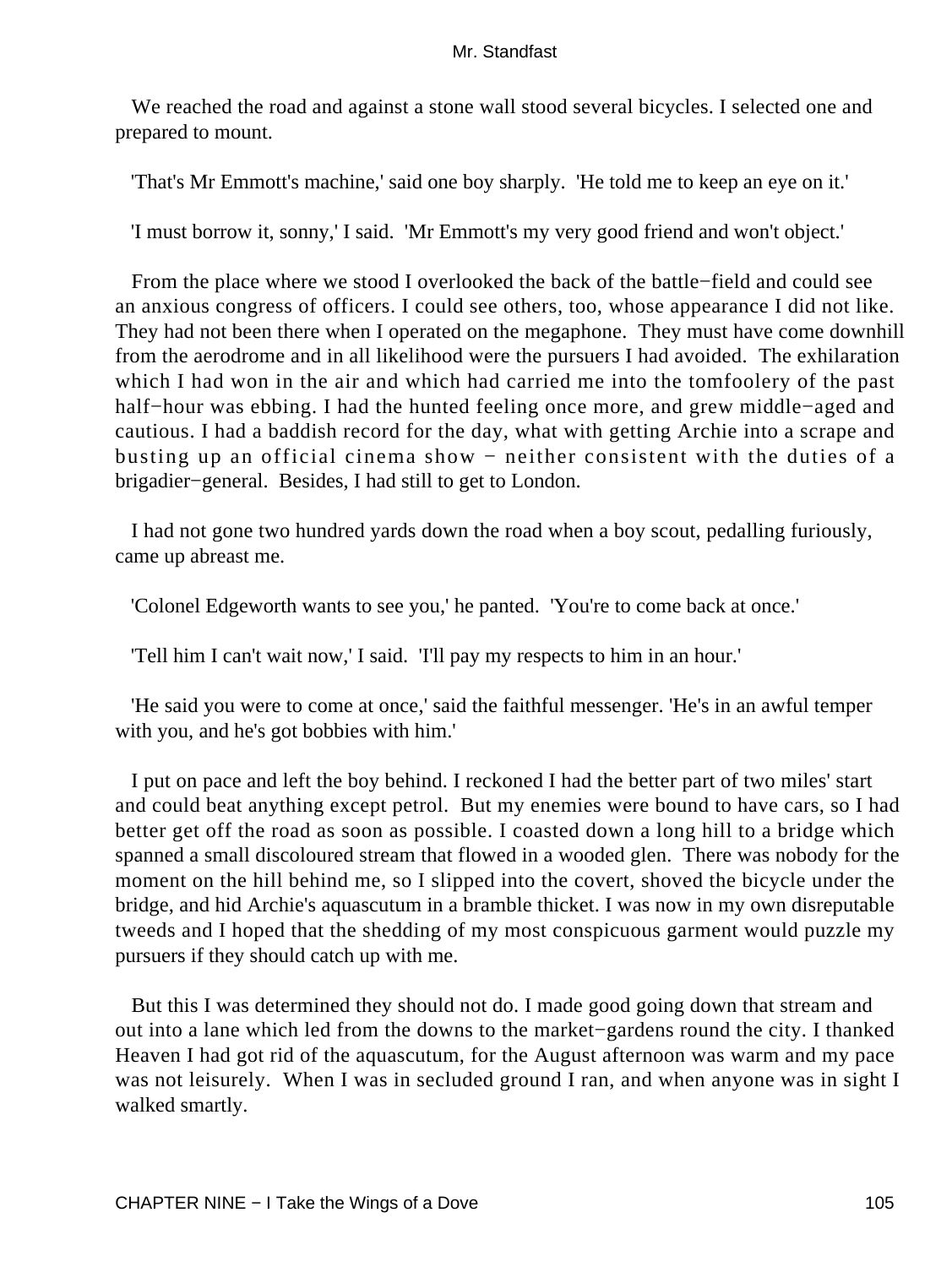We reached the road and against a stone wall stood several bicycles. I selected one and prepared to mount.

'That's Mr Emmott's machine,' said one boy sharply. 'He told me to keep an eye on it.'

'I must borrow it, sonny,' I said. 'Mr Emmott's my very good friend and won't object.'

 From the place where we stood I overlooked the back of the battle−field and could see an anxious congress of officers. I could see others, too, whose appearance I did not like. They had not been there when I operated on the megaphone. They must have come downhill from the aerodrome and in all likelihood were the pursuers I had avoided. The exhilaration which I had won in the air and which had carried me into the tomfoolery of the past half−hour was ebbing. I had the hunted feeling once more, and grew middle−aged and cautious. I had a baddish record for the day, what with getting Archie into a scrape and busting up an official cinema show − neither consistent with the duties of a brigadier−general. Besides, I had still to get to London.

 I had not gone two hundred yards down the road when a boy scout, pedalling furiously, came up abreast me.

'Colonel Edgeworth wants to see you,' he panted. 'You're to come back at once.'

'Tell him I can't wait now,' I said. 'I'll pay my respects to him in an hour.'

 'He said you were to come at once,' said the faithful messenger. 'He's in an awful temper with you, and he's got bobbies with him.'

 I put on pace and left the boy behind. I reckoned I had the better part of two miles' start and could beat anything except petrol. But my enemies were bound to have cars, so I had better get off the road as soon as possible. I coasted down a long hill to a bridge which spanned a small discoloured stream that flowed in a wooded glen. There was nobody for the moment on the hill behind me, so I slipped into the covert, shoved the bicycle under the bridge, and hid Archie's aquascutum in a bramble thicket. I was now in my own disreputable tweeds and I hoped that the shedding of my most conspicuous garment would puzzle my pursuers if they should catch up with me.

 But this I was determined they should not do. I made good going down that stream and out into a lane which led from the downs to the market−gardens round the city. I thanked Heaven I had got rid of the aquascutum, for the August afternoon was warm and my pace was not leisurely. When I was in secluded ground I ran, and when anyone was in sight I walked smartly.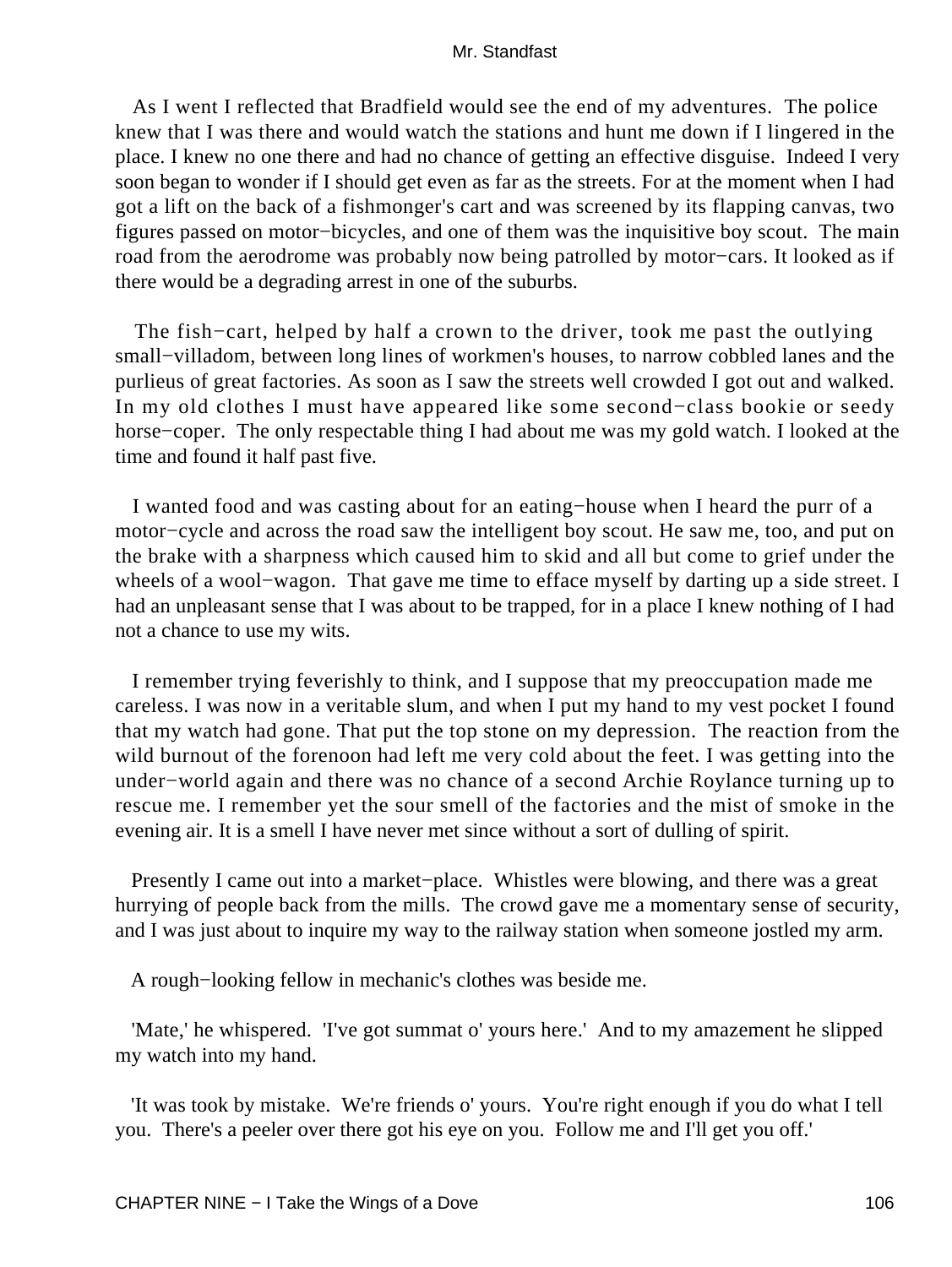As I went I reflected that Bradfield would see the end of my adventures. The police knew that I was there and would watch the stations and hunt me down if I lingered in the place. I knew no one there and had no chance of getting an effective disguise. Indeed I very soon began to wonder if I should get even as far as the streets. For at the moment when I had got a lift on the back of a fishmonger's cart and was screened by its flapping canvas, two figures passed on motor−bicycles, and one of them was the inquisitive boy scout. The main road from the aerodrome was probably now being patrolled by motor−cars. It looked as if there would be a degrading arrest in one of the suburbs.

 The fish−cart, helped by half a crown to the driver, took me past the outlying small–villadom, between long lines of workmen's houses, to narrow cobbled lanes and the purlieus of great factories. As soon as I saw the streets well crowded I got out and walked. In my old clothes I must have appeared like some second−class bookie or seedy horse−coper. The only respectable thing I had about me was my gold watch. I looked at the time and found it half past five.

 I wanted food and was casting about for an eating−house when I heard the purr of a motor−cycle and across the road saw the intelligent boy scout. He saw me, too, and put on the brake with a sharpness which caused him to skid and all but come to grief under the wheels of a wool−wagon. That gave me time to efface myself by darting up a side street. I had an unpleasant sense that I was about to be trapped, for in a place I knew nothing of I had not a chance to use my wits.

 I remember trying feverishly to think, and I suppose that my preoccupation made me careless. I was now in a veritable slum, and when I put my hand to my vest pocket I found that my watch had gone. That put the top stone on my depression. The reaction from the wild burnout of the forenoon had left me very cold about the feet. I was getting into the under−world again and there was no chance of a second Archie Roylance turning up to rescue me. I remember yet the sour smell of the factories and the mist of smoke in the evening air. It is a smell I have never met since without a sort of dulling of spirit.

 Presently I came out into a market−place. Whistles were blowing, and there was a great hurrying of people back from the mills. The crowd gave me a momentary sense of security, and I was just about to inquire my way to the railway station when someone jostled my arm.

A rough−looking fellow in mechanic's clothes was beside me.

 'Mate,' he whispered. 'I've got summat o' yours here.' And to my amazement he slipped my watch into my hand.

 'It was took by mistake. We're friends o' yours. You're right enough if you do what I tell you. There's a peeler over there got his eye on you. Follow me and I'll get you off.'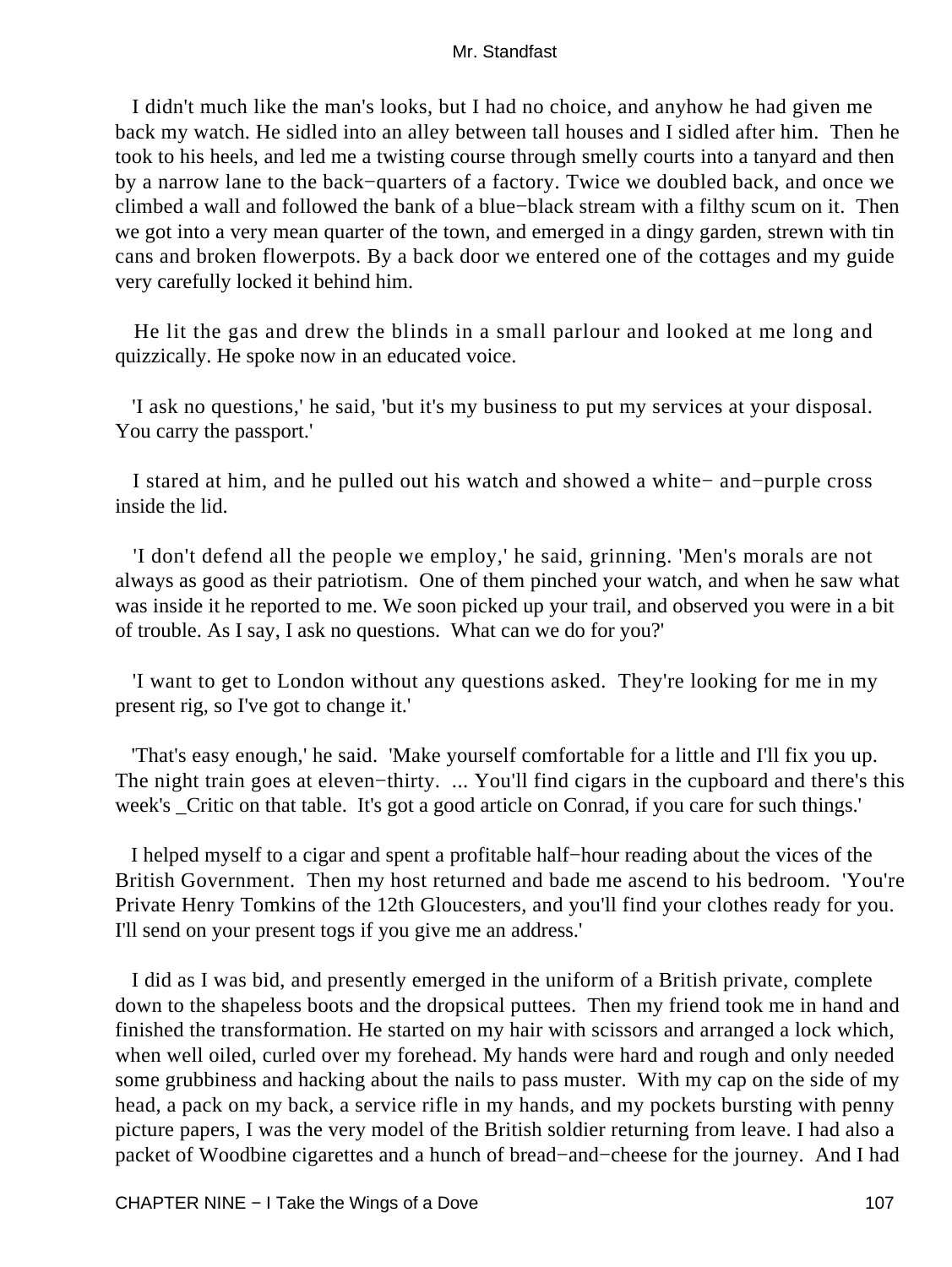I didn't much like the man's looks, but I had no choice, and anyhow he had given me back my watch. He sidled into an alley between tall houses and I sidled after him. Then he took to his heels, and led me a twisting course through smelly courts into a tanyard and then by a narrow lane to the back−quarters of a factory. Twice we doubled back, and once we climbed a wall and followed the bank of a blue−black stream with a filthy scum on it. Then we got into a very mean quarter of the town, and emerged in a dingy garden, strewn with tin cans and broken flowerpots. By a back door we entered one of the cottages and my guide very carefully locked it behind him.

 He lit the gas and drew the blinds in a small parlour and looked at me long and quizzically. He spoke now in an educated voice.

 'I ask no questions,' he said, 'but it's my business to put my services at your disposal. You carry the passport.'

 I stared at him, and he pulled out his watch and showed a white− and−purple cross inside the lid.

 'I don't defend all the people we employ,' he said, grinning. 'Men's morals are not always as good as their patriotism. One of them pinched your watch, and when he saw what was inside it he reported to me. We soon picked up your trail, and observed you were in a bit of trouble. As I say, I ask no questions. What can we do for you?'

 'I want to get to London without any questions asked. They're looking for me in my present rig, so I've got to change it.'

 'That's easy enough,' he said. 'Make yourself comfortable for a little and I'll fix you up. The night train goes at eleven–thirty. ... You'll find cigars in the cupboard and there's this week's \_Critic on that table. It's got a good article on Conrad, if you care for such things.'

 I helped myself to a cigar and spent a profitable half−hour reading about the vices of the British Government. Then my host returned and bade me ascend to his bedroom. 'You're Private Henry Tomkins of the 12th Gloucesters, and you'll find your clothes ready for you. I'll send on your present togs if you give me an address.'

 I did as I was bid, and presently emerged in the uniform of a British private, complete down to the shapeless boots and the dropsical puttees. Then my friend took me in hand and finished the transformation. He started on my hair with scissors and arranged a lock which, when well oiled, curled over my forehead. My hands were hard and rough and only needed some grubbiness and hacking about the nails to pass muster. With my cap on the side of my head, a pack on my back, a service rifle in my hands, and my pockets bursting with penny picture papers, I was the very model of the British soldier returning from leave. I had also a packet of Woodbine cigarettes and a hunch of bread−and−cheese for the journey. And I had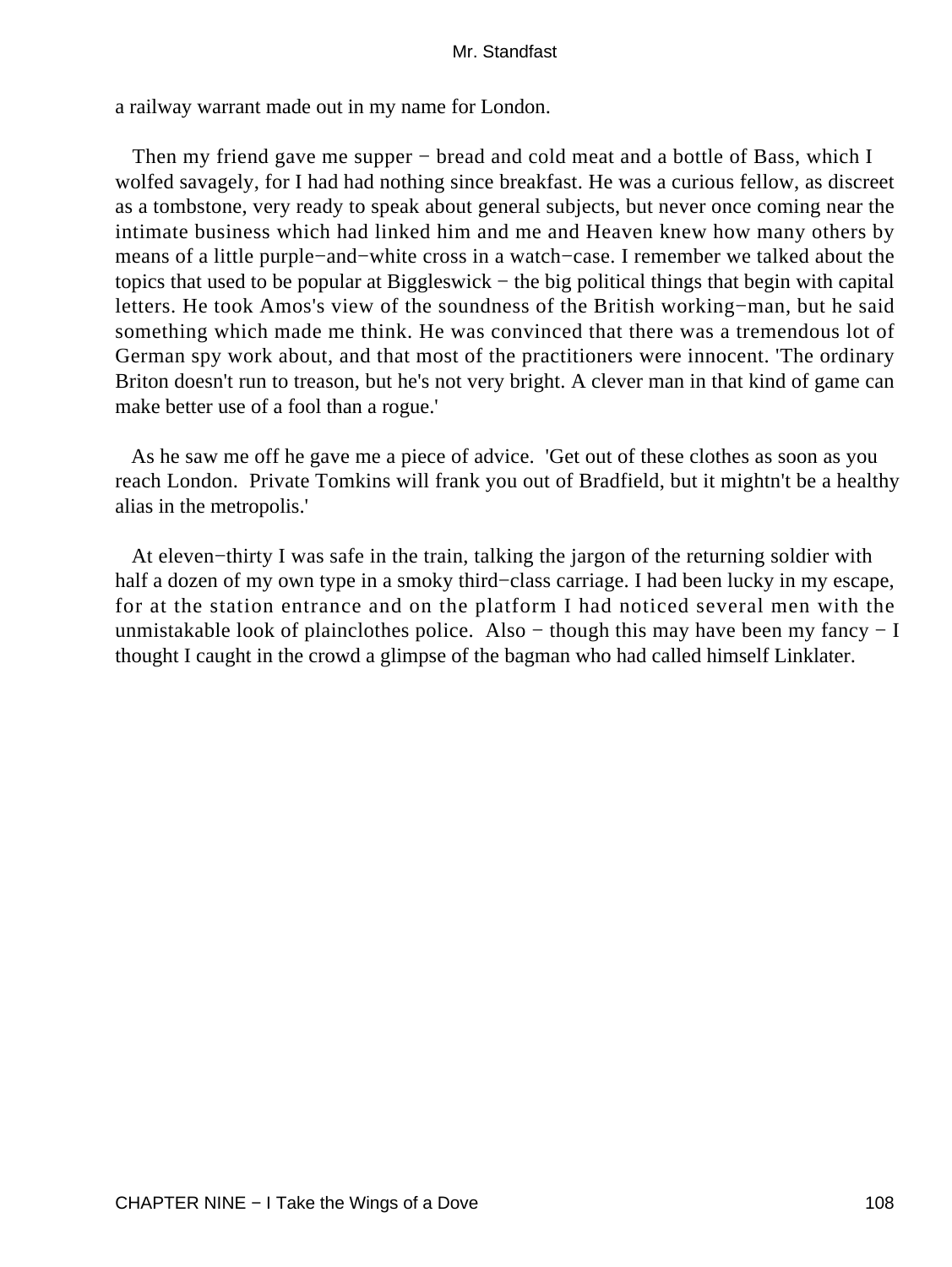a railway warrant made out in my name for London.

Then my friend gave me supper – bread and cold meat and a bottle of Bass, which I wolfed savagely, for I had had nothing since breakfast. He was a curious fellow, as discreet as a tombstone, very ready to speak about general subjects, but never once coming near the intimate business which had linked him and me and Heaven knew how many others by means of a little purple−and−white cross in a watch−case. I remember we talked about the topics that used to be popular at Biggleswick − the big political things that begin with capital letters. He took Amos's view of the soundness of the British working−man, but he said something which made me think. He was convinced that there was a tremendous lot of German spy work about, and that most of the practitioners were innocent. 'The ordinary Briton doesn't run to treason, but he's not very bright. A clever man in that kind of game can make better use of a fool than a rogue.'

 As he saw me off he gave me a piece of advice. 'Get out of these clothes as soon as you reach London. Private Tomkins will frank you out of Bradfield, but it mightn't be a healthy alias in the metropolis.'

 At eleven−thirty I was safe in the train, talking the jargon of the returning soldier with half a dozen of my own type in a smoky third−class carriage. I had been lucky in my escape, for at the station entrance and on the platform I had noticed several men with the unmistakable look of plainclothes police. Also – though this may have been my fancy – I thought I caught in the crowd a glimpse of the bagman who had called himself Linklater.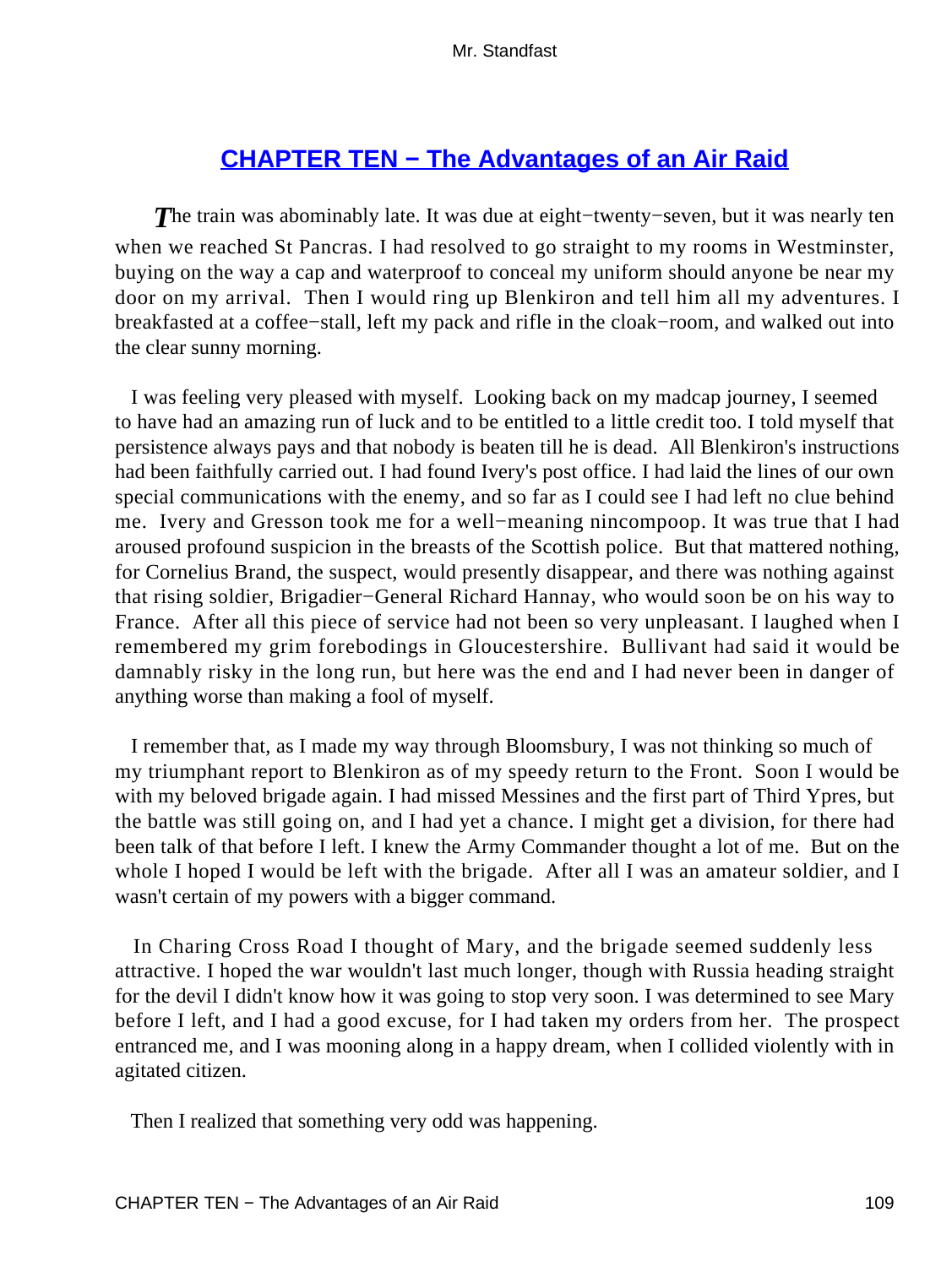# **[CHAPTER TEN − The Advantages of an Air Raid](#page-255-0)**

*T*he train was abominably late. It was due at eight−twenty−seven, but it was nearly ten when we reached St Pancras. I had resolved to go straight to my rooms in Westminster, buying on the way a cap and waterproof to conceal my uniform should anyone be near my door on my arrival. Then I would ring up Blenkiron and tell him all my adventures. I breakfasted at a coffee−stall, left my pack and rifle in the cloak−room, and walked out into the clear sunny morning.

 I was feeling very pleased with myself. Looking back on my madcap journey, I seemed to have had an amazing run of luck and to be entitled to a little credit too. I told myself that persistence always pays and that nobody is beaten till he is dead. All Blenkiron's instructions had been faithfully carried out. I had found Ivery's post office. I had laid the lines of our own special communications with the enemy, and so far as I could see I had left no clue behind me. Ivery and Gresson took me for a well−meaning nincompoop. It was true that I had aroused profound suspicion in the breasts of the Scottish police. But that mattered nothing, for Cornelius Brand, the suspect, would presently disappear, and there was nothing against that rising soldier, Brigadier−General Richard Hannay, who would soon be on his way to France. After all this piece of service had not been so very unpleasant. I laughed when I remembered my grim forebodings in Gloucestershire. Bullivant had said it would be damnably risky in the long run, but here was the end and I had never been in danger of anything worse than making a fool of myself.

 I remember that, as I made my way through Bloomsbury, I was not thinking so much of my triumphant report to Blenkiron as of my speedy return to the Front. Soon I would be with my beloved brigade again. I had missed Messines and the first part of Third Ypres, but the battle was still going on, and I had yet a chance. I might get a division, for there had been talk of that before I left. I knew the Army Commander thought a lot of me. But on the whole I hoped I would be left with the brigade. After all I was an amateur soldier, and I wasn't certain of my powers with a bigger command.

 In Charing Cross Road I thought of Mary, and the brigade seemed suddenly less attractive. I hoped the war wouldn't last much longer, though with Russia heading straight for the devil I didn't know how it was going to stop very soon. I was determined to see Mary before I left, and I had a good excuse, for I had taken my orders from her. The prospect entranced me, and I was mooning along in a happy dream, when I collided violently with in agitated citizen.

Then I realized that something very odd was happening.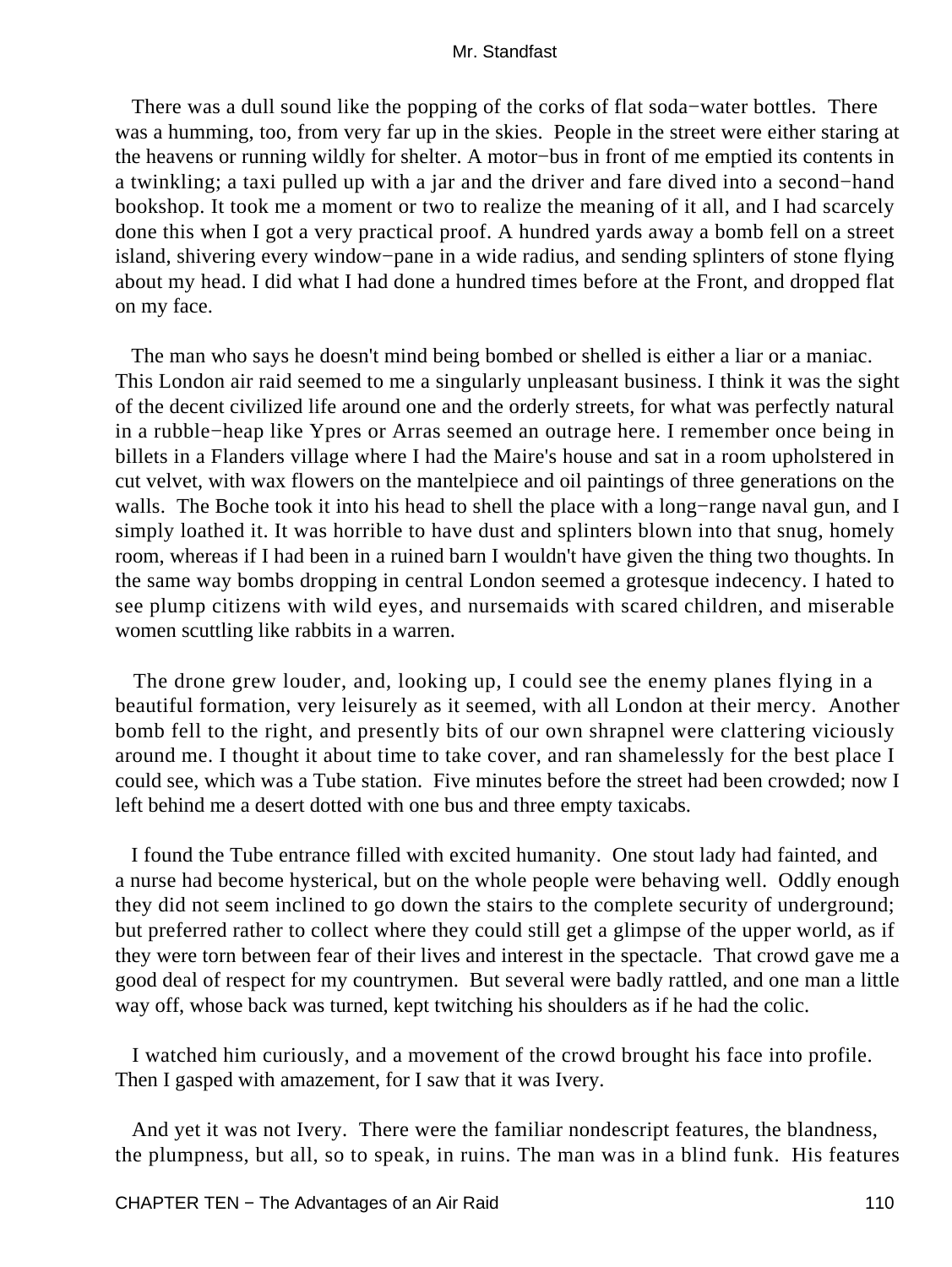There was a dull sound like the popping of the corks of flat soda−water bottles. There was a humming, too, from very far up in the skies. People in the street were either staring at the heavens or running wildly for shelter. A motor−bus in front of me emptied its contents in a twinkling; a taxi pulled up with a jar and the driver and fare dived into a second−hand bookshop. It took me a moment or two to realize the meaning of it all, and I had scarcely done this when I got a very practical proof. A hundred yards away a bomb fell on a street island, shivering every window−pane in a wide radius, and sending splinters of stone flying about my head. I did what I had done a hundred times before at the Front, and dropped flat on my face.

 The man who says he doesn't mind being bombed or shelled is either a liar or a maniac. This London air raid seemed to me a singularly unpleasant business. I think it was the sight of the decent civilized life around one and the orderly streets, for what was perfectly natural in a rubble−heap like Ypres or Arras seemed an outrage here. I remember once being in billets in a Flanders village where I had the Maire's house and sat in a room upholstered in cut velvet, with wax flowers on the mantelpiece and oil paintings of three generations on the walls. The Boche took it into his head to shell the place with a long−range naval gun, and I simply loathed it. It was horrible to have dust and splinters blown into that snug, homely room, whereas if I had been in a ruined barn I wouldn't have given the thing two thoughts. In the same way bombs dropping in central London seemed a grotesque indecency. I hated to see plump citizens with wild eyes, and nursemaids with scared children, and miserable women scuttling like rabbits in a warren.

 The drone grew louder, and, looking up, I could see the enemy planes flying in a beautiful formation, very leisurely as it seemed, with all London at their mercy. Another bomb fell to the right, and presently bits of our own shrapnel were clattering viciously around me. I thought it about time to take cover, and ran shamelessly for the best place I could see, which was a Tube station. Five minutes before the street had been crowded; now I left behind me a desert dotted with one bus and three empty taxicabs.

 I found the Tube entrance filled with excited humanity. One stout lady had fainted, and a nurse had become hysterical, but on the whole people were behaving well. Oddly enough they did not seem inclined to go down the stairs to the complete security of underground; but preferred rather to collect where they could still get a glimpse of the upper world, as if they were torn between fear of their lives and interest in the spectacle. That crowd gave me a good deal of respect for my countrymen. But several were badly rattled, and one man a little way off, whose back was turned, kept twitching his shoulders as if he had the colic.

 I watched him curiously, and a movement of the crowd brought his face into profile. Then I gasped with amazement, for I saw that it was Ivery.

 And yet it was not Ivery. There were the familiar nondescript features, the blandness, the plumpness, but all, so to speak, in ruins. The man was in a blind funk. His features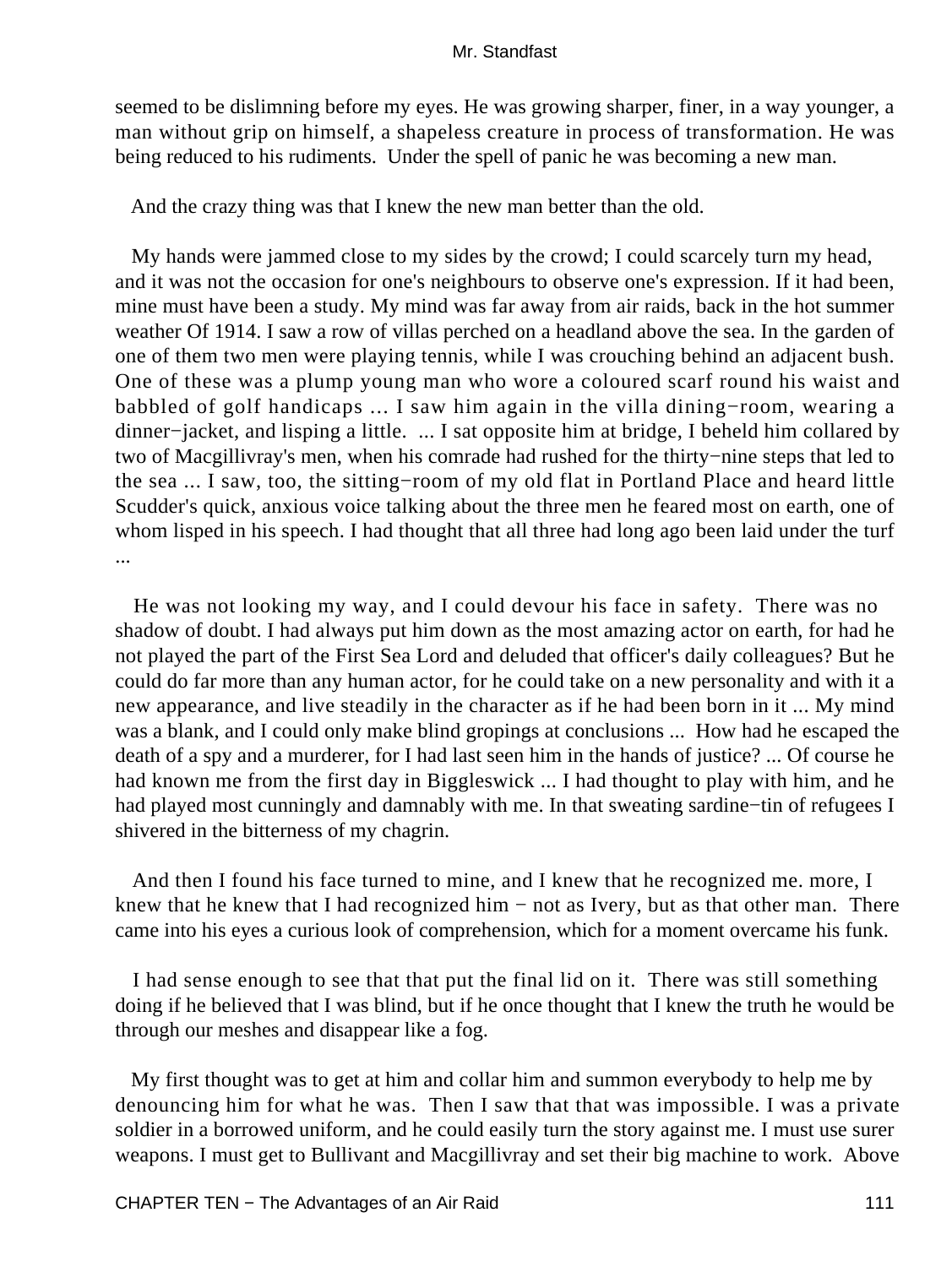seemed to be dislimning before my eyes. He was growing sharper, finer, in a way younger, a man without grip on himself, a shapeless creature in process of transformation. He was being reduced to his rudiments. Under the spell of panic he was becoming a new man.

And the crazy thing was that I knew the new man better than the old.

 My hands were jammed close to my sides by the crowd; I could scarcely turn my head, and it was not the occasion for one's neighbours to observe one's expression. If it had been, mine must have been a study. My mind was far away from air raids, back in the hot summer weather Of 1914. I saw a row of villas perched on a headland above the sea. In the garden of one of them two men were playing tennis, while I was crouching behind an adjacent bush. One of these was a plump young man who wore a coloured scarf round his waist and babbled of golf handicaps ... I saw him again in the villa dining−room, wearing a dinner−jacket, and lisping a little. ... I sat opposite him at bridge, I beheld him collared by two of Macgillivray's men, when his comrade had rushed for the thirty−nine steps that led to the sea ... I saw, too, the sitting−room of my old flat in Portland Place and heard little Scudder's quick, anxious voice talking about the three men he feared most on earth, one of whom lisped in his speech. I had thought that all three had long ago been laid under the turf ...

 He was not looking my way, and I could devour his face in safety. There was no shadow of doubt. I had always put him down as the most amazing actor on earth, for had he not played the part of the First Sea Lord and deluded that officer's daily colleagues? But he could do far more than any human actor, for he could take on a new personality and with it a new appearance, and live steadily in the character as if he had been born in it ... My mind was a blank, and I could only make blind gropings at conclusions ... How had he escaped the death of a spy and a murderer, for I had last seen him in the hands of justice? ... Of course he had known me from the first day in Biggleswick ... I had thought to play with him, and he had played most cunningly and damnably with me. In that sweating sardine−tin of refugees I shivered in the bitterness of my chagrin.

 And then I found his face turned to mine, and I knew that he recognized me. more, I knew that he knew that I had recognized him  $-$  not as Ivery, but as that other man. There came into his eyes a curious look of comprehension, which for a moment overcame his funk.

 I had sense enough to see that that put the final lid on it. There was still something doing if he believed that I was blind, but if he once thought that I knew the truth he would be through our meshes and disappear like a fog.

 My first thought was to get at him and collar him and summon everybody to help me by denouncing him for what he was. Then I saw that that was impossible. I was a private soldier in a borrowed uniform, and he could easily turn the story against me. I must use surer weapons. I must get to Bullivant and Macgillivray and set their big machine to work. Above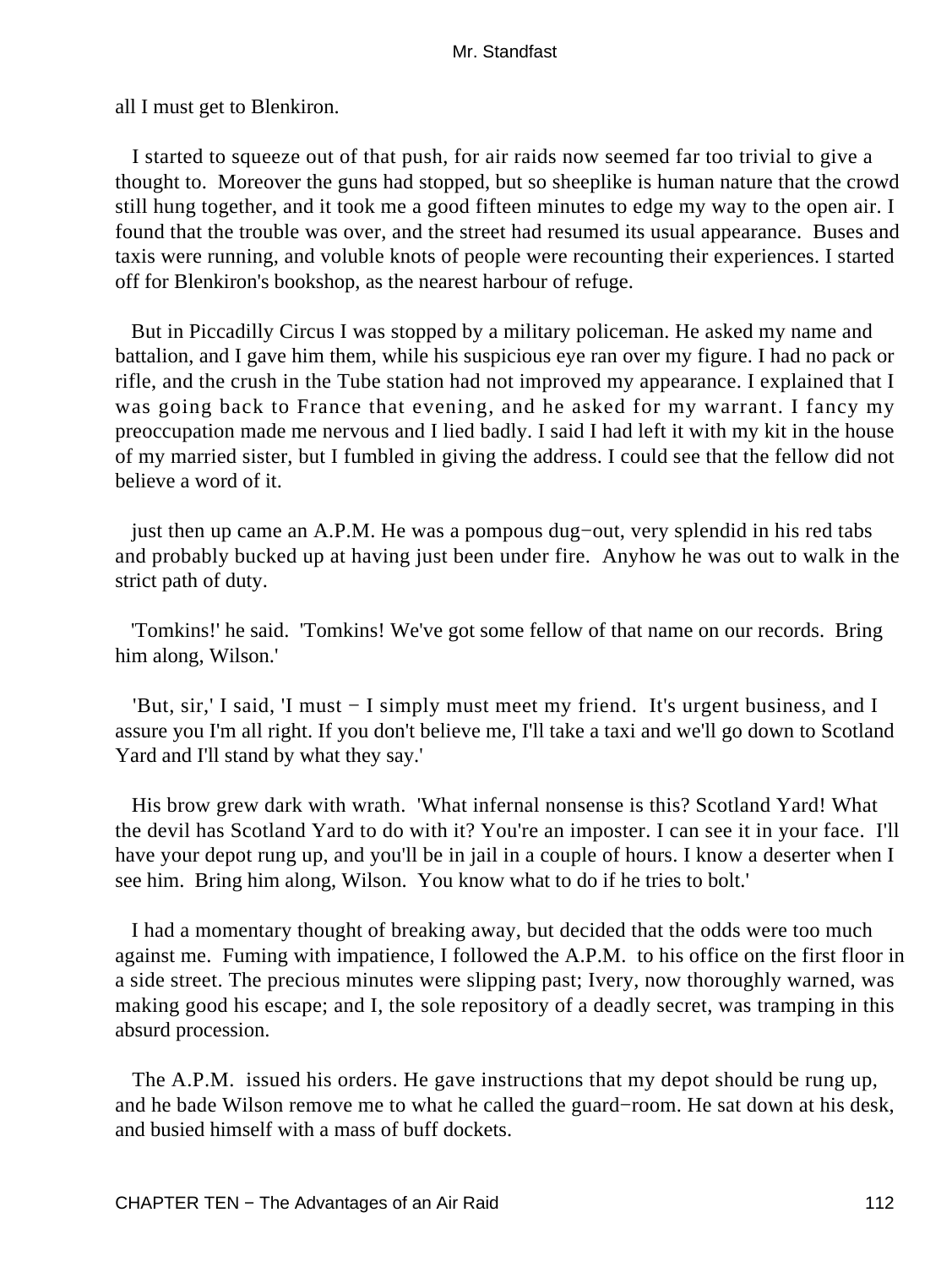all I must get to Blenkiron.

 I started to squeeze out of that push, for air raids now seemed far too trivial to give a thought to. Moreover the guns had stopped, but so sheeplike is human nature that the crowd still hung together, and it took me a good fifteen minutes to edge my way to the open air. I found that the trouble was over, and the street had resumed its usual appearance. Buses and taxis were running, and voluble knots of people were recounting their experiences. I started off for Blenkiron's bookshop, as the nearest harbour of refuge.

 But in Piccadilly Circus I was stopped by a military policeman. He asked my name and battalion, and I gave him them, while his suspicious eye ran over my figure. I had no pack or rifle, and the crush in the Tube station had not improved my appearance. I explained that I was going back to France that evening, and he asked for my warrant. I fancy my preoccupation made me nervous and I lied badly. I said I had left it with my kit in the house of my married sister, but I fumbled in giving the address. I could see that the fellow did not believe a word of it.

 just then up came an A.P.M. He was a pompous dug−out, very splendid in his red tabs and probably bucked up at having just been under fire. Anyhow he was out to walk in the strict path of duty.

 'Tomkins!' he said. 'Tomkins! We've got some fellow of that name on our records. Bring him along, Wilson.'

 'But, sir,' I said, 'I must − I simply must meet my friend. It's urgent business, and I assure you I'm all right. If you don't believe me, I'll take a taxi and we'll go down to Scotland Yard and I'll stand by what they say.'

 His brow grew dark with wrath. 'What infernal nonsense is this? Scotland Yard! What the devil has Scotland Yard to do with it? You're an imposter. I can see it in your face. I'll have your depot rung up, and you'll be in jail in a couple of hours. I know a deserter when I see him. Bring him along, Wilson. You know what to do if he tries to bolt.'

 I had a momentary thought of breaking away, but decided that the odds were too much against me. Fuming with impatience, I followed the A.P.M. to his office on the first floor in a side street. The precious minutes were slipping past; Ivery, now thoroughly warned, was making good his escape; and I, the sole repository of a deadly secret, was tramping in this absurd procession.

 The A.P.M. issued his orders. He gave instructions that my depot should be rung up, and he bade Wilson remove me to what he called the guard−room. He sat down at his desk, and busied himself with a mass of buff dockets.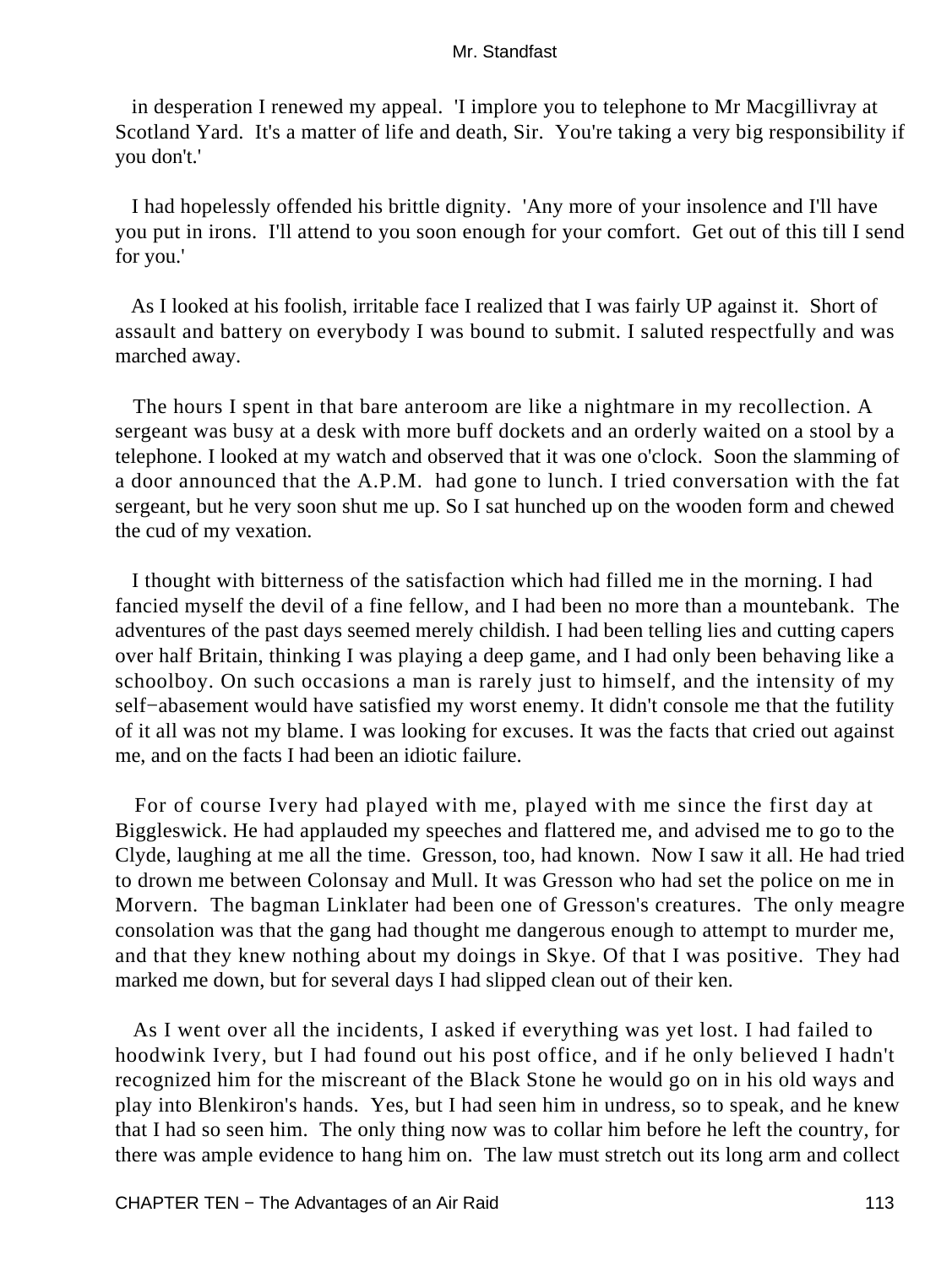in desperation I renewed my appeal. 'I implore you to telephone to Mr Macgillivray at Scotland Yard. It's a matter of life and death, Sir. You're taking a very big responsibility if you don't.'

 I had hopelessly offended his brittle dignity. 'Any more of your insolence and I'll have you put in irons. I'll attend to you soon enough for your comfort. Get out of this till I send for you.'

 As I looked at his foolish, irritable face I realized that I was fairly UP against it. Short of assault and battery on everybody I was bound to submit. I saluted respectfully and was marched away.

 The hours I spent in that bare anteroom are like a nightmare in my recollection. A sergeant was busy at a desk with more buff dockets and an orderly waited on a stool by a telephone. I looked at my watch and observed that it was one o'clock. Soon the slamming of a door announced that the A.P.M. had gone to lunch. I tried conversation with the fat sergeant, but he very soon shut me up. So I sat hunched up on the wooden form and chewed the cud of my vexation.

 I thought with bitterness of the satisfaction which had filled me in the morning. I had fancied myself the devil of a fine fellow, and I had been no more than a mountebank. The adventures of the past days seemed merely childish. I had been telling lies and cutting capers over half Britain, thinking I was playing a deep game, and I had only been behaving like a schoolboy. On such occasions a man is rarely just to himself, and the intensity of my self−abasement would have satisfied my worst enemy. It didn't console me that the futility of it all was not my blame. I was looking for excuses. It was the facts that cried out against me, and on the facts I had been an idiotic failure.

 For of course Ivery had played with me, played with me since the first day at Biggleswick. He had applauded my speeches and flattered me, and advised me to go to the Clyde, laughing at me all the time. Gresson, too, had known. Now I saw it all. He had tried to drown me between Colonsay and Mull. It was Gresson who had set the police on me in Morvern. The bagman Linklater had been one of Gresson's creatures. The only meagre consolation was that the gang had thought me dangerous enough to attempt to murder me, and that they knew nothing about my doings in Skye. Of that I was positive. They had marked me down, but for several days I had slipped clean out of their ken.

 As I went over all the incidents, I asked if everything was yet lost. I had failed to hoodwink Ivery, but I had found out his post office, and if he only believed I hadn't recognized him for the miscreant of the Black Stone he would go on in his old ways and play into Blenkiron's hands. Yes, but I had seen him in undress, so to speak, and he knew that I had so seen him. The only thing now was to collar him before he left the country, for there was ample evidence to hang him on. The law must stretch out its long arm and collect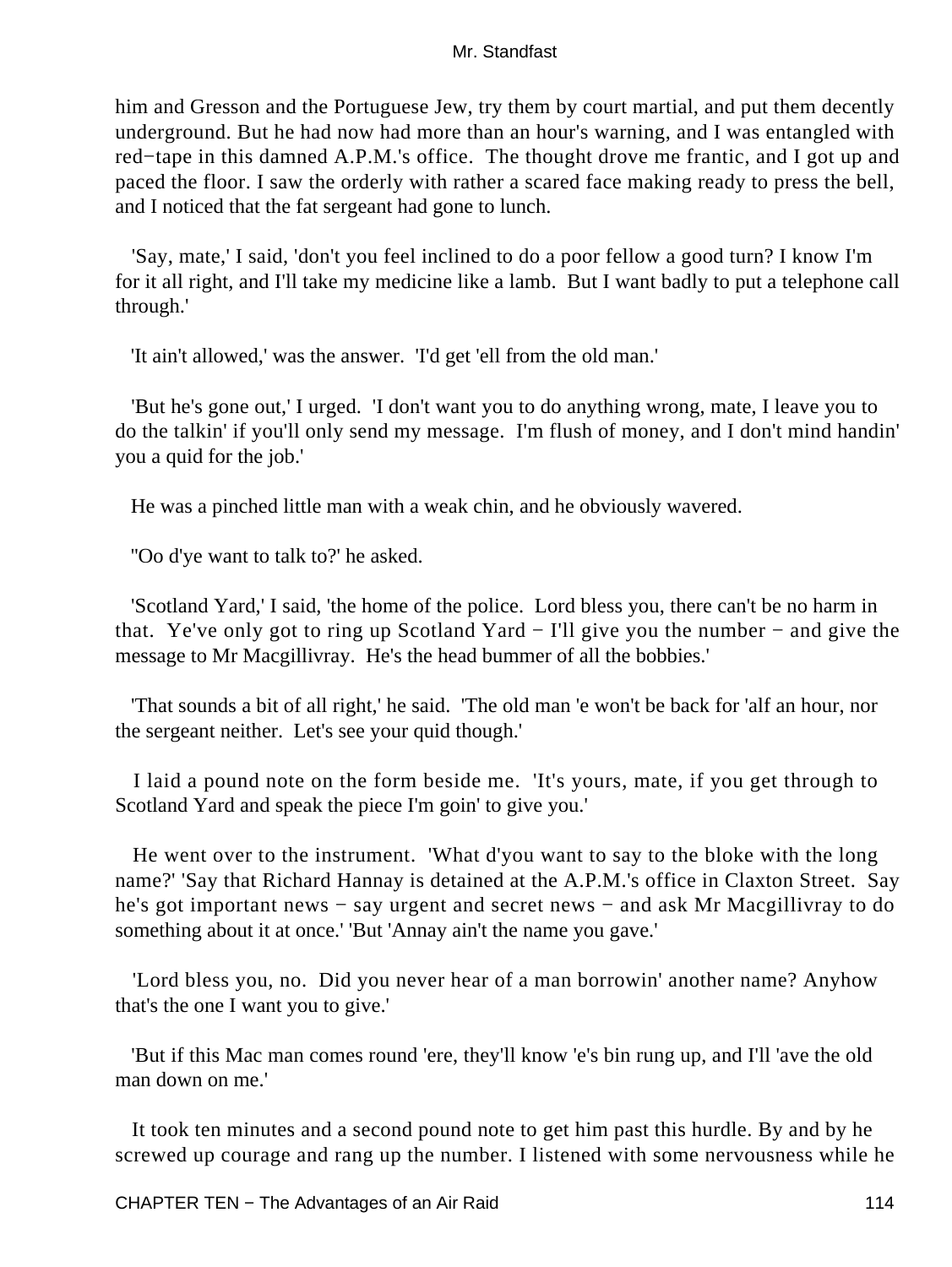him and Gresson and the Portuguese Jew, try them by court martial, and put them decently underground. But he had now had more than an hour's warning, and I was entangled with red−tape in this damned A.P.M.'s office. The thought drove me frantic, and I got up and paced the floor. I saw the orderly with rather a scared face making ready to press the bell, and I noticed that the fat sergeant had gone to lunch.

 'Say, mate,' I said, 'don't you feel inclined to do a poor fellow a good turn? I know I'm for it all right, and I'll take my medicine like a lamb. But I want badly to put a telephone call through.'

'It ain't allowed,' was the answer. 'I'd get 'ell from the old man.'

 'But he's gone out,' I urged. 'I don't want you to do anything wrong, mate, I leave you to do the talkin' if you'll only send my message. I'm flush of money, and I don't mind handin' you a quid for the job.'

He was a pinched little man with a weak chin, and he obviously wavered.

''Oo d'ye want to talk to?' he asked.

 'Scotland Yard,' I said, 'the home of the police. Lord bless you, there can't be no harm in that. Ye've only got to ring up Scotland Yard − I'll give you the number − and give the message to Mr Macgillivray. He's the head bummer of all the bobbies.'

 'That sounds a bit of all right,' he said. 'The old man 'e won't be back for 'alf an hour, nor the sergeant neither. Let's see your quid though.'

 I laid a pound note on the form beside me. 'It's yours, mate, if you get through to Scotland Yard and speak the piece I'm goin' to give you.'

 He went over to the instrument. 'What d'you want to say to the bloke with the long name?' 'Say that Richard Hannay is detained at the A.P.M.'s office in Claxton Street. Say he's got important news – say urgent and secret news – and ask Mr Macgillivray to do something about it at once.' 'But 'Annay ain't the name you gave.'

 'Lord bless you, no. Did you never hear of a man borrowin' another name? Anyhow that's the one I want you to give.'

 'But if this Mac man comes round 'ere, they'll know 'e's bin rung up, and I'll 'ave the old man down on me.'

 It took ten minutes and a second pound note to get him past this hurdle. By and by he screwed up courage and rang up the number. I listened with some nervousness while he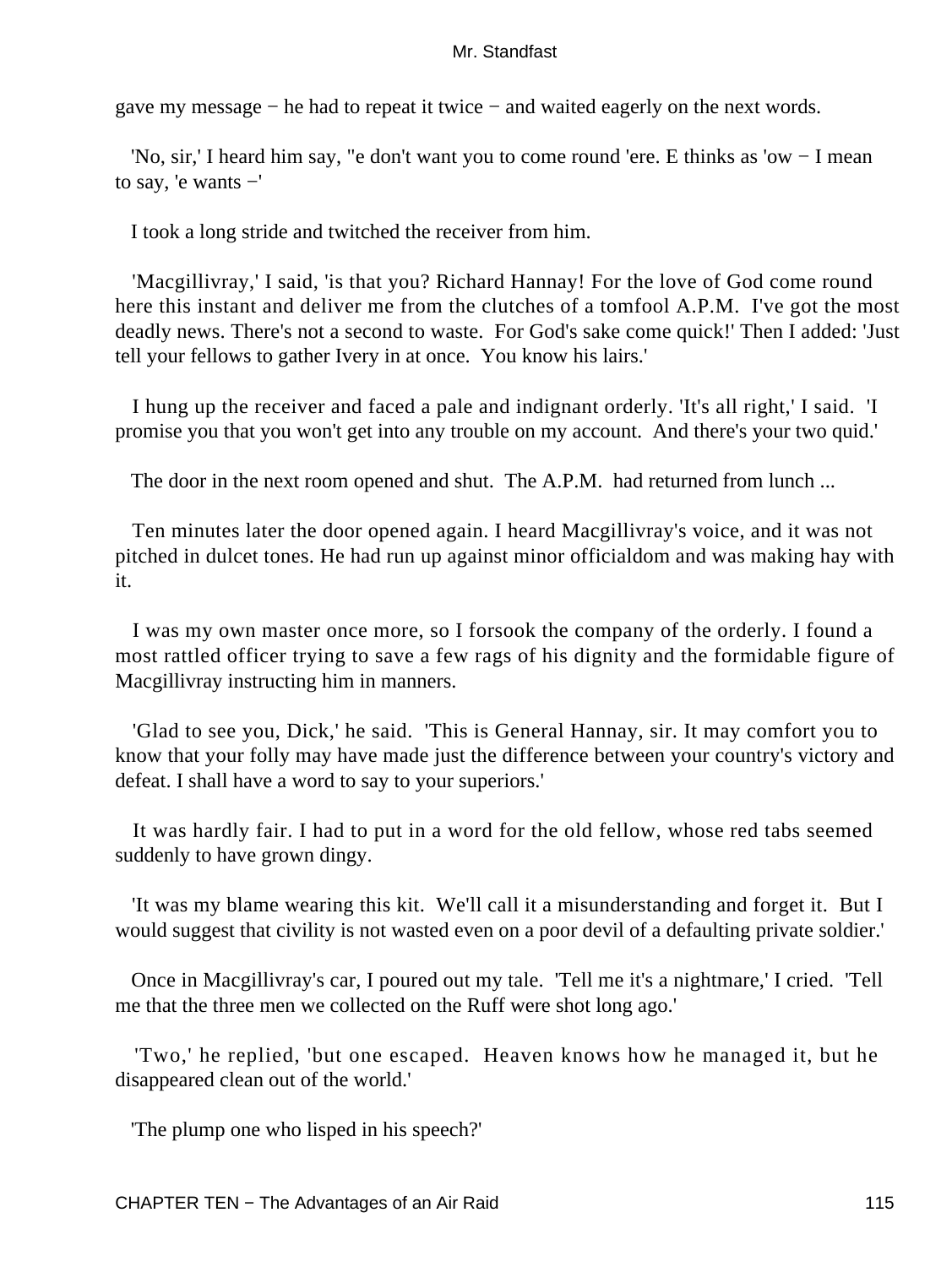gave my message − he had to repeat it twice − and waited eagerly on the next words.

 'No, sir,' I heard him say, "e don't want you to come round 'ere. E thinks as 'ow − I mean to say, 'e wants −'

I took a long stride and twitched the receiver from him.

 'Macgillivray,' I said, 'is that you? Richard Hannay! For the love of God come round here this instant and deliver me from the clutches of a tomfool A.P.M. I've got the most deadly news. There's not a second to waste. For God's sake come quick!' Then I added: 'Just tell your fellows to gather Ivery in at once. You know his lairs.'

 I hung up the receiver and faced a pale and indignant orderly. 'It's all right,' I said. 'I promise you that you won't get into any trouble on my account. And there's your two quid.'

The door in the next room opened and shut. The A.P.M. had returned from lunch ...

 Ten minutes later the door opened again. I heard Macgillivray's voice, and it was not pitched in dulcet tones. He had run up against minor officialdom and was making hay with it.

 I was my own master once more, so I forsook the company of the orderly. I found a most rattled officer trying to save a few rags of his dignity and the formidable figure of Macgillivray instructing him in manners.

 'Glad to see you, Dick,' he said. 'This is General Hannay, sir. It may comfort you to know that your folly may have made just the difference between your country's victory and defeat. I shall have a word to say to your superiors.'

 It was hardly fair. I had to put in a word for the old fellow, whose red tabs seemed suddenly to have grown dingy.

 'It was my blame wearing this kit. We'll call it a misunderstanding and forget it. But I would suggest that civility is not wasted even on a poor devil of a defaulting private soldier.'

 Once in Macgillivray's car, I poured out my tale. 'Tell me it's a nightmare,' I cried. 'Tell me that the three men we collected on the Ruff were shot long ago.'

 'Two,' he replied, 'but one escaped. Heaven knows how he managed it, but he disappeared clean out of the world.'

'The plump one who lisped in his speech?'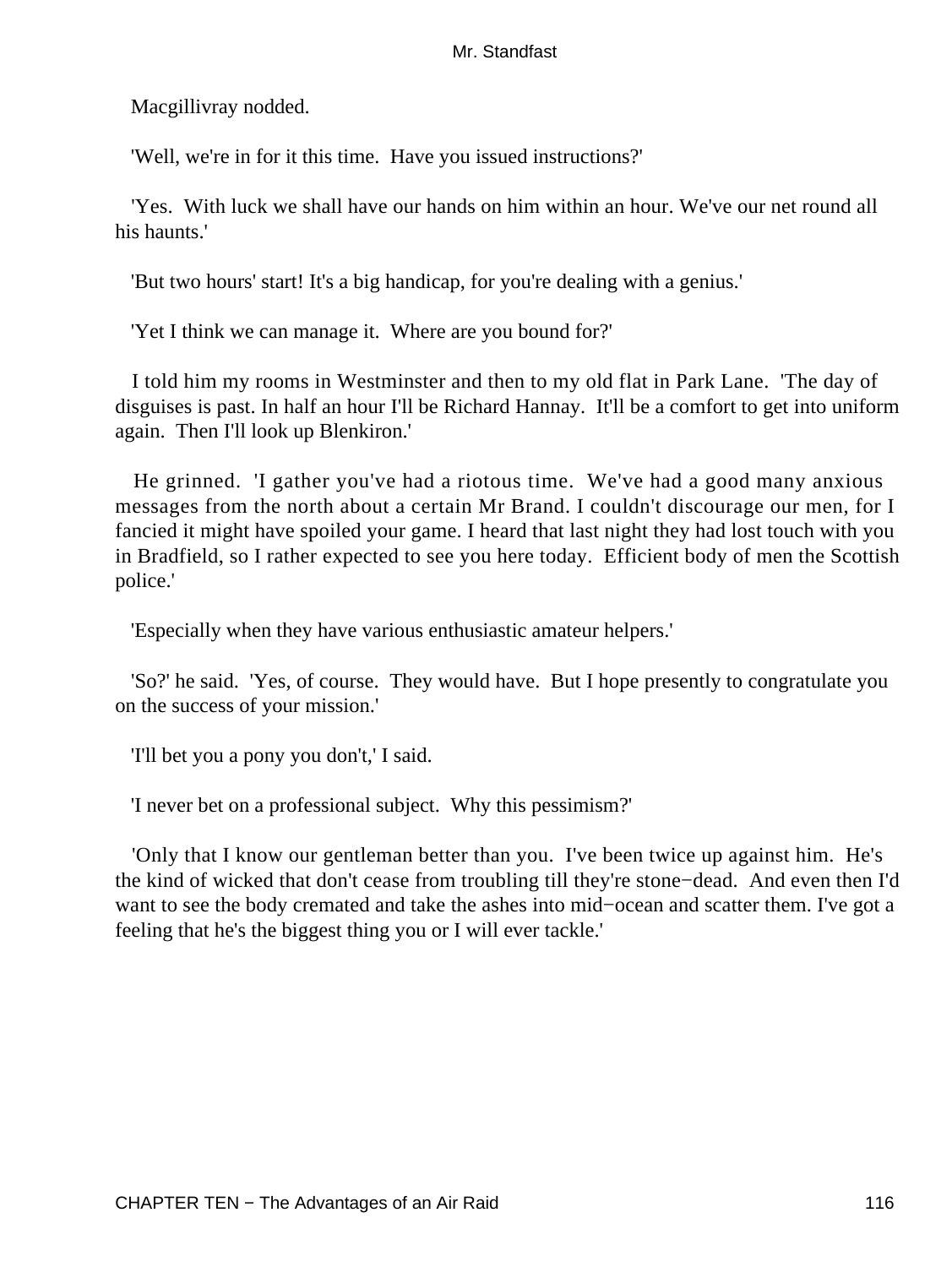Macgillivray nodded.

'Well, we're in for it this time. Have you issued instructions?'

 'Yes. With luck we shall have our hands on him within an hour. We've our net round all his haunts.'

'But two hours' start! It's a big handicap, for you're dealing with a genius.'

'Yet I think we can manage it. Where are you bound for?'

 I told him my rooms in Westminster and then to my old flat in Park Lane. 'The day of disguises is past. In half an hour I'll be Richard Hannay. It'll be a comfort to get into uniform again. Then I'll look up Blenkiron.'

 He grinned. 'I gather you've had a riotous time. We've had a good many anxious messages from the north about a certain Mr Brand. I couldn't discourage our men, for I fancied it might have spoiled your game. I heard that last night they had lost touch with you in Bradfield, so I rather expected to see you here today. Efficient body of men the Scottish police.'

'Especially when they have various enthusiastic amateur helpers.'

 'So?' he said. 'Yes, of course. They would have. But I hope presently to congratulate you on the success of your mission.'

'I'll bet you a pony you don't,' I said.

'I never bet on a professional subject. Why this pessimism?'

 'Only that I know our gentleman better than you. I've been twice up against him. He's the kind of wicked that don't cease from troubling till they're stone−dead. And even then I'd want to see the body cremated and take the ashes into mid−ocean and scatter them. I've got a feeling that he's the biggest thing you or I will ever tackle.'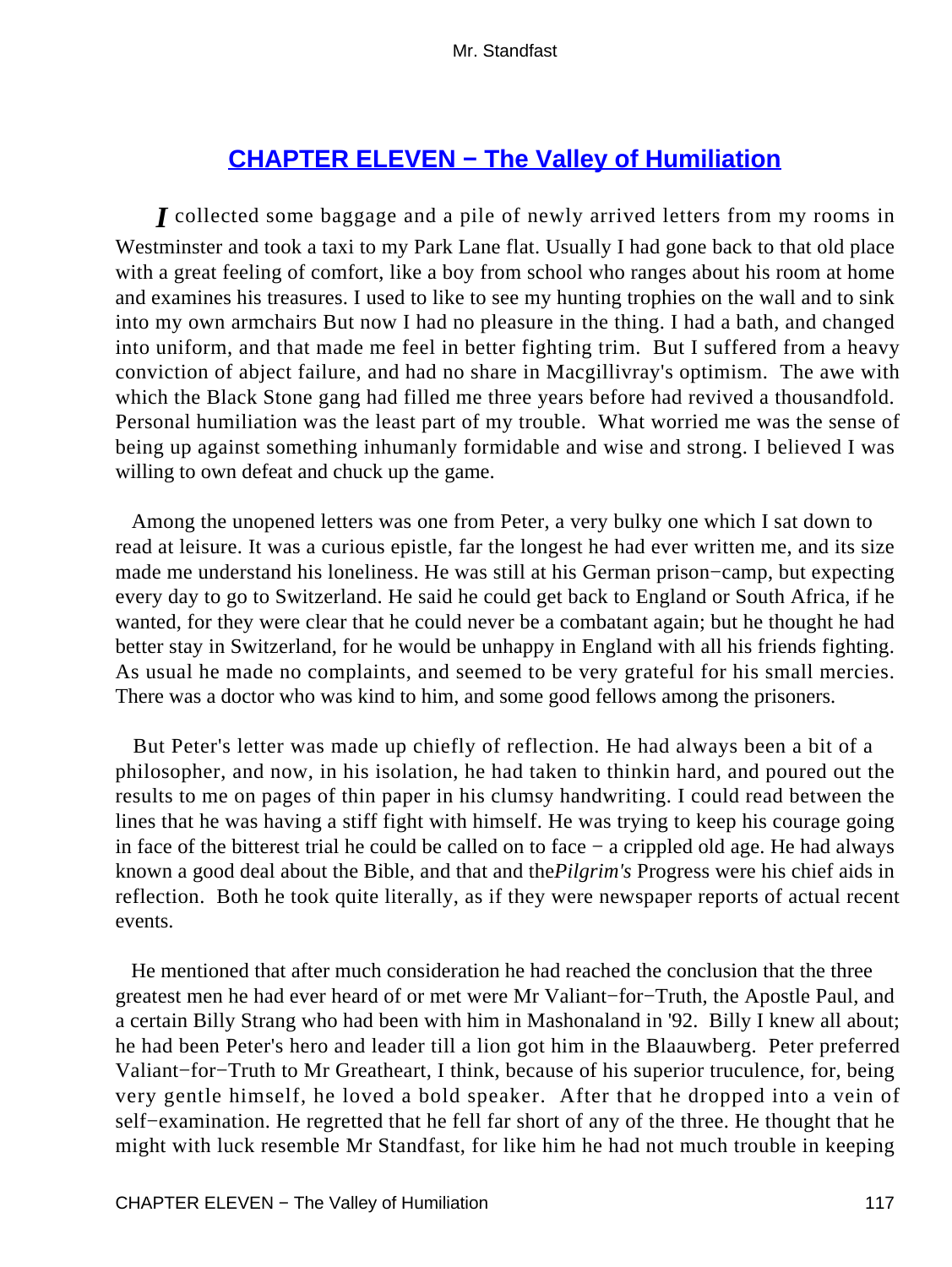# **[CHAPTER ELEVEN − The Valley of Humiliation](#page-255-0)**

*I* collected some baggage and a pile of newly arrived letters from my rooms in Westminster and took a taxi to my Park Lane flat. Usually I had gone back to that old place with a great feeling of comfort, like a boy from school who ranges about his room at home and examines his treasures. I used to like to see my hunting trophies on the wall and to sink into my own armchairs But now I had no pleasure in the thing. I had a bath, and changed into uniform, and that made me feel in better fighting trim. But I suffered from a heavy conviction of abject failure, and had no share in Macgillivray's optimism. The awe with which the Black Stone gang had filled me three years before had revived a thousandfold. Personal humiliation was the least part of my trouble. What worried me was the sense of being up against something inhumanly formidable and wise and strong. I believed I was willing to own defeat and chuck up the game.

 Among the unopened letters was one from Peter, a very bulky one which I sat down to read at leisure. It was a curious epistle, far the longest he had ever written me, and its size made me understand his loneliness. He was still at his German prison−camp, but expecting every day to go to Switzerland. He said he could get back to England or South Africa, if he wanted, for they were clear that he could never be a combatant again; but he thought he had better stay in Switzerland, for he would be unhappy in England with all his friends fighting. As usual he made no complaints, and seemed to be very grateful for his small mercies. There was a doctor who was kind to him, and some good fellows among the prisoners.

 But Peter's letter was made up chiefly of reflection. He had always been a bit of a philosopher, and now, in his isolation, he had taken to thinkin hard, and poured out the results to me on pages of thin paper in his clumsy handwriting. I could read between the lines that he was having a stiff fight with himself. He was trying to keep his courage going in face of the bitterest trial he could be called on to face − a crippled old age. He had always known a good deal about the Bible, and that and the*Pilgrim's* Progress were his chief aids in reflection. Both he took quite literally, as if they were newspaper reports of actual recent events.

 He mentioned that after much consideration he had reached the conclusion that the three greatest men he had ever heard of or met were Mr Valiant−for−Truth, the Apostle Paul, and a certain Billy Strang who had been with him in Mashonaland in '92. Billy I knew all about; he had been Peter's hero and leader till a lion got him in the Blaauwberg. Peter preferred Valiant−for−Truth to Mr Greatheart, I think, because of his superior truculence, for, being very gentle himself, he loved a bold speaker. After that he dropped into a vein of self−examination. He regretted that he fell far short of any of the three. He thought that he might with luck resemble Mr Standfast, for like him he had not much trouble in keeping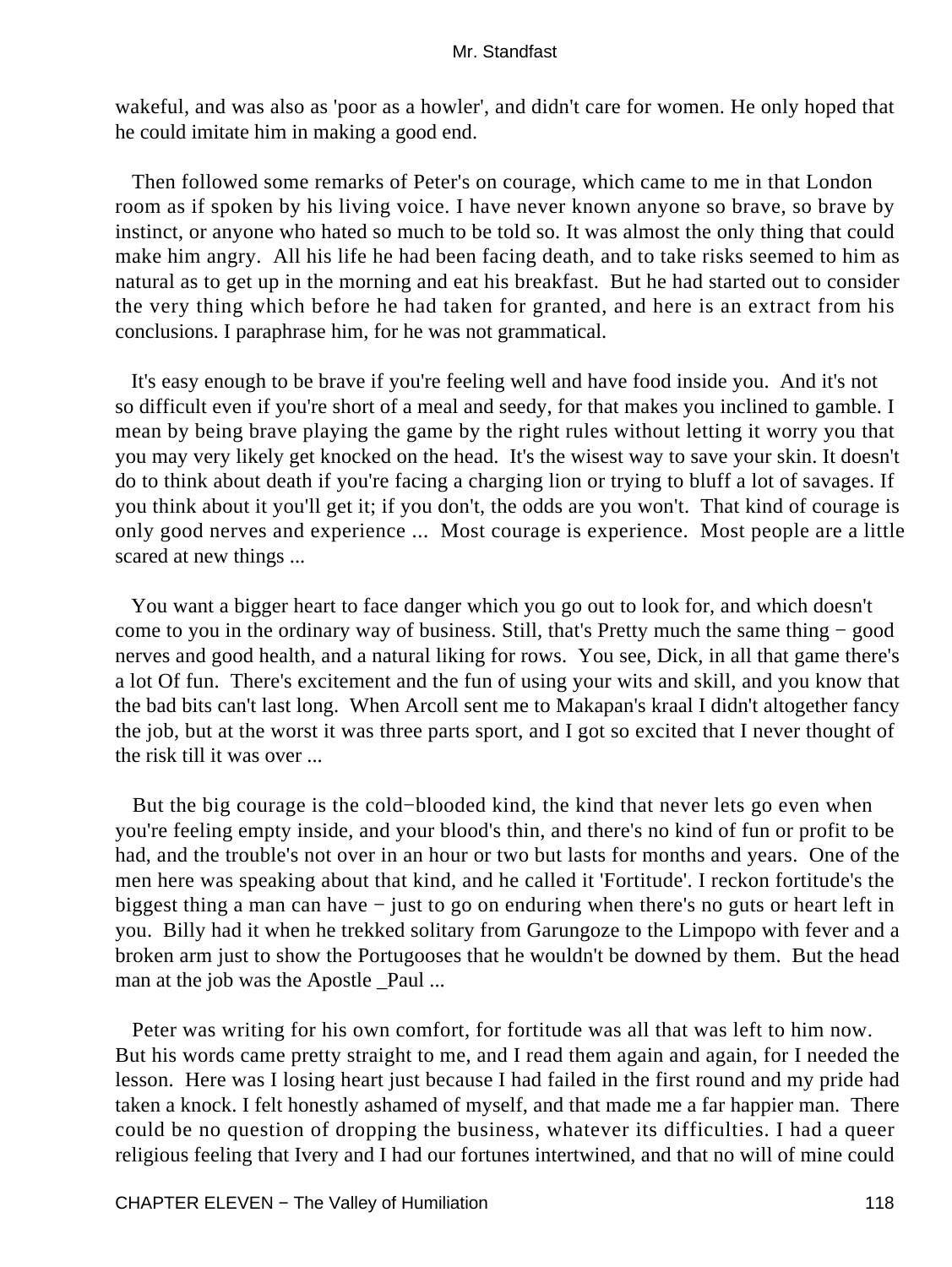wakeful, and was also as 'poor as a howler', and didn't care for women. He only hoped that he could imitate him in making a good end.

 Then followed some remarks of Peter's on courage, which came to me in that London room as if spoken by his living voice. I have never known anyone so brave, so brave by instinct, or anyone who hated so much to be told so. It was almost the only thing that could make him angry. All his life he had been facing death, and to take risks seemed to him as natural as to get up in the morning and eat his breakfast. But he had started out to consider the very thing which before he had taken for granted, and here is an extract from his conclusions. I paraphrase him, for he was not grammatical.

 It's easy enough to be brave if you're feeling well and have food inside you. And it's not so difficult even if you're short of a meal and seedy, for that makes you inclined to gamble. I mean by being brave playing the game by the right rules without letting it worry you that you may very likely get knocked on the head. It's the wisest way to save your skin. It doesn't do to think about death if you're facing a charging lion or trying to bluff a lot of savages. If you think about it you'll get it; if you don't, the odds are you won't. That kind of courage is only good nerves and experience ... Most courage is experience. Most people are a little scared at new things ...

 You want a bigger heart to face danger which you go out to look for, and which doesn't come to you in the ordinary way of business. Still, that's Pretty much the same thing − good nerves and good health, and a natural liking for rows. You see, Dick, in all that game there's a lot Of fun. There's excitement and the fun of using your wits and skill, and you know that the bad bits can't last long. When Arcoll sent me to Makapan's kraal I didn't altogether fancy the job, but at the worst it was three parts sport, and I got so excited that I never thought of the risk till it was over ...

 But the big courage is the cold−blooded kind, the kind that never lets go even when you're feeling empty inside, and your blood's thin, and there's no kind of fun or profit to be had, and the trouble's not over in an hour or two but lasts for months and years. One of the men here was speaking about that kind, and he called it 'Fortitude'. I reckon fortitude's the biggest thing a man can have − just to go on enduring when there's no guts or heart left in you. Billy had it when he trekked solitary from Garungoze to the Limpopo with fever and a broken arm just to show the Portugooses that he wouldn't be downed by them. But the head man at the job was the Apostle \_Paul ...

 Peter was writing for his own comfort, for fortitude was all that was left to him now. But his words came pretty straight to me, and I read them again and again, for I needed the lesson. Here was I losing heart just because I had failed in the first round and my pride had taken a knock. I felt honestly ashamed of myself, and that made me a far happier man. There could be no question of dropping the business, whatever its difficulties. I had a queer religious feeling that Ivery and I had our fortunes intertwined, and that no will of mine could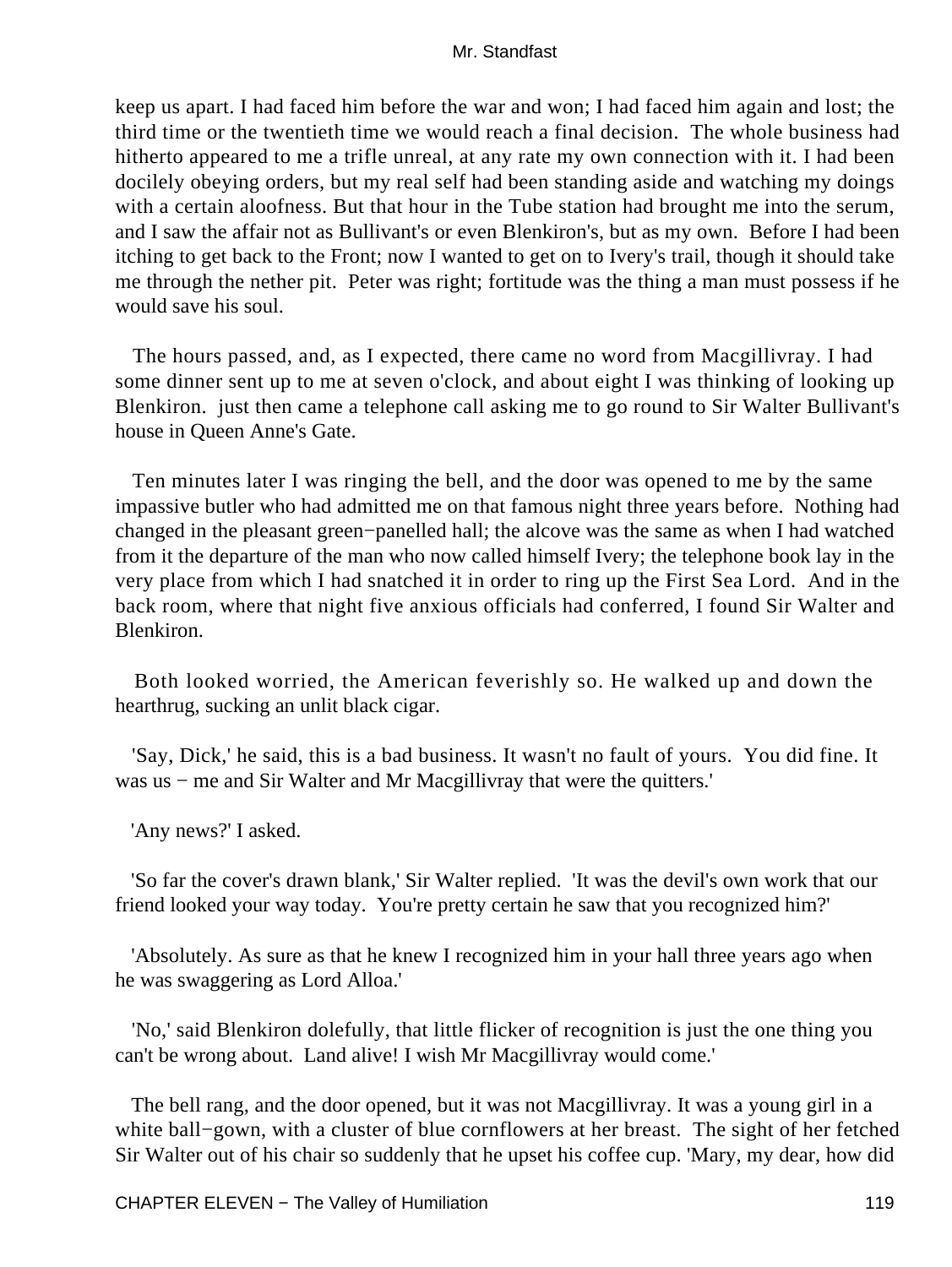keep us apart. I had faced him before the war and won; I had faced him again and lost; the third time or the twentieth time we would reach a final decision. The whole business had hitherto appeared to me a trifle unreal, at any rate my own connection with it. I had been docilely obeying orders, but my real self had been standing aside and watching my doings with a certain aloofness. But that hour in the Tube station had brought me into the serum, and I saw the affair not as Bullivant's or even Blenkiron's, but as my own. Before I had been itching to get back to the Front; now I wanted to get on to Ivery's trail, though it should take me through the nether pit. Peter was right; fortitude was the thing a man must possess if he would save his soul.

 The hours passed, and, as I expected, there came no word from Macgillivray. I had some dinner sent up to me at seven o'clock, and about eight I was thinking of looking up Blenkiron. just then came a telephone call asking me to go round to Sir Walter Bullivant's house in Queen Anne's Gate.

 Ten minutes later I was ringing the bell, and the door was opened to me by the same impassive butler who had admitted me on that famous night three years before. Nothing had changed in the pleasant green−panelled hall; the alcove was the same as when I had watched from it the departure of the man who now called himself Ivery; the telephone book lay in the very place from which I had snatched it in order to ring up the First Sea Lord. And in the back room, where that night five anxious officials had conferred, I found Sir Walter and Blenkiron.

 Both looked worried, the American feverishly so. He walked up and down the hearthrug, sucking an unlit black cigar.

 'Say, Dick,' he said, this is a bad business. It wasn't no fault of yours. You did fine. It was us – me and Sir Walter and Mr Macgillivray that were the quitters.'

'Any news?' I asked.

 'So far the cover's drawn blank,' Sir Walter replied. 'It was the devil's own work that our friend looked your way today. You're pretty certain he saw that you recognized him?'

 'Absolutely. As sure as that he knew I recognized him in your hall three years ago when he was swaggering as Lord Alloa.'

 'No,' said Blenkiron dolefully, that little flicker of recognition is just the one thing you can't be wrong about. Land alive! I wish Mr Macgillivray would come.'

 The bell rang, and the door opened, but it was not Macgillivray. It was a young girl in a white ball−gown, with a cluster of blue cornflowers at her breast. The sight of her fetched Sir Walter out of his chair so suddenly that he upset his coffee cup. 'Mary, my dear, how did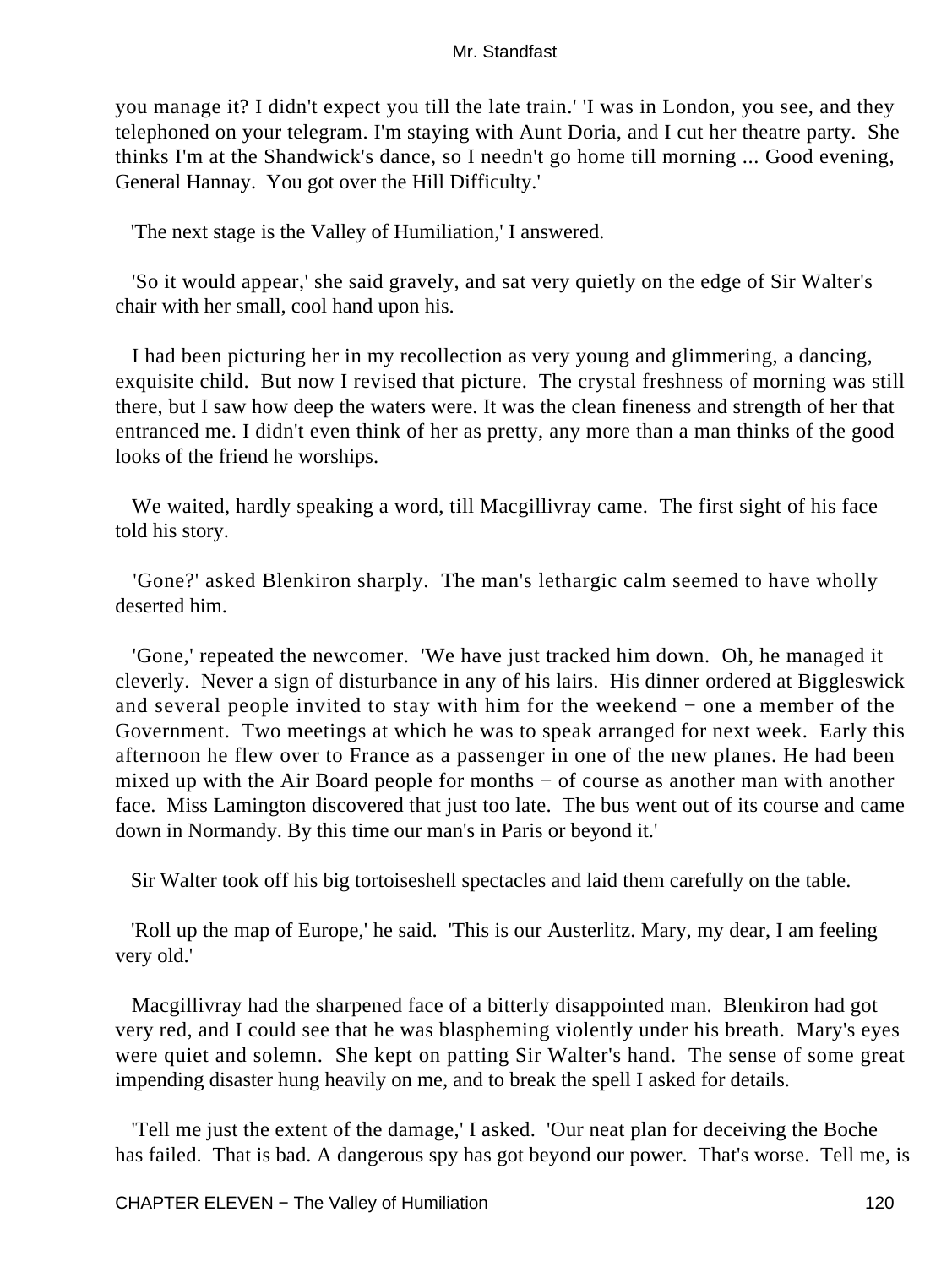you manage it? I didn't expect you till the late train.' 'I was in London, you see, and they telephoned on your telegram. I'm staying with Aunt Doria, and I cut her theatre party. She thinks I'm at the Shandwick's dance, so I needn't go home till morning ... Good evening, General Hannay. You got over the Hill Difficulty.'

'The next stage is the Valley of Humiliation,' I answered.

 'So it would appear,' she said gravely, and sat very quietly on the edge of Sir Walter's chair with her small, cool hand upon his.

 I had been picturing her in my recollection as very young and glimmering, a dancing, exquisite child. But now I revised that picture. The crystal freshness of morning was still there, but I saw how deep the waters were. It was the clean fineness and strength of her that entranced me. I didn't even think of her as pretty, any more than a man thinks of the good looks of the friend he worships.

 We waited, hardly speaking a word, till Macgillivray came. The first sight of his face told his story.

 'Gone?' asked Blenkiron sharply. The man's lethargic calm seemed to have wholly deserted him.

 'Gone,' repeated the newcomer. 'We have just tracked him down. Oh, he managed it cleverly. Never a sign of disturbance in any of his lairs. His dinner ordered at Biggleswick and several people invited to stay with him for the weekend − one a member of the Government. Two meetings at which he was to speak arranged for next week. Early this afternoon he flew over to France as a passenger in one of the new planes. He had been mixed up with the Air Board people for months − of course as another man with another face. Miss Lamington discovered that just too late. The bus went out of its course and came down in Normandy. By this time our man's in Paris or beyond it.'

Sir Walter took off his big tortoiseshell spectacles and laid them carefully on the table.

 'Roll up the map of Europe,' he said. 'This is our Austerlitz. Mary, my dear, I am feeling very old.'

 Macgillivray had the sharpened face of a bitterly disappointed man. Blenkiron had got very red, and I could see that he was blaspheming violently under his breath. Mary's eyes were quiet and solemn. She kept on patting Sir Walter's hand. The sense of some great impending disaster hung heavily on me, and to break the spell I asked for details.

 'Tell me just the extent of the damage,' I asked. 'Our neat plan for deceiving the Boche has failed. That is bad. A dangerous spy has got beyond our power. That's worse. Tell me, is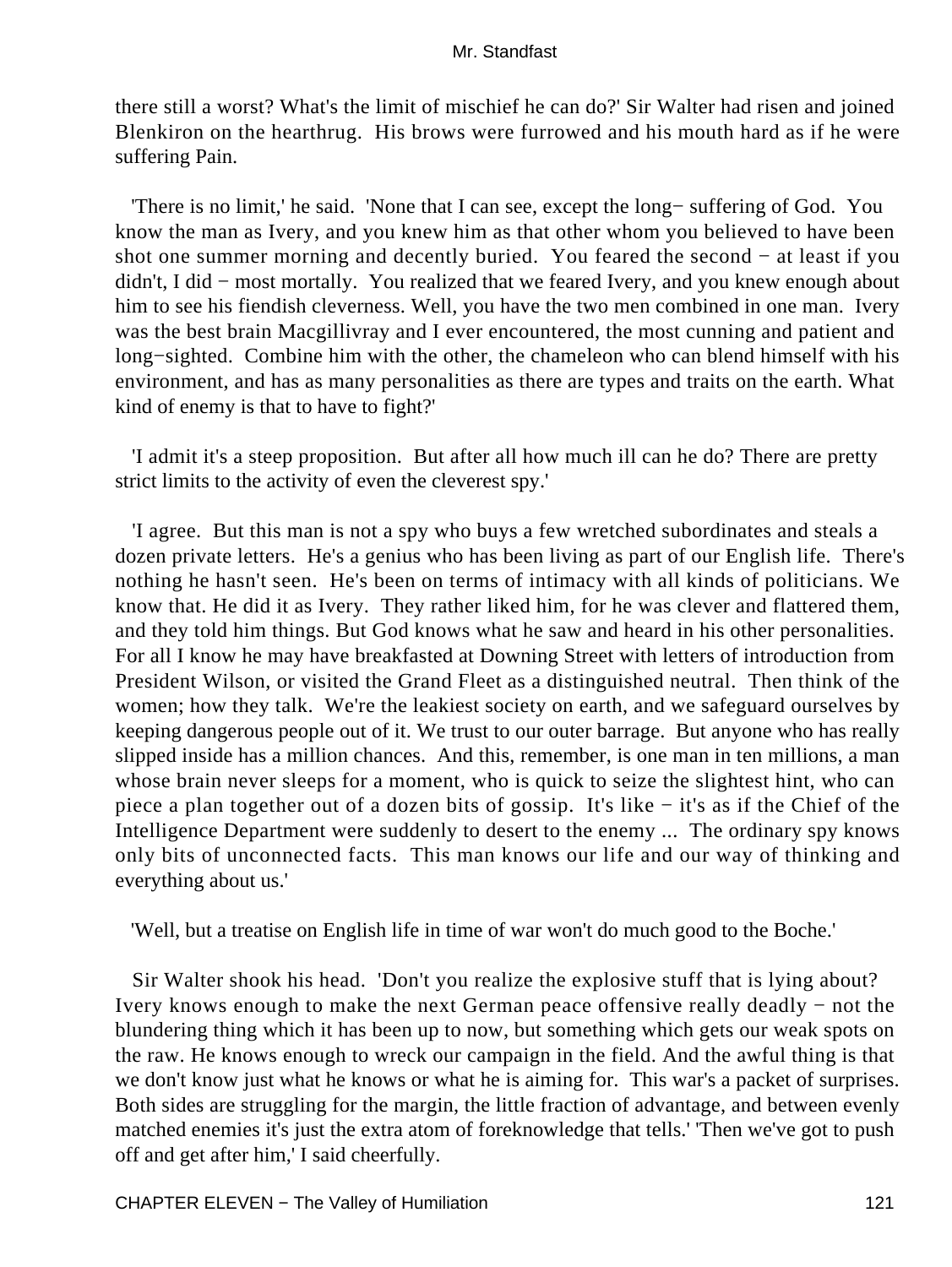there still a worst? What's the limit of mischief he can do?' Sir Walter had risen and joined Blenkiron on the hearthrug. His brows were furrowed and his mouth hard as if he were suffering Pain.

 'There is no limit,' he said. 'None that I can see, except the long− suffering of God. You know the man as Ivery, and you knew him as that other whom you believed to have been shot one summer morning and decently buried. You feared the second − at least if you didn't, I did − most mortally. You realized that we feared Ivery, and you knew enough about him to see his fiendish cleverness. Well, you have the two men combined in one man. Ivery was the best brain Macgillivray and I ever encountered, the most cunning and patient and long−sighted. Combine him with the other, the chameleon who can blend himself with his environment, and has as many personalities as there are types and traits on the earth. What kind of enemy is that to have to fight?'

 'I admit it's a steep proposition. But after all how much ill can he do? There are pretty strict limits to the activity of even the cleverest spy.'

 'I agree. But this man is not a spy who buys a few wretched subordinates and steals a dozen private letters. He's a genius who has been living as part of our English life. There's nothing he hasn't seen. He's been on terms of intimacy with all kinds of politicians. We know that. He did it as Ivery. They rather liked him, for he was clever and flattered them, and they told him things. But God knows what he saw and heard in his other personalities. For all I know he may have breakfasted at Downing Street with letters of introduction from President Wilson, or visited the Grand Fleet as a distinguished neutral. Then think of the women; how they talk. We're the leakiest society on earth, and we safeguard ourselves by keeping dangerous people out of it. We trust to our outer barrage. But anyone who has really slipped inside has a million chances. And this, remember, is one man in ten millions, a man whose brain never sleeps for a moment, who is quick to seize the slightest hint, who can piece a plan together out of a dozen bits of gossip. It's like − it's as if the Chief of the Intelligence Department were suddenly to desert to the enemy ... The ordinary spy knows only bits of unconnected facts. This man knows our life and our way of thinking and everything about us.'

'Well, but a treatise on English life in time of war won't do much good to the Boche.'

 Sir Walter shook his head. 'Don't you realize the explosive stuff that is lying about? Ivery knows enough to make the next German peace offensive really deadly − not the blundering thing which it has been up to now, but something which gets our weak spots on the raw. He knows enough to wreck our campaign in the field. And the awful thing is that we don't know just what he knows or what he is aiming for. This war's a packet of surprises. Both sides are struggling for the margin, the little fraction of advantage, and between evenly matched enemies it's just the extra atom of foreknowledge that tells.' 'Then we've got to push off and get after him,' I said cheerfully.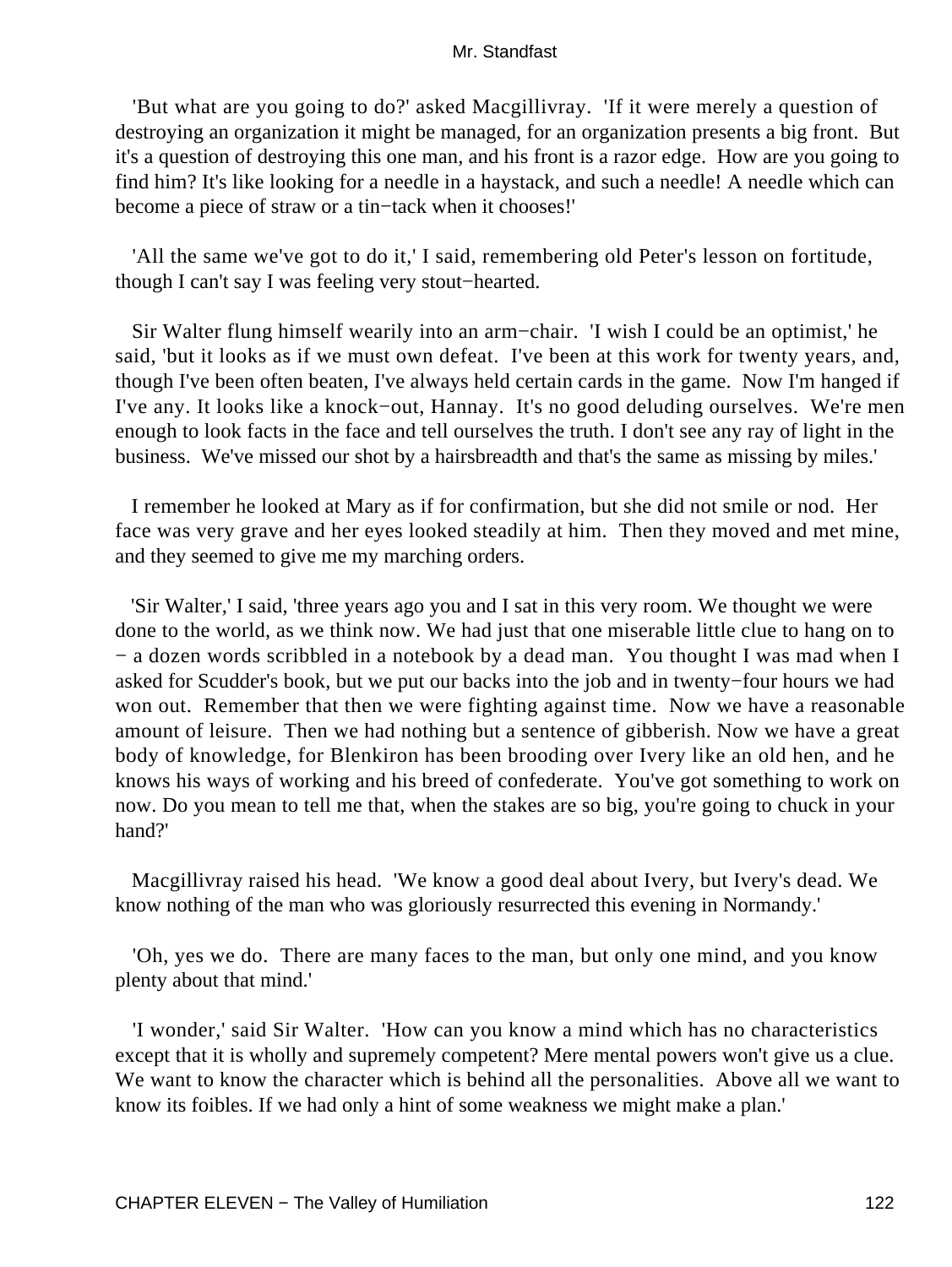'But what are you going to do?' asked Macgillivray. 'If it were merely a question of destroying an organization it might be managed, for an organization presents a big front. But it's a question of destroying this one man, and his front is a razor edge. How are you going to find him? It's like looking for a needle in a haystack, and such a needle! A needle which can become a piece of straw or a tin−tack when it chooses!'

 'All the same we've got to do it,' I said, remembering old Peter's lesson on fortitude, though I can't say I was feeling very stout−hearted.

 Sir Walter flung himself wearily into an arm−chair. 'I wish I could be an optimist,' he said, 'but it looks as if we must own defeat. I've been at this work for twenty years, and, though I've been often beaten, I've always held certain cards in the game. Now I'm hanged if I've any. It looks like a knock−out, Hannay. It's no good deluding ourselves. We're men enough to look facts in the face and tell ourselves the truth. I don't see any ray of light in the business. We've missed our shot by a hairsbreadth and that's the same as missing by miles.'

 I remember he looked at Mary as if for confirmation, but she did not smile or nod. Her face was very grave and her eyes looked steadily at him. Then they moved and met mine, and they seemed to give me my marching orders.

 'Sir Walter,' I said, 'three years ago you and I sat in this very room. We thought we were done to the world, as we think now. We had just that one miserable little clue to hang on to − a dozen words scribbled in a notebook by a dead man. You thought I was mad when I asked for Scudder's book, but we put our backs into the job and in twenty−four hours we had won out. Remember that then we were fighting against time. Now we have a reasonable amount of leisure. Then we had nothing but a sentence of gibberish. Now we have a great body of knowledge, for Blenkiron has been brooding over Ivery like an old hen, and he knows his ways of working and his breed of confederate. You've got something to work on now. Do you mean to tell me that, when the stakes are so big, you're going to chuck in your hand?'

 Macgillivray raised his head. 'We know a good deal about Ivery, but Ivery's dead. We know nothing of the man who was gloriously resurrected this evening in Normandy.'

 'Oh, yes we do. There are many faces to the man, but only one mind, and you know plenty about that mind.'

 'I wonder,' said Sir Walter. 'How can you know a mind which has no characteristics except that it is wholly and supremely competent? Mere mental powers won't give us a clue. We want to know the character which is behind all the personalities. Above all we want to know its foibles. If we had only a hint of some weakness we might make a plan.'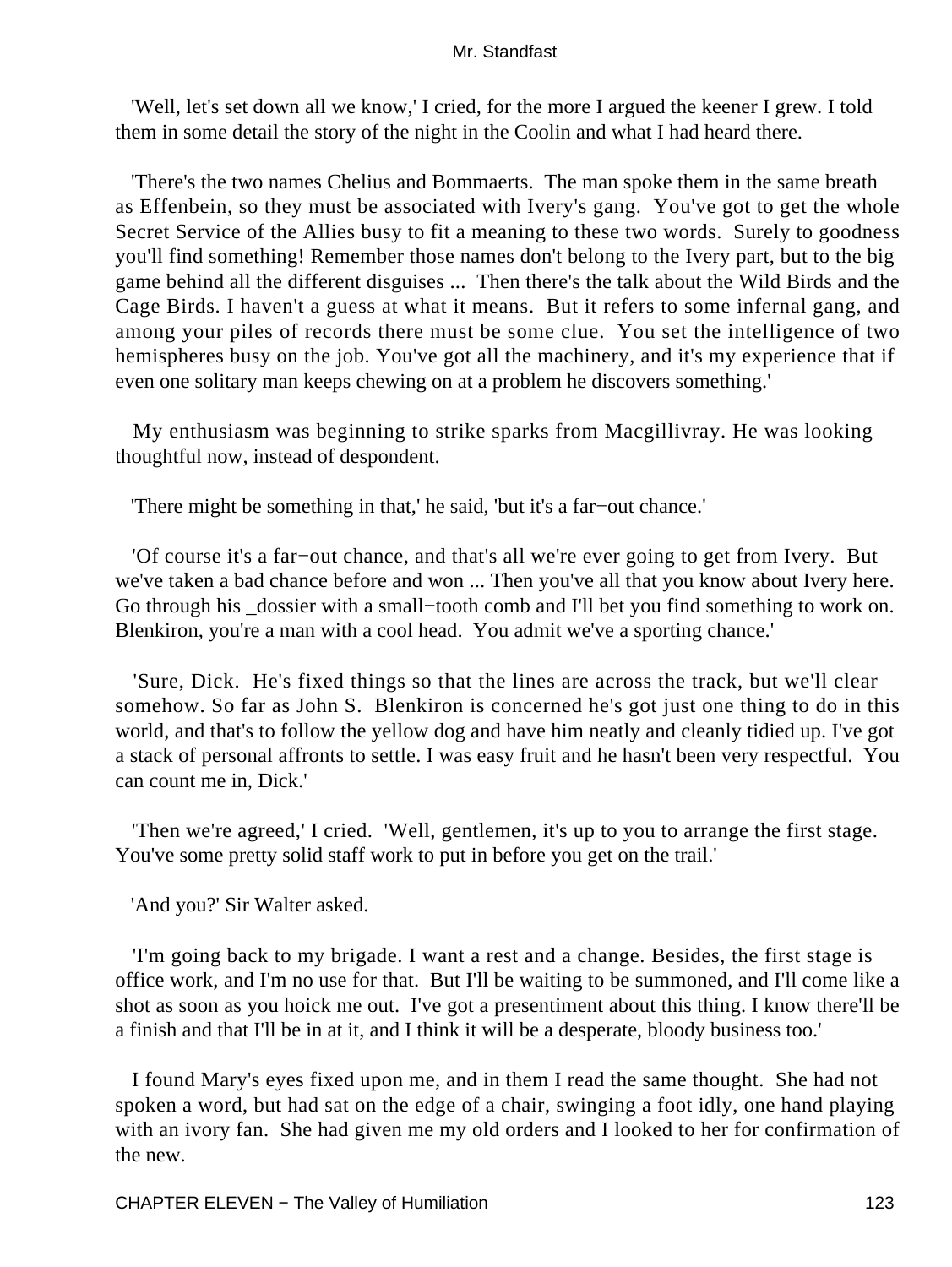'Well, let's set down all we know,' I cried, for the more I argued the keener I grew. I told them in some detail the story of the night in the Coolin and what I had heard there.

 'There's the two names Chelius and Bommaerts. The man spoke them in the same breath as Effenbein, so they must be associated with Ivery's gang. You've got to get the whole Secret Service of the Allies busy to fit a meaning to these two words. Surely to goodness you'll find something! Remember those names don't belong to the Ivery part, but to the big game behind all the different disguises ... Then there's the talk about the Wild Birds and the Cage Birds. I haven't a guess at what it means. But it refers to some infernal gang, and among your piles of records there must be some clue. You set the intelligence of two hemispheres busy on the job. You've got all the machinery, and it's my experience that if even one solitary man keeps chewing on at a problem he discovers something.'

 My enthusiasm was beginning to strike sparks from Macgillivray. He was looking thoughtful now, instead of despondent.

'There might be something in that,' he said, 'but it's a far−out chance.'

 'Of course it's a far−out chance, and that's all we're ever going to get from Ivery. But we've taken a bad chance before and won ... Then you've all that you know about Ivery here. Go through his \_dossier with a small–tooth comb and I'll bet you find something to work on. Blenkiron, you're a man with a cool head. You admit we've a sporting chance.'

 'Sure, Dick. He's fixed things so that the lines are across the track, but we'll clear somehow. So far as John S. Blenkiron is concerned he's got just one thing to do in this world, and that's to follow the yellow dog and have him neatly and cleanly tidied up. I've got a stack of personal affronts to settle. I was easy fruit and he hasn't been very respectful. You can count me in, Dick.'

 'Then we're agreed,' I cried. 'Well, gentlemen, it's up to you to arrange the first stage. You've some pretty solid staff work to put in before you get on the trail.'

'And you?' Sir Walter asked.

 'I'm going back to my brigade. I want a rest and a change. Besides, the first stage is office work, and I'm no use for that. But I'll be waiting to be summoned, and I'll come like a shot as soon as you hoick me out. I've got a presentiment about this thing. I know there'll be a finish and that I'll be in at it, and I think it will be a desperate, bloody business too.'

 I found Mary's eyes fixed upon me, and in them I read the same thought. She had not spoken a word, but had sat on the edge of a chair, swinging a foot idly, one hand playing with an ivory fan. She had given me my old orders and I looked to her for confirmation of the new.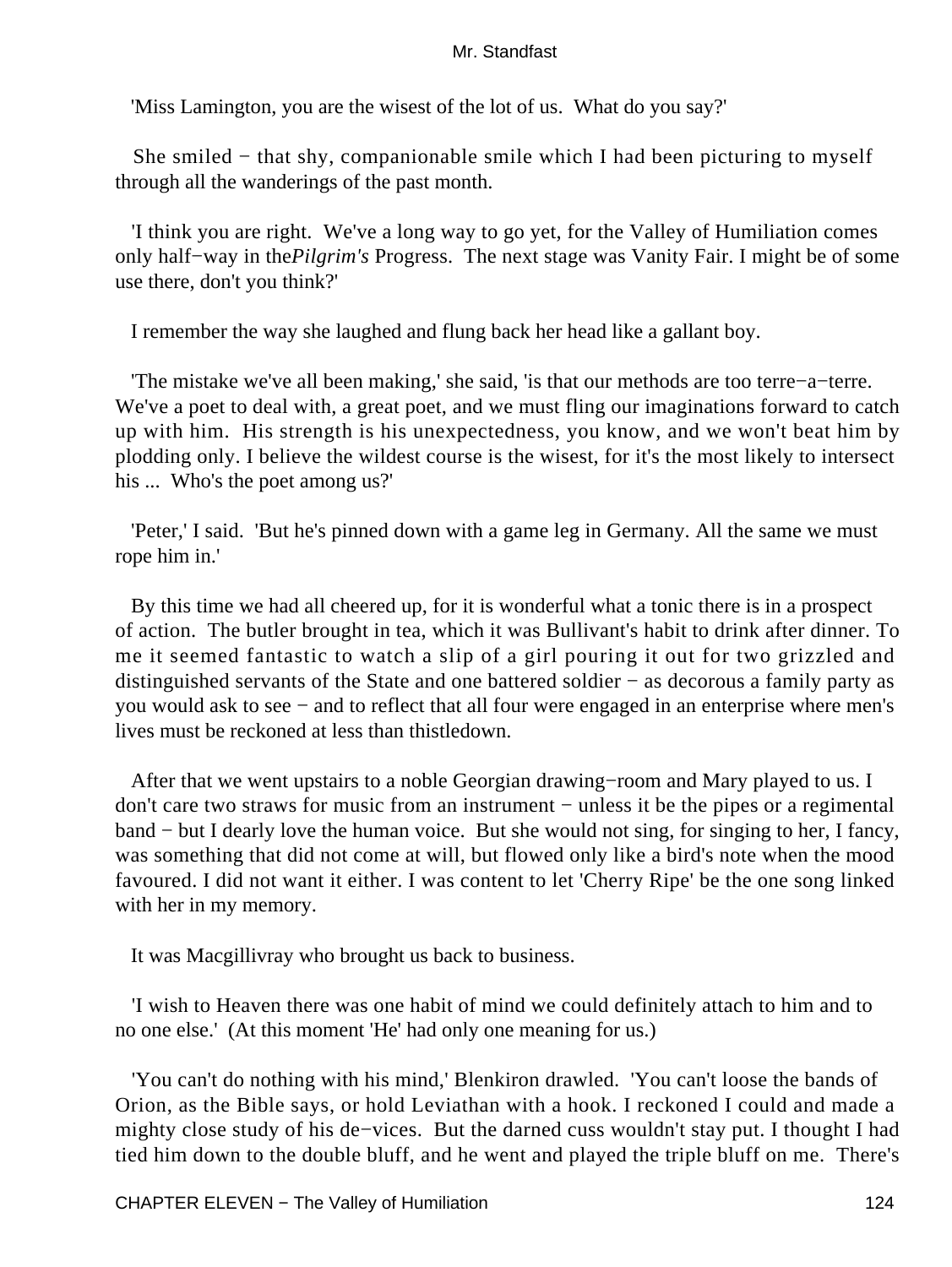'Miss Lamington, you are the wisest of the lot of us. What do you say?'

 She smiled − that shy, companionable smile which I had been picturing to myself through all the wanderings of the past month.

 'I think you are right. We've a long way to go yet, for the Valley of Humiliation comes only half−way in the*Pilgrim's* Progress. The next stage was Vanity Fair. I might be of some use there, don't you think?'

I remember the way she laughed and flung back her head like a gallant boy.

 'The mistake we've all been making,' she said, 'is that our methods are too terre−a−terre. We've a poet to deal with, a great poet, and we must fling our imaginations forward to catch up with him. His strength is his unexpectedness, you know, and we won't beat him by plodding only. I believe the wildest course is the wisest, for it's the most likely to intersect his ... Who's the poet among us?'

 'Peter,' I said. 'But he's pinned down with a game leg in Germany. All the same we must rope him in.'

 By this time we had all cheered up, for it is wonderful what a tonic there is in a prospect of action. The butler brought in tea, which it was Bullivant's habit to drink after dinner. To me it seemed fantastic to watch a slip of a girl pouring it out for two grizzled and distinguished servants of the State and one battered soldier − as decorous a family party as you would ask to see − and to reflect that all four were engaged in an enterprise where men's lives must be reckoned at less than thistledown.

 After that we went upstairs to a noble Georgian drawing−room and Mary played to us. I don't care two straws for music from an instrument − unless it be the pipes or a regimental band − but I dearly love the human voice. But she would not sing, for singing to her, I fancy, was something that did not come at will, but flowed only like a bird's note when the mood favoured. I did not want it either. I was content to let 'Cherry Ripe' be the one song linked with her in my memory.

It was Macgillivray who brought us back to business.

 'I wish to Heaven there was one habit of mind we could definitely attach to him and to no one else.' (At this moment 'He' had only one meaning for us.)

 'You can't do nothing with his mind,' Blenkiron drawled. 'You can't loose the bands of Orion, as the Bible says, or hold Leviathan with a hook. I reckoned I could and made a mighty close study of his de−vices. But the darned cuss wouldn't stay put. I thought I had tied him down to the double bluff, and he went and played the triple bluff on me. There's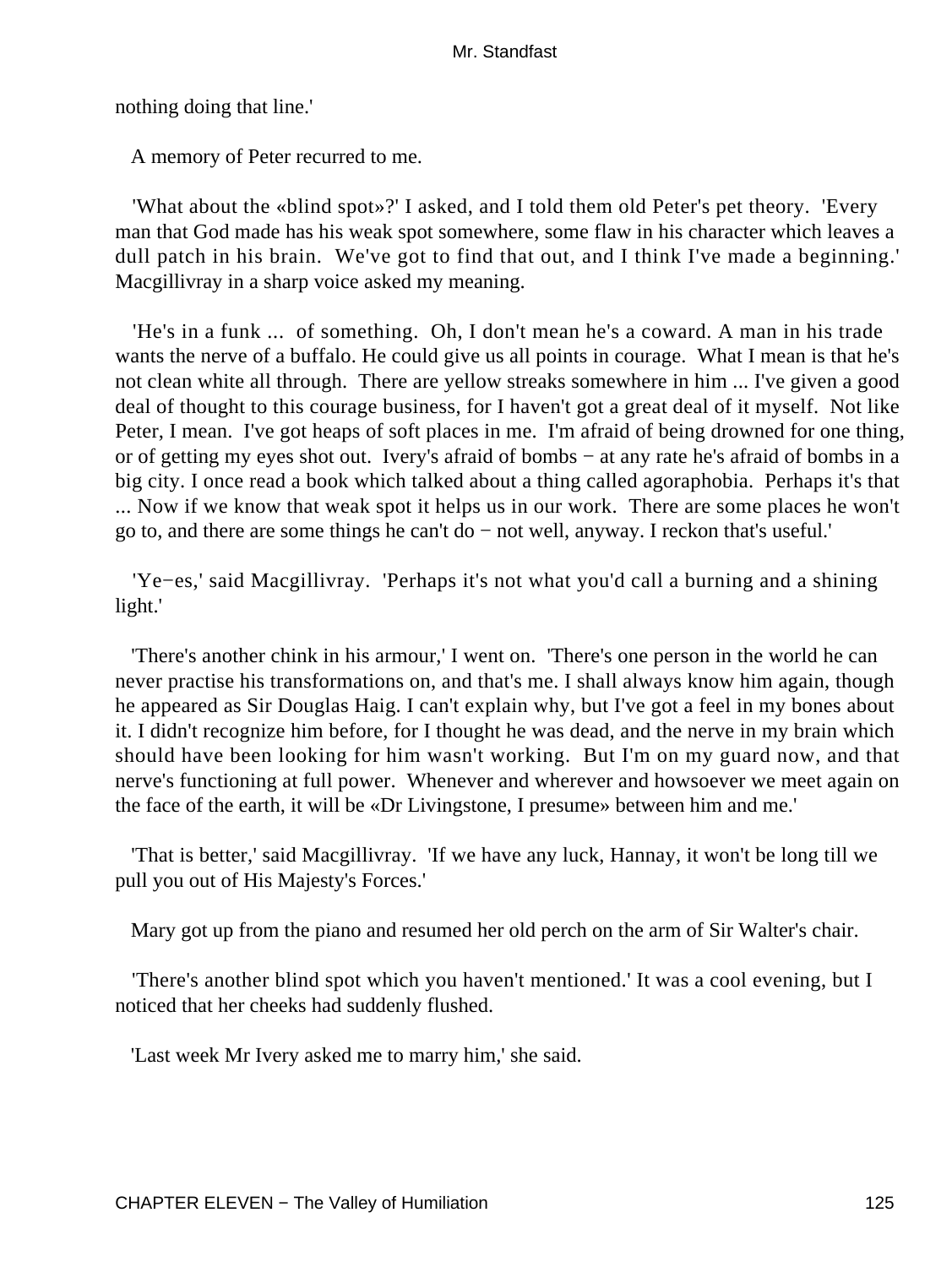nothing doing that line.'

A memory of Peter recurred to me.

 'What about the «blind spot»?' I asked, and I told them old Peter's pet theory. 'Every man that God made has his weak spot somewhere, some flaw in his character which leaves a dull patch in his brain. We've got to find that out, and I think I've made a beginning.' Macgillivray in a sharp voice asked my meaning.

 'He's in a funk ... of something. Oh, I don't mean he's a coward. A man in his trade wants the nerve of a buffalo. He could give us all points in courage. What I mean is that he's not clean white all through. There are yellow streaks somewhere in him ... I've given a good deal of thought to this courage business, for I haven't got a great deal of it myself. Not like Peter, I mean. I've got heaps of soft places in me. I'm afraid of being drowned for one thing, or of getting my eyes shot out. Ivery's afraid of bombs − at any rate he's afraid of bombs in a big city. I once read a book which talked about a thing called agoraphobia. Perhaps it's that ... Now if we know that weak spot it helps us in our work. There are some places he won't go to, and there are some things he can't do − not well, anyway. I reckon that's useful.'

 'Ye−es,' said Macgillivray. 'Perhaps it's not what you'd call a burning and a shining light.'

 'There's another chink in his armour,' I went on. 'There's one person in the world he can never practise his transformations on, and that's me. I shall always know him again, though he appeared as Sir Douglas Haig. I can't explain why, but I've got a feel in my bones about it. I didn't recognize him before, for I thought he was dead, and the nerve in my brain which should have been looking for him wasn't working. But I'm on my guard now, and that nerve's functioning at full power. Whenever and wherever and howsoever we meet again on the face of the earth, it will be «Dr Livingstone, I presume» between him and me.'

 'That is better,' said Macgillivray. 'If we have any luck, Hannay, it won't be long till we pull you out of His Majesty's Forces.'

Mary got up from the piano and resumed her old perch on the arm of Sir Walter's chair.

 'There's another blind spot which you haven't mentioned.' It was a cool evening, but I noticed that her cheeks had suddenly flushed.

'Last week Mr Ivery asked me to marry him,' she said.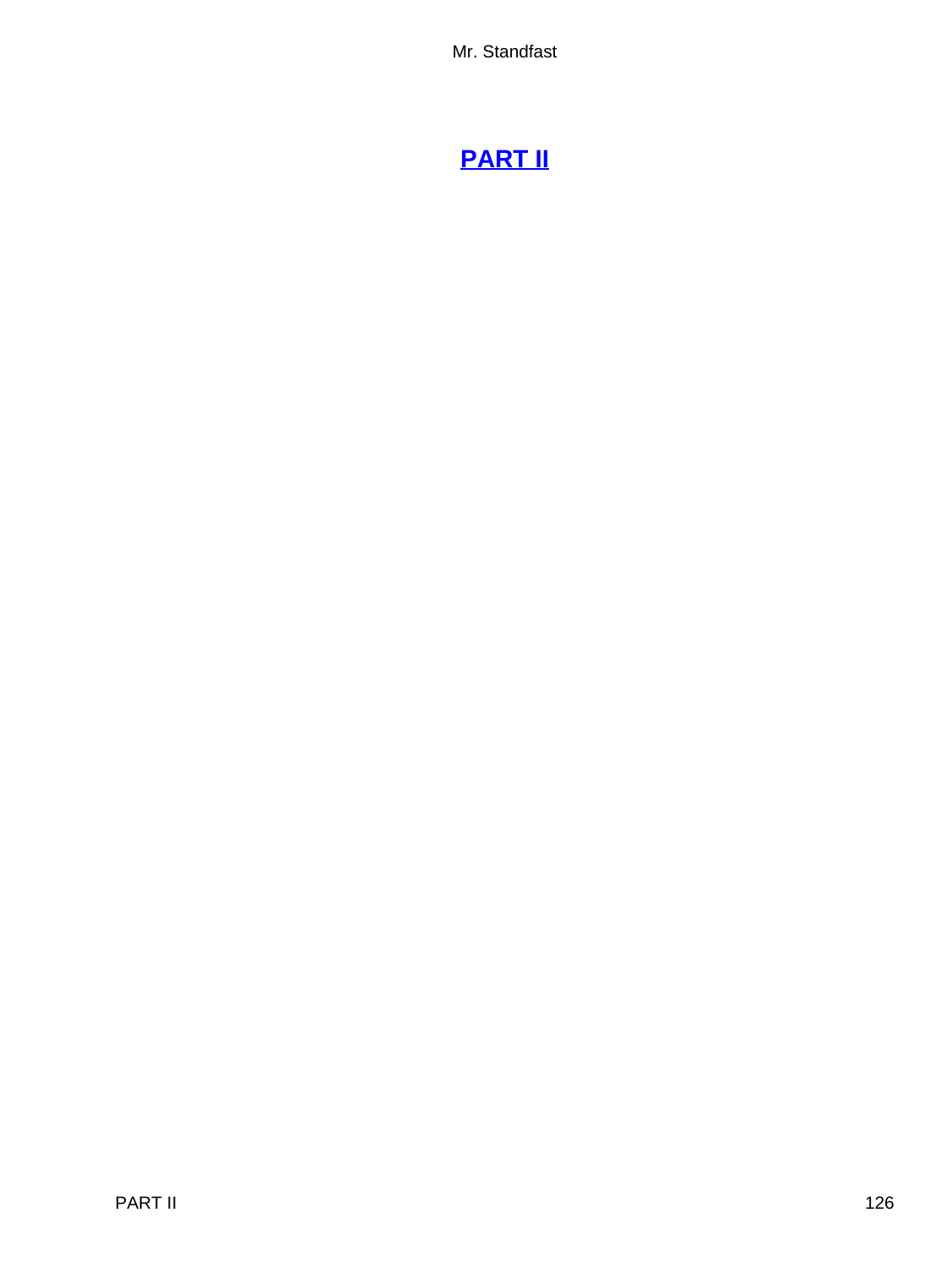# **[PART II](#page-255-0)**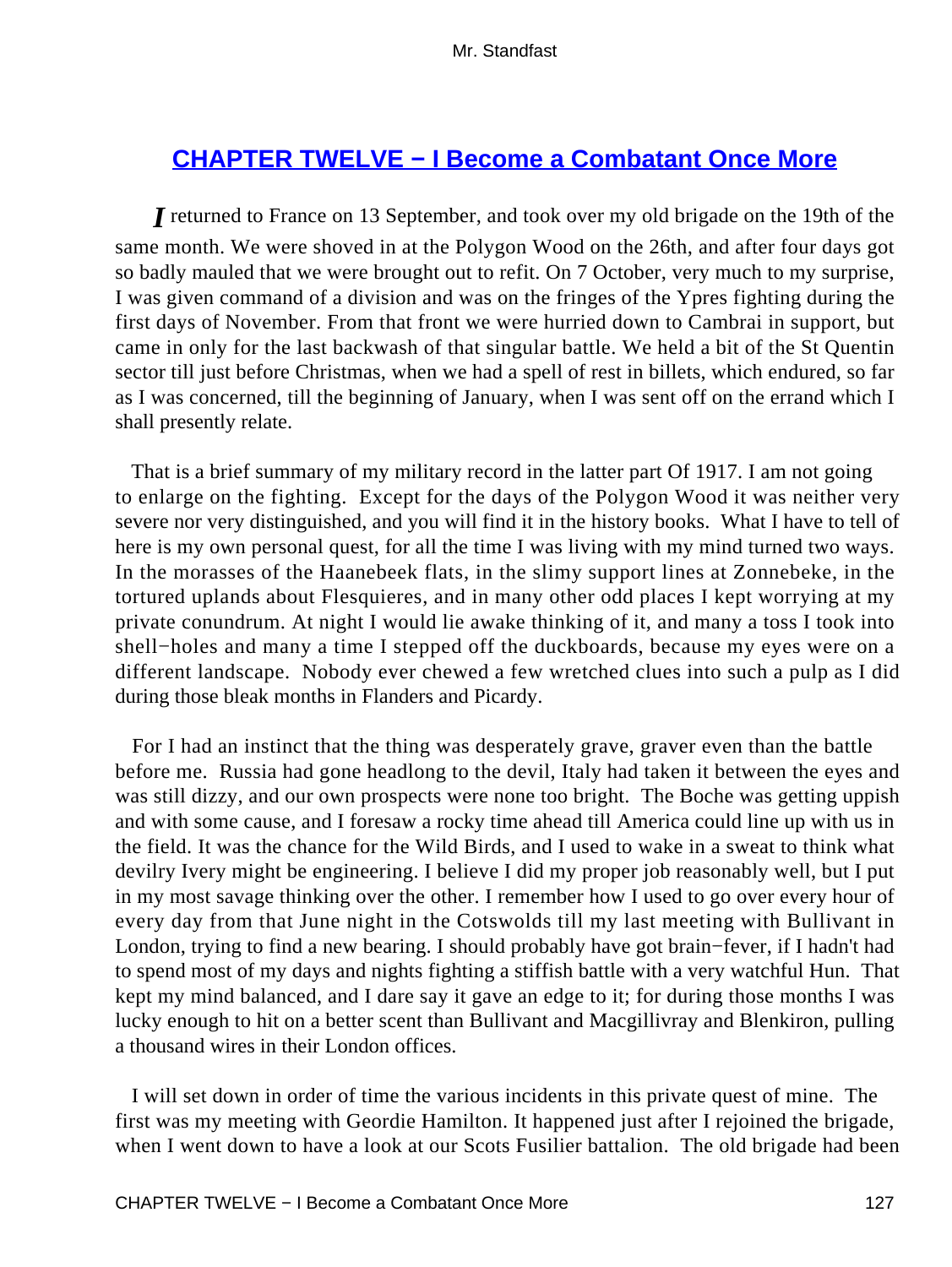# **[CHAPTER TWELVE − I Become a Combatant Once More](#page-255-0)**

*I* returned to France on 13 September, and took over my old brigade on the 19th of the same month. We were shoved in at the Polygon Wood on the 26th, and after four days got so badly mauled that we were brought out to refit. On 7 October, very much to my surprise, I was given command of a division and was on the fringes of the Ypres fighting during the first days of November. From that front we were hurried down to Cambrai in support, but came in only for the last backwash of that singular battle. We held a bit of the St Quentin sector till just before Christmas, when we had a spell of rest in billets, which endured, so far as I was concerned, till the beginning of January, when I was sent off on the errand which I shall presently relate.

 That is a brief summary of my military record in the latter part Of 1917. I am not going to enlarge on the fighting. Except for the days of the Polygon Wood it was neither very severe nor very distinguished, and you will find it in the history books. What I have to tell of here is my own personal quest, for all the time I was living with my mind turned two ways. In the morasses of the Haanebeek flats, in the slimy support lines at Zonnebeke, in the tortured uplands about Flesquieres, and in many other odd places I kept worrying at my private conundrum. At night I would lie awake thinking of it, and many a toss I took into shell−holes and many a time I stepped off the duckboards, because my eyes were on a different landscape. Nobody ever chewed a few wretched clues into such a pulp as I did during those bleak months in Flanders and Picardy.

 For I had an instinct that the thing was desperately grave, graver even than the battle before me. Russia had gone headlong to the devil, Italy had taken it between the eyes and was still dizzy, and our own prospects were none too bright. The Boche was getting uppish and with some cause, and I foresaw a rocky time ahead till America could line up with us in the field. It was the chance for the Wild Birds, and I used to wake in a sweat to think what devilry Ivery might be engineering. I believe I did my proper job reasonably well, but I put in my most savage thinking over the other. I remember how I used to go over every hour of every day from that June night in the Cotswolds till my last meeting with Bullivant in London, trying to find a new bearing. I should probably have got brain−fever, if I hadn't had to spend most of my days and nights fighting a stiffish battle with a very watchful Hun. That kept my mind balanced, and I dare say it gave an edge to it; for during those months I was lucky enough to hit on a better scent than Bullivant and Macgillivray and Blenkiron, pulling a thousand wires in their London offices.

 I will set down in order of time the various incidents in this private quest of mine. The first was my meeting with Geordie Hamilton. It happened just after I rejoined the brigade, when I went down to have a look at our Scots Fusilier battalion. The old brigade had been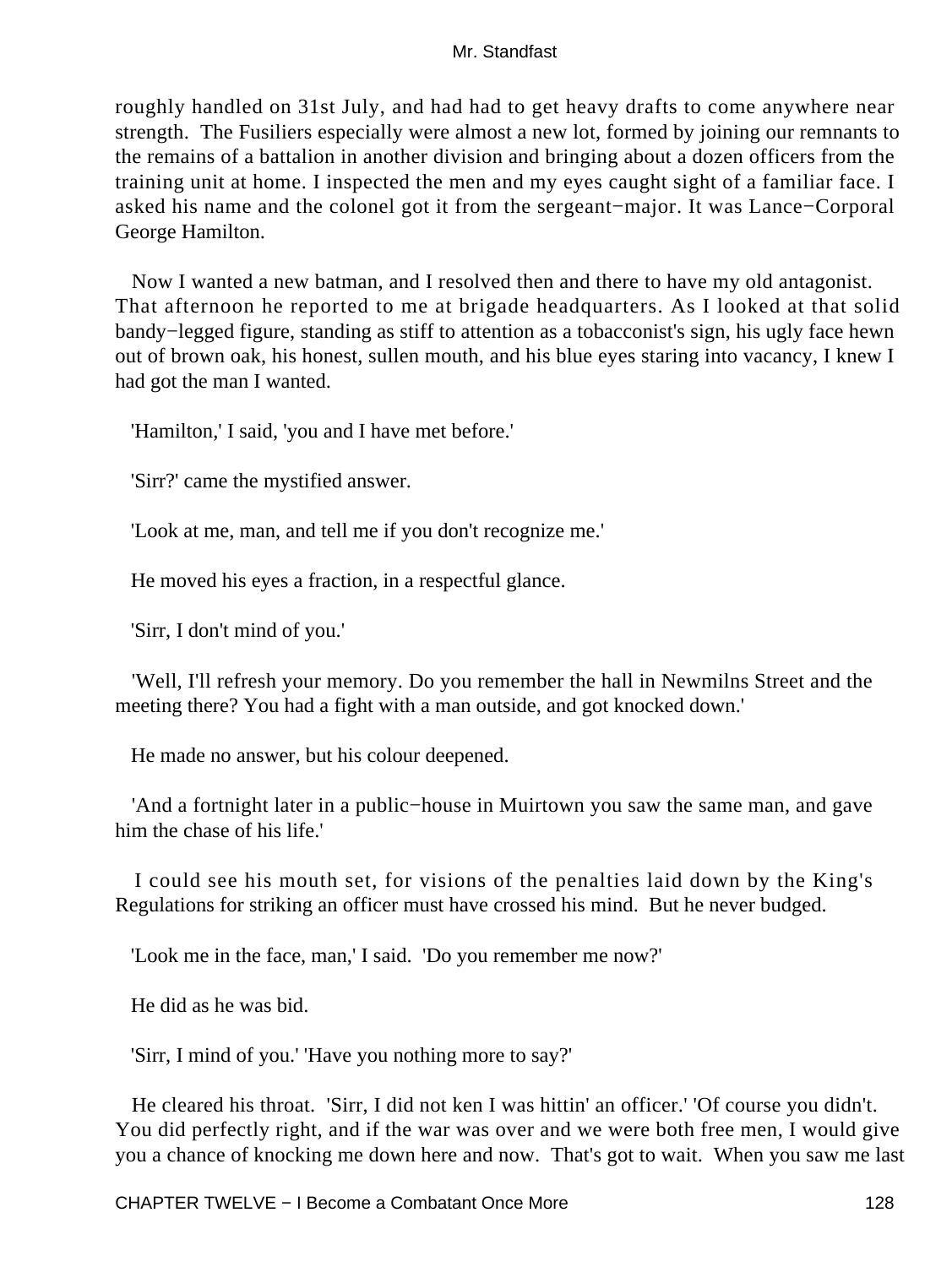roughly handled on 31st July, and had had to get heavy drafts to come anywhere near strength. The Fusiliers especially were almost a new lot, formed by joining our remnants to the remains of a battalion in another division and bringing about a dozen officers from the training unit at home. I inspected the men and my eyes caught sight of a familiar face. I asked his name and the colonel got it from the sergeant−major. It was Lance−Corporal George Hamilton.

 Now I wanted a new batman, and I resolved then and there to have my old antagonist. That afternoon he reported to me at brigade headquarters. As I looked at that solid bandy−legged figure, standing as stiff to attention as a tobacconist's sign, his ugly face hewn out of brown oak, his honest, sullen mouth, and his blue eyes staring into vacancy, I knew I had got the man I wanted.

'Hamilton,' I said, 'you and I have met before.'

'Sirr?' came the mystified answer.

'Look at me, man, and tell me if you don't recognize me.'

He moved his eyes a fraction, in a respectful glance.

'Sirr, I don't mind of you.'

 'Well, I'll refresh your memory. Do you remember the hall in Newmilns Street and the meeting there? You had a fight with a man outside, and got knocked down.'

He made no answer, but his colour deepened.

 'And a fortnight later in a public−house in Muirtown you saw the same man, and gave him the chase of his life.'

 I could see his mouth set, for visions of the penalties laid down by the King's Regulations for striking an officer must have crossed his mind. But he never budged.

'Look me in the face, man,' I said. 'Do you remember me now?'

He did as he was bid.

'Sirr, I mind of you.' 'Have you nothing more to say?'

 He cleared his throat. 'Sirr, I did not ken I was hittin' an officer.' 'Of course you didn't. You did perfectly right, and if the war was over and we were both free men, I would give you a chance of knocking me down here and now. That's got to wait. When you saw me last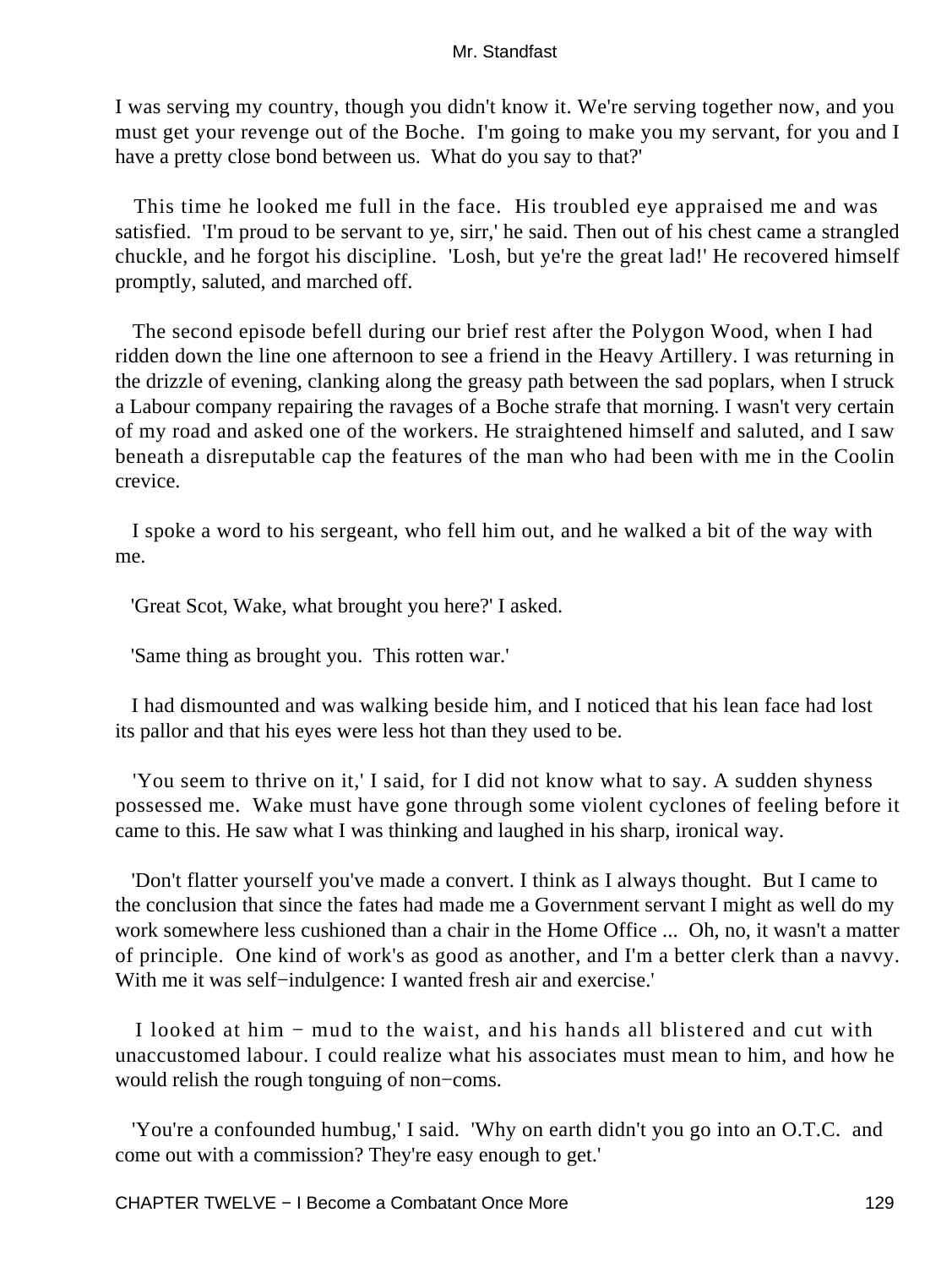I was serving my country, though you didn't know it. We're serving together now, and you must get your revenge out of the Boche. I'm going to make you my servant, for you and I have a pretty close bond between us. What do you say to that?'

 This time he looked me full in the face. His troubled eye appraised me and was satisfied. 'I'm proud to be servant to ye, sirr,' he said. Then out of his chest came a strangled chuckle, and he forgot his discipline. 'Losh, but ye're the great lad!' He recovered himself promptly, saluted, and marched off.

 The second episode befell during our brief rest after the Polygon Wood, when I had ridden down the line one afternoon to see a friend in the Heavy Artillery. I was returning in the drizzle of evening, clanking along the greasy path between the sad poplars, when I struck a Labour company repairing the ravages of a Boche strafe that morning. I wasn't very certain of my road and asked one of the workers. He straightened himself and saluted, and I saw beneath a disreputable cap the features of the man who had been with me in the Coolin crevice.

 I spoke a word to his sergeant, who fell him out, and he walked a bit of the way with me.

'Great Scot, Wake, what brought you here?' I asked.

'Same thing as brought you. This rotten war.'

 I had dismounted and was walking beside him, and I noticed that his lean face had lost its pallor and that his eyes were less hot than they used to be.

 'You seem to thrive on it,' I said, for I did not know what to say. A sudden shyness possessed me. Wake must have gone through some violent cyclones of feeling before it came to this. He saw what I was thinking and laughed in his sharp, ironical way.

 'Don't flatter yourself you've made a convert. I think as I always thought. But I came to the conclusion that since the fates had made me a Government servant I might as well do my work somewhere less cushioned than a chair in the Home Office ... Oh, no, it wasn't a matter of principle. One kind of work's as good as another, and I'm a better clerk than a navvy. With me it was self−indulgence: I wanted fresh air and exercise.'

 I looked at him − mud to the waist, and his hands all blistered and cut with unaccustomed labour. I could realize what his associates must mean to him, and how he would relish the rough tonguing of non−coms.

 'You're a confounded humbug,' I said. 'Why on earth didn't you go into an O.T.C. and come out with a commission? They're easy enough to get.'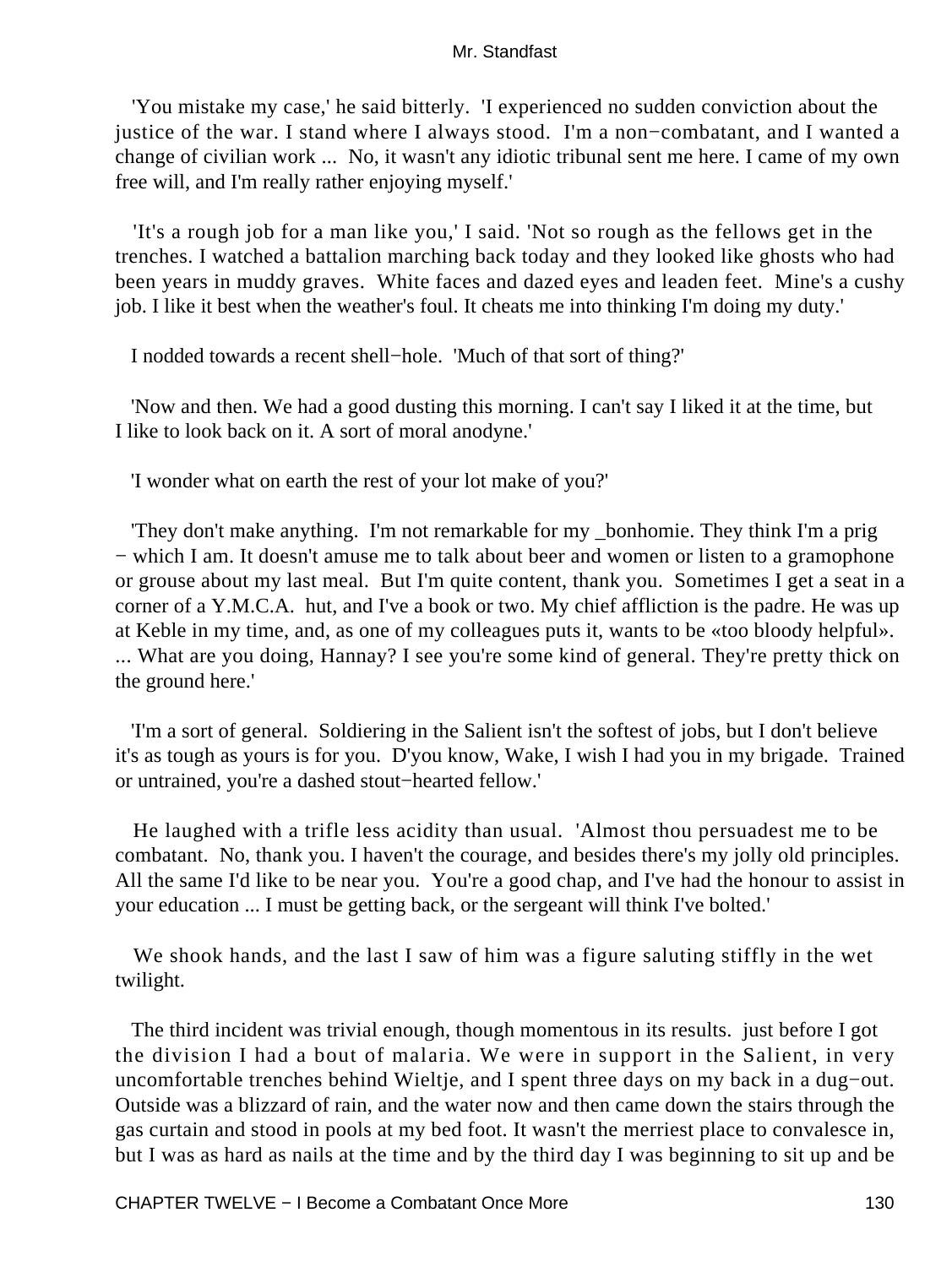'You mistake my case,' he said bitterly. 'I experienced no sudden conviction about the justice of the war. I stand where I always stood. I'm a non−combatant, and I wanted a change of civilian work ... No, it wasn't any idiotic tribunal sent me here. I came of my own free will, and I'm really rather enjoying myself.'

 'It's a rough job for a man like you,' I said. 'Not so rough as the fellows get in the trenches. I watched a battalion marching back today and they looked like ghosts who had been years in muddy graves. White faces and dazed eyes and leaden feet. Mine's a cushy job. I like it best when the weather's foul. It cheats me into thinking I'm doing my duty.'

I nodded towards a recent shell−hole. 'Much of that sort of thing?'

 'Now and then. We had a good dusting this morning. I can't say I liked it at the time, but I like to look back on it. A sort of moral anodyne.'

'I wonder what on earth the rest of your lot make of you?'

 'They don't make anything. I'm not remarkable for my \_bonhomie. They think I'm a prig − which I am. It doesn't amuse me to talk about beer and women or listen to a gramophone or grouse about my last meal. But I'm quite content, thank you. Sometimes I get a seat in a corner of a Y.M.C.A. hut, and I've a book or two. My chief affliction is the padre. He was up at Keble in my time, and, as one of my colleagues puts it, wants to be «too bloody helpful». ... What are you doing, Hannay? I see you're some kind of general. They're pretty thick on the ground here.'

 'I'm a sort of general. Soldiering in the Salient isn't the softest of jobs, but I don't believe it's as tough as yours is for you. D'you know, Wake, I wish I had you in my brigade. Trained or untrained, you're a dashed stout−hearted fellow.'

 He laughed with a trifle less acidity than usual. 'Almost thou persuadest me to be combatant. No, thank you. I haven't the courage, and besides there's my jolly old principles. All the same I'd like to be near you. You're a good chap, and I've had the honour to assist in your education ... I must be getting back, or the sergeant will think I've bolted.'

 We shook hands, and the last I saw of him was a figure saluting stiffly in the wet twilight.

 The third incident was trivial enough, though momentous in its results. just before I got the division I had a bout of malaria. We were in support in the Salient, in very uncomfortable trenches behind Wieltje, and I spent three days on my back in a dug−out. Outside was a blizzard of rain, and the water now and then came down the stairs through the gas curtain and stood in pools at my bed foot. It wasn't the merriest place to convalesce in, but I was as hard as nails at the time and by the third day I was beginning to sit up and be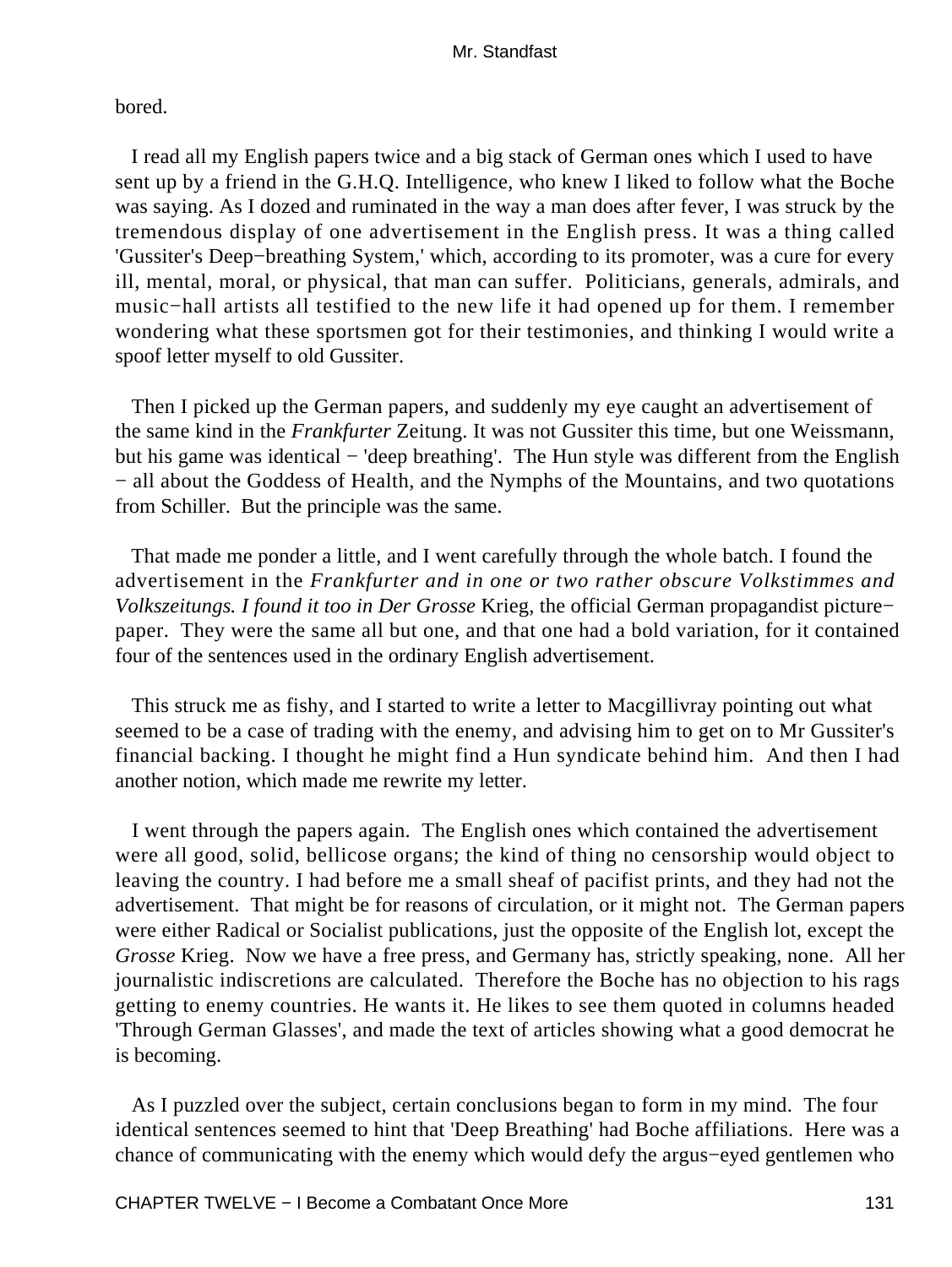# bored.

 I read all my English papers twice and a big stack of German ones which I used to have sent up by a friend in the G.H.Q. Intelligence, who knew I liked to follow what the Boche was saying. As I dozed and ruminated in the way a man does after fever, I was struck by the tremendous display of one advertisement in the English press. It was a thing called 'Gussiter's Deep−breathing System,' which, according to its promoter, was a cure for every ill, mental, moral, or physical, that man can suffer. Politicians, generals, admirals, and music−hall artists all testified to the new life it had opened up for them. I remember wondering what these sportsmen got for their testimonies, and thinking I would write a spoof letter myself to old Gussiter.

 Then I picked up the German papers, and suddenly my eye caught an advertisement of the same kind in the *Frankfurter* Zeitung. It was not Gussiter this time, but one Weissmann, but his game was identical − 'deep breathing'. The Hun style was different from the English − all about the Goddess of Health, and the Nymphs of the Mountains, and two quotations from Schiller. But the principle was the same.

 That made me ponder a little, and I went carefully through the whole batch. I found the advertisement in the *Frankfurter and in one or two rather obscure Volkstimmes and Volkszeitungs. I found it too in Der Grosse* Krieg, the official German propagandist picture− paper. They were the same all but one, and that one had a bold variation, for it contained four of the sentences used in the ordinary English advertisement.

 This struck me as fishy, and I started to write a letter to Macgillivray pointing out what seemed to be a case of trading with the enemy, and advising him to get on to Mr Gussiter's financial backing. I thought he might find a Hun syndicate behind him. And then I had another notion, which made me rewrite my letter.

 I went through the papers again. The English ones which contained the advertisement were all good, solid, bellicose organs; the kind of thing no censorship would object to leaving the country. I had before me a small sheaf of pacifist prints, and they had not the advertisement. That might be for reasons of circulation, or it might not. The German papers were either Radical or Socialist publications, just the opposite of the English lot, except the *Grosse* Krieg. Now we have a free press, and Germany has, strictly speaking, none. All her journalistic indiscretions are calculated. Therefore the Boche has no objection to his rags getting to enemy countries. He wants it. He likes to see them quoted in columns headed 'Through German Glasses', and made the text of articles showing what a good democrat he is becoming.

 As I puzzled over the subject, certain conclusions began to form in my mind. The four identical sentences seemed to hint that 'Deep Breathing' had Boche affiliations. Here was a chance of communicating with the enemy which would defy the argus−eyed gentlemen who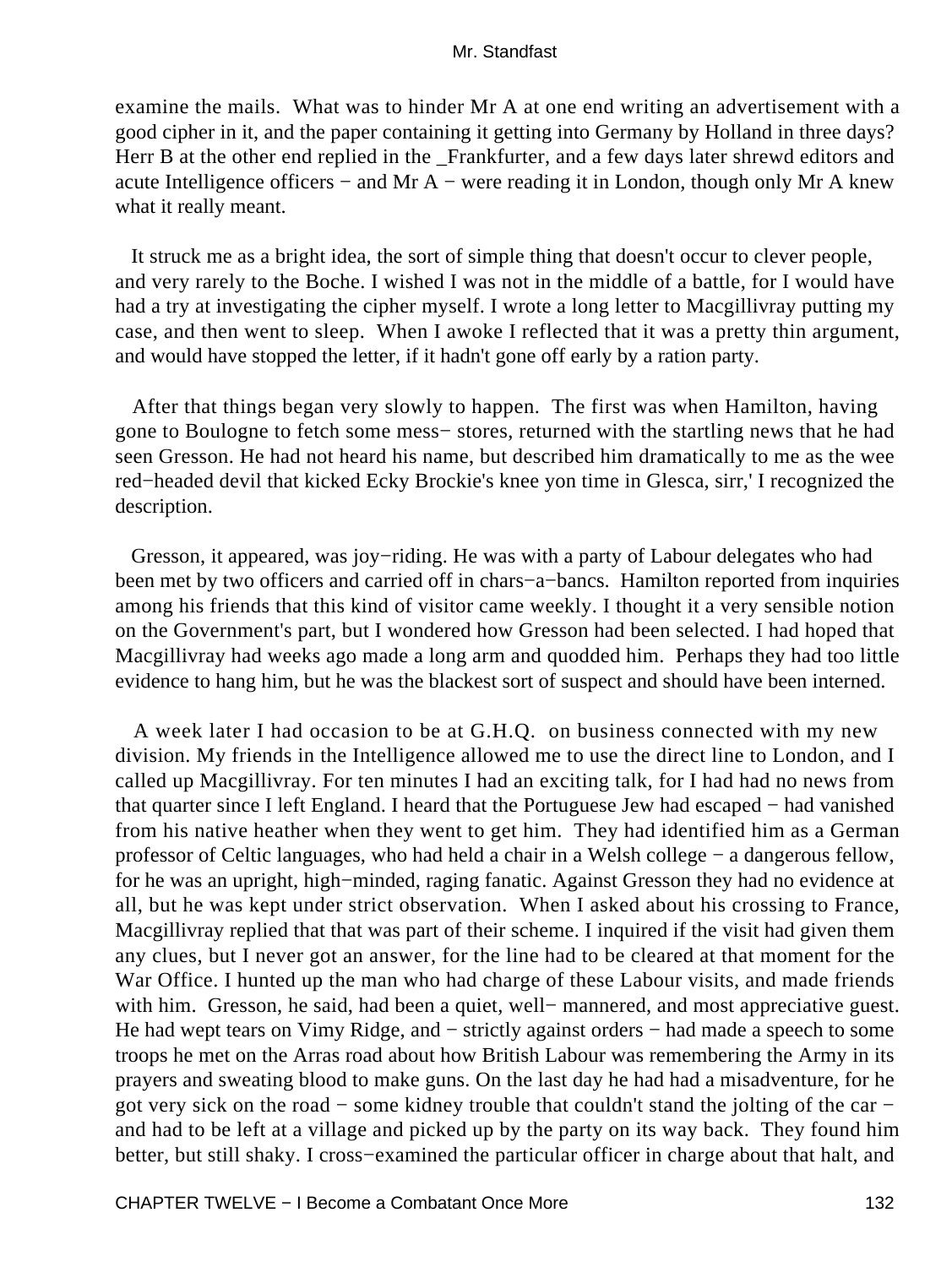examine the mails. What was to hinder Mr A at one end writing an advertisement with a good cipher in it, and the paper containing it getting into Germany by Holland in three days? Herr B at the other end replied in the Frankfurter, and a few days later shrewd editors and acute Intelligence officers − and Mr A − were reading it in London, though only Mr A knew what it really meant.

 It struck me as a bright idea, the sort of simple thing that doesn't occur to clever people, and very rarely to the Boche. I wished I was not in the middle of a battle, for I would have had a try at investigating the cipher myself. I wrote a long letter to Macgillivray putting my case, and then went to sleep. When I awoke I reflected that it was a pretty thin argument, and would have stopped the letter, if it hadn't gone off early by a ration party.

 After that things began very slowly to happen. The first was when Hamilton, having gone to Boulogne to fetch some mess− stores, returned with the startling news that he had seen Gresson. He had not heard his name, but described him dramatically to me as the wee red−headed devil that kicked Ecky Brockie's knee yon time in Glesca, sirr,' I recognized the description.

 Gresson, it appeared, was joy−riding. He was with a party of Labour delegates who had been met by two officers and carried off in chars−a−bancs. Hamilton reported from inquiries among his friends that this kind of visitor came weekly. I thought it a very sensible notion on the Government's part, but I wondered how Gresson had been selected. I had hoped that Macgillivray had weeks ago made a long arm and quodded him. Perhaps they had too little evidence to hang him, but he was the blackest sort of suspect and should have been interned.

 A week later I had occasion to be at G.H.Q. on business connected with my new division. My friends in the Intelligence allowed me to use the direct line to London, and I called up Macgillivray. For ten minutes I had an exciting talk, for I had had no news from that quarter since I left England. I heard that the Portuguese Jew had escaped − had vanished from his native heather when they went to get him. They had identified him as a German professor of Celtic languages, who had held a chair in a Welsh college − a dangerous fellow, for he was an upright, high−minded, raging fanatic. Against Gresson they had no evidence at all, but he was kept under strict observation. When I asked about his crossing to France, Macgillivray replied that that was part of their scheme. I inquired if the visit had given them any clues, but I never got an answer, for the line had to be cleared at that moment for the War Office. I hunted up the man who had charge of these Labour visits, and made friends with him. Gresson, he said, had been a quiet, well− mannered, and most appreciative guest. He had wept tears on Vimy Ridge, and – strictly against orders – had made a speech to some troops he met on the Arras road about how British Labour was remembering the Army in its prayers and sweating blood to make guns. On the last day he had had a misadventure, for he got very sick on the road − some kidney trouble that couldn't stand the jolting of the car − and had to be left at a village and picked up by the party on its way back. They found him better, but still shaky. I cross−examined the particular officer in charge about that halt, and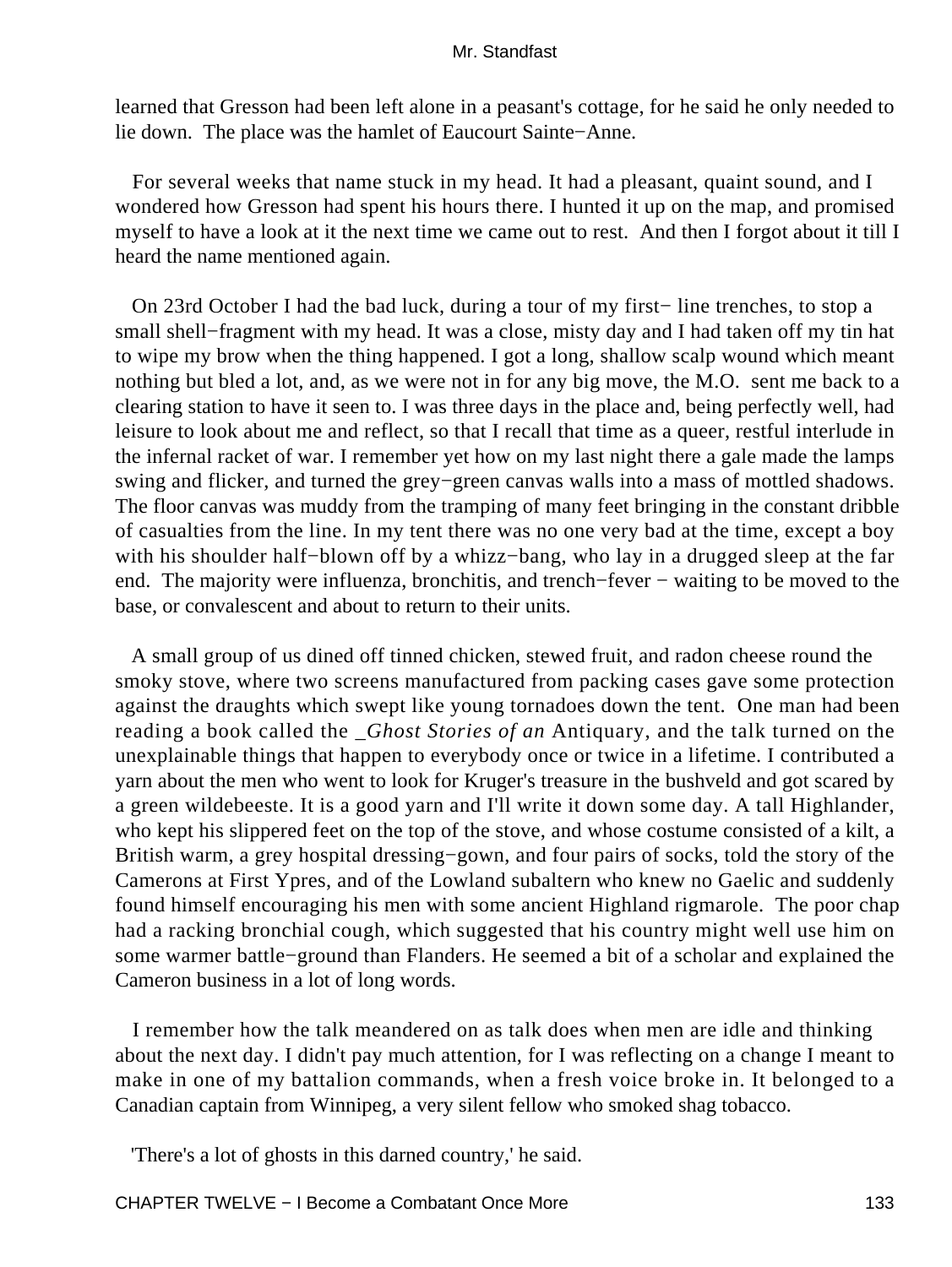learned that Gresson had been left alone in a peasant's cottage, for he said he only needed to lie down. The place was the hamlet of Eaucourt Sainte−Anne.

 For several weeks that name stuck in my head. It had a pleasant, quaint sound, and I wondered how Gresson had spent his hours there. I hunted it up on the map, and promised myself to have a look at it the next time we came out to rest. And then I forgot about it till I heard the name mentioned again.

 On 23rd October I had the bad luck, during a tour of my first− line trenches, to stop a small shell–fragment with my head. It was a close, misty day and I had taken off my tin hat to wipe my brow when the thing happened. I got a long, shallow scalp wound which meant nothing but bled a lot, and, as we were not in for any big move, the M.O. sent me back to a clearing station to have it seen to. I was three days in the place and, being perfectly well, had leisure to look about me and reflect, so that I recall that time as a queer, restful interlude in the infernal racket of war. I remember yet how on my last night there a gale made the lamps swing and flicker, and turned the grey−green canvas walls into a mass of mottled shadows. The floor canvas was muddy from the tramping of many feet bringing in the constant dribble of casualties from the line. In my tent there was no one very bad at the time, except a boy with his shoulder half−blown off by a whizz−bang, who lay in a drugged sleep at the far end. The majority were influenza, bronchitis, and trench–fever – waiting to be moved to the base, or convalescent and about to return to their units.

 A small group of us dined off tinned chicken, stewed fruit, and radon cheese round the smoky stove, where two screens manufactured from packing cases gave some protection against the draughts which swept like young tornadoes down the tent. One man had been reading a book called the *\_Ghost Stories of an* Antiquary, and the talk turned on the unexplainable things that happen to everybody once or twice in a lifetime. I contributed a yarn about the men who went to look for Kruger's treasure in the bushveld and got scared by a green wildebeeste. It is a good yarn and I'll write it down some day. A tall Highlander, who kept his slippered feet on the top of the stove, and whose costume consisted of a kilt, a British warm, a grey hospital dressing−gown, and four pairs of socks, told the story of the Camerons at First Ypres, and of the Lowland subaltern who knew no Gaelic and suddenly found himself encouraging his men with some ancient Highland rigmarole. The poor chap had a racking bronchial cough, which suggested that his country might well use him on some warmer battle−ground than Flanders. He seemed a bit of a scholar and explained the Cameron business in a lot of long words.

 I remember how the talk meandered on as talk does when men are idle and thinking about the next day. I didn't pay much attention, for I was reflecting on a change I meant to make in one of my battalion commands, when a fresh voice broke in. It belonged to a Canadian captain from Winnipeg, a very silent fellow who smoked shag tobacco.

'There's a lot of ghosts in this darned country,' he said.

CHAPTER TWELVE − I Become a Combatant Once More 133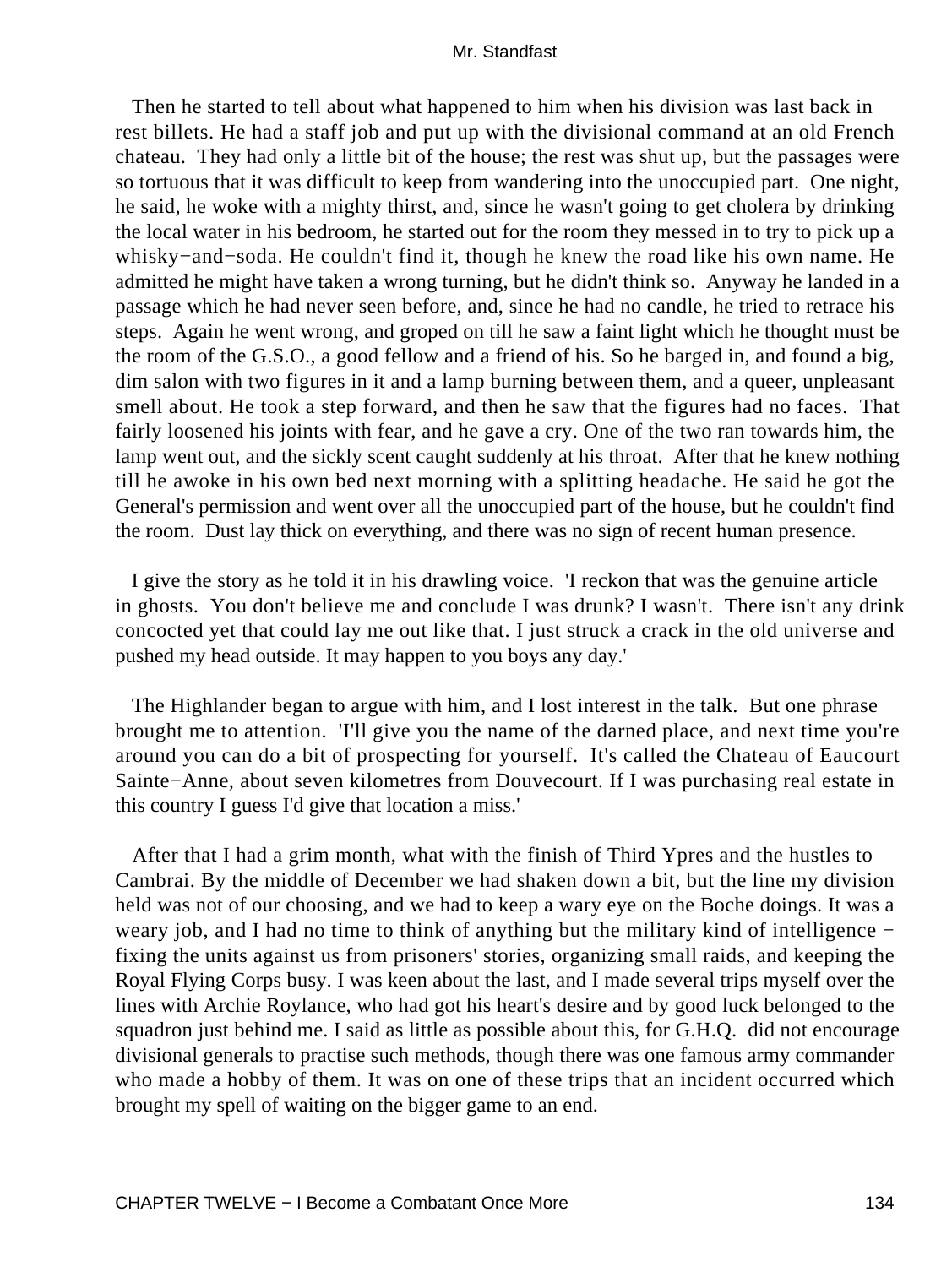Then he started to tell about what happened to him when his division was last back in rest billets. He had a staff job and put up with the divisional command at an old French chateau. They had only a little bit of the house; the rest was shut up, but the passages were so tortuous that it was difficult to keep from wandering into the unoccupied part. One night, he said, he woke with a mighty thirst, and, since he wasn't going to get cholera by drinking the local water in his bedroom, he started out for the room they messed in to try to pick up a whisky−and−soda. He couldn't find it, though he knew the road like his own name. He admitted he might have taken a wrong turning, but he didn't think so. Anyway he landed in a passage which he had never seen before, and, since he had no candle, he tried to retrace his steps. Again he went wrong, and groped on till he saw a faint light which he thought must be the room of the G.S.O., a good fellow and a friend of his. So he barged in, and found a big, dim salon with two figures in it and a lamp burning between them, and a queer, unpleasant smell about. He took a step forward, and then he saw that the figures had no faces. That fairly loosened his joints with fear, and he gave a cry. One of the two ran towards him, the lamp went out, and the sickly scent caught suddenly at his throat. After that he knew nothing till he awoke in his own bed next morning with a splitting headache. He said he got the General's permission and went over all the unoccupied part of the house, but he couldn't find the room. Dust lay thick on everything, and there was no sign of recent human presence.

 I give the story as he told it in his drawling voice. 'I reckon that was the genuine article in ghosts. You don't believe me and conclude I was drunk? I wasn't. There isn't any drink concocted yet that could lay me out like that. I just struck a crack in the old universe and pushed my head outside. It may happen to you boys any day.'

 The Highlander began to argue with him, and I lost interest in the talk. But one phrase brought me to attention. 'I'll give you the name of the darned place, and next time you're around you can do a bit of prospecting for yourself. It's called the Chateau of Eaucourt Sainte−Anne, about seven kilometres from Douvecourt. If I was purchasing real estate in this country I guess I'd give that location a miss.'

 After that I had a grim month, what with the finish of Third Ypres and the hustles to Cambrai. By the middle of December we had shaken down a bit, but the line my division held was not of our choosing, and we had to keep a wary eye on the Boche doings. It was a weary job, and I had no time to think of anything but the military kind of intelligence − fixing the units against us from prisoners' stories, organizing small raids, and keeping the Royal Flying Corps busy. I was keen about the last, and I made several trips myself over the lines with Archie Roylance, who had got his heart's desire and by good luck belonged to the squadron just behind me. I said as little as possible about this, for G.H.Q. did not encourage divisional generals to practise such methods, though there was one famous army commander who made a hobby of them. It was on one of these trips that an incident occurred which brought my spell of waiting on the bigger game to an end.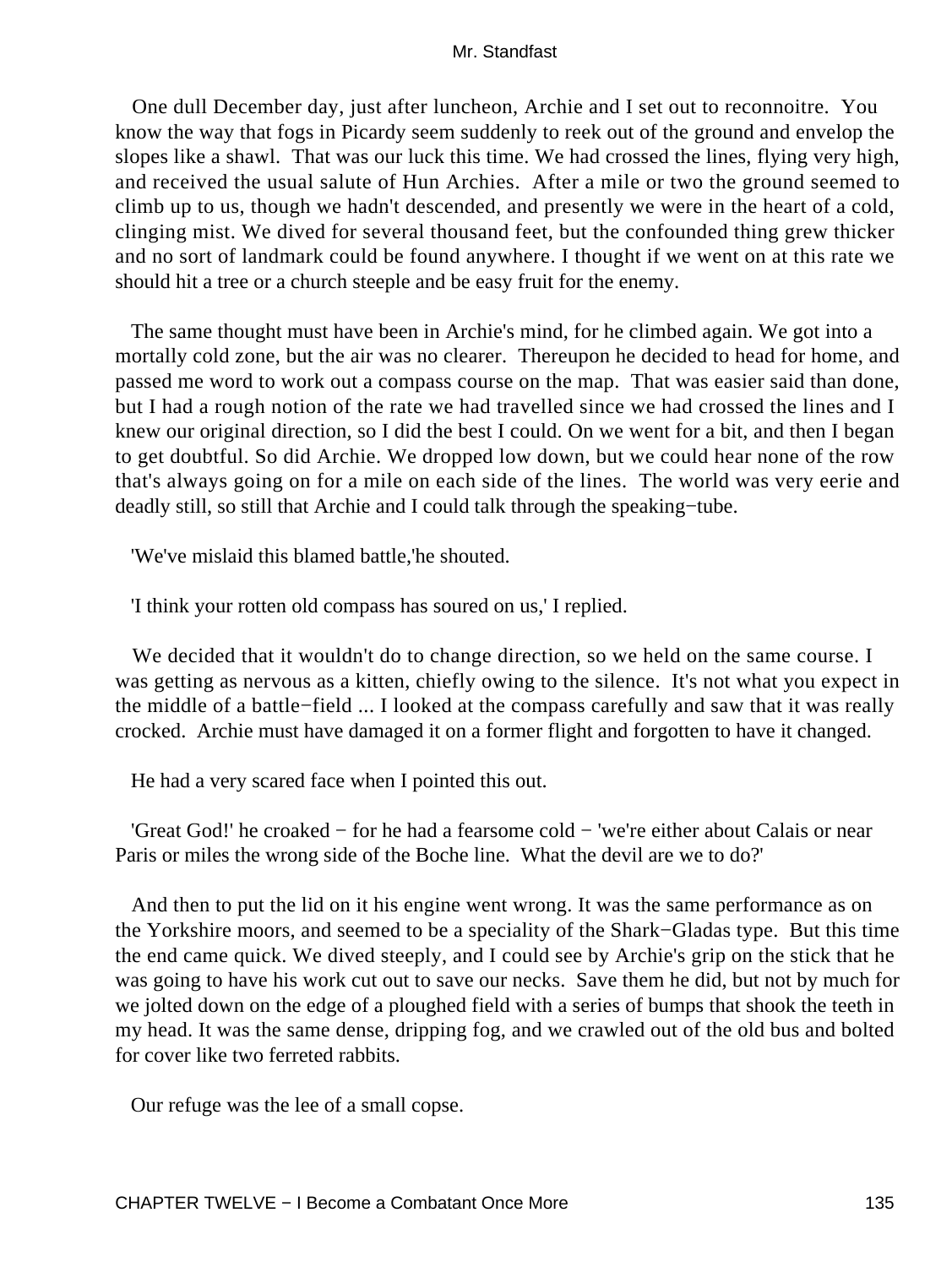One dull December day, just after luncheon, Archie and I set out to reconnoitre. You know the way that fogs in Picardy seem suddenly to reek out of the ground and envelop the slopes like a shawl. That was our luck this time. We had crossed the lines, flying very high, and received the usual salute of Hun Archies. After a mile or two the ground seemed to climb up to us, though we hadn't descended, and presently we were in the heart of a cold, clinging mist. We dived for several thousand feet, but the confounded thing grew thicker and no sort of landmark could be found anywhere. I thought if we went on at this rate we should hit a tree or a church steeple and be easy fruit for the enemy.

 The same thought must have been in Archie's mind, for he climbed again. We got into a mortally cold zone, but the air was no clearer. Thereupon he decided to head for home, and passed me word to work out a compass course on the map. That was easier said than done, but I had a rough notion of the rate we had travelled since we had crossed the lines and I knew our original direction, so I did the best I could. On we went for a bit, and then I began to get doubtful. So did Archie. We dropped low down, but we could hear none of the row that's always going on for a mile on each side of the lines. The world was very eerie and deadly still, so still that Archie and I could talk through the speaking−tube.

'We've mislaid this blamed battle,'he shouted.

'I think your rotten old compass has soured on us,' I replied.

We decided that it wouldn't do to change direction, so we held on the same course. I was getting as nervous as a kitten, chiefly owing to the silence. It's not what you expect in the middle of a battle−field ... I looked at the compass carefully and saw that it was really crocked. Archie must have damaged it on a former flight and forgotten to have it changed.

He had a very scared face when I pointed this out.

 'Great God!' he croaked − for he had a fearsome cold − 'we're either about Calais or near Paris or miles the wrong side of the Boche line. What the devil are we to do?'

 And then to put the lid on it his engine went wrong. It was the same performance as on the Yorkshire moors, and seemed to be a speciality of the Shark−Gladas type. But this time the end came quick. We dived steeply, and I could see by Archie's grip on the stick that he was going to have his work cut out to save our necks. Save them he did, but not by much for we jolted down on the edge of a ploughed field with a series of bumps that shook the teeth in my head. It was the same dense, dripping fog, and we crawled out of the old bus and bolted for cover like two ferreted rabbits.

Our refuge was the lee of a small copse.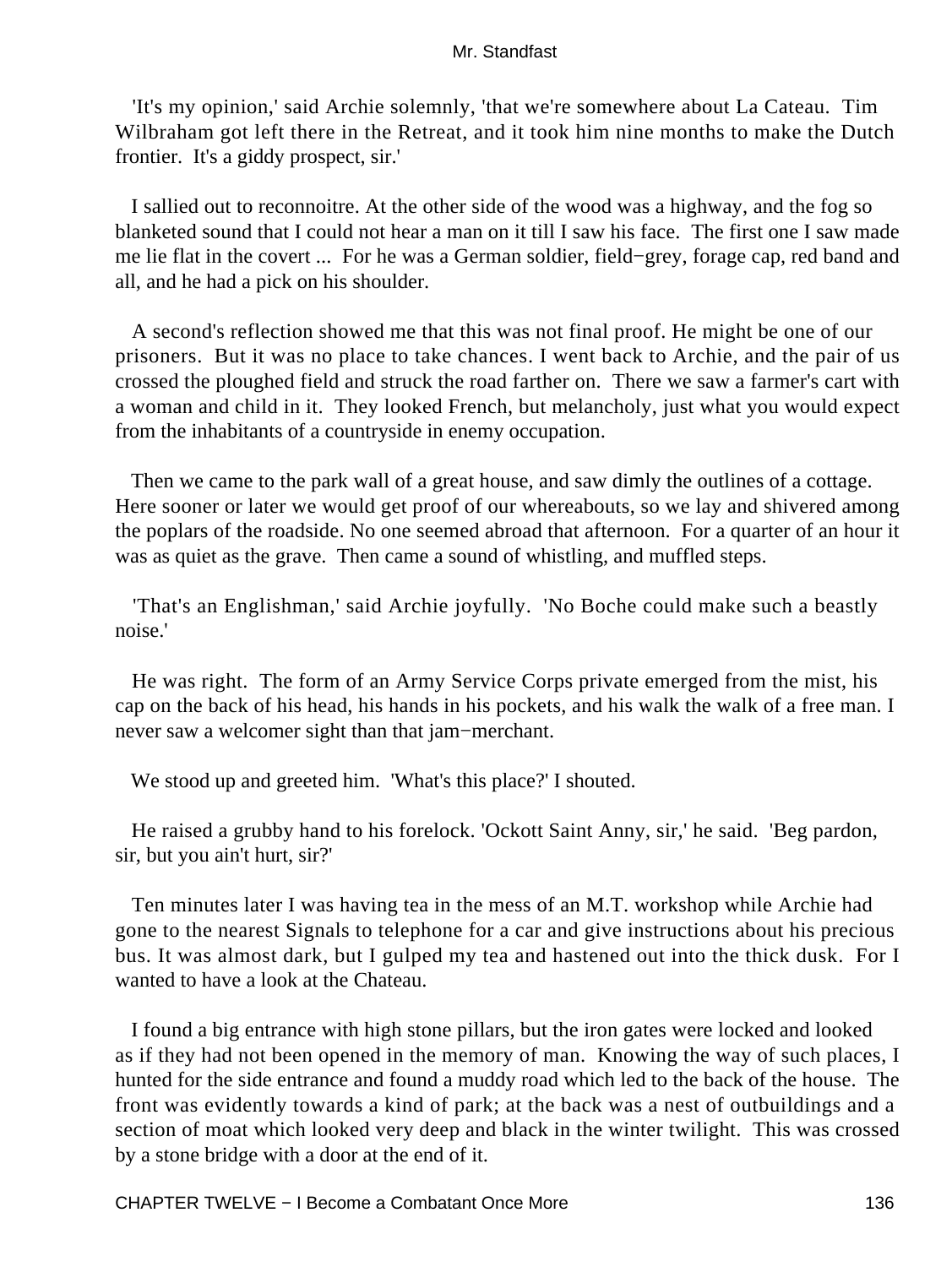'It's my opinion,' said Archie solemnly, 'that we're somewhere about La Cateau. Tim Wilbraham got left there in the Retreat, and it took him nine months to make the Dutch frontier. It's a giddy prospect, sir.'

 I sallied out to reconnoitre. At the other side of the wood was a highway, and the fog so blanketed sound that I could not hear a man on it till I saw his face. The first one I saw made me lie flat in the covert ... For he was a German soldier, field−grey, forage cap, red band and all, and he had a pick on his shoulder.

 A second's reflection showed me that this was not final proof. He might be one of our prisoners. But it was no place to take chances. I went back to Archie, and the pair of us crossed the ploughed field and struck the road farther on. There we saw a farmer's cart with a woman and child in it. They looked French, but melancholy, just what you would expect from the inhabitants of a countryside in enemy occupation.

 Then we came to the park wall of a great house, and saw dimly the outlines of a cottage. Here sooner or later we would get proof of our whereabouts, so we lay and shivered among the poplars of the roadside. No one seemed abroad that afternoon. For a quarter of an hour it was as quiet as the grave. Then came a sound of whistling, and muffled steps.

 'That's an Englishman,' said Archie joyfully. 'No Boche could make such a beastly noise.'

 He was right. The form of an Army Service Corps private emerged from the mist, his cap on the back of his head, his hands in his pockets, and his walk the walk of a free man. I never saw a welcomer sight than that jam−merchant.

We stood up and greeted him. 'What's this place?' I shouted.

 He raised a grubby hand to his forelock. 'Ockott Saint Anny, sir,' he said. 'Beg pardon, sir, but you ain't hurt, sir?'

 Ten minutes later I was having tea in the mess of an M.T. workshop while Archie had gone to the nearest Signals to telephone for a car and give instructions about his precious bus. It was almost dark, but I gulped my tea and hastened out into the thick dusk. For I wanted to have a look at the Chateau.

 I found a big entrance with high stone pillars, but the iron gates were locked and looked as if they had not been opened in the memory of man. Knowing the way of such places, I hunted for the side entrance and found a muddy road which led to the back of the house. The front was evidently towards a kind of park; at the back was a nest of outbuildings and a section of moat which looked very deep and black in the winter twilight. This was crossed by a stone bridge with a door at the end of it.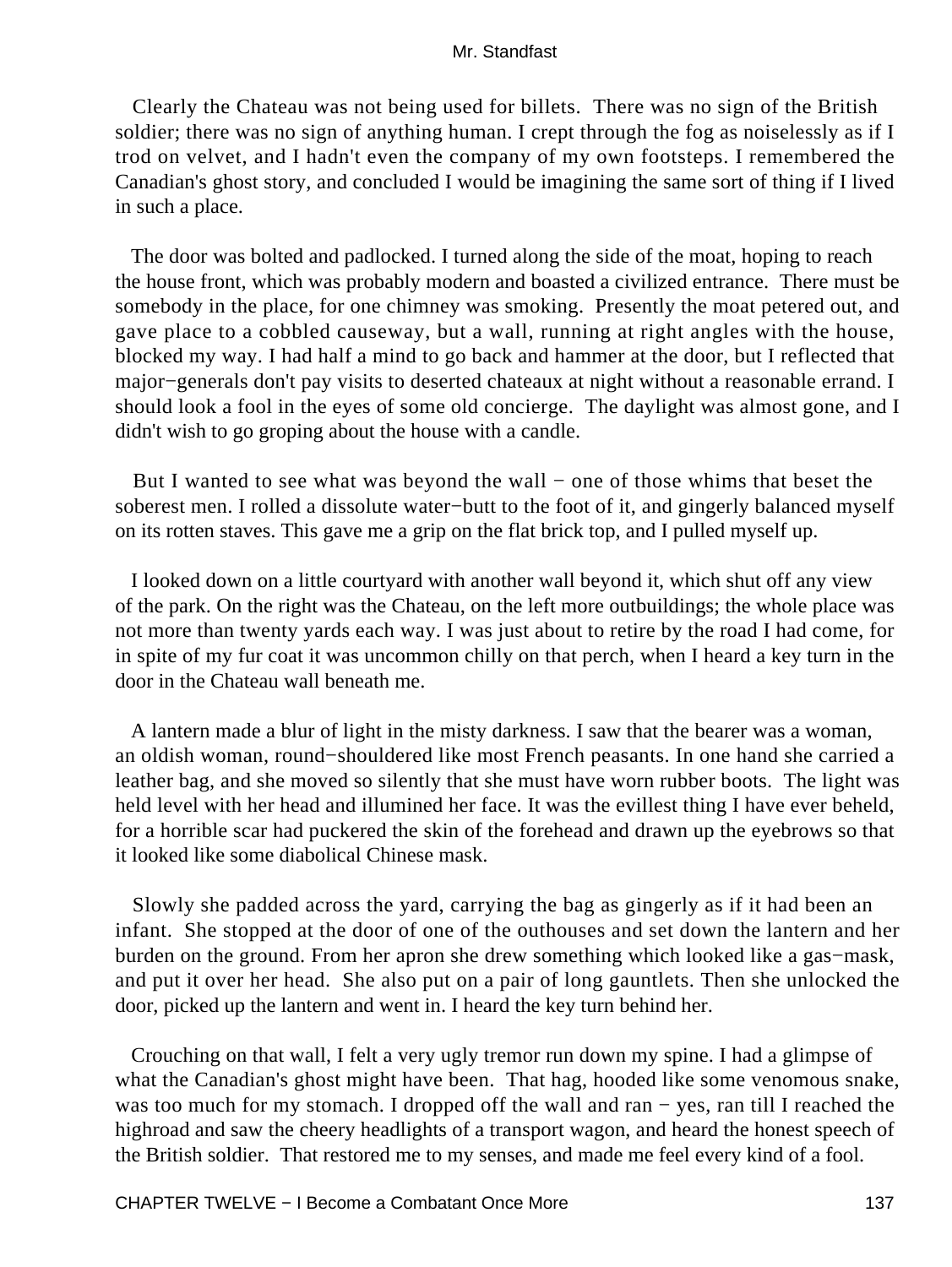Clearly the Chateau was not being used for billets. There was no sign of the British soldier; there was no sign of anything human. I crept through the fog as noiselessly as if I trod on velvet, and I hadn't even the company of my own footsteps. I remembered the Canadian's ghost story, and concluded I would be imagining the same sort of thing if I lived in such a place.

 The door was bolted and padlocked. I turned along the side of the moat, hoping to reach the house front, which was probably modern and boasted a civilized entrance. There must be somebody in the place, for one chimney was smoking. Presently the moat petered out, and gave place to a cobbled causeway, but a wall, running at right angles with the house, blocked my way. I had half a mind to go back and hammer at the door, but I reflected that major−generals don't pay visits to deserted chateaux at night without a reasonable errand. I should look a fool in the eyes of some old concierge. The daylight was almost gone, and I didn't wish to go groping about the house with a candle.

 But I wanted to see what was beyond the wall − one of those whims that beset the soberest men. I rolled a dissolute water−butt to the foot of it, and gingerly balanced myself on its rotten staves. This gave me a grip on the flat brick top, and I pulled myself up.

 I looked down on a little courtyard with another wall beyond it, which shut off any view of the park. On the right was the Chateau, on the left more outbuildings; the whole place was not more than twenty yards each way. I was just about to retire by the road I had come, for in spite of my fur coat it was uncommon chilly on that perch, when I heard a key turn in the door in the Chateau wall beneath me.

 A lantern made a blur of light in the misty darkness. I saw that the bearer was a woman, an oldish woman, round−shouldered like most French peasants. In one hand she carried a leather bag, and she moved so silently that she must have worn rubber boots. The light was held level with her head and illumined her face. It was the evillest thing I have ever beheld, for a horrible scar had puckered the skin of the forehead and drawn up the eyebrows so that it looked like some diabolical Chinese mask.

 Slowly she padded across the yard, carrying the bag as gingerly as if it had been an infant. She stopped at the door of one of the outhouses and set down the lantern and her burden on the ground. From her apron she drew something which looked like a gas−mask, and put it over her head. She also put on a pair of long gauntlets. Then she unlocked the door, picked up the lantern and went in. I heard the key turn behind her.

 Crouching on that wall, I felt a very ugly tremor run down my spine. I had a glimpse of what the Canadian's ghost might have been. That hag, hooded like some venomous snake, was too much for my stomach. I dropped off the wall and ran − yes, ran till I reached the highroad and saw the cheery headlights of a transport wagon, and heard the honest speech of the British soldier. That restored me to my senses, and made me feel every kind of a fool.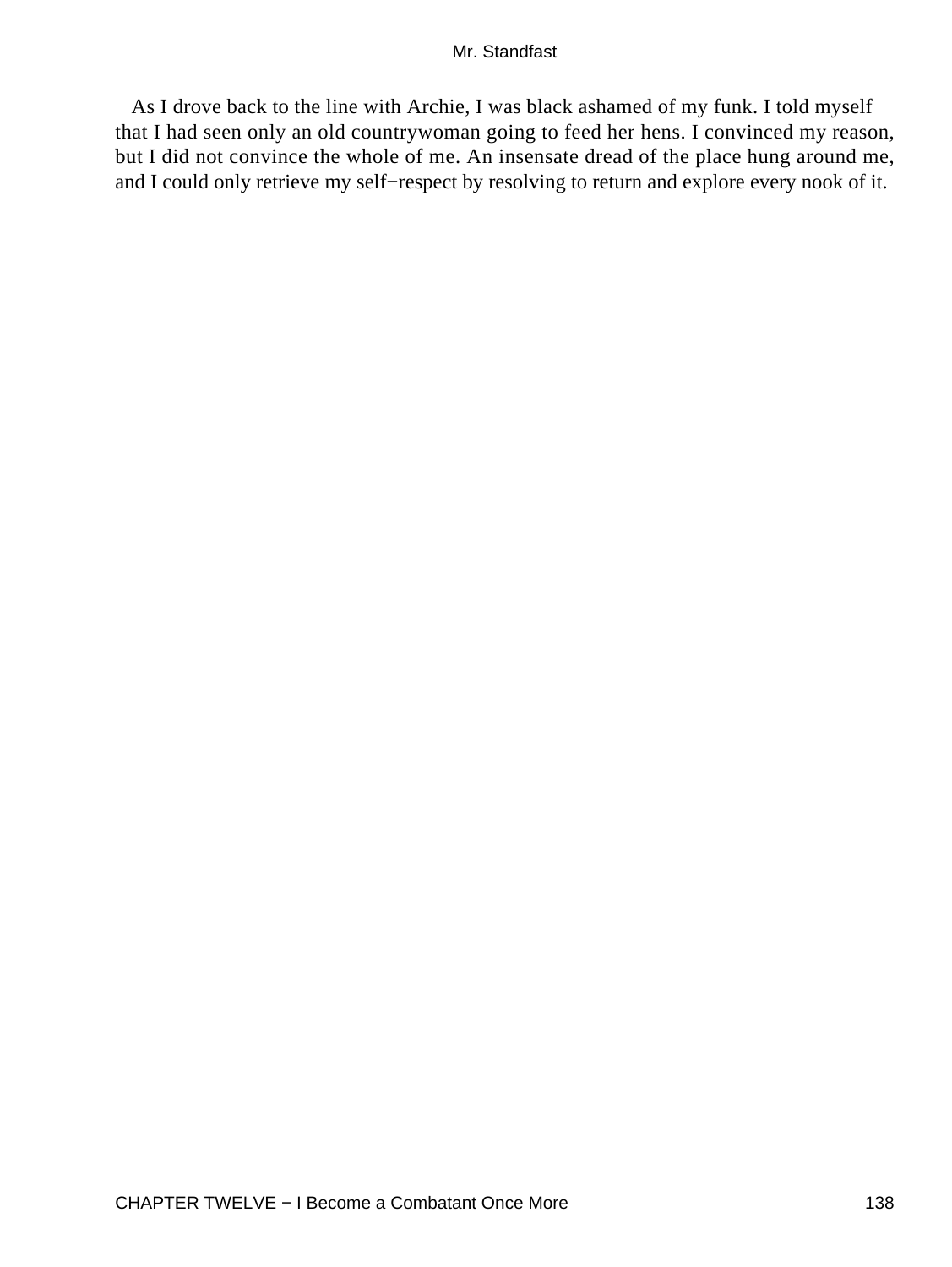As I drove back to the line with Archie, I was black ashamed of my funk. I told myself that I had seen only an old countrywoman going to feed her hens. I convinced my reason, but I did not convince the whole of me. An insensate dread of the place hung around me, and I could only retrieve my self−respect by resolving to return and explore every nook of it.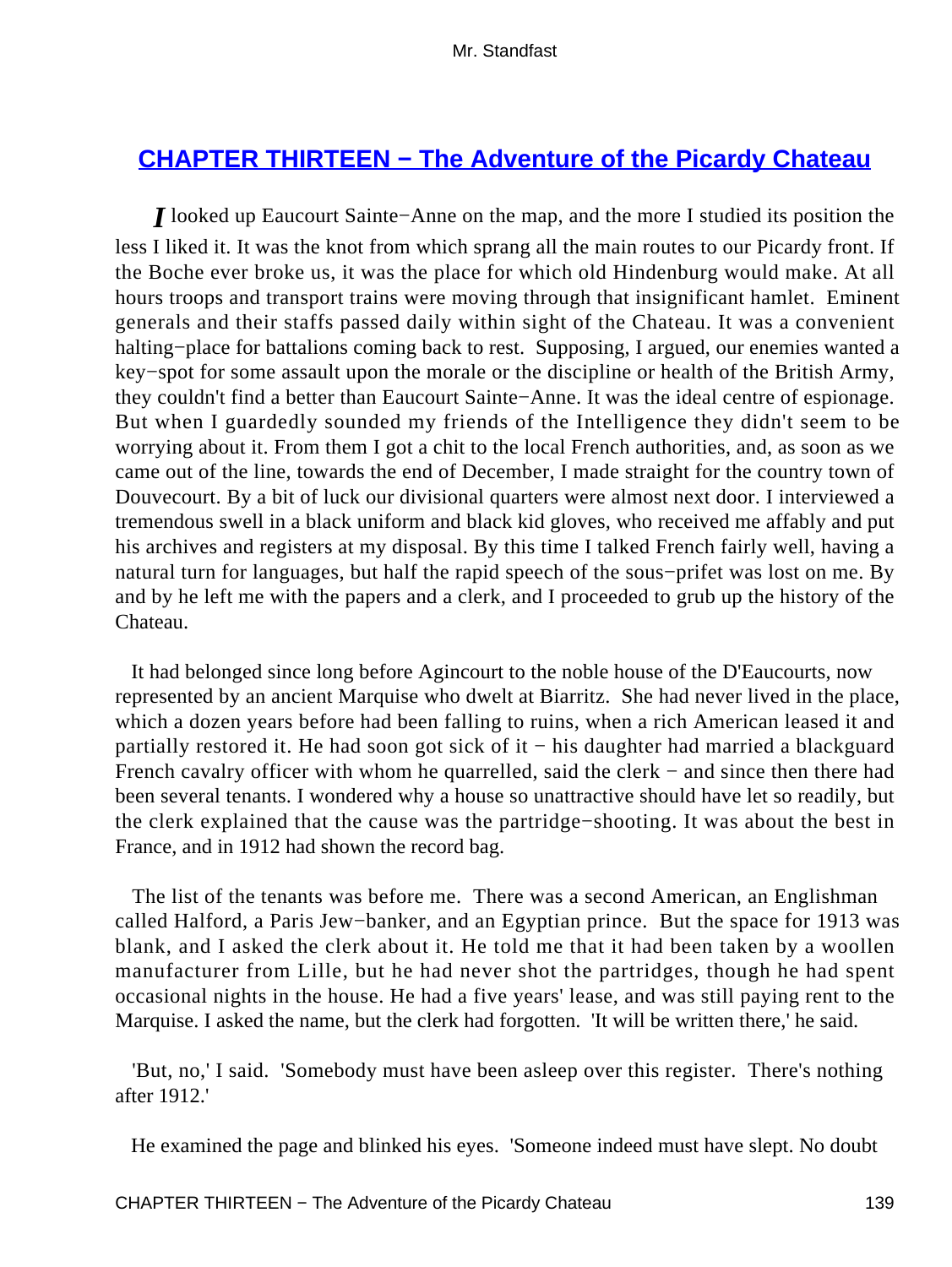# **CHAPTER THIRTEEN - The Adventure of the Picardy Chateau**

*I* looked up Eaucourt Sainte−Anne on the map, and the more I studied its position the less I liked it. It was the knot from which sprang all the main routes to our Picardy front. If the Boche ever broke us, it was the place for which old Hindenburg would make. At all hours troops and transport trains were moving through that insignificant hamlet. Eminent generals and their staffs passed daily within sight of the Chateau. It was a convenient halting−place for battalions coming back to rest. Supposing, I argued, our enemies wanted a key−spot for some assault upon the morale or the discipline or health of the British Army, they couldn't find a better than Eaucourt Sainte−Anne. It was the ideal centre of espionage. But when I guardedly sounded my friends of the Intelligence they didn't seem to be worrying about it. From them I got a chit to the local French authorities, and, as soon as we came out of the line, towards the end of December, I made straight for the country town of Douvecourt. By a bit of luck our divisional quarters were almost next door. I interviewed a tremendous swell in a black uniform and black kid gloves, who received me affably and put his archives and registers at my disposal. By this time I talked French fairly well, having a natural turn for languages, but half the rapid speech of the sous−prifet was lost on me. By and by he left me with the papers and a clerk, and I proceeded to grub up the history of the Chateau.

 It had belonged since long before Agincourt to the noble house of the D'Eaucourts, now represented by an ancient Marquise who dwelt at Biarritz. She had never lived in the place, which a dozen years before had been falling to ruins, when a rich American leased it and partially restored it. He had soon got sick of it − his daughter had married a blackguard French cavalry officer with whom he quarrelled, said the clerk − and since then there had been several tenants. I wondered why a house so unattractive should have let so readily, but the clerk explained that the cause was the partridge−shooting. It was about the best in France, and in 1912 had shown the record bag.

 The list of the tenants was before me. There was a second American, an Englishman called Halford, a Paris Jew−banker, and an Egyptian prince. But the space for 1913 was blank, and I asked the clerk about it. He told me that it had been taken by a woollen manufacturer from Lille, but he had never shot the partridges, though he had spent occasional nights in the house. He had a five years' lease, and was still paying rent to the Marquise. I asked the name, but the clerk had forgotten. 'It will be written there,' he said.

 'But, no,' I said. 'Somebody must have been asleep over this register. There's nothing after 1912.'

He examined the page and blinked his eyes. 'Someone indeed must have slept. No doubt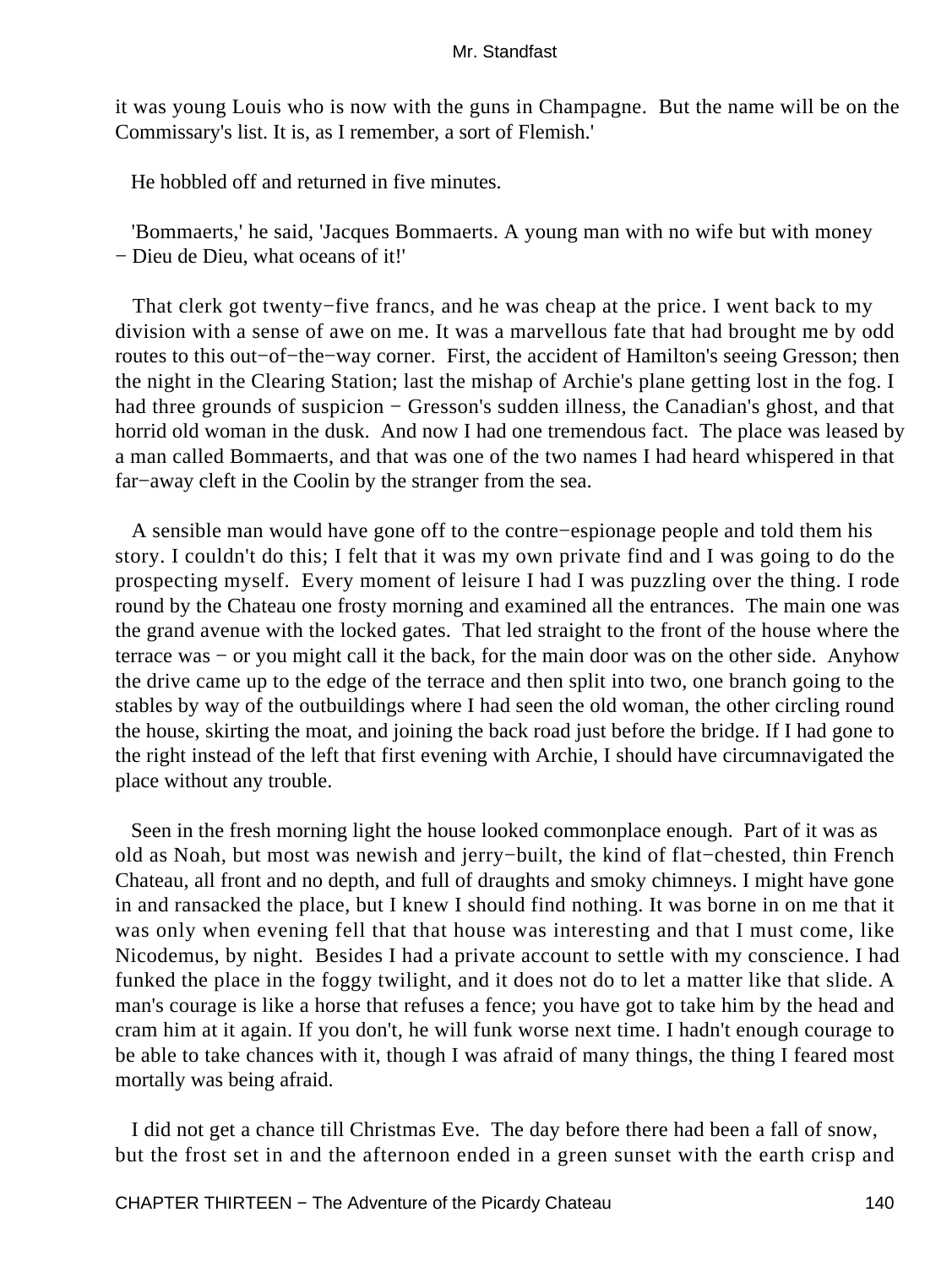it was young Louis who is now with the guns in Champagne. But the name will be on the Commissary's list. It is, as I remember, a sort of Flemish.'

He hobbled off and returned in five minutes.

 'Bommaerts,' he said, 'Jacques Bommaerts. A young man with no wife but with money − Dieu de Dieu, what oceans of it!'

 That clerk got twenty−five francs, and he was cheap at the price. I went back to my division with a sense of awe on me. It was a marvellous fate that had brought me by odd routes to this out−of−the−way corner. First, the accident of Hamilton's seeing Gresson; then the night in the Clearing Station; last the mishap of Archie's plane getting lost in the fog. I had three grounds of suspicion − Gresson's sudden illness, the Canadian's ghost, and that horrid old woman in the dusk. And now I had one tremendous fact. The place was leased by a man called Bommaerts, and that was one of the two names I had heard whispered in that far−away cleft in the Coolin by the stranger from the sea.

 A sensible man would have gone off to the contre−espionage people and told them his story. I couldn't do this; I felt that it was my own private find and I was going to do the prospecting myself. Every moment of leisure I had I was puzzling over the thing. I rode round by the Chateau one frosty morning and examined all the entrances. The main one was the grand avenue with the locked gates. That led straight to the front of the house where the terrace was − or you might call it the back, for the main door was on the other side. Anyhow the drive came up to the edge of the terrace and then split into two, one branch going to the stables by way of the outbuildings where I had seen the old woman, the other circling round the house, skirting the moat, and joining the back road just before the bridge. If I had gone to the right instead of the left that first evening with Archie, I should have circumnavigated the place without any trouble.

 Seen in the fresh morning light the house looked commonplace enough. Part of it was as old as Noah, but most was newish and jerry−built, the kind of flat−chested, thin French Chateau, all front and no depth, and full of draughts and smoky chimneys. I might have gone in and ransacked the place, but I knew I should find nothing. It was borne in on me that it was only when evening fell that that house was interesting and that I must come, like Nicodemus, by night. Besides I had a private account to settle with my conscience. I had funked the place in the foggy twilight, and it does not do to let a matter like that slide. A man's courage is like a horse that refuses a fence; you have got to take him by the head and cram him at it again. If you don't, he will funk worse next time. I hadn't enough courage to be able to take chances with it, though I was afraid of many things, the thing I feared most mortally was being afraid.

 I did not get a chance till Christmas Eve. The day before there had been a fall of snow, but the frost set in and the afternoon ended in a green sunset with the earth crisp and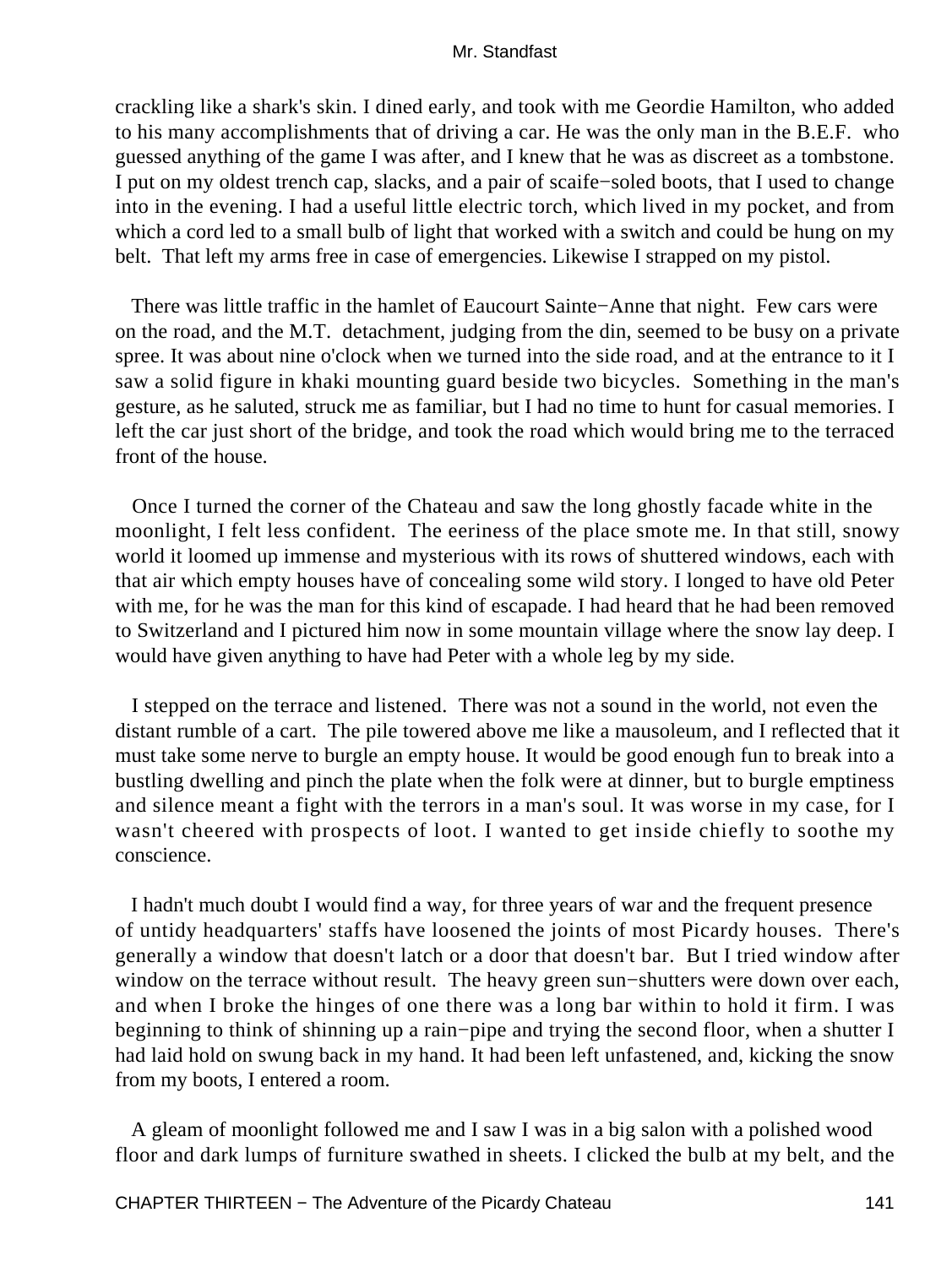crackling like a shark's skin. I dined early, and took with me Geordie Hamilton, who added to his many accomplishments that of driving a car. He was the only man in the B.E.F. who guessed anything of the game I was after, and I knew that he was as discreet as a tombstone. I put on my oldest trench cap, slacks, and a pair of scaife−soled boots, that I used to change into in the evening. I had a useful little electric torch, which lived in my pocket, and from which a cord led to a small bulb of light that worked with a switch and could be hung on my belt. That left my arms free in case of emergencies. Likewise I strapped on my pistol.

 There was little traffic in the hamlet of Eaucourt Sainte−Anne that night. Few cars were on the road, and the M.T. detachment, judging from the din, seemed to be busy on a private spree. It was about nine o'clock when we turned into the side road, and at the entrance to it I saw a solid figure in khaki mounting guard beside two bicycles. Something in the man's gesture, as he saluted, struck me as familiar, but I had no time to hunt for casual memories. I left the car just short of the bridge, and took the road which would bring me to the terraced front of the house.

 Once I turned the corner of the Chateau and saw the long ghostly facade white in the moonlight, I felt less confident. The eeriness of the place smote me. In that still, snowy world it loomed up immense and mysterious with its rows of shuttered windows, each with that air which empty houses have of concealing some wild story. I longed to have old Peter with me, for he was the man for this kind of escapade. I had heard that he had been removed to Switzerland and I pictured him now in some mountain village where the snow lay deep. I would have given anything to have had Peter with a whole leg by my side.

 I stepped on the terrace and listened. There was not a sound in the world, not even the distant rumble of a cart. The pile towered above me like a mausoleum, and I reflected that it must take some nerve to burgle an empty house. It would be good enough fun to break into a bustling dwelling and pinch the plate when the folk were at dinner, but to burgle emptiness and silence meant a fight with the terrors in a man's soul. It was worse in my case, for I wasn't cheered with prospects of loot. I wanted to get inside chiefly to soothe my conscience.

 I hadn't much doubt I would find a way, for three years of war and the frequent presence of untidy headquarters' staffs have loosened the joints of most Picardy houses. There's generally a window that doesn't latch or a door that doesn't bar. But I tried window after window on the terrace without result. The heavy green sun−shutters were down over each, and when I broke the hinges of one there was a long bar within to hold it firm. I was beginning to think of shinning up a rain−pipe and trying the second floor, when a shutter I had laid hold on swung back in my hand. It had been left unfastened, and, kicking the snow from my boots, I entered a room.

 A gleam of moonlight followed me and I saw I was in a big salon with a polished wood floor and dark lumps of furniture swathed in sheets. I clicked the bulb at my belt, and the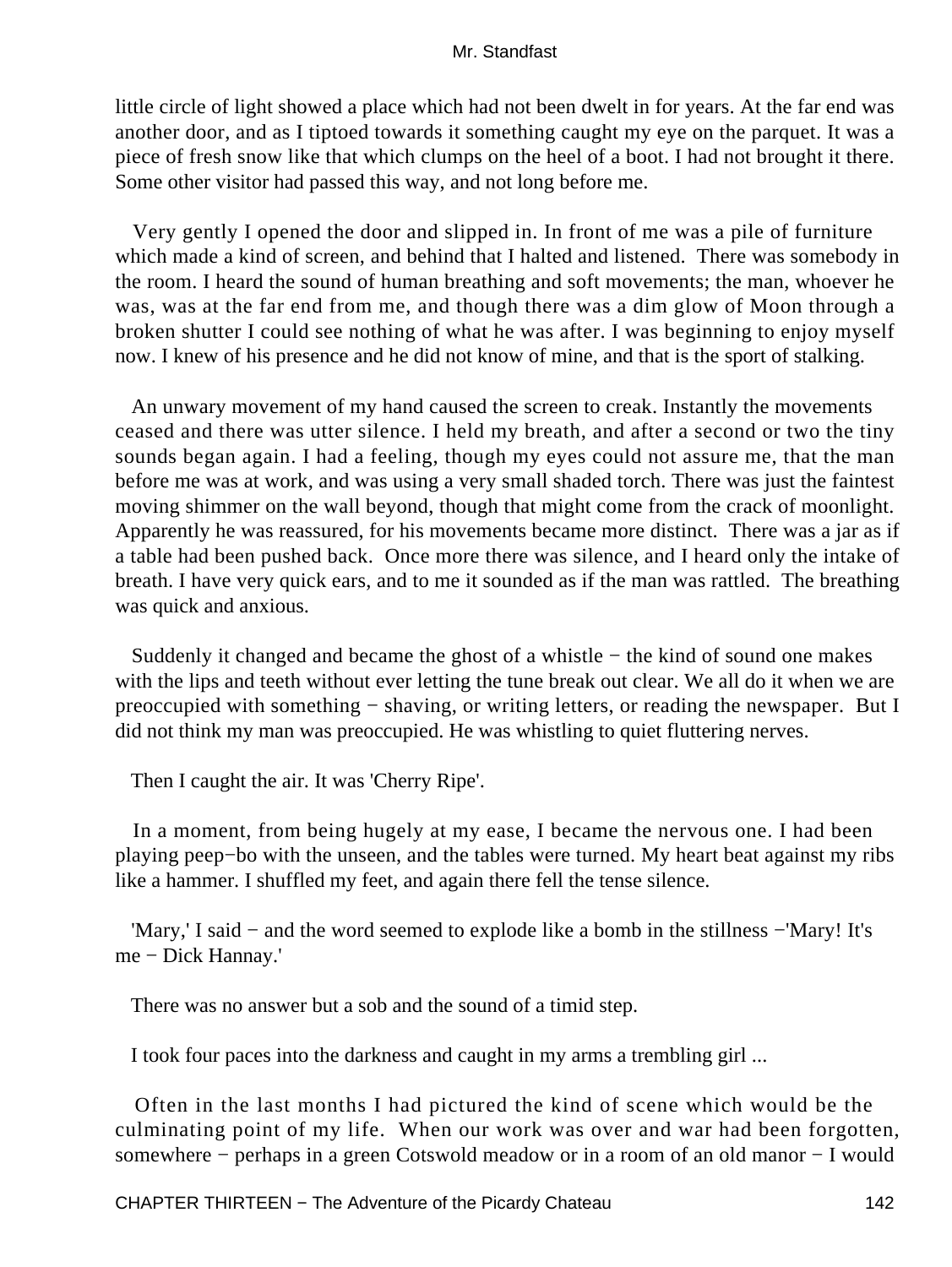little circle of light showed a place which had not been dwelt in for years. At the far end was another door, and as I tiptoed towards it something caught my eye on the parquet. It was a piece of fresh snow like that which clumps on the heel of a boot. I had not brought it there. Some other visitor had passed this way, and not long before me.

 Very gently I opened the door and slipped in. In front of me was a pile of furniture which made a kind of screen, and behind that I halted and listened. There was somebody in the room. I heard the sound of human breathing and soft movements; the man, whoever he was, was at the far end from me, and though there was a dim glow of Moon through a broken shutter I could see nothing of what he was after. I was beginning to enjoy myself now. I knew of his presence and he did not know of mine, and that is the sport of stalking.

 An unwary movement of my hand caused the screen to creak. Instantly the movements ceased and there was utter silence. I held my breath, and after a second or two the tiny sounds began again. I had a feeling, though my eyes could not assure me, that the man before me was at work, and was using a very small shaded torch. There was just the faintest moving shimmer on the wall beyond, though that might come from the crack of moonlight. Apparently he was reassured, for his movements became more distinct. There was a jar as if a table had been pushed back. Once more there was silence, and I heard only the intake of breath. I have very quick ears, and to me it sounded as if the man was rattled. The breathing was quick and anxious.

 Suddenly it changed and became the ghost of a whistle − the kind of sound one makes with the lips and teeth without ever letting the tune break out clear. We all do it when we are preoccupied with something − shaving, or writing letters, or reading the newspaper. But I did not think my man was preoccupied. He was whistling to quiet fluttering nerves.

Then I caught the air. It was 'Cherry Ripe'.

 In a moment, from being hugely at my ease, I became the nervous one. I had been playing peep−bo with the unseen, and the tables were turned. My heart beat against my ribs like a hammer. I shuffled my feet, and again there fell the tense silence.

 'Mary,' I said − and the word seemed to explode like a bomb in the stillness −'Mary! It's me − Dick Hannay.'

There was no answer but a sob and the sound of a timid step.

I took four paces into the darkness and caught in my arms a trembling girl ...

 Often in the last months I had pictured the kind of scene which would be the culminating point of my life. When our work was over and war had been forgotten, somewhere − perhaps in a green Cotswold meadow or in a room of an old manor − I would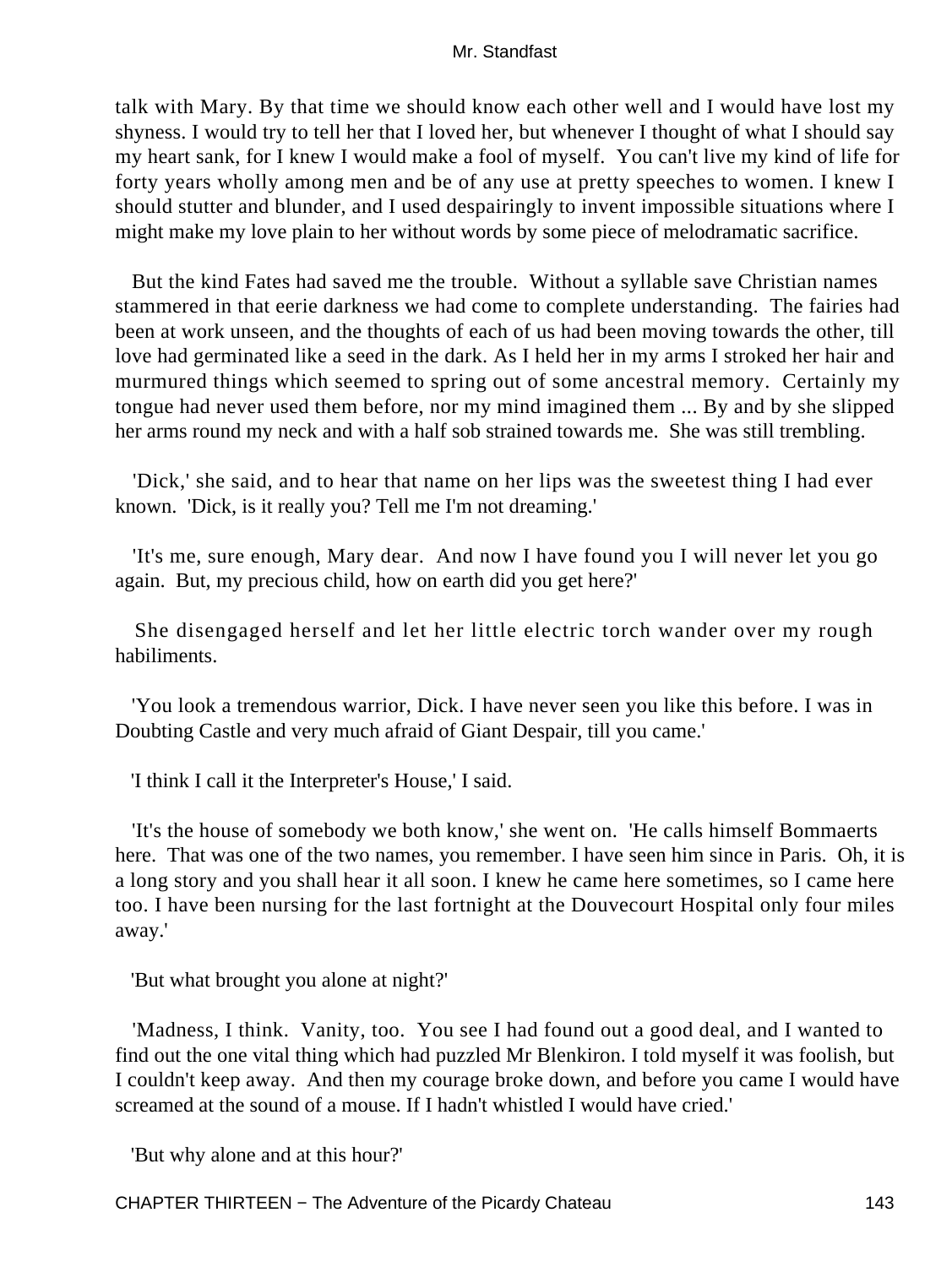talk with Mary. By that time we should know each other well and I would have lost my shyness. I would try to tell her that I loved her, but whenever I thought of what I should say my heart sank, for I knew I would make a fool of myself. You can't live my kind of life for forty years wholly among men and be of any use at pretty speeches to women. I knew I should stutter and blunder, and I used despairingly to invent impossible situations where I might make my love plain to her without words by some piece of melodramatic sacrifice.

 But the kind Fates had saved me the trouble. Without a syllable save Christian names stammered in that eerie darkness we had come to complete understanding. The fairies had been at work unseen, and the thoughts of each of us had been moving towards the other, till love had germinated like a seed in the dark. As I held her in my arms I stroked her hair and murmured things which seemed to spring out of some ancestral memory. Certainly my tongue had never used them before, nor my mind imagined them ... By and by she slipped her arms round my neck and with a half sob strained towards me. She was still trembling.

 'Dick,' she said, and to hear that name on her lips was the sweetest thing I had ever known. 'Dick, is it really you? Tell me I'm not dreaming.'

 'It's me, sure enough, Mary dear. And now I have found you I will never let you go again. But, my precious child, how on earth did you get here?'

 She disengaged herself and let her little electric torch wander over my rough habiliments.

 'You look a tremendous warrior, Dick. I have never seen you like this before. I was in Doubting Castle and very much afraid of Giant Despair, till you came.'

'I think I call it the Interpreter's House,' I said.

 'It's the house of somebody we both know,' she went on. 'He calls himself Bommaerts here. That was one of the two names, you remember. I have seen him since in Paris. Oh, it is a long story and you shall hear it all soon. I knew he came here sometimes, so I came here too. I have been nursing for the last fortnight at the Douvecourt Hospital only four miles away.'

'But what brought you alone at night?'

 'Madness, I think. Vanity, too. You see I had found out a good deal, and I wanted to find out the one vital thing which had puzzled Mr Blenkiron. I told myself it was foolish, but I couldn't keep away. And then my courage broke down, and before you came I would have screamed at the sound of a mouse. If I hadn't whistled I would have cried.'

'But why alone and at this hour?'

CHAPTER THIRTEEN − The Adventure of the Picardy Chateau 143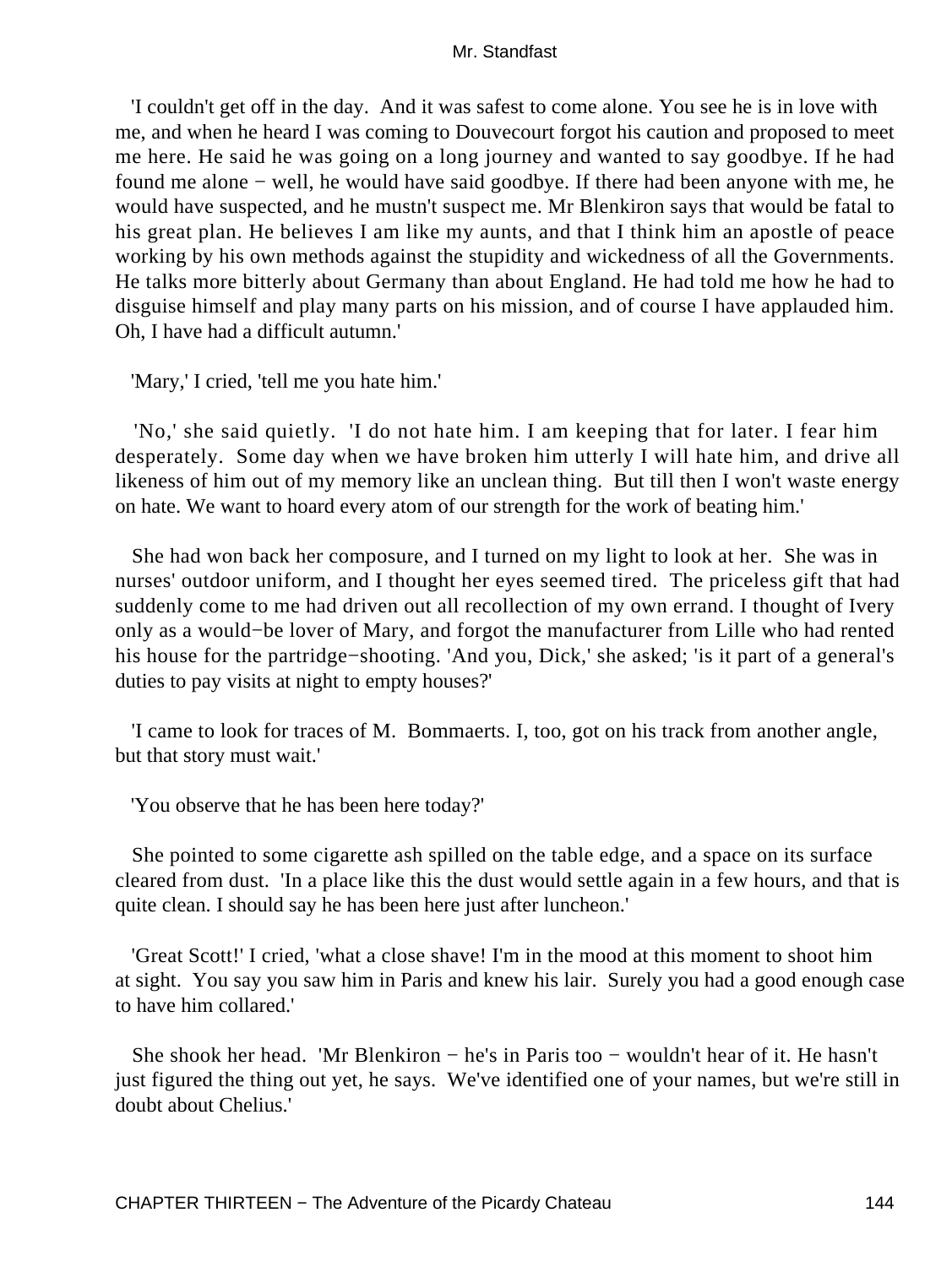'I couldn't get off in the day. And it was safest to come alone. You see he is in love with me, and when he heard I was coming to Douvecourt forgot his caution and proposed to meet me here. He said he was going on a long journey and wanted to say goodbye. If he had found me alone − well, he would have said goodbye. If there had been anyone with me, he would have suspected, and he mustn't suspect me. Mr Blenkiron says that would be fatal to his great plan. He believes I am like my aunts, and that I think him an apostle of peace working by his own methods against the stupidity and wickedness of all the Governments. He talks more bitterly about Germany than about England. He had told me how he had to disguise himself and play many parts on his mission, and of course I have applauded him. Oh, I have had a difficult autumn.'

'Mary,' I cried, 'tell me you hate him.'

 'No,' she said quietly. 'I do not hate him. I am keeping that for later. I fear him desperately. Some day when we have broken him utterly I will hate him, and drive all likeness of him out of my memory like an unclean thing. But till then I won't waste energy on hate. We want to hoard every atom of our strength for the work of beating him.'

 She had won back her composure, and I turned on my light to look at her. She was in nurses' outdoor uniform, and I thought her eyes seemed tired. The priceless gift that had suddenly come to me had driven out all recollection of my own errand. I thought of Ivery only as a would−be lover of Mary, and forgot the manufacturer from Lille who had rented his house for the partridge−shooting. 'And you, Dick,' she asked; 'is it part of a general's duties to pay visits at night to empty houses?'

 'I came to look for traces of M. Bommaerts. I, too, got on his track from another angle, but that story must wait.'

'You observe that he has been here today?'

 She pointed to some cigarette ash spilled on the table edge, and a space on its surface cleared from dust. 'In a place like this the dust would settle again in a few hours, and that is quite clean. I should say he has been here just after luncheon.'

 'Great Scott!' I cried, 'what a close shave! I'm in the mood at this moment to shoot him at sight. You say you saw him in Paris and knew his lair. Surely you had a good enough case to have him collared.'

 She shook her head. 'Mr Blenkiron − he's in Paris too − wouldn't hear of it. He hasn't just figured the thing out yet, he says. We've identified one of your names, but we're still in doubt about Chelius.'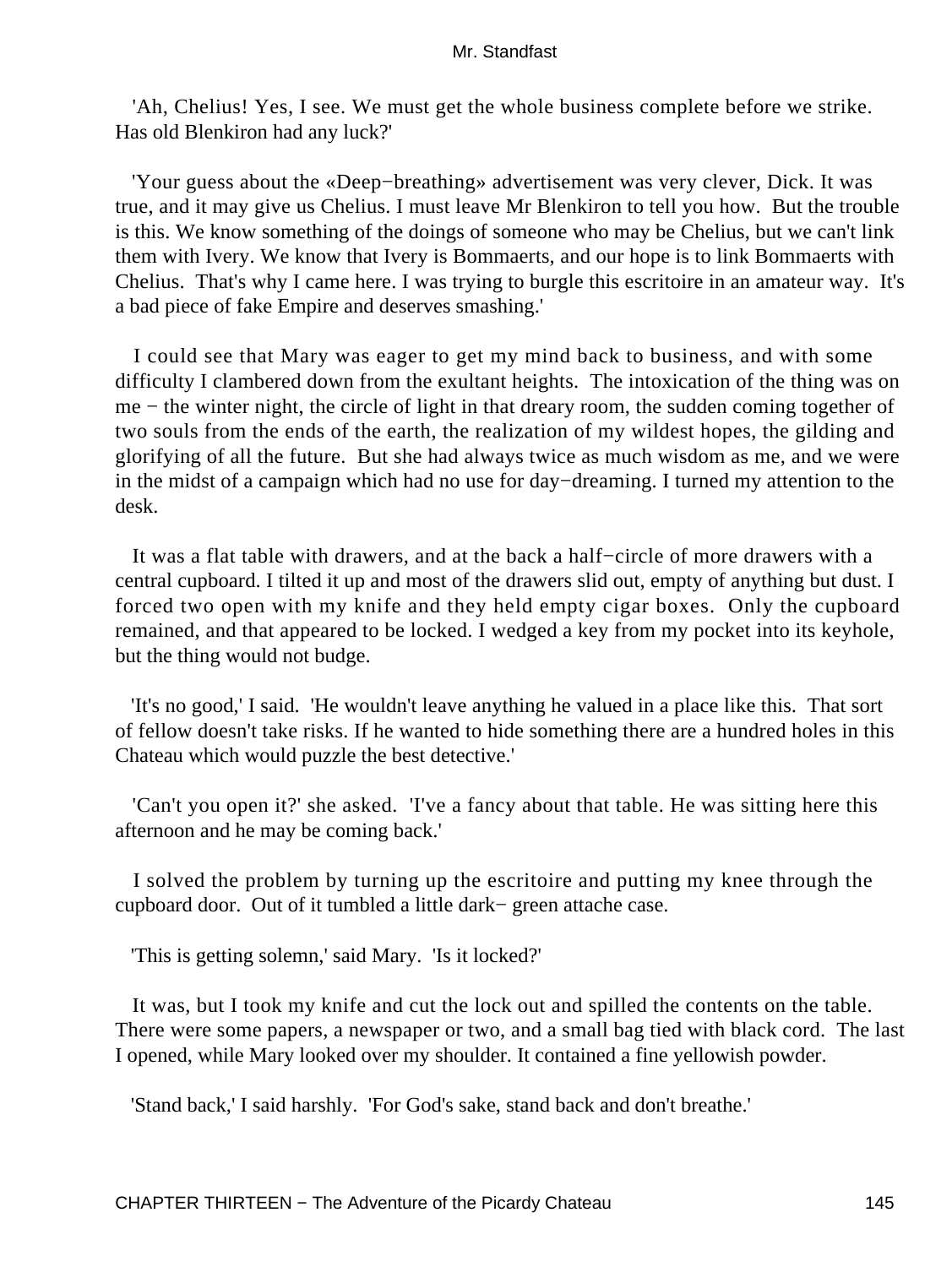'Ah, Chelius! Yes, I see. We must get the whole business complete before we strike. Has old Blenkiron had any luck?'

 'Your guess about the «Deep−breathing» advertisement was very clever, Dick. It was true, and it may give us Chelius. I must leave Mr Blenkiron to tell you how. But the trouble is this. We know something of the doings of someone who may be Chelius, but we can't link them with Ivery. We know that Ivery is Bommaerts, and our hope is to link Bommaerts with Chelius. That's why I came here. I was trying to burgle this escritoire in an amateur way. It's a bad piece of fake Empire and deserves smashing.'

 I could see that Mary was eager to get my mind back to business, and with some difficulty I clambered down from the exultant heights. The intoxication of the thing was on me − the winter night, the circle of light in that dreary room, the sudden coming together of two souls from the ends of the earth, the realization of my wildest hopes, the gilding and glorifying of all the future. But she had always twice as much wisdom as me, and we were in the midst of a campaign which had no use for day−dreaming. I turned my attention to the desk.

 It was a flat table with drawers, and at the back a half−circle of more drawers with a central cupboard. I tilted it up and most of the drawers slid out, empty of anything but dust. I forced two open with my knife and they held empty cigar boxes. Only the cupboard remained, and that appeared to be locked. I wedged a key from my pocket into its keyhole, but the thing would not budge.

 'It's no good,' I said. 'He wouldn't leave anything he valued in a place like this. That sort of fellow doesn't take risks. If he wanted to hide something there are a hundred holes in this Chateau which would puzzle the best detective.'

 'Can't you open it?' she asked. 'I've a fancy about that table. He was sitting here this afternoon and he may be coming back.'

 I solved the problem by turning up the escritoire and putting my knee through the cupboard door. Out of it tumbled a little dark− green attache case.

'This is getting solemn,' said Mary. 'Is it locked?'

 It was, but I took my knife and cut the lock out and spilled the contents on the table. There were some papers, a newspaper or two, and a small bag tied with black cord. The last I opened, while Mary looked over my shoulder. It contained a fine yellowish powder.

'Stand back,' I said harshly. 'For God's sake, stand back and don't breathe.'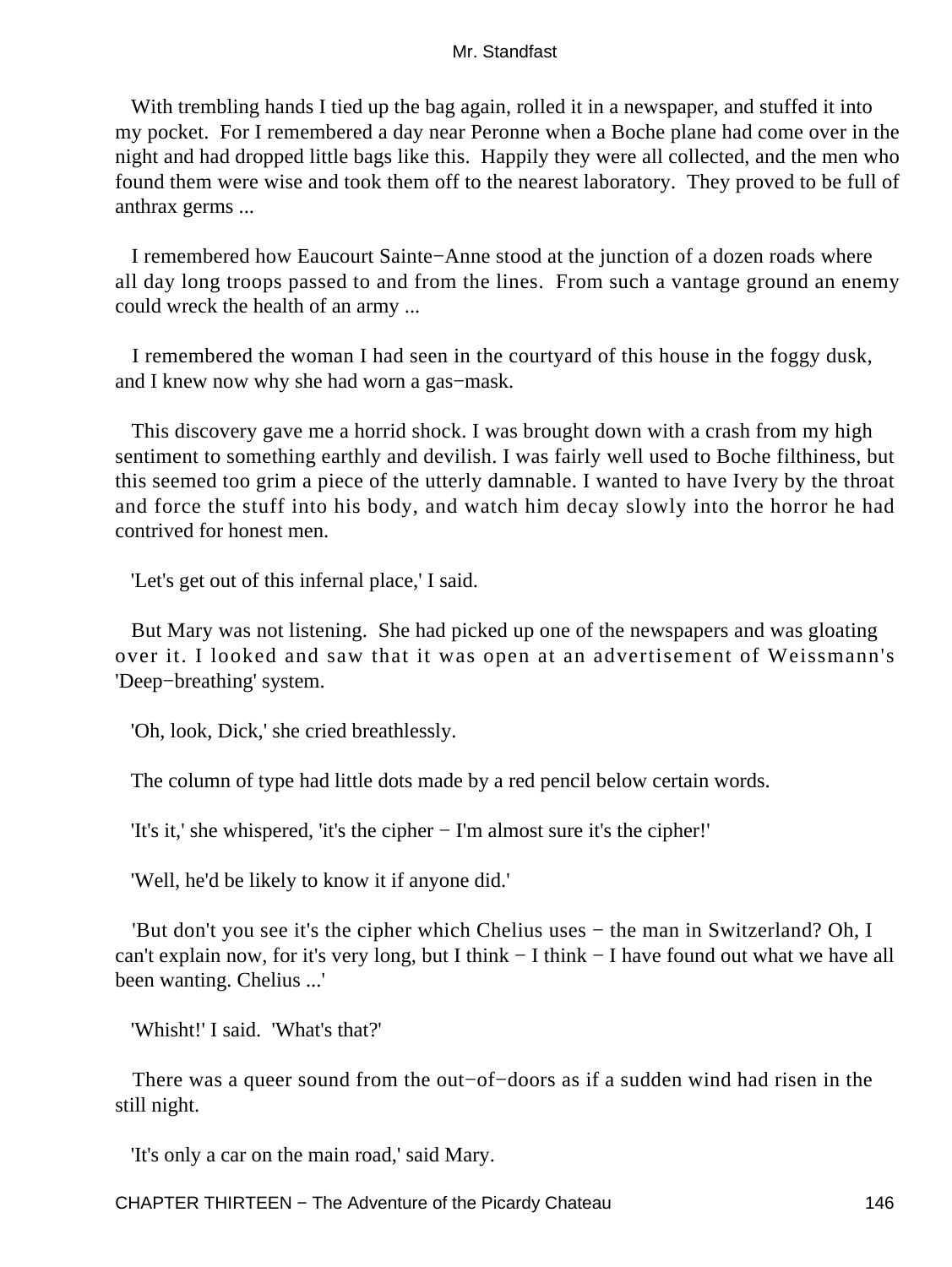With trembling hands I tied up the bag again, rolled it in a newspaper, and stuffed it into my pocket. For I remembered a day near Peronne when a Boche plane had come over in the night and had dropped little bags like this. Happily they were all collected, and the men who found them were wise and took them off to the nearest laboratory. They proved to be full of anthrax germs ...

 I remembered how Eaucourt Sainte−Anne stood at the junction of a dozen roads where all day long troops passed to and from the lines. From such a vantage ground an enemy could wreck the health of an army ...

 I remembered the woman I had seen in the courtyard of this house in the foggy dusk, and I knew now why she had worn a gas−mask.

 This discovery gave me a horrid shock. I was brought down with a crash from my high sentiment to something earthly and devilish. I was fairly well used to Boche filthiness, but this seemed too grim a piece of the utterly damnable. I wanted to have Ivery by the throat and force the stuff into his body, and watch him decay slowly into the horror he had contrived for honest men.

'Let's get out of this infernal place,' I said.

 But Mary was not listening. She had picked up one of the newspapers and was gloating over it. I looked and saw that it was open at an advertisement of Weissmann's 'Deep−breathing' system.

'Oh, look, Dick,' she cried breathlessly.

The column of type had little dots made by a red pencil below certain words.

'It's it,' she whispered, 'it's the cipher − I'm almost sure it's the cipher!'

'Well, he'd be likely to know it if anyone did.'

 'But don't you see it's the cipher which Chelius uses − the man in Switzerland? Oh, I can't explain now, for it's very long, but I think − I think − I have found out what we have all been wanting. Chelius ...'

'Whisht!' I said. 'What's that?'

 There was a queer sound from the out−of−doors as if a sudden wind had risen in the still night.

'It's only a car on the main road,' said Mary.

CHAPTER THIRTEEN − The Adventure of the Picardy Chateau 146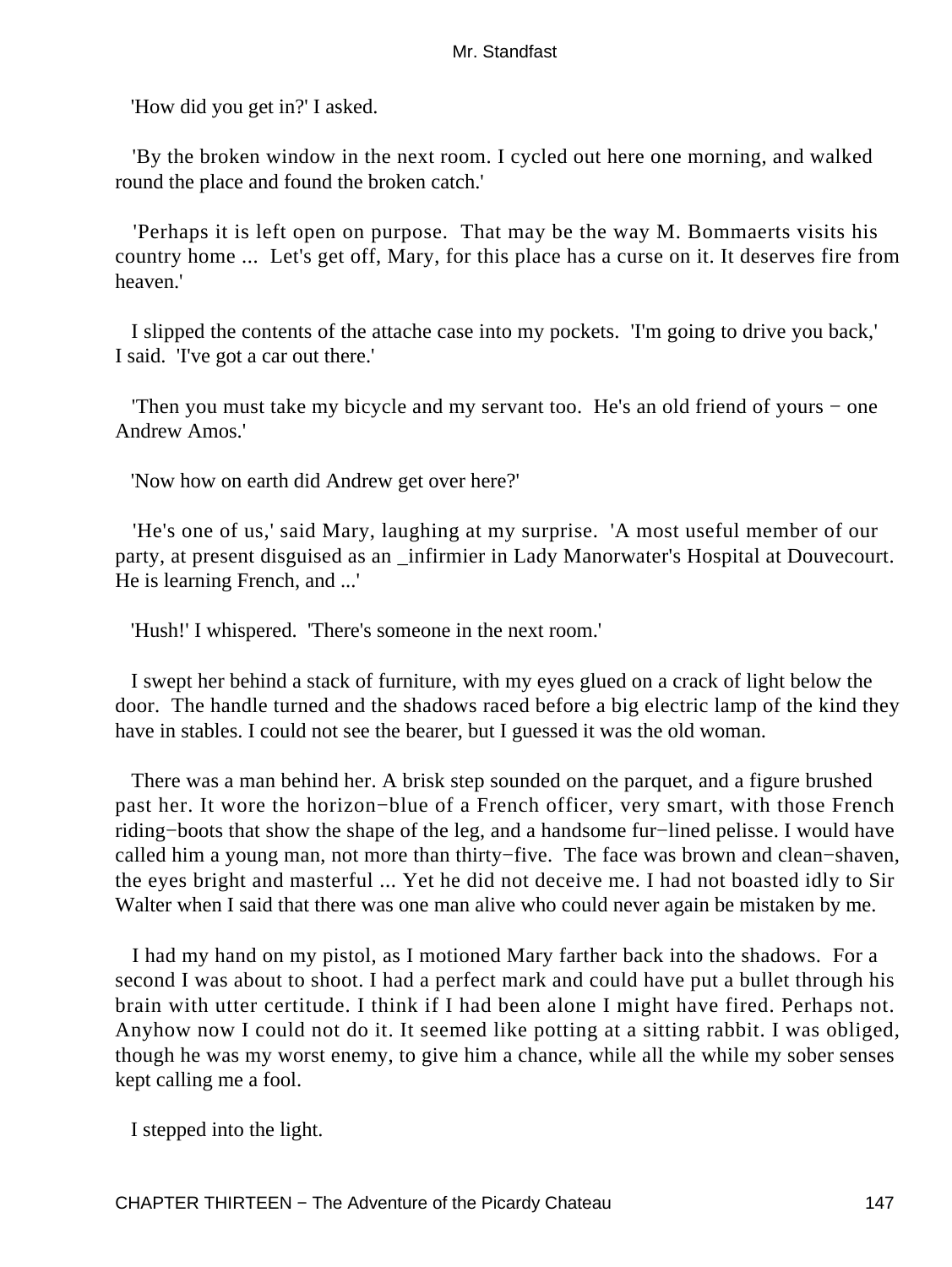'How did you get in?' I asked.

 'By the broken window in the next room. I cycled out here one morning, and walked round the place and found the broken catch.'

 'Perhaps it is left open on purpose. That may be the way M. Bommaerts visits his country home ... Let's get off, Mary, for this place has a curse on it. It deserves fire from heaven.'

 I slipped the contents of the attache case into my pockets. 'I'm going to drive you back,' I said. 'I've got a car out there.'

 'Then you must take my bicycle and my servant too. He's an old friend of yours − one Andrew Amos.'

'Now how on earth did Andrew get over here?'

 'He's one of us,' said Mary, laughing at my surprise. 'A most useful member of our party, at present disguised as an \_infirmier in Lady Manorwater's Hospital at Douvecourt. He is learning French, and ...'

'Hush!' I whispered. 'There's someone in the next room.'

 I swept her behind a stack of furniture, with my eyes glued on a crack of light below the door. The handle turned and the shadows raced before a big electric lamp of the kind they have in stables. I could not see the bearer, but I guessed it was the old woman.

 There was a man behind her. A brisk step sounded on the parquet, and a figure brushed past her. It wore the horizon−blue of a French officer, very smart, with those French riding−boots that show the shape of the leg, and a handsome fur−lined pelisse. I would have called him a young man, not more than thirty−five. The face was brown and clean−shaven, the eyes bright and masterful ... Yet he did not deceive me. I had not boasted idly to Sir Walter when I said that there was one man alive who could never again be mistaken by me.

 I had my hand on my pistol, as I motioned Mary farther back into the shadows. For a second I was about to shoot. I had a perfect mark and could have put a bullet through his brain with utter certitude. I think if I had been alone I might have fired. Perhaps not. Anyhow now I could not do it. It seemed like potting at a sitting rabbit. I was obliged, though he was my worst enemy, to give him a chance, while all the while my sober senses kept calling me a fool.

I stepped into the light.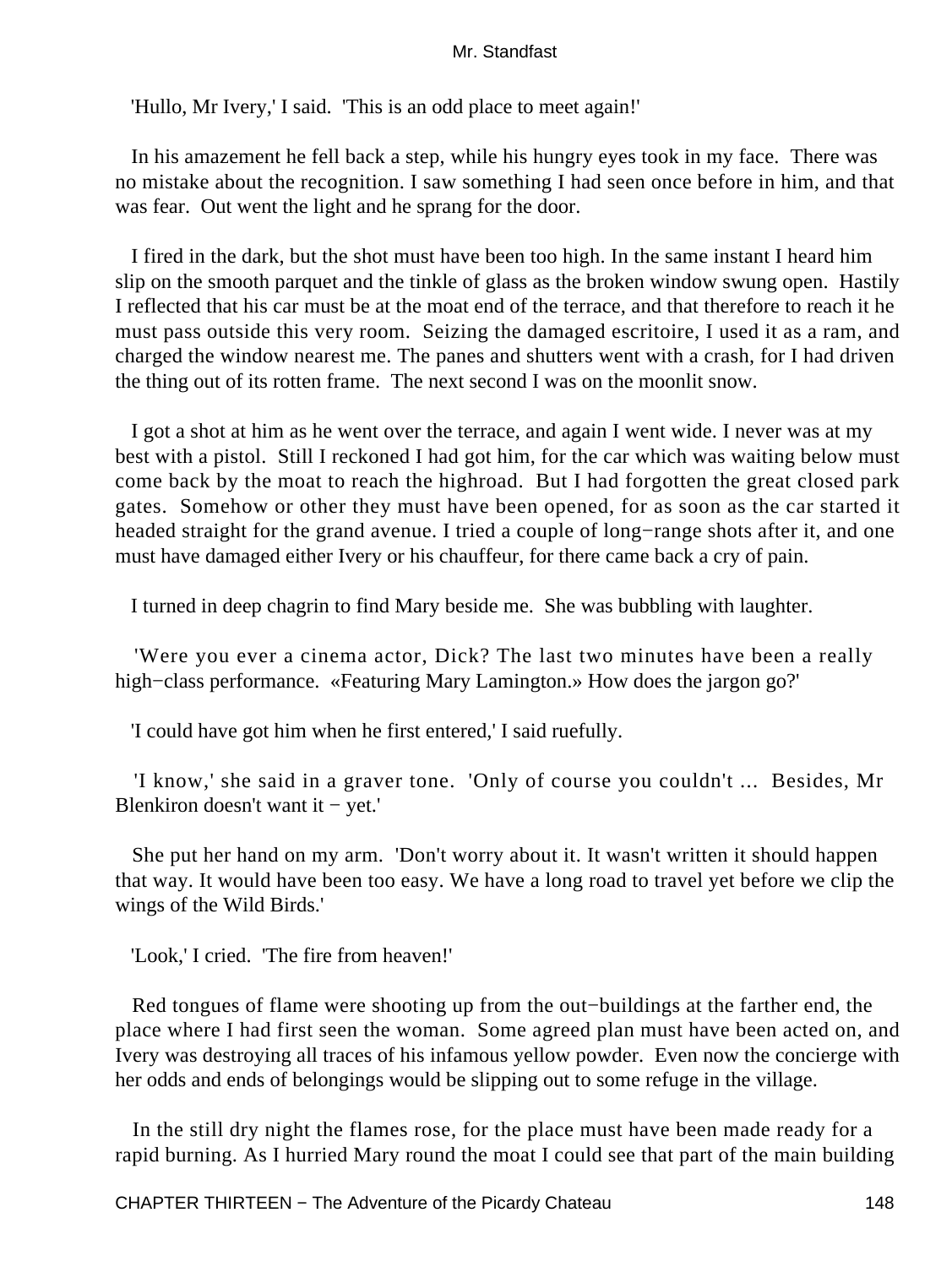'Hullo, Mr Ivery,' I said. 'This is an odd place to meet again!'

 In his amazement he fell back a step, while his hungry eyes took in my face. There was no mistake about the recognition. I saw something I had seen once before in him, and that was fear. Out went the light and he sprang for the door.

 I fired in the dark, but the shot must have been too high. In the same instant I heard him slip on the smooth parquet and the tinkle of glass as the broken window swung open. Hastily I reflected that his car must be at the moat end of the terrace, and that therefore to reach it he must pass outside this very room. Seizing the damaged escritoire, I used it as a ram, and charged the window nearest me. The panes and shutters went with a crash, for I had driven the thing out of its rotten frame. The next second I was on the moonlit snow.

 I got a shot at him as he went over the terrace, and again I went wide. I never was at my best with a pistol. Still I reckoned I had got him, for the car which was waiting below must come back by the moat to reach the highroad. But I had forgotten the great closed park gates. Somehow or other they must have been opened, for as soon as the car started it headed straight for the grand avenue. I tried a couple of long−range shots after it, and one must have damaged either Ivery or his chauffeur, for there came back a cry of pain.

I turned in deep chagrin to find Mary beside me. She was bubbling with laughter.

 'Were you ever a cinema actor, Dick? The last two minutes have been a really high−class performance. «Featuring Mary Lamington.» How does the jargon go?'

'I could have got him when he first entered,' I said ruefully.

 'I know,' she said in a graver tone. 'Only of course you couldn't ... Besides, Mr Blenkiron doesn't want it − yet.'

 She put her hand on my arm. 'Don't worry about it. It wasn't written it should happen that way. It would have been too easy. We have a long road to travel yet before we clip the wings of the Wild Birds.'

'Look,' I cried. 'The fire from heaven!'

 Red tongues of flame were shooting up from the out−buildings at the farther end, the place where I had first seen the woman. Some agreed plan must have been acted on, and Ivery was destroying all traces of his infamous yellow powder. Even now the concierge with her odds and ends of belongings would be slipping out to some refuge in the village.

 In the still dry night the flames rose, for the place must have been made ready for a rapid burning. As I hurried Mary round the moat I could see that part of the main building

CHAPTER THIRTEEN − The Adventure of the Picardy Chateau 148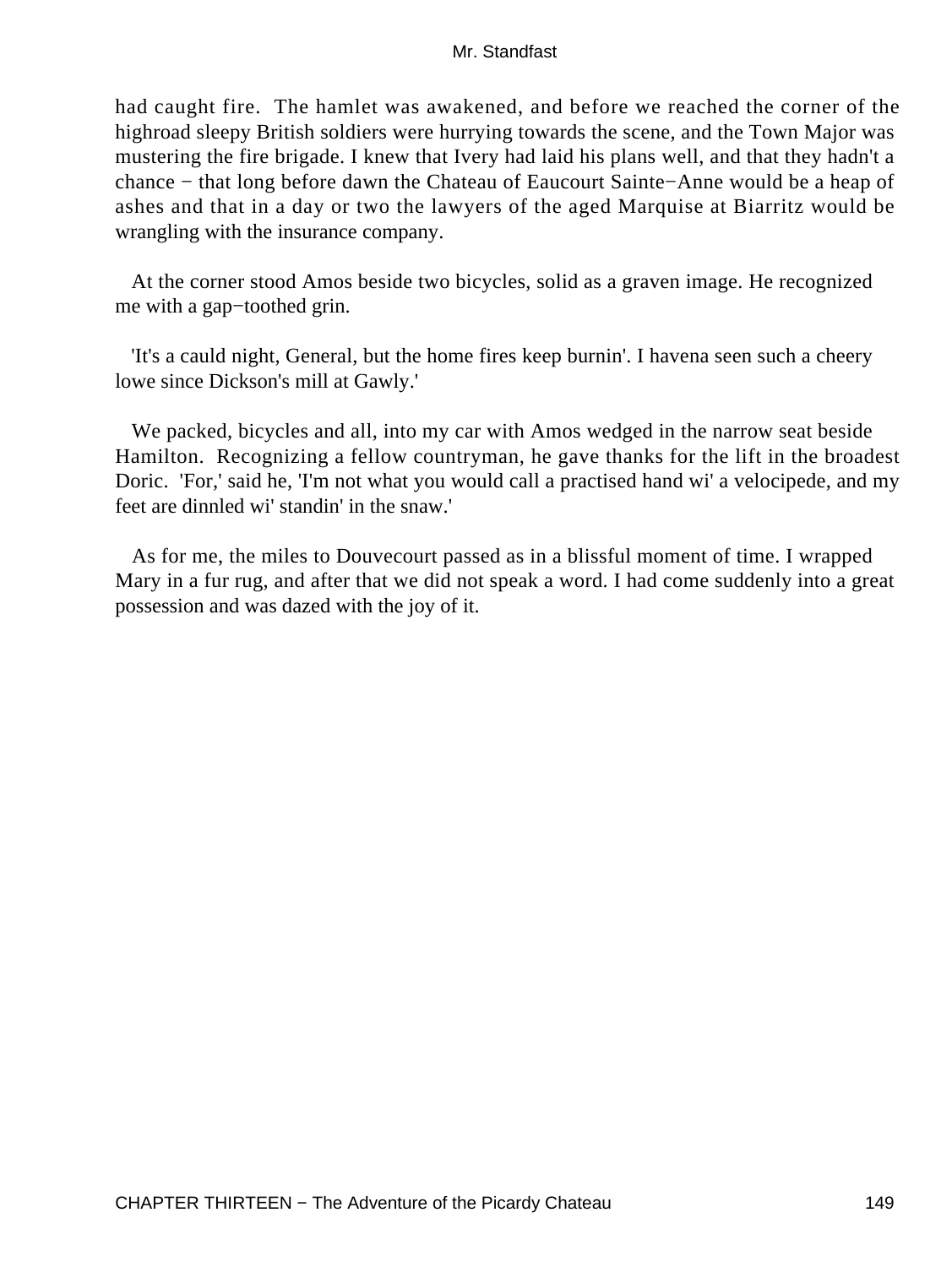had caught fire. The hamlet was awakened, and before we reached the corner of the highroad sleepy British soldiers were hurrying towards the scene, and the Town Major was mustering the fire brigade. I knew that Ivery had laid his plans well, and that they hadn't a chance − that long before dawn the Chateau of Eaucourt Sainte−Anne would be a heap of ashes and that in a day or two the lawyers of the aged Marquise at Biarritz would be wrangling with the insurance company.

 At the corner stood Amos beside two bicycles, solid as a graven image. He recognized me with a gap−toothed grin.

 'It's a cauld night, General, but the home fires keep burnin'. I havena seen such a cheery lowe since Dickson's mill at Gawly.'

 We packed, bicycles and all, into my car with Amos wedged in the narrow seat beside Hamilton. Recognizing a fellow countryman, he gave thanks for the lift in the broadest Doric. 'For,' said he, 'I'm not what you would call a practised hand wi' a velocipede, and my feet are dinnled wi' standin' in the snaw.'

 As for me, the miles to Douvecourt passed as in a blissful moment of time. I wrapped Mary in a fur rug, and after that we did not speak a word. I had come suddenly into a great possession and was dazed with the joy of it.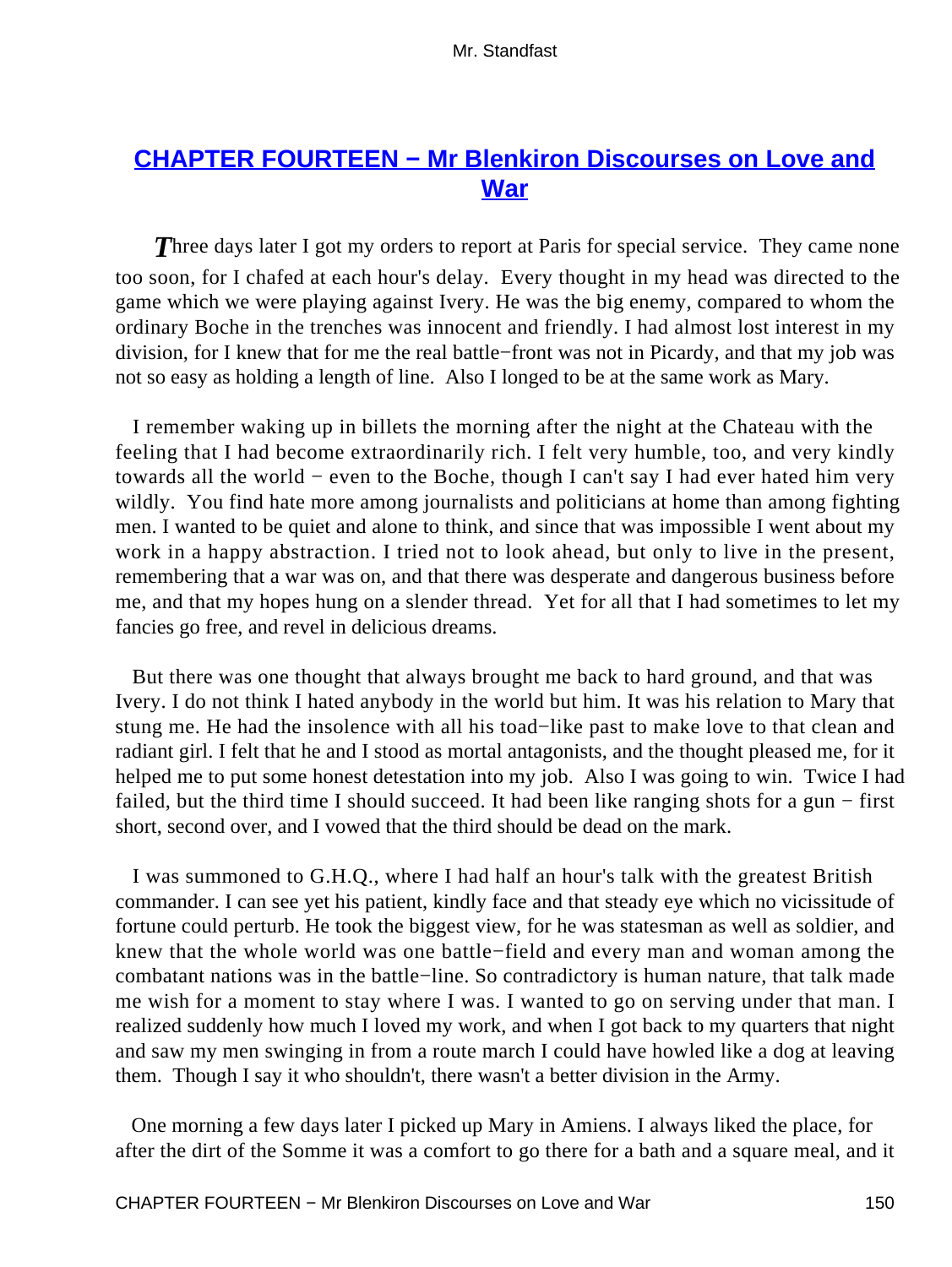## **[CHAPTER FOURTEEN − Mr Blenkiron Discourses on Love and](#page-255-0) [War](#page-255-0)**

**Three days later I got my orders to report at Paris for special service. They came none** too soon, for I chafed at each hour's delay. Every thought in my head was directed to the game which we were playing against Ivery. He was the big enemy, compared to whom the ordinary Boche in the trenches was innocent and friendly. I had almost lost interest in my division, for I knew that for me the real battle−front was not in Picardy, and that my job was not so easy as holding a length of line. Also I longed to be at the same work as Mary.

 I remember waking up in billets the morning after the night at the Chateau with the feeling that I had become extraordinarily rich. I felt very humble, too, and very kindly towards all the world − even to the Boche, though I can't say I had ever hated him very wildly. You find hate more among journalists and politicians at home than among fighting men. I wanted to be quiet and alone to think, and since that was impossible I went about my work in a happy abstraction. I tried not to look ahead, but only to live in the present, remembering that a war was on, and that there was desperate and dangerous business before me, and that my hopes hung on a slender thread. Yet for all that I had sometimes to let my fancies go free, and revel in delicious dreams.

 But there was one thought that always brought me back to hard ground, and that was Ivery. I do not think I hated anybody in the world but him. It was his relation to Mary that stung me. He had the insolence with all his toad−like past to make love to that clean and radiant girl. I felt that he and I stood as mortal antagonists, and the thought pleased me, for it helped me to put some honest detestation into my job. Also I was going to win. Twice I had failed, but the third time I should succeed. It had been like ranging shots for a gun − first short, second over, and I vowed that the third should be dead on the mark.

 I was summoned to G.H.Q., where I had half an hour's talk with the greatest British commander. I can see yet his patient, kindly face and that steady eye which no vicissitude of fortune could perturb. He took the biggest view, for he was statesman as well as soldier, and knew that the whole world was one battle−field and every man and woman among the combatant nations was in the battle−line. So contradictory is human nature, that talk made me wish for a moment to stay where I was. I wanted to go on serving under that man. I realized suddenly how much I loved my work, and when I got back to my quarters that night and saw my men swinging in from a route march I could have howled like a dog at leaving them. Though I say it who shouldn't, there wasn't a better division in the Army.

 One morning a few days later I picked up Mary in Amiens. I always liked the place, for after the dirt of the Somme it was a comfort to go there for a bath and a square meal, and it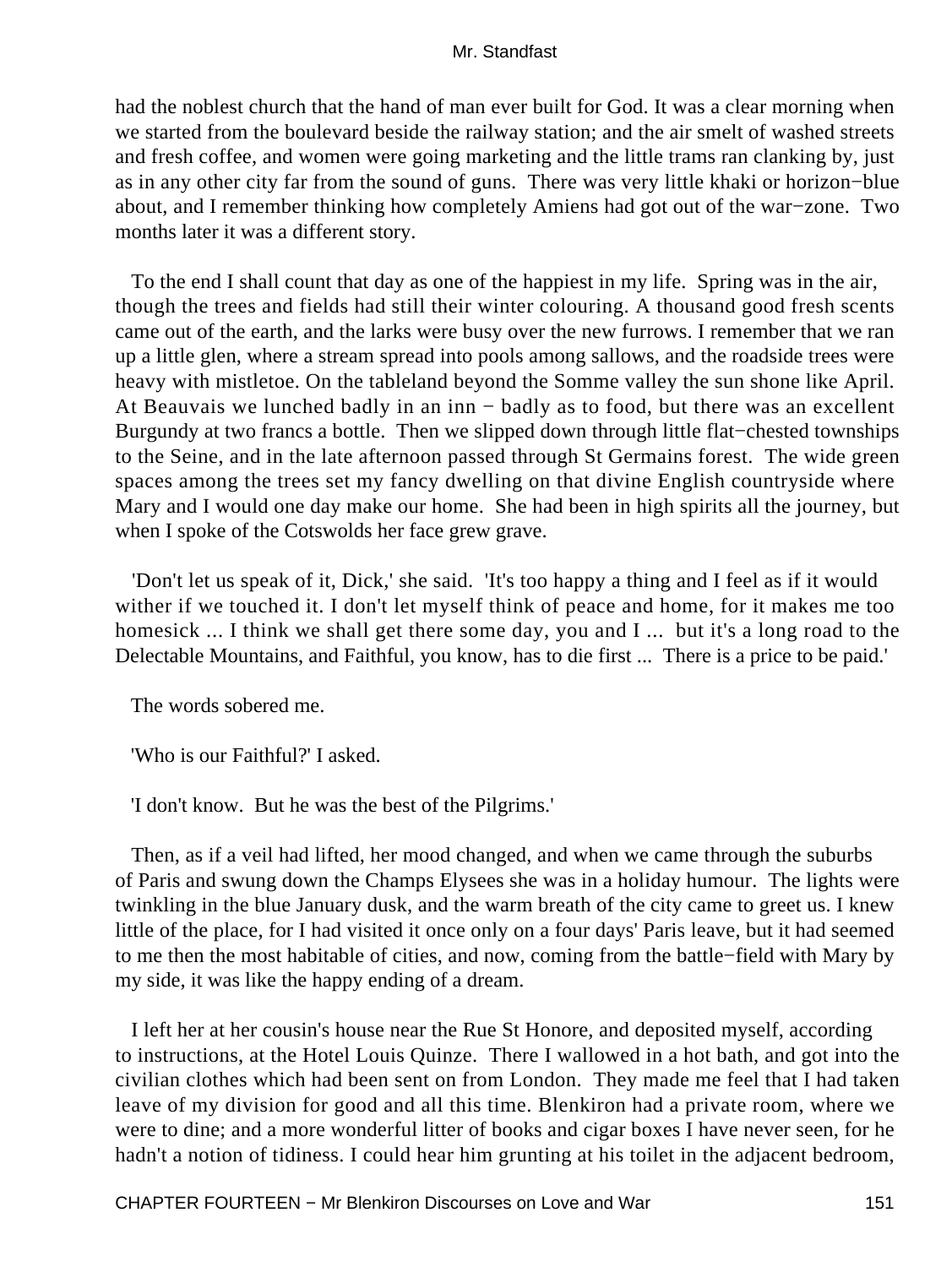had the noblest church that the hand of man ever built for God. It was a clear morning when we started from the boulevard beside the railway station; and the air smelt of washed streets and fresh coffee, and women were going marketing and the little trams ran clanking by, just as in any other city far from the sound of guns. There was very little khaki or horizon−blue about, and I remember thinking how completely Amiens had got out of the war−zone. Two months later it was a different story.

 To the end I shall count that day as one of the happiest in my life. Spring was in the air, though the trees and fields had still their winter colouring. A thousand good fresh scents came out of the earth, and the larks were busy over the new furrows. I remember that we ran up a little glen, where a stream spread into pools among sallows, and the roadside trees were heavy with mistletoe. On the tableland beyond the Somme valley the sun shone like April. At Beauvais we lunched badly in an inn − badly as to food, but there was an excellent Burgundy at two francs a bottle. Then we slipped down through little flat−chested townships to the Seine, and in the late afternoon passed through St Germains forest. The wide green spaces among the trees set my fancy dwelling on that divine English countryside where Mary and I would one day make our home. She had been in high spirits all the journey, but when I spoke of the Cotswolds her face grew grave.

 'Don't let us speak of it, Dick,' she said. 'It's too happy a thing and I feel as if it would wither if we touched it. I don't let myself think of peace and home, for it makes me too homesick ... I think we shall get there some day, you and I ... but it's a long road to the Delectable Mountains, and Faithful, you know, has to die first ... There is a price to be paid.'

The words sobered me.

'Who is our Faithful?' I asked.

'I don't know. But he was the best of the Pilgrims.'

 Then, as if a veil had lifted, her mood changed, and when we came through the suburbs of Paris and swung down the Champs Elysees she was in a holiday humour. The lights were twinkling in the blue January dusk, and the warm breath of the city came to greet us. I knew little of the place, for I had visited it once only on a four days' Paris leave, but it had seemed to me then the most habitable of cities, and now, coming from the battle−field with Mary by my side, it was like the happy ending of a dream.

 I left her at her cousin's house near the Rue St Honore, and deposited myself, according to instructions, at the Hotel Louis Quinze. There I wallowed in a hot bath, and got into the civilian clothes which had been sent on from London. They made me feel that I had taken leave of my division for good and all this time. Blenkiron had a private room, where we were to dine; and a more wonderful litter of books and cigar boxes I have never seen, for he hadn't a notion of tidiness. I could hear him grunting at his toilet in the adjacent bedroom,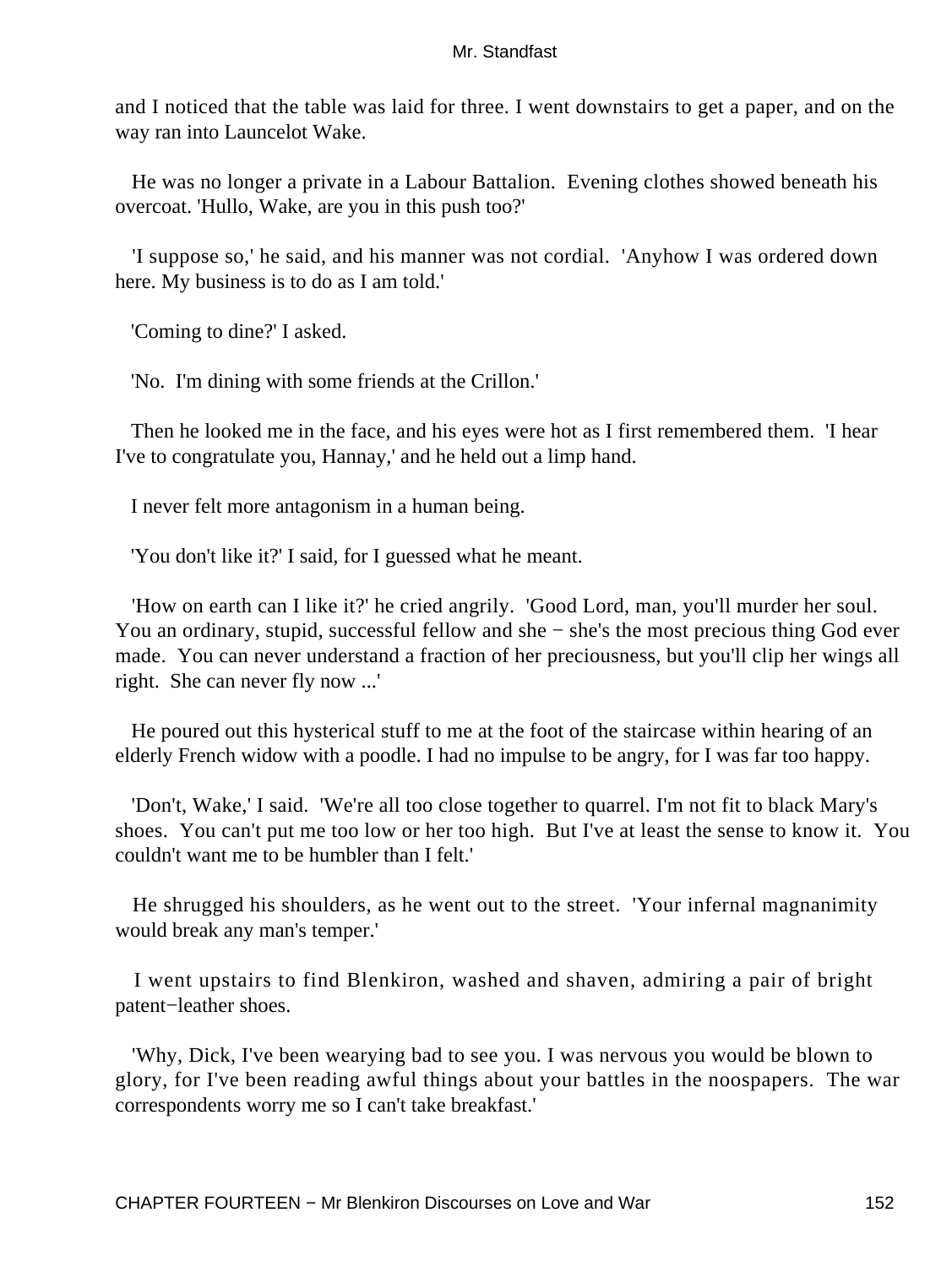and I noticed that the table was laid for three. I went downstairs to get a paper, and on the way ran into Launcelot Wake.

 He was no longer a private in a Labour Battalion. Evening clothes showed beneath his overcoat. 'Hullo, Wake, are you in this push too?'

 'I suppose so,' he said, and his manner was not cordial. 'Anyhow I was ordered down here. My business is to do as I am told.'

'Coming to dine?' I asked.

'No. I'm dining with some friends at the Crillon.'

 Then he looked me in the face, and his eyes were hot as I first remembered them. 'I hear I've to congratulate you, Hannay,' and he held out a limp hand.

I never felt more antagonism in a human being.

'You don't like it?' I said, for I guessed what he meant.

 'How on earth can I like it?' he cried angrily. 'Good Lord, man, you'll murder her soul. You an ordinary, stupid, successful fellow and she − she's the most precious thing God ever made. You can never understand a fraction of her preciousness, but you'll clip her wings all right. She can never fly now ...'

 He poured out this hysterical stuff to me at the foot of the staircase within hearing of an elderly French widow with a poodle. I had no impulse to be angry, for I was far too happy.

 'Don't, Wake,' I said. 'We're all too close together to quarrel. I'm not fit to black Mary's shoes. You can't put me too low or her too high. But I've at least the sense to know it. You couldn't want me to be humbler than I felt.'

 He shrugged his shoulders, as he went out to the street. 'Your infernal magnanimity would break any man's temper.'

 I went upstairs to find Blenkiron, washed and shaven, admiring a pair of bright patent−leather shoes.

 'Why, Dick, I've been wearying bad to see you. I was nervous you would be blown to glory, for I've been reading awful things about your battles in the noospapers. The war correspondents worry me so I can't take breakfast.'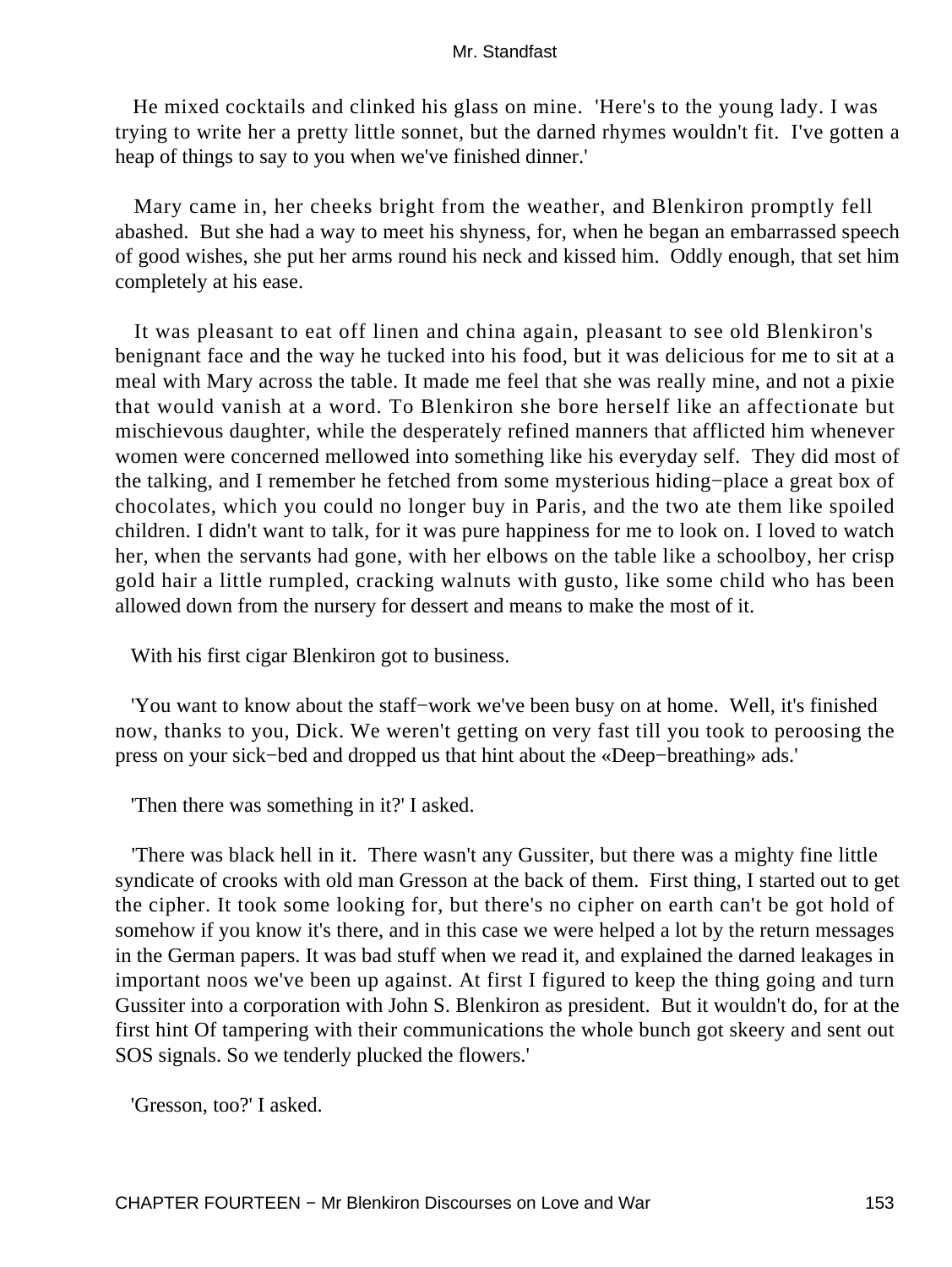He mixed cocktails and clinked his glass on mine. 'Here's to the young lady. I was trying to write her a pretty little sonnet, but the darned rhymes wouldn't fit. I've gotten a heap of things to say to you when we've finished dinner.'

 Mary came in, her cheeks bright from the weather, and Blenkiron promptly fell abashed. But she had a way to meet his shyness, for, when he began an embarrassed speech of good wishes, she put her arms round his neck and kissed him. Oddly enough, that set him completely at his ease.

 It was pleasant to eat off linen and china again, pleasant to see old Blenkiron's benignant face and the way he tucked into his food, but it was delicious for me to sit at a meal with Mary across the table. It made me feel that she was really mine, and not a pixie that would vanish at a word. To Blenkiron she bore herself like an affectionate but mischievous daughter, while the desperately refined manners that afflicted him whenever women were concerned mellowed into something like his everyday self. They did most of the talking, and I remember he fetched from some mysterious hiding−place a great box of chocolates, which you could no longer buy in Paris, and the two ate them like spoiled children. I didn't want to talk, for it was pure happiness for me to look on. I loved to watch her, when the servants had gone, with her elbows on the table like a schoolboy, her crisp gold hair a little rumpled, cracking walnuts with gusto, like some child who has been allowed down from the nursery for dessert and means to make the most of it.

With his first cigar Blenkiron got to business.

 'You want to know about the staff−work we've been busy on at home. Well, it's finished now, thanks to you, Dick. We weren't getting on very fast till you took to peroosing the press on your sick−bed and dropped us that hint about the «Deep−breathing» ads.'

'Then there was something in it?' I asked.

 'There was black hell in it. There wasn't any Gussiter, but there was a mighty fine little syndicate of crooks with old man Gresson at the back of them. First thing, I started out to get the cipher. It took some looking for, but there's no cipher on earth can't be got hold of somehow if you know it's there, and in this case we were helped a lot by the return messages in the German papers. It was bad stuff when we read it, and explained the darned leakages in important noos we've been up against. At first I figured to keep the thing going and turn Gussiter into a corporation with John S. Blenkiron as president. But it wouldn't do, for at the first hint Of tampering with their communications the whole bunch got skeery and sent out SOS signals. So we tenderly plucked the flowers.'

'Gresson, too?' I asked.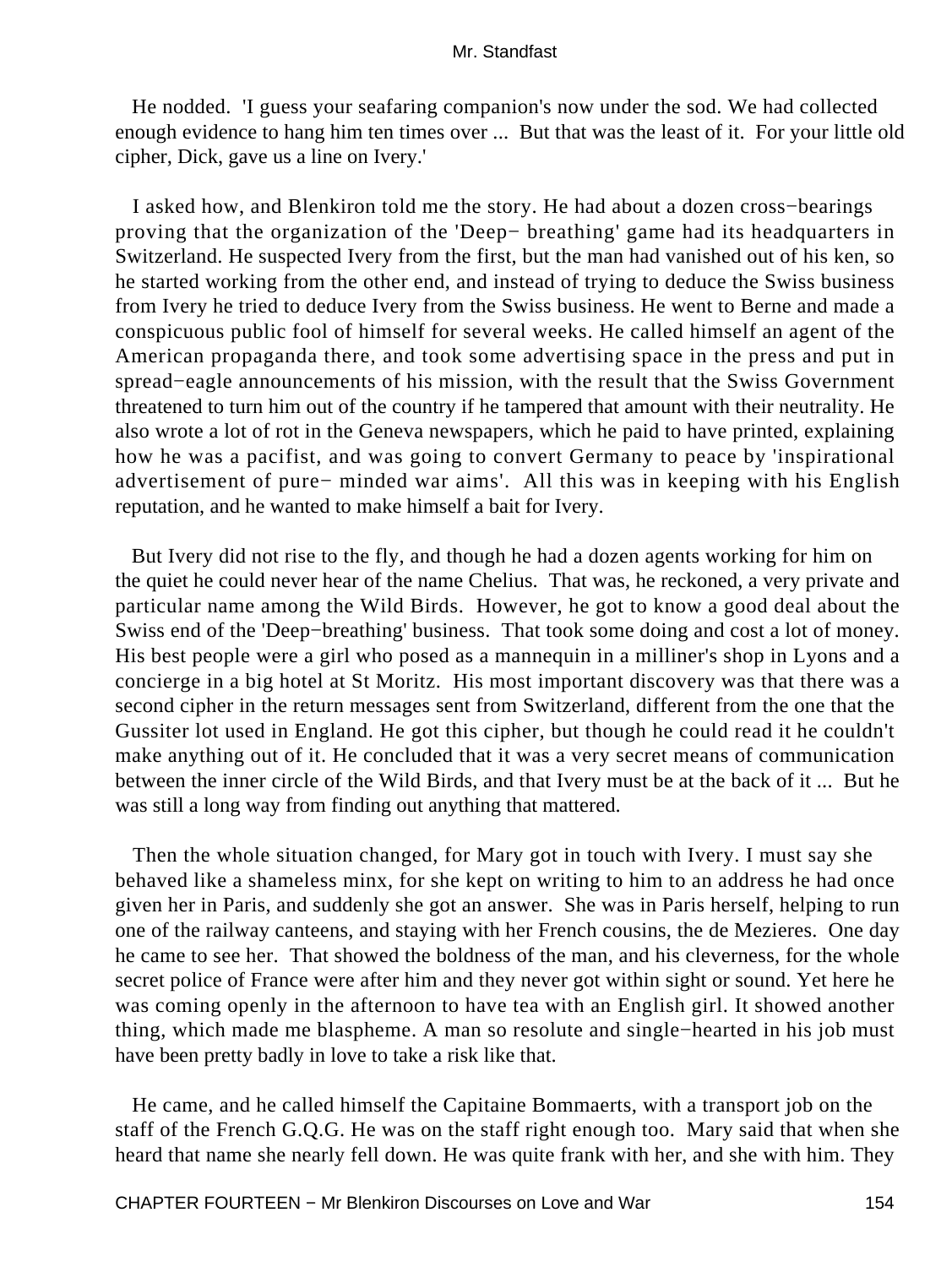He nodded. 'I guess your seafaring companion's now under the sod. We had collected enough evidence to hang him ten times over ... But that was the least of it. For your little old cipher, Dick, gave us a line on Ivery.'

 I asked how, and Blenkiron told me the story. He had about a dozen cross−bearings proving that the organization of the 'Deep− breathing' game had its headquarters in Switzerland. He suspected Ivery from the first, but the man had vanished out of his ken, so he started working from the other end, and instead of trying to deduce the Swiss business from Ivery he tried to deduce Ivery from the Swiss business. He went to Berne and made a conspicuous public fool of himself for several weeks. He called himself an agent of the American propaganda there, and took some advertising space in the press and put in spread−eagle announcements of his mission, with the result that the Swiss Government threatened to turn him out of the country if he tampered that amount with their neutrality. He also wrote a lot of rot in the Geneva newspapers, which he paid to have printed, explaining how he was a pacifist, and was going to convert Germany to peace by 'inspirational advertisement of pure− minded war aims'. All this was in keeping with his English reputation, and he wanted to make himself a bait for Ivery.

 But Ivery did not rise to the fly, and though he had a dozen agents working for him on the quiet he could never hear of the name Chelius. That was, he reckoned, a very private and particular name among the Wild Birds. However, he got to know a good deal about the Swiss end of the 'Deep−breathing' business. That took some doing and cost a lot of money. His best people were a girl who posed as a mannequin in a milliner's shop in Lyons and a concierge in a big hotel at St Moritz. His most important discovery was that there was a second cipher in the return messages sent from Switzerland, different from the one that the Gussiter lot used in England. He got this cipher, but though he could read it he couldn't make anything out of it. He concluded that it was a very secret means of communication between the inner circle of the Wild Birds, and that Ivery must be at the back of it ... But he was still a long way from finding out anything that mattered.

 Then the whole situation changed, for Mary got in touch with Ivery. I must say she behaved like a shameless minx, for she kept on writing to him to an address he had once given her in Paris, and suddenly she got an answer. She was in Paris herself, helping to run one of the railway canteens, and staying with her French cousins, the de Mezieres. One day he came to see her. That showed the boldness of the man, and his cleverness, for the whole secret police of France were after him and they never got within sight or sound. Yet here he was coming openly in the afternoon to have tea with an English girl. It showed another thing, which made me blaspheme. A man so resolute and single−hearted in his job must have been pretty badly in love to take a risk like that.

 He came, and he called himself the Capitaine Bommaerts, with a transport job on the staff of the French G.Q.G. He was on the staff right enough too. Mary said that when she heard that name she nearly fell down. He was quite frank with her, and she with him. They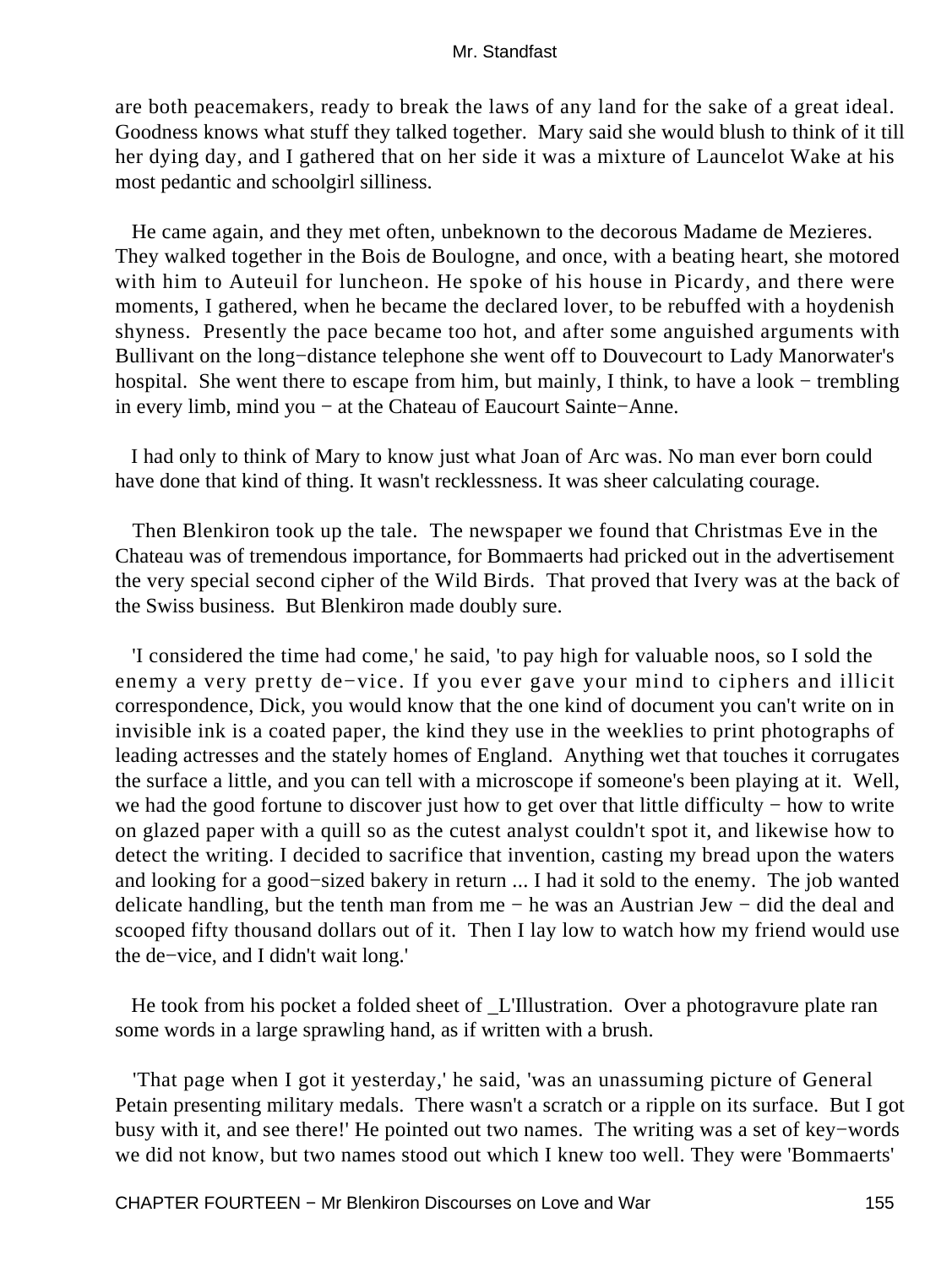are both peacemakers, ready to break the laws of any land for the sake of a great ideal. Goodness knows what stuff they talked together. Mary said she would blush to think of it till her dying day, and I gathered that on her side it was a mixture of Launcelot Wake at his most pedantic and schoolgirl silliness.

 He came again, and they met often, unbeknown to the decorous Madame de Mezieres. They walked together in the Bois de Boulogne, and once, with a beating heart, she motored with him to Auteuil for luncheon. He spoke of his house in Picardy, and there were moments, I gathered, when he became the declared lover, to be rebuffed with a hoydenish shyness. Presently the pace became too hot, and after some anguished arguments with Bullivant on the long−distance telephone she went off to Douvecourt to Lady Manorwater's hospital. She went there to escape from him, but mainly, I think, to have a look − trembling in every limb, mind you − at the Chateau of Eaucourt Sainte−Anne.

 I had only to think of Mary to know just what Joan of Arc was. No man ever born could have done that kind of thing. It wasn't recklessness. It was sheer calculating courage.

 Then Blenkiron took up the tale. The newspaper we found that Christmas Eve in the Chateau was of tremendous importance, for Bommaerts had pricked out in the advertisement the very special second cipher of the Wild Birds. That proved that Ivery was at the back of the Swiss business. But Blenkiron made doubly sure.

 'I considered the time had come,' he said, 'to pay high for valuable noos, so I sold the enemy a very pretty de−vice. If you ever gave your mind to ciphers and illicit correspondence, Dick, you would know that the one kind of document you can't write on in invisible ink is a coated paper, the kind they use in the weeklies to print photographs of leading actresses and the stately homes of England. Anything wet that touches it corrugates the surface a little, and you can tell with a microscope if someone's been playing at it. Well, we had the good fortune to discover just how to get over that little difficulty – how to write on glazed paper with a quill so as the cutest analyst couldn't spot it, and likewise how to detect the writing. I decided to sacrifice that invention, casting my bread upon the waters and looking for a good−sized bakery in return ... I had it sold to the enemy. The job wanted delicate handling, but the tenth man from me − he was an Austrian Jew − did the deal and scooped fifty thousand dollars out of it. Then I lay low to watch how my friend would use the de−vice, and I didn't wait long.'

 He took from his pocket a folded sheet of \_L'Illustration. Over a photogravure plate ran some words in a large sprawling hand, as if written with a brush.

 'That page when I got it yesterday,' he said, 'was an unassuming picture of General Petain presenting military medals. There wasn't a scratch or a ripple on its surface. But I got busy with it, and see there!' He pointed out two names. The writing was a set of key−words we did not know, but two names stood out which I knew too well. They were 'Bommaerts'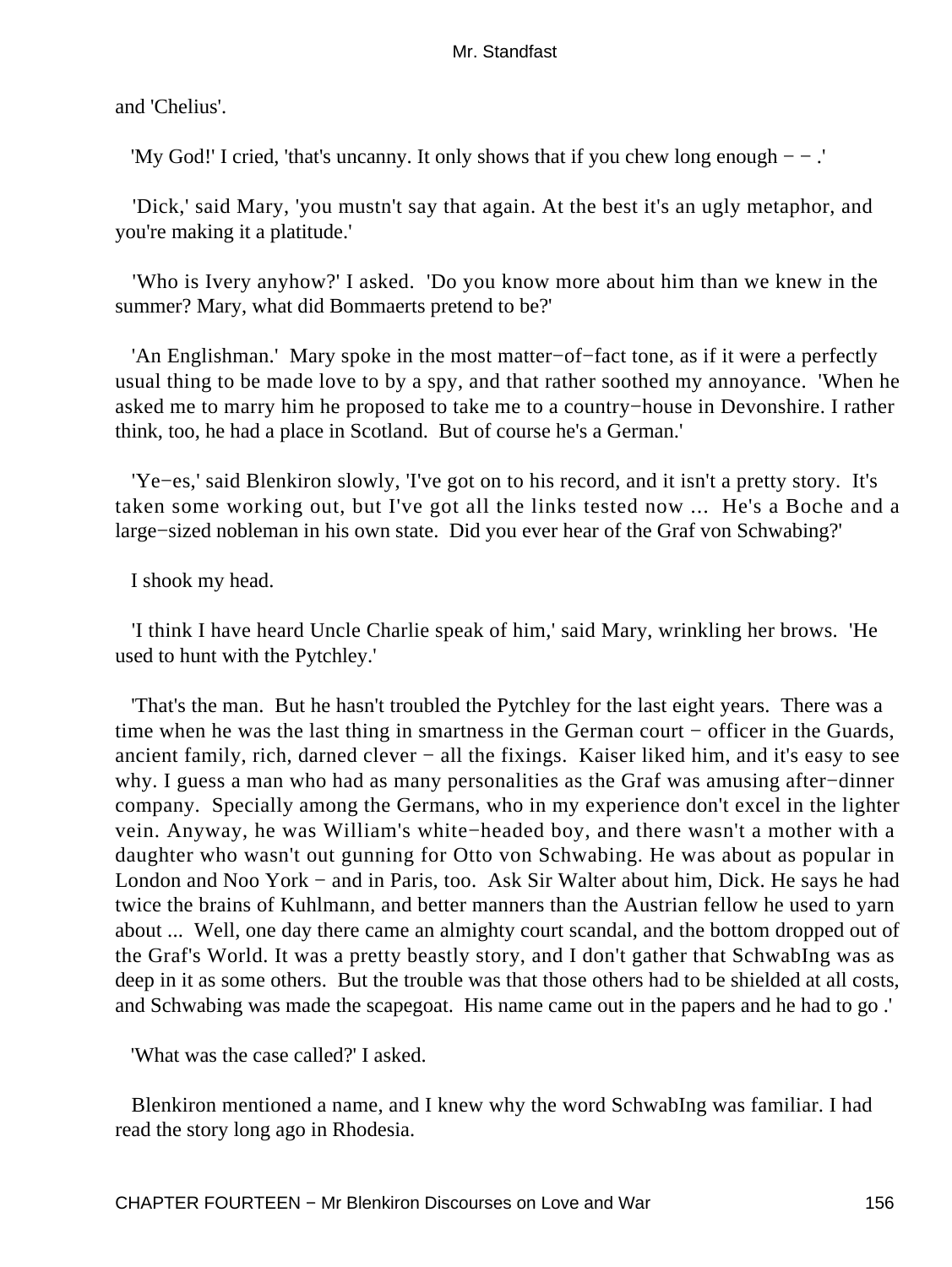and 'Chelius'.

'My God!' I cried, 'that's uncanny. It only shows that if you chew long enough − − .'

 'Dick,' said Mary, 'you mustn't say that again. At the best it's an ugly metaphor, and you're making it a platitude.'

 'Who is Ivery anyhow?' I asked. 'Do you know more about him than we knew in the summer? Mary, what did Bommaerts pretend to be?'

 'An Englishman.' Mary spoke in the most matter−of−fact tone, as if it were a perfectly usual thing to be made love to by a spy, and that rather soothed my annoyance. 'When he asked me to marry him he proposed to take me to a country−house in Devonshire. I rather think, too, he had a place in Scotland. But of course he's a German.'

 'Ye−es,' said Blenkiron slowly, 'I've got on to his record, and it isn't a pretty story. It's taken some working out, but I've got all the links tested now ... He's a Boche and a large−sized nobleman in his own state. Did you ever hear of the Graf von Schwabing?'

I shook my head.

 'I think I have heard Uncle Charlie speak of him,' said Mary, wrinkling her brows. 'He used to hunt with the Pytchley.'

 'That's the man. But he hasn't troubled the Pytchley for the last eight years. There was a time when he was the last thing in smartness in the German court – officer in the Guards, ancient family, rich, darned clever − all the fixings. Kaiser liked him, and it's easy to see why. I guess a man who had as many personalities as the Graf was amusing after−dinner company. Specially among the Germans, who in my experience don't excel in the lighter vein. Anyway, he was William's white−headed boy, and there wasn't a mother with a daughter who wasn't out gunning for Otto von Schwabing. He was about as popular in London and Noo York − and in Paris, too. Ask Sir Walter about him, Dick. He says he had twice the brains of Kuhlmann, and better manners than the Austrian fellow he used to yarn about ... Well, one day there came an almighty court scandal, and the bottom dropped out of the Graf's World. It was a pretty beastly story, and I don't gather that SchwabIng was as deep in it as some others. But the trouble was that those others had to be shielded at all costs, and Schwabing was made the scapegoat. His name came out in the papers and he had to go .'

'What was the case called?' I asked.

 Blenkiron mentioned a name, and I knew why the word SchwabIng was familiar. I had read the story long ago in Rhodesia.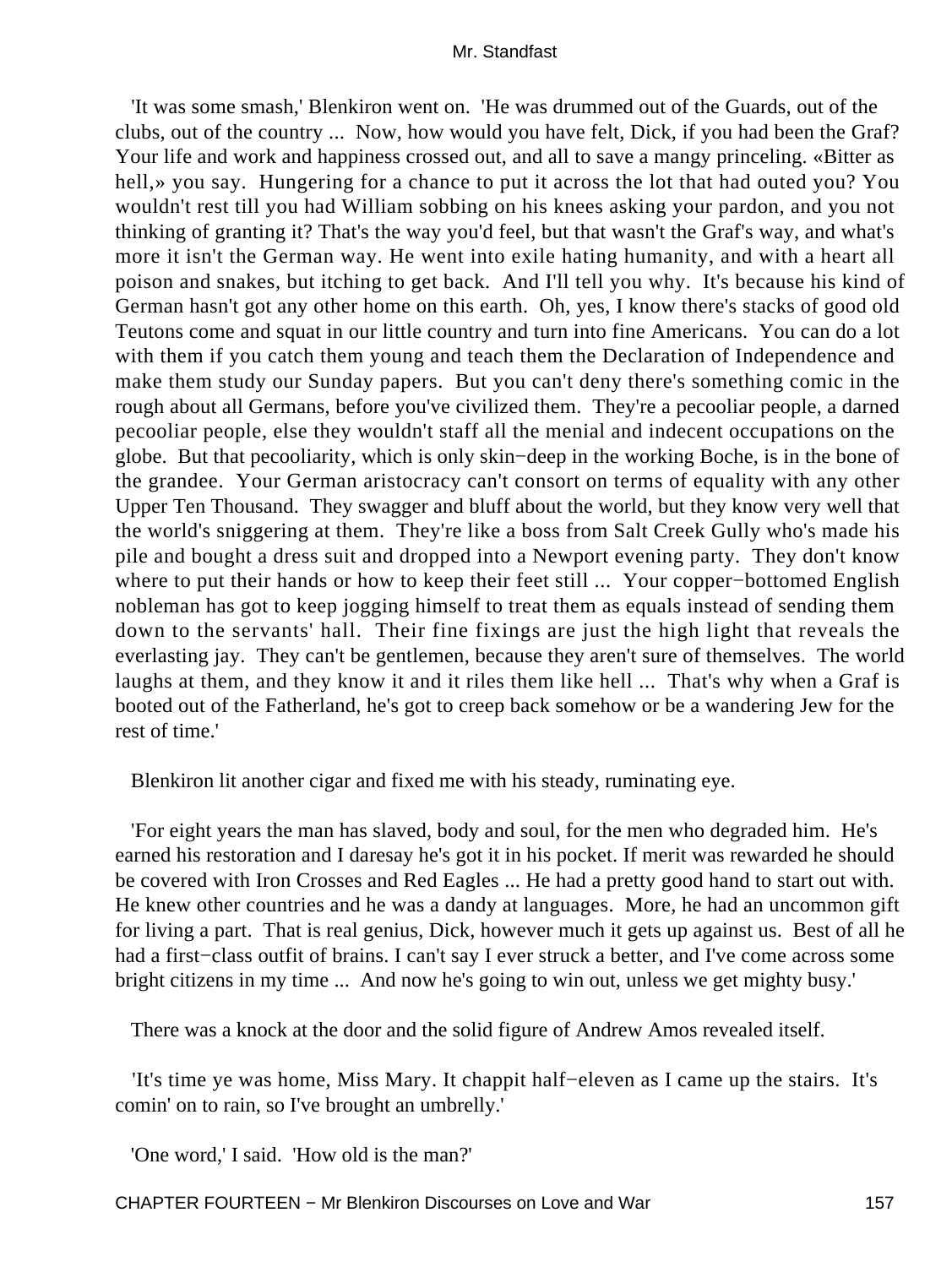'It was some smash,' Blenkiron went on. 'He was drummed out of the Guards, out of the clubs, out of the country ... Now, how would you have felt, Dick, if you had been the Graf? Your life and work and happiness crossed out, and all to save a mangy princeling. «Bitter as hell,» you say. Hungering for a chance to put it across the lot that had outed you? You wouldn't rest till you had William sobbing on his knees asking your pardon, and you not thinking of granting it? That's the way you'd feel, but that wasn't the Graf's way, and what's more it isn't the German way. He went into exile hating humanity, and with a heart all poison and snakes, but itching to get back. And I'll tell you why. It's because his kind of German hasn't got any other home on this earth. Oh, yes, I know there's stacks of good old Teutons come and squat in our little country and turn into fine Americans. You can do a lot with them if you catch them young and teach them the Declaration of Independence and make them study our Sunday papers. But you can't deny there's something comic in the rough about all Germans, before you've civilized them. They're a pecooliar people, a darned pecooliar people, else they wouldn't staff all the menial and indecent occupations on the globe. But that pecooliarity, which is only skin−deep in the working Boche, is in the bone of the grandee. Your German aristocracy can't consort on terms of equality with any other Upper Ten Thousand. They swagger and bluff about the world, but they know very well that the world's sniggering at them. They're like a boss from Salt Creek Gully who's made his pile and bought a dress suit and dropped into a Newport evening party. They don't know where to put their hands or how to keep their feet still ... Your copper−bottomed English nobleman has got to keep jogging himself to treat them as equals instead of sending them down to the servants' hall. Their fine fixings are just the high light that reveals the everlasting jay. They can't be gentlemen, because they aren't sure of themselves. The world laughs at them, and they know it and it riles them like hell ... That's why when a Graf is booted out of the Fatherland, he's got to creep back somehow or be a wandering Jew for the rest of time.'

Blenkiron lit another cigar and fixed me with his steady, ruminating eye.

 'For eight years the man has slaved, body and soul, for the men who degraded him. He's earned his restoration and I daresay he's got it in his pocket. If merit was rewarded he should be covered with Iron Crosses and Red Eagles ... He had a pretty good hand to start out with. He knew other countries and he was a dandy at languages. More, he had an uncommon gift for living a part. That is real genius, Dick, however much it gets up against us. Best of all he had a first−class outfit of brains. I can't say I ever struck a better, and I've come across some bright citizens in my time ... And now he's going to win out, unless we get mighty busy.'

There was a knock at the door and the solid figure of Andrew Amos revealed itself.

 'It's time ye was home, Miss Mary. It chappit half−eleven as I came up the stairs. It's comin' on to rain, so I've brought an umbrelly.'

'One word,' I said. 'How old is the man?'

CHAPTER FOURTEEN – Mr Blenkiron Discourses on Love and War 157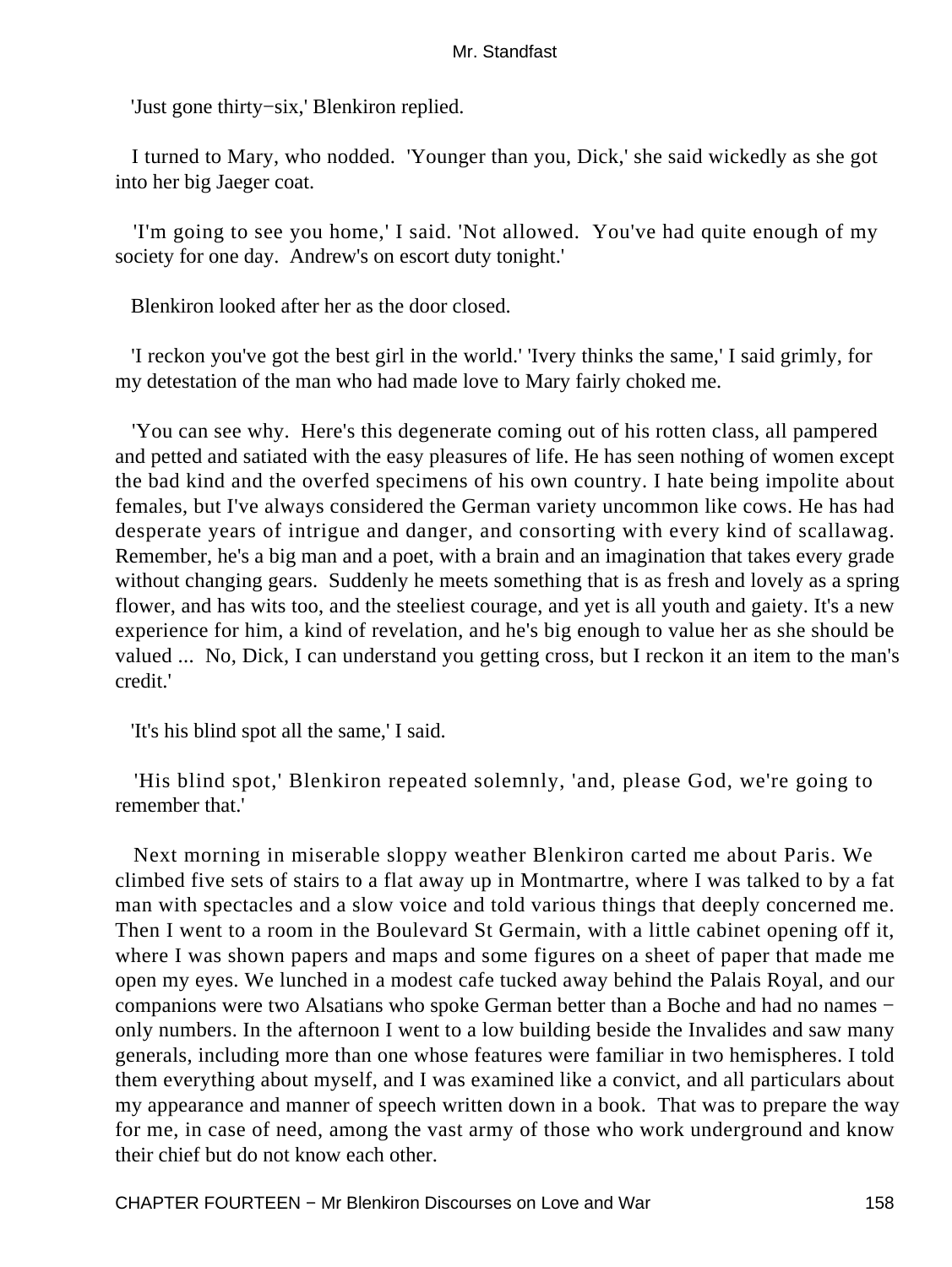'Just gone thirty−six,' Blenkiron replied.

 I turned to Mary, who nodded. 'Younger than you, Dick,' she said wickedly as she got into her big Jaeger coat.

 'I'm going to see you home,' I said. 'Not allowed. You've had quite enough of my society for one day. Andrew's on escort duty tonight.'

Blenkiron looked after her as the door closed.

 'I reckon you've got the best girl in the world.' 'Ivery thinks the same,' I said grimly, for my detestation of the man who had made love to Mary fairly choked me.

 'You can see why. Here's this degenerate coming out of his rotten class, all pampered and petted and satiated with the easy pleasures of life. He has seen nothing of women except the bad kind and the overfed specimens of his own country. I hate being impolite about females, but I've always considered the German variety uncommon like cows. He has had desperate years of intrigue and danger, and consorting with every kind of scallawag. Remember, he's a big man and a poet, with a brain and an imagination that takes every grade without changing gears. Suddenly he meets something that is as fresh and lovely as a spring flower, and has wits too, and the steeliest courage, and yet is all youth and gaiety. It's a new experience for him, a kind of revelation, and he's big enough to value her as she should be valued ... No, Dick, I can understand you getting cross, but I reckon it an item to the man's credit.'

'It's his blind spot all the same,' I said.

 'His blind spot,' Blenkiron repeated solemnly, 'and, please God, we're going to remember that.'

 Next morning in miserable sloppy weather Blenkiron carted me about Paris. We climbed five sets of stairs to a flat away up in Montmartre, where I was talked to by a fat man with spectacles and a slow voice and told various things that deeply concerned me. Then I went to a room in the Boulevard St Germain, with a little cabinet opening off it, where I was shown papers and maps and some figures on a sheet of paper that made me open my eyes. We lunched in a modest cafe tucked away behind the Palais Royal, and our companions were two Alsatians who spoke German better than a Boche and had no names − only numbers. In the afternoon I went to a low building beside the Invalides and saw many generals, including more than one whose features were familiar in two hemispheres. I told them everything about myself, and I was examined like a convict, and all particulars about my appearance and manner of speech written down in a book. That was to prepare the way for me, in case of need, among the vast army of those who work underground and know their chief but do not know each other.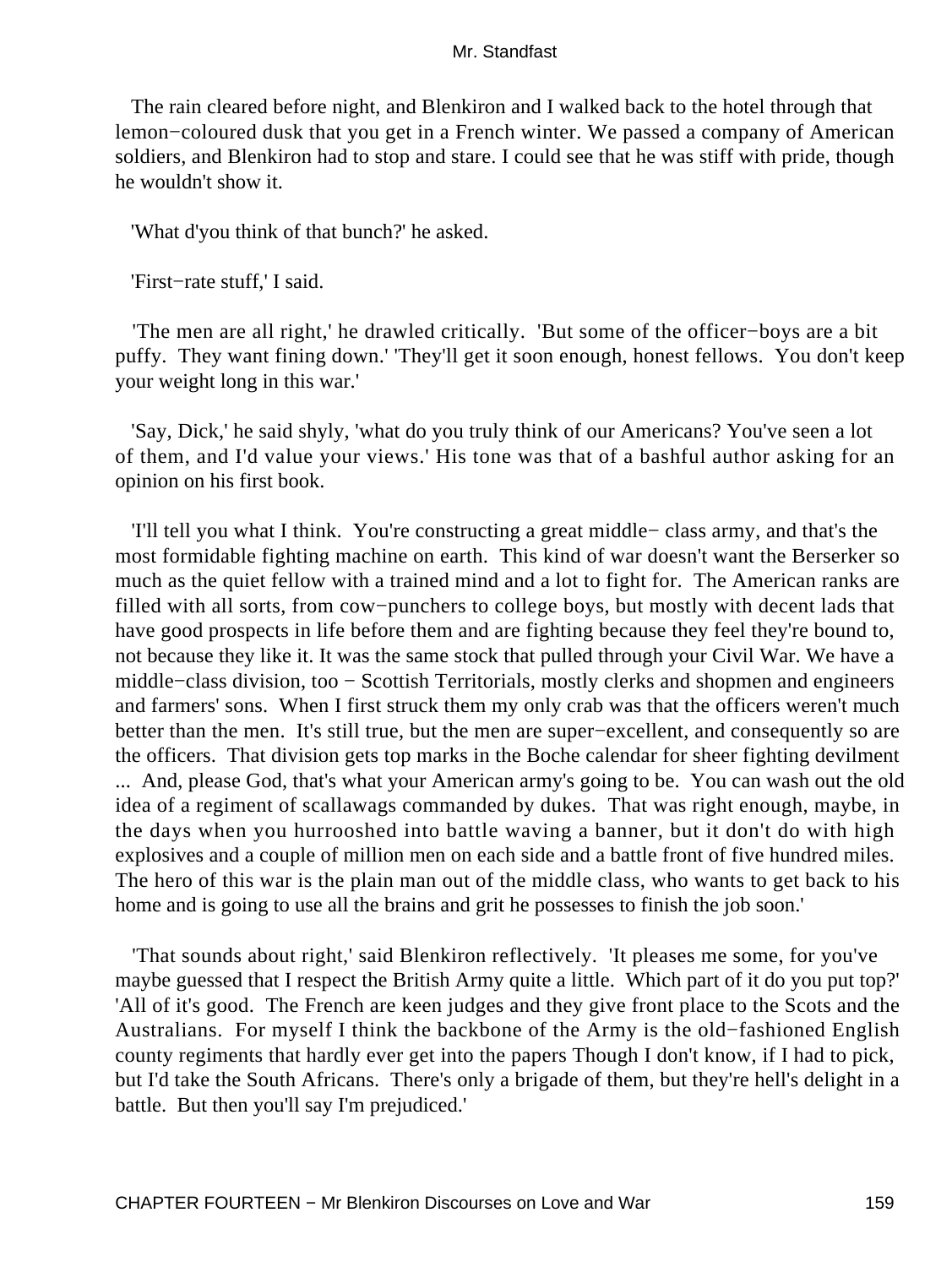The rain cleared before night, and Blenkiron and I walked back to the hotel through that lemon−coloured dusk that you get in a French winter. We passed a company of American soldiers, and Blenkiron had to stop and stare. I could see that he was stiff with pride, though he wouldn't show it.

'What d'you think of that bunch?' he asked.

'First−rate stuff,' I said.

 'The men are all right,' he drawled critically. 'But some of the officer−boys are a bit puffy. They want fining down.' 'They'll get it soon enough, honest fellows. You don't keep your weight long in this war.'

 'Say, Dick,' he said shyly, 'what do you truly think of our Americans? You've seen a lot of them, and I'd value your views.' His tone was that of a bashful author asking for an opinion on his first book.

 'I'll tell you what I think. You're constructing a great middle− class army, and that's the most formidable fighting machine on earth. This kind of war doesn't want the Berserker so much as the quiet fellow with a trained mind and a lot to fight for. The American ranks are filled with all sorts, from cow−punchers to college boys, but mostly with decent lads that have good prospects in life before them and are fighting because they feel they're bound to, not because they like it. It was the same stock that pulled through your Civil War. We have a middle−class division, too − Scottish Territorials, mostly clerks and shopmen and engineers and farmers' sons. When I first struck them my only crab was that the officers weren't much better than the men. It's still true, but the men are super−excellent, and consequently so are the officers. That division gets top marks in the Boche calendar for sheer fighting devilment ... And, please God, that's what your American army's going to be. You can wash out the old idea of a regiment of scallawags commanded by dukes. That was right enough, maybe, in the days when you hurrooshed into battle waving a banner, but it don't do with high explosives and a couple of million men on each side and a battle front of five hundred miles. The hero of this war is the plain man out of the middle class, who wants to get back to his home and is going to use all the brains and grit he possesses to finish the job soon.'

 'That sounds about right,' said Blenkiron reflectively. 'It pleases me some, for you've maybe guessed that I respect the British Army quite a little. Which part of it do you put top?' 'All of it's good. The French are keen judges and they give front place to the Scots and the Australians. For myself I think the backbone of the Army is the old−fashioned English county regiments that hardly ever get into the papers Though I don't know, if I had to pick, but I'd take the South Africans. There's only a brigade of them, but they're hell's delight in a battle. But then you'll say I'm prejudiced.'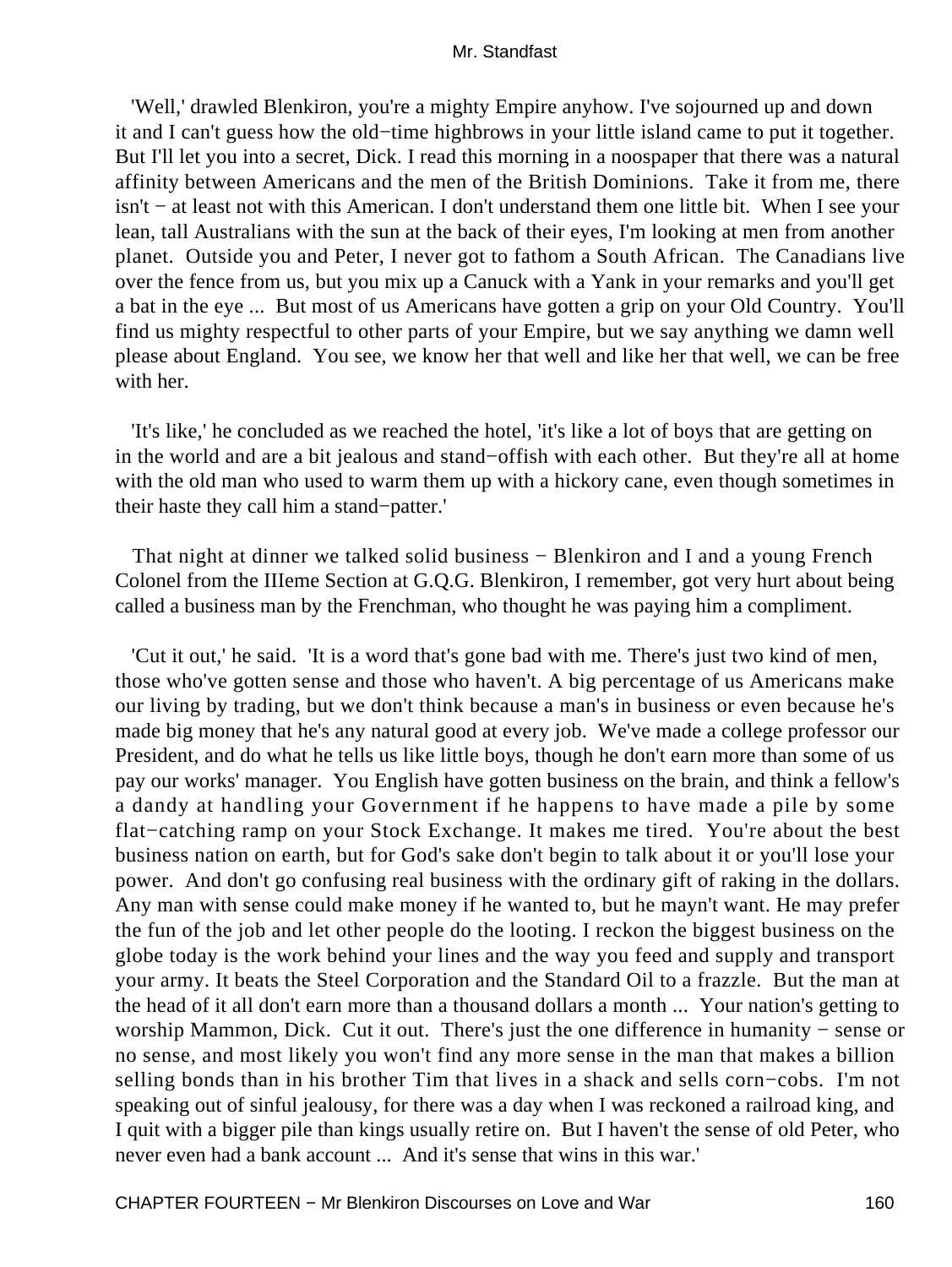'Well,' drawled Blenkiron, you're a mighty Empire anyhow. I've sojourned up and down it and I can't guess how the old−time highbrows in your little island came to put it together. But I'll let you into a secret, Dick. I read this morning in a noospaper that there was a natural affinity between Americans and the men of the British Dominions. Take it from me, there isn't − at least not with this American. I don't understand them one little bit. When I see your lean, tall Australians with the sun at the back of their eyes, I'm looking at men from another planet. Outside you and Peter, I never got to fathom a South African. The Canadians live over the fence from us, but you mix up a Canuck with a Yank in your remarks and you'll get a bat in the eye ... But most of us Americans have gotten a grip on your Old Country. You'll find us mighty respectful to other parts of your Empire, but we say anything we damn well please about England. You see, we know her that well and like her that well, we can be free with her.

 'It's like,' he concluded as we reached the hotel, 'it's like a lot of boys that are getting on in the world and are a bit jealous and stand−offish with each other. But they're all at home with the old man who used to warm them up with a hickory cane, even though sometimes in their haste they call him a stand−patter.'

 That night at dinner we talked solid business − Blenkiron and I and a young French Colonel from the IIIeme Section at G.Q.G. Blenkiron, I remember, got very hurt about being called a business man by the Frenchman, who thought he was paying him a compliment.

 'Cut it out,' he said. 'It is a word that's gone bad with me. There's just two kind of men, those who've gotten sense and those who haven't. A big percentage of us Americans make our living by trading, but we don't think because a man's in business or even because he's made big money that he's any natural good at every job. We've made a college professor our President, and do what he tells us like little boys, though he don't earn more than some of us pay our works' manager. You English have gotten business on the brain, and think a fellow's a dandy at handling your Government if he happens to have made a pile by some flat−catching ramp on your Stock Exchange. It makes me tired. You're about the best business nation on earth, but for God's sake don't begin to talk about it or you'll lose your power. And don't go confusing real business with the ordinary gift of raking in the dollars. Any man with sense could make money if he wanted to, but he mayn't want. He may prefer the fun of the job and let other people do the looting. I reckon the biggest business on the globe today is the work behind your lines and the way you feed and supply and transport your army. It beats the Steel Corporation and the Standard Oil to a frazzle. But the man at the head of it all don't earn more than a thousand dollars a month ... Your nation's getting to worship Mammon, Dick. Cut it out. There's just the one difference in humanity − sense or no sense, and most likely you won't find any more sense in the man that makes a billion selling bonds than in his brother Tim that lives in a shack and sells corn−cobs. I'm not speaking out of sinful jealousy, for there was a day when I was reckoned a railroad king, and I quit with a bigger pile than kings usually retire on. But I haven't the sense of old Peter, who never even had a bank account ... And it's sense that wins in this war.'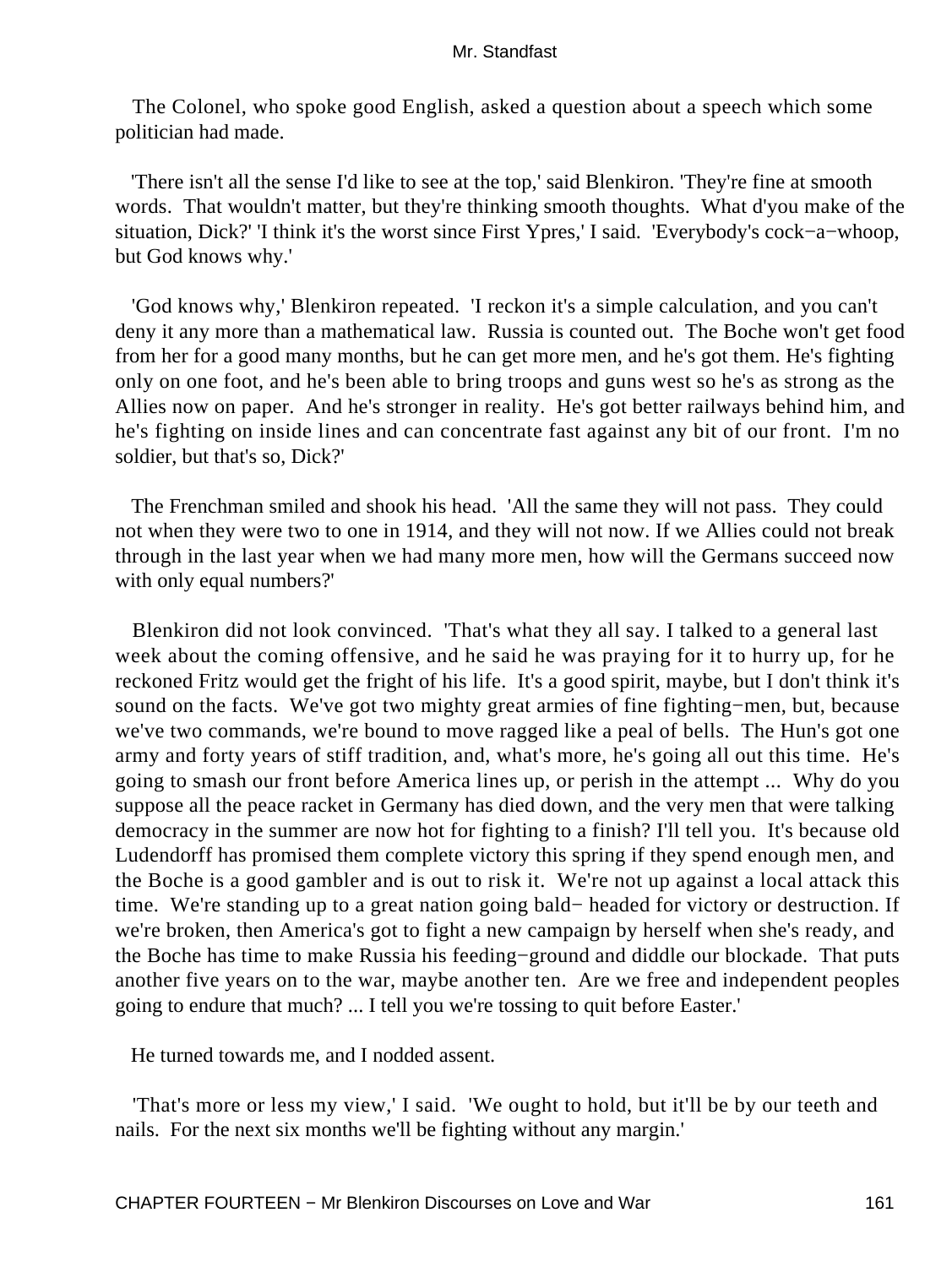The Colonel, who spoke good English, asked a question about a speech which some politician had made.

 'There isn't all the sense I'd like to see at the top,' said Blenkiron. 'They're fine at smooth words. That wouldn't matter, but they're thinking smooth thoughts. What d'you make of the situation, Dick?' 'I think it's the worst since First Ypres,' I said. 'Everybody's cock−a−whoop, but God knows why.'

 'God knows why,' Blenkiron repeated. 'I reckon it's a simple calculation, and you can't deny it any more than a mathematical law. Russia is counted out. The Boche won't get food from her for a good many months, but he can get more men, and he's got them. He's fighting only on one foot, and he's been able to bring troops and guns west so he's as strong as the Allies now on paper. And he's stronger in reality. He's got better railways behind him, and he's fighting on inside lines and can concentrate fast against any bit of our front. I'm no soldier, but that's so, Dick?'

 The Frenchman smiled and shook his head. 'All the same they will not pass. They could not when they were two to one in 1914, and they will not now. If we Allies could not break through in the last year when we had many more men, how will the Germans succeed now with only equal numbers?'

 Blenkiron did not look convinced. 'That's what they all say. I talked to a general last week about the coming offensive, and he said he was praying for it to hurry up, for he reckoned Fritz would get the fright of his life. It's a good spirit, maybe, but I don't think it's sound on the facts. We've got two mighty great armies of fine fighting−men, but, because we've two commands, we're bound to move ragged like a peal of bells. The Hun's got one army and forty years of stiff tradition, and, what's more, he's going all out this time. He's going to smash our front before America lines up, or perish in the attempt ... Why do you suppose all the peace racket in Germany has died down, and the very men that were talking democracy in the summer are now hot for fighting to a finish? I'll tell you. It's because old Ludendorff has promised them complete victory this spring if they spend enough men, and the Boche is a good gambler and is out to risk it. We're not up against a local attack this time. We're standing up to a great nation going bald− headed for victory or destruction. If we're broken, then America's got to fight a new campaign by herself when she's ready, and the Boche has time to make Russia his feeding−ground and diddle our blockade. That puts another five years on to the war, maybe another ten. Are we free and independent peoples going to endure that much? ... I tell you we're tossing to quit before Easter.'

He turned towards me, and I nodded assent.

 'That's more or less my view,' I said. 'We ought to hold, but it'll be by our teeth and nails. For the next six months we'll be fighting without any margin.'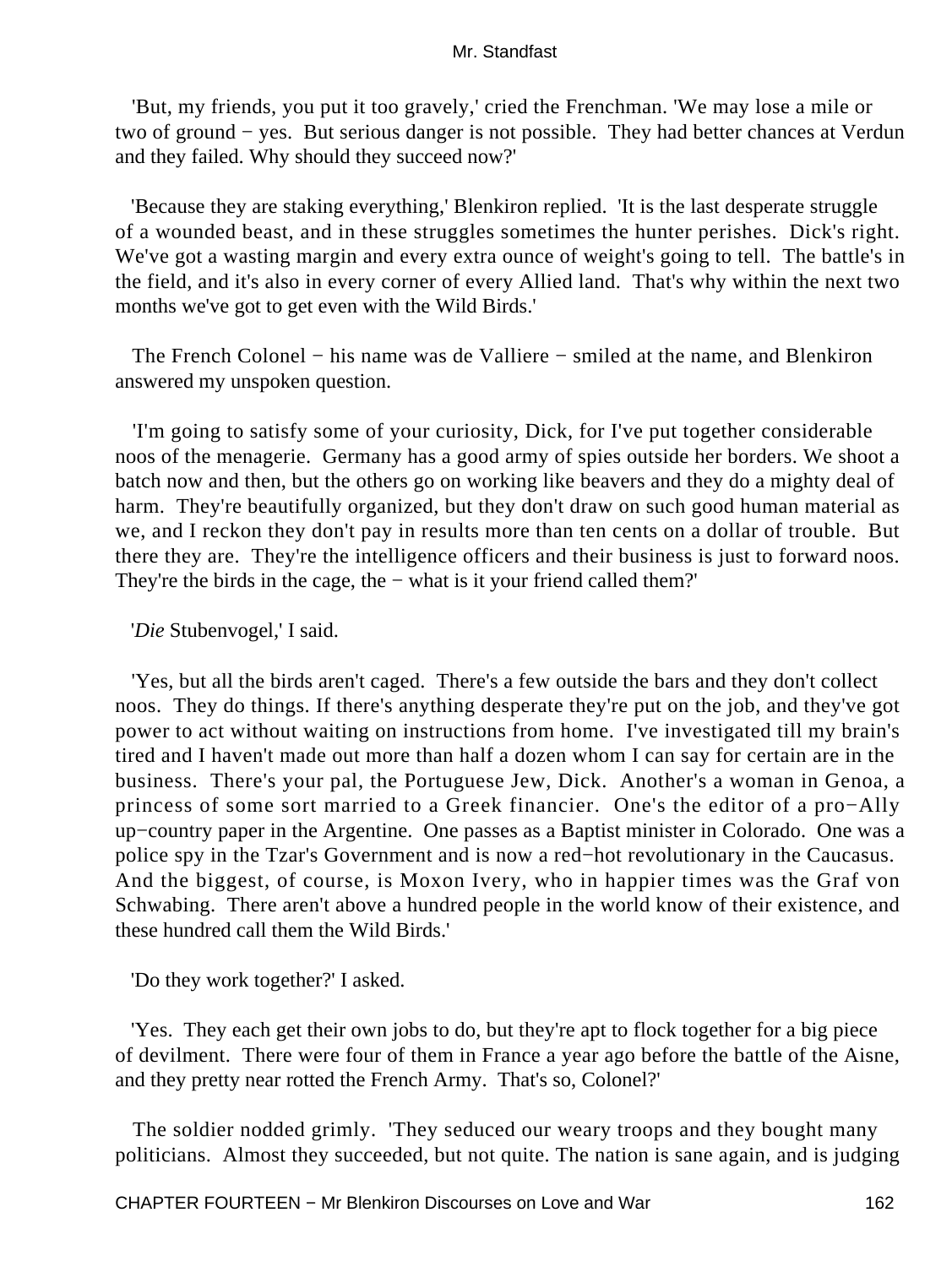'But, my friends, you put it too gravely,' cried the Frenchman. 'We may lose a mile or two of ground − yes. But serious danger is not possible. They had better chances at Verdun and they failed. Why should they succeed now?'

 'Because they are staking everything,' Blenkiron replied. 'It is the last desperate struggle of a wounded beast, and in these struggles sometimes the hunter perishes. Dick's right. We've got a wasting margin and every extra ounce of weight's going to tell. The battle's in the field, and it's also in every corner of every Allied land. That's why within the next two months we've got to get even with the Wild Birds.'

The French Colonel – his name was de Valliere – smiled at the name, and Blenkiron answered my unspoken question.

 'I'm going to satisfy some of your curiosity, Dick, for I've put together considerable noos of the menagerie. Germany has a good army of spies outside her borders. We shoot a batch now and then, but the others go on working like beavers and they do a mighty deal of harm. They're beautifully organized, but they don't draw on such good human material as we, and I reckon they don't pay in results more than ten cents on a dollar of trouble. But there they are. They're the intelligence officers and their business is just to forward noos. They're the birds in the cage, the − what is it your friend called them?'

## '*Die* Stubenvogel,' I said.

 'Yes, but all the birds aren't caged. There's a few outside the bars and they don't collect noos. They do things. If there's anything desperate they're put on the job, and they've got power to act without waiting on instructions from home. I've investigated till my brain's tired and I haven't made out more than half a dozen whom I can say for certain are in the business. There's your pal, the Portuguese Jew, Dick. Another's a woman in Genoa, a princess of some sort married to a Greek financier. One's the editor of a pro−Ally up−country paper in the Argentine. One passes as a Baptist minister in Colorado. One was a police spy in the Tzar's Government and is now a red−hot revolutionary in the Caucasus. And the biggest, of course, is Moxon Ivery, who in happier times was the Graf von Schwabing. There aren't above a hundred people in the world know of their existence, and these hundred call them the Wild Birds.'

'Do they work together?' I asked.

 'Yes. They each get their own jobs to do, but they're apt to flock together for a big piece of devilment. There were four of them in France a year ago before the battle of the Aisne, and they pretty near rotted the French Army. That's so, Colonel?'

 The soldier nodded grimly. 'They seduced our weary troops and they bought many politicians. Almost they succeeded, but not quite. The nation is sane again, and is judging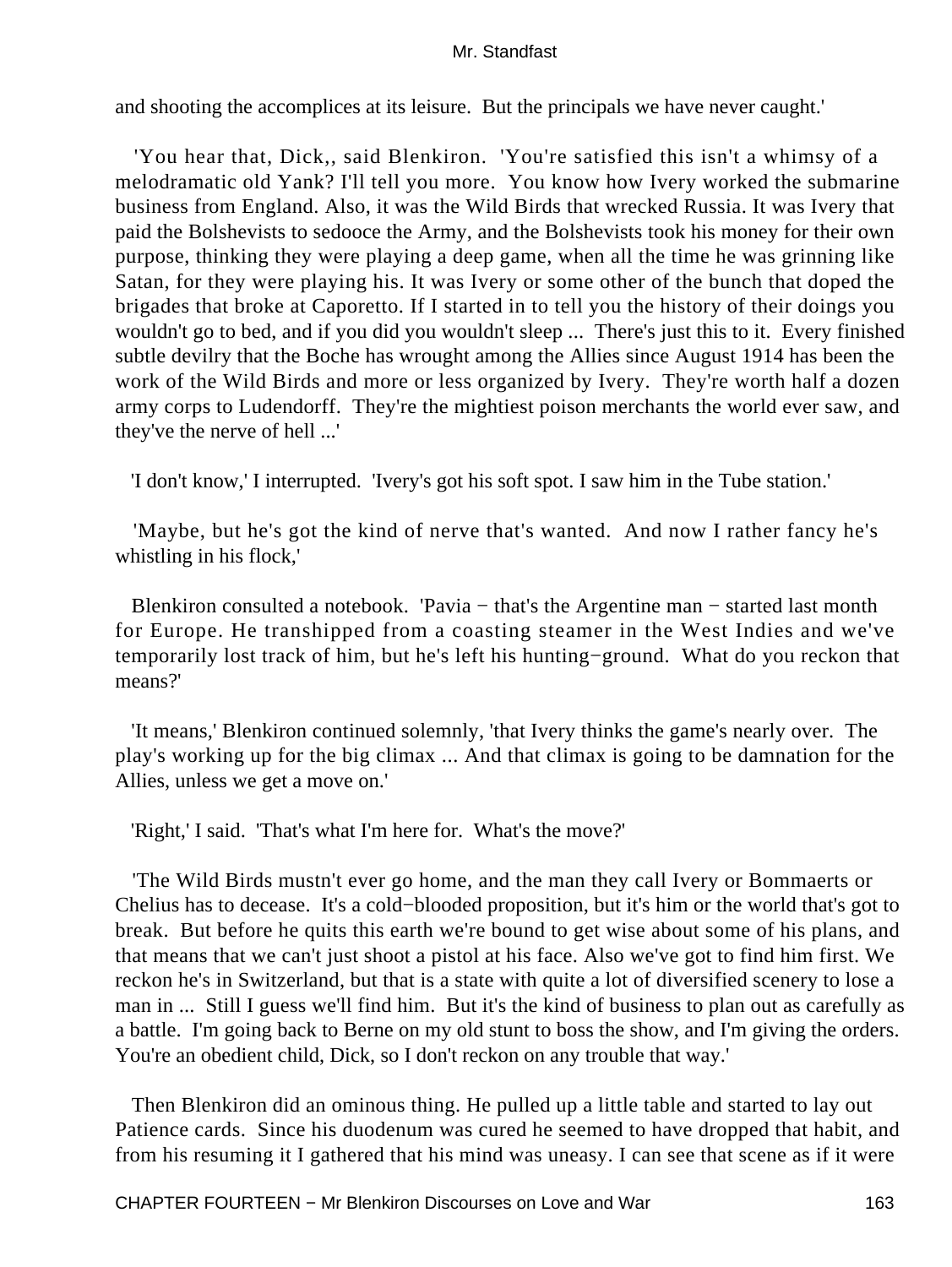and shooting the accomplices at its leisure. But the principals we have never caught.'

 'You hear that, Dick,, said Blenkiron. 'You're satisfied this isn't a whimsy of a melodramatic old Yank? I'll tell you more. You know how Ivery worked the submarine business from England. Also, it was the Wild Birds that wrecked Russia. It was Ivery that paid the Bolshevists to sedooce the Army, and the Bolshevists took his money for their own purpose, thinking they were playing a deep game, when all the time he was grinning like Satan, for they were playing his. It was Ivery or some other of the bunch that doped the brigades that broke at Caporetto. If I started in to tell you the history of their doings you wouldn't go to bed, and if you did you wouldn't sleep ... There's just this to it. Every finished subtle devilry that the Boche has wrought among the Allies since August 1914 has been the work of the Wild Birds and more or less organized by Ivery. They're worth half a dozen army corps to Ludendorff. They're the mightiest poison merchants the world ever saw, and they've the nerve of hell ...'

'I don't know,' I interrupted. 'Ivery's got his soft spot. I saw him in the Tube station.'

 'Maybe, but he's got the kind of nerve that's wanted. And now I rather fancy he's whistling in his flock,'

 Blenkiron consulted a notebook. 'Pavia − that's the Argentine man − started last month for Europe. He transhipped from a coasting steamer in the West Indies and we've temporarily lost track of him, but he's left his hunting−ground. What do you reckon that means?'

 'It means,' Blenkiron continued solemnly, 'that Ivery thinks the game's nearly over. The play's working up for the big climax ... And that climax is going to be damnation for the Allies, unless we get a move on.'

'Right,' I said. 'That's what I'm here for. What's the move?'

 'The Wild Birds mustn't ever go home, and the man they call Ivery or Bommaerts or Chelius has to decease. It's a cold−blooded proposition, but it's him or the world that's got to break. But before he quits this earth we're bound to get wise about some of his plans, and that means that we can't just shoot a pistol at his face. Also we've got to find him first. We reckon he's in Switzerland, but that is a state with quite a lot of diversified scenery to lose a man in ... Still I guess we'll find him. But it's the kind of business to plan out as carefully as a battle. I'm going back to Berne on my old stunt to boss the show, and I'm giving the orders. You're an obedient child, Dick, so I don't reckon on any trouble that way.'

 Then Blenkiron did an ominous thing. He pulled up a little table and started to lay out Patience cards. Since his duodenum was cured he seemed to have dropped that habit, and from his resuming it I gathered that his mind was uneasy. I can see that scene as if it were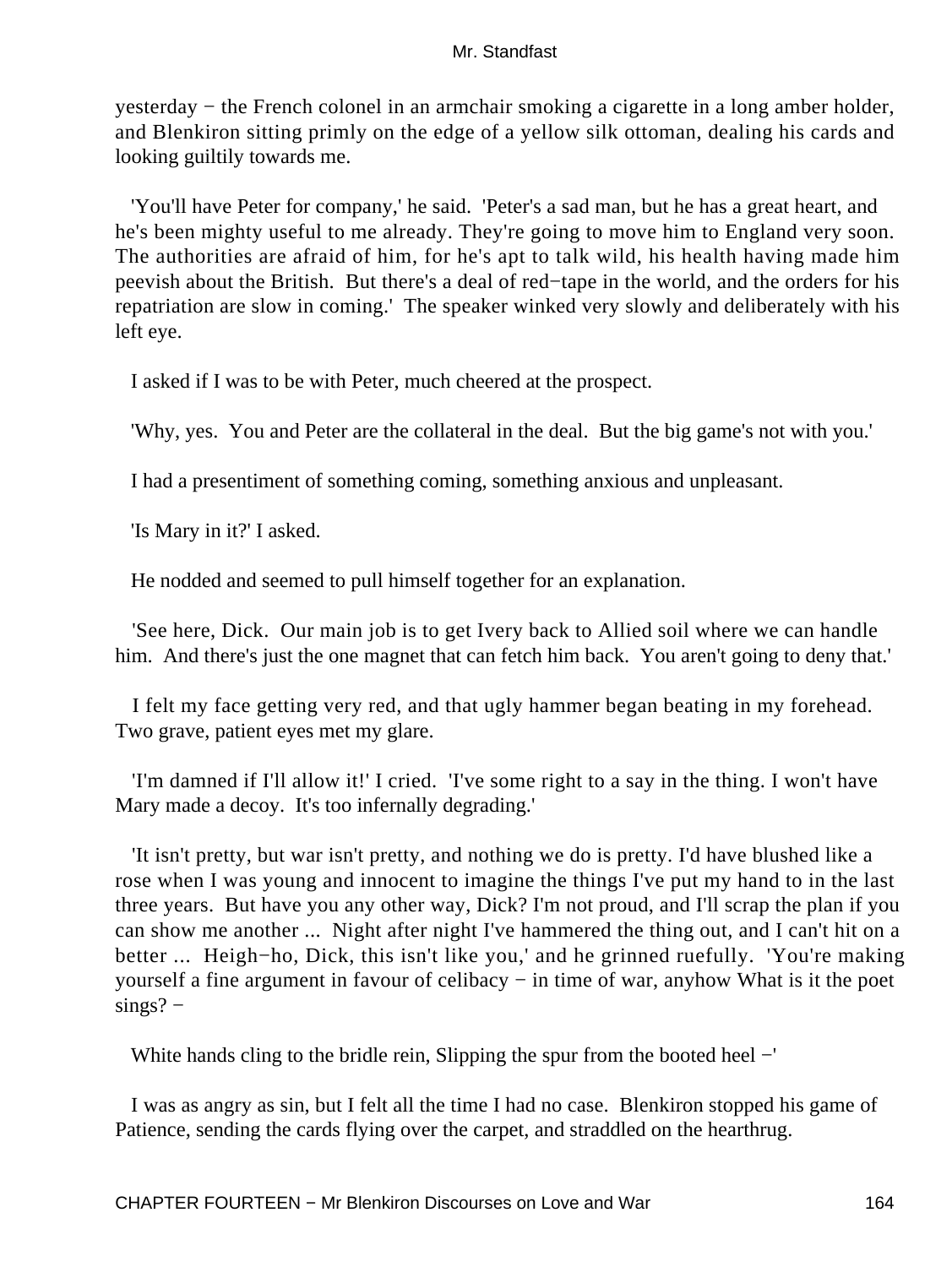yesterday − the French colonel in an armchair smoking a cigarette in a long amber holder, and Blenkiron sitting primly on the edge of a yellow silk ottoman, dealing his cards and looking guiltily towards me.

 'You'll have Peter for company,' he said. 'Peter's a sad man, but he has a great heart, and he's been mighty useful to me already. They're going to move him to England very soon. The authorities are afraid of him, for he's apt to talk wild, his health having made him peevish about the British. But there's a deal of red−tape in the world, and the orders for his repatriation are slow in coming.' The speaker winked very slowly and deliberately with his left eye.

I asked if I was to be with Peter, much cheered at the prospect.

'Why, yes. You and Peter are the collateral in the deal. But the big game's not with you.'

I had a presentiment of something coming, something anxious and unpleasant.

'Is Mary in it?' I asked.

He nodded and seemed to pull himself together for an explanation.

 'See here, Dick. Our main job is to get Ivery back to Allied soil where we can handle him. And there's just the one magnet that can fetch him back. You aren't going to deny that.'

 I felt my face getting very red, and that ugly hammer began beating in my forehead. Two grave, patient eyes met my glare.

 'I'm damned if I'll allow it!' I cried. 'I've some right to a say in the thing. I won't have Mary made a decoy. It's too infernally degrading.'

 'It isn't pretty, but war isn't pretty, and nothing we do is pretty. I'd have blushed like a rose when I was young and innocent to imagine the things I've put my hand to in the last three years. But have you any other way, Dick? I'm not proud, and I'll scrap the plan if you can show me another ... Night after night I've hammered the thing out, and I can't hit on a better ... Heigh−ho, Dick, this isn't like you,' and he grinned ruefully. 'You're making yourself a fine argument in favour of celibacy − in time of war, anyhow What is it the poet sings? –

White hands cling to the bridle rein, Slipping the spur from the booted heel −'

 I was as angry as sin, but I felt all the time I had no case. Blenkiron stopped his game of Patience, sending the cards flying over the carpet, and straddled on the hearthrug.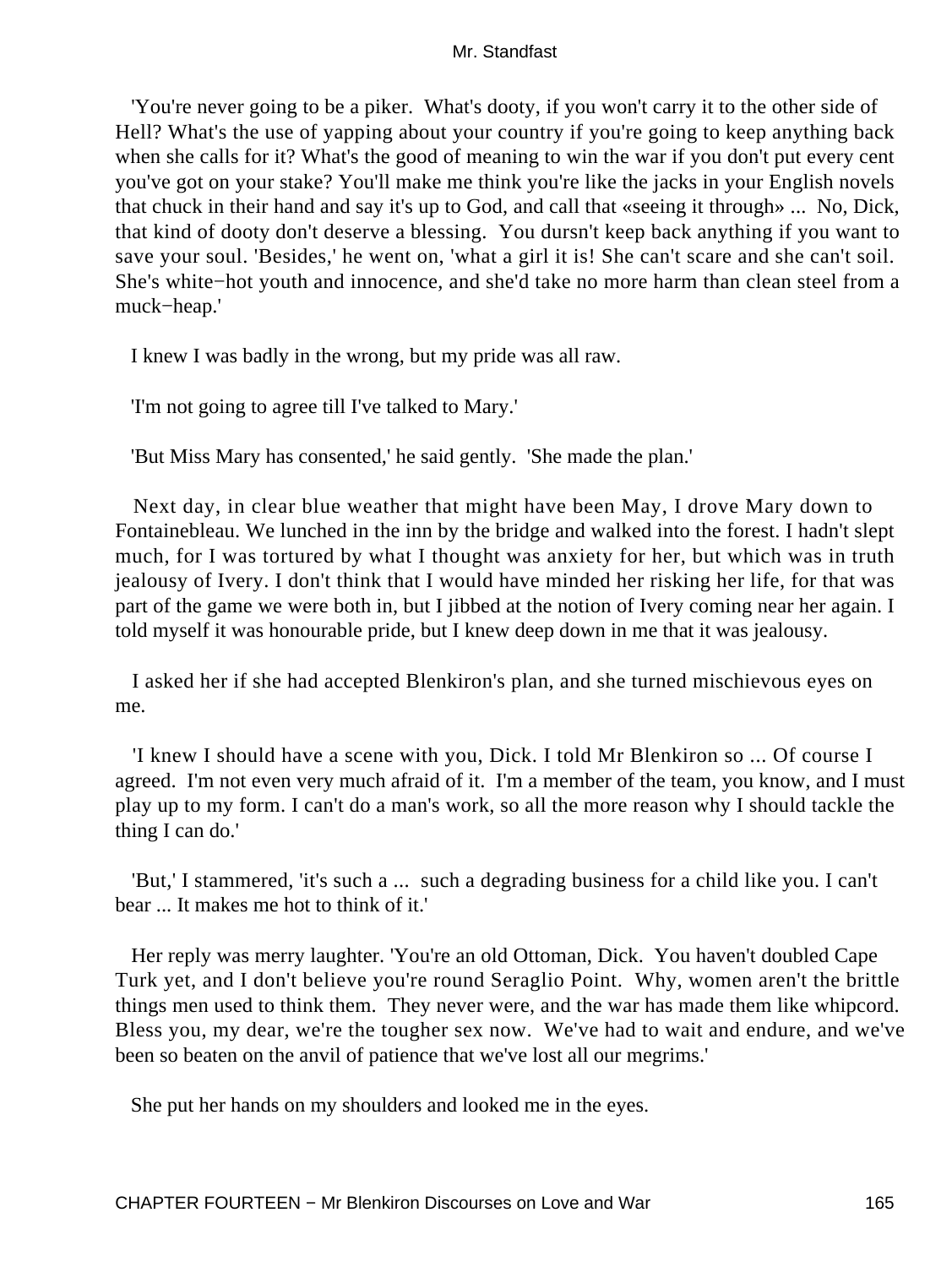'You're never going to be a piker. What's dooty, if you won't carry it to the other side of Hell? What's the use of yapping about your country if you're going to keep anything back when she calls for it? What's the good of meaning to win the war if you don't put every cent you've got on your stake? You'll make me think you're like the jacks in your English novels that chuck in their hand and say it's up to God, and call that «seeing it through» ... No, Dick, that kind of dooty don't deserve a blessing. You dursn't keep back anything if you want to save your soul. 'Besides,' he went on, 'what a girl it is! She can't scare and she can't soil. She's white−hot youth and innocence, and she'd take no more harm than clean steel from a muck−heap.'

I knew I was badly in the wrong, but my pride was all raw.

'I'm not going to agree till I've talked to Mary.'

'But Miss Mary has consented,' he said gently. 'She made the plan.'

 Next day, in clear blue weather that might have been May, I drove Mary down to Fontainebleau. We lunched in the inn by the bridge and walked into the forest. I hadn't slept much, for I was tortured by what I thought was anxiety for her, but which was in truth jealousy of Ivery. I don't think that I would have minded her risking her life, for that was part of the game we were both in, but I jibbed at the notion of Ivery coming near her again. I told myself it was honourable pride, but I knew deep down in me that it was jealousy.

 I asked her if she had accepted Blenkiron's plan, and she turned mischievous eyes on me.

 'I knew I should have a scene with you, Dick. I told Mr Blenkiron so ... Of course I agreed. I'm not even very much afraid of it. I'm a member of the team, you know, and I must play up to my form. I can't do a man's work, so all the more reason why I should tackle the thing I can do.'

 'But,' I stammered, 'it's such a ... such a degrading business for a child like you. I can't bear ... It makes me hot to think of it.'

 Her reply was merry laughter. 'You're an old Ottoman, Dick. You haven't doubled Cape Turk yet, and I don't believe you're round Seraglio Point. Why, women aren't the brittle things men used to think them. They never were, and the war has made them like whipcord. Bless you, my dear, we're the tougher sex now. We've had to wait and endure, and we've been so beaten on the anvil of patience that we've lost all our megrims.'

She put her hands on my shoulders and looked me in the eyes.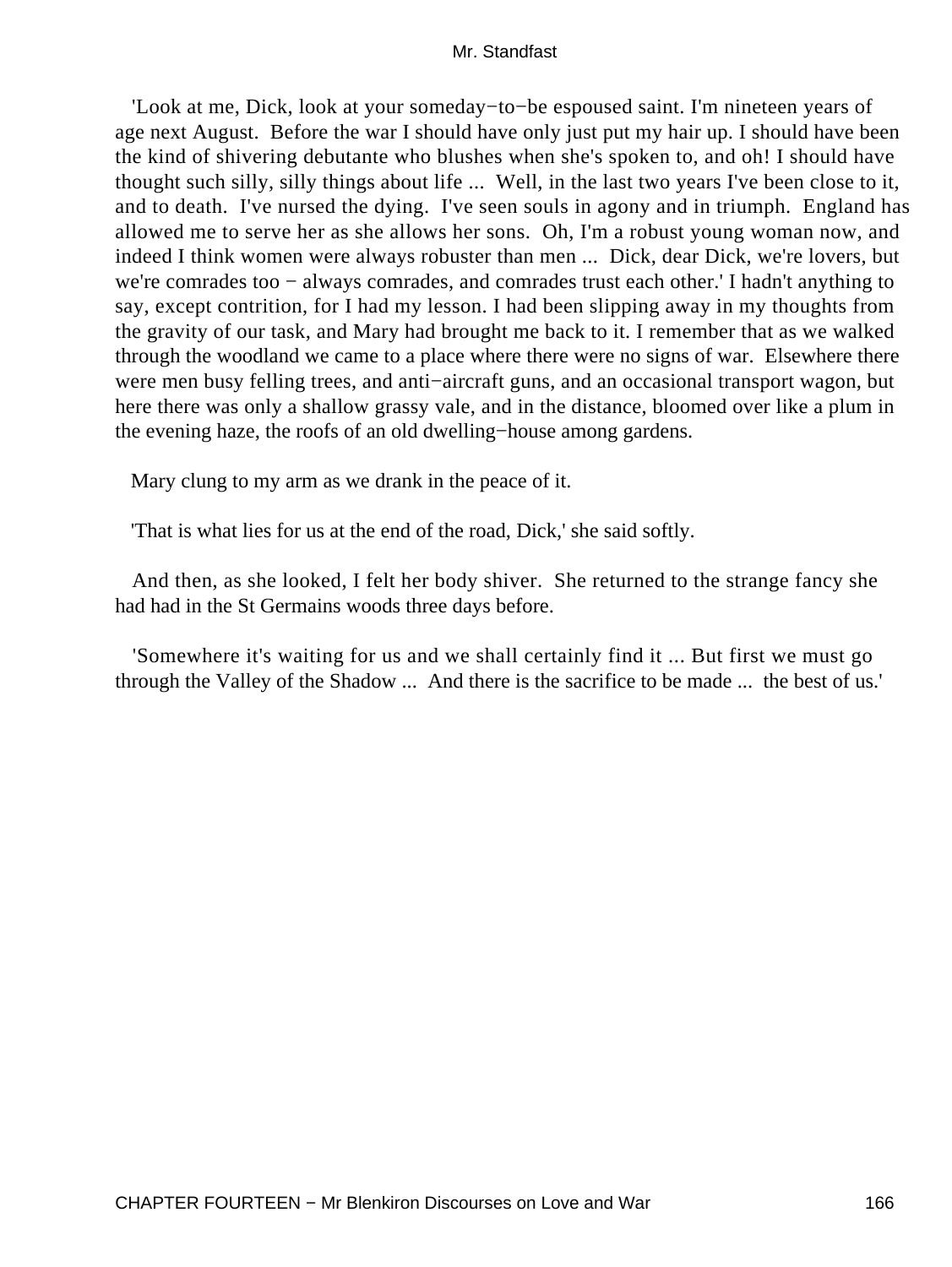'Look at me, Dick, look at your someday−to−be espoused saint. I'm nineteen years of age next August. Before the war I should have only just put my hair up. I should have been the kind of shivering debutante who blushes when she's spoken to, and oh! I should have thought such silly, silly things about life ... Well, in the last two years I've been close to it, and to death. I've nursed the dying. I've seen souls in agony and in triumph. England has allowed me to serve her as she allows her sons. Oh, I'm a robust young woman now, and indeed I think women were always robuster than men ... Dick, dear Dick, we're lovers, but we're comrades too − always comrades, and comrades trust each other.' I hadn't anything to say, except contrition, for I had my lesson. I had been slipping away in my thoughts from the gravity of our task, and Mary had brought me back to it. I remember that as we walked through the woodland we came to a place where there were no signs of war. Elsewhere there were men busy felling trees, and anti−aircraft guns, and an occasional transport wagon, but here there was only a shallow grassy vale, and in the distance, bloomed over like a plum in the evening haze, the roofs of an old dwelling−house among gardens.

Mary clung to my arm as we drank in the peace of it.

'That is what lies for us at the end of the road, Dick,' she said softly.

 And then, as she looked, I felt her body shiver. She returned to the strange fancy she had had in the St Germains woods three days before.

 'Somewhere it's waiting for us and we shall certainly find it ... But first we must go through the Valley of the Shadow ... And there is the sacrifice to be made ... the best of us.'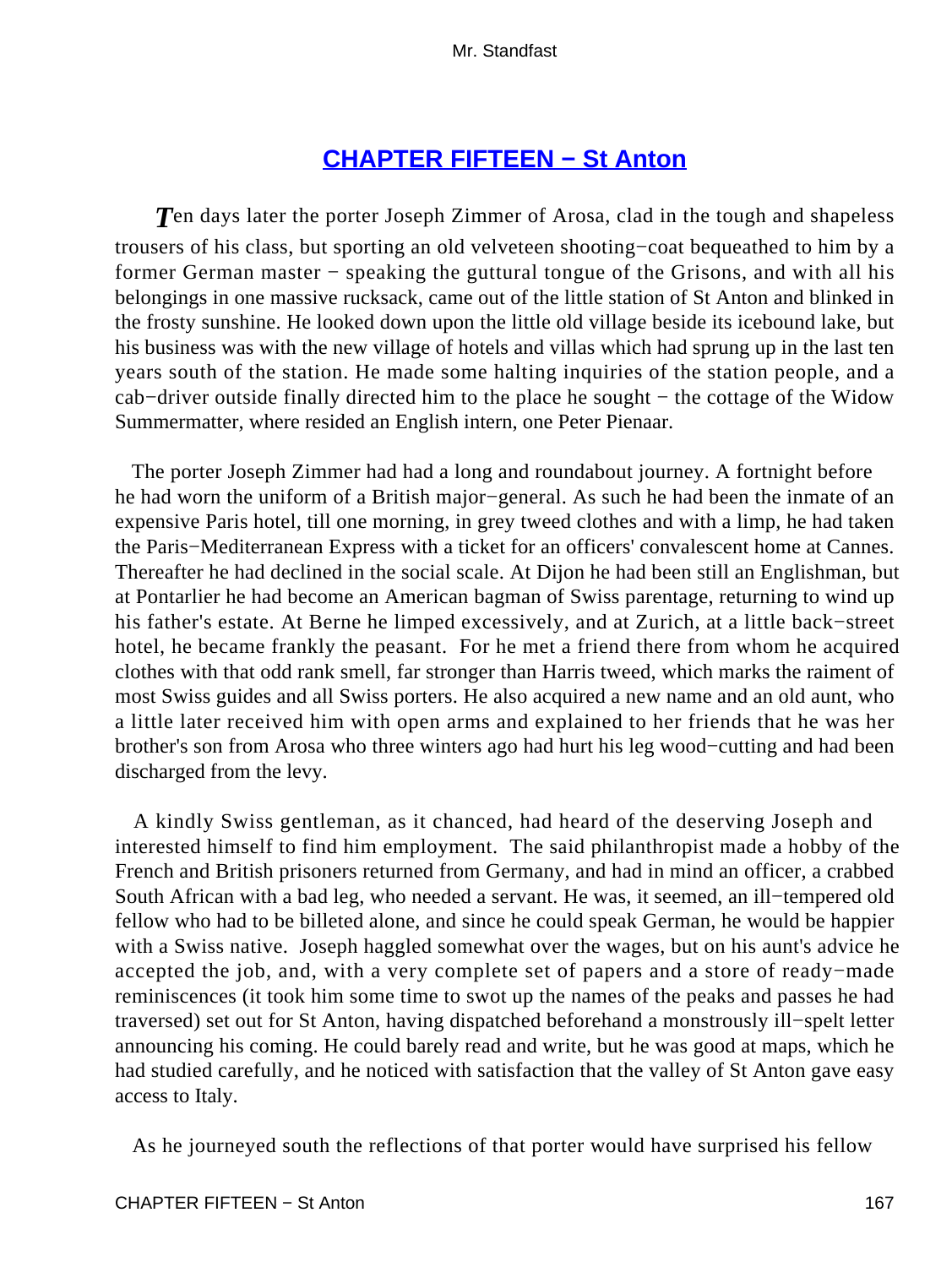## **[CHAPTER FIFTEEN − St Anton](#page-255-0)**

**T**en days later the porter Joseph Zimmer of Arosa, clad in the tough and shapeless trousers of his class, but sporting an old velveteen shooting−coat bequeathed to him by a former German master – speaking the guttural tongue of the Grisons, and with all his belongings in one massive rucksack, came out of the little station of St Anton and blinked in the frosty sunshine. He looked down upon the little old village beside its icebound lake, but his business was with the new village of hotels and villas which had sprung up in the last ten years south of the station. He made some halting inquiries of the station people, and a cab−driver outside finally directed him to the place he sought − the cottage of the Widow Summermatter, where resided an English intern, one Peter Pienaar.

 The porter Joseph Zimmer had had a long and roundabout journey. A fortnight before he had worn the uniform of a British major−general. As such he had been the inmate of an expensive Paris hotel, till one morning, in grey tweed clothes and with a limp, he had taken the Paris−Mediterranean Express with a ticket for an officers' convalescent home at Cannes. Thereafter he had declined in the social scale. At Dijon he had been still an Englishman, but at Pontarlier he had become an American bagman of Swiss parentage, returning to wind up his father's estate. At Berne he limped excessively, and at Zurich, at a little back−street hotel, he became frankly the peasant. For he met a friend there from whom he acquired clothes with that odd rank smell, far stronger than Harris tweed, which marks the raiment of most Swiss guides and all Swiss porters. He also acquired a new name and an old aunt, who a little later received him with open arms and explained to her friends that he was her brother's son from Arosa who three winters ago had hurt his leg wood−cutting and had been discharged from the levy.

 A kindly Swiss gentleman, as it chanced, had heard of the deserving Joseph and interested himself to find him employment. The said philanthropist made a hobby of the French and British prisoners returned from Germany, and had in mind an officer, a crabbed South African with a bad leg, who needed a servant. He was, it seemed, an ill−tempered old fellow who had to be billeted alone, and since he could speak German, he would be happier with a Swiss native. Joseph haggled somewhat over the wages, but on his aunt's advice he accepted the job, and, with a very complete set of papers and a store of ready−made reminiscences (it took him some time to swot up the names of the peaks and passes he had traversed) set out for St Anton, having dispatched beforehand a monstrously ill−spelt letter announcing his coming. He could barely read and write, but he was good at maps, which he had studied carefully, and he noticed with satisfaction that the valley of St Anton gave easy access to Italy.

As he journeyed south the reflections of that porter would have surprised his fellow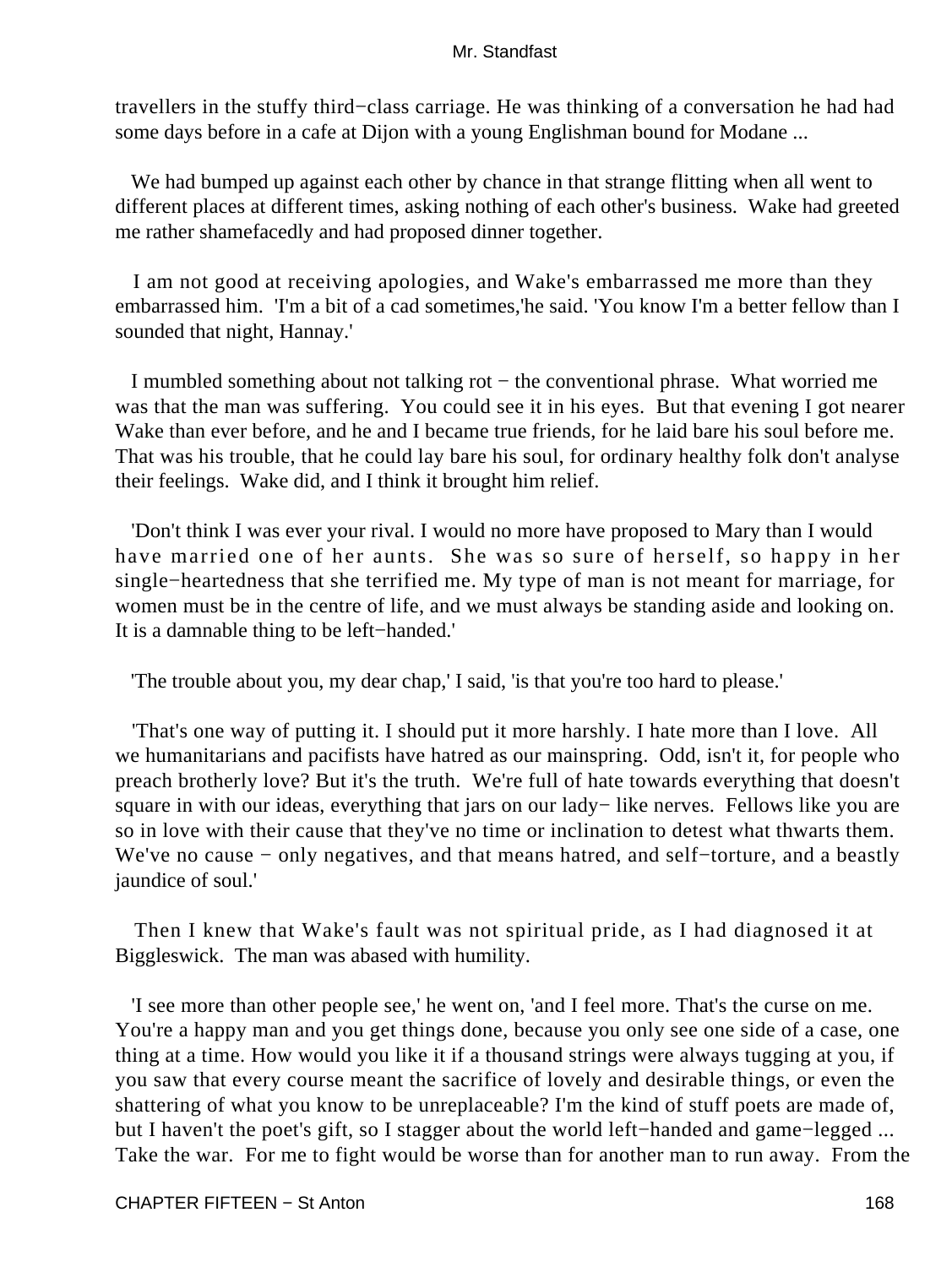travellers in the stuffy third−class carriage. He was thinking of a conversation he had had some days before in a cafe at Dijon with a young Englishman bound for Modane ...

We had bumped up against each other by chance in that strange flitting when all went to different places at different times, asking nothing of each other's business. Wake had greeted me rather shamefacedly and had proposed dinner together.

 I am not good at receiving apologies, and Wake's embarrassed me more than they embarrassed him. 'I'm a bit of a cad sometimes,'he said. 'You know I'm a better fellow than I sounded that night, Hannay.'

 I mumbled something about not talking rot − the conventional phrase. What worried me was that the man was suffering. You could see it in his eyes. But that evening I got nearer Wake than ever before, and he and I became true friends, for he laid bare his soul before me. That was his trouble, that he could lay bare his soul, for ordinary healthy folk don't analyse their feelings. Wake did, and I think it brought him relief.

 'Don't think I was ever your rival. I would no more have proposed to Mary than I would have married one of her aunts. She was so sure of herself, so happy in her single−heartedness that she terrified me. My type of man is not meant for marriage, for women must be in the centre of life, and we must always be standing aside and looking on. It is a damnable thing to be left−handed.'

'The trouble about you, my dear chap,' I said, 'is that you're too hard to please.'

 'That's one way of putting it. I should put it more harshly. I hate more than I love. All we humanitarians and pacifists have hatred as our mainspring. Odd, isn't it, for people who preach brotherly love? But it's the truth. We're full of hate towards everything that doesn't square in with our ideas, everything that jars on our lady– like nerves. Fellows like you are so in love with their cause that they've no time or inclination to detest what thwarts them. We've no cause − only negatives, and that means hatred, and self−torture, and a beastly jaundice of soul.'

 Then I knew that Wake's fault was not spiritual pride, as I had diagnosed it at Biggleswick. The man was abased with humility.

 'I see more than other people see,' he went on, 'and I feel more. That's the curse on me. You're a happy man and you get things done, because you only see one side of a case, one thing at a time. How would you like it if a thousand strings were always tugging at you, if you saw that every course meant the sacrifice of lovely and desirable things, or even the shattering of what you know to be unreplaceable? I'm the kind of stuff poets are made of, but I haven't the poet's gift, so I stagger about the world left−handed and game−legged ... Take the war. For me to fight would be worse than for another man to run away. From the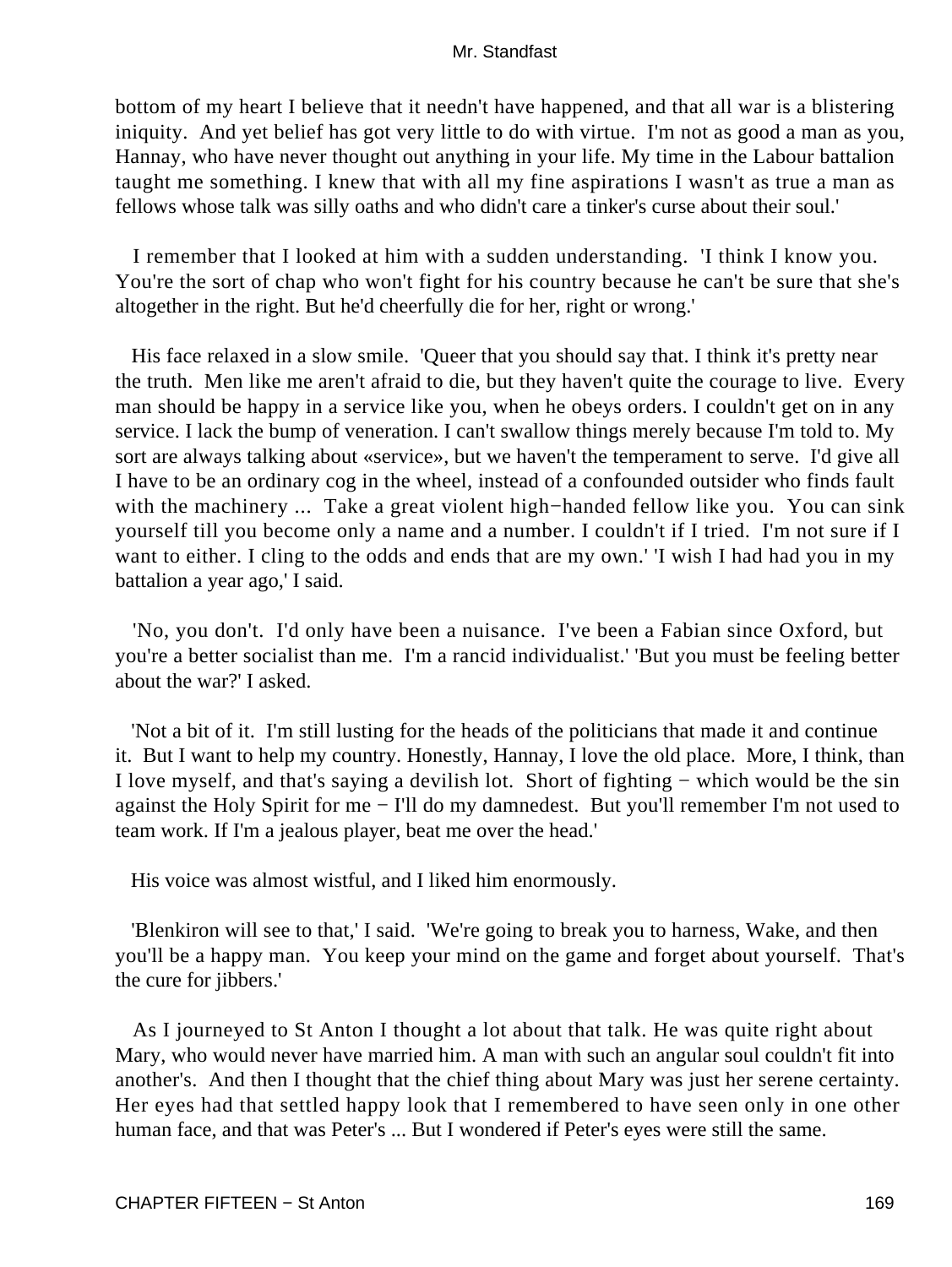bottom of my heart I believe that it needn't have happened, and that all war is a blistering iniquity. And yet belief has got very little to do with virtue. I'm not as good a man as you, Hannay, who have never thought out anything in your life. My time in the Labour battalion taught me something. I knew that with all my fine aspirations I wasn't as true a man as fellows whose talk was silly oaths and who didn't care a tinker's curse about their soul.'

 I remember that I looked at him with a sudden understanding. 'I think I know you. You're the sort of chap who won't fight for his country because he can't be sure that she's altogether in the right. But he'd cheerfully die for her, right or wrong.'

 His face relaxed in a slow smile. 'Queer that you should say that. I think it's pretty near the truth. Men like me aren't afraid to die, but they haven't quite the courage to live. Every man should be happy in a service like you, when he obeys orders. I couldn't get on in any service. I lack the bump of veneration. I can't swallow things merely because I'm told to. My sort are always talking about «service», but we haven't the temperament to serve. I'd give all I have to be an ordinary cog in the wheel, instead of a confounded outsider who finds fault with the machinery ... Take a great violent high−handed fellow like you. You can sink yourself till you become only a name and a number. I couldn't if I tried. I'm not sure if I want to either. I cling to the odds and ends that are my own.' I wish I had had you in my battalion a year ago,' I said.

 'No, you don't. I'd only have been a nuisance. I've been a Fabian since Oxford, but you're a better socialist than me. I'm a rancid individualist.' 'But you must be feeling better about the war?' I asked.

 'Not a bit of it. I'm still lusting for the heads of the politicians that made it and continue it. But I want to help my country. Honestly, Hannay, I love the old place. More, I think, than I love myself, and that's saying a devilish lot. Short of fighting − which would be the sin against the Holy Spirit for me − I'll do my damnedest. But you'll remember I'm not used to team work. If I'm a jealous player, beat me over the head.'

His voice was almost wistful, and I liked him enormously.

 'Blenkiron will see to that,' I said. 'We're going to break you to harness, Wake, and then you'll be a happy man. You keep your mind on the game and forget about yourself. That's the cure for jibbers.'

 As I journeyed to St Anton I thought a lot about that talk. He was quite right about Mary, who would never have married him. A man with such an angular soul couldn't fit into another's. And then I thought that the chief thing about Mary was just her serene certainty. Her eyes had that settled happy look that I remembered to have seen only in one other human face, and that was Peter's ... But I wondered if Peter's eyes were still the same.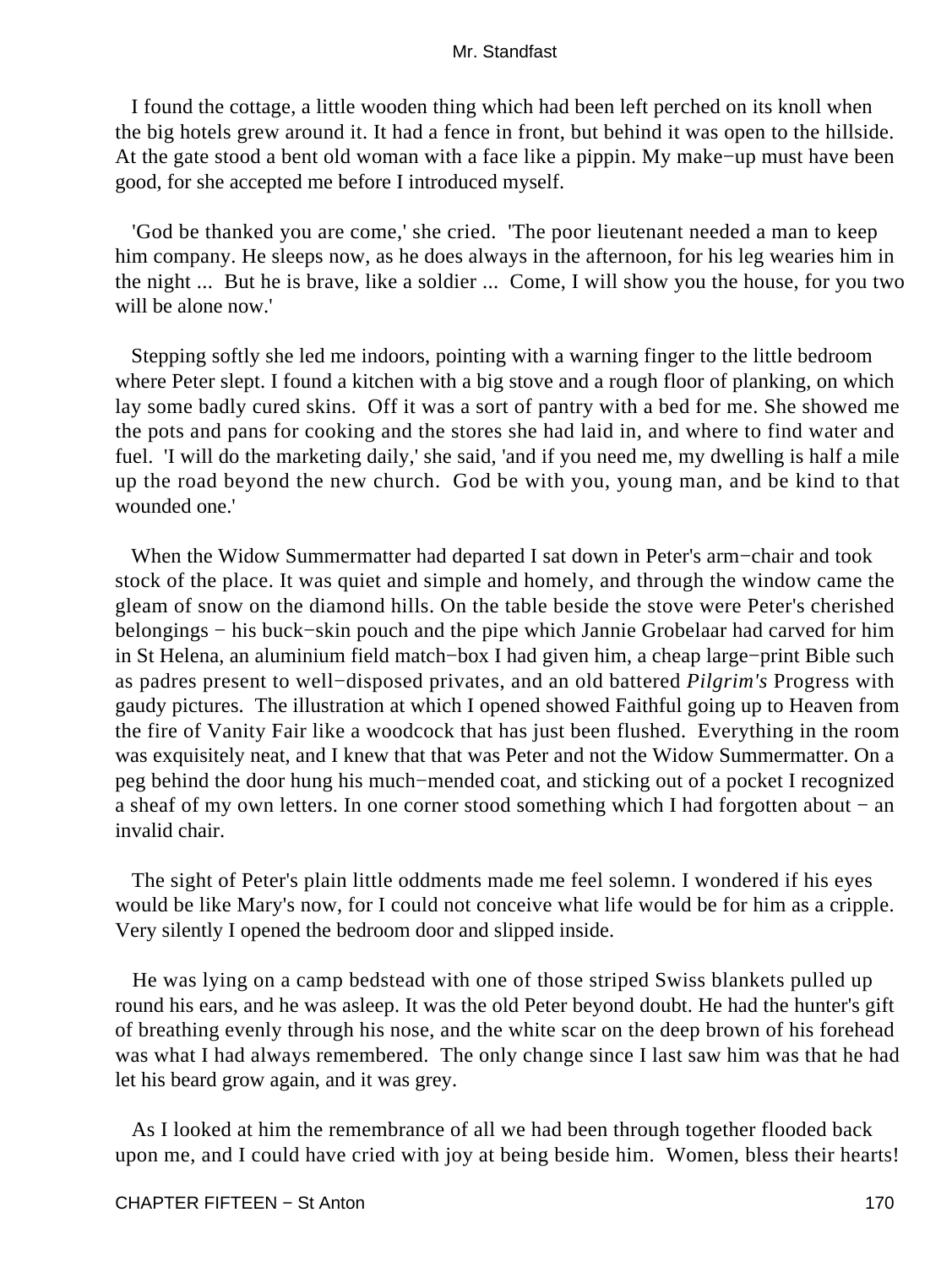I found the cottage, a little wooden thing which had been left perched on its knoll when the big hotels grew around it. It had a fence in front, but behind it was open to the hillside. At the gate stood a bent old woman with a face like a pippin. My make−up must have been good, for she accepted me before I introduced myself.

 'God be thanked you are come,' she cried. 'The poor lieutenant needed a man to keep him company. He sleeps now, as he does always in the afternoon, for his leg wearies him in the night ... But he is brave, like a soldier ... Come, I will show you the house, for you two will be alone now.'

 Stepping softly she led me indoors, pointing with a warning finger to the little bedroom where Peter slept. I found a kitchen with a big stove and a rough floor of planking, on which lay some badly cured skins. Off it was a sort of pantry with a bed for me. She showed me the pots and pans for cooking and the stores she had laid in, and where to find water and fuel. 'I will do the marketing daily,' she said, 'and if you need me, my dwelling is half a mile up the road beyond the new church. God be with you, young man, and be kind to that wounded one.'

 When the Widow Summermatter had departed I sat down in Peter's arm−chair and took stock of the place. It was quiet and simple and homely, and through the window came the gleam of snow on the diamond hills. On the table beside the stove were Peter's cherished belongings − his buck−skin pouch and the pipe which Jannie Grobelaar had carved for him in St Helena, an aluminium field match−box I had given him, a cheap large−print Bible such as padres present to well−disposed privates, and an old battered *Pilgrim's* Progress with gaudy pictures. The illustration at which I opened showed Faithful going up to Heaven from the fire of Vanity Fair like a woodcock that has just been flushed. Everything in the room was exquisitely neat, and I knew that that was Peter and not the Widow Summermatter. On a peg behind the door hung his much−mended coat, and sticking out of a pocket I recognized a sheaf of my own letters. In one corner stood something which I had forgotten about − an invalid chair.

 The sight of Peter's plain little oddments made me feel solemn. I wondered if his eyes would be like Mary's now, for I could not conceive what life would be for him as a cripple. Very silently I opened the bedroom door and slipped inside.

 He was lying on a camp bedstead with one of those striped Swiss blankets pulled up round his ears, and he was asleep. It was the old Peter beyond doubt. He had the hunter's gift of breathing evenly through his nose, and the white scar on the deep brown of his forehead was what I had always remembered. The only change since I last saw him was that he had let his beard grow again, and it was grey.

 As I looked at him the remembrance of all we had been through together flooded back upon me, and I could have cried with joy at being beside him. Women, bless their hearts!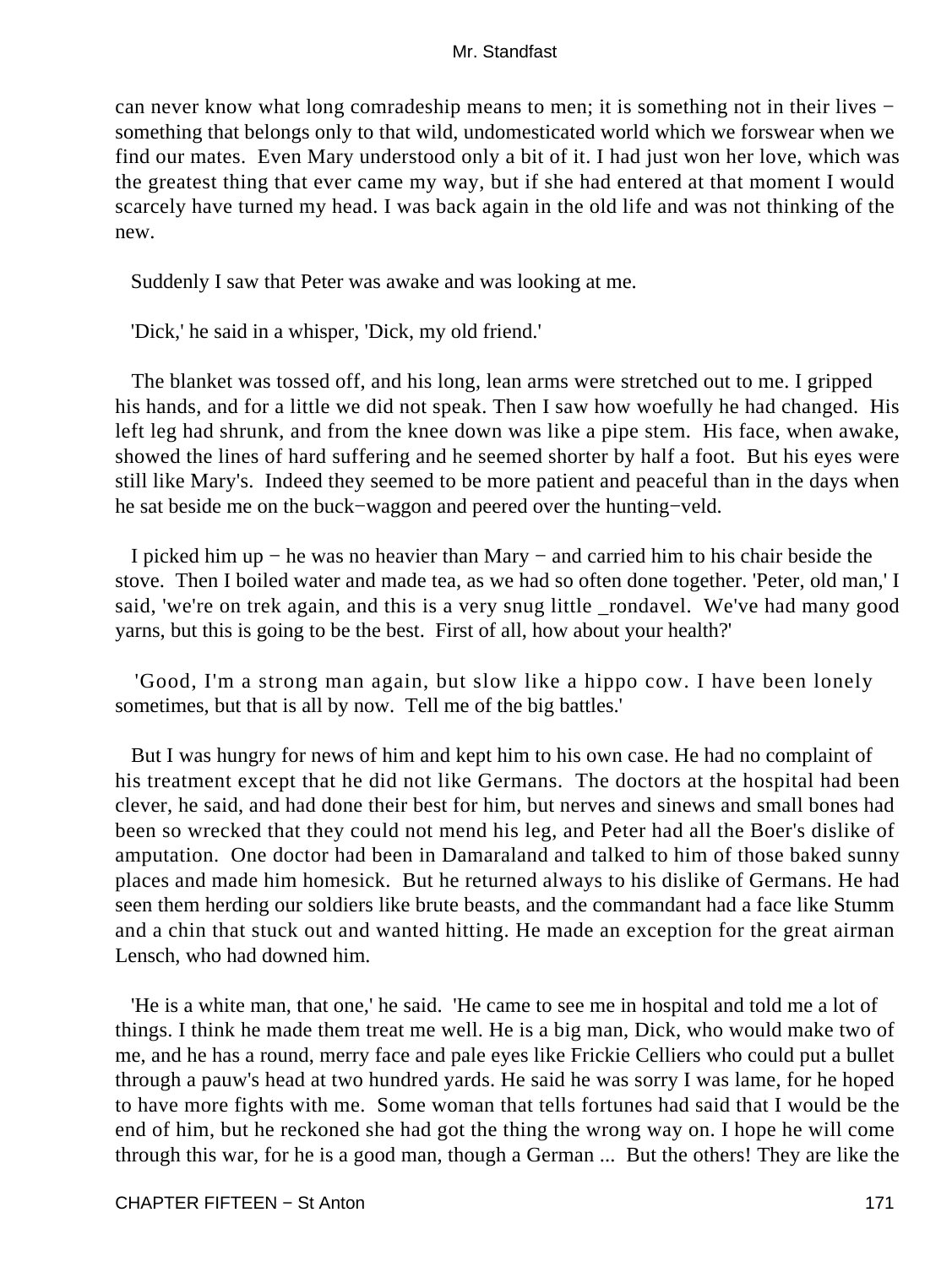can never know what long comradeship means to men; it is something not in their lives − something that belongs only to that wild, undomesticated world which we forswear when we find our mates. Even Mary understood only a bit of it. I had just won her love, which was the greatest thing that ever came my way, but if she had entered at that moment I would scarcely have turned my head. I was back again in the old life and was not thinking of the new.

Suddenly I saw that Peter was awake and was looking at me.

'Dick,' he said in a whisper, 'Dick, my old friend.'

 The blanket was tossed off, and his long, lean arms were stretched out to me. I gripped his hands, and for a little we did not speak. Then I saw how woefully he had changed. His left leg had shrunk, and from the knee down was like a pipe stem. His face, when awake, showed the lines of hard suffering and he seemed shorter by half a foot. But his eyes were still like Mary's. Indeed they seemed to be more patient and peaceful than in the days when he sat beside me on the buck−waggon and peered over the hunting−veld.

 I picked him up − he was no heavier than Mary − and carried him to his chair beside the stove. Then I boiled water and made tea, as we had so often done together. 'Peter, old man,' I said, 'we're on trek again, and this is a very snug little \_rondavel. We've had many good yarns, but this is going to be the best. First of all, how about your health?'

 'Good, I'm a strong man again, but slow like a hippo cow. I have been lonely sometimes, but that is all by now. Tell me of the big battles.'

 But I was hungry for news of him and kept him to his own case. He had no complaint of his treatment except that he did not like Germans. The doctors at the hospital had been clever, he said, and had done their best for him, but nerves and sinews and small bones had been so wrecked that they could not mend his leg, and Peter had all the Boer's dislike of amputation. One doctor had been in Damaraland and talked to him of those baked sunny places and made him homesick. But he returned always to his dislike of Germans. He had seen them herding our soldiers like brute beasts, and the commandant had a face like Stumm and a chin that stuck out and wanted hitting. He made an exception for the great airman Lensch, who had downed him.

 'He is a white man, that one,' he said. 'He came to see me in hospital and told me a lot of things. I think he made them treat me well. He is a big man, Dick, who would make two of me, and he has a round, merry face and pale eyes like Frickie Celliers who could put a bullet through a pauw's head at two hundred yards. He said he was sorry I was lame, for he hoped to have more fights with me. Some woman that tells fortunes had said that I would be the end of him, but he reckoned she had got the thing the wrong way on. I hope he will come through this war, for he is a good man, though a German ... But the others! They are like the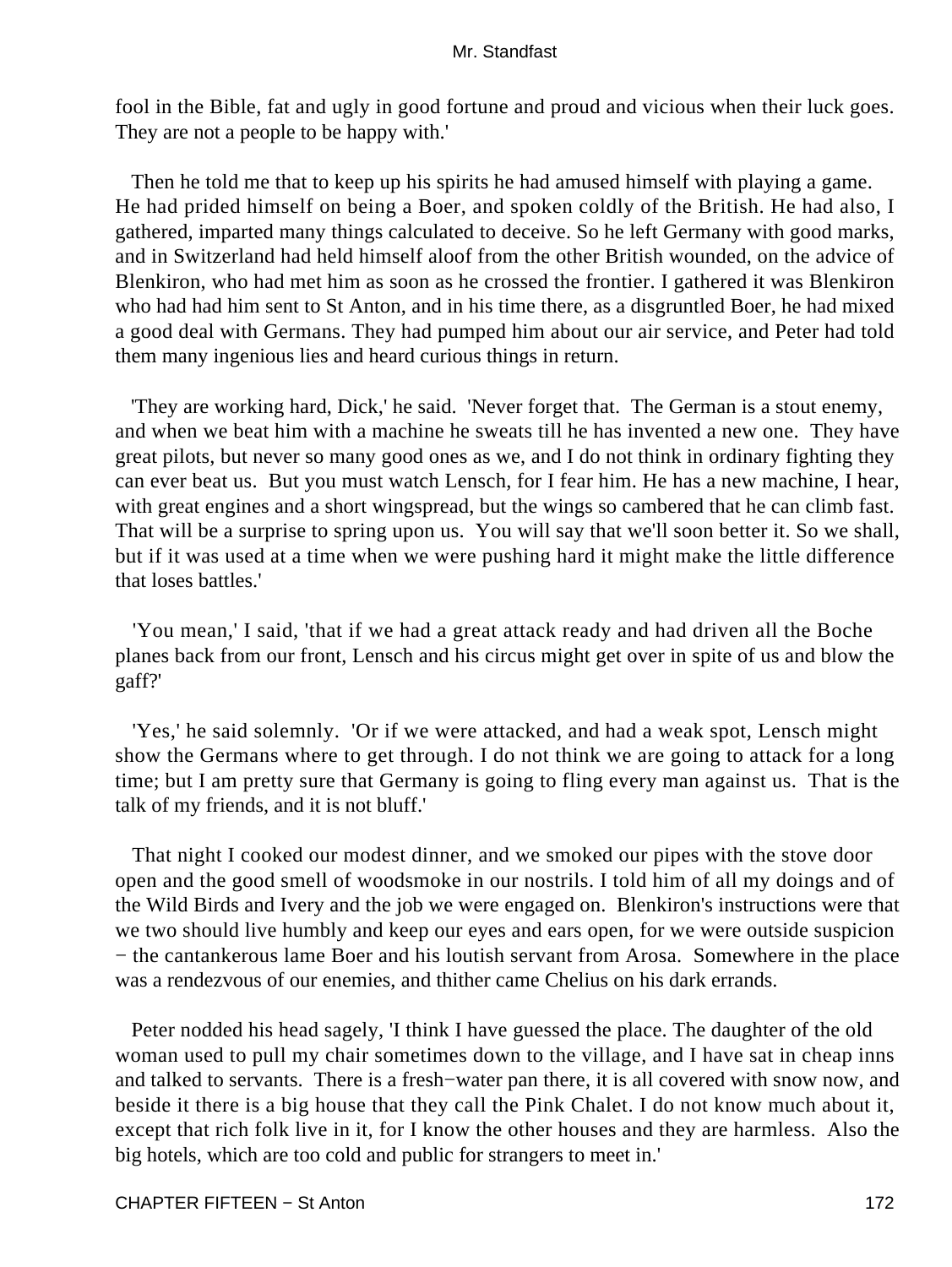fool in the Bible, fat and ugly in good fortune and proud and vicious when their luck goes. They are not a people to be happy with.'

 Then he told me that to keep up his spirits he had amused himself with playing a game. He had prided himself on being a Boer, and spoken coldly of the British. He had also, I gathered, imparted many things calculated to deceive. So he left Germany with good marks, and in Switzerland had held himself aloof from the other British wounded, on the advice of Blenkiron, who had met him as soon as he crossed the frontier. I gathered it was Blenkiron who had had him sent to St Anton, and in his time there, as a disgruntled Boer, he had mixed a good deal with Germans. They had pumped him about our air service, and Peter had told them many ingenious lies and heard curious things in return.

 'They are working hard, Dick,' he said. 'Never forget that. The German is a stout enemy, and when we beat him with a machine he sweats till he has invented a new one. They have great pilots, but never so many good ones as we, and I do not think in ordinary fighting they can ever beat us. But you must watch Lensch, for I fear him. He has a new machine, I hear, with great engines and a short wingspread, but the wings so cambered that he can climb fast. That will be a surprise to spring upon us. You will say that we'll soon better it. So we shall, but if it was used at a time when we were pushing hard it might make the little difference that loses battles.'

 'You mean,' I said, 'that if we had a great attack ready and had driven all the Boche planes back from our front, Lensch and his circus might get over in spite of us and blow the gaff?'

 'Yes,' he said solemnly. 'Or if we were attacked, and had a weak spot, Lensch might show the Germans where to get through. I do not think we are going to attack for a long time; but I am pretty sure that Germany is going to fling every man against us. That is the talk of my friends, and it is not bluff.'

 That night I cooked our modest dinner, and we smoked our pipes with the stove door open and the good smell of woodsmoke in our nostrils. I told him of all my doings and of the Wild Birds and Ivery and the job we were engaged on. Blenkiron's instructions were that we two should live humbly and keep our eyes and ears open, for we were outside suspicion − the cantankerous lame Boer and his loutish servant from Arosa. Somewhere in the place was a rendezvous of our enemies, and thither came Chelius on his dark errands.

 Peter nodded his head sagely, 'I think I have guessed the place. The daughter of the old woman used to pull my chair sometimes down to the village, and I have sat in cheap inns and talked to servants. There is a fresh−water pan there, it is all covered with snow now, and beside it there is a big house that they call the Pink Chalet. I do not know much about it, except that rich folk live in it, for I know the other houses and they are harmless. Also the big hotels, which are too cold and public for strangers to meet in.'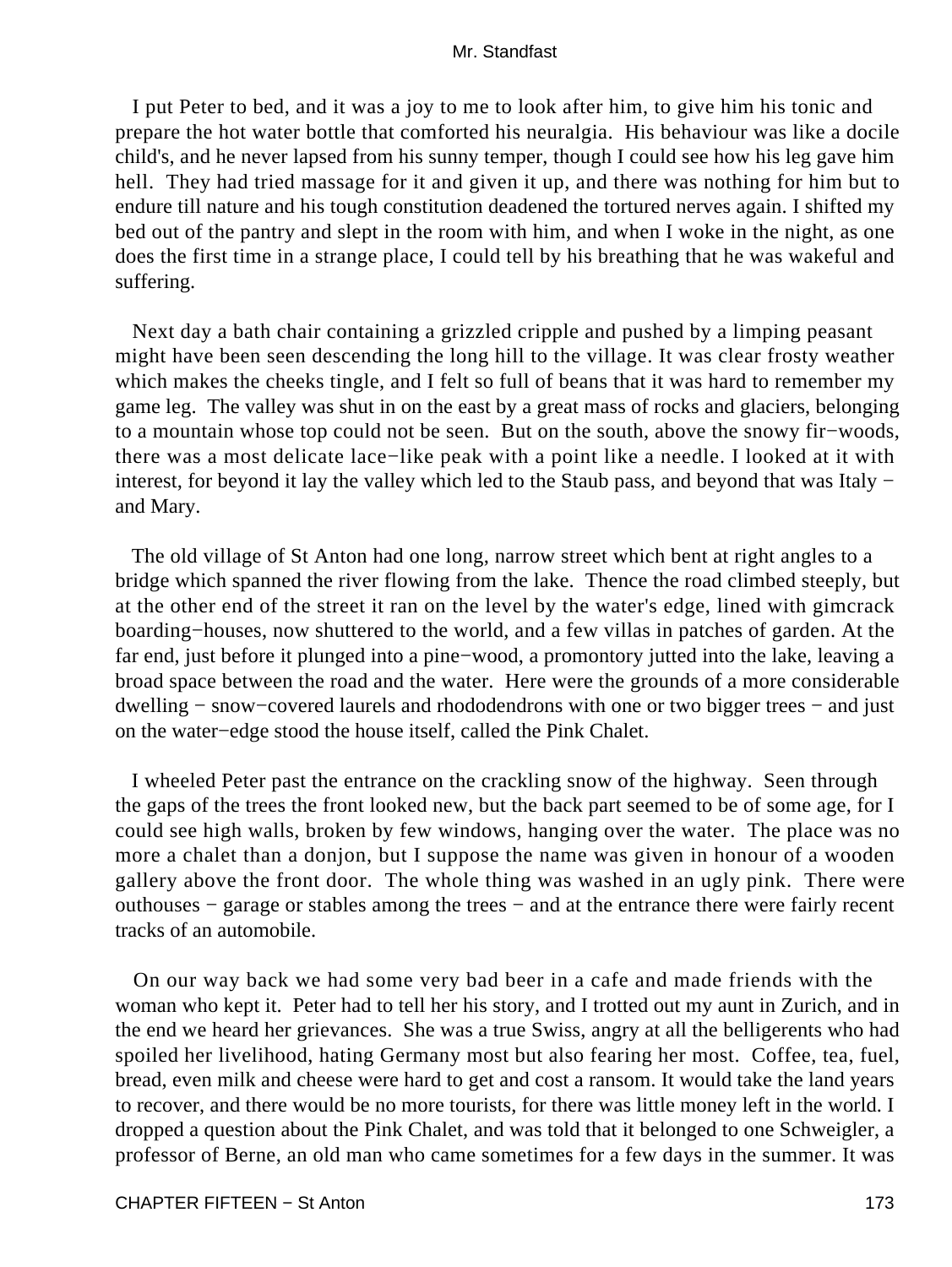I put Peter to bed, and it was a joy to me to look after him, to give him his tonic and prepare the hot water bottle that comforted his neuralgia. His behaviour was like a docile child's, and he never lapsed from his sunny temper, though I could see how his leg gave him hell. They had tried massage for it and given it up, and there was nothing for him but to endure till nature and his tough constitution deadened the tortured nerves again. I shifted my bed out of the pantry and slept in the room with him, and when I woke in the night, as one does the first time in a strange place, I could tell by his breathing that he was wakeful and suffering.

 Next day a bath chair containing a grizzled cripple and pushed by a limping peasant might have been seen descending the long hill to the village. It was clear frosty weather which makes the cheeks tingle, and I felt so full of beans that it was hard to remember my game leg. The valley was shut in on the east by a great mass of rocks and glaciers, belonging to a mountain whose top could not be seen. But on the south, above the snowy fir−woods, there was a most delicate lace−like peak with a point like a needle. I looked at it with interest, for beyond it lay the valley which led to the Staub pass, and beyond that was Italy − and Mary.

 The old village of St Anton had one long, narrow street which bent at right angles to a bridge which spanned the river flowing from the lake. Thence the road climbed steeply, but at the other end of the street it ran on the level by the water's edge, lined with gimcrack boarding−houses, now shuttered to the world, and a few villas in patches of garden. At the far end, just before it plunged into a pine−wood, a promontory jutted into the lake, leaving a broad space between the road and the water. Here were the grounds of a more considerable dwelling − snow−covered laurels and rhododendrons with one or two bigger trees − and just on the water−edge stood the house itself, called the Pink Chalet.

 I wheeled Peter past the entrance on the crackling snow of the highway. Seen through the gaps of the trees the front looked new, but the back part seemed to be of some age, for I could see high walls, broken by few windows, hanging over the water. The place was no more a chalet than a donjon, but I suppose the name was given in honour of a wooden gallery above the front door. The whole thing was washed in an ugly pink. There were outhouses − garage or stables among the trees − and at the entrance there were fairly recent tracks of an automobile.

 On our way back we had some very bad beer in a cafe and made friends with the woman who kept it. Peter had to tell her his story, and I trotted out my aunt in Zurich, and in the end we heard her grievances. She was a true Swiss, angry at all the belligerents who had spoiled her livelihood, hating Germany most but also fearing her most. Coffee, tea, fuel, bread, even milk and cheese were hard to get and cost a ransom. It would take the land years to recover, and there would be no more tourists, for there was little money left in the world. I dropped a question about the Pink Chalet, and was told that it belonged to one Schweigler, a professor of Berne, an old man who came sometimes for a few days in the summer. It was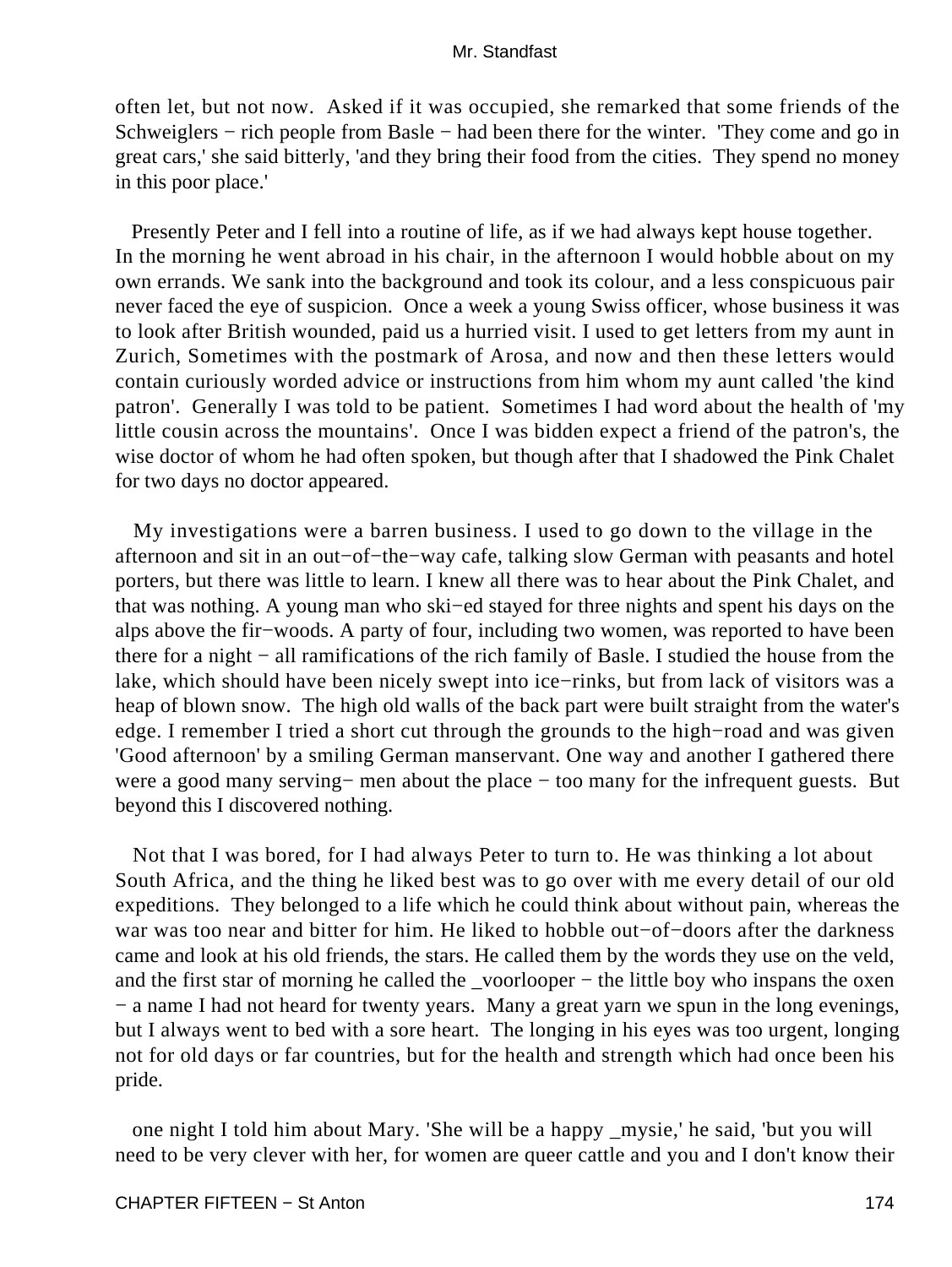often let, but not now. Asked if it was occupied, she remarked that some friends of the Schweiglers − rich people from Basle − had been there for the winter. 'They come and go in great cars,' she said bitterly, 'and they bring their food from the cities. They spend no money in this poor place.'

 Presently Peter and I fell into a routine of life, as if we had always kept house together. In the morning he went abroad in his chair, in the afternoon I would hobble about on my own errands. We sank into the background and took its colour, and a less conspicuous pair never faced the eye of suspicion. Once a week a young Swiss officer, whose business it was to look after British wounded, paid us a hurried visit. I used to get letters from my aunt in Zurich, Sometimes with the postmark of Arosa, and now and then these letters would contain curiously worded advice or instructions from him whom my aunt called 'the kind patron'. Generally I was told to be patient. Sometimes I had word about the health of 'my little cousin across the mountains'. Once I was bidden expect a friend of the patron's, the wise doctor of whom he had often spoken, but though after that I shadowed the Pink Chalet for two days no doctor appeared.

 My investigations were a barren business. I used to go down to the village in the afternoon and sit in an out−of−the−way cafe, talking slow German with peasants and hotel porters, but there was little to learn. I knew all there was to hear about the Pink Chalet, and that was nothing. A young man who ski−ed stayed for three nights and spent his days on the alps above the fir−woods. A party of four, including two women, was reported to have been there for a night − all ramifications of the rich family of Basle. I studied the house from the lake, which should have been nicely swept into ice−rinks, but from lack of visitors was a heap of blown snow. The high old walls of the back part were built straight from the water's edge. I remember I tried a short cut through the grounds to the high−road and was given 'Good afternoon' by a smiling German manservant. One way and another I gathered there were a good many serving– men about the place – too many for the infrequent guests. But beyond this I discovered nothing.

 Not that I was bored, for I had always Peter to turn to. He was thinking a lot about South Africa, and the thing he liked best was to go over with me every detail of our old expeditions. They belonged to a life which he could think about without pain, whereas the war was too near and bitter for him. He liked to hobble out−of−doors after the darkness came and look at his old friends, the stars. He called them by the words they use on the veld, and the first star of morning he called the \_voorlooper − the little boy who inspans the oxen − a name I had not heard for twenty years. Many a great yarn we spun in the long evenings, but I always went to bed with a sore heart. The longing in his eyes was too urgent, longing not for old days or far countries, but for the health and strength which had once been his pride.

 one night I told him about Mary. 'She will be a happy \_mysie,' he said, 'but you will need to be very clever with her, for women are queer cattle and you and I don't know their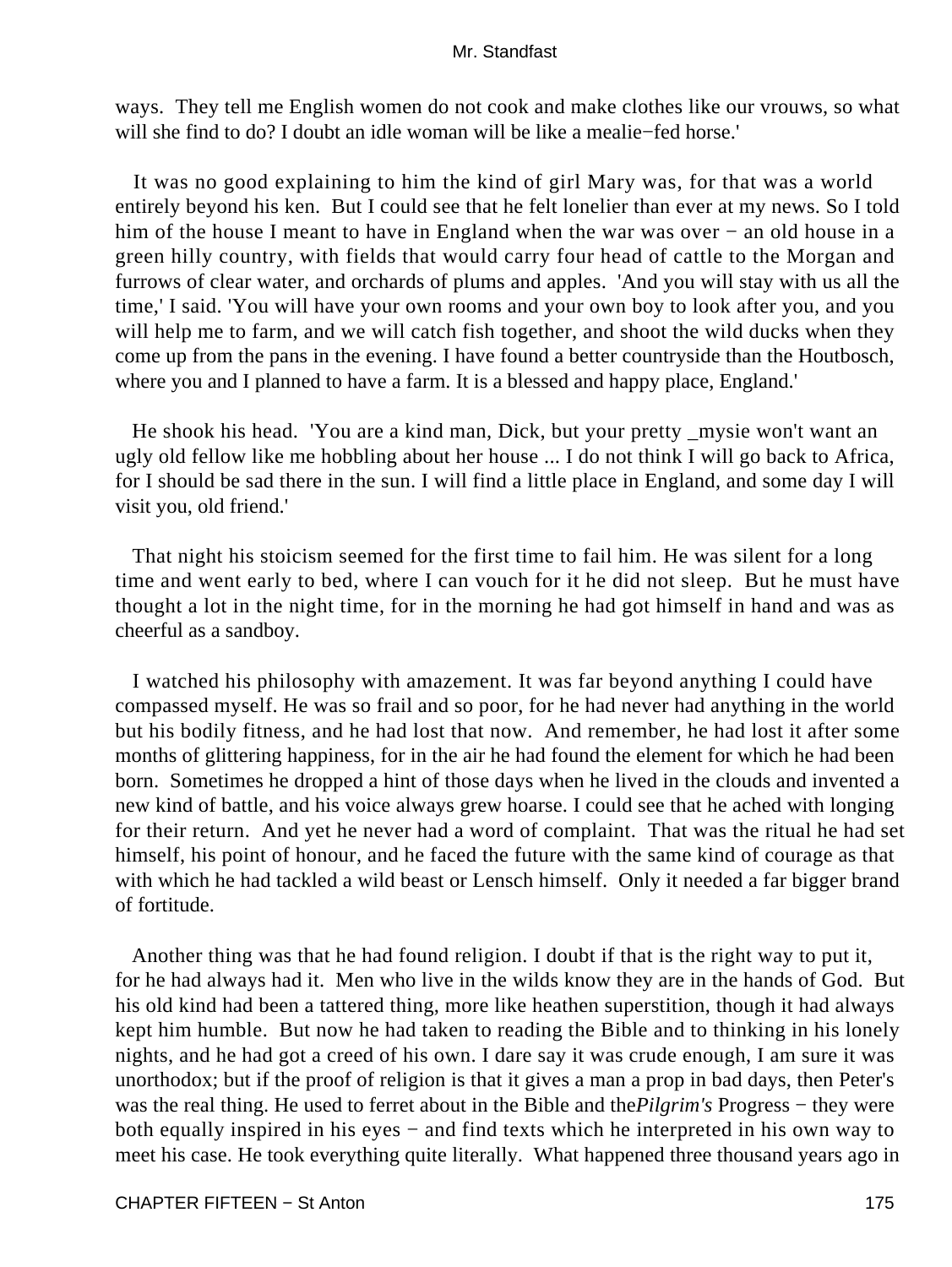ways. They tell me English women do not cook and make clothes like our vrouws, so what will she find to do? I doubt an idle woman will be like a mealie−fed horse.'

 It was no good explaining to him the kind of girl Mary was, for that was a world entirely beyond his ken. But I could see that he felt lonelier than ever at my news. So I told him of the house I meant to have in England when the war was over − an old house in a green hilly country, with fields that would carry four head of cattle to the Morgan and furrows of clear water, and orchards of plums and apples. 'And you will stay with us all the time,' I said. 'You will have your own rooms and your own boy to look after you, and you will help me to farm, and we will catch fish together, and shoot the wild ducks when they come up from the pans in the evening. I have found a better countryside than the Houtbosch, where you and I planned to have a farm. It is a blessed and happy place, England.'

 He shook his head. 'You are a kind man, Dick, but your pretty \_mysie won't want an ugly old fellow like me hobbling about her house ... I do not think I will go back to Africa, for I should be sad there in the sun. I will find a little place in England, and some day I will visit you, old friend.'

 That night his stoicism seemed for the first time to fail him. He was silent for a long time and went early to bed, where I can vouch for it he did not sleep. But he must have thought a lot in the night time, for in the morning he had got himself in hand and was as cheerful as a sandboy.

 I watched his philosophy with amazement. It was far beyond anything I could have compassed myself. He was so frail and so poor, for he had never had anything in the world but his bodily fitness, and he had lost that now. And remember, he had lost it after some months of glittering happiness, for in the air he had found the element for which he had been born. Sometimes he dropped a hint of those days when he lived in the clouds and invented a new kind of battle, and his voice always grew hoarse. I could see that he ached with longing for their return. And yet he never had a word of complaint. That was the ritual he had set himself, his point of honour, and he faced the future with the same kind of courage as that with which he had tackled a wild beast or Lensch himself. Only it needed a far bigger brand of fortitude.

 Another thing was that he had found religion. I doubt if that is the right way to put it, for he had always had it. Men who live in the wilds know they are in the hands of God. But his old kind had been a tattered thing, more like heathen superstition, though it had always kept him humble. But now he had taken to reading the Bible and to thinking in his lonely nights, and he had got a creed of his own. I dare say it was crude enough, I am sure it was unorthodox; but if the proof of religion is that it gives a man a prop in bad days, then Peter's was the real thing. He used to ferret about in the Bible and the*Pilgrim's* Progress − they were both equally inspired in his eyes − and find texts which he interpreted in his own way to meet his case. He took everything quite literally. What happened three thousand years ago in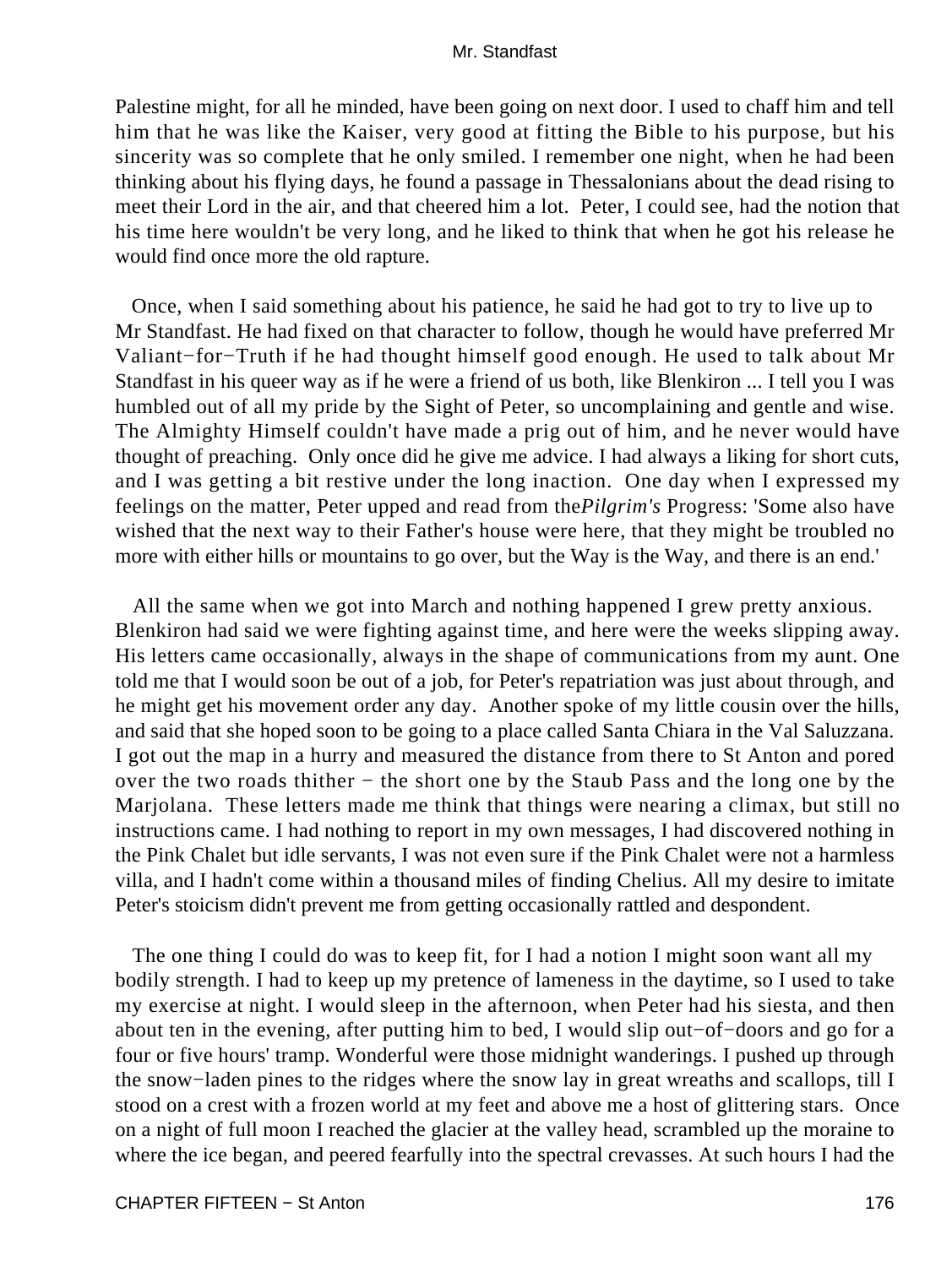Palestine might, for all he minded, have been going on next door. I used to chaff him and tell him that he was like the Kaiser, very good at fitting the Bible to his purpose, but his sincerity was so complete that he only smiled. I remember one night, when he had been thinking about his flying days, he found a passage in Thessalonians about the dead rising to meet their Lord in the air, and that cheered him a lot. Peter, I could see, had the notion that his time here wouldn't be very long, and he liked to think that when he got his release he would find once more the old rapture.

 Once, when I said something about his patience, he said he had got to try to live up to Mr Standfast. He had fixed on that character to follow, though he would have preferred Mr Valiant−for−Truth if he had thought himself good enough. He used to talk about Mr Standfast in his queer way as if he were a friend of us both, like Blenkiron ... I tell you I was humbled out of all my pride by the Sight of Peter, so uncomplaining and gentle and wise. The Almighty Himself couldn't have made a prig out of him, and he never would have thought of preaching. Only once did he give me advice. I had always a liking for short cuts, and I was getting a bit restive under the long inaction. One day when I expressed my feelings on the matter, Peter upped and read from the*Pilgrim's* Progress: 'Some also have wished that the next way to their Father's house were here, that they might be troubled no more with either hills or mountains to go over, but the Way is the Way, and there is an end.'

 All the same when we got into March and nothing happened I grew pretty anxious. Blenkiron had said we were fighting against time, and here were the weeks slipping away. His letters came occasionally, always in the shape of communications from my aunt. One told me that I would soon be out of a job, for Peter's repatriation was just about through, and he might get his movement order any day. Another spoke of my little cousin over the hills, and said that she hoped soon to be going to a place called Santa Chiara in the Val Saluzzana. I got out the map in a hurry and measured the distance from there to St Anton and pored over the two roads thither − the short one by the Staub Pass and the long one by the Marjolana. These letters made me think that things were nearing a climax, but still no instructions came. I had nothing to report in my own messages, I had discovered nothing in the Pink Chalet but idle servants, I was not even sure if the Pink Chalet were not a harmless villa, and I hadn't come within a thousand miles of finding Chelius. All my desire to imitate Peter's stoicism didn't prevent me from getting occasionally rattled and despondent.

 The one thing I could do was to keep fit, for I had a notion I might soon want all my bodily strength. I had to keep up my pretence of lameness in the daytime, so I used to take my exercise at night. I would sleep in the afternoon, when Peter had his siesta, and then about ten in the evening, after putting him to bed, I would slip out−of−doors and go for a four or five hours' tramp. Wonderful were those midnight wanderings. I pushed up through the snow−laden pines to the ridges where the snow lay in great wreaths and scallops, till I stood on a crest with a frozen world at my feet and above me a host of glittering stars. Once on a night of full moon I reached the glacier at the valley head, scrambled up the moraine to where the ice began, and peered fearfully into the spectral crevasses. At such hours I had the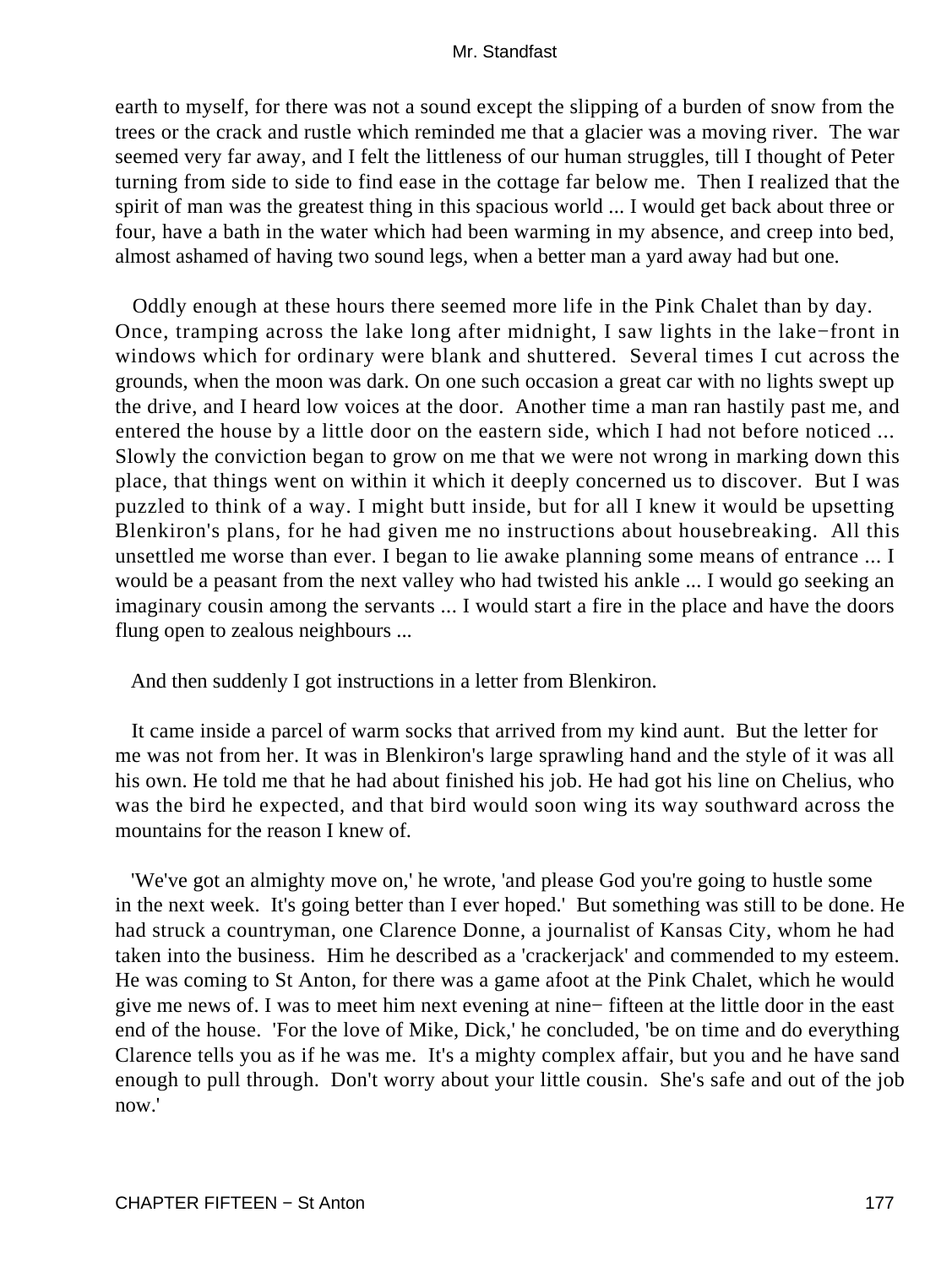earth to myself, for there was not a sound except the slipping of a burden of snow from the trees or the crack and rustle which reminded me that a glacier was a moving river. The war seemed very far away, and I felt the littleness of our human struggles, till I thought of Peter turning from side to side to find ease in the cottage far below me. Then I realized that the spirit of man was the greatest thing in this spacious world ... I would get back about three or four, have a bath in the water which had been warming in my absence, and creep into bed, almost ashamed of having two sound legs, when a better man a yard away had but one.

 Oddly enough at these hours there seemed more life in the Pink Chalet than by day. Once, tramping across the lake long after midnight, I saw lights in the lake−front in windows which for ordinary were blank and shuttered. Several times I cut across the grounds, when the moon was dark. On one such occasion a great car with no lights swept up the drive, and I heard low voices at the door. Another time a man ran hastily past me, and entered the house by a little door on the eastern side, which I had not before noticed ... Slowly the conviction began to grow on me that we were not wrong in marking down this place, that things went on within it which it deeply concerned us to discover. But I was puzzled to think of a way. I might butt inside, but for all I knew it would be upsetting Blenkiron's plans, for he had given me no instructions about housebreaking. All this unsettled me worse than ever. I began to lie awake planning some means of entrance ... I would be a peasant from the next valley who had twisted his ankle ... I would go seeking an imaginary cousin among the servants ... I would start a fire in the place and have the doors flung open to zealous neighbours ...

And then suddenly I got instructions in a letter from Blenkiron.

 It came inside a parcel of warm socks that arrived from my kind aunt. But the letter for me was not from her. It was in Blenkiron's large sprawling hand and the style of it was all his own. He told me that he had about finished his job. He had got his line on Chelius, who was the bird he expected, and that bird would soon wing its way southward across the mountains for the reason I knew of.

 'We've got an almighty move on,' he wrote, 'and please God you're going to hustle some in the next week. It's going better than I ever hoped.' But something was still to be done. He had struck a countryman, one Clarence Donne, a journalist of Kansas City, whom he had taken into the business. Him he described as a 'crackerjack' and commended to my esteem. He was coming to St Anton, for there was a game afoot at the Pink Chalet, which he would give me news of. I was to meet him next evening at nine− fifteen at the little door in the east end of the house. 'For the love of Mike, Dick,' he concluded, 'be on time and do everything Clarence tells you as if he was me. It's a mighty complex affair, but you and he have sand enough to pull through. Don't worry about your little cousin. She's safe and out of the job now.'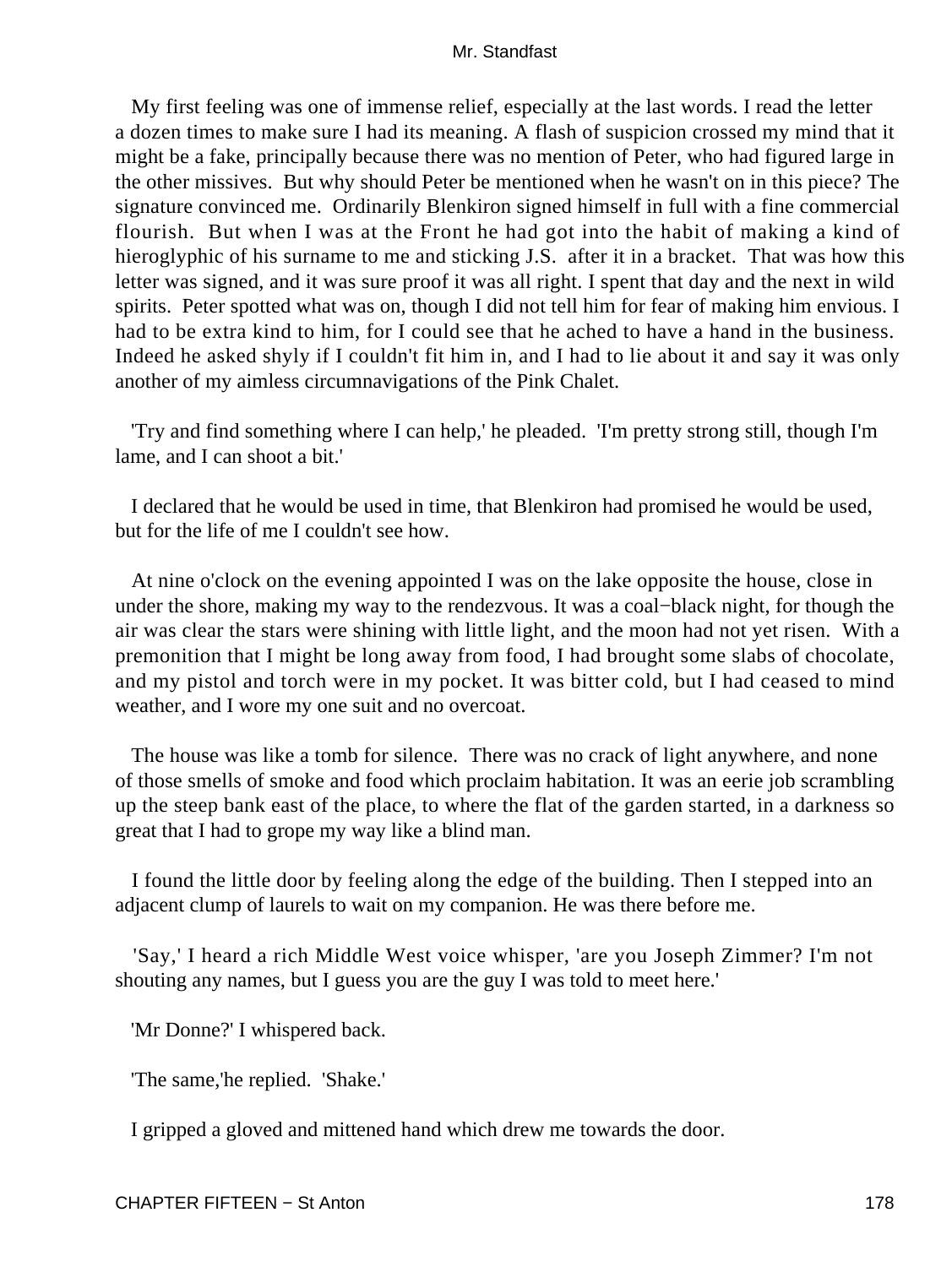My first feeling was one of immense relief, especially at the last words. I read the letter a dozen times to make sure I had its meaning. A flash of suspicion crossed my mind that it might be a fake, principally because there was no mention of Peter, who had figured large in the other missives. But why should Peter be mentioned when he wasn't on in this piece? The signature convinced me. Ordinarily Blenkiron signed himself in full with a fine commercial flourish. But when I was at the Front he had got into the habit of making a kind of hieroglyphic of his surname to me and sticking J.S. after it in a bracket. That was how this letter was signed, and it was sure proof it was all right. I spent that day and the next in wild spirits. Peter spotted what was on, though I did not tell him for fear of making him envious. I had to be extra kind to him, for I could see that he ached to have a hand in the business. Indeed he asked shyly if I couldn't fit him in, and I had to lie about it and say it was only another of my aimless circumnavigations of the Pink Chalet.

 'Try and find something where I can help,' he pleaded. 'I'm pretty strong still, though I'm lame, and I can shoot a bit.'

 I declared that he would be used in time, that Blenkiron had promised he would be used, but for the life of me I couldn't see how.

 At nine o'clock on the evening appointed I was on the lake opposite the house, close in under the shore, making my way to the rendezvous. It was a coal−black night, for though the air was clear the stars were shining with little light, and the moon had not yet risen. With a premonition that I might be long away from food, I had brought some slabs of chocolate, and my pistol and torch were in my pocket. It was bitter cold, but I had ceased to mind weather, and I wore my one suit and no overcoat.

 The house was like a tomb for silence. There was no crack of light anywhere, and none of those smells of smoke and food which proclaim habitation. It was an eerie job scrambling up the steep bank east of the place, to where the flat of the garden started, in a darkness so great that I had to grope my way like a blind man.

 I found the little door by feeling along the edge of the building. Then I stepped into an adjacent clump of laurels to wait on my companion. He was there before me.

 'Say,' I heard a rich Middle West voice whisper, 'are you Joseph Zimmer? I'm not shouting any names, but I guess you are the guy I was told to meet here.'

'Mr Donne?' I whispered back.

'The same,'he replied. 'Shake.'

I gripped a gloved and mittened hand which drew me towards the door.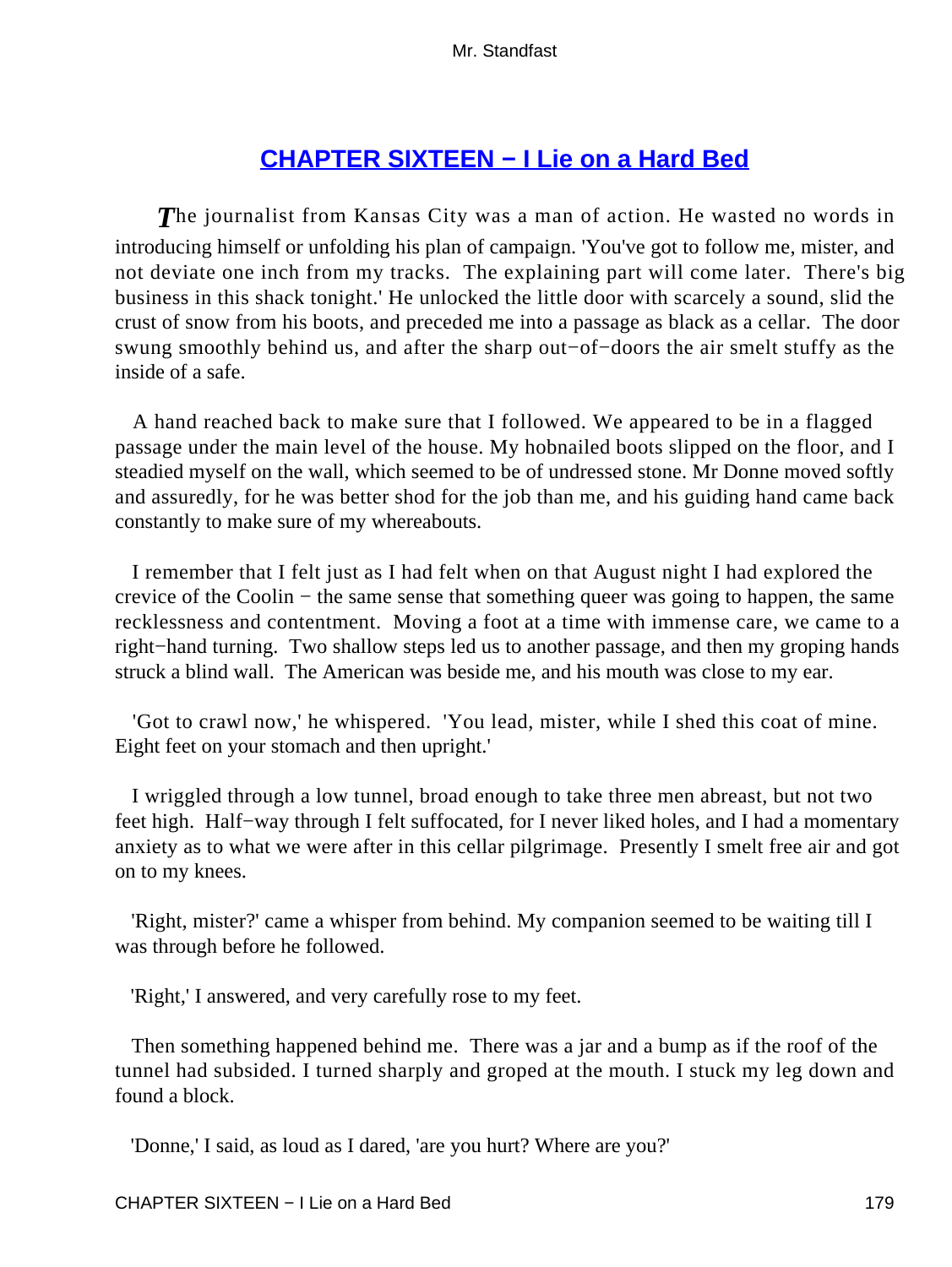# **[CHAPTER SIXTEEN − I Lie on a Hard Bed](#page-255-0)**

**The journalist from Kansas City was a man of action. He wasted no words in** introducing himself or unfolding his plan of campaign. 'You've got to follow me, mister, and not deviate one inch from my tracks. The explaining part will come later. There's big business in this shack tonight.' He unlocked the little door with scarcely a sound, slid the crust of snow from his boots, and preceded me into a passage as black as a cellar. The door swung smoothly behind us, and after the sharp out−of−doors the air smelt stuffy as the inside of a safe.

 A hand reached back to make sure that I followed. We appeared to be in a flagged passage under the main level of the house. My hobnailed boots slipped on the floor, and I steadied myself on the wall, which seemed to be of undressed stone. Mr Donne moved softly and assuredly, for he was better shod for the job than me, and his guiding hand came back constantly to make sure of my whereabouts.

 I remember that I felt just as I had felt when on that August night I had explored the crevice of the Coolin − the same sense that something queer was going to happen, the same recklessness and contentment. Moving a foot at a time with immense care, we came to a right−hand turning. Two shallow steps led us to another passage, and then my groping hands struck a blind wall. The American was beside me, and his mouth was close to my ear.

 'Got to crawl now,' he whispered. 'You lead, mister, while I shed this coat of mine. Eight feet on your stomach and then upright.'

 I wriggled through a low tunnel, broad enough to take three men abreast, but not two feet high. Half−way through I felt suffocated, for I never liked holes, and I had a momentary anxiety as to what we were after in this cellar pilgrimage. Presently I smelt free air and got on to my knees.

 'Right, mister?' came a whisper from behind. My companion seemed to be waiting till I was through before he followed.

'Right,' I answered, and very carefully rose to my feet.

 Then something happened behind me. There was a jar and a bump as if the roof of the tunnel had subsided. I turned sharply and groped at the mouth. I stuck my leg down and found a block.

'Donne,' I said, as loud as I dared, 'are you hurt? Where are you?'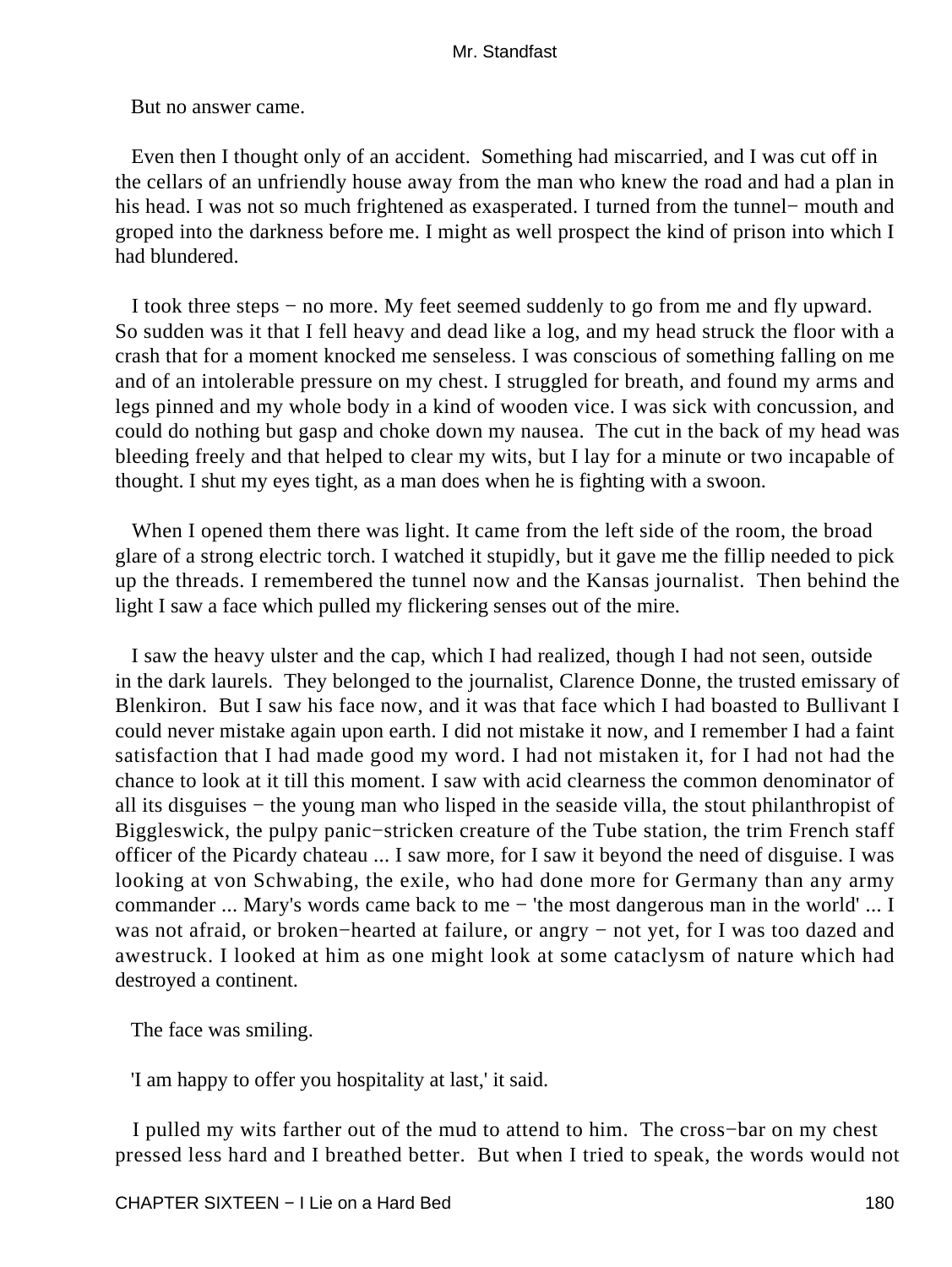But no answer came.

 Even then I thought only of an accident. Something had miscarried, and I was cut off in the cellars of an unfriendly house away from the man who knew the road and had a plan in his head. I was not so much frightened as exasperated. I turned from the tunnel− mouth and groped into the darkness before me. I might as well prospect the kind of prison into which I had blundered.

 I took three steps − no more. My feet seemed suddenly to go from me and fly upward. So sudden was it that I fell heavy and dead like a log, and my head struck the floor with a crash that for a moment knocked me senseless. I was conscious of something falling on me and of an intolerable pressure on my chest. I struggled for breath, and found my arms and legs pinned and my whole body in a kind of wooden vice. I was sick with concussion, and could do nothing but gasp and choke down my nausea. The cut in the back of my head was bleeding freely and that helped to clear my wits, but I lay for a minute or two incapable of thought. I shut my eyes tight, as a man does when he is fighting with a swoon.

 When I opened them there was light. It came from the left side of the room, the broad glare of a strong electric torch. I watched it stupidly, but it gave me the fillip needed to pick up the threads. I remembered the tunnel now and the Kansas journalist. Then behind the light I saw a face which pulled my flickering senses out of the mire.

 I saw the heavy ulster and the cap, which I had realized, though I had not seen, outside in the dark laurels. They belonged to the journalist, Clarence Donne, the trusted emissary of Blenkiron. But I saw his face now, and it was that face which I had boasted to Bullivant I could never mistake again upon earth. I did not mistake it now, and I remember I had a faint satisfaction that I had made good my word. I had not mistaken it, for I had not had the chance to look at it till this moment. I saw with acid clearness the common denominator of all its disguises − the young man who lisped in the seaside villa, the stout philanthropist of Biggleswick, the pulpy panic−stricken creature of the Tube station, the trim French staff officer of the Picardy chateau ... I saw more, for I saw it beyond the need of disguise. I was looking at von Schwabing, the exile, who had done more for Germany than any army commander ... Mary's words came back to me − 'the most dangerous man in the world' ... I was not afraid, or broken–hearted at failure, or angry – not yet, for I was too dazed and awestruck. I looked at him as one might look at some cataclysm of nature which had destroyed a continent.

The face was smiling.

'I am happy to offer you hospitality at last,' it said.

 I pulled my wits farther out of the mud to attend to him. The cross−bar on my chest pressed less hard and I breathed better. But when I tried to speak, the words would not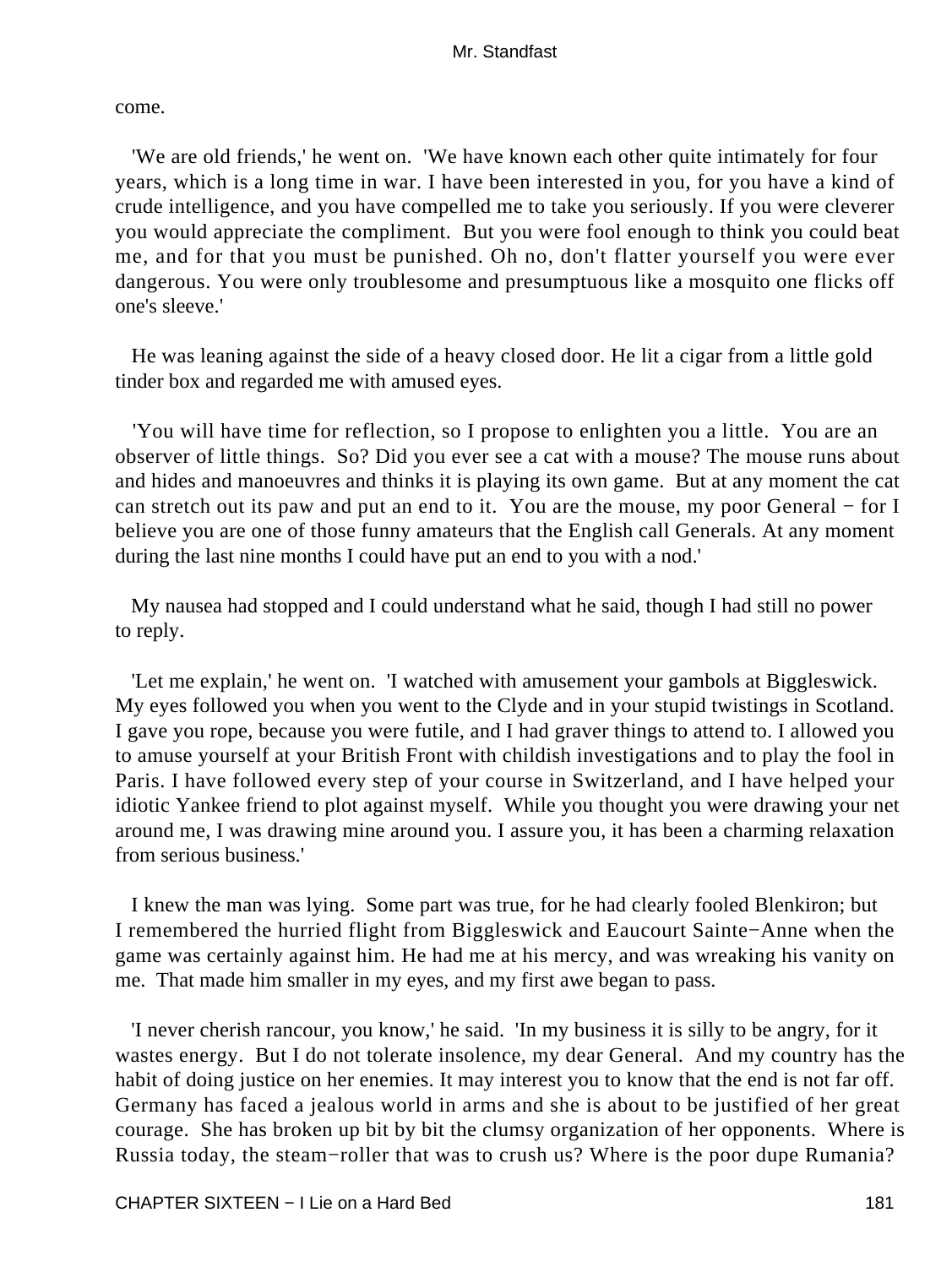come.

 'We are old friends,' he went on. 'We have known each other quite intimately for four years, which is a long time in war. I have been interested in you, for you have a kind of crude intelligence, and you have compelled me to take you seriously. If you were cleverer you would appreciate the compliment. But you were fool enough to think you could beat me, and for that you must be punished. Oh no, don't flatter yourself you were ever dangerous. You were only troublesome and presumptuous like a mosquito one flicks off one's sleeve.'

 He was leaning against the side of a heavy closed door. He lit a cigar from a little gold tinder box and regarded me with amused eyes.

 'You will have time for reflection, so I propose to enlighten you a little. You are an observer of little things. So? Did you ever see a cat with a mouse? The mouse runs about and hides and manoeuvres and thinks it is playing its own game. But at any moment the cat can stretch out its paw and put an end to it. You are the mouse, my poor General − for I believe you are one of those funny amateurs that the English call Generals. At any moment during the last nine months I could have put an end to you with a nod.'

 My nausea had stopped and I could understand what he said, though I had still no power to reply.

 'Let me explain,' he went on. 'I watched with amusement your gambols at Biggleswick. My eyes followed you when you went to the Clyde and in your stupid twistings in Scotland. I gave you rope, because you were futile, and I had graver things to attend to. I allowed you to amuse yourself at your British Front with childish investigations and to play the fool in Paris. I have followed every step of your course in Switzerland, and I have helped your idiotic Yankee friend to plot against myself. While you thought you were drawing your net around me, I was drawing mine around you. I assure you, it has been a charming relaxation from serious business.'

 I knew the man was lying. Some part was true, for he had clearly fooled Blenkiron; but I remembered the hurried flight from Biggleswick and Eaucourt Sainte−Anne when the game was certainly against him. He had me at his mercy, and was wreaking his vanity on me. That made him smaller in my eyes, and my first awe began to pass.

 'I never cherish rancour, you know,' he said. 'In my business it is silly to be angry, for it wastes energy. But I do not tolerate insolence, my dear General. And my country has the habit of doing justice on her enemies. It may interest you to know that the end is not far off. Germany has faced a jealous world in arms and she is about to be justified of her great courage. She has broken up bit by bit the clumsy organization of her opponents. Where is Russia today, the steam−roller that was to crush us? Where is the poor dupe Rumania?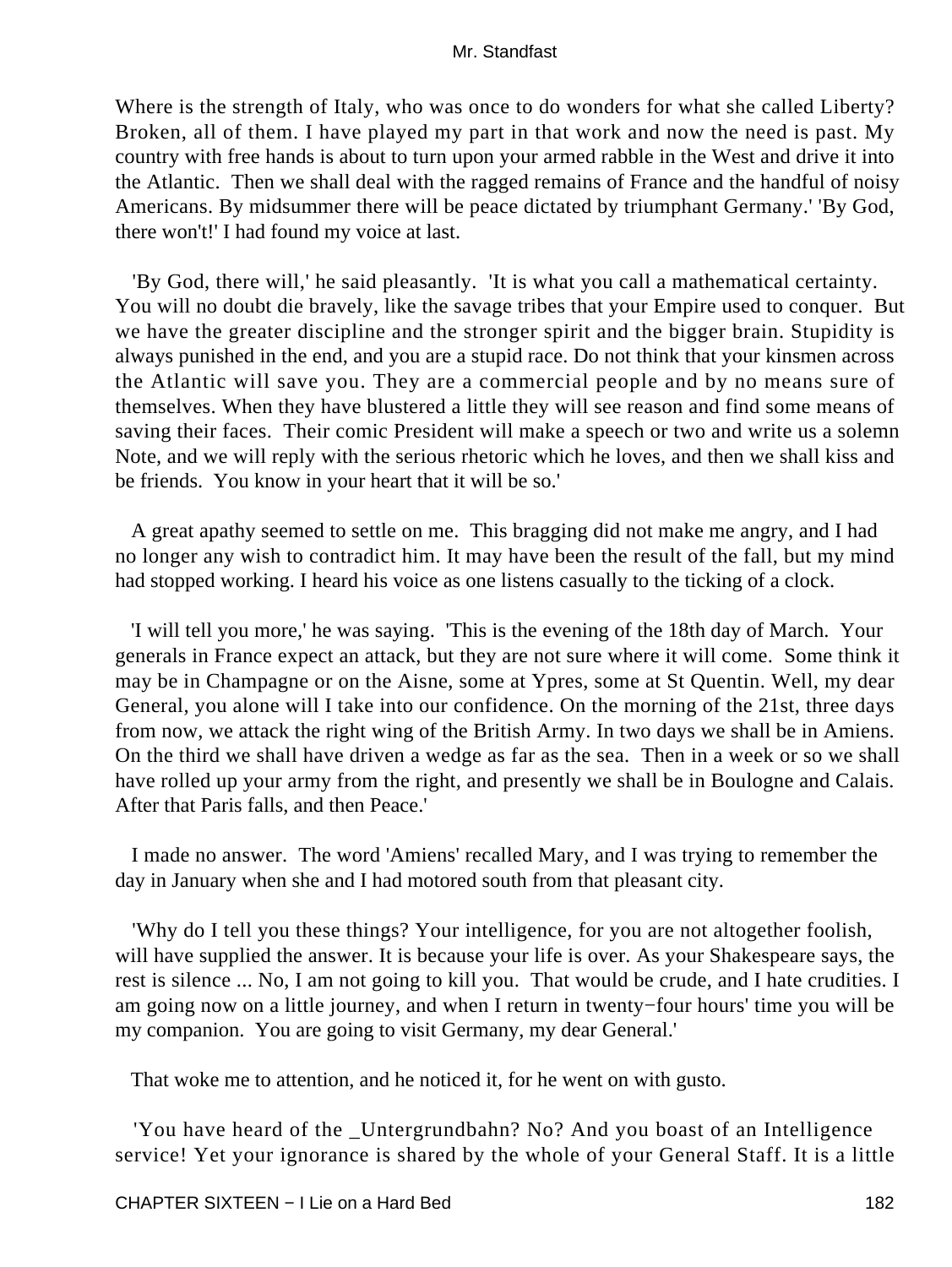Where is the strength of Italy, who was once to do wonders for what she called Liberty? Broken, all of them. I have played my part in that work and now the need is past. My country with free hands is about to turn upon your armed rabble in the West and drive it into the Atlantic. Then we shall deal with the ragged remains of France and the handful of noisy Americans. By midsummer there will be peace dictated by triumphant Germany.' 'By God, there won't!' I had found my voice at last.

 'By God, there will,' he said pleasantly. 'It is what you call a mathematical certainty. You will no doubt die bravely, like the savage tribes that your Empire used to conquer. But we have the greater discipline and the stronger spirit and the bigger brain. Stupidity is always punished in the end, and you are a stupid race. Do not think that your kinsmen across the Atlantic will save you. They are a commercial people and by no means sure of themselves. When they have blustered a little they will see reason and find some means of saving their faces. Their comic President will make a speech or two and write us a solemn Note, and we will reply with the serious rhetoric which he loves, and then we shall kiss and be friends. You know in your heart that it will be so.'

 A great apathy seemed to settle on me. This bragging did not make me angry, and I had no longer any wish to contradict him. It may have been the result of the fall, but my mind had stopped working. I heard his voice as one listens casually to the ticking of a clock.

 'I will tell you more,' he was saying. 'This is the evening of the 18th day of March. Your generals in France expect an attack, but they are not sure where it will come. Some think it may be in Champagne or on the Aisne, some at Ypres, some at St Quentin. Well, my dear General, you alone will I take into our confidence. On the morning of the 21st, three days from now, we attack the right wing of the British Army. In two days we shall be in Amiens. On the third we shall have driven a wedge as far as the sea. Then in a week or so we shall have rolled up your army from the right, and presently we shall be in Boulogne and Calais. After that Paris falls, and then Peace.'

 I made no answer. The word 'Amiens' recalled Mary, and I was trying to remember the day in January when she and I had motored south from that pleasant city.

 'Why do I tell you these things? Your intelligence, for you are not altogether foolish, will have supplied the answer. It is because your life is over. As your Shakespeare says, the rest is silence ... No, I am not going to kill you. That would be crude, and I hate crudities. I am going now on a little journey, and when I return in twenty−four hours' time you will be my companion. You are going to visit Germany, my dear General.'

That woke me to attention, and he noticed it, for he went on with gusto.

 'You have heard of the \_Untergrundbahn? No? And you boast of an Intelligence service! Yet your ignorance is shared by the whole of your General Staff. It is a little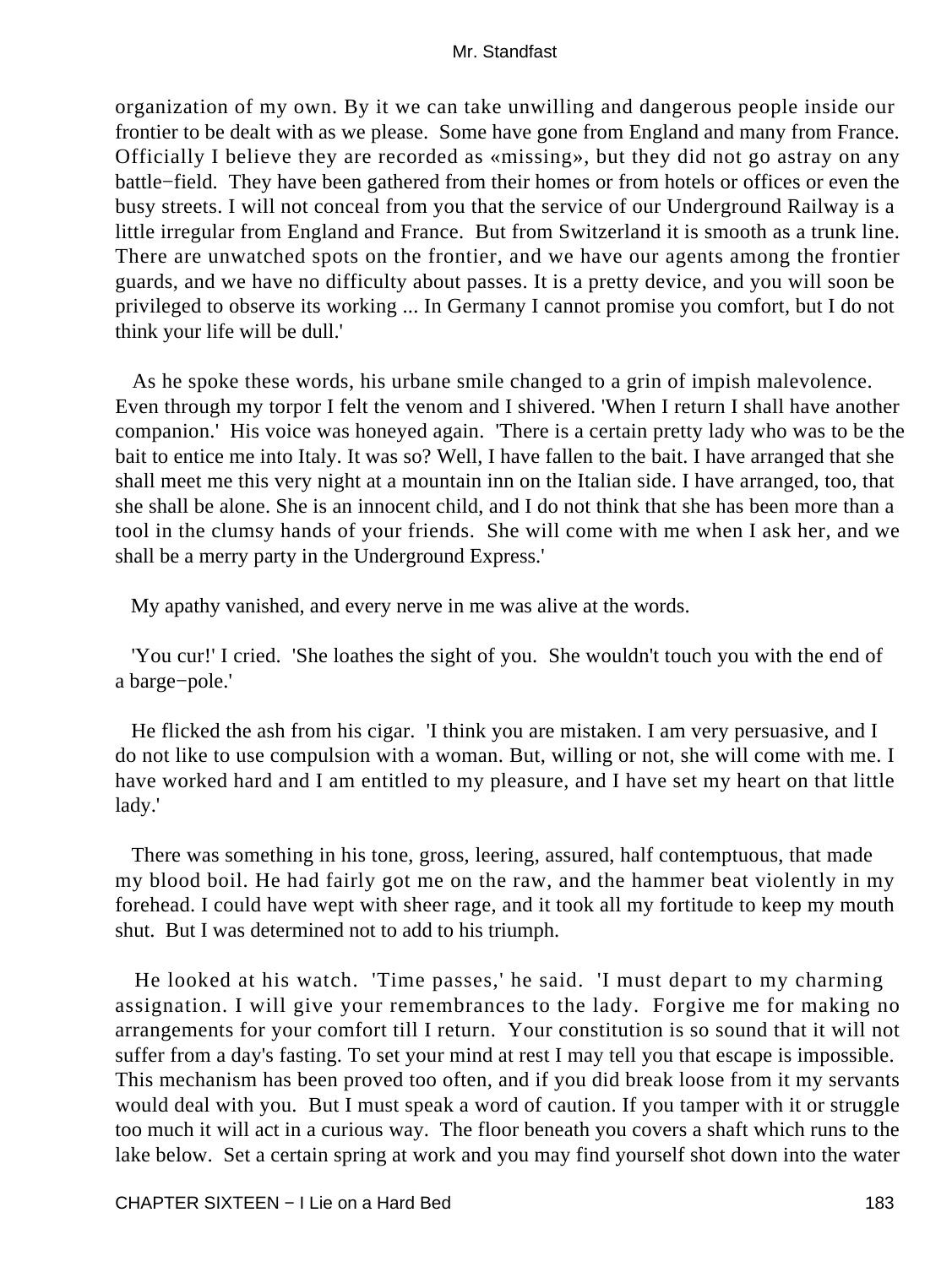organization of my own. By it we can take unwilling and dangerous people inside our frontier to be dealt with as we please. Some have gone from England and many from France. Officially I believe they are recorded as «missing», but they did not go astray on any battle−field. They have been gathered from their homes or from hotels or offices or even the busy streets. I will not conceal from you that the service of our Underground Railway is a little irregular from England and France. But from Switzerland it is smooth as a trunk line. There are unwatched spots on the frontier, and we have our agents among the frontier guards, and we have no difficulty about passes. It is a pretty device, and you will soon be privileged to observe its working ... In Germany I cannot promise you comfort, but I do not think your life will be dull.'

 As he spoke these words, his urbane smile changed to a grin of impish malevolence. Even through my torpor I felt the venom and I shivered. 'When I return I shall have another companion.' His voice was honeyed again. 'There is a certain pretty lady who was to be the bait to entice me into Italy. It was so? Well, I have fallen to the bait. I have arranged that she shall meet me this very night at a mountain inn on the Italian side. I have arranged, too, that she shall be alone. She is an innocent child, and I do not think that she has been more than a tool in the clumsy hands of your friends. She will come with me when I ask her, and we shall be a merry party in the Underground Express.'

My apathy vanished, and every nerve in me was alive at the words.

 'You cur!' I cried. 'She loathes the sight of you. She wouldn't touch you with the end of a barge−pole.'

 He flicked the ash from his cigar. 'I think you are mistaken. I am very persuasive, and I do not like to use compulsion with a woman. But, willing or not, she will come with me. I have worked hard and I am entitled to my pleasure, and I have set my heart on that little lady.'

 There was something in his tone, gross, leering, assured, half contemptuous, that made my blood boil. He had fairly got me on the raw, and the hammer beat violently in my forehead. I could have wept with sheer rage, and it took all my fortitude to keep my mouth shut. But I was determined not to add to his triumph.

 He looked at his watch. 'Time passes,' he said. 'I must depart to my charming assignation. I will give your remembrances to the lady. Forgive me for making no arrangements for your comfort till I return. Your constitution is so sound that it will not suffer from a day's fasting. To set your mind at rest I may tell you that escape is impossible. This mechanism has been proved too often, and if you did break loose from it my servants would deal with you. But I must speak a word of caution. If you tamper with it or struggle too much it will act in a curious way. The floor beneath you covers a shaft which runs to the lake below. Set a certain spring at work and you may find yourself shot down into the water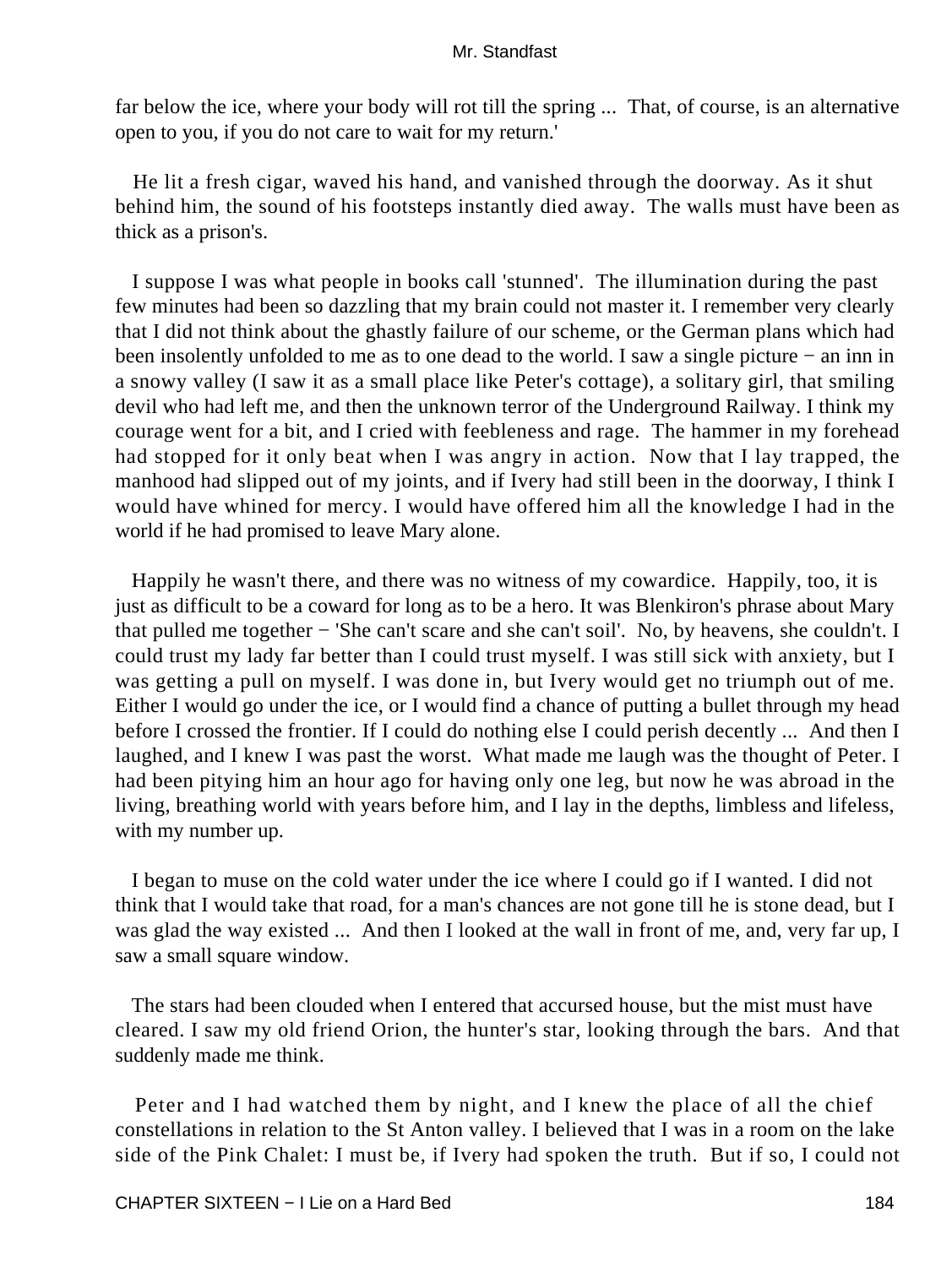far below the ice, where your body will rot till the spring ... That, of course, is an alternative open to you, if you do not care to wait for my return.'

 He lit a fresh cigar, waved his hand, and vanished through the doorway. As it shut behind him, the sound of his footsteps instantly died away. The walls must have been as thick as a prison's.

 I suppose I was what people in books call 'stunned'. The illumination during the past few minutes had been so dazzling that my brain could not master it. I remember very clearly that I did not think about the ghastly failure of our scheme, or the German plans which had been insolently unfolded to me as to one dead to the world. I saw a single picture − an inn in a snowy valley (I saw it as a small place like Peter's cottage), a solitary girl, that smiling devil who had left me, and then the unknown terror of the Underground Railway. I think my courage went for a bit, and I cried with feebleness and rage. The hammer in my forehead had stopped for it only beat when I was angry in action. Now that I lay trapped, the manhood had slipped out of my joints, and if Ivery had still been in the doorway, I think I would have whined for mercy. I would have offered him all the knowledge I had in the world if he had promised to leave Mary alone.

 Happily he wasn't there, and there was no witness of my cowardice. Happily, too, it is just as difficult to be a coward for long as to be a hero. It was Blenkiron's phrase about Mary that pulled me together − 'She can't scare and she can't soil'. No, by heavens, she couldn't. I could trust my lady far better than I could trust myself. I was still sick with anxiety, but I was getting a pull on myself. I was done in, but Ivery would get no triumph out of me. Either I would go under the ice, or I would find a chance of putting a bullet through my head before I crossed the frontier. If I could do nothing else I could perish decently ... And then I laughed, and I knew I was past the worst. What made me laugh was the thought of Peter. I had been pitying him an hour ago for having only one leg, but now he was abroad in the living, breathing world with years before him, and I lay in the depths, limbless and lifeless, with my number up.

 I began to muse on the cold water under the ice where I could go if I wanted. I did not think that I would take that road, for a man's chances are not gone till he is stone dead, but I was glad the way existed ... And then I looked at the wall in front of me, and, very far up, I saw a small square window.

 The stars had been clouded when I entered that accursed house, but the mist must have cleared. I saw my old friend Orion, the hunter's star, looking through the bars. And that suddenly made me think.

 Peter and I had watched them by night, and I knew the place of all the chief constellations in relation to the St Anton valley. I believed that I was in a room on the lake side of the Pink Chalet: I must be, if Ivery had spoken the truth. But if so, I could not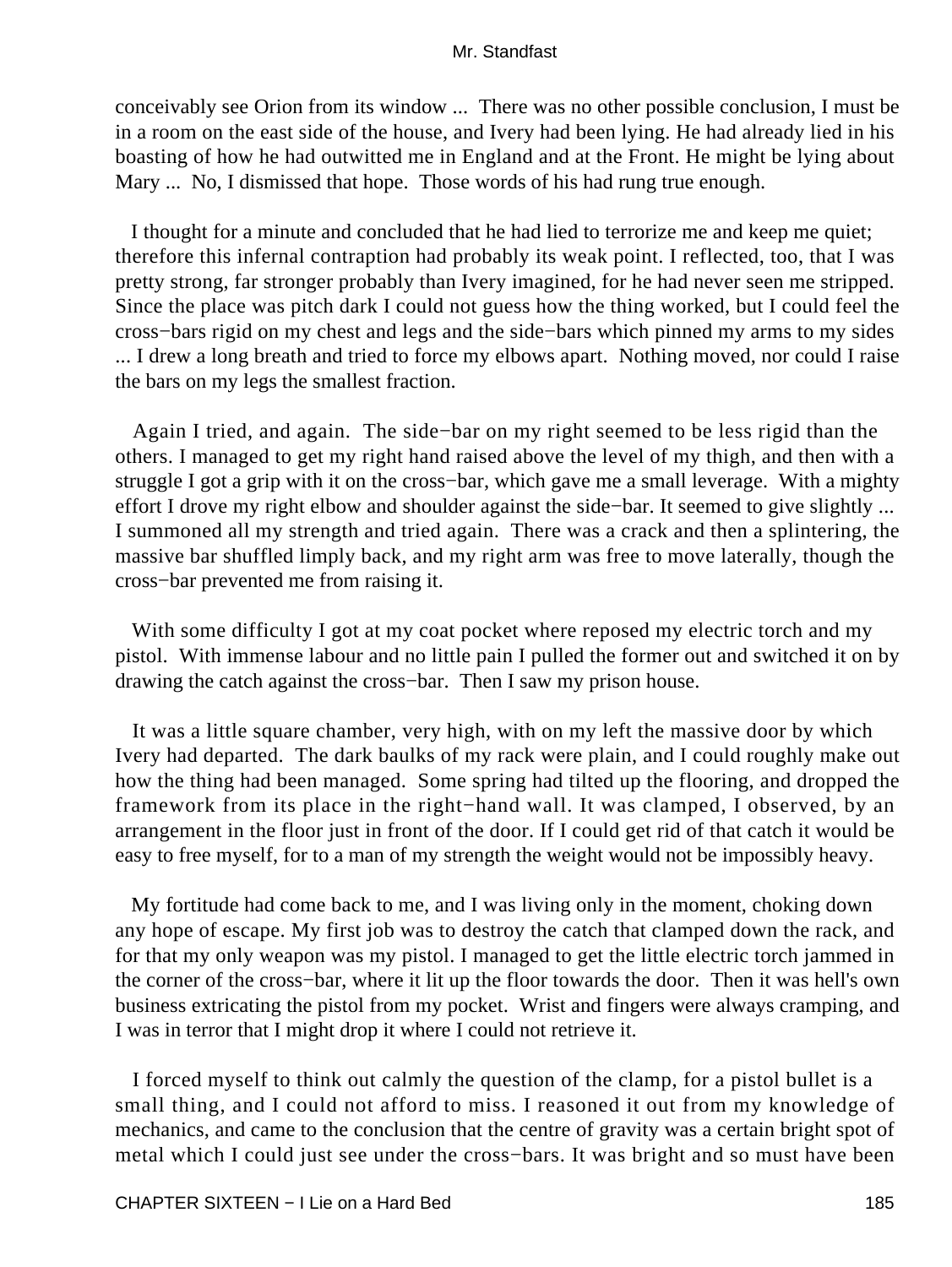conceivably see Orion from its window ... There was no other possible conclusion, I must be in a room on the east side of the house, and Ivery had been lying. He had already lied in his boasting of how he had outwitted me in England and at the Front. He might be lying about Mary ... No, I dismissed that hope. Those words of his had rung true enough.

 I thought for a minute and concluded that he had lied to terrorize me and keep me quiet; therefore this infernal contraption had probably its weak point. I reflected, too, that I was pretty strong, far stronger probably than Ivery imagined, for he had never seen me stripped. Since the place was pitch dark I could not guess how the thing worked, but I could feel the cross−bars rigid on my chest and legs and the side−bars which pinned my arms to my sides ... I drew a long breath and tried to force my elbows apart. Nothing moved, nor could I raise the bars on my legs the smallest fraction.

 Again I tried, and again. The side−bar on my right seemed to be less rigid than the others. I managed to get my right hand raised above the level of my thigh, and then with a struggle I got a grip with it on the cross−bar, which gave me a small leverage. With a mighty effort I drove my right elbow and shoulder against the side−bar. It seemed to give slightly ... I summoned all my strength and tried again. There was a crack and then a splintering, the massive bar shuffled limply back, and my right arm was free to move laterally, though the cross−bar prevented me from raising it.

With some difficulty I got at my coat pocket where reposed my electric torch and my pistol. With immense labour and no little pain I pulled the former out and switched it on by drawing the catch against the cross−bar. Then I saw my prison house.

 It was a little square chamber, very high, with on my left the massive door by which Ivery had departed. The dark baulks of my rack were plain, and I could roughly make out how the thing had been managed. Some spring had tilted up the flooring, and dropped the framework from its place in the right−hand wall. It was clamped, I observed, by an arrangement in the floor just in front of the door. If I could get rid of that catch it would be easy to free myself, for to a man of my strength the weight would not be impossibly heavy.

 My fortitude had come back to me, and I was living only in the moment, choking down any hope of escape. My first job was to destroy the catch that clamped down the rack, and for that my only weapon was my pistol. I managed to get the little electric torch jammed in the corner of the cross−bar, where it lit up the floor towards the door. Then it was hell's own business extricating the pistol from my pocket. Wrist and fingers were always cramping, and I was in terror that I might drop it where I could not retrieve it.

 I forced myself to think out calmly the question of the clamp, for a pistol bullet is a small thing, and I could not afford to miss. I reasoned it out from my knowledge of mechanics, and came to the conclusion that the centre of gravity was a certain bright spot of metal which I could just see under the cross−bars. It was bright and so must have been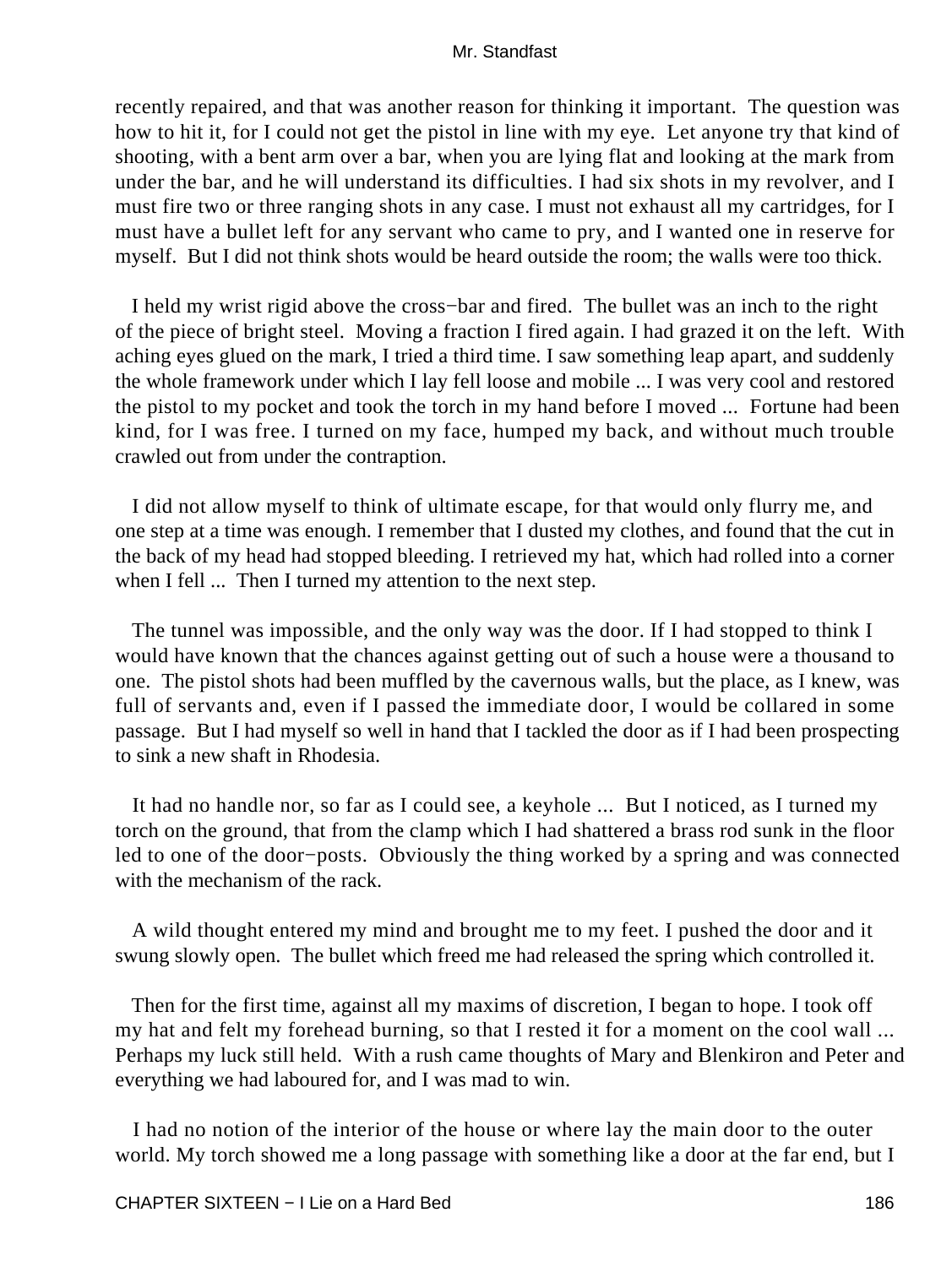recently repaired, and that was another reason for thinking it important. The question was how to hit it, for I could not get the pistol in line with my eye. Let anyone try that kind of shooting, with a bent arm over a bar, when you are lying flat and looking at the mark from under the bar, and he will understand its difficulties. I had six shots in my revolver, and I must fire two or three ranging shots in any case. I must not exhaust all my cartridges, for I must have a bullet left for any servant who came to pry, and I wanted one in reserve for myself. But I did not think shots would be heard outside the room; the walls were too thick.

 I held my wrist rigid above the cross−bar and fired. The bullet was an inch to the right of the piece of bright steel. Moving a fraction I fired again. I had grazed it on the left. With aching eyes glued on the mark, I tried a third time. I saw something leap apart, and suddenly the whole framework under which I lay fell loose and mobile ... I was very cool and restored the pistol to my pocket and took the torch in my hand before I moved ... Fortune had been kind, for I was free. I turned on my face, humped my back, and without much trouble crawled out from under the contraption.

 I did not allow myself to think of ultimate escape, for that would only flurry me, and one step at a time was enough. I remember that I dusted my clothes, and found that the cut in the back of my head had stopped bleeding. I retrieved my hat, which had rolled into a corner when I fell ... Then I turned my attention to the next step.

 The tunnel was impossible, and the only way was the door. If I had stopped to think I would have known that the chances against getting out of such a house were a thousand to one. The pistol shots had been muffled by the cavernous walls, but the place, as I knew, was full of servants and, even if I passed the immediate door, I would be collared in some passage. But I had myself so well in hand that I tackled the door as if I had been prospecting to sink a new shaft in Rhodesia.

 It had no handle nor, so far as I could see, a keyhole ... But I noticed, as I turned my torch on the ground, that from the clamp which I had shattered a brass rod sunk in the floor led to one of the door−posts. Obviously the thing worked by a spring and was connected with the mechanism of the rack.

 A wild thought entered my mind and brought me to my feet. I pushed the door and it swung slowly open. The bullet which freed me had released the spring which controlled it.

 Then for the first time, against all my maxims of discretion, I began to hope. I took off my hat and felt my forehead burning, so that I rested it for a moment on the cool wall ... Perhaps my luck still held. With a rush came thoughts of Mary and Blenkiron and Peter and everything we had laboured for, and I was mad to win.

 I had no notion of the interior of the house or where lay the main door to the outer world. My torch showed me a long passage with something like a door at the far end, but I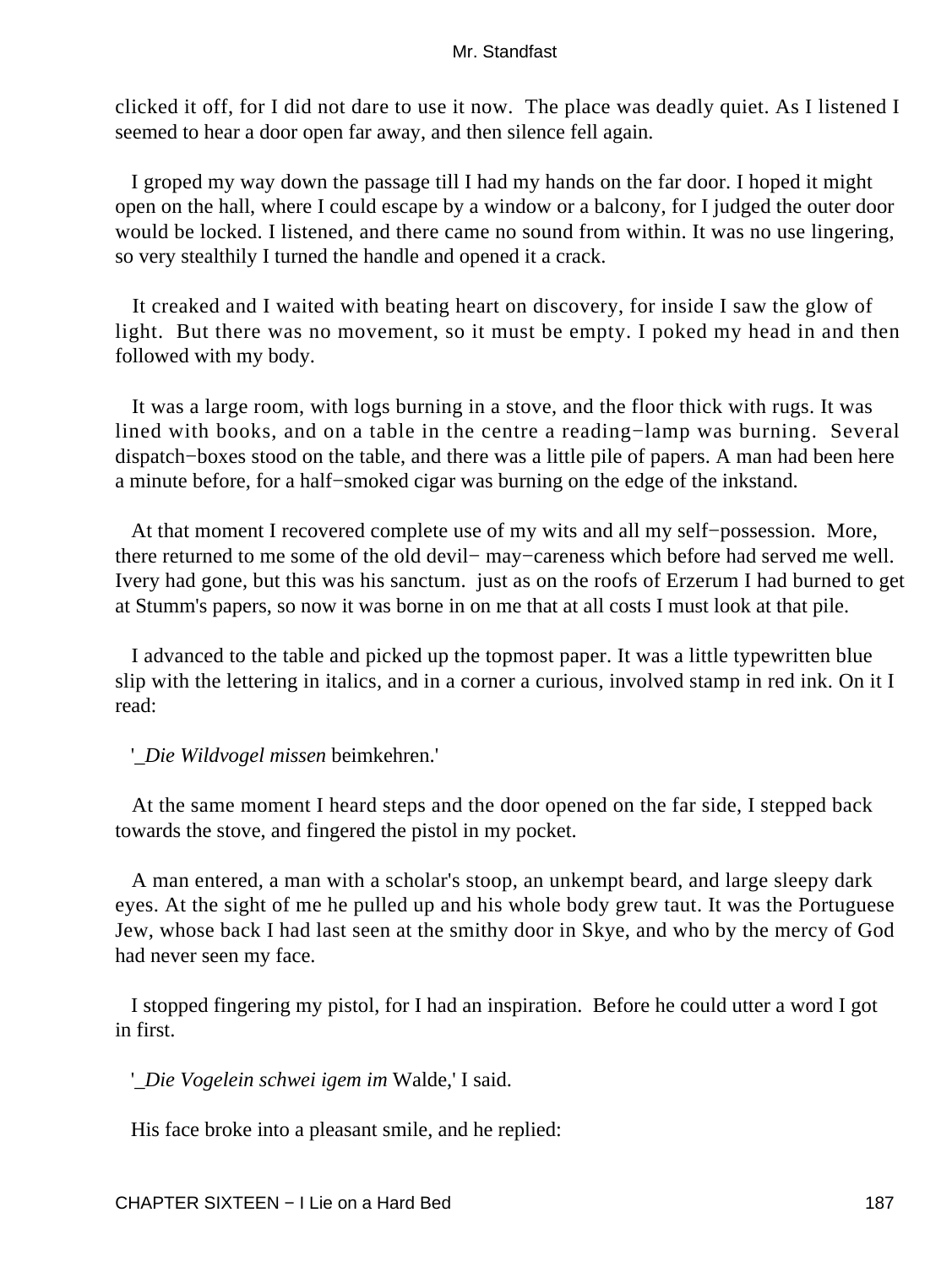clicked it off, for I did not dare to use it now. The place was deadly quiet. As I listened I seemed to hear a door open far away, and then silence fell again.

 I groped my way down the passage till I had my hands on the far door. I hoped it might open on the hall, where I could escape by a window or a balcony, for I judged the outer door would be locked. I listened, and there came no sound from within. It was no use lingering, so very stealthily I turned the handle and opened it a crack.

 It creaked and I waited with beating heart on discovery, for inside I saw the glow of light. But there was no movement, so it must be empty. I poked my head in and then followed with my body.

 It was a large room, with logs burning in a stove, and the floor thick with rugs. It was lined with books, and on a table in the centre a reading−lamp was burning. Several dispatch−boxes stood on the table, and there was a little pile of papers. A man had been here a minute before, for a half−smoked cigar was burning on the edge of the inkstand.

 At that moment I recovered complete use of my wits and all my self−possession. More, there returned to me some of the old devil− may−careness which before had served me well. Ivery had gone, but this was his sanctum. just as on the roofs of Erzerum I had burned to get at Stumm's papers, so now it was borne in on me that at all costs I must look at that pile.

 I advanced to the table and picked up the topmost paper. It was a little typewritten blue slip with the lettering in italics, and in a corner a curious, involved stamp in red ink. On it I read:

'*\_Die Wildvogel missen* beimkehren.'

 At the same moment I heard steps and the door opened on the far side, I stepped back towards the stove, and fingered the pistol in my pocket.

 A man entered, a man with a scholar's stoop, an unkempt beard, and large sleepy dark eyes. At the sight of me he pulled up and his whole body grew taut. It was the Portuguese Jew, whose back I had last seen at the smithy door in Skye, and who by the mercy of God had never seen my face.

 I stopped fingering my pistol, for I had an inspiration. Before he could utter a word I got in first.

'*\_Die Vogelein schwei igem im* Walde,' I said.

His face broke into a pleasant smile, and he replied: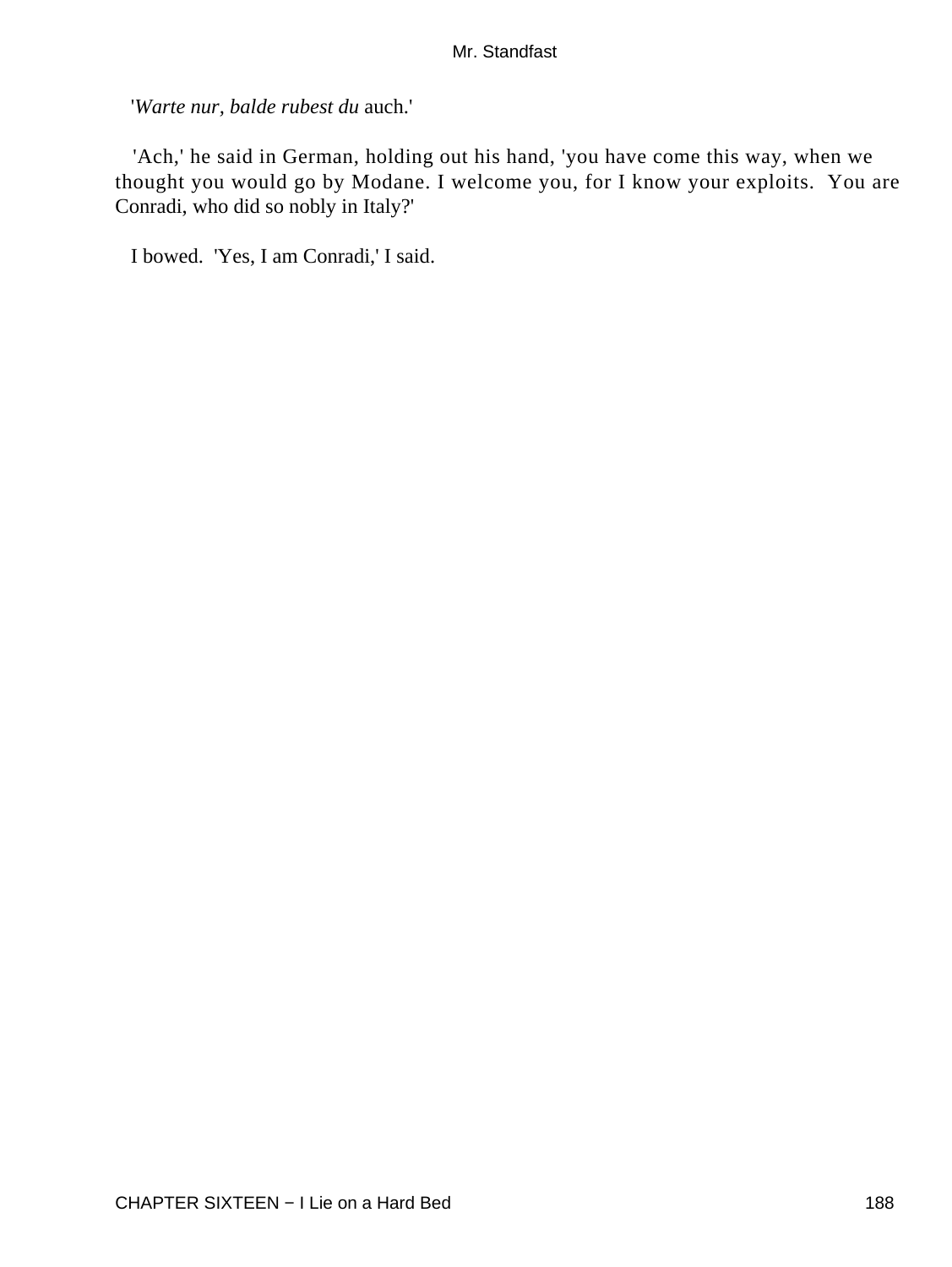'*Warte nur, balde rubest du* auch.'

 'Ach,' he said in German, holding out his hand, 'you have come this way, when we thought you would go by Modane. I welcome you, for I know your exploits. You are Conradi, who did so nobly in Italy?'

I bowed. 'Yes, I am Conradi,' I said.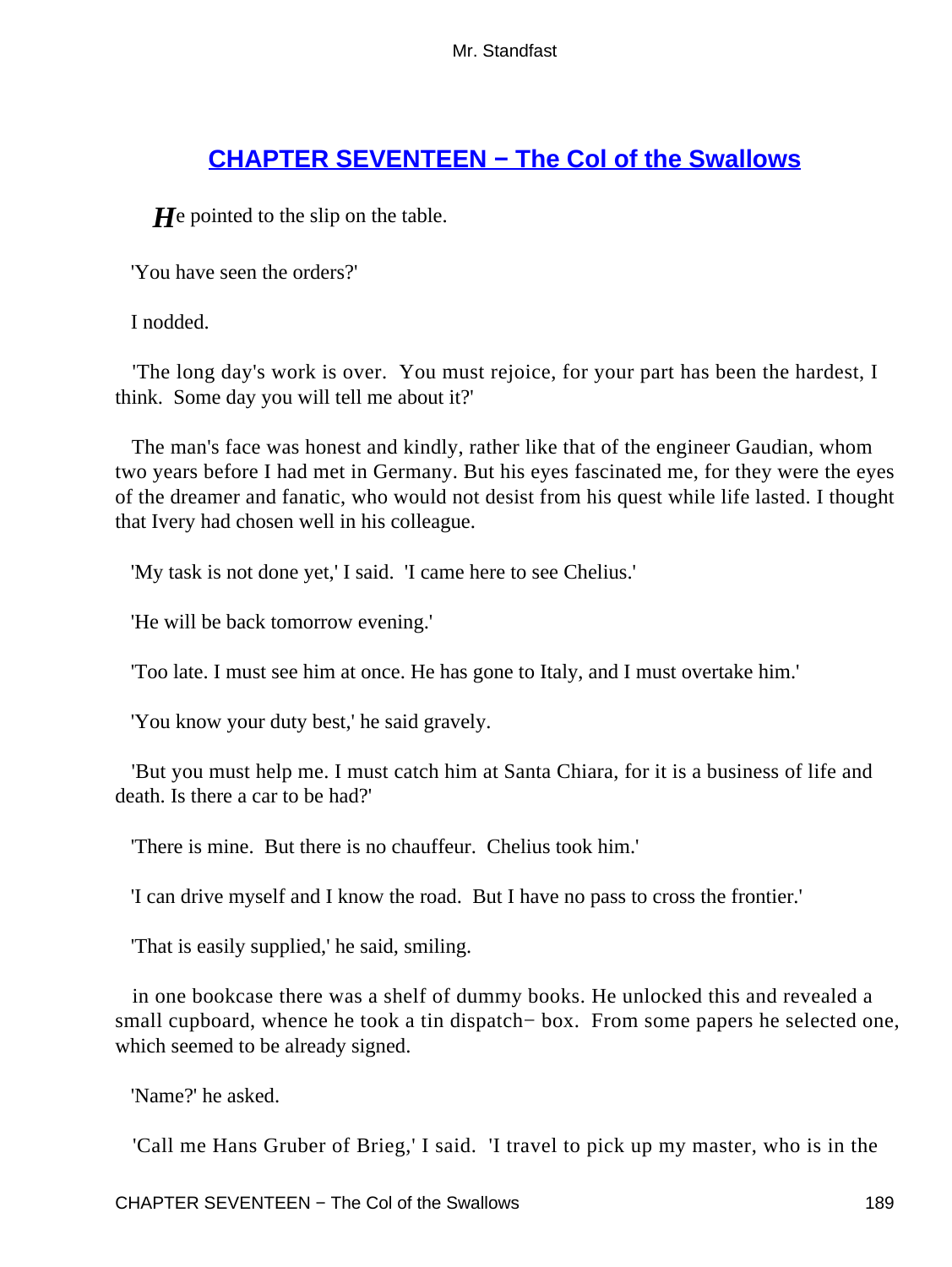# **[CHAPTER SEVENTEEN − The Col of the Swallows](#page-255-0)**

*H*e pointed to the slip on the table.

'You have seen the orders?'

I nodded.

 'The long day's work is over. You must rejoice, for your part has been the hardest, I think. Some day you will tell me about it?'

 The man's face was honest and kindly, rather like that of the engineer Gaudian, whom two years before I had met in Germany. But his eyes fascinated me, for they were the eyes of the dreamer and fanatic, who would not desist from his quest while life lasted. I thought that Ivery had chosen well in his colleague.

'My task is not done yet,' I said. 'I came here to see Chelius.'

'He will be back tomorrow evening.'

'Too late. I must see him at once. He has gone to Italy, and I must overtake him.'

'You know your duty best,' he said gravely.

 'But you must help me. I must catch him at Santa Chiara, for it is a business of life and death. Is there a car to be had?'

'There is mine. But there is no chauffeur. Chelius took him.'

'I can drive myself and I know the road. But I have no pass to cross the frontier.'

'That is easily supplied,' he said, smiling.

 in one bookcase there was a shelf of dummy books. He unlocked this and revealed a small cupboard, whence he took a tin dispatch− box. From some papers he selected one, which seemed to be already signed.

'Name?' he asked.

'Call me Hans Gruber of Brieg,' I said. 'I travel to pick up my master, who is in the

CHAPTER SEVENTEEN – The Col of the Swallows 189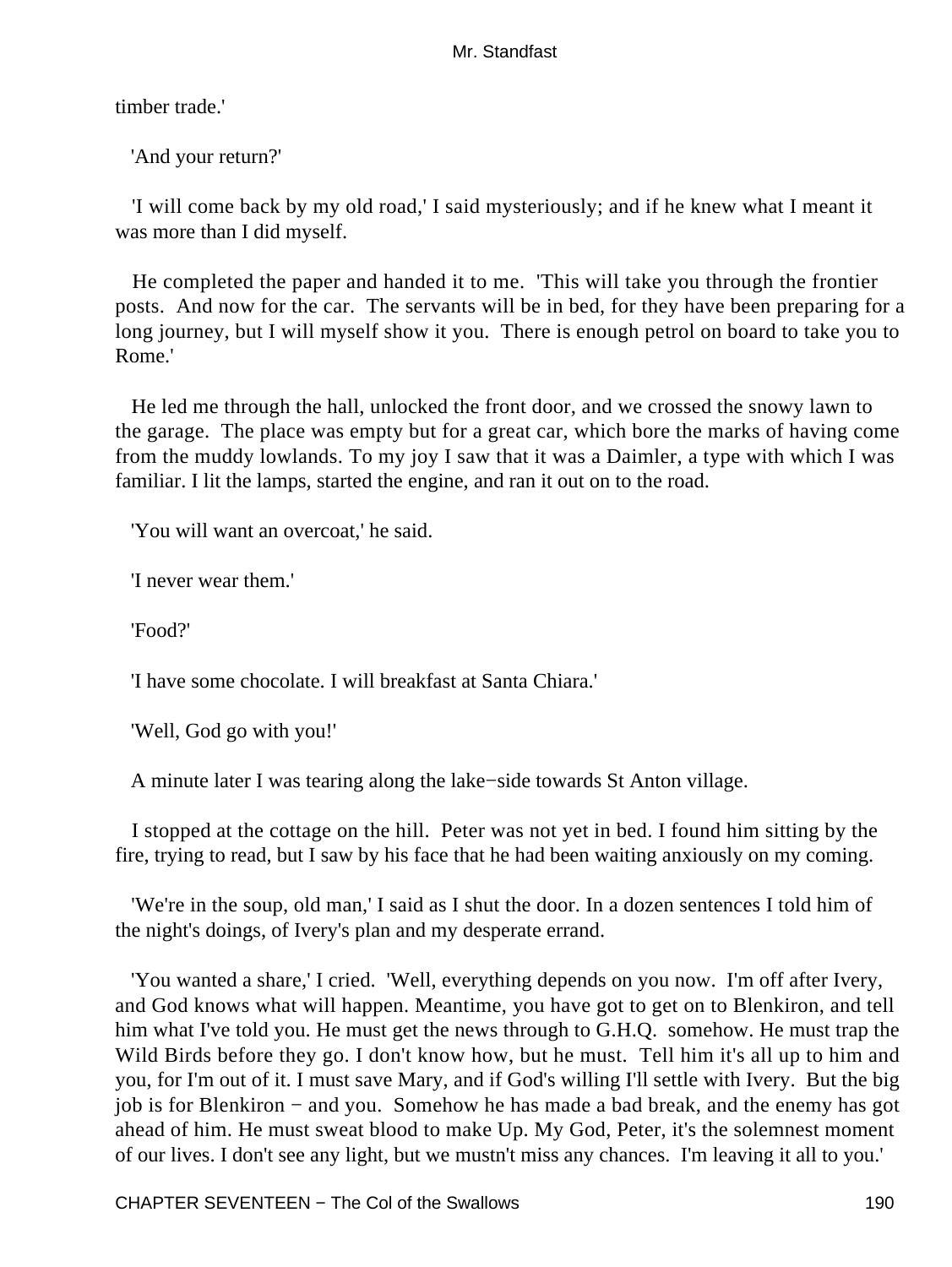timber trade.'

'And your return?'

 'I will come back by my old road,' I said mysteriously; and if he knew what I meant it was more than I did myself.

 He completed the paper and handed it to me. 'This will take you through the frontier posts. And now for the car. The servants will be in bed, for they have been preparing for a long journey, but I will myself show it you. There is enough petrol on board to take you to Rome.'

 He led me through the hall, unlocked the front door, and we crossed the snowy lawn to the garage. The place was empty but for a great car, which bore the marks of having come from the muddy lowlands. To my joy I saw that it was a Daimler, a type with which I was familiar. I lit the lamps, started the engine, and ran it out on to the road.

'You will want an overcoat,' he said.

'I never wear them.'

'Food?'

'I have some chocolate. I will breakfast at Santa Chiara.'

'Well, God go with you!'

A minute later I was tearing along the lake−side towards St Anton village.

 I stopped at the cottage on the hill. Peter was not yet in bed. I found him sitting by the fire, trying to read, but I saw by his face that he had been waiting anxiously on my coming.

 'We're in the soup, old man,' I said as I shut the door. In a dozen sentences I told him of the night's doings, of Ivery's plan and my desperate errand.

 'You wanted a share,' I cried. 'Well, everything depends on you now. I'm off after Ivery, and God knows what will happen. Meantime, you have got to get on to Blenkiron, and tell him what I've told you. He must get the news through to G.H.Q. somehow. He must trap the Wild Birds before they go. I don't know how, but he must. Tell him it's all up to him and you, for I'm out of it. I must save Mary, and if God's willing I'll settle with Ivery. But the big job is for Blenkiron − and you. Somehow he has made a bad break, and the enemy has got ahead of him. He must sweat blood to make Up. My God, Peter, it's the solemnest moment of our lives. I don't see any light, but we mustn't miss any chances. I'm leaving it all to you.'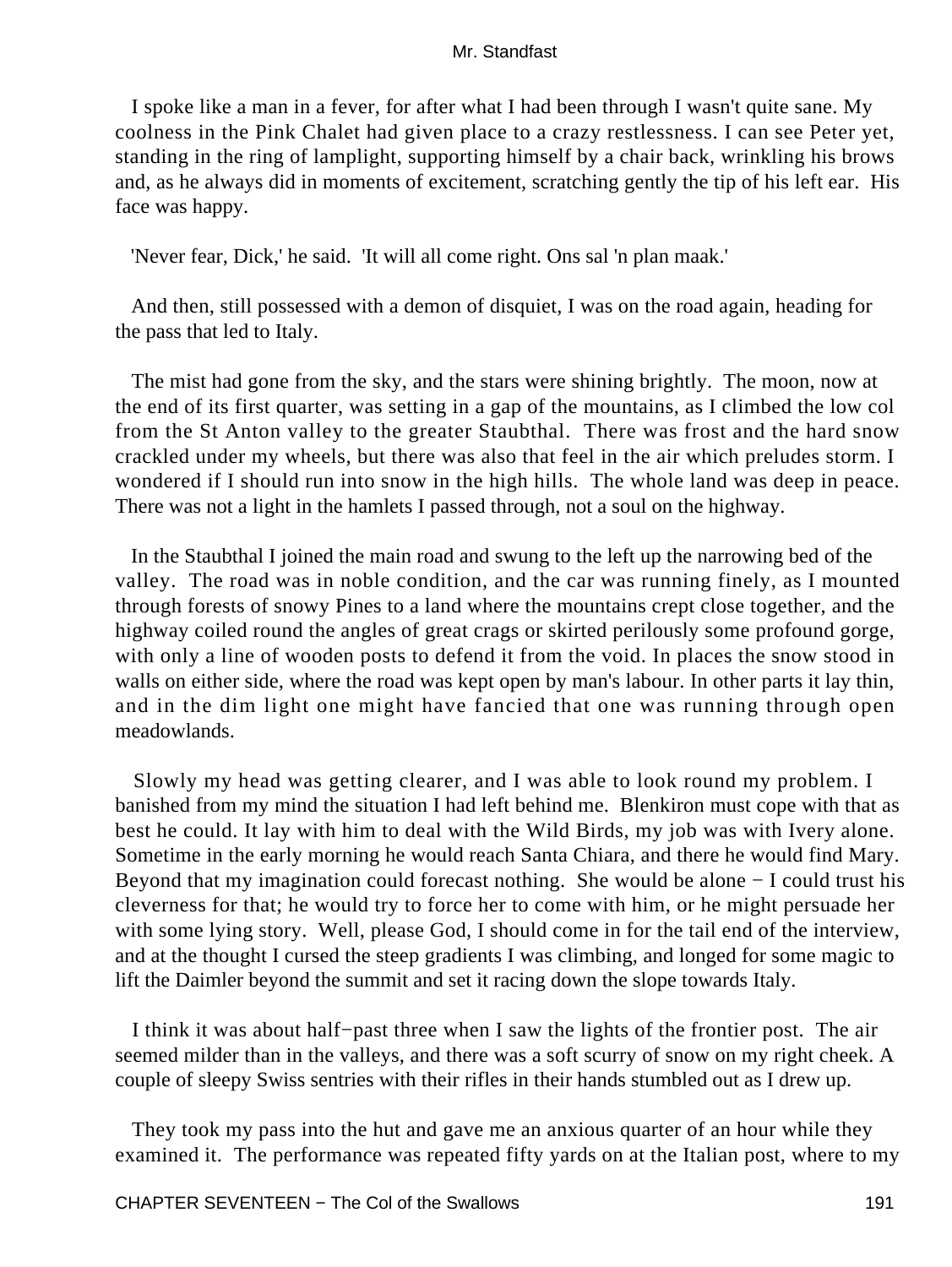I spoke like a man in a fever, for after what I had been through I wasn't quite sane. My coolness in the Pink Chalet had given place to a crazy restlessness. I can see Peter yet, standing in the ring of lamplight, supporting himself by a chair back, wrinkling his brows and, as he always did in moments of excitement, scratching gently the tip of his left ear. His face was happy.

'Never fear, Dick,' he said. 'It will all come right. Ons sal 'n plan maak.'

 And then, still possessed with a demon of disquiet, I was on the road again, heading for the pass that led to Italy.

 The mist had gone from the sky, and the stars were shining brightly. The moon, now at the end of its first quarter, was setting in a gap of the mountains, as I climbed the low col from the St Anton valley to the greater Staubthal. There was frost and the hard snow crackled under my wheels, but there was also that feel in the air which preludes storm. I wondered if I should run into snow in the high hills. The whole land was deep in peace. There was not a light in the hamlets I passed through, not a soul on the highway.

 In the Staubthal I joined the main road and swung to the left up the narrowing bed of the valley. The road was in noble condition, and the car was running finely, as I mounted through forests of snowy Pines to a land where the mountains crept close together, and the highway coiled round the angles of great crags or skirted perilously some profound gorge, with only a line of wooden posts to defend it from the void. In places the snow stood in walls on either side, where the road was kept open by man's labour. In other parts it lay thin, and in the dim light one might have fancied that one was running through open meadowlands.

 Slowly my head was getting clearer, and I was able to look round my problem. I banished from my mind the situation I had left behind me. Blenkiron must cope with that as best he could. It lay with him to deal with the Wild Birds, my job was with Ivery alone. Sometime in the early morning he would reach Santa Chiara, and there he would find Mary. Beyond that my imagination could forecast nothing. She would be alone − I could trust his cleverness for that; he would try to force her to come with him, or he might persuade her with some lying story. Well, please God, I should come in for the tail end of the interview, and at the thought I cursed the steep gradients I was climbing, and longed for some magic to lift the Daimler beyond the summit and set it racing down the slope towards Italy.

 I think it was about half−past three when I saw the lights of the frontier post. The air seemed milder than in the valleys, and there was a soft scurry of snow on my right cheek. A couple of sleepy Swiss sentries with their rifles in their hands stumbled out as I drew up.

 They took my pass into the hut and gave me an anxious quarter of an hour while they examined it. The performance was repeated fifty yards on at the Italian post, where to my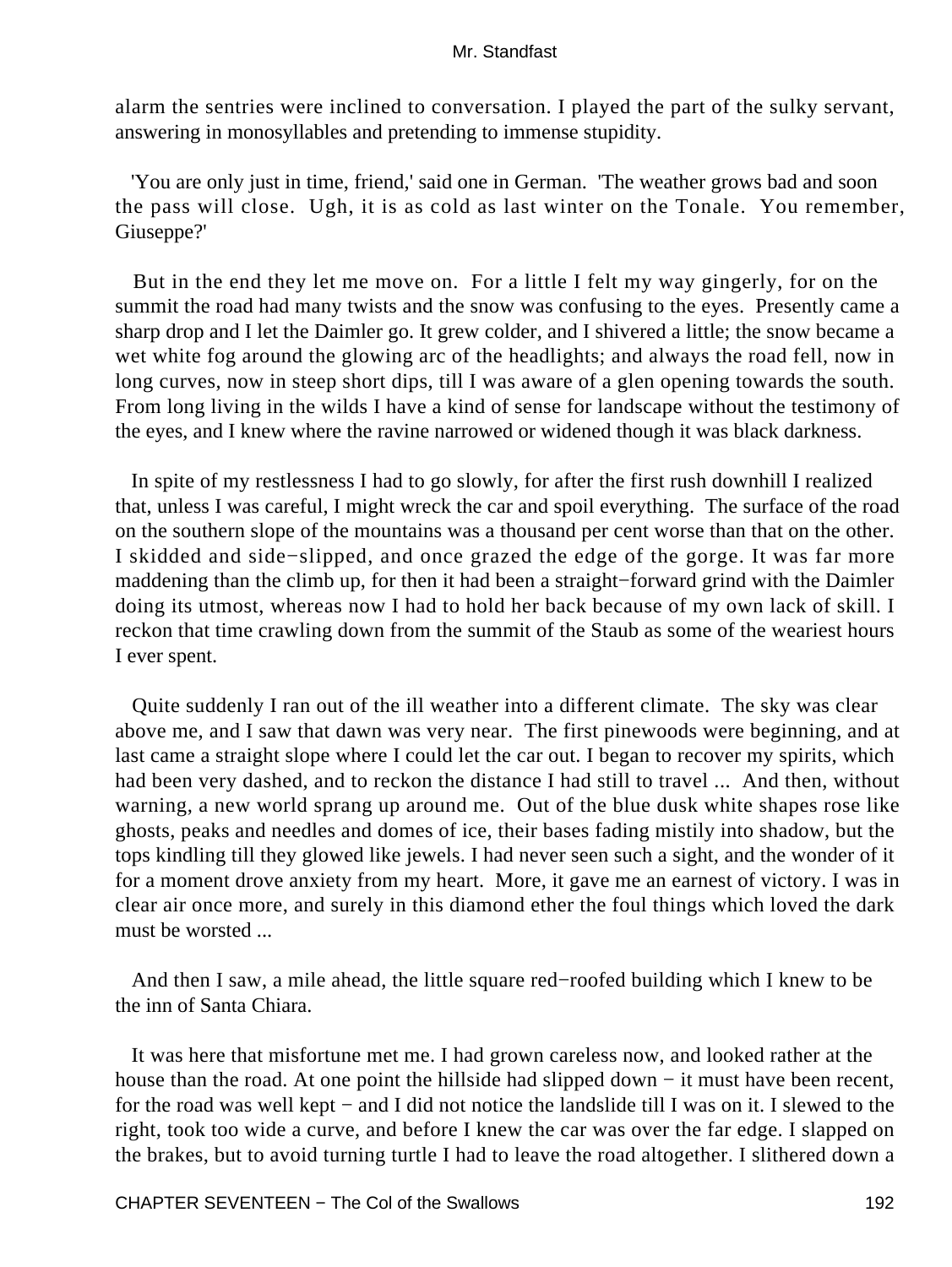alarm the sentries were inclined to conversation. I played the part of the sulky servant, answering in monosyllables and pretending to immense stupidity.

 'You are only just in time, friend,' said one in German. 'The weather grows bad and soon the pass will close. Ugh, it is as cold as last winter on the Tonale. You remember, Giuseppe?'

 But in the end they let me move on. For a little I felt my way gingerly, for on the summit the road had many twists and the snow was confusing to the eyes. Presently came a sharp drop and I let the Daimler go. It grew colder, and I shivered a little; the snow became a wet white fog around the glowing arc of the headlights; and always the road fell, now in long curves, now in steep short dips, till I was aware of a glen opening towards the south. From long living in the wilds I have a kind of sense for landscape without the testimony of the eyes, and I knew where the ravine narrowed or widened though it was black darkness.

 In spite of my restlessness I had to go slowly, for after the first rush downhill I realized that, unless I was careful, I might wreck the car and spoil everything. The surface of the road on the southern slope of the mountains was a thousand per cent worse than that on the other. I skidded and side−slipped, and once grazed the edge of the gorge. It was far more maddening than the climb up, for then it had been a straight−forward grind with the Daimler doing its utmost, whereas now I had to hold her back because of my own lack of skill. I reckon that time crawling down from the summit of the Staub as some of the weariest hours I ever spent.

 Quite suddenly I ran out of the ill weather into a different climate. The sky was clear above me, and I saw that dawn was very near. The first pinewoods were beginning, and at last came a straight slope where I could let the car out. I began to recover my spirits, which had been very dashed, and to reckon the distance I had still to travel ... And then, without warning, a new world sprang up around me. Out of the blue dusk white shapes rose like ghosts, peaks and needles and domes of ice, their bases fading mistily into shadow, but the tops kindling till they glowed like jewels. I had never seen such a sight, and the wonder of it for a moment drove anxiety from my heart. More, it gave me an earnest of victory. I was in clear air once more, and surely in this diamond ether the foul things which loved the dark must be worsted ...

 And then I saw, a mile ahead, the little square red−roofed building which I knew to be the inn of Santa Chiara.

 It was here that misfortune met me. I had grown careless now, and looked rather at the house than the road. At one point the hillside had slipped down – it must have been recent, for the road was well kept − and I did not notice the landslide till I was on it. I slewed to the right, took too wide a curve, and before I knew the car was over the far edge. I slapped on the brakes, but to avoid turning turtle I had to leave the road altogether. I slithered down a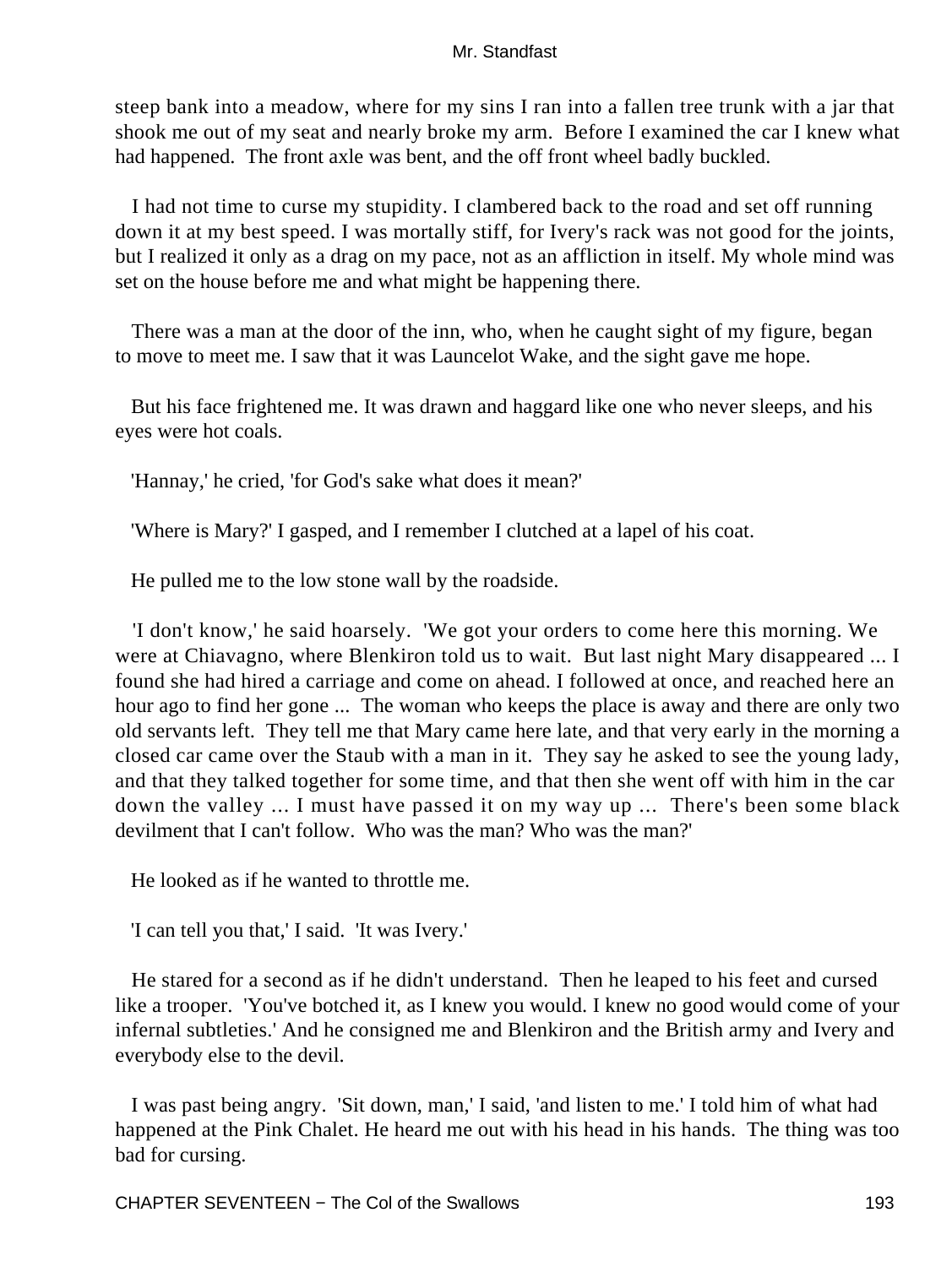steep bank into a meadow, where for my sins I ran into a fallen tree trunk with a jar that shook me out of my seat and nearly broke my arm. Before I examined the car I knew what had happened. The front axle was bent, and the off front wheel badly buckled.

 I had not time to curse my stupidity. I clambered back to the road and set off running down it at my best speed. I was mortally stiff, for Ivery's rack was not good for the joints, but I realized it only as a drag on my pace, not as an affliction in itself. My whole mind was set on the house before me and what might be happening there.

 There was a man at the door of the inn, who, when he caught sight of my figure, began to move to meet me. I saw that it was Launcelot Wake, and the sight gave me hope.

 But his face frightened me. It was drawn and haggard like one who never sleeps, and his eyes were hot coals.

'Hannay,' he cried, 'for God's sake what does it mean?'

'Where is Mary?' I gasped, and I remember I clutched at a lapel of his coat.

He pulled me to the low stone wall by the roadside.

 'I don't know,' he said hoarsely. 'We got your orders to come here this morning. We were at Chiavagno, where Blenkiron told us to wait. But last night Mary disappeared ... I found she had hired a carriage and come on ahead. I followed at once, and reached here an hour ago to find her gone ... The woman who keeps the place is away and there are only two old servants left. They tell me that Mary came here late, and that very early in the morning a closed car came over the Staub with a man in it. They say he asked to see the young lady, and that they talked together for some time, and that then she went off with him in the car down the valley ... I must have passed it on my way up ... There's been some black devilment that I can't follow. Who was the man? Who was the man?'

He looked as if he wanted to throttle me.

'I can tell you that,' I said. 'It was Ivery.'

 He stared for a second as if he didn't understand. Then he leaped to his feet and cursed like a trooper. 'You've botched it, as I knew you would. I knew no good would come of your infernal subtleties.' And he consigned me and Blenkiron and the British army and Ivery and everybody else to the devil.

 I was past being angry. 'Sit down, man,' I said, 'and listen to me.' I told him of what had happened at the Pink Chalet. He heard me out with his head in his hands. The thing was too bad for cursing.

CHAPTER SEVENTEEN – The Col of the Swallows 193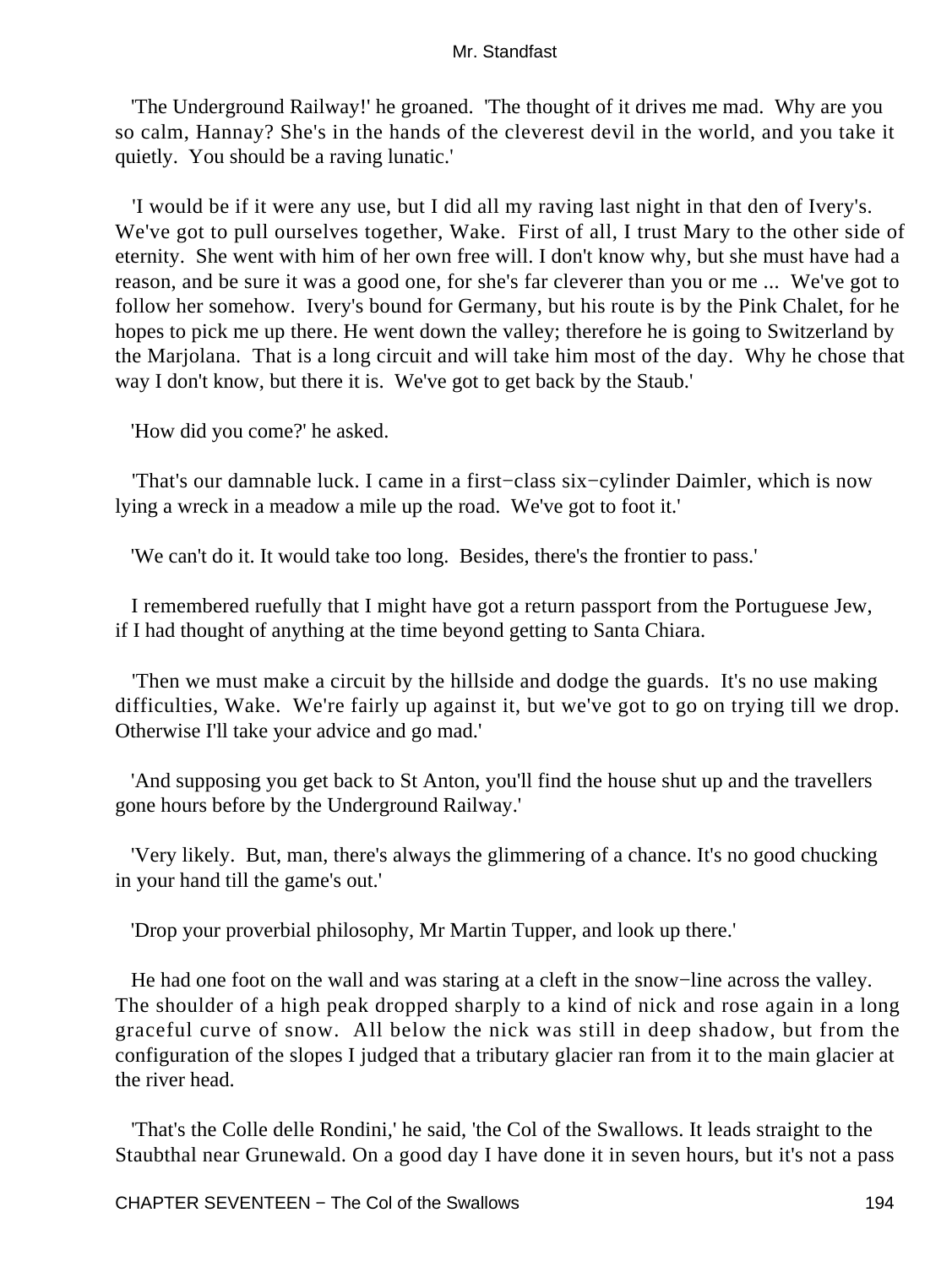'The Underground Railway!' he groaned. 'The thought of it drives me mad. Why are you so calm, Hannay? She's in the hands of the cleverest devil in the world, and you take it quietly. You should be a raving lunatic.'

 'I would be if it were any use, but I did all my raving last night in that den of Ivery's. We've got to pull ourselves together, Wake. First of all, I trust Mary to the other side of eternity. She went with him of her own free will. I don't know why, but she must have had a reason, and be sure it was a good one, for she's far cleverer than you or me ... We've got to follow her somehow. Ivery's bound for Germany, but his route is by the Pink Chalet, for he hopes to pick me up there. He went down the valley; therefore he is going to Switzerland by the Marjolana. That is a long circuit and will take him most of the day. Why he chose that way I don't know, but there it is. We've got to get back by the Staub.'

'How did you come?' he asked.

 'That's our damnable luck. I came in a first−class six−cylinder Daimler, which is now lying a wreck in a meadow a mile up the road. We've got to foot it.'

'We can't do it. It would take too long. Besides, there's the frontier to pass.'

 I remembered ruefully that I might have got a return passport from the Portuguese Jew, if I had thought of anything at the time beyond getting to Santa Chiara.

 'Then we must make a circuit by the hillside and dodge the guards. It's no use making difficulties, Wake. We're fairly up against it, but we've got to go on trying till we drop. Otherwise I'll take your advice and go mad.'

 'And supposing you get back to St Anton, you'll find the house shut up and the travellers gone hours before by the Underground Railway.'

 'Very likely. But, man, there's always the glimmering of a chance. It's no good chucking in your hand till the game's out.'

'Drop your proverbial philosophy, Mr Martin Tupper, and look up there.'

 He had one foot on the wall and was staring at a cleft in the snow−line across the valley. The shoulder of a high peak dropped sharply to a kind of nick and rose again in a long graceful curve of snow. All below the nick was still in deep shadow, but from the configuration of the slopes I judged that a tributary glacier ran from it to the main glacier at the river head.

 'That's the Colle delle Rondini,' he said, 'the Col of the Swallows. It leads straight to the Staubthal near Grunewald. On a good day I have done it in seven hours, but it's not a pass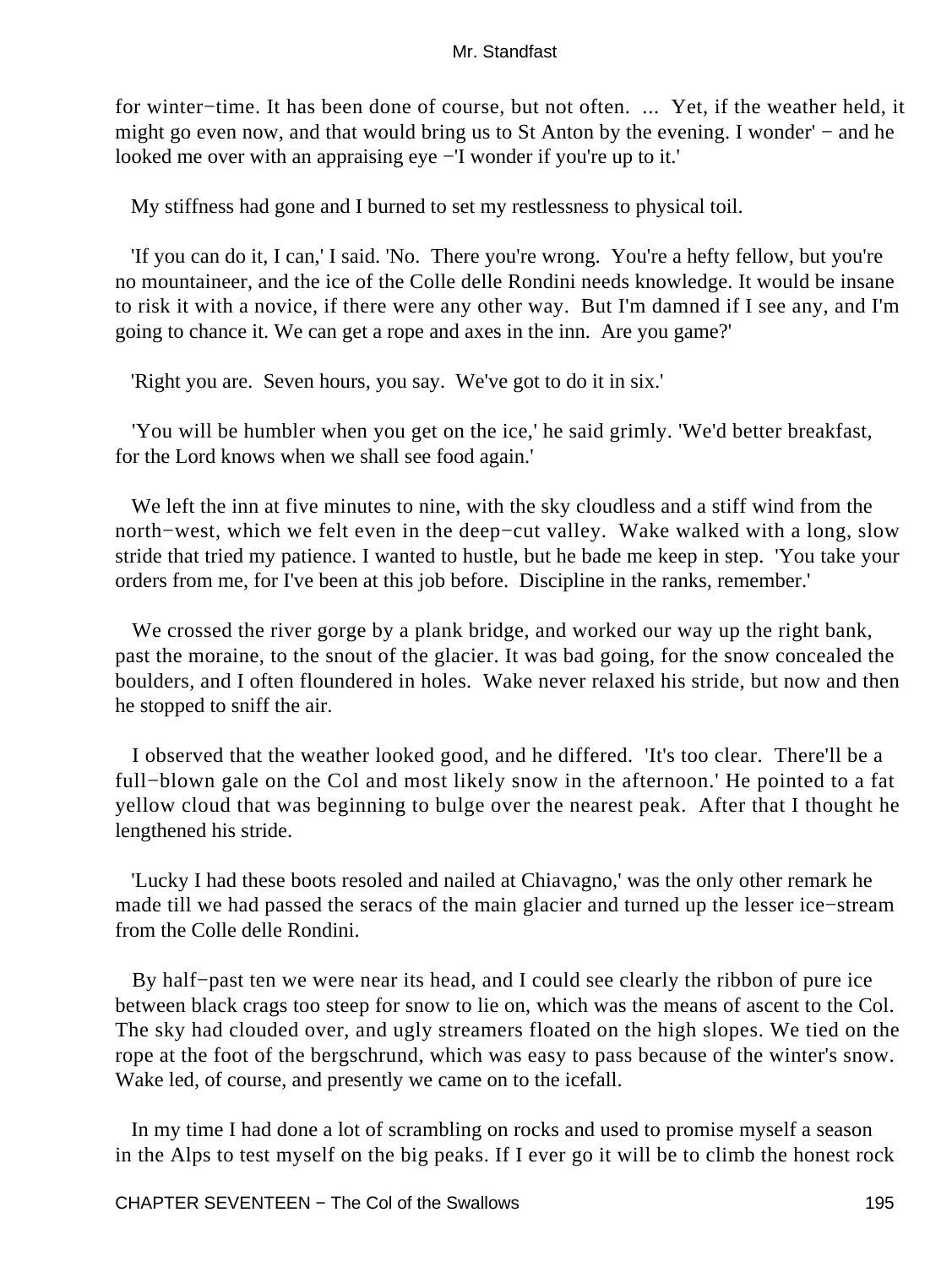for winter−time. It has been done of course, but not often. ... Yet, if the weather held, it might go even now, and that would bring us to St Anton by the evening. I wonder' – and he looked me over with an appraising eye −'I wonder if you're up to it.'

My stiffness had gone and I burned to set my restlessness to physical toil.

 'If you can do it, I can,' I said. 'No. There you're wrong. You're a hefty fellow, but you're no mountaineer, and the ice of the Colle delle Rondini needs knowledge. It would be insane to risk it with a novice, if there were any other way. But I'm damned if I see any, and I'm going to chance it. We can get a rope and axes in the inn. Are you game?'

'Right you are. Seven hours, you say. We've got to do it in six.'

 'You will be humbler when you get on the ice,' he said grimly. 'We'd better breakfast, for the Lord knows when we shall see food again.'

 We left the inn at five minutes to nine, with the sky cloudless and a stiff wind from the north−west, which we felt even in the deep−cut valley. Wake walked with a long, slow stride that tried my patience. I wanted to hustle, but he bade me keep in step. 'You take your orders from me, for I've been at this job before. Discipline in the ranks, remember.'

We crossed the river gorge by a plank bridge, and worked our way up the right bank, past the moraine, to the snout of the glacier. It was bad going, for the snow concealed the boulders, and I often floundered in holes. Wake never relaxed his stride, but now and then he stopped to sniff the air.

 I observed that the weather looked good, and he differed. 'It's too clear. There'll be a full−blown gale on the Col and most likely snow in the afternoon.' He pointed to a fat yellow cloud that was beginning to bulge over the nearest peak. After that I thought he lengthened his stride.

 'Lucky I had these boots resoled and nailed at Chiavagno,' was the only other remark he made till we had passed the seracs of the main glacier and turned up the lesser ice−stream from the Colle delle Rondini.

 By half−past ten we were near its head, and I could see clearly the ribbon of pure ice between black crags too steep for snow to lie on, which was the means of ascent to the Col. The sky had clouded over, and ugly streamers floated on the high slopes. We tied on the rope at the foot of the bergschrund, which was easy to pass because of the winter's snow. Wake led, of course, and presently we came on to the icefall.

 In my time I had done a lot of scrambling on rocks and used to promise myself a season in the Alps to test myself on the big peaks. If I ever go it will be to climb the honest rock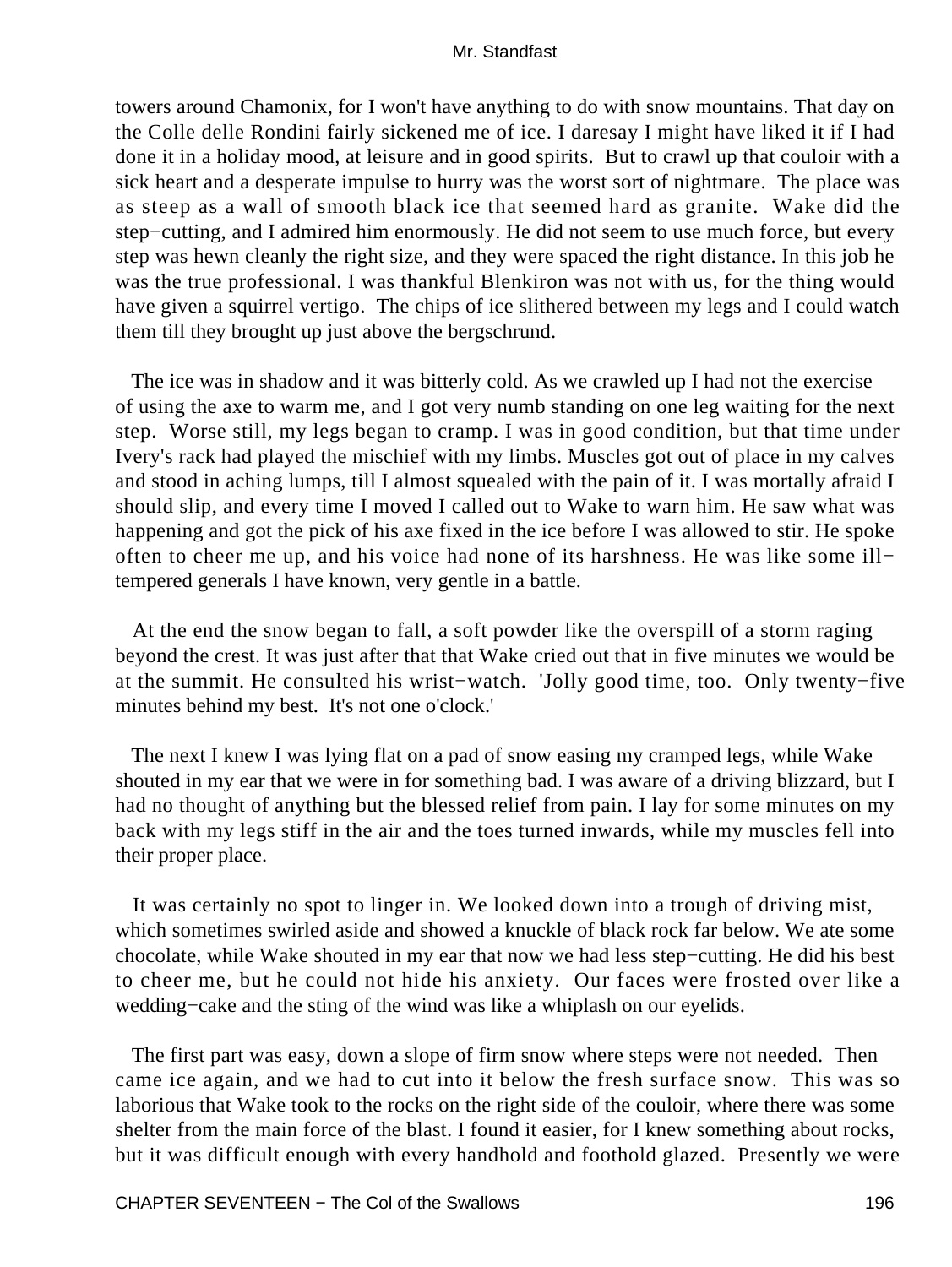towers around Chamonix, for I won't have anything to do with snow mountains. That day on the Colle delle Rondini fairly sickened me of ice. I daresay I might have liked it if I had done it in a holiday mood, at leisure and in good spirits. But to crawl up that couloir with a sick heart and a desperate impulse to hurry was the worst sort of nightmare. The place was as steep as a wall of smooth black ice that seemed hard as granite. Wake did the step−cutting, and I admired him enormously. He did not seem to use much force, but every step was hewn cleanly the right size, and they were spaced the right distance. In this job he was the true professional. I was thankful Blenkiron was not with us, for the thing would have given a squirrel vertigo. The chips of ice slithered between my legs and I could watch them till they brought up just above the bergschrund.

 The ice was in shadow and it was bitterly cold. As we crawled up I had not the exercise of using the axe to warm me, and I got very numb standing on one leg waiting for the next step. Worse still, my legs began to cramp. I was in good condition, but that time under Ivery's rack had played the mischief with my limbs. Muscles got out of place in my calves and stood in aching lumps, till I almost squealed with the pain of it. I was mortally afraid I should slip, and every time I moved I called out to Wake to warn him. He saw what was happening and got the pick of his axe fixed in the ice before I was allowed to stir. He spoke often to cheer me up, and his voice had none of its harshness. He was like some ill− tempered generals I have known, very gentle in a battle.

 At the end the snow began to fall, a soft powder like the overspill of a storm raging beyond the crest. It was just after that that Wake cried out that in five minutes we would be at the summit. He consulted his wrist−watch. 'Jolly good time, too. Only twenty−five minutes behind my best. It's not one o'clock.'

 The next I knew I was lying flat on a pad of snow easing my cramped legs, while Wake shouted in my ear that we were in for something bad. I was aware of a driving blizzard, but I had no thought of anything but the blessed relief from pain. I lay for some minutes on my back with my legs stiff in the air and the toes turned inwards, while my muscles fell into their proper place.

 It was certainly no spot to linger in. We looked down into a trough of driving mist, which sometimes swirled aside and showed a knuckle of black rock far below. We ate some chocolate, while Wake shouted in my ear that now we had less step−cutting. He did his best to cheer me, but he could not hide his anxiety. Our faces were frosted over like a wedding−cake and the sting of the wind was like a whiplash on our eyelids.

 The first part was easy, down a slope of firm snow where steps were not needed. Then came ice again, and we had to cut into it below the fresh surface snow. This was so laborious that Wake took to the rocks on the right side of the couloir, where there was some shelter from the main force of the blast. I found it easier, for I knew something about rocks, but it was difficult enough with every handhold and foothold glazed. Presently we were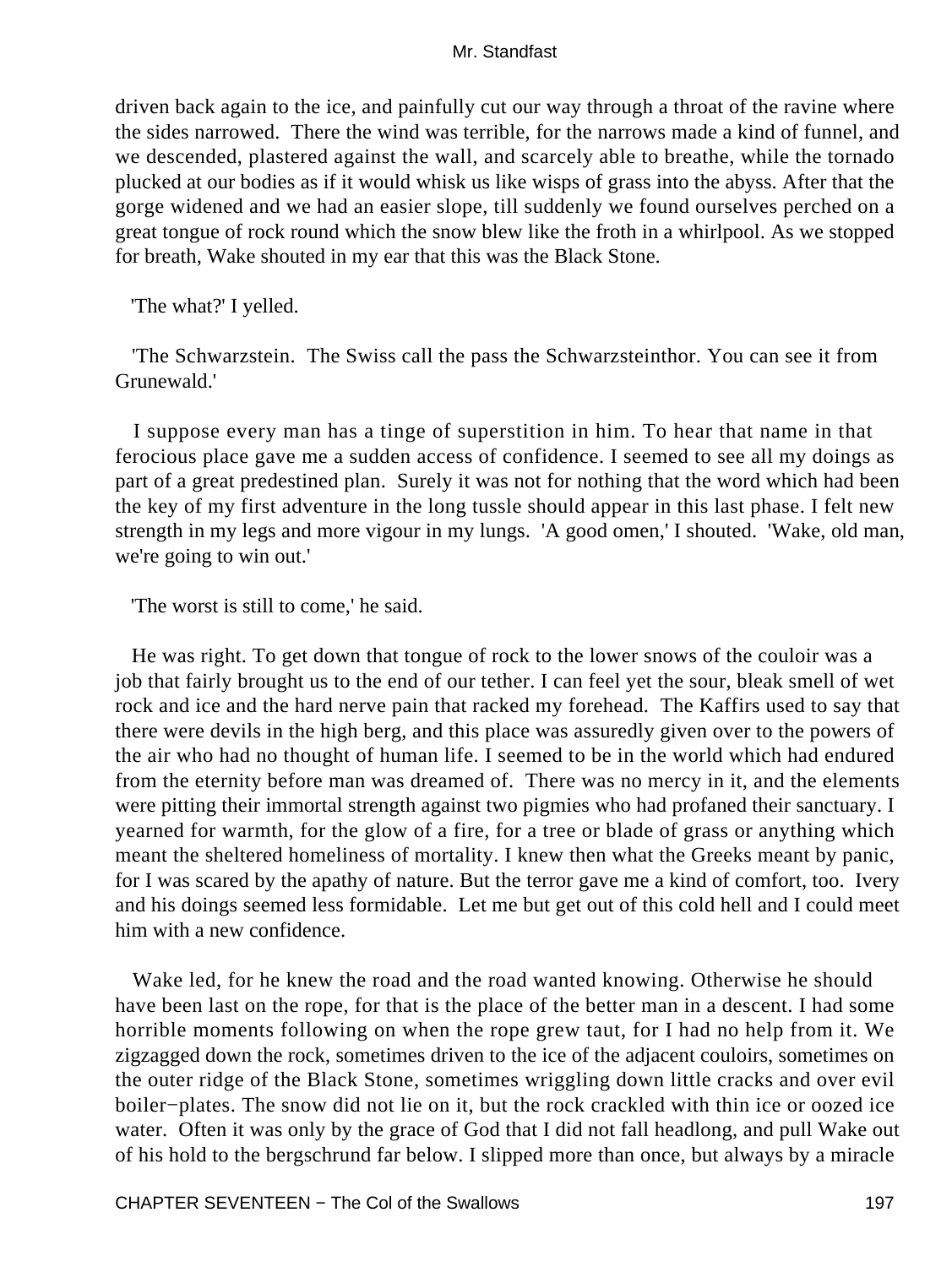driven back again to the ice, and painfully cut our way through a throat of the ravine where the sides narrowed. There the wind was terrible, for the narrows made a kind of funnel, and we descended, plastered against the wall, and scarcely able to breathe, while the tornado plucked at our bodies as if it would whisk us like wisps of grass into the abyss. After that the gorge widened and we had an easier slope, till suddenly we found ourselves perched on a great tongue of rock round which the snow blew like the froth in a whirlpool. As we stopped for breath, Wake shouted in my ear that this was the Black Stone.

'The what?' I yelled.

 'The Schwarzstein. The Swiss call the pass the Schwarzsteinthor. You can see it from Grunewald.'

 I suppose every man has a tinge of superstition in him. To hear that name in that ferocious place gave me a sudden access of confidence. I seemed to see all my doings as part of a great predestined plan. Surely it was not for nothing that the word which had been the key of my first adventure in the long tussle should appear in this last phase. I felt new strength in my legs and more vigour in my lungs. 'A good omen,' I shouted. 'Wake, old man, we're going to win out.'

'The worst is still to come,' he said.

 He was right. To get down that tongue of rock to the lower snows of the couloir was a job that fairly brought us to the end of our tether. I can feel yet the sour, bleak smell of wet rock and ice and the hard nerve pain that racked my forehead. The Kaffirs used to say that there were devils in the high berg, and this place was assuredly given over to the powers of the air who had no thought of human life. I seemed to be in the world which had endured from the eternity before man was dreamed of. There was no mercy in it, and the elements were pitting their immortal strength against two pigmies who had profaned their sanctuary. I yearned for warmth, for the glow of a fire, for a tree or blade of grass or anything which meant the sheltered homeliness of mortality. I knew then what the Greeks meant by panic, for I was scared by the apathy of nature. But the terror gave me a kind of comfort, too. Ivery and his doings seemed less formidable. Let me but get out of this cold hell and I could meet him with a new confidence.

 Wake led, for he knew the road and the road wanted knowing. Otherwise he should have been last on the rope, for that is the place of the better man in a descent. I had some horrible moments following on when the rope grew taut, for I had no help from it. We zigzagged down the rock, sometimes driven to the ice of the adjacent couloirs, sometimes on the outer ridge of the Black Stone, sometimes wriggling down little cracks and over evil boiler−plates. The snow did not lie on it, but the rock crackled with thin ice or oozed ice water. Often it was only by the grace of God that I did not fall headlong, and pull Wake out of his hold to the bergschrund far below. I slipped more than once, but always by a miracle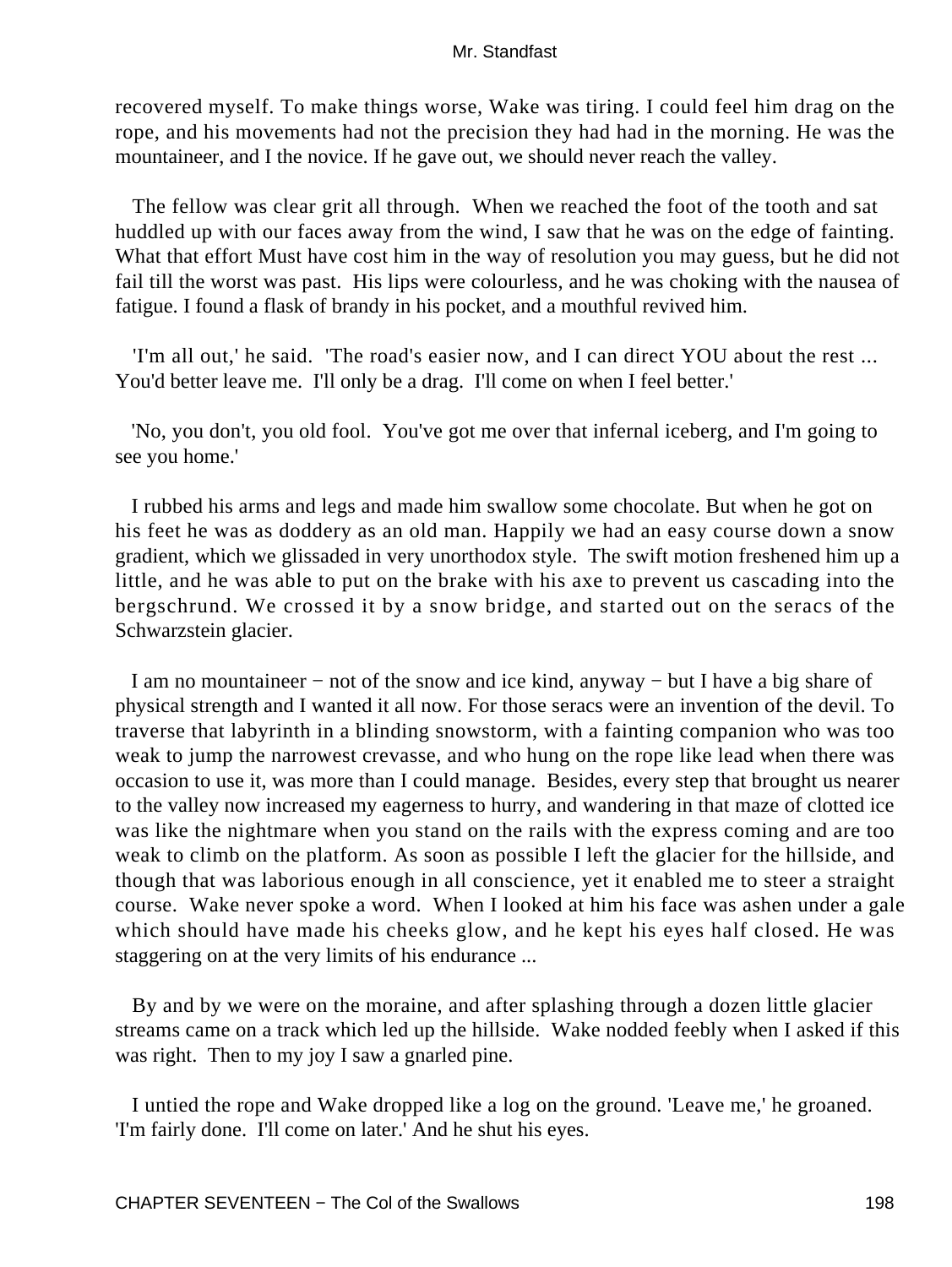recovered myself. To make things worse, Wake was tiring. I could feel him drag on the rope, and his movements had not the precision they had had in the morning. He was the mountaineer, and I the novice. If he gave out, we should never reach the valley.

 The fellow was clear grit all through. When we reached the foot of the tooth and sat huddled up with our faces away from the wind, I saw that he was on the edge of fainting. What that effort Must have cost him in the way of resolution you may guess, but he did not fail till the worst was past. His lips were colourless, and he was choking with the nausea of fatigue. I found a flask of brandy in his pocket, and a mouthful revived him.

 'I'm all out,' he said. 'The road's easier now, and I can direct YOU about the rest ... You'd better leave me. I'll only be a drag. I'll come on when I feel better.'

 'No, you don't, you old fool. You've got me over that infernal iceberg, and I'm going to see you home.'

 I rubbed his arms and legs and made him swallow some chocolate. But when he got on his feet he was as doddery as an old man. Happily we had an easy course down a snow gradient, which we glissaded in very unorthodox style. The swift motion freshened him up a little, and he was able to put on the brake with his axe to prevent us cascading into the bergschrund. We crossed it by a snow bridge, and started out on the seracs of the Schwarzstein glacier.

 I am no mountaineer − not of the snow and ice kind, anyway − but I have a big share of physical strength and I wanted it all now. For those seracs were an invention of the devil. To traverse that labyrinth in a blinding snowstorm, with a fainting companion who was too weak to jump the narrowest crevasse, and who hung on the rope like lead when there was occasion to use it, was more than I could manage. Besides, every step that brought us nearer to the valley now increased my eagerness to hurry, and wandering in that maze of clotted ice was like the nightmare when you stand on the rails with the express coming and are too weak to climb on the platform. As soon as possible I left the glacier for the hillside, and though that was laborious enough in all conscience, yet it enabled me to steer a straight course. Wake never spoke a word. When I looked at him his face was ashen under a gale which should have made his cheeks glow, and he kept his eyes half closed. He was staggering on at the very limits of his endurance ...

 By and by we were on the moraine, and after splashing through a dozen little glacier streams came on a track which led up the hillside. Wake nodded feebly when I asked if this was right. Then to my joy I saw a gnarled pine.

 I untied the rope and Wake dropped like a log on the ground. 'Leave me,' he groaned. 'I'm fairly done. I'll come on later.' And he shut his eyes.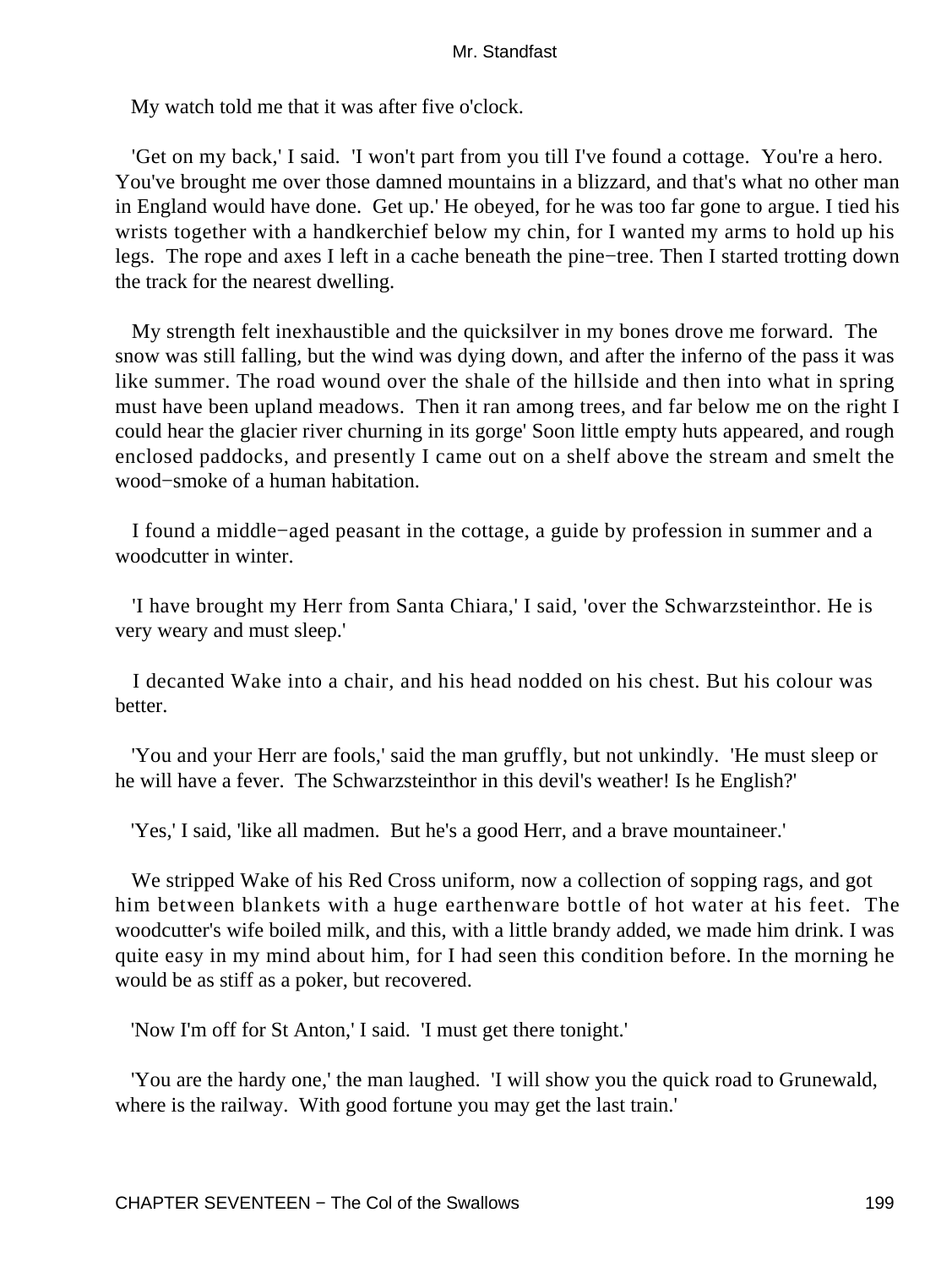My watch told me that it was after five o'clock.

 'Get on my back,' I said. 'I won't part from you till I've found a cottage. You're a hero. You've brought me over those damned mountains in a blizzard, and that's what no other man in England would have done. Get up.' He obeyed, for he was too far gone to argue. I tied his wrists together with a handkerchief below my chin, for I wanted my arms to hold up his legs. The rope and axes I left in a cache beneath the pine−tree. Then I started trotting down the track for the nearest dwelling.

 My strength felt inexhaustible and the quicksilver in my bones drove me forward. The snow was still falling, but the wind was dying down, and after the inferno of the pass it was like summer. The road wound over the shale of the hillside and then into what in spring must have been upland meadows. Then it ran among trees, and far below me on the right I could hear the glacier river churning in its gorge' Soon little empty huts appeared, and rough enclosed paddocks, and presently I came out on a shelf above the stream and smelt the wood−smoke of a human habitation.

 I found a middle−aged peasant in the cottage, a guide by profession in summer and a woodcutter in winter.

 'I have brought my Herr from Santa Chiara,' I said, 'over the Schwarzsteinthor. He is very weary and must sleep.'

 I decanted Wake into a chair, and his head nodded on his chest. But his colour was better.

 'You and your Herr are fools,' said the man gruffly, but not unkindly. 'He must sleep or he will have a fever. The Schwarzsteinthor in this devil's weather! Is he English?'

'Yes,' I said, 'like all madmen. But he's a good Herr, and a brave mountaineer.'

 We stripped Wake of his Red Cross uniform, now a collection of sopping rags, and got him between blankets with a huge earthenware bottle of hot water at his feet. The woodcutter's wife boiled milk, and this, with a little brandy added, we made him drink. I was quite easy in my mind about him, for I had seen this condition before. In the morning he would be as stiff as a poker, but recovered.

'Now I'm off for St Anton,' I said. 'I must get there tonight.'

 'You are the hardy one,' the man laughed. 'I will show you the quick road to Grunewald, where is the railway. With good fortune you may get the last train.'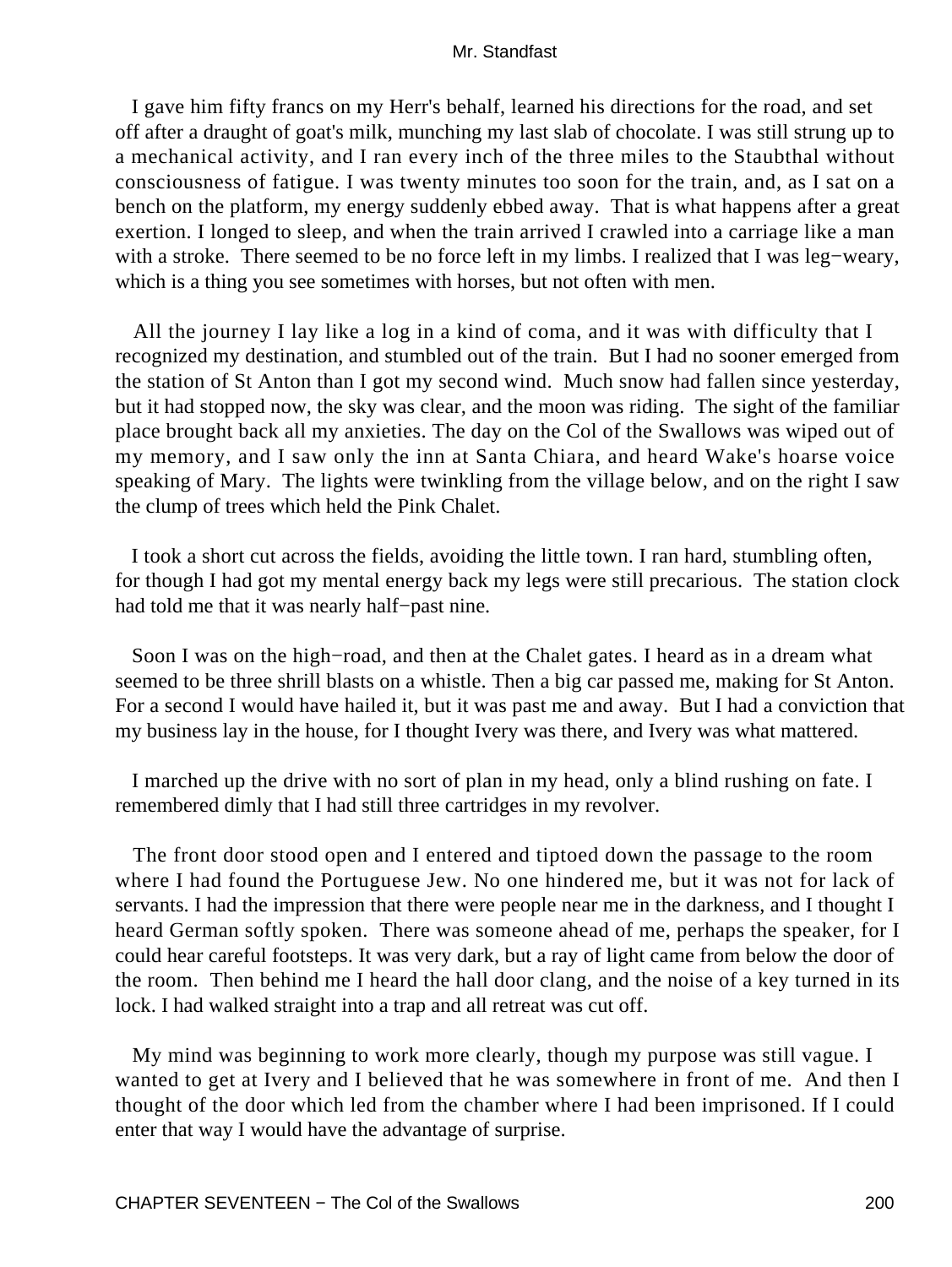I gave him fifty francs on my Herr's behalf, learned his directions for the road, and set off after a draught of goat's milk, munching my last slab of chocolate. I was still strung up to a mechanical activity, and I ran every inch of the three miles to the Staubthal without consciousness of fatigue. I was twenty minutes too soon for the train, and, as I sat on a bench on the platform, my energy suddenly ebbed away. That is what happens after a great exertion. I longed to sleep, and when the train arrived I crawled into a carriage like a man with a stroke. There seemed to be no force left in my limbs. I realized that I was leg−weary, which is a thing you see sometimes with horses, but not often with men.

 All the journey I lay like a log in a kind of coma, and it was with difficulty that I recognized my destination, and stumbled out of the train. But I had no sooner emerged from the station of St Anton than I got my second wind. Much snow had fallen since yesterday, but it had stopped now, the sky was clear, and the moon was riding. The sight of the familiar place brought back all my anxieties. The day on the Col of the Swallows was wiped out of my memory, and I saw only the inn at Santa Chiara, and heard Wake's hoarse voice speaking of Mary. The lights were twinkling from the village below, and on the right I saw the clump of trees which held the Pink Chalet.

 I took a short cut across the fields, avoiding the little town. I ran hard, stumbling often, for though I had got my mental energy back my legs were still precarious. The station clock had told me that it was nearly half−past nine.

 Soon I was on the high−road, and then at the Chalet gates. I heard as in a dream what seemed to be three shrill blasts on a whistle. Then a big car passed me, making for St Anton. For a second I would have hailed it, but it was past me and away. But I had a conviction that my business lay in the house, for I thought Ivery was there, and Ivery was what mattered.

 I marched up the drive with no sort of plan in my head, only a blind rushing on fate. I remembered dimly that I had still three cartridges in my revolver.

 The front door stood open and I entered and tiptoed down the passage to the room where I had found the Portuguese Jew. No one hindered me, but it was not for lack of servants. I had the impression that there were people near me in the darkness, and I thought I heard German softly spoken. There was someone ahead of me, perhaps the speaker, for I could hear careful footsteps. It was very dark, but a ray of light came from below the door of the room. Then behind me I heard the hall door clang, and the noise of a key turned in its lock. I had walked straight into a trap and all retreat was cut off.

 My mind was beginning to work more clearly, though my purpose was still vague. I wanted to get at Ivery and I believed that he was somewhere in front of me. And then I thought of the door which led from the chamber where I had been imprisoned. If I could enter that way I would have the advantage of surprise.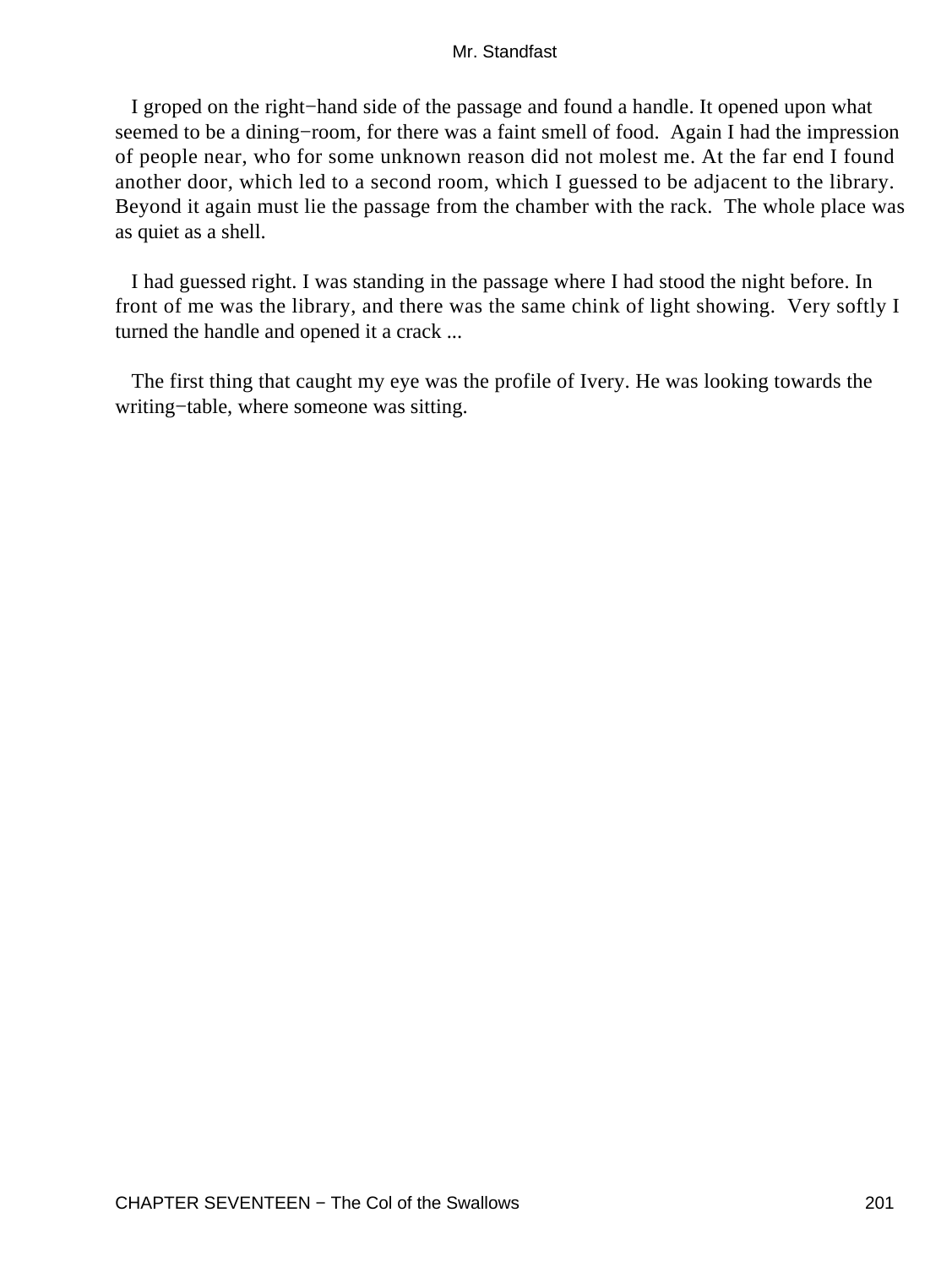I groped on the right−hand side of the passage and found a handle. It opened upon what seemed to be a dining–room, for there was a faint smell of food. Again I had the impression of people near, who for some unknown reason did not molest me. At the far end I found another door, which led to a second room, which I guessed to be adjacent to the library. Beyond it again must lie the passage from the chamber with the rack. The whole place was as quiet as a shell.

 I had guessed right. I was standing in the passage where I had stood the night before. In front of me was the library, and there was the same chink of light showing. Very softly I turned the handle and opened it a crack ...

 The first thing that caught my eye was the profile of Ivery. He was looking towards the writing−table, where someone was sitting.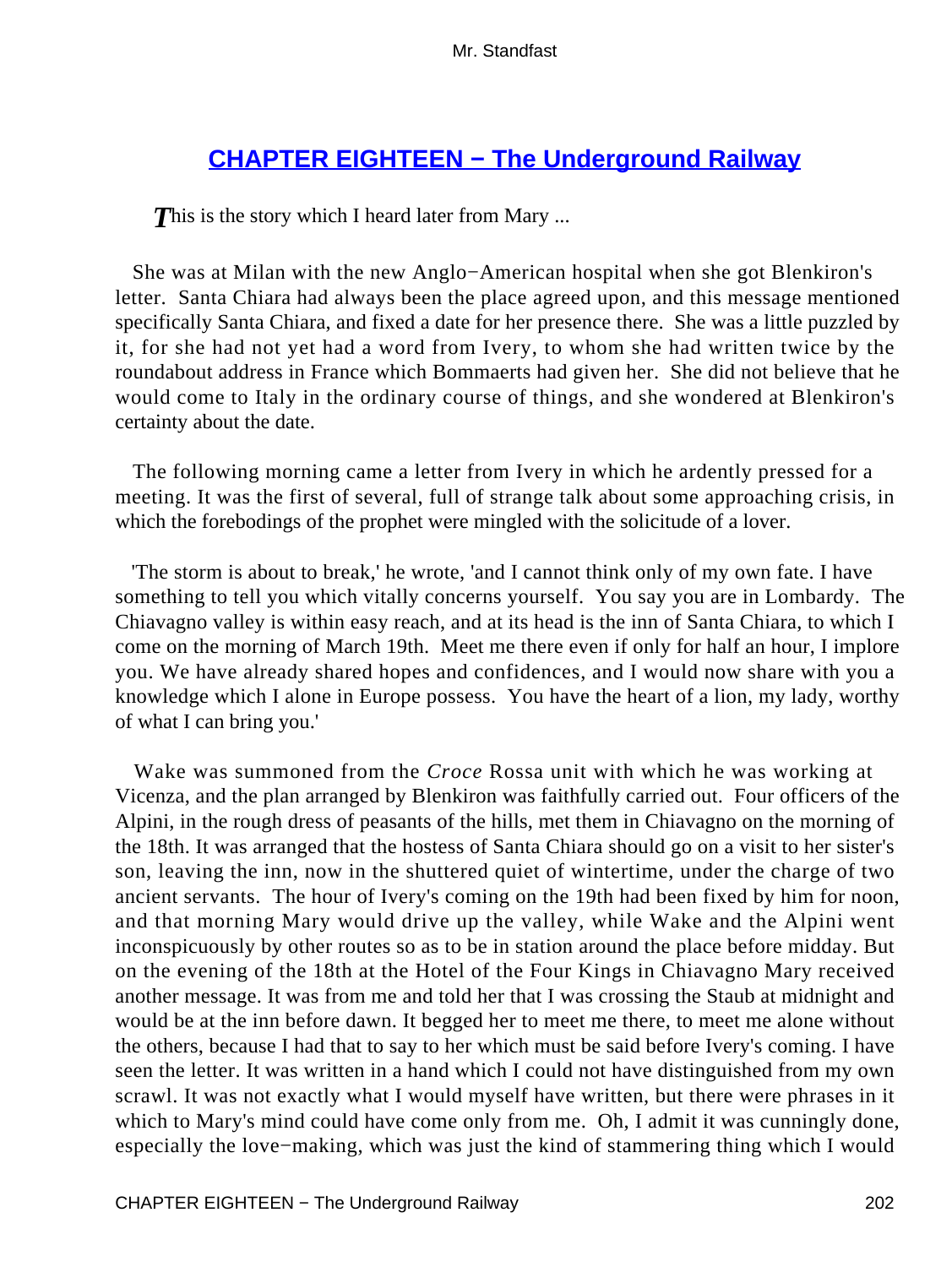# **[CHAPTER EIGHTEEN − The Underground Railway](#page-255-0)**

**This is the story which I heard later from Mary ...** 

 She was at Milan with the new Anglo−American hospital when she got Blenkiron's letter. Santa Chiara had always been the place agreed upon, and this message mentioned specifically Santa Chiara, and fixed a date for her presence there. She was a little puzzled by it, for she had not yet had a word from Ivery, to whom she had written twice by the roundabout address in France which Bommaerts had given her. She did not believe that he would come to Italy in the ordinary course of things, and she wondered at Blenkiron's certainty about the date.

 The following morning came a letter from Ivery in which he ardently pressed for a meeting. It was the first of several, full of strange talk about some approaching crisis, in which the forebodings of the prophet were mingled with the solicitude of a lover.

 'The storm is about to break,' he wrote, 'and I cannot think only of my own fate. I have something to tell you which vitally concerns yourself. You say you are in Lombardy. The Chiavagno valley is within easy reach, and at its head is the inn of Santa Chiara, to which I come on the morning of March 19th. Meet me there even if only for half an hour, I implore you. We have already shared hopes and confidences, and I would now share with you a knowledge which I alone in Europe possess. You have the heart of a lion, my lady, worthy of what I can bring you.'

 Wake was summoned from the *Croce* Rossa unit with which he was working at Vicenza, and the plan arranged by Blenkiron was faithfully carried out. Four officers of the Alpini, in the rough dress of peasants of the hills, met them in Chiavagno on the morning of the 18th. It was arranged that the hostess of Santa Chiara should go on a visit to her sister's son, leaving the inn, now in the shuttered quiet of wintertime, under the charge of two ancient servants. The hour of Ivery's coming on the 19th had been fixed by him for noon, and that morning Mary would drive up the valley, while Wake and the Alpini went inconspicuously by other routes so as to be in station around the place before midday. But on the evening of the 18th at the Hotel of the Four Kings in Chiavagno Mary received another message. It was from me and told her that I was crossing the Staub at midnight and would be at the inn before dawn. It begged her to meet me there, to meet me alone without the others, because I had that to say to her which must be said before Ivery's coming. I have seen the letter. It was written in a hand which I could not have distinguished from my own scrawl. It was not exactly what I would myself have written, but there were phrases in it which to Mary's mind could have come only from me. Oh, I admit it was cunningly done, especially the love−making, which was just the kind of stammering thing which I would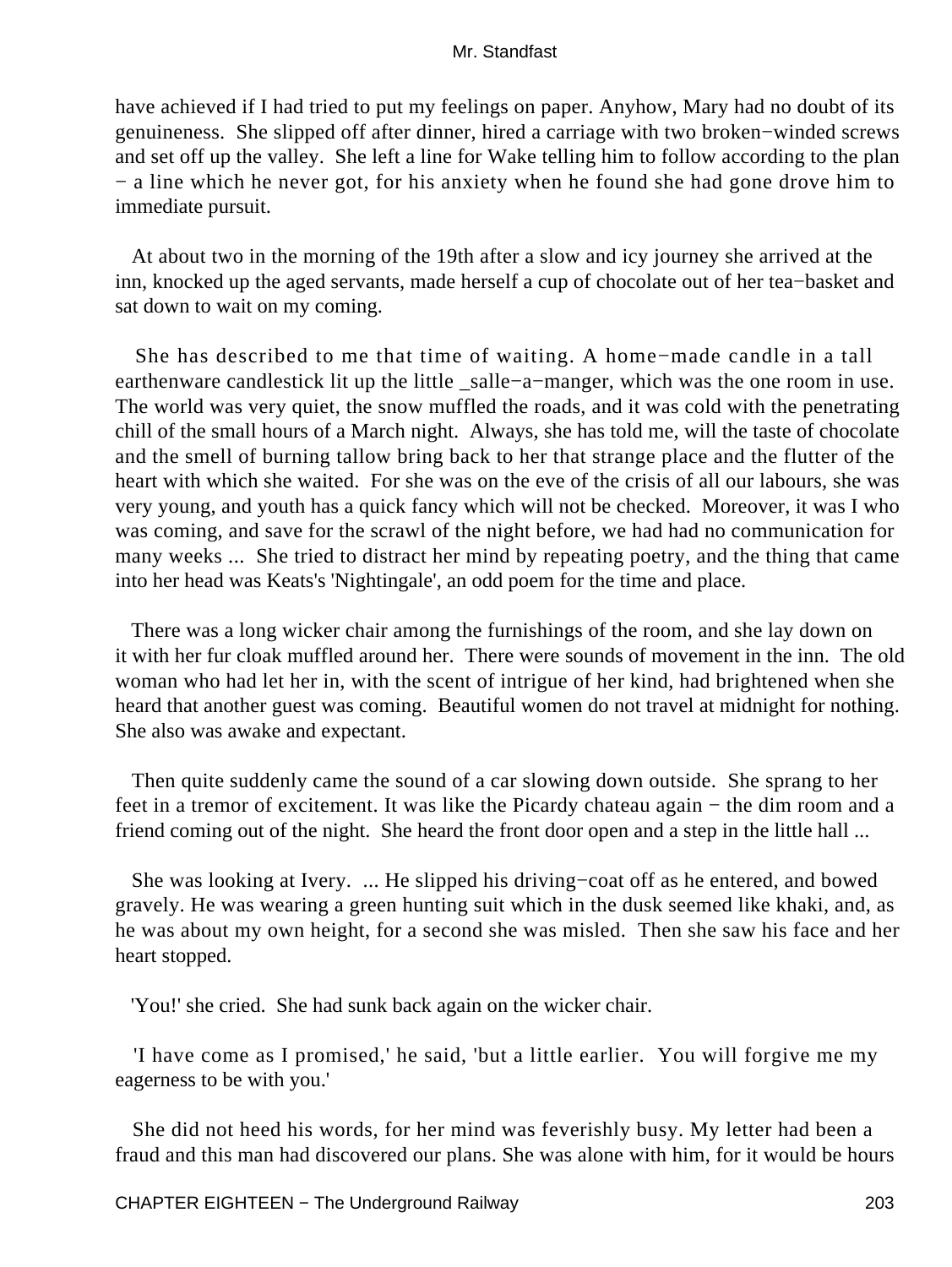have achieved if I had tried to put my feelings on paper. Anyhow, Mary had no doubt of its genuineness. She slipped off after dinner, hired a carriage with two broken−winded screws and set off up the valley. She left a line for Wake telling him to follow according to the plan − a line which he never got, for his anxiety when he found she had gone drove him to immediate pursuit.

 At about two in the morning of the 19th after a slow and icy journey she arrived at the inn, knocked up the aged servants, made herself a cup of chocolate out of her tea−basket and sat down to wait on my coming.

 She has described to me that time of waiting. A home−made candle in a tall earthenware candlestick lit up the little \_salle−a−manger, which was the one room in use. The world was very quiet, the snow muffled the roads, and it was cold with the penetrating chill of the small hours of a March night. Always, she has told me, will the taste of chocolate and the smell of burning tallow bring back to her that strange place and the flutter of the heart with which she waited. For she was on the eve of the crisis of all our labours, she was very young, and youth has a quick fancy which will not be checked. Moreover, it was I who was coming, and save for the scrawl of the night before, we had had no communication for many weeks ... She tried to distract her mind by repeating poetry, and the thing that came into her head was Keats's 'Nightingale', an odd poem for the time and place.

 There was a long wicker chair among the furnishings of the room, and she lay down on it with her fur cloak muffled around her. There were sounds of movement in the inn. The old woman who had let her in, with the scent of intrigue of her kind, had brightened when she heard that another guest was coming. Beautiful women do not travel at midnight for nothing. She also was awake and expectant.

 Then quite suddenly came the sound of a car slowing down outside. She sprang to her feet in a tremor of excitement. It was like the Picardy chateau again – the dim room and a friend coming out of the night. She heard the front door open and a step in the little hall ...

 She was looking at Ivery. ... He slipped his driving−coat off as he entered, and bowed gravely. He was wearing a green hunting suit which in the dusk seemed like khaki, and, as he was about my own height, for a second she was misled. Then she saw his face and her heart stopped.

'You!' she cried. She had sunk back again on the wicker chair.

 'I have come as I promised,' he said, 'but a little earlier. You will forgive me my eagerness to be with you.'

 She did not heed his words, for her mind was feverishly busy. My letter had been a fraud and this man had discovered our plans. She was alone with him, for it would be hours

CHAPTER EIGHTEEN − The Underground Railway 203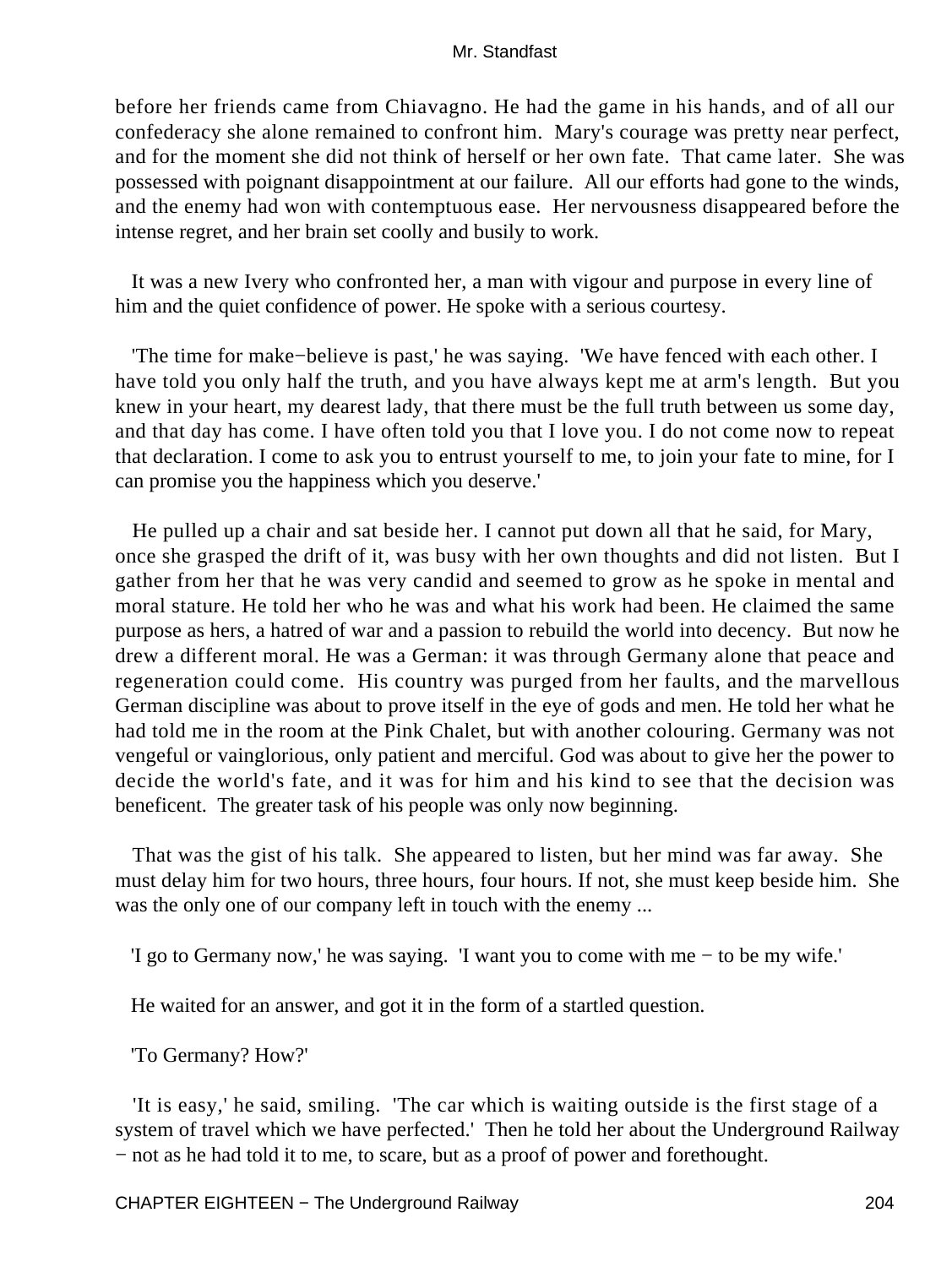before her friends came from Chiavagno. He had the game in his hands, and of all our confederacy she alone remained to confront him. Mary's courage was pretty near perfect, and for the moment she did not think of herself or her own fate. That came later. She was possessed with poignant disappointment at our failure. All our efforts had gone to the winds, and the enemy had won with contemptuous ease. Her nervousness disappeared before the intense regret, and her brain set coolly and busily to work.

 It was a new Ivery who confronted her, a man with vigour and purpose in every line of him and the quiet confidence of power. He spoke with a serious courtesy.

 'The time for make−believe is past,' he was saying. 'We have fenced with each other. I have told you only half the truth, and you have always kept me at arm's length. But you knew in your heart, my dearest lady, that there must be the full truth between us some day, and that day has come. I have often told you that I love you. I do not come now to repeat that declaration. I come to ask you to entrust yourself to me, to join your fate to mine, for I can promise you the happiness which you deserve.'

 He pulled up a chair and sat beside her. I cannot put down all that he said, for Mary, once she grasped the drift of it, was busy with her own thoughts and did not listen. But I gather from her that he was very candid and seemed to grow as he spoke in mental and moral stature. He told her who he was and what his work had been. He claimed the same purpose as hers, a hatred of war and a passion to rebuild the world into decency. But now he drew a different moral. He was a German: it was through Germany alone that peace and regeneration could come. His country was purged from her faults, and the marvellous German discipline was about to prove itself in the eye of gods and men. He told her what he had told me in the room at the Pink Chalet, but with another colouring. Germany was not vengeful or vainglorious, only patient and merciful. God was about to give her the power to decide the world's fate, and it was for him and his kind to see that the decision was beneficent. The greater task of his people was only now beginning.

 That was the gist of his talk. She appeared to listen, but her mind was far away. She must delay him for two hours, three hours, four hours. If not, she must keep beside him. She was the only one of our company left in touch with the enemy ...

'I go to Germany now,' he was saying. 'I want you to come with me − to be my wife.'

He waited for an answer, and got it in the form of a startled question.

'To Germany? How?'

 'It is easy,' he said, smiling. 'The car which is waiting outside is the first stage of a system of travel which we have perfected.' Then he told her about the Underground Railway − not as he had told it to me, to scare, but as a proof of power and forethought.

CHAPTER EIGHTEEN – The Underground Railway 204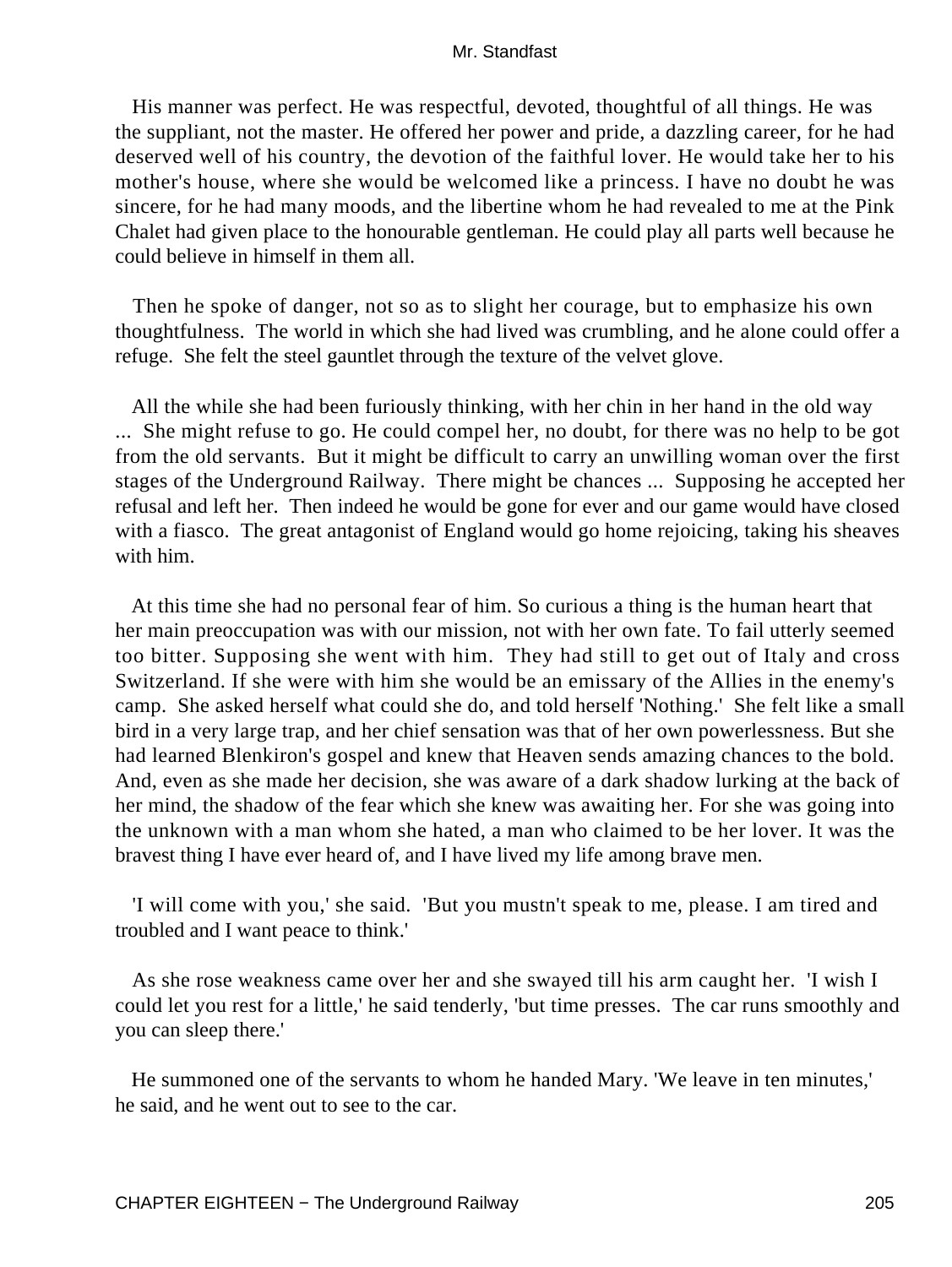His manner was perfect. He was respectful, devoted, thoughtful of all things. He was the suppliant, not the master. He offered her power and pride, a dazzling career, for he had deserved well of his country, the devotion of the faithful lover. He would take her to his mother's house, where she would be welcomed like a princess. I have no doubt he was sincere, for he had many moods, and the libertine whom he had revealed to me at the Pink Chalet had given place to the honourable gentleman. He could play all parts well because he could believe in himself in them all.

 Then he spoke of danger, not so as to slight her courage, but to emphasize his own thoughtfulness. The world in which she had lived was crumbling, and he alone could offer a refuge. She felt the steel gauntlet through the texture of the velvet glove.

 All the while she had been furiously thinking, with her chin in her hand in the old way ... She might refuse to go. He could compel her, no doubt, for there was no help to be got from the old servants. But it might be difficult to carry an unwilling woman over the first stages of the Underground Railway. There might be chances ... Supposing he accepted her refusal and left her. Then indeed he would be gone for ever and our game would have closed with a fiasco. The great antagonist of England would go home rejoicing, taking his sheaves with him.

 At this time she had no personal fear of him. So curious a thing is the human heart that her main preoccupation was with our mission, not with her own fate. To fail utterly seemed too bitter. Supposing she went with him. They had still to get out of Italy and cross Switzerland. If she were with him she would be an emissary of the Allies in the enemy's camp. She asked herself what could she do, and told herself 'Nothing.' She felt like a small bird in a very large trap, and her chief sensation was that of her own powerlessness. But she had learned Blenkiron's gospel and knew that Heaven sends amazing chances to the bold. And, even as she made her decision, she was aware of a dark shadow lurking at the back of her mind, the shadow of the fear which she knew was awaiting her. For she was going into the unknown with a man whom she hated, a man who claimed to be her lover. It was the bravest thing I have ever heard of, and I have lived my life among brave men.

 'I will come with you,' she said. 'But you mustn't speak to me, please. I am tired and troubled and I want peace to think.'

 As she rose weakness came over her and she swayed till his arm caught her. 'I wish I could let you rest for a little,' he said tenderly, 'but time presses. The car runs smoothly and you can sleep there.'

 He summoned one of the servants to whom he handed Mary. 'We leave in ten minutes,' he said, and he went out to see to the car.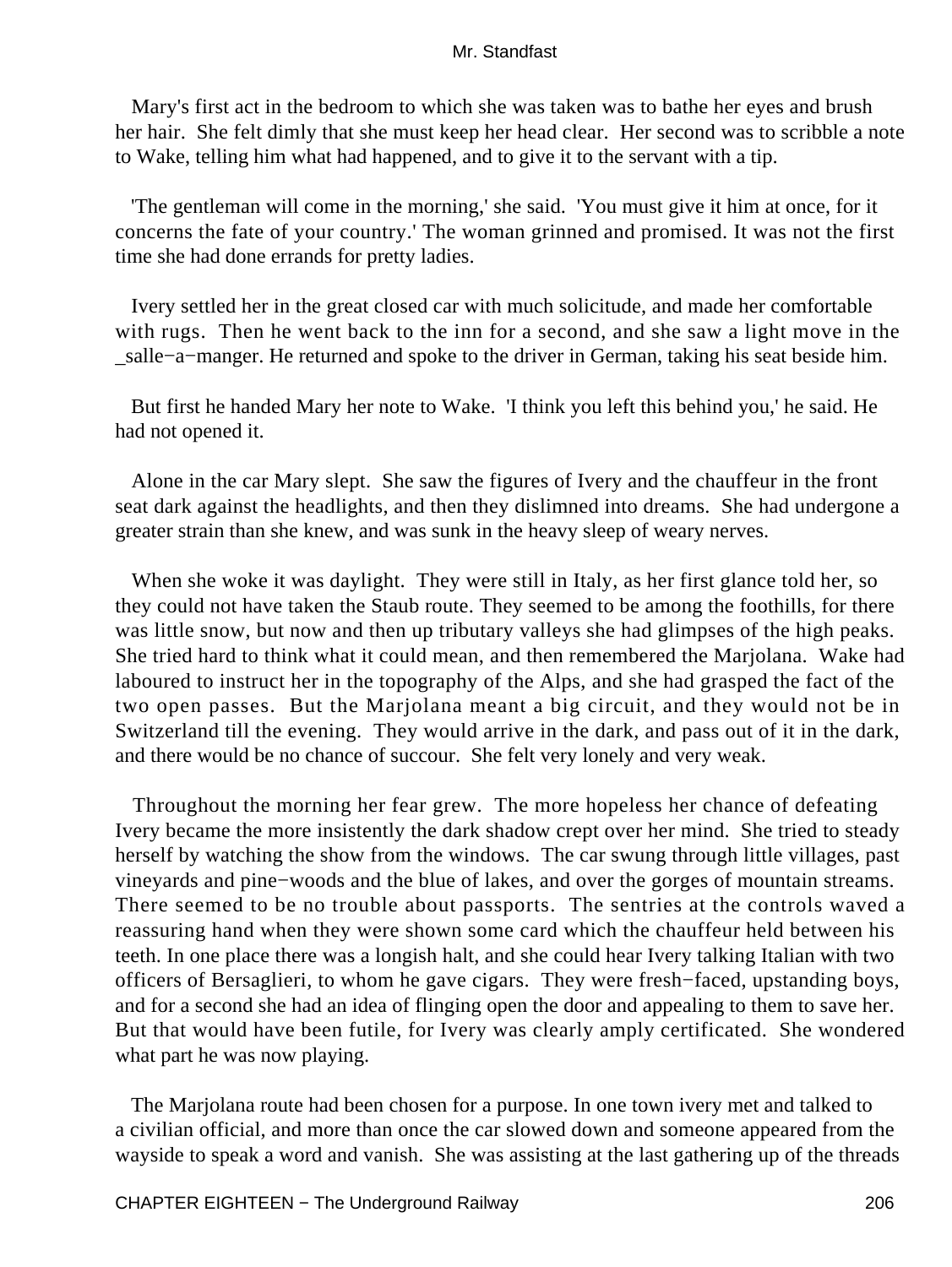Mary's first act in the bedroom to which she was taken was to bathe her eyes and brush her hair. She felt dimly that she must keep her head clear. Her second was to scribble a note to Wake, telling him what had happened, and to give it to the servant with a tip.

 'The gentleman will come in the morning,' she said. 'You must give it him at once, for it concerns the fate of your country.' The woman grinned and promised. It was not the first time she had done errands for pretty ladies.

 Ivery settled her in the great closed car with much solicitude, and made her comfortable with rugs. Then he went back to the inn for a second, and she saw a light move in the \_salle−a−manger. He returned and spoke to the driver in German, taking his seat beside him.

 But first he handed Mary her note to Wake. 'I think you left this behind you,' he said. He had not opened it.

 Alone in the car Mary slept. She saw the figures of Ivery and the chauffeur in the front seat dark against the headlights, and then they dislimned into dreams. She had undergone a greater strain than she knew, and was sunk in the heavy sleep of weary nerves.

 When she woke it was daylight. They were still in Italy, as her first glance told her, so they could not have taken the Staub route. They seemed to be among the foothills, for there was little snow, but now and then up tributary valleys she had glimpses of the high peaks. She tried hard to think what it could mean, and then remembered the Marjolana. Wake had laboured to instruct her in the topography of the Alps, and she had grasped the fact of the two open passes. But the Marjolana meant a big circuit, and they would not be in Switzerland till the evening. They would arrive in the dark, and pass out of it in the dark, and there would be no chance of succour. She felt very lonely and very weak.

 Throughout the morning her fear grew. The more hopeless her chance of defeating Ivery became the more insistently the dark shadow crept over her mind. She tried to steady herself by watching the show from the windows. The car swung through little villages, past vineyards and pine−woods and the blue of lakes, and over the gorges of mountain streams. There seemed to be no trouble about passports. The sentries at the controls waved a reassuring hand when they were shown some card which the chauffeur held between his teeth. In one place there was a longish halt, and she could hear Ivery talking Italian with two officers of Bersaglieri, to whom he gave cigars. They were fresh−faced, upstanding boys, and for a second she had an idea of flinging open the door and appealing to them to save her. But that would have been futile, for Ivery was clearly amply certificated. She wondered what part he was now playing.

 The Marjolana route had been chosen for a purpose. In one town ivery met and talked to a civilian official, and more than once the car slowed down and someone appeared from the wayside to speak a word and vanish. She was assisting at the last gathering up of the threads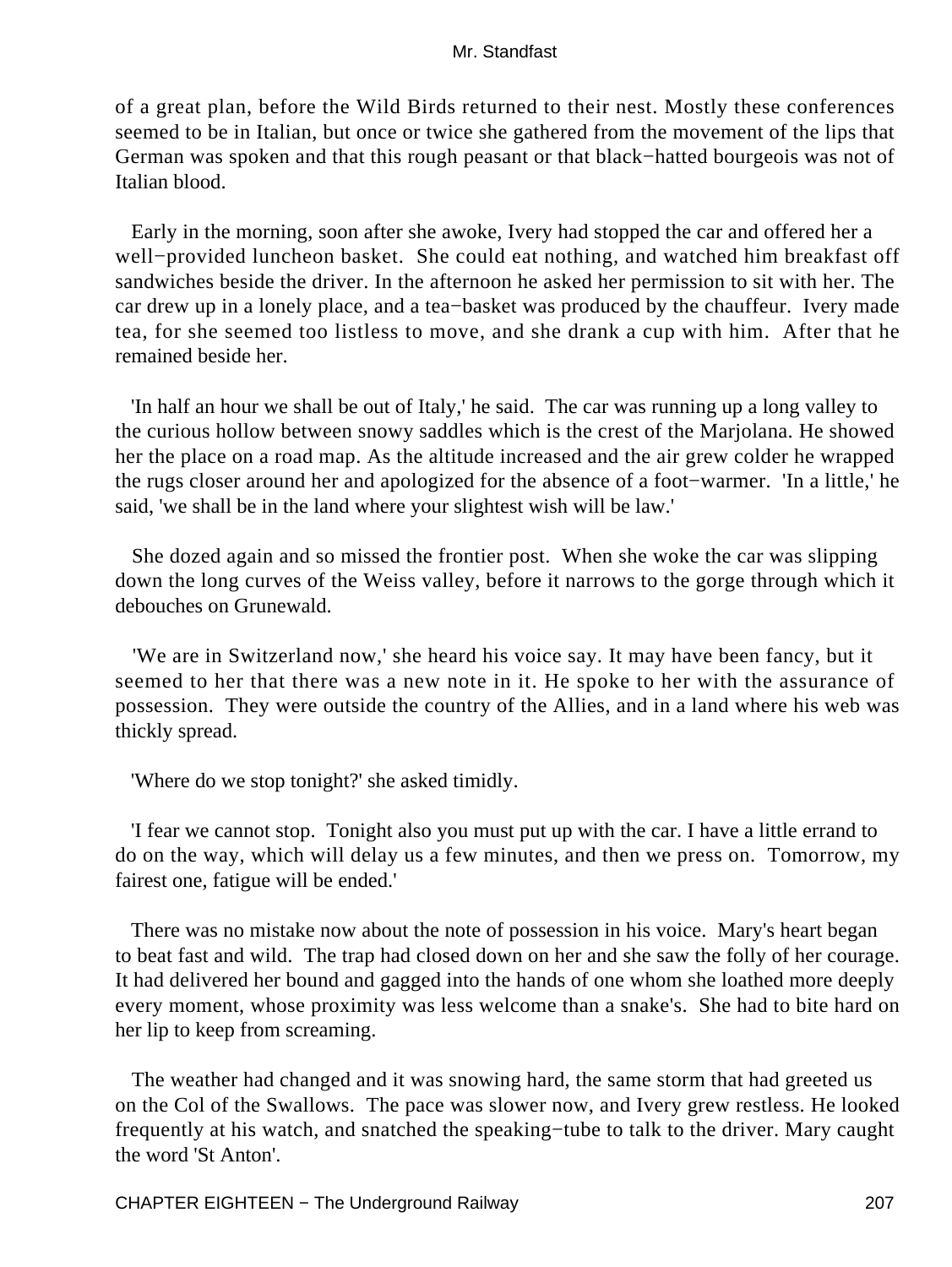of a great plan, before the Wild Birds returned to their nest. Mostly these conferences seemed to be in Italian, but once or twice she gathered from the movement of the lips that German was spoken and that this rough peasant or that black−hatted bourgeois was not of Italian blood.

 Early in the morning, soon after she awoke, Ivery had stopped the car and offered her a well−provided luncheon basket. She could eat nothing, and watched him breakfast off sandwiches beside the driver. In the afternoon he asked her permission to sit with her. The car drew up in a lonely place, and a tea−basket was produced by the chauffeur. Ivery made tea, for she seemed too listless to move, and she drank a cup with him. After that he remained beside her.

 'In half an hour we shall be out of Italy,' he said. The car was running up a long valley to the curious hollow between snowy saddles which is the crest of the Marjolana. He showed her the place on a road map. As the altitude increased and the air grew colder he wrapped the rugs closer around her and apologized for the absence of a foot−warmer. 'In a little,' he said, 'we shall be in the land where your slightest wish will be law.'

 She dozed again and so missed the frontier post. When she woke the car was slipping down the long curves of the Weiss valley, before it narrows to the gorge through which it debouches on Grunewald.

 'We are in Switzerland now,' she heard his voice say. It may have been fancy, but it seemed to her that there was a new note in it. He spoke to her with the assurance of possession. They were outside the country of the Allies, and in a land where his web was thickly spread.

'Where do we stop tonight?' she asked timidly.

 'I fear we cannot stop. Tonight also you must put up with the car. I have a little errand to do on the way, which will delay us a few minutes, and then we press on. Tomorrow, my fairest one, fatigue will be ended.'

 There was no mistake now about the note of possession in his voice. Mary's heart began to beat fast and wild. The trap had closed down on her and she saw the folly of her courage. It had delivered her bound and gagged into the hands of one whom she loathed more deeply every moment, whose proximity was less welcome than a snake's. She had to bite hard on her lip to keep from screaming.

 The weather had changed and it was snowing hard, the same storm that had greeted us on the Col of the Swallows. The pace was slower now, and Ivery grew restless. He looked frequently at his watch, and snatched the speaking−tube to talk to the driver. Mary caught the word 'St Anton'.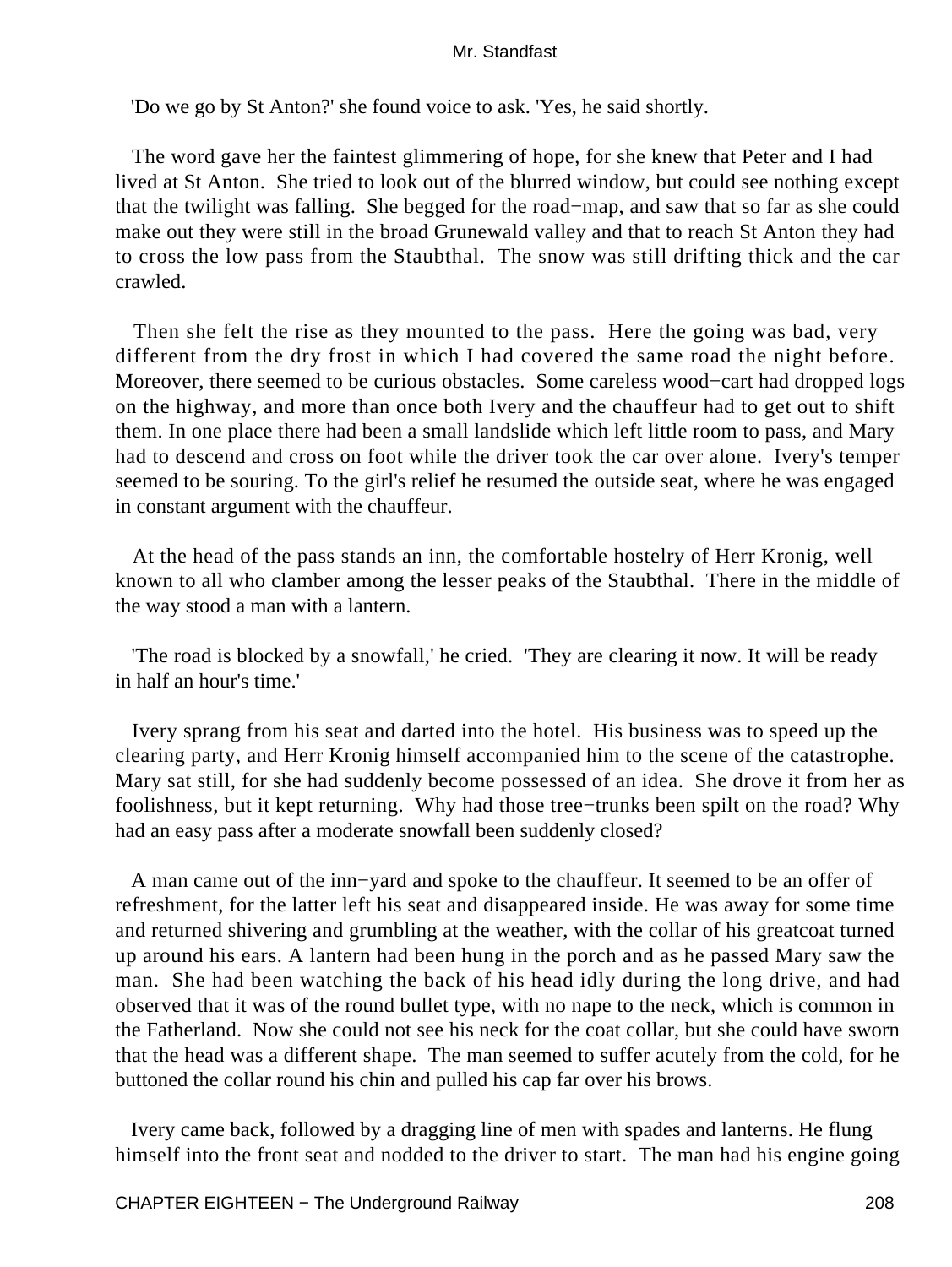'Do we go by St Anton?' she found voice to ask. 'Yes, he said shortly.

 The word gave her the faintest glimmering of hope, for she knew that Peter and I had lived at St Anton. She tried to look out of the blurred window, but could see nothing except that the twilight was falling. She begged for the road−map, and saw that so far as she could make out they were still in the broad Grunewald valley and that to reach St Anton they had to cross the low pass from the Staubthal. The snow was still drifting thick and the car crawled.

 Then she felt the rise as they mounted to the pass. Here the going was bad, very different from the dry frost in which I had covered the same road the night before. Moreover, there seemed to be curious obstacles. Some careless wood−cart had dropped logs on the highway, and more than once both Ivery and the chauffeur had to get out to shift them. In one place there had been a small landslide which left little room to pass, and Mary had to descend and cross on foot while the driver took the car over alone. Ivery's temper seemed to be souring. To the girl's relief he resumed the outside seat, where he was engaged in constant argument with the chauffeur.

 At the head of the pass stands an inn, the comfortable hostelry of Herr Kronig, well known to all who clamber among the lesser peaks of the Staubthal. There in the middle of the way stood a man with a lantern.

 'The road is blocked by a snowfall,' he cried. 'They are clearing it now. It will be ready in half an hour's time.'

 Ivery sprang from his seat and darted into the hotel. His business was to speed up the clearing party, and Herr Kronig himself accompanied him to the scene of the catastrophe. Mary sat still, for she had suddenly become possessed of an idea. She drove it from her as foolishness, but it kept returning. Why had those tree−trunks been spilt on the road? Why had an easy pass after a moderate snowfall been suddenly closed?

 A man came out of the inn−yard and spoke to the chauffeur. It seemed to be an offer of refreshment, for the latter left his seat and disappeared inside. He was away for some time and returned shivering and grumbling at the weather, with the collar of his greatcoat turned up around his ears. A lantern had been hung in the porch and as he passed Mary saw the man. She had been watching the back of his head idly during the long drive, and had observed that it was of the round bullet type, with no nape to the neck, which is common in the Fatherland. Now she could not see his neck for the coat collar, but she could have sworn that the head was a different shape. The man seemed to suffer acutely from the cold, for he buttoned the collar round his chin and pulled his cap far over his brows.

 Ivery came back, followed by a dragging line of men with spades and lanterns. He flung himself into the front seat and nodded to the driver to start. The man had his engine going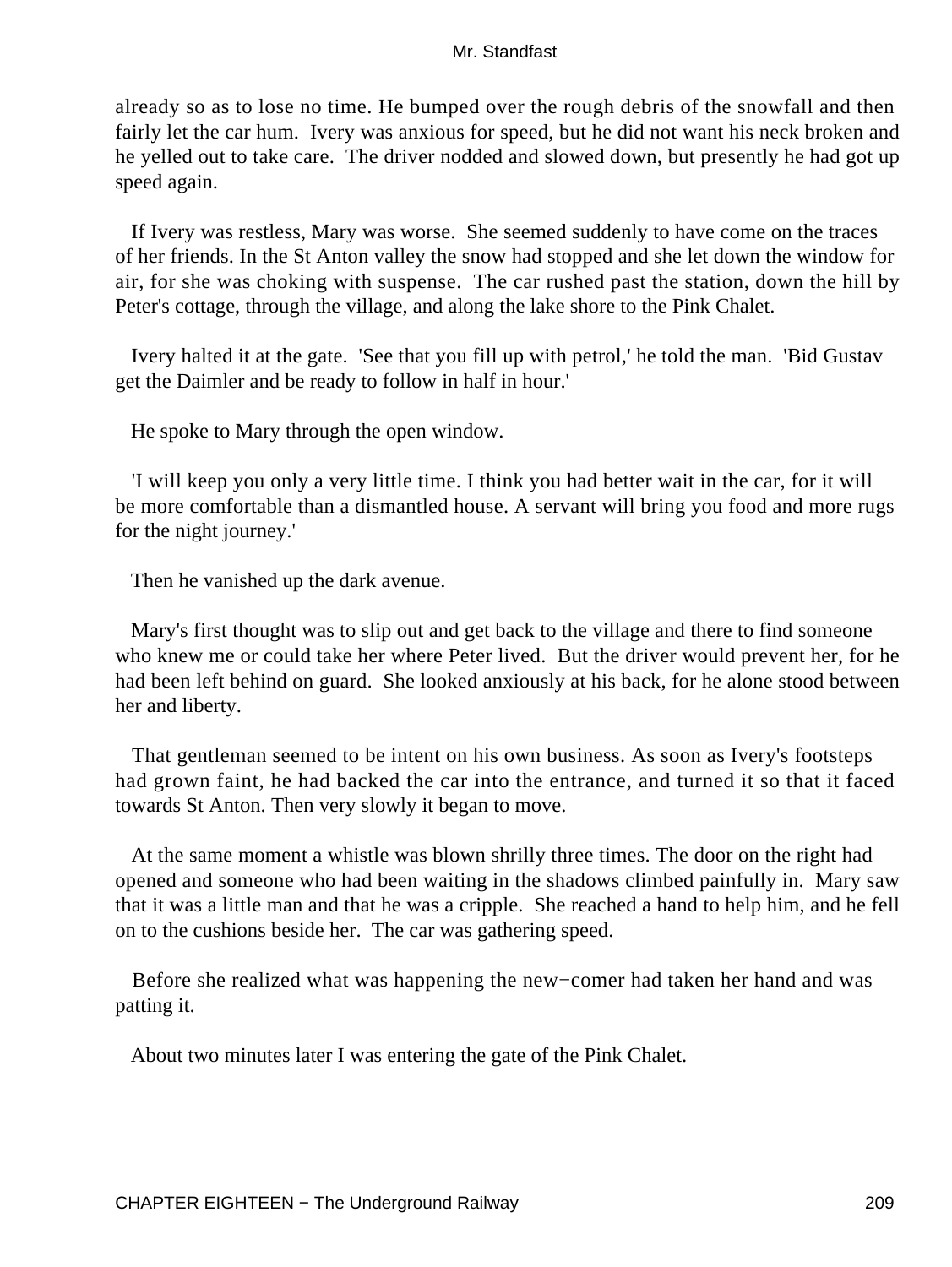already so as to lose no time. He bumped over the rough debris of the snowfall and then fairly let the car hum. Ivery was anxious for speed, but he did not want his neck broken and he yelled out to take care. The driver nodded and slowed down, but presently he had got up speed again.

 If Ivery was restless, Mary was worse. She seemed suddenly to have come on the traces of her friends. In the St Anton valley the snow had stopped and she let down the window for air, for she was choking with suspense. The car rushed past the station, down the hill by Peter's cottage, through the village, and along the lake shore to the Pink Chalet.

 Ivery halted it at the gate. 'See that you fill up with petrol,' he told the man. 'Bid Gustav get the Daimler and be ready to follow in half in hour.'

He spoke to Mary through the open window.

 'I will keep you only a very little time. I think you had better wait in the car, for it will be more comfortable than a dismantled house. A servant will bring you food and more rugs for the night journey.'

Then he vanished up the dark avenue.

 Mary's first thought was to slip out and get back to the village and there to find someone who knew me or could take her where Peter lived. But the driver would prevent her, for he had been left behind on guard. She looked anxiously at his back, for he alone stood between her and liberty.

 That gentleman seemed to be intent on his own business. As soon as Ivery's footsteps had grown faint, he had backed the car into the entrance, and turned it so that it faced towards St Anton. Then very slowly it began to move.

 At the same moment a whistle was blown shrilly three times. The door on the right had opened and someone who had been waiting in the shadows climbed painfully in. Mary saw that it was a little man and that he was a cripple. She reached a hand to help him, and he fell on to the cushions beside her. The car was gathering speed.

 Before she realized what was happening the new−comer had taken her hand and was patting it.

About two minutes later I was entering the gate of the Pink Chalet.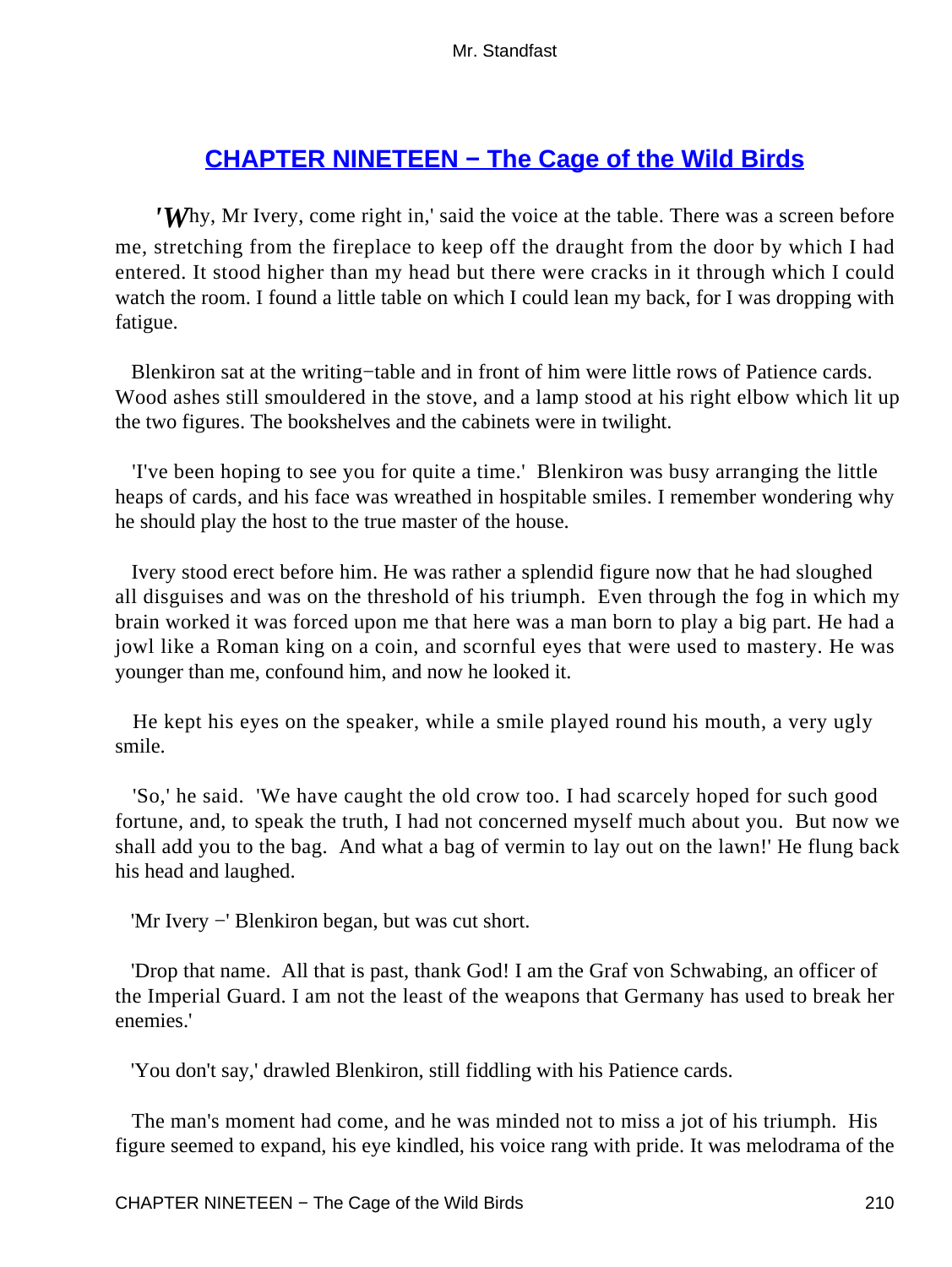# **[CHAPTER NINETEEN − The Cage of the Wild Birds](#page-256-0)**

*'W*hy, Mr Ivery, come right in,' said the voice at the table. There was a screen before me, stretching from the fireplace to keep off the draught from the door by which I had entered. It stood higher than my head but there were cracks in it through which I could watch the room. I found a little table on which I could lean my back, for I was dropping with fatigue.

 Blenkiron sat at the writing−table and in front of him were little rows of Patience cards. Wood ashes still smouldered in the stove, and a lamp stood at his right elbow which lit up the two figures. The bookshelves and the cabinets were in twilight.

 'I've been hoping to see you for quite a time.' Blenkiron was busy arranging the little heaps of cards, and his face was wreathed in hospitable smiles. I remember wondering why he should play the host to the true master of the house.

 Ivery stood erect before him. He was rather a splendid figure now that he had sloughed all disguises and was on the threshold of his triumph. Even through the fog in which my brain worked it was forced upon me that here was a man born to play a big part. He had a jowl like a Roman king on a coin, and scornful eyes that were used to mastery. He was younger than me, confound him, and now he looked it.

 He kept his eyes on the speaker, while a smile played round his mouth, a very ugly smile.

 'So,' he said. 'We have caught the old crow too. I had scarcely hoped for such good fortune, and, to speak the truth, I had not concerned myself much about you. But now we shall add you to the bag. And what a bag of vermin to lay out on the lawn!' He flung back his head and laughed.

'Mr Ivery −' Blenkiron began, but was cut short.

 'Drop that name. All that is past, thank God! I am the Graf von Schwabing, an officer of the Imperial Guard. I am not the least of the weapons that Germany has used to break her enemies.'

'You don't say,' drawled Blenkiron, still fiddling with his Patience cards.

 The man's moment had come, and he was minded not to miss a jot of his triumph. His figure seemed to expand, his eye kindled, his voice rang with pride. It was melodrama of the

CHAPTER NINETEEN – The Cage of the Wild Birds 210 210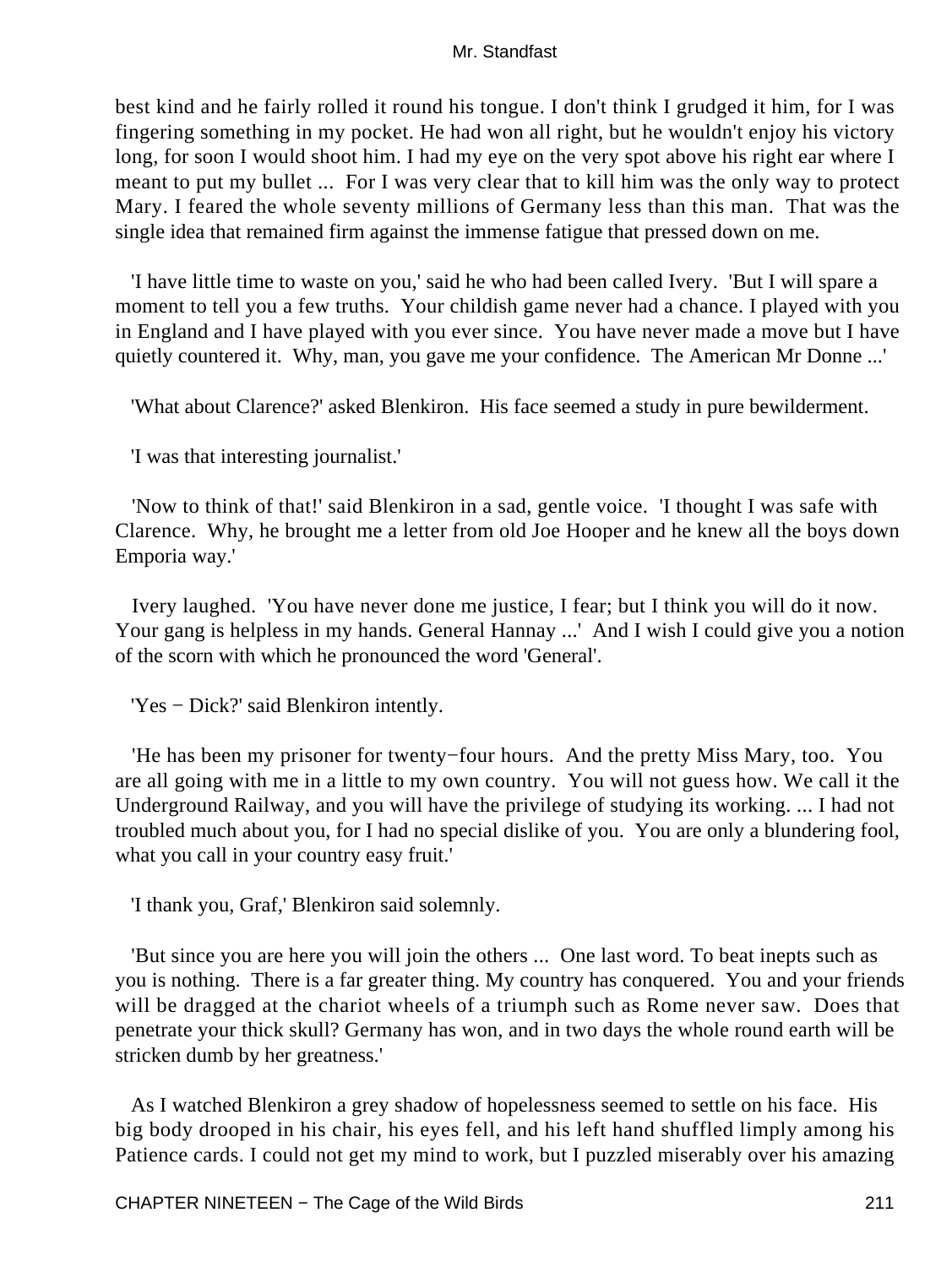best kind and he fairly rolled it round his tongue. I don't think I grudged it him, for I was fingering something in my pocket. He had won all right, but he wouldn't enjoy his victory long, for soon I would shoot him. I had my eye on the very spot above his right ear where I meant to put my bullet ... For I was very clear that to kill him was the only way to protect Mary. I feared the whole seventy millions of Germany less than this man. That was the single idea that remained firm against the immense fatigue that pressed down on me.

 'I have little time to waste on you,' said he who had been called Ivery. 'But I will spare a moment to tell you a few truths. Your childish game never had a chance. I played with you in England and I have played with you ever since. You have never made a move but I have quietly countered it. Why, man, you gave me your confidence. The American Mr Donne ...'

'What about Clarence?' asked Blenkiron. His face seemed a study in pure bewilderment.

'I was that interesting journalist.'

 'Now to think of that!' said Blenkiron in a sad, gentle voice. 'I thought I was safe with Clarence. Why, he brought me a letter from old Joe Hooper and he knew all the boys down Emporia way.'

 Ivery laughed. 'You have never done me justice, I fear; but I think you will do it now. Your gang is helpless in my hands. General Hannay ...' And I wish I could give you a notion of the scorn with which he pronounced the word 'General'.

'Yes − Dick?' said Blenkiron intently.

 'He has been my prisoner for twenty−four hours. And the pretty Miss Mary, too. You are all going with me in a little to my own country. You will not guess how. We call it the Underground Railway, and you will have the privilege of studying its working. ... I had not troubled much about you, for I had no special dislike of you. You are only a blundering fool, what you call in your country easy fruit.'

'I thank you, Graf,' Blenkiron said solemnly.

 'But since you are here you will join the others ... One last word. To beat inepts such as you is nothing. There is a far greater thing. My country has conquered. You and your friends will be dragged at the chariot wheels of a triumph such as Rome never saw. Does that penetrate your thick skull? Germany has won, and in two days the whole round earth will be stricken dumb by her greatness.'

 As I watched Blenkiron a grey shadow of hopelessness seemed to settle on his face. His big body drooped in his chair, his eyes fell, and his left hand shuffled limply among his Patience cards. I could not get my mind to work, but I puzzled miserably over his amazing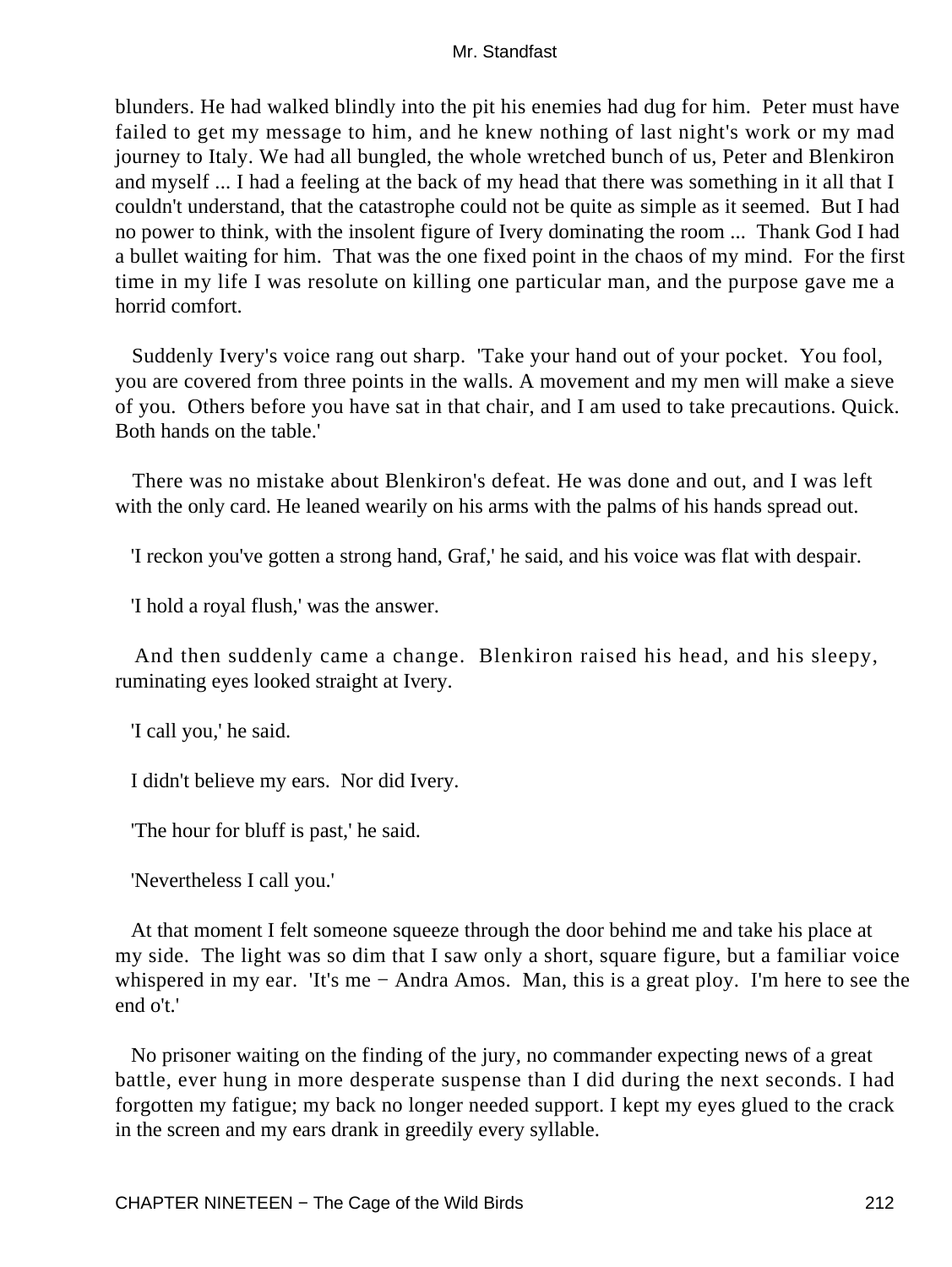blunders. He had walked blindly into the pit his enemies had dug for him. Peter must have failed to get my message to him, and he knew nothing of last night's work or my mad journey to Italy. We had all bungled, the whole wretched bunch of us, Peter and Blenkiron and myself ... I had a feeling at the back of my head that there was something in it all that I couldn't understand, that the catastrophe could not be quite as simple as it seemed. But I had no power to think, with the insolent figure of Ivery dominating the room ... Thank God I had a bullet waiting for him. That was the one fixed point in the chaos of my mind. For the first time in my life I was resolute on killing one particular man, and the purpose gave me a horrid comfort.

 Suddenly Ivery's voice rang out sharp. 'Take your hand out of your pocket. You fool, you are covered from three points in the walls. A movement and my men will make a sieve of you. Others before you have sat in that chair, and I am used to take precautions. Quick. Both hands on the table.'

 There was no mistake about Blenkiron's defeat. He was done and out, and I was left with the only card. He leaned wearily on his arms with the palms of his hands spread out.

'I reckon you've gotten a strong hand, Graf,' he said, and his voice was flat with despair.

'I hold a royal flush,' was the answer.

 And then suddenly came a change. Blenkiron raised his head, and his sleepy, ruminating eyes looked straight at Ivery.

'I call you,' he said.

I didn't believe my ears. Nor did Ivery.

'The hour for bluff is past,' he said.

'Nevertheless I call you.'

 At that moment I felt someone squeeze through the door behind me and take his place at my side. The light was so dim that I saw only a short, square figure, but a familiar voice whispered in my ear. 'It's me − Andra Amos. Man, this is a great ploy. I'm here to see the end o't.'

 No prisoner waiting on the finding of the jury, no commander expecting news of a great battle, ever hung in more desperate suspense than I did during the next seconds. I had forgotten my fatigue; my back no longer needed support. I kept my eyes glued to the crack in the screen and my ears drank in greedily every syllable.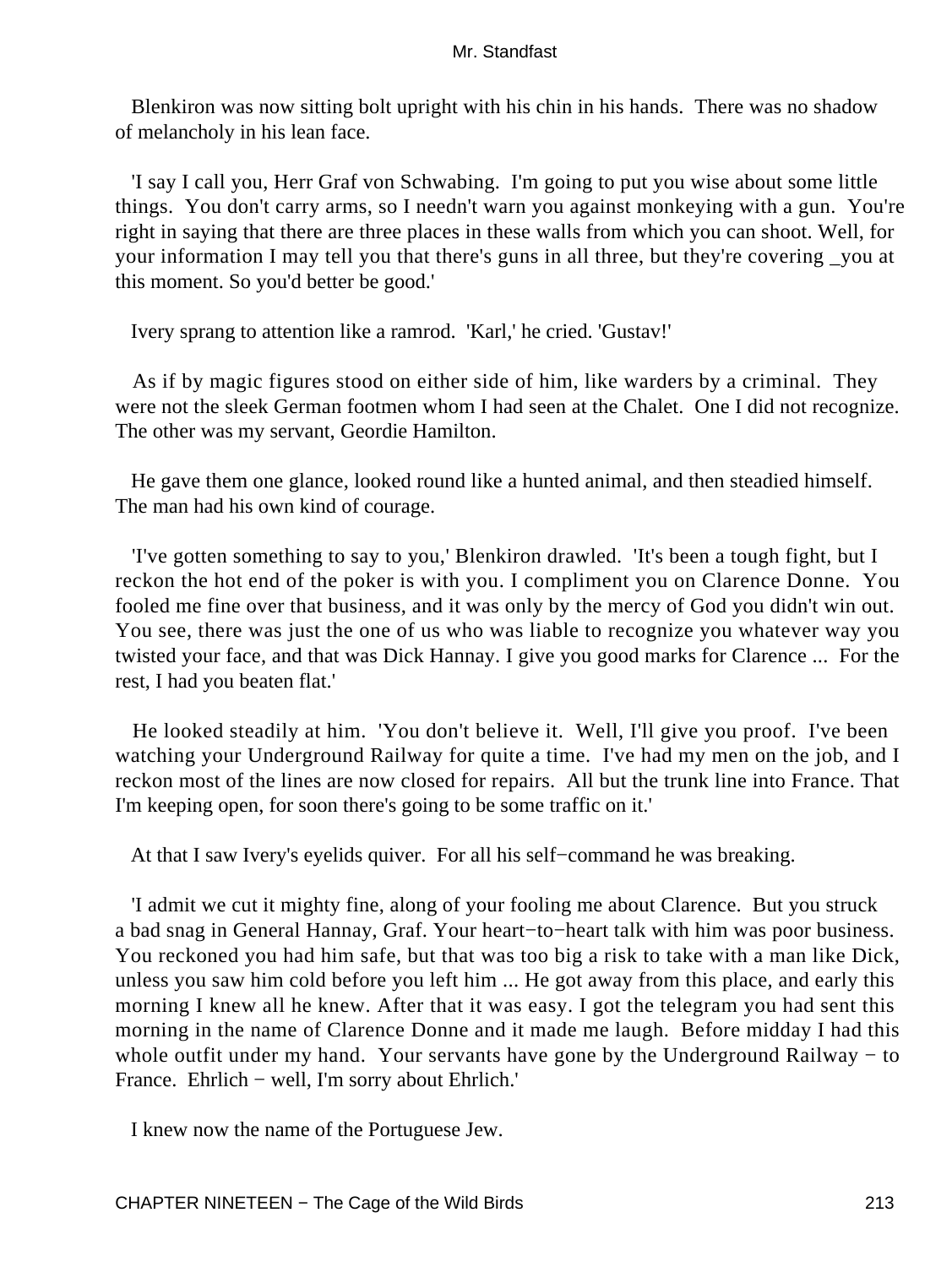Blenkiron was now sitting bolt upright with his chin in his hands. There was no shadow of melancholy in his lean face.

 'I say I call you, Herr Graf von Schwabing. I'm going to put you wise about some little things. You don't carry arms, so I needn't warn you against monkeying with a gun. You're right in saying that there are three places in these walls from which you can shoot. Well, for your information I may tell you that there's guns in all three, but they're covering \_you at this moment. So you'd better be good.'

Ivery sprang to attention like a ramrod. 'Karl,' he cried. 'Gustav!'

 As if by magic figures stood on either side of him, like warders by a criminal. They were not the sleek German footmen whom I had seen at the Chalet. One I did not recognize. The other was my servant, Geordie Hamilton.

 He gave them one glance, looked round like a hunted animal, and then steadied himself. The man had his own kind of courage.

 'I've gotten something to say to you,' Blenkiron drawled. 'It's been a tough fight, but I reckon the hot end of the poker is with you. I compliment you on Clarence Donne. You fooled me fine over that business, and it was only by the mercy of God you didn't win out. You see, there was just the one of us who was liable to recognize you whatever way you twisted your face, and that was Dick Hannay. I give you good marks for Clarence ... For the rest, I had you beaten flat.'

 He looked steadily at him. 'You don't believe it. Well, I'll give you proof. I've been watching your Underground Railway for quite a time. I've had my men on the job, and I reckon most of the lines are now closed for repairs. All but the trunk line into France. That I'm keeping open, for soon there's going to be some traffic on it.'

At that I saw Ivery's eyelids quiver. For all his self−command he was breaking.

 'I admit we cut it mighty fine, along of your fooling me about Clarence. But you struck a bad snag in General Hannay, Graf. Your heart−to−heart talk with him was poor business. You reckoned you had him safe, but that was too big a risk to take with a man like Dick, unless you saw him cold before you left him ... He got away from this place, and early this morning I knew all he knew. After that it was easy. I got the telegram you had sent this morning in the name of Clarence Donne and it made me laugh. Before midday I had this whole outfit under my hand. Your servants have gone by the Underground Railway – to France. Ehrlich − well, I'm sorry about Ehrlich.'

I knew now the name of the Portuguese Jew.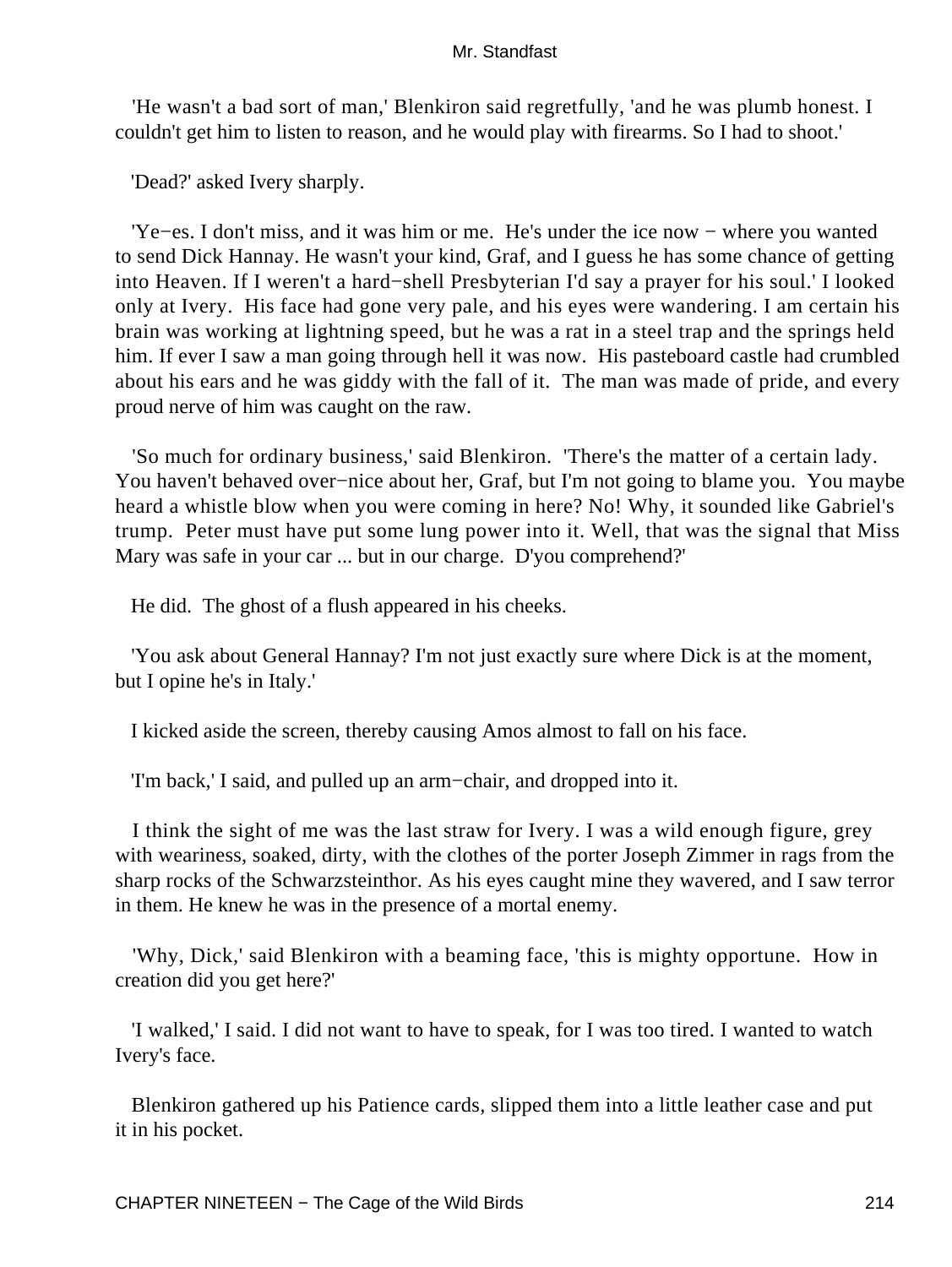'He wasn't a bad sort of man,' Blenkiron said regretfully, 'and he was plumb honest. I couldn't get him to listen to reason, and he would play with firearms. So I had to shoot.'

'Dead?' asked Ivery sharply.

 'Ye−es. I don't miss, and it was him or me. He's under the ice now − where you wanted to send Dick Hannay. He wasn't your kind, Graf, and I guess he has some chance of getting into Heaven. If I weren't a hard−shell Presbyterian I'd say a prayer for his soul.' I looked only at Ivery. His face had gone very pale, and his eyes were wandering. I am certain his brain was working at lightning speed, but he was a rat in a steel trap and the springs held him. If ever I saw a man going through hell it was now. His pasteboard castle had crumbled about his ears and he was giddy with the fall of it. The man was made of pride, and every proud nerve of him was caught on the raw.

 'So much for ordinary business,' said Blenkiron. 'There's the matter of a certain lady. You haven't behaved over−nice about her, Graf, but I'm not going to blame you. You maybe heard a whistle blow when you were coming in here? No! Why, it sounded like Gabriel's trump. Peter must have put some lung power into it. Well, that was the signal that Miss Mary was safe in your car ... but in our charge. D'you comprehend?'

He did. The ghost of a flush appeared in his cheeks.

 'You ask about General Hannay? I'm not just exactly sure where Dick is at the moment, but I opine he's in Italy.'

I kicked aside the screen, thereby causing Amos almost to fall on his face.

'I'm back,' I said, and pulled up an arm−chair, and dropped into it.

 I think the sight of me was the last straw for Ivery. I was a wild enough figure, grey with weariness, soaked, dirty, with the clothes of the porter Joseph Zimmer in rags from the sharp rocks of the Schwarzsteinthor. As his eyes caught mine they wavered, and I saw terror in them. He knew he was in the presence of a mortal enemy.

 'Why, Dick,' said Blenkiron with a beaming face, 'this is mighty opportune. How in creation did you get here?'

 'I walked,' I said. I did not want to have to speak, for I was too tired. I wanted to watch Ivery's face.

 Blenkiron gathered up his Patience cards, slipped them into a little leather case and put it in his pocket.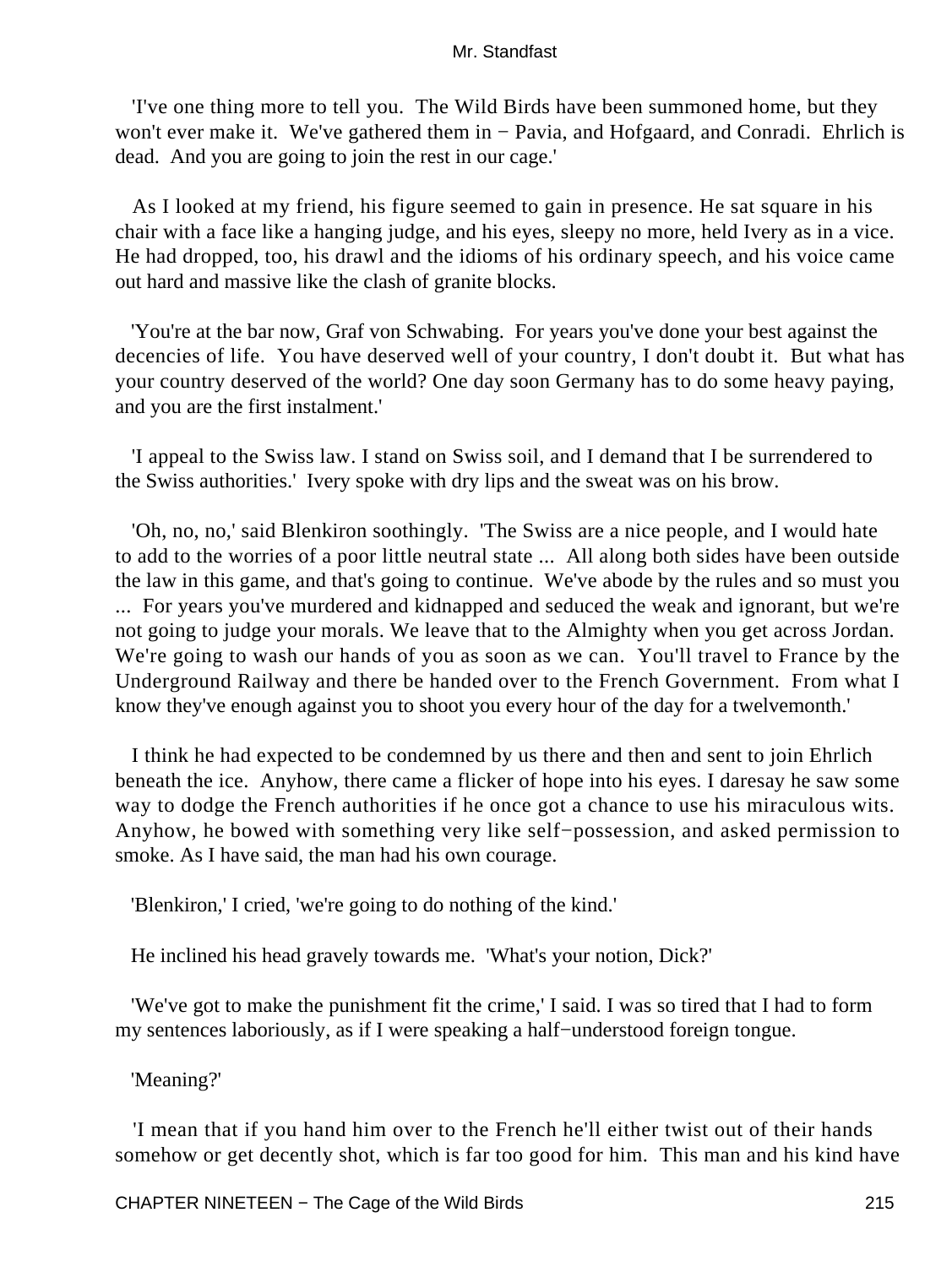'I've one thing more to tell you. The Wild Birds have been summoned home, but they won't ever make it. We've gathered them in − Pavia, and Hofgaard, and Conradi. Ehrlich is dead. And you are going to join the rest in our cage.'

 As I looked at my friend, his figure seemed to gain in presence. He sat square in his chair with a face like a hanging judge, and his eyes, sleepy no more, held Ivery as in a vice. He had dropped, too, his drawl and the idioms of his ordinary speech, and his voice came out hard and massive like the clash of granite blocks.

 'You're at the bar now, Graf von Schwabing. For years you've done your best against the decencies of life. You have deserved well of your country, I don't doubt it. But what has your country deserved of the world? One day soon Germany has to do some heavy paying, and you are the first instalment.'

 'I appeal to the Swiss law. I stand on Swiss soil, and I demand that I be surrendered to the Swiss authorities.' Ivery spoke with dry lips and the sweat was on his brow.

 'Oh, no, no,' said Blenkiron soothingly. 'The Swiss are a nice people, and I would hate to add to the worries of a poor little neutral state ... All along both sides have been outside the law in this game, and that's going to continue. We've abode by the rules and so must you ... For years you've murdered and kidnapped and seduced the weak and ignorant, but we're not going to judge your morals. We leave that to the Almighty when you get across Jordan. We're going to wash our hands of you as soon as we can. You'll travel to France by the Underground Railway and there be handed over to the French Government. From what I know they've enough against you to shoot you every hour of the day for a twelvemonth.'

 I think he had expected to be condemned by us there and then and sent to join Ehrlich beneath the ice. Anyhow, there came a flicker of hope into his eyes. I daresay he saw some way to dodge the French authorities if he once got a chance to use his miraculous wits. Anyhow, he bowed with something very like self−possession, and asked permission to smoke. As I have said, the man had his own courage.

'Blenkiron,' I cried, 'we're going to do nothing of the kind.'

He inclined his head gravely towards me. 'What's your notion, Dick?'

 'We've got to make the punishment fit the crime,' I said. I was so tired that I had to form my sentences laboriously, as if I were speaking a half−understood foreign tongue.

'Meaning?'

 'I mean that if you hand him over to the French he'll either twist out of their hands somehow or get decently shot, which is far too good for him. This man and his kind have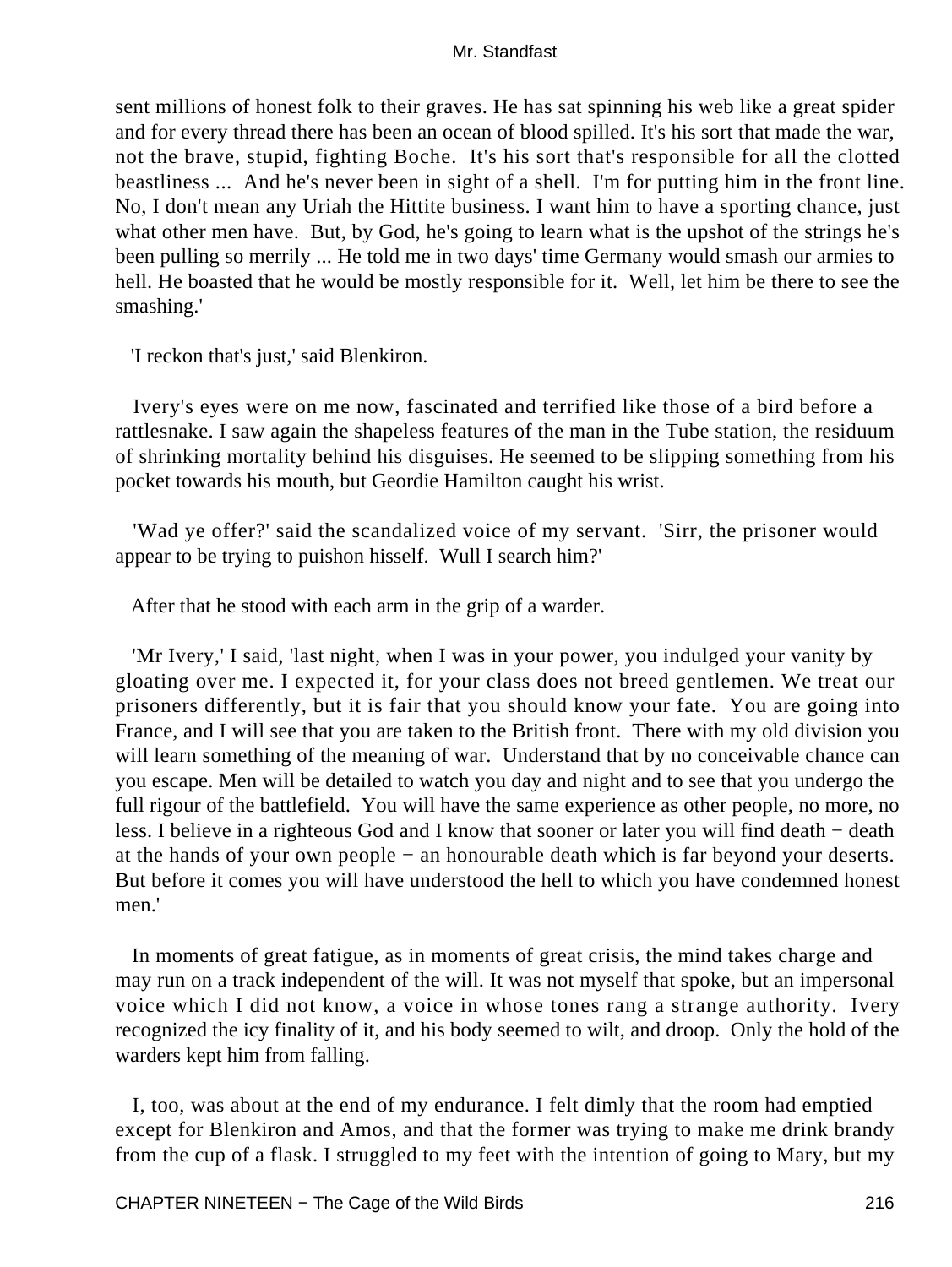sent millions of honest folk to their graves. He has sat spinning his web like a great spider and for every thread there has been an ocean of blood spilled. It's his sort that made the war, not the brave, stupid, fighting Boche. It's his sort that's responsible for all the clotted beastliness ... And he's never been in sight of a shell. I'm for putting him in the front line. No, I don't mean any Uriah the Hittite business. I want him to have a sporting chance, just what other men have. But, by God, he's going to learn what is the upshot of the strings he's been pulling so merrily ... He told me in two days' time Germany would smash our armies to hell. He boasted that he would be mostly responsible for it. Well, let him be there to see the smashing.'

'I reckon that's just,' said Blenkiron.

 Ivery's eyes were on me now, fascinated and terrified like those of a bird before a rattlesnake. I saw again the shapeless features of the man in the Tube station, the residuum of shrinking mortality behind his disguises. He seemed to be slipping something from his pocket towards his mouth, but Geordie Hamilton caught his wrist.

 'Wad ye offer?' said the scandalized voice of my servant. 'Sirr, the prisoner would appear to be trying to puishon hisself. Wull I search him?'

After that he stood with each arm in the grip of a warder.

 'Mr Ivery,' I said, 'last night, when I was in your power, you indulged your vanity by gloating over me. I expected it, for your class does not breed gentlemen. We treat our prisoners differently, but it is fair that you should know your fate. You are going into France, and I will see that you are taken to the British front. There with my old division you will learn something of the meaning of war. Understand that by no conceivable chance can you escape. Men will be detailed to watch you day and night and to see that you undergo the full rigour of the battlefield. You will have the same experience as other people, no more, no less. I believe in a righteous God and I know that sooner or later you will find death − death at the hands of your own people − an honourable death which is far beyond your deserts. But before it comes you will have understood the hell to which you have condemned honest men<sup>'</sup>

 In moments of great fatigue, as in moments of great crisis, the mind takes charge and may run on a track independent of the will. It was not myself that spoke, but an impersonal voice which I did not know, a voice in whose tones rang a strange authority. Ivery recognized the icy finality of it, and his body seemed to wilt, and droop. Only the hold of the warders kept him from falling.

 I, too, was about at the end of my endurance. I felt dimly that the room had emptied except for Blenkiron and Amos, and that the former was trying to make me drink brandy from the cup of a flask. I struggled to my feet with the intention of going to Mary, but my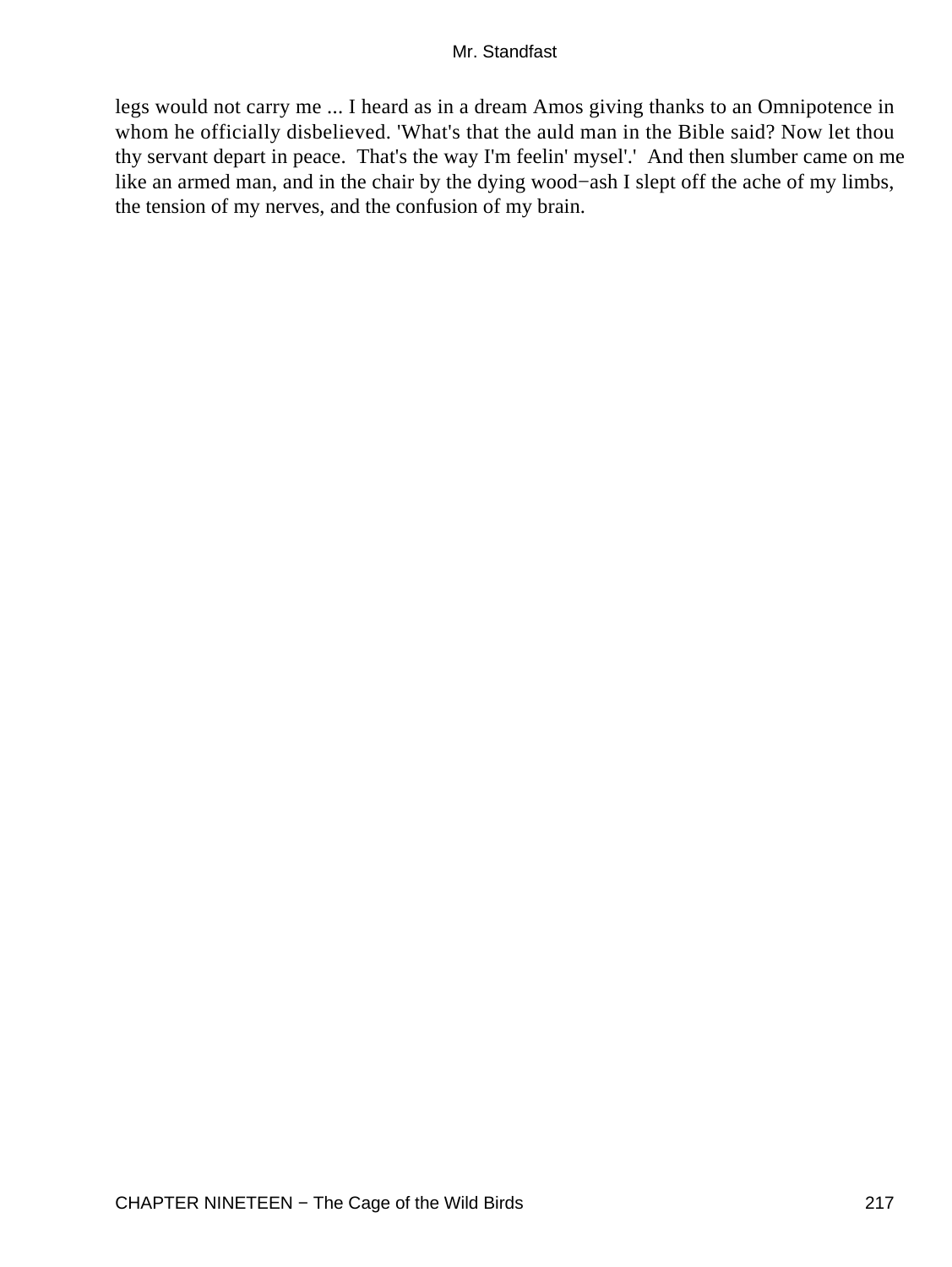legs would not carry me ... I heard as in a dream Amos giving thanks to an Omnipotence in whom he officially disbelieved. 'What's that the auld man in the Bible said? Now let thou thy servant depart in peace. That's the way I'm feelin' mysel'.' And then slumber came on me like an armed man, and in the chair by the dying wood−ash I slept off the ache of my limbs, the tension of my nerves, and the confusion of my brain.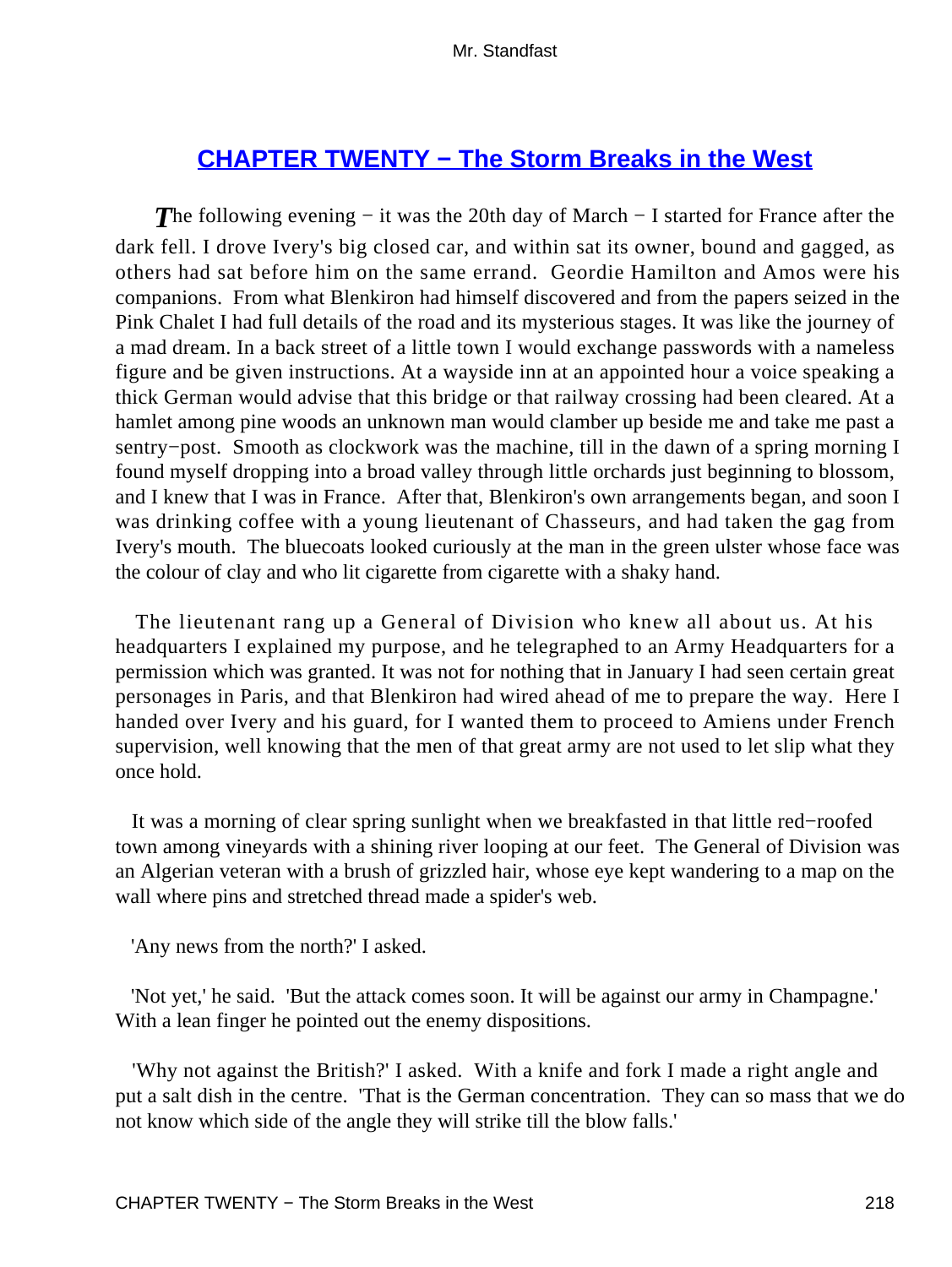## **[CHAPTER TWENTY − The Storm Breaks in the West](#page-256-0)**

**The following evening – it was the 20th day of March – I started for France after the** dark fell. I drove Ivery's big closed car, and within sat its owner, bound and gagged, as others had sat before him on the same errand. Geordie Hamilton and Amos were his companions. From what Blenkiron had himself discovered and from the papers seized in the Pink Chalet I had full details of the road and its mysterious stages. It was like the journey of a mad dream. In a back street of a little town I would exchange passwords with a nameless figure and be given instructions. At a wayside inn at an appointed hour a voice speaking a thick German would advise that this bridge or that railway crossing had been cleared. At a hamlet among pine woods an unknown man would clamber up beside me and take me past a sentry−post. Smooth as clockwork was the machine, till in the dawn of a spring morning I found myself dropping into a broad valley through little orchards just beginning to blossom, and I knew that I was in France. After that, Blenkiron's own arrangements began, and soon I was drinking coffee with a young lieutenant of Chasseurs, and had taken the gag from Ivery's mouth. The bluecoats looked curiously at the man in the green ulster whose face was the colour of clay and who lit cigarette from cigarette with a shaky hand.

 The lieutenant rang up a General of Division who knew all about us. At his headquarters I explained my purpose, and he telegraphed to an Army Headquarters for a permission which was granted. It was not for nothing that in January I had seen certain great personages in Paris, and that Blenkiron had wired ahead of me to prepare the way. Here I handed over Ivery and his guard, for I wanted them to proceed to Amiens under French supervision, well knowing that the men of that great army are not used to let slip what they once hold.

 It was a morning of clear spring sunlight when we breakfasted in that little red−roofed town among vineyards with a shining river looping at our feet. The General of Division was an Algerian veteran with a brush of grizzled hair, whose eye kept wandering to a map on the wall where pins and stretched thread made a spider's web.

'Any news from the north?' I asked.

 'Not yet,' he said. 'But the attack comes soon. It will be against our army in Champagne.' With a lean finger he pointed out the enemy dispositions.

 'Why not against the British?' I asked. With a knife and fork I made a right angle and put a salt dish in the centre. 'That is the German concentration. They can so mass that we do not know which side of the angle they will strike till the blow falls.'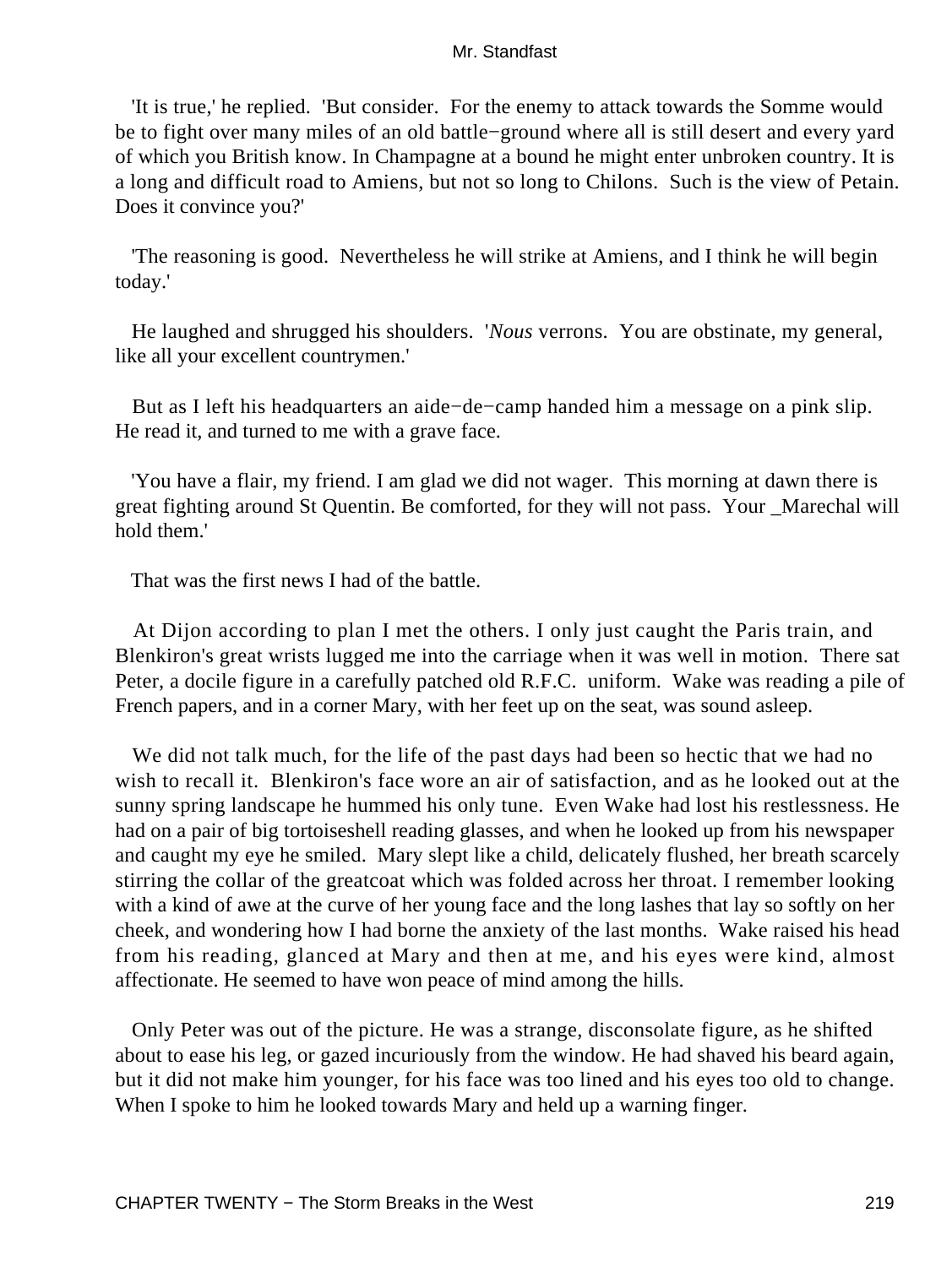'It is true,' he replied. 'But consider. For the enemy to attack towards the Somme would be to fight over many miles of an old battle−ground where all is still desert and every yard of which you British know. In Champagne at a bound he might enter unbroken country. It is a long and difficult road to Amiens, but not so long to Chilons. Such is the view of Petain. Does it convince you?'

 'The reasoning is good. Nevertheless he will strike at Amiens, and I think he will begin today.'

 He laughed and shrugged his shoulders. '*Nous* verrons. You are obstinate, my general, like all your excellent countrymen.'

 But as I left his headquarters an aide−de−camp handed him a message on a pink slip. He read it, and turned to me with a grave face.

 'You have a flair, my friend. I am glad we did not wager. This morning at dawn there is great fighting around St Quentin. Be comforted, for they will not pass. Your \_Marechal will hold them.'

That was the first news I had of the battle.

 At Dijon according to plan I met the others. I only just caught the Paris train, and Blenkiron's great wrists lugged me into the carriage when it was well in motion. There sat Peter, a docile figure in a carefully patched old R.F.C. uniform. Wake was reading a pile of French papers, and in a corner Mary, with her feet up on the seat, was sound asleep.

 We did not talk much, for the life of the past days had been so hectic that we had no wish to recall it. Blenkiron's face wore an air of satisfaction, and as he looked out at the sunny spring landscape he hummed his only tune. Even Wake had lost his restlessness. He had on a pair of big tortoiseshell reading glasses, and when he looked up from his newspaper and caught my eye he smiled. Mary slept like a child, delicately flushed, her breath scarcely stirring the collar of the greatcoat which was folded across her throat. I remember looking with a kind of awe at the curve of her young face and the long lashes that lay so softly on her cheek, and wondering how I had borne the anxiety of the last months. Wake raised his head from his reading, glanced at Mary and then at me, and his eyes were kind, almost affectionate. He seemed to have won peace of mind among the hills.

 Only Peter was out of the picture. He was a strange, disconsolate figure, as he shifted about to ease his leg, or gazed incuriously from the window. He had shaved his beard again, but it did not make him younger, for his face was too lined and his eyes too old to change. When I spoke to him he looked towards Mary and held up a warning finger.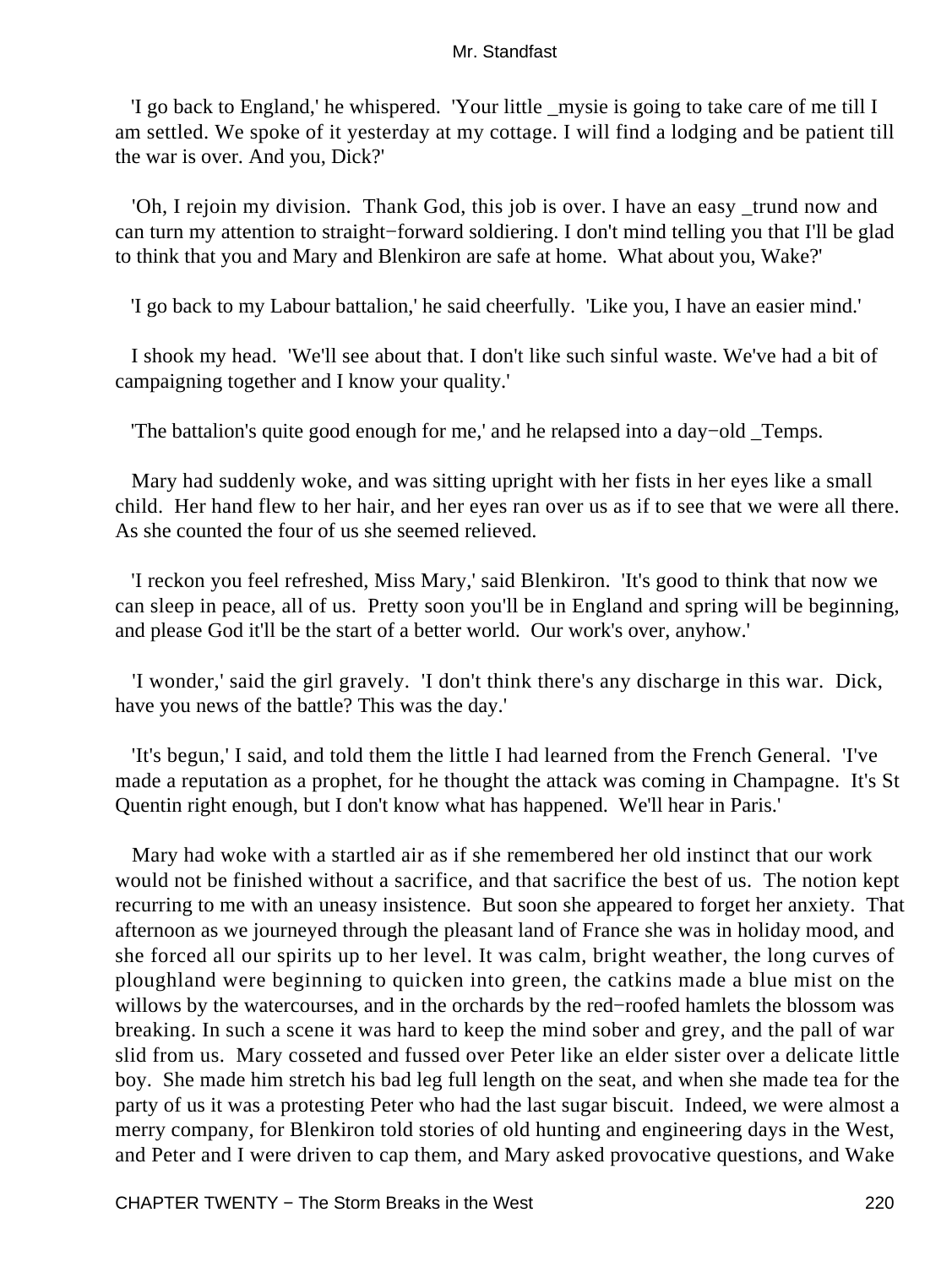'I go back to England,' he whispered. 'Your little \_mysie is going to take care of me till I am settled. We spoke of it yesterday at my cottage. I will find a lodging and be patient till the war is over. And you, Dick?'

 'Oh, I rejoin my division. Thank God, this job is over. I have an easy \_trund now and can turn my attention to straight−forward soldiering. I don't mind telling you that I'll be glad to think that you and Mary and Blenkiron are safe at home. What about you, Wake?'

'I go back to my Labour battalion,' he said cheerfully. 'Like you, I have an easier mind.'

 I shook my head. 'We'll see about that. I don't like such sinful waste. We've had a bit of campaigning together and I know your quality.'

'The battalion's quite good enough for me,' and he relapsed into a day−old \_Temps.

 Mary had suddenly woke, and was sitting upright with her fists in her eyes like a small child. Her hand flew to her hair, and her eyes ran over us as if to see that we were all there. As she counted the four of us she seemed relieved.

 'I reckon you feel refreshed, Miss Mary,' said Blenkiron. 'It's good to think that now we can sleep in peace, all of us. Pretty soon you'll be in England and spring will be beginning, and please God it'll be the start of a better world. Our work's over, anyhow.'

 'I wonder,' said the girl gravely. 'I don't think there's any discharge in this war. Dick, have you news of the battle? This was the day.'

 'It's begun,' I said, and told them the little I had learned from the French General. 'I've made a reputation as a prophet, for he thought the attack was coming in Champagne. It's St Quentin right enough, but I don't know what has happened. We'll hear in Paris.'

 Mary had woke with a startled air as if she remembered her old instinct that our work would not be finished without a sacrifice, and that sacrifice the best of us. The notion kept recurring to me with an uneasy insistence. But soon she appeared to forget her anxiety. That afternoon as we journeyed through the pleasant land of France she was in holiday mood, and she forced all our spirits up to her level. It was calm, bright weather, the long curves of ploughland were beginning to quicken into green, the catkins made a blue mist on the willows by the watercourses, and in the orchards by the red−roofed hamlets the blossom was breaking. In such a scene it was hard to keep the mind sober and grey, and the pall of war slid from us. Mary cosseted and fussed over Peter like an elder sister over a delicate little boy. She made him stretch his bad leg full length on the seat, and when she made tea for the party of us it was a protesting Peter who had the last sugar biscuit. Indeed, we were almost a merry company, for Blenkiron told stories of old hunting and engineering days in the West, and Peter and I were driven to cap them, and Mary asked provocative questions, and Wake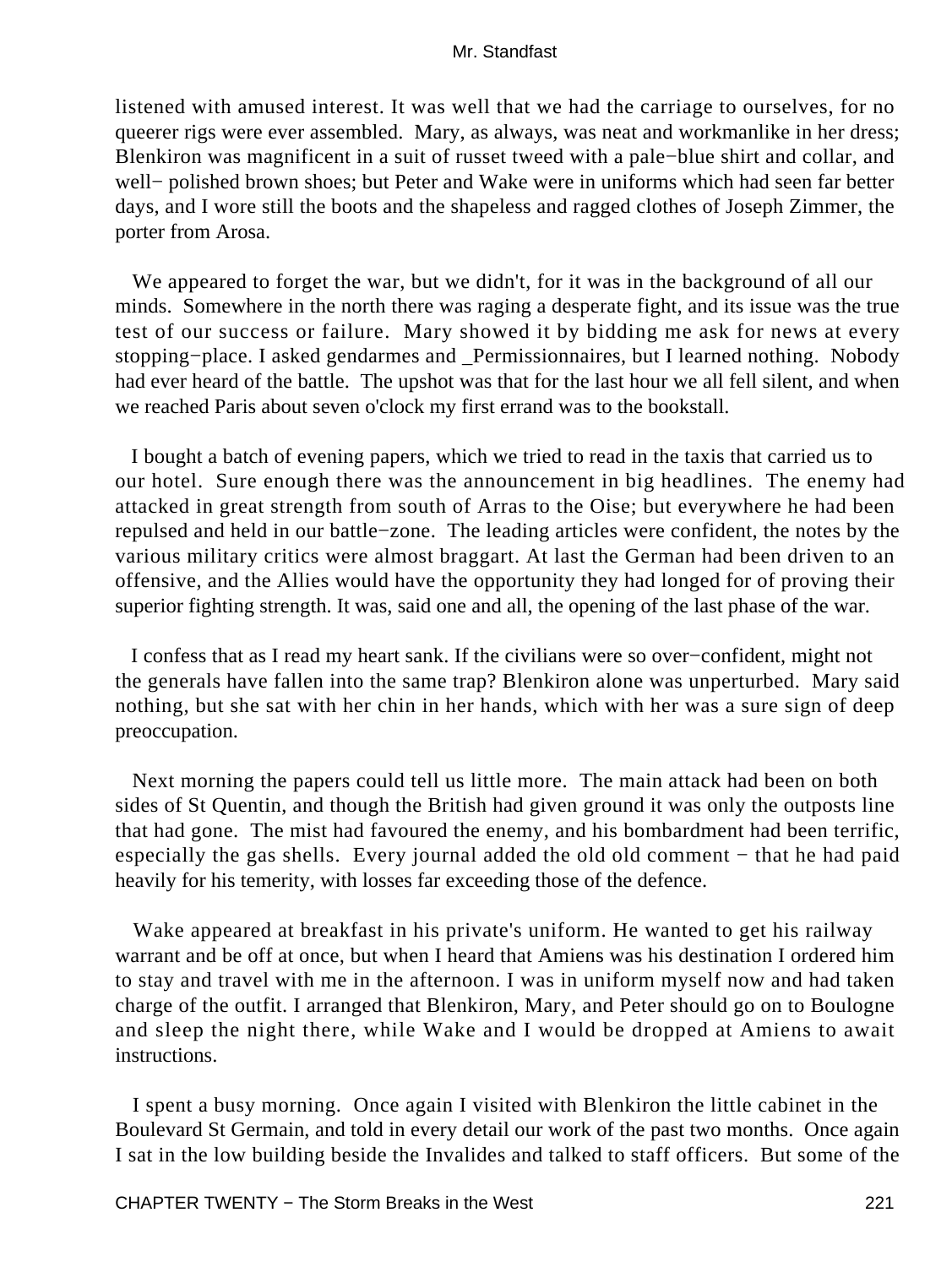listened with amused interest. It was well that we had the carriage to ourselves, for no queerer rigs were ever assembled. Mary, as always, was neat and workmanlike in her dress; Blenkiron was magnificent in a suit of russet tweed with a pale−blue shirt and collar, and well− polished brown shoes; but Peter and Wake were in uniforms which had seen far better days, and I wore still the boots and the shapeless and ragged clothes of Joseph Zimmer, the porter from Arosa.

 We appeared to forget the war, but we didn't, for it was in the background of all our minds. Somewhere in the north there was raging a desperate fight, and its issue was the true test of our success or failure. Mary showed it by bidding me ask for news at every stopping−place. I asked gendarmes and \_Permissionnaires, but I learned nothing. Nobody had ever heard of the battle. The upshot was that for the last hour we all fell silent, and when we reached Paris about seven o'clock my first errand was to the bookstall.

 I bought a batch of evening papers, which we tried to read in the taxis that carried us to our hotel. Sure enough there was the announcement in big headlines. The enemy had attacked in great strength from south of Arras to the Oise; but everywhere he had been repulsed and held in our battle−zone. The leading articles were confident, the notes by the various military critics were almost braggart. At last the German had been driven to an offensive, and the Allies would have the opportunity they had longed for of proving their superior fighting strength. It was, said one and all, the opening of the last phase of the war.

 I confess that as I read my heart sank. If the civilians were so over−confident, might not the generals have fallen into the same trap? Blenkiron alone was unperturbed. Mary said nothing, but she sat with her chin in her hands, which with her was a sure sign of deep preoccupation.

 Next morning the papers could tell us little more. The main attack had been on both sides of St Quentin, and though the British had given ground it was only the outposts line that had gone. The mist had favoured the enemy, and his bombardment had been terrific, especially the gas shells. Every journal added the old old comment − that he had paid heavily for his temerity, with losses far exceeding those of the defence.

 Wake appeared at breakfast in his private's uniform. He wanted to get his railway warrant and be off at once, but when I heard that Amiens was his destination I ordered him to stay and travel with me in the afternoon. I was in uniform myself now and had taken charge of the outfit. I arranged that Blenkiron, Mary, and Peter should go on to Boulogne and sleep the night there, while Wake and I would be dropped at Amiens to await instructions.

 I spent a busy morning. Once again I visited with Blenkiron the little cabinet in the Boulevard St Germain, and told in every detail our work of the past two months. Once again I sat in the low building beside the Invalides and talked to staff officers. But some of the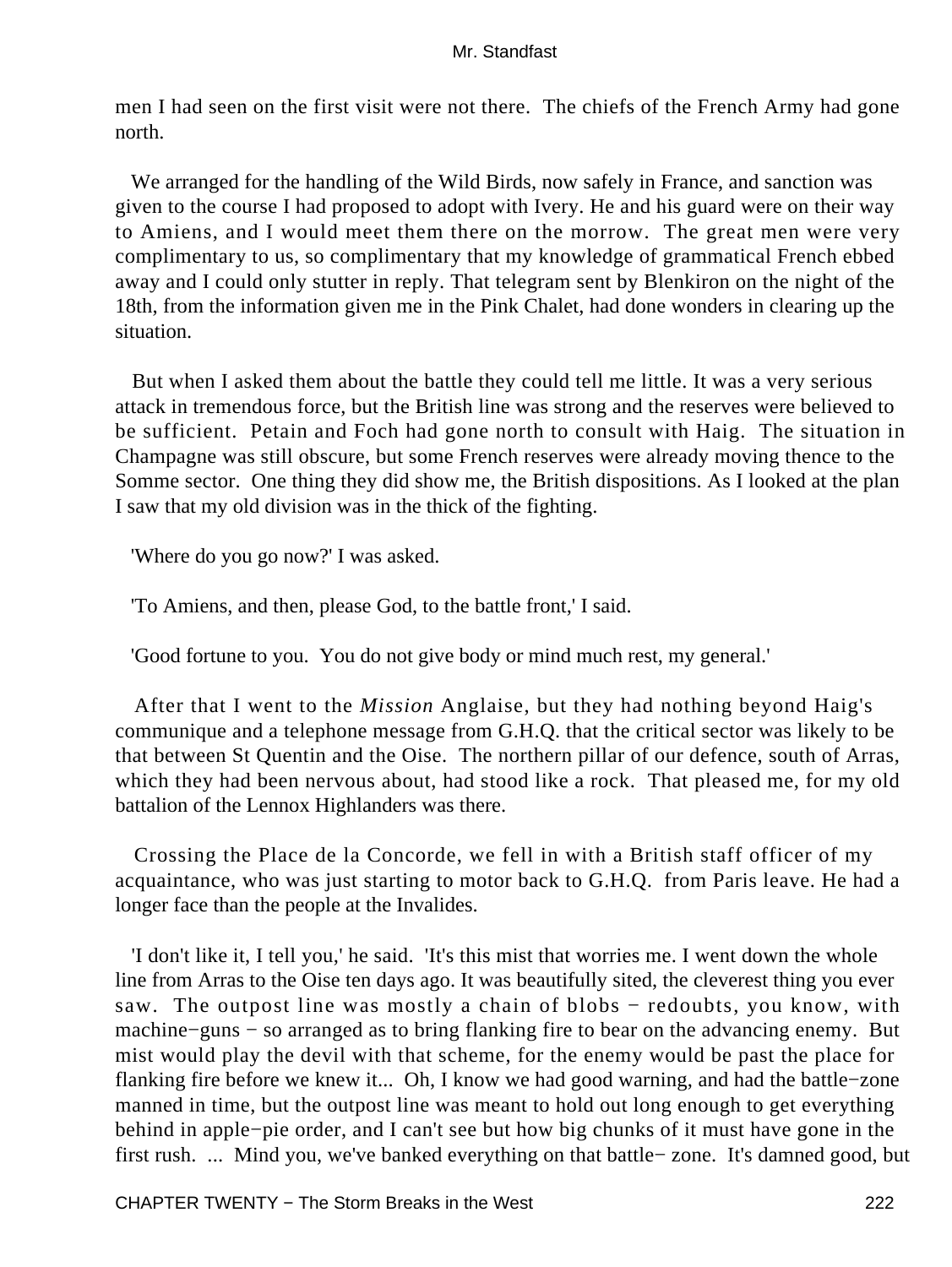men I had seen on the first visit were not there. The chiefs of the French Army had gone north.

 We arranged for the handling of the Wild Birds, now safely in France, and sanction was given to the course I had proposed to adopt with Ivery. He and his guard were on their way to Amiens, and I would meet them there on the morrow. The great men were very complimentary to us, so complimentary that my knowledge of grammatical French ebbed away and I could only stutter in reply. That telegram sent by Blenkiron on the night of the 18th, from the information given me in the Pink Chalet, had done wonders in clearing up the situation.

 But when I asked them about the battle they could tell me little. It was a very serious attack in tremendous force, but the British line was strong and the reserves were believed to be sufficient. Petain and Foch had gone north to consult with Haig. The situation in Champagne was still obscure, but some French reserves were already moving thence to the Somme sector. One thing they did show me, the British dispositions. As I looked at the plan I saw that my old division was in the thick of the fighting.

'Where do you go now?' I was asked.

'To Amiens, and then, please God, to the battle front,' I said.

'Good fortune to you. You do not give body or mind much rest, my general.'

 After that I went to the *Mission* Anglaise, but they had nothing beyond Haig's communique and a telephone message from G.H.Q. that the critical sector was likely to be that between St Quentin and the Oise. The northern pillar of our defence, south of Arras, which they had been nervous about, had stood like a rock. That pleased me, for my old battalion of the Lennox Highlanders was there.

 Crossing the Place de la Concorde, we fell in with a British staff officer of my acquaintance, who was just starting to motor back to G.H.Q. from Paris leave. He had a longer face than the people at the Invalides.

 'I don't like it, I tell you,' he said. 'It's this mist that worries me. I went down the whole line from Arras to the Oise ten days ago. It was beautifully sited, the cleverest thing you ever saw. The outpost line was mostly a chain of blobs – redoubts, you know, with machine−guns − so arranged as to bring flanking fire to bear on the advancing enemy. But mist would play the devil with that scheme, for the enemy would be past the place for flanking fire before we knew it... Oh, I know we had good warning, and had the battle−zone manned in time, but the outpost line was meant to hold out long enough to get everything behind in apple−pie order, and I can't see but how big chunks of it must have gone in the first rush. ... Mind you, we've banked everything on that battle− zone. It's damned good, but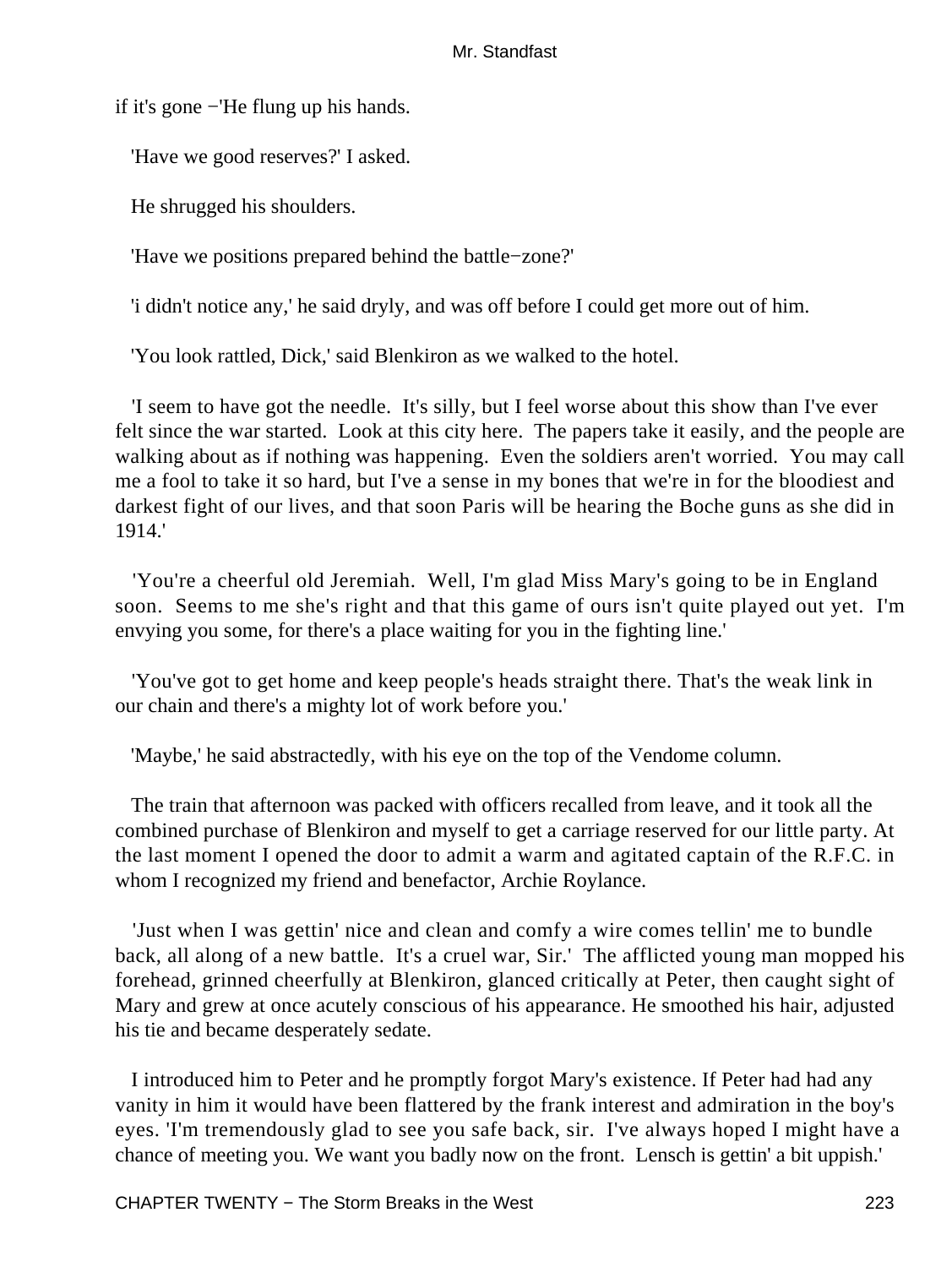if it's gone −'He flung up his hands.

'Have we good reserves?' I asked.

He shrugged his shoulders.

'Have we positions prepared behind the battle−zone?'

'i didn't notice any,' he said dryly, and was off before I could get more out of him.

'You look rattled, Dick,' said Blenkiron as we walked to the hotel.

 'I seem to have got the needle. It's silly, but I feel worse about this show than I've ever felt since the war started. Look at this city here. The papers take it easily, and the people are walking about as if nothing was happening. Even the soldiers aren't worried. You may call me a fool to take it so hard, but I've a sense in my bones that we're in for the bloodiest and darkest fight of our lives, and that soon Paris will be hearing the Boche guns as she did in 1914.'

 'You're a cheerful old Jeremiah. Well, I'm glad Miss Mary's going to be in England soon. Seems to me she's right and that this game of ours isn't quite played out yet. I'm envying you some, for there's a place waiting for you in the fighting line.'

 'You've got to get home and keep people's heads straight there. That's the weak link in our chain and there's a mighty lot of work before you.'

'Maybe,' he said abstractedly, with his eye on the top of the Vendome column.

 The train that afternoon was packed with officers recalled from leave, and it took all the combined purchase of Blenkiron and myself to get a carriage reserved for our little party. At the last moment I opened the door to admit a warm and agitated captain of the R.F.C. in whom I recognized my friend and benefactor, Archie Roylance.

 'Just when I was gettin' nice and clean and comfy a wire comes tellin' me to bundle back, all along of a new battle. It's a cruel war, Sir.' The afflicted young man mopped his forehead, grinned cheerfully at Blenkiron, glanced critically at Peter, then caught sight of Mary and grew at once acutely conscious of his appearance. He smoothed his hair, adjusted his tie and became desperately sedate.

 I introduced him to Peter and he promptly forgot Mary's existence. If Peter had had any vanity in him it would have been flattered by the frank interest and admiration in the boy's eyes. 'I'm tremendously glad to see you safe back, sir. I've always hoped I might have a chance of meeting you. We want you badly now on the front. Lensch is gettin' a bit uppish.'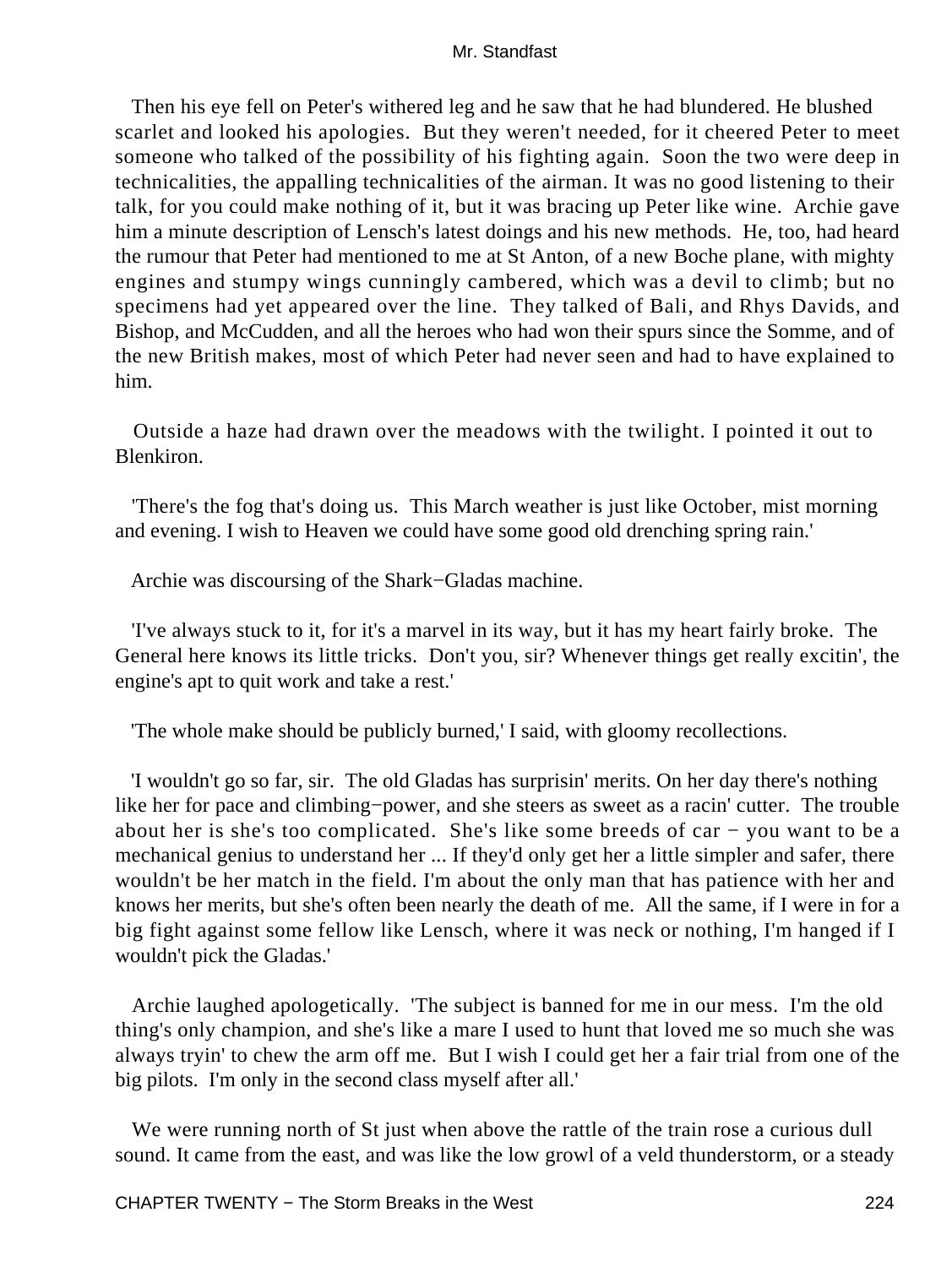Then his eye fell on Peter's withered leg and he saw that he had blundered. He blushed scarlet and looked his apologies. But they weren't needed, for it cheered Peter to meet someone who talked of the possibility of his fighting again. Soon the two were deep in technicalities, the appalling technicalities of the airman. It was no good listening to their talk, for you could make nothing of it, but it was bracing up Peter like wine. Archie gave him a minute description of Lensch's latest doings and his new methods. He, too, had heard the rumour that Peter had mentioned to me at St Anton, of a new Boche plane, with mighty engines and stumpy wings cunningly cambered, which was a devil to climb; but no specimens had yet appeared over the line. They talked of Bali, and Rhys Davids, and Bishop, and McCudden, and all the heroes who had won their spurs since the Somme, and of the new British makes, most of which Peter had never seen and had to have explained to him.

 Outside a haze had drawn over the meadows with the twilight. I pointed it out to Blenkiron.

 'There's the fog that's doing us. This March weather is just like October, mist morning and evening. I wish to Heaven we could have some good old drenching spring rain.'

Archie was discoursing of the Shark−Gladas machine.

 'I've always stuck to it, for it's a marvel in its way, but it has my heart fairly broke. The General here knows its little tricks. Don't you, sir? Whenever things get really excitin', the engine's apt to quit work and take a rest.'

'The whole make should be publicly burned,' I said, with gloomy recollections.

 'I wouldn't go so far, sir. The old Gladas has surprisin' merits. On her day there's nothing like her for pace and climbing−power, and she steers as sweet as a racin' cutter. The trouble about her is she's too complicated. She's like some breeds of car − you want to be a mechanical genius to understand her ... If they'd only get her a little simpler and safer, there wouldn't be her match in the field. I'm about the only man that has patience with her and knows her merits, but she's often been nearly the death of me. All the same, if I were in for a big fight against some fellow like Lensch, where it was neck or nothing, I'm hanged if I wouldn't pick the Gladas.'

 Archie laughed apologetically. 'The subject is banned for me in our mess. I'm the old thing's only champion, and she's like a mare I used to hunt that loved me so much she was always tryin' to chew the arm off me. But I wish I could get her a fair trial from one of the big pilots. I'm only in the second class myself after all.'

We were running north of St just when above the rattle of the train rose a curious dull sound. It came from the east, and was like the low growl of a veld thunderstorm, or a steady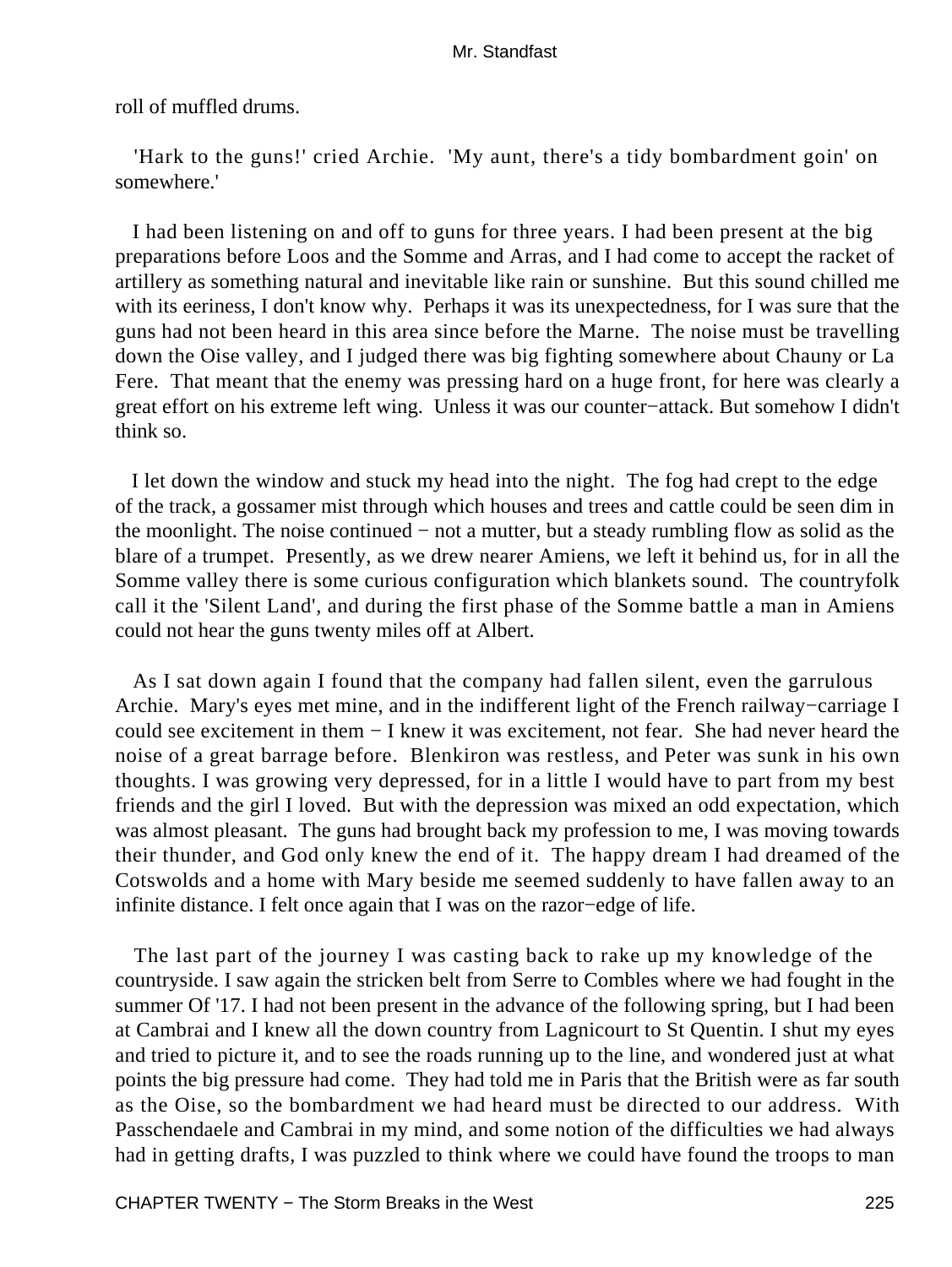roll of muffled drums.

 'Hark to the guns!' cried Archie. 'My aunt, there's a tidy bombardment goin' on somewhere.'

 I had been listening on and off to guns for three years. I had been present at the big preparations before Loos and the Somme and Arras, and I had come to accept the racket of artillery as something natural and inevitable like rain or sunshine. But this sound chilled me with its eeriness, I don't know why. Perhaps it was its unexpectedness, for I was sure that the guns had not been heard in this area since before the Marne. The noise must be travelling down the Oise valley, and I judged there was big fighting somewhere about Chauny or La Fere. That meant that the enemy was pressing hard on a huge front, for here was clearly a great effort on his extreme left wing. Unless it was our counter−attack. But somehow I didn't think so.

 I let down the window and stuck my head into the night. The fog had crept to the edge of the track, a gossamer mist through which houses and trees and cattle could be seen dim in the moonlight. The noise continued − not a mutter, but a steady rumbling flow as solid as the blare of a trumpet. Presently, as we drew nearer Amiens, we left it behind us, for in all the Somme valley there is some curious configuration which blankets sound. The countryfolk call it the 'Silent Land', and during the first phase of the Somme battle a man in Amiens could not hear the guns twenty miles off at Albert.

 As I sat down again I found that the company had fallen silent, even the garrulous Archie. Mary's eyes met mine, and in the indifferent light of the French railway−carriage I could see excitement in them − I knew it was excitement, not fear. She had never heard the noise of a great barrage before. Blenkiron was restless, and Peter was sunk in his own thoughts. I was growing very depressed, for in a little I would have to part from my best friends and the girl I loved. But with the depression was mixed an odd expectation, which was almost pleasant. The guns had brought back my profession to me, I was moving towards their thunder, and God only knew the end of it. The happy dream I had dreamed of the Cotswolds and a home with Mary beside me seemed suddenly to have fallen away to an infinite distance. I felt once again that I was on the razor−edge of life.

 The last part of the journey I was casting back to rake up my knowledge of the countryside. I saw again the stricken belt from Serre to Combles where we had fought in the summer Of '17. I had not been present in the advance of the following spring, but I had been at Cambrai and I knew all the down country from Lagnicourt to St Quentin. I shut my eyes and tried to picture it, and to see the roads running up to the line, and wondered just at what points the big pressure had come. They had told me in Paris that the British were as far south as the Oise, so the bombardment we had heard must be directed to our address. With Passchendaele and Cambrai in my mind, and some notion of the difficulties we had always had in getting drafts, I was puzzled to think where we could have found the troops to man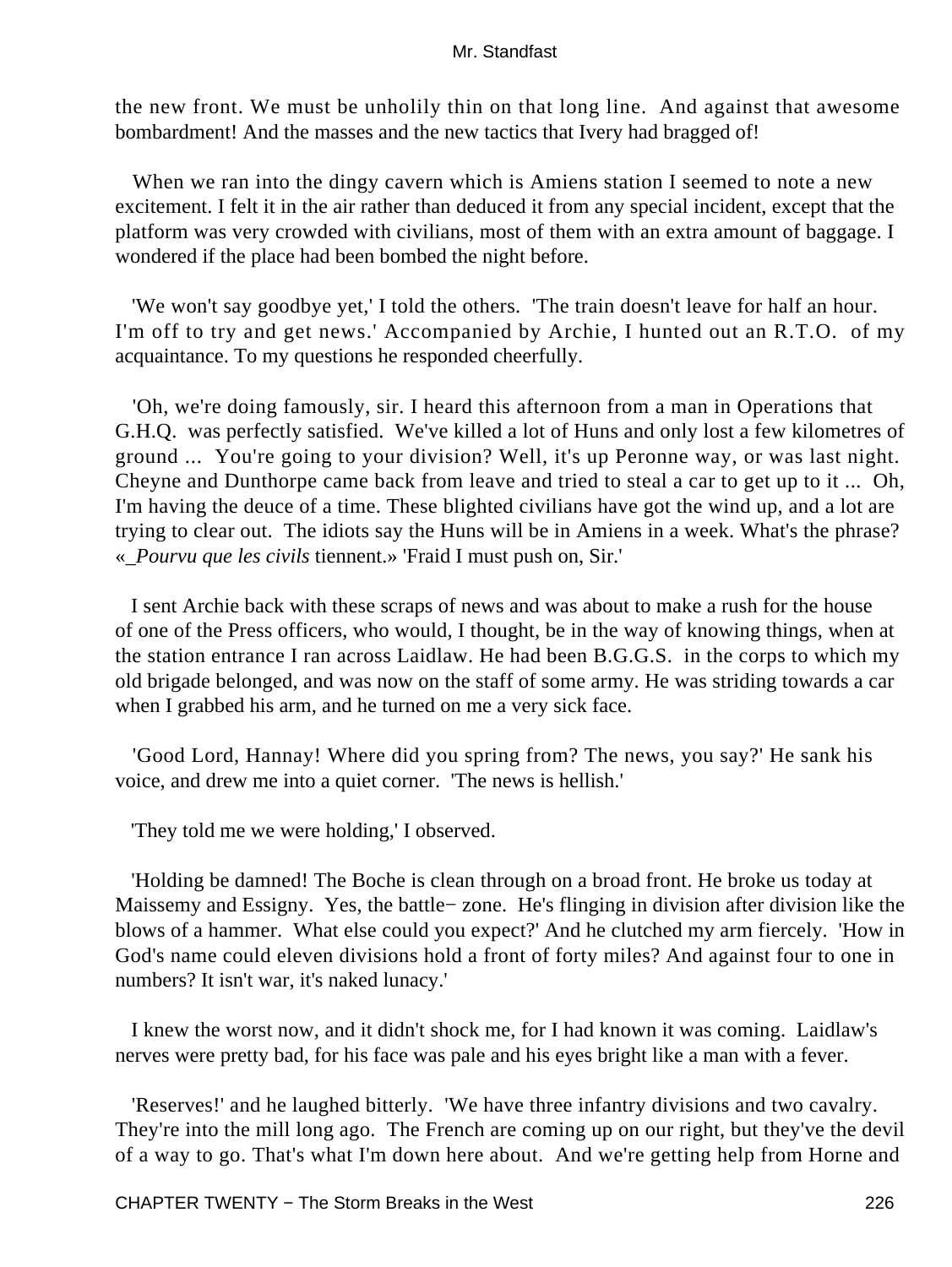the new front. We must be unholily thin on that long line. And against that awesome bombardment! And the masses and the new tactics that Ivery had bragged of!

When we ran into the dingy cavern which is Amiens station I seemed to note a new excitement. I felt it in the air rather than deduced it from any special incident, except that the platform was very crowded with civilians, most of them with an extra amount of baggage. I wondered if the place had been bombed the night before.

 'We won't say goodbye yet,' I told the others. 'The train doesn't leave for half an hour. I'm off to try and get news.' Accompanied by Archie, I hunted out an R.T.O. of my acquaintance. To my questions he responded cheerfully.

 'Oh, we're doing famously, sir. I heard this afternoon from a man in Operations that G.H.Q. was perfectly satisfied. We've killed a lot of Huns and only lost a few kilometres of ground ... You're going to your division? Well, it's up Peronne way, or was last night. Cheyne and Dunthorpe came back from leave and tried to steal a car to get up to it ... Oh, I'm having the deuce of a time. These blighted civilians have got the wind up, and a lot are trying to clear out. The idiots say the Huns will be in Amiens in a week. What's the phrase? «*\_Pourvu que les civils* tiennent.» 'Fraid I must push on, Sir.'

 I sent Archie back with these scraps of news and was about to make a rush for the house of one of the Press officers, who would, I thought, be in the way of knowing things, when at the station entrance I ran across Laidlaw. He had been B.G.G.S. in the corps to which my old brigade belonged, and was now on the staff of some army. He was striding towards a car when I grabbed his arm, and he turned on me a very sick face.

 'Good Lord, Hannay! Where did you spring from? The news, you say?' He sank his voice, and drew me into a quiet corner. 'The news is hellish.'

'They told me we were holding,' I observed.

 'Holding be damned! The Boche is clean through on a broad front. He broke us today at Maissemy and Essigny. Yes, the battle− zone. He's flinging in division after division like the blows of a hammer. What else could you expect?' And he clutched my arm fiercely. 'How in God's name could eleven divisions hold a front of forty miles? And against four to one in numbers? It isn't war, it's naked lunacy.'

 I knew the worst now, and it didn't shock me, for I had known it was coming. Laidlaw's nerves were pretty bad, for his face was pale and his eyes bright like a man with a fever.

 'Reserves!' and he laughed bitterly. 'We have three infantry divisions and two cavalry. They're into the mill long ago. The French are coming up on our right, but they've the devil of a way to go. That's what I'm down here about. And we're getting help from Horne and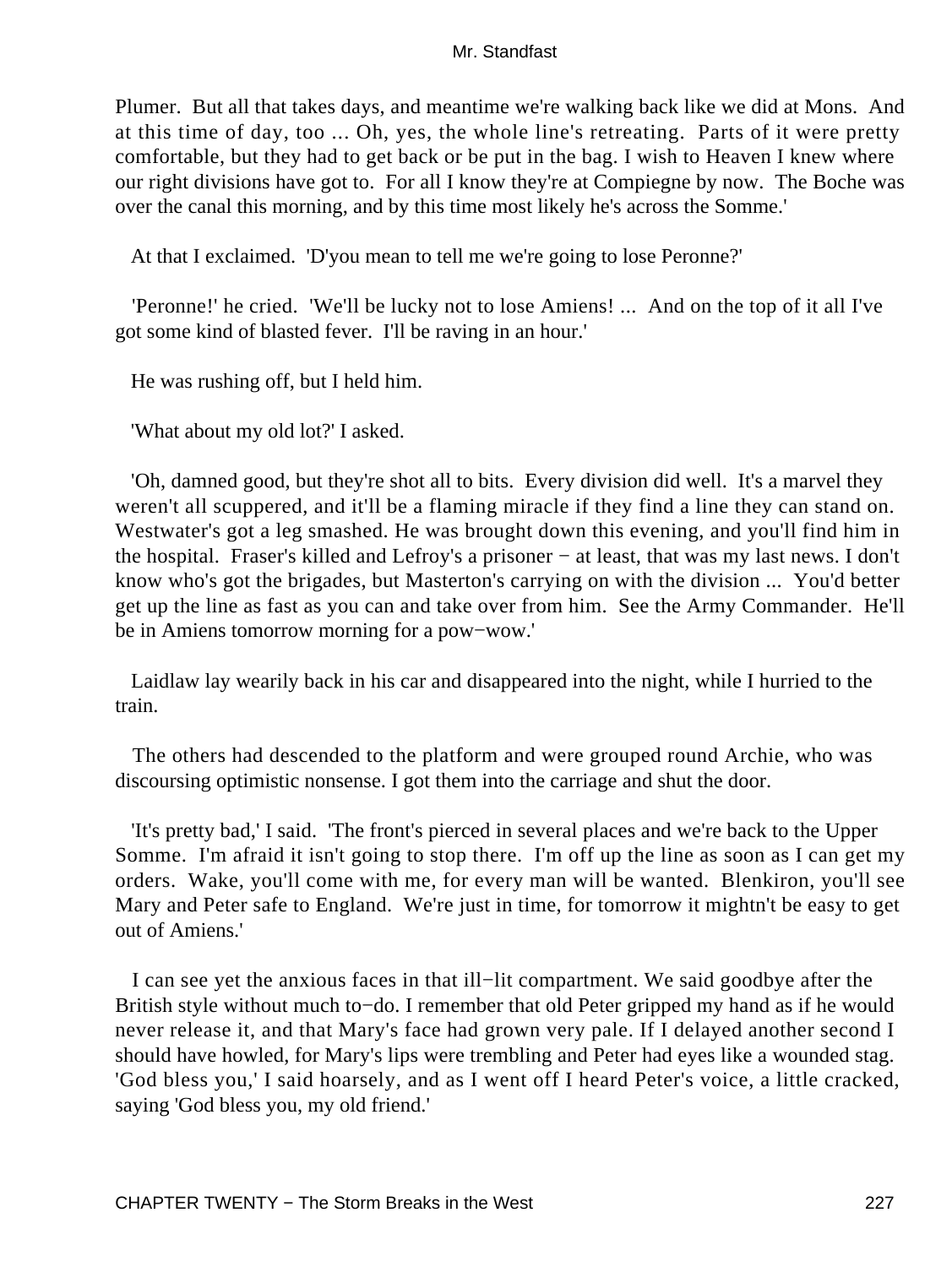Plumer. But all that takes days, and meantime we're walking back like we did at Mons. And at this time of day, too ... Oh, yes, the whole line's retreating. Parts of it were pretty comfortable, but they had to get back or be put in the bag. I wish to Heaven I knew where our right divisions have got to. For all I know they're at Compiegne by now. The Boche was over the canal this morning, and by this time most likely he's across the Somme.'

At that I exclaimed. 'D'you mean to tell me we're going to lose Peronne?'

 'Peronne!' he cried. 'We'll be lucky not to lose Amiens! ... And on the top of it all I've got some kind of blasted fever. I'll be raving in an hour.'

He was rushing off, but I held him.

'What about my old lot?' I asked.

 'Oh, damned good, but they're shot all to bits. Every division did well. It's a marvel they weren't all scuppered, and it'll be a flaming miracle if they find a line they can stand on. Westwater's got a leg smashed. He was brought down this evening, and you'll find him in the hospital. Fraser's killed and Lefroy's a prisoner − at least, that was my last news. I don't know who's got the brigades, but Masterton's carrying on with the division ... You'd better get up the line as fast as you can and take over from him. See the Army Commander. He'll be in Amiens tomorrow morning for a pow−wow.'

 Laidlaw lay wearily back in his car and disappeared into the night, while I hurried to the train.

 The others had descended to the platform and were grouped round Archie, who was discoursing optimistic nonsense. I got them into the carriage and shut the door.

 'It's pretty bad,' I said. 'The front's pierced in several places and we're back to the Upper Somme. I'm afraid it isn't going to stop there. I'm off up the line as soon as I can get my orders. Wake, you'll come with me, for every man will be wanted. Blenkiron, you'll see Mary and Peter safe to England. We're just in time, for tomorrow it mightn't be easy to get out of Amiens.'

 I can see yet the anxious faces in that ill−lit compartment. We said goodbye after the British style without much to−do. I remember that old Peter gripped my hand as if he would never release it, and that Mary's face had grown very pale. If I delayed another second I should have howled, for Mary's lips were trembling and Peter had eyes like a wounded stag. 'God bless you,' I said hoarsely, and as I went off I heard Peter's voice, a little cracked, saying 'God bless you, my old friend.'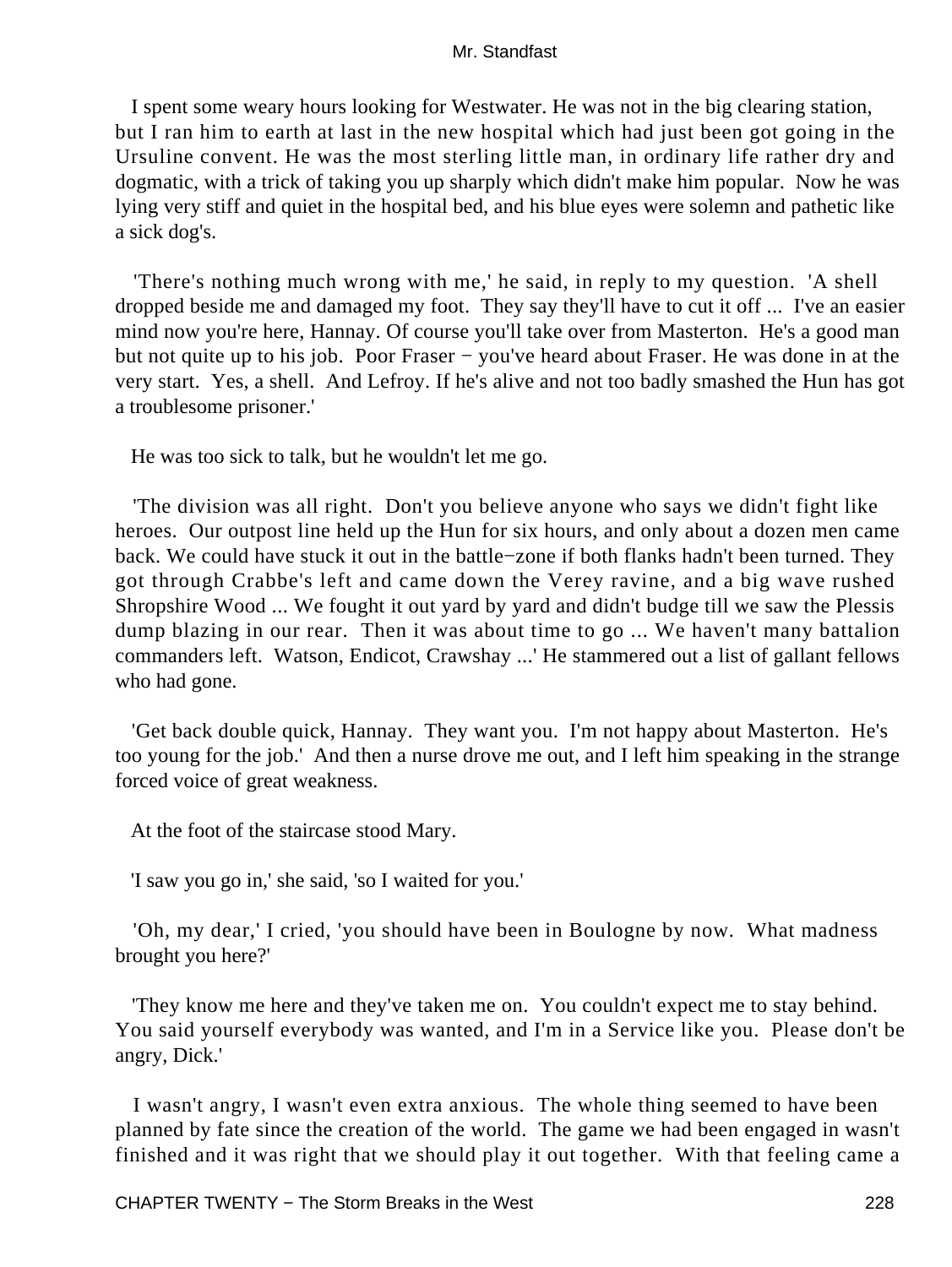I spent some weary hours looking for Westwater. He was not in the big clearing station, but I ran him to earth at last in the new hospital which had just been got going in the Ursuline convent. He was the most sterling little man, in ordinary life rather dry and dogmatic, with a trick of taking you up sharply which didn't make him popular. Now he was lying very stiff and quiet in the hospital bed, and his blue eyes were solemn and pathetic like a sick dog's.

 'There's nothing much wrong with me,' he said, in reply to my question. 'A shell dropped beside me and damaged my foot. They say they'll have to cut it off ... I've an easier mind now you're here, Hannay. Of course you'll take over from Masterton. He's a good man but not quite up to his job. Poor Fraser − you've heard about Fraser. He was done in at the very start. Yes, a shell. And Lefroy. If he's alive and not too badly smashed the Hun has got a troublesome prisoner.'

He was too sick to talk, but he wouldn't let me go.

 'The division was all right. Don't you believe anyone who says we didn't fight like heroes. Our outpost line held up the Hun for six hours, and only about a dozen men came back. We could have stuck it out in the battle−zone if both flanks hadn't been turned. They got through Crabbe's left and came down the Verey ravine, and a big wave rushed Shropshire Wood ... We fought it out yard by yard and didn't budge till we saw the Plessis dump blazing in our rear. Then it was about time to go ... We haven't many battalion commanders left. Watson, Endicot, Crawshay ...' He stammered out a list of gallant fellows who had gone.

 'Get back double quick, Hannay. They want you. I'm not happy about Masterton. He's too young for the job.' And then a nurse drove me out, and I left him speaking in the strange forced voice of great weakness.

At the foot of the staircase stood Mary.

'I saw you go in,' she said, 'so I waited for you.'

 'Oh, my dear,' I cried, 'you should have been in Boulogne by now. What madness brought you here?'

 'They know me here and they've taken me on. You couldn't expect me to stay behind. You said yourself everybody was wanted, and I'm in a Service like you. Please don't be angry, Dick.'

 I wasn't angry, I wasn't even extra anxious. The whole thing seemed to have been planned by fate since the creation of the world. The game we had been engaged in wasn't finished and it was right that we should play it out together. With that feeling came a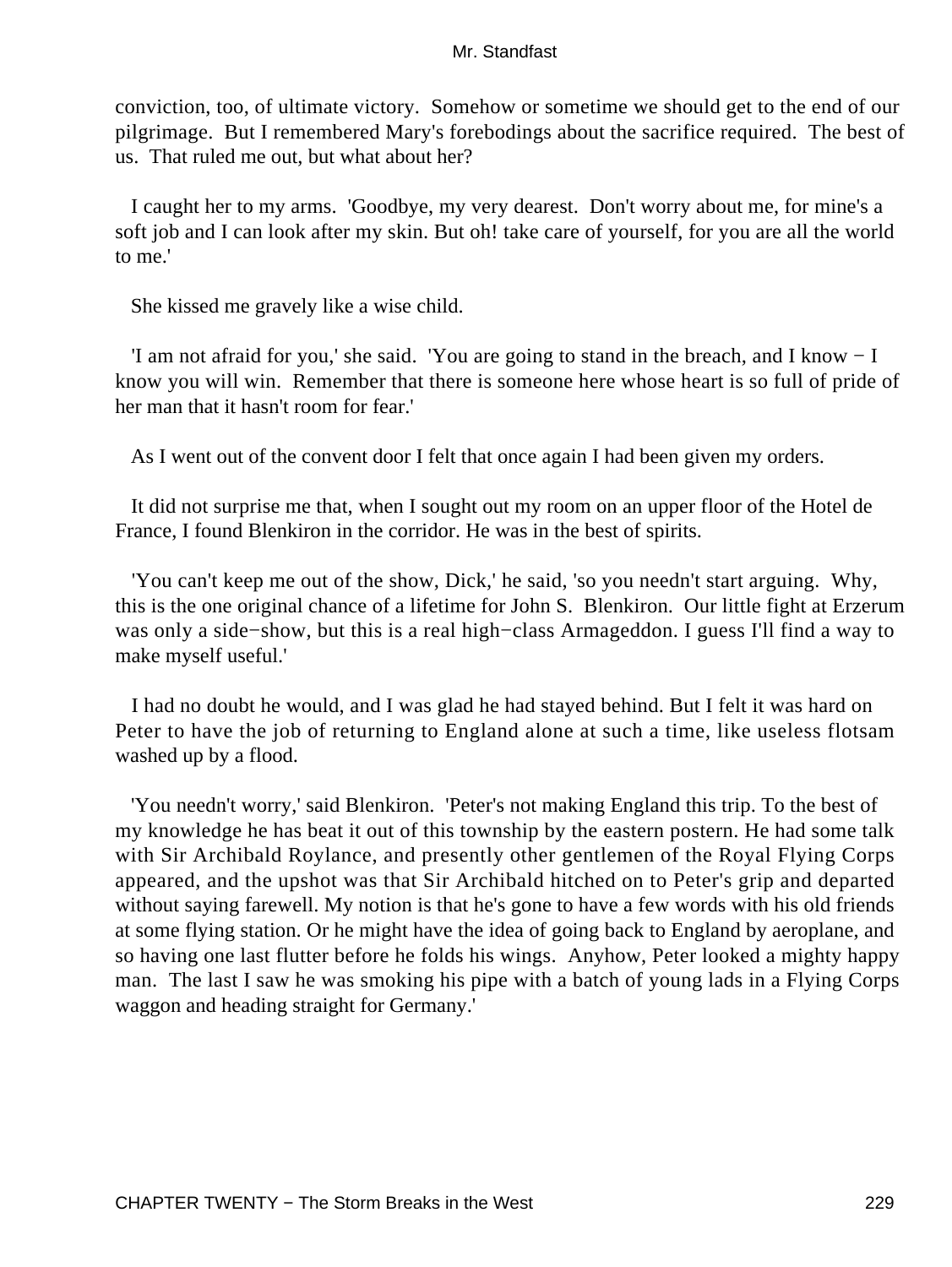conviction, too, of ultimate victory. Somehow or sometime we should get to the end of our pilgrimage. But I remembered Mary's forebodings about the sacrifice required. The best of us. That ruled me out, but what about her?

 I caught her to my arms. 'Goodbye, my very dearest. Don't worry about me, for mine's a soft job and I can look after my skin. But oh! take care of yourself, for you are all the world to me.'

She kissed me gravely like a wise child.

 'I am not afraid for you,' she said. 'You are going to stand in the breach, and I know − I know you will win. Remember that there is someone here whose heart is so full of pride of her man that it hasn't room for fear.'

As I went out of the convent door I felt that once again I had been given my orders.

 It did not surprise me that, when I sought out my room on an upper floor of the Hotel de France, I found Blenkiron in the corridor. He was in the best of spirits.

 'You can't keep me out of the show, Dick,' he said, 'so you needn't start arguing. Why, this is the one original chance of a lifetime for John S. Blenkiron. Our little fight at Erzerum was only a side−show, but this is a real high−class Armageddon. I guess I'll find a way to make myself useful.'

 I had no doubt he would, and I was glad he had stayed behind. But I felt it was hard on Peter to have the job of returning to England alone at such a time, like useless flotsam washed up by a flood.

 'You needn't worry,' said Blenkiron. 'Peter's not making England this trip. To the best of my knowledge he has beat it out of this township by the eastern postern. He had some talk with Sir Archibald Roylance, and presently other gentlemen of the Royal Flying Corps appeared, and the upshot was that Sir Archibald hitched on to Peter's grip and departed without saying farewell. My notion is that he's gone to have a few words with his old friends at some flying station. Or he might have the idea of going back to England by aeroplane, and so having one last flutter before he folds his wings. Anyhow, Peter looked a mighty happy man. The last I saw he was smoking his pipe with a batch of young lads in a Flying Corps waggon and heading straight for Germany.'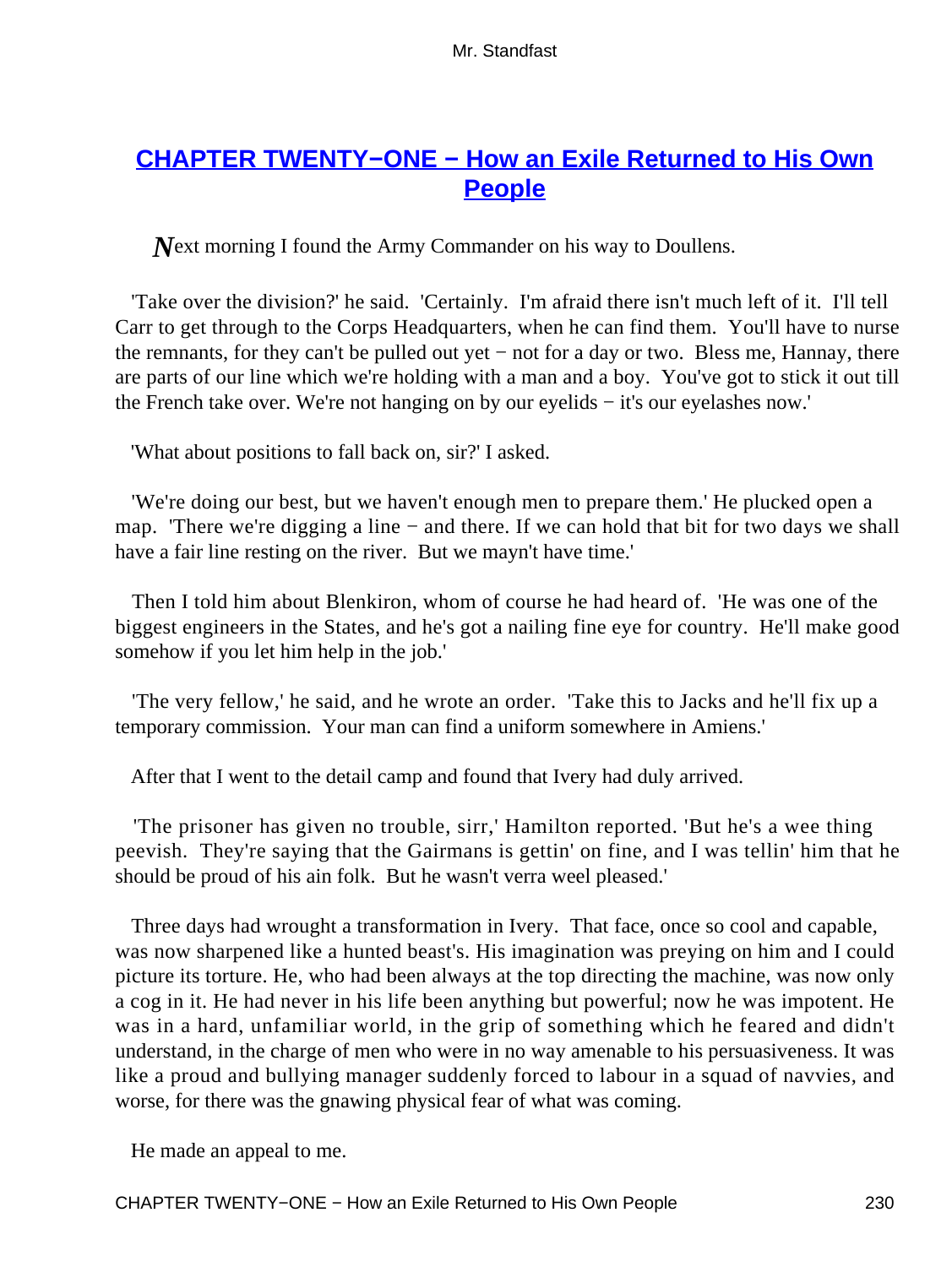# **[CHAPTER TWENTY−ONE − How an Exile Returned to His Own](#page-256-0) [People](#page-256-0)**

*N*ext morning I found the Army Commander on his way to Doullens.

 'Take over the division?' he said. 'Certainly. I'm afraid there isn't much left of it. I'll tell Carr to get through to the Corps Headquarters, when he can find them. You'll have to nurse the remnants, for they can't be pulled out yet − not for a day or two. Bless me, Hannay, there are parts of our line which we're holding with a man and a boy. You've got to stick it out till the French take over. We're not hanging on by our eyelids − it's our eyelashes now.'

'What about positions to fall back on, sir?' I asked.

 'We're doing our best, but we haven't enough men to prepare them.' He plucked open a map. 'There we're digging a line – and there. If we can hold that bit for two days we shall have a fair line resting on the river. But we mayn't have time.'

 Then I told him about Blenkiron, whom of course he had heard of. 'He was one of the biggest engineers in the States, and he's got a nailing fine eye for country. He'll make good somehow if you let him help in the job.'

 'The very fellow,' he said, and he wrote an order. 'Take this to Jacks and he'll fix up a temporary commission. Your man can find a uniform somewhere in Amiens.'

After that I went to the detail camp and found that Ivery had duly arrived.

 'The prisoner has given no trouble, sirr,' Hamilton reported. 'But he's a wee thing peevish. They're saying that the Gairmans is gettin' on fine, and I was tellin' him that he should be proud of his ain folk. But he wasn't verra weel pleased.'

 Three days had wrought a transformation in Ivery. That face, once so cool and capable, was now sharpened like a hunted beast's. His imagination was preying on him and I could picture its torture. He, who had been always at the top directing the machine, was now only a cog in it. He had never in his life been anything but powerful; now he was impotent. He was in a hard, unfamiliar world, in the grip of something which he feared and didn't understand, in the charge of men who were in no way amenable to his persuasiveness. It was like a proud and bullying manager suddenly forced to labour in a squad of navvies, and worse, for there was the gnawing physical fear of what was coming.

He made an appeal to me.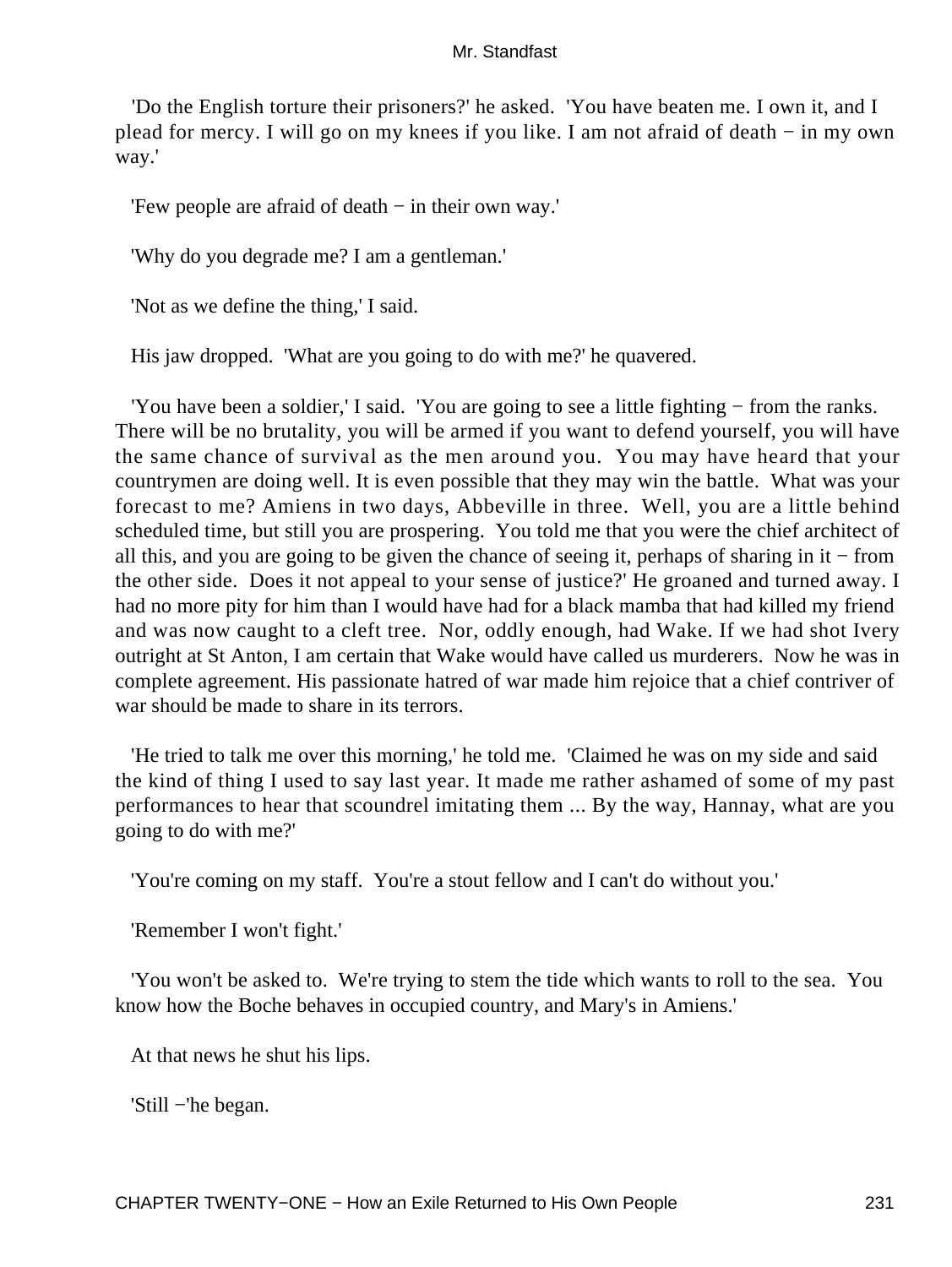'Do the English torture their prisoners?' he asked. 'You have beaten me. I own it, and I plead for mercy. I will go on my knees if you like. I am not afraid of death − in my own way.'

'Few people are afraid of death − in their own way.'

'Why do you degrade me? I am a gentleman.'

'Not as we define the thing,' I said.

His jaw dropped. 'What are you going to do with me?' he quavered.

 'You have been a soldier,' I said. 'You are going to see a little fighting − from the ranks. There will be no brutality, you will be armed if you want to defend yourself, you will have the same chance of survival as the men around you. You may have heard that your countrymen are doing well. It is even possible that they may win the battle. What was your forecast to me? Amiens in two days, Abbeville in three. Well, you are a little behind scheduled time, but still you are prospering. You told me that you were the chief architect of all this, and you are going to be given the chance of seeing it, perhaps of sharing in it − from the other side. Does it not appeal to your sense of justice?' He groaned and turned away. I had no more pity for him than I would have had for a black mamba that had killed my friend and was now caught to a cleft tree. Nor, oddly enough, had Wake. If we had shot Ivery outright at St Anton, I am certain that Wake would have called us murderers. Now he was in complete agreement. His passionate hatred of war made him rejoice that a chief contriver of war should be made to share in its terrors.

 'He tried to talk me over this morning,' he told me. 'Claimed he was on my side and said the kind of thing I used to say last year. It made me rather ashamed of some of my past performances to hear that scoundrel imitating them ... By the way, Hannay, what are you going to do with me?'

'You're coming on my staff. You're a stout fellow and I can't do without you.'

'Remember I won't fight.'

 'You won't be asked to. We're trying to stem the tide which wants to roll to the sea. You know how the Boche behaves in occupied country, and Mary's in Amiens.'

At that news he shut his lips.

'Still −'he began.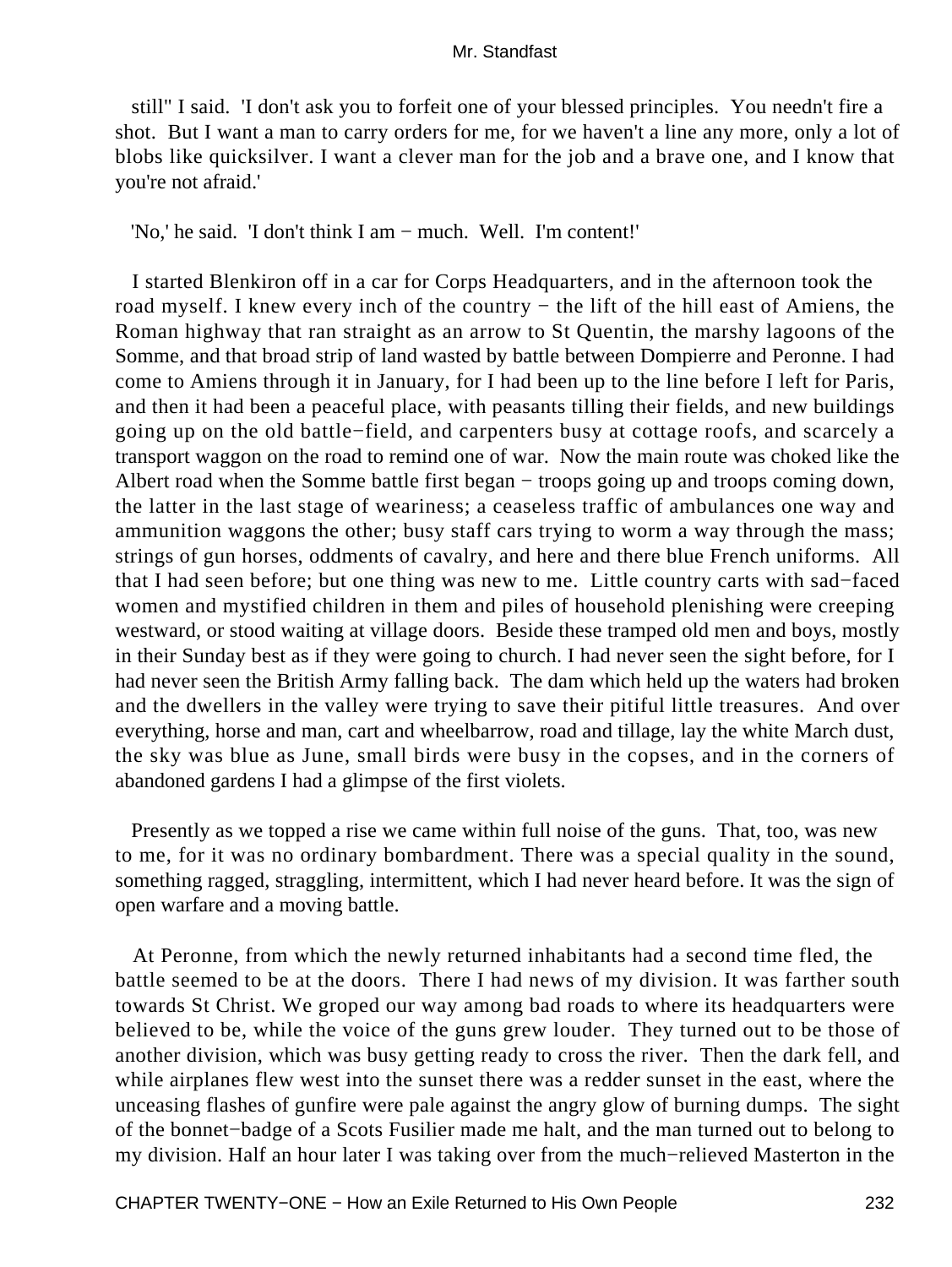still" I said. 'I don't ask you to forfeit one of your blessed principles. You needn't fire a shot. But I want a man to carry orders for me, for we haven't a line any more, only a lot of blobs like quicksilver. I want a clever man for the job and a brave one, and I know that you're not afraid.'

'No,' he said. 'I don't think I am − much. Well. I'm content!'

 I started Blenkiron off in a car for Corps Headquarters, and in the afternoon took the road myself. I knew every inch of the country − the lift of the hill east of Amiens, the Roman highway that ran straight as an arrow to St Quentin, the marshy lagoons of the Somme, and that broad strip of land wasted by battle between Dompierre and Peronne. I had come to Amiens through it in January, for I had been up to the line before I left for Paris, and then it had been a peaceful place, with peasants tilling their fields, and new buildings going up on the old battle−field, and carpenters busy at cottage roofs, and scarcely a transport waggon on the road to remind one of war. Now the main route was choked like the Albert road when the Somme battle first began − troops going up and troops coming down, the latter in the last stage of weariness; a ceaseless traffic of ambulances one way and ammunition waggons the other; busy staff cars trying to worm a way through the mass; strings of gun horses, oddments of cavalry, and here and there blue French uniforms. All that I had seen before; but one thing was new to me. Little country carts with sad−faced women and mystified children in them and piles of household plenishing were creeping westward, or stood waiting at village doors. Beside these tramped old men and boys, mostly in their Sunday best as if they were going to church. I had never seen the sight before, for I had never seen the British Army falling back. The dam which held up the waters had broken and the dwellers in the valley were trying to save their pitiful little treasures. And over everything, horse and man, cart and wheelbarrow, road and tillage, lay the white March dust, the sky was blue as June, small birds were busy in the copses, and in the corners of abandoned gardens I had a glimpse of the first violets.

 Presently as we topped a rise we came within full noise of the guns. That, too, was new to me, for it was no ordinary bombardment. There was a special quality in the sound, something ragged, straggling, intermittent, which I had never heard before. It was the sign of open warfare and a moving battle.

 At Peronne, from which the newly returned inhabitants had a second time fled, the battle seemed to be at the doors. There I had news of my division. It was farther south towards St Christ. We groped our way among bad roads to where its headquarters were believed to be, while the voice of the guns grew louder. They turned out to be those of another division, which was busy getting ready to cross the river. Then the dark fell, and while airplanes flew west into the sunset there was a redder sunset in the east, where the unceasing flashes of gunfire were pale against the angry glow of burning dumps. The sight of the bonnet−badge of a Scots Fusilier made me halt, and the man turned out to belong to my division. Half an hour later I was taking over from the much−relieved Masterton in the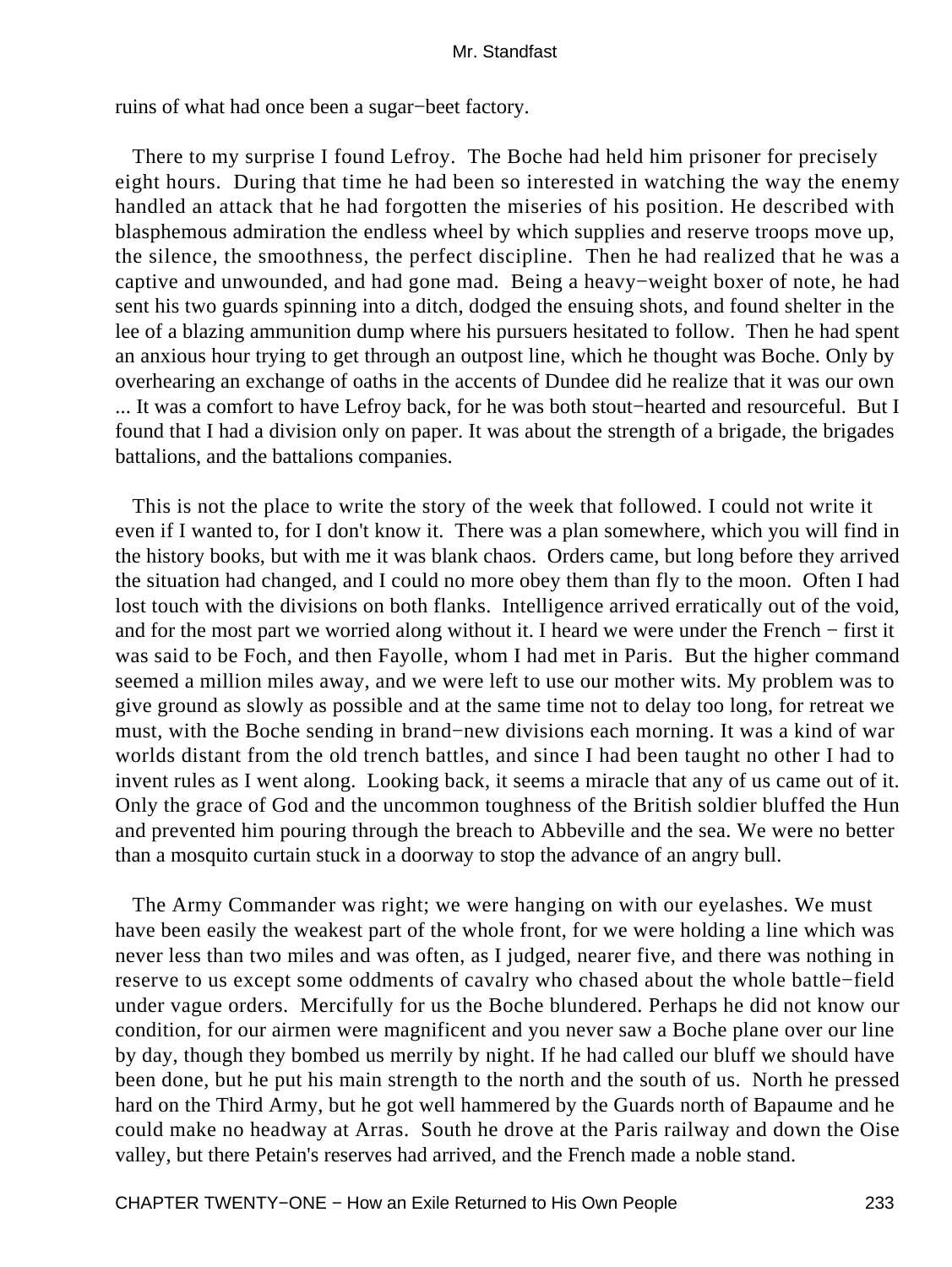ruins of what had once been a sugar−beet factory.

 There to my surprise I found Lefroy. The Boche had held him prisoner for precisely eight hours. During that time he had been so interested in watching the way the enemy handled an attack that he had forgotten the miseries of his position. He described with blasphemous admiration the endless wheel by which supplies and reserve troops move up, the silence, the smoothness, the perfect discipline. Then he had realized that he was a captive and unwounded, and had gone mad. Being a heavy−weight boxer of note, he had sent his two guards spinning into a ditch, dodged the ensuing shots, and found shelter in the lee of a blazing ammunition dump where his pursuers hesitated to follow. Then he had spent an anxious hour trying to get through an outpost line, which he thought was Boche. Only by overhearing an exchange of oaths in the accents of Dundee did he realize that it was our own ... It was a comfort to have Lefroy back, for he was both stout−hearted and resourceful. But I found that I had a division only on paper. It was about the strength of a brigade, the brigades battalions, and the battalions companies.

 This is not the place to write the story of the week that followed. I could not write it even if I wanted to, for I don't know it. There was a plan somewhere, which you will find in the history books, but with me it was blank chaos. Orders came, but long before they arrived the situation had changed, and I could no more obey them than fly to the moon. Often I had lost touch with the divisions on both flanks. Intelligence arrived erratically out of the void, and for the most part we worried along without it. I heard we were under the French − first it was said to be Foch, and then Fayolle, whom I had met in Paris. But the higher command seemed a million miles away, and we were left to use our mother wits. My problem was to give ground as slowly as possible and at the same time not to delay too long, for retreat we must, with the Boche sending in brand−new divisions each morning. It was a kind of war worlds distant from the old trench battles, and since I had been taught no other I had to invent rules as I went along. Looking back, it seems a miracle that any of us came out of it. Only the grace of God and the uncommon toughness of the British soldier bluffed the Hun and prevented him pouring through the breach to Abbeville and the sea. We were no better than a mosquito curtain stuck in a doorway to stop the advance of an angry bull.

 The Army Commander was right; we were hanging on with our eyelashes. We must have been easily the weakest part of the whole front, for we were holding a line which was never less than two miles and was often, as I judged, nearer five, and there was nothing in reserve to us except some oddments of cavalry who chased about the whole battle−field under vague orders. Mercifully for us the Boche blundered. Perhaps he did not know our condition, for our airmen were magnificent and you never saw a Boche plane over our line by day, though they bombed us merrily by night. If he had called our bluff we should have been done, but he put his main strength to the north and the south of us. North he pressed hard on the Third Army, but he got well hammered by the Guards north of Bapaume and he could make no headway at Arras. South he drove at the Paris railway and down the Oise valley, but there Petain's reserves had arrived, and the French made a noble stand.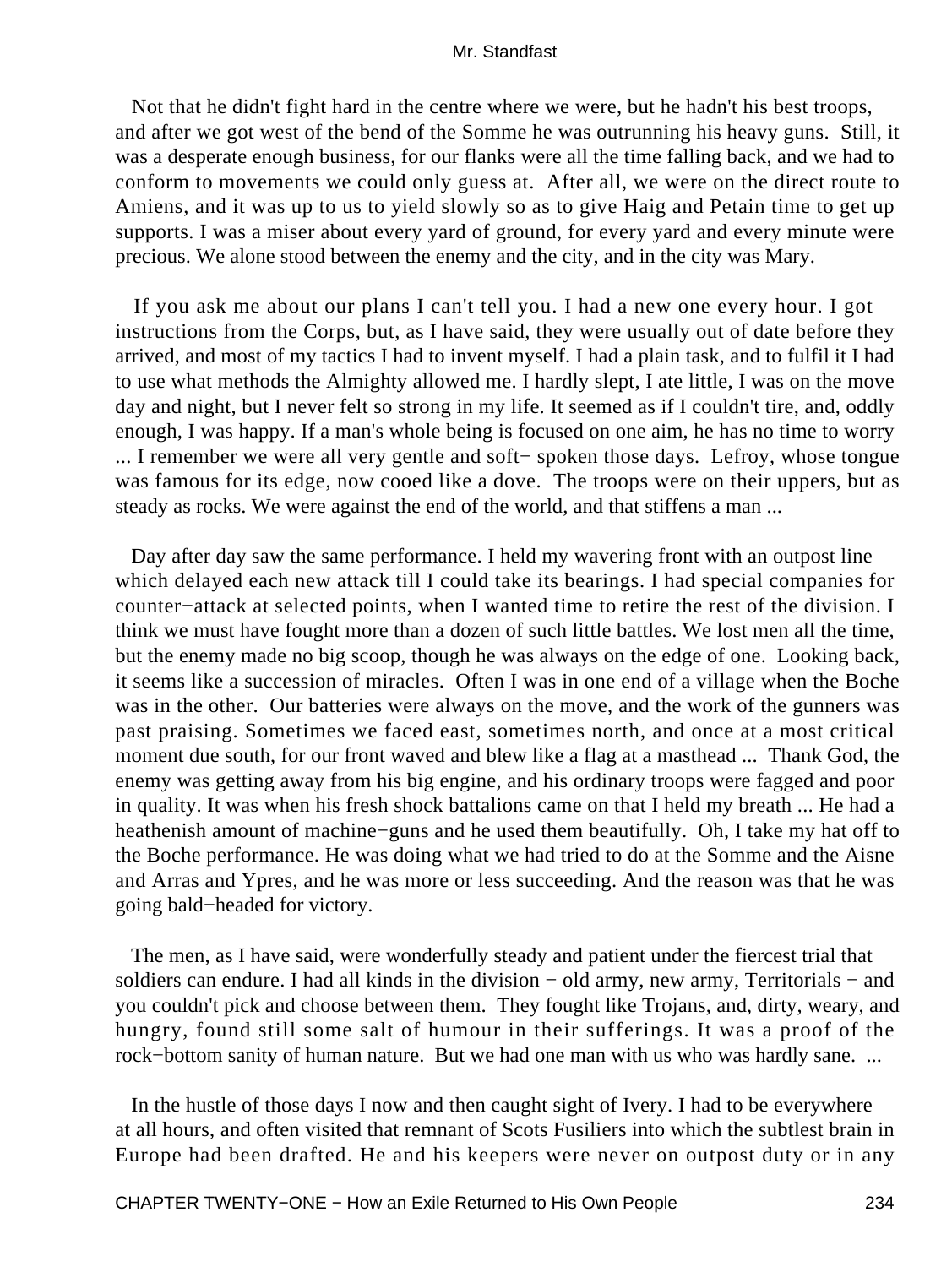Not that he didn't fight hard in the centre where we were, but he hadn't his best troops, and after we got west of the bend of the Somme he was outrunning his heavy guns. Still, it was a desperate enough business, for our flanks were all the time falling back, and we had to conform to movements we could only guess at. After all, we were on the direct route to Amiens, and it was up to us to yield slowly so as to give Haig and Petain time to get up supports. I was a miser about every yard of ground, for every yard and every minute were precious. We alone stood between the enemy and the city, and in the city was Mary.

 If you ask me about our plans I can't tell you. I had a new one every hour. I got instructions from the Corps, but, as I have said, they were usually out of date before they arrived, and most of my tactics I had to invent myself. I had a plain task, and to fulfil it I had to use what methods the Almighty allowed me. I hardly slept, I ate little, I was on the move day and night, but I never felt so strong in my life. It seemed as if I couldn't tire, and, oddly enough, I was happy. If a man's whole being is focused on one aim, he has no time to worry ... I remember we were all very gentle and soft− spoken those days. Lefroy, whose tongue was famous for its edge, now cooed like a dove. The troops were on their uppers, but as steady as rocks. We were against the end of the world, and that stiffens a man ...

 Day after day saw the same performance. I held my wavering front with an outpost line which delayed each new attack till I could take its bearings. I had special companies for counter−attack at selected points, when I wanted time to retire the rest of the division. I think we must have fought more than a dozen of such little battles. We lost men all the time, but the enemy made no big scoop, though he was always on the edge of one. Looking back, it seems like a succession of miracles. Often I was in one end of a village when the Boche was in the other. Our batteries were always on the move, and the work of the gunners was past praising. Sometimes we faced east, sometimes north, and once at a most critical moment due south, for our front waved and blew like a flag at a masthead ... Thank God, the enemy was getting away from his big engine, and his ordinary troops were fagged and poor in quality. It was when his fresh shock battalions came on that I held my breath ... He had a heathenish amount of machine−guns and he used them beautifully. Oh, I take my hat off to the Boche performance. He was doing what we had tried to do at the Somme and the Aisne and Arras and Ypres, and he was more or less succeeding. And the reason was that he was going bald−headed for victory.

 The men, as I have said, were wonderfully steady and patient under the fiercest trial that soldiers can endure. I had all kinds in the division – old army, new army, Territorials – and you couldn't pick and choose between them. They fought like Trojans, and, dirty, weary, and hungry, found still some salt of humour in their sufferings. It was a proof of the rock−bottom sanity of human nature. But we had one man with us who was hardly sane. ...

 In the hustle of those days I now and then caught sight of Ivery. I had to be everywhere at all hours, and often visited that remnant of Scots Fusiliers into which the subtlest brain in Europe had been drafted. He and his keepers were never on outpost duty or in any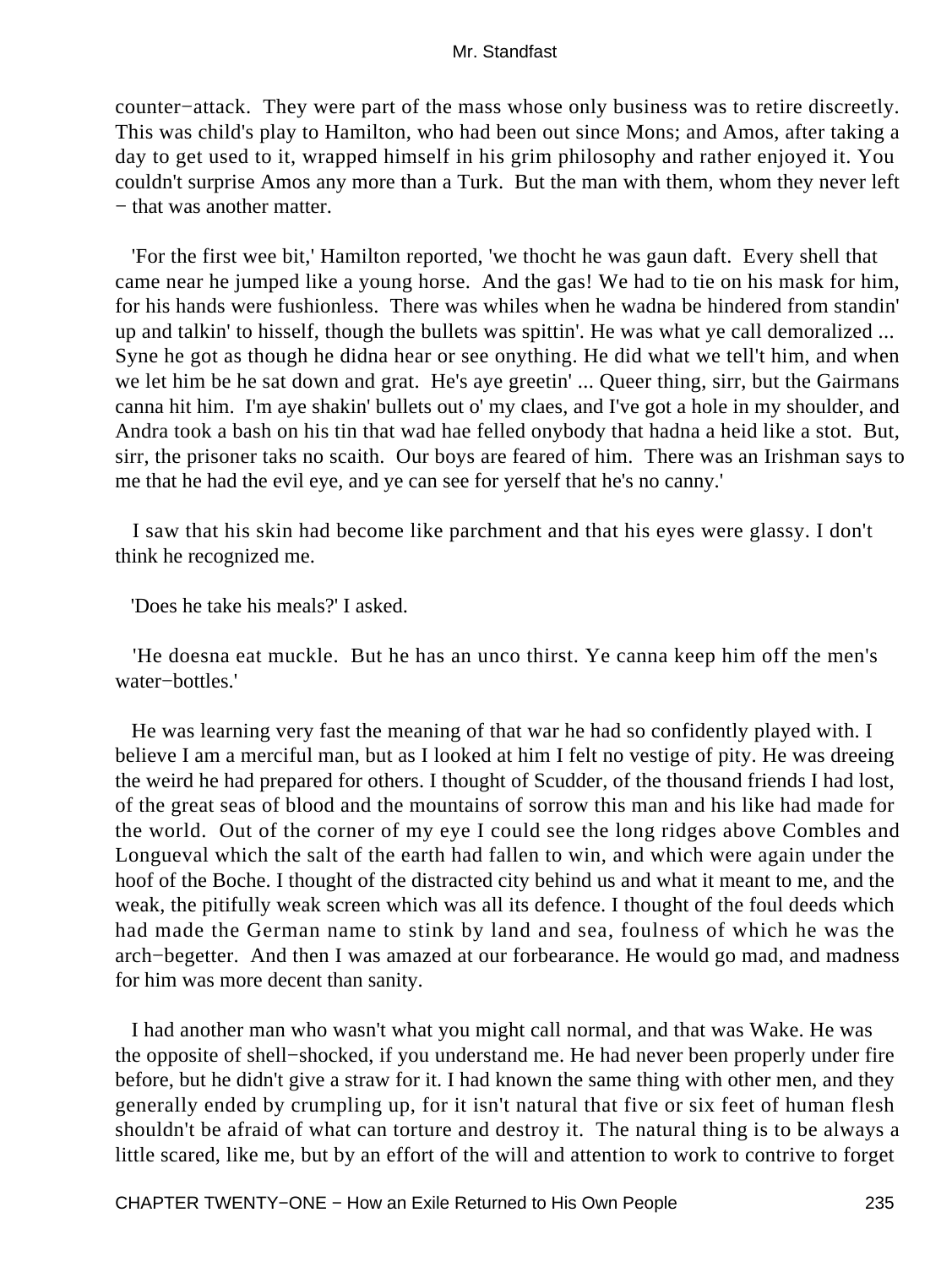counter−attack. They were part of the mass whose only business was to retire discreetly. This was child's play to Hamilton, who had been out since Mons; and Amos, after taking a day to get used to it, wrapped himself in his grim philosophy and rather enjoyed it. You couldn't surprise Amos any more than a Turk. But the man with them, whom they never left − that was another matter.

 'For the first wee bit,' Hamilton reported, 'we thocht he was gaun daft. Every shell that came near he jumped like a young horse. And the gas! We had to tie on his mask for him, for his hands were fushionless. There was whiles when he wadna be hindered from standin' up and talkin' to hisself, though the bullets was spittin'. He was what ye call demoralized ... Syne he got as though he didna hear or see onything. He did what we tell't him, and when we let him be he sat down and grat. He's aye greetin' ... Queer thing, sirr, but the Gairmans canna hit him. I'm aye shakin' bullets out o' my claes, and I've got a hole in my shoulder, and Andra took a bash on his tin that wad hae felled onybody that hadna a heid like a stot. But, sirr, the prisoner taks no scaith. Our boys are feared of him. There was an Irishman says to me that he had the evil eye, and ye can see for yerself that he's no canny.'

 I saw that his skin had become like parchment and that his eyes were glassy. I don't think he recognized me.

'Does he take his meals?' I asked.

 'He doesna eat muckle. But he has an unco thirst. Ye canna keep him off the men's water−bottles.'

 He was learning very fast the meaning of that war he had so confidently played with. I believe I am a merciful man, but as I looked at him I felt no vestige of pity. He was dreeing the weird he had prepared for others. I thought of Scudder, of the thousand friends I had lost, of the great seas of blood and the mountains of sorrow this man and his like had made for the world. Out of the corner of my eye I could see the long ridges above Combles and Longueval which the salt of the earth had fallen to win, and which were again under the hoof of the Boche. I thought of the distracted city behind us and what it meant to me, and the weak, the pitifully weak screen which was all its defence. I thought of the foul deeds which had made the German name to stink by land and sea, foulness of which he was the arch−begetter. And then I was amazed at our forbearance. He would go mad, and madness for him was more decent than sanity.

 I had another man who wasn't what you might call normal, and that was Wake. He was the opposite of shell−shocked, if you understand me. He had never been properly under fire before, but he didn't give a straw for it. I had known the same thing with other men, and they generally ended by crumpling up, for it isn't natural that five or six feet of human flesh shouldn't be afraid of what can torture and destroy it. The natural thing is to be always a little scared, like me, but by an effort of the will and attention to work to contrive to forget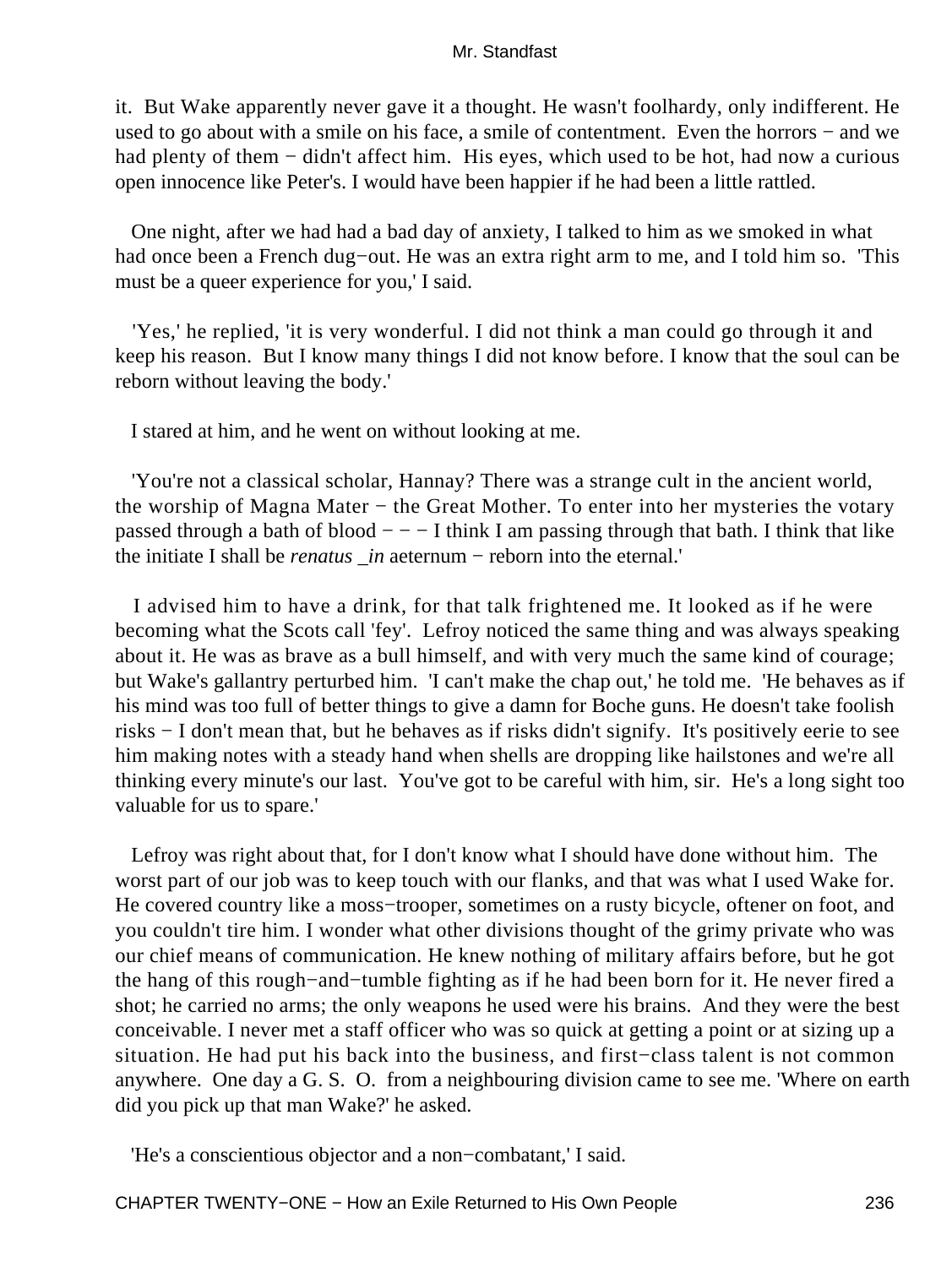it. But Wake apparently never gave it a thought. He wasn't foolhardy, only indifferent. He used to go about with a smile on his face, a smile of contentment. Even the horrors − and we had plenty of them − didn't affect him. His eyes, which used to be hot, had now a curious open innocence like Peter's. I would have been happier if he had been a little rattled.

 One night, after we had had a bad day of anxiety, I talked to him as we smoked in what had once been a French dug−out. He was an extra right arm to me, and I told him so. 'This must be a queer experience for you,' I said.

 'Yes,' he replied, 'it is very wonderful. I did not think a man could go through it and keep his reason. But I know many things I did not know before. I know that the soul can be reborn without leaving the body.'

I stared at him, and he went on without looking at me.

 'You're not a classical scholar, Hannay? There was a strange cult in the ancient world, the worship of Magna Mater − the Great Mother. To enter into her mysteries the votary passed through a bath of blood  $- -$  I think I am passing through that bath. I think that like the initiate I shall be *renatus \_in* aeternum − reborn into the eternal.'

 I advised him to have a drink, for that talk frightened me. It looked as if he were becoming what the Scots call 'fey'. Lefroy noticed the same thing and was always speaking about it. He was as brave as a bull himself, and with very much the same kind of courage; but Wake's gallantry perturbed him. 'I can't make the chap out,' he told me. 'He behaves as if his mind was too full of better things to give a damn for Boche guns. He doesn't take foolish risks − I don't mean that, but he behaves as if risks didn't signify. It's positively eerie to see him making notes with a steady hand when shells are dropping like hailstones and we're all thinking every minute's our last. You've got to be careful with him, sir. He's a long sight too valuable for us to spare.'

 Lefroy was right about that, for I don't know what I should have done without him. The worst part of our job was to keep touch with our flanks, and that was what I used Wake for. He covered country like a moss–trooper, sometimes on a rusty bicycle, oftener on foot, and you couldn't tire him. I wonder what other divisions thought of the grimy private who was our chief means of communication. He knew nothing of military affairs before, but he got the hang of this rough−and−tumble fighting as if he had been born for it. He never fired a shot; he carried no arms; the only weapons he used were his brains. And they were the best conceivable. I never met a staff officer who was so quick at getting a point or at sizing up a situation. He had put his back into the business, and first−class talent is not common anywhere. One day a G. S. O. from a neighbouring division came to see me. 'Where on earth did you pick up that man Wake?' he asked.

'He's a conscientious objector and a non−combatant,' I said.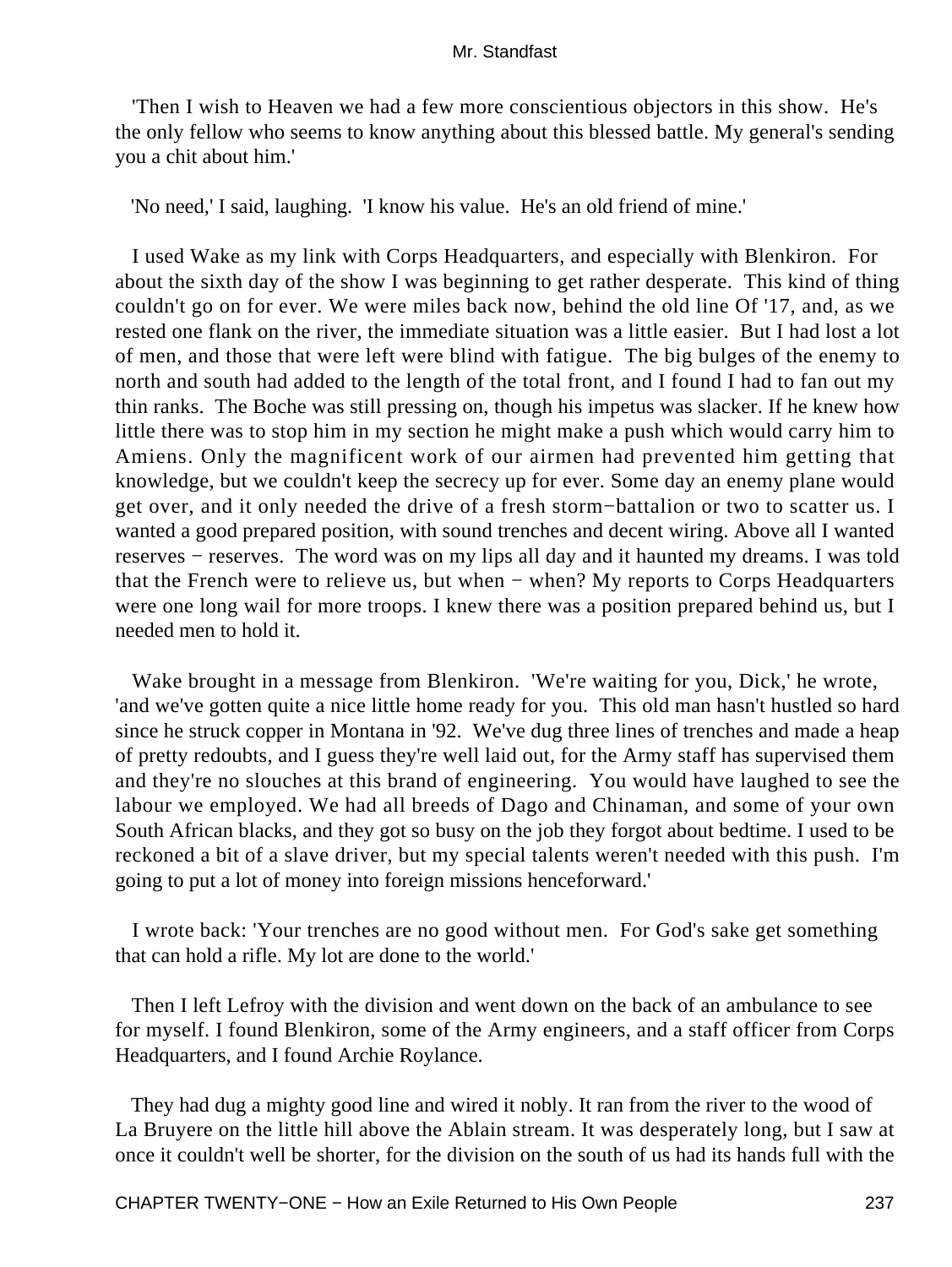'Then I wish to Heaven we had a few more conscientious objectors in this show. He's the only fellow who seems to know anything about this blessed battle. My general's sending you a chit about him.'

'No need,' I said, laughing. 'I know his value. He's an old friend of mine.'

 I used Wake as my link with Corps Headquarters, and especially with Blenkiron. For about the sixth day of the show I was beginning to get rather desperate. This kind of thing couldn't go on for ever. We were miles back now, behind the old line Of '17, and, as we rested one flank on the river, the immediate situation was a little easier. But I had lost a lot of men, and those that were left were blind with fatigue. The big bulges of the enemy to north and south had added to the length of the total front, and I found I had to fan out my thin ranks. The Boche was still pressing on, though his impetus was slacker. If he knew how little there was to stop him in my section he might make a push which would carry him to Amiens. Only the magnificent work of our airmen had prevented him getting that knowledge, but we couldn't keep the secrecy up for ever. Some day an enemy plane would get over, and it only needed the drive of a fresh storm−battalion or two to scatter us. I wanted a good prepared position, with sound trenches and decent wiring. Above all I wanted reserves − reserves. The word was on my lips all day and it haunted my dreams. I was told that the French were to relieve us, but when − when? My reports to Corps Headquarters were one long wail for more troops. I knew there was a position prepared behind us, but I needed men to hold it.

 Wake brought in a message from Blenkiron. 'We're waiting for you, Dick,' he wrote, 'and we've gotten quite a nice little home ready for you. This old man hasn't hustled so hard since he struck copper in Montana in '92. We've dug three lines of trenches and made a heap of pretty redoubts, and I guess they're well laid out, for the Army staff has supervised them and they're no slouches at this brand of engineering. You would have laughed to see the labour we employed. We had all breeds of Dago and Chinaman, and some of your own South African blacks, and they got so busy on the job they forgot about bedtime. I used to be reckoned a bit of a slave driver, but my special talents weren't needed with this push. I'm going to put a lot of money into foreign missions henceforward.'

 I wrote back: 'Your trenches are no good without men. For God's sake get something that can hold a rifle. My lot are done to the world.'

 Then I left Lefroy with the division and went down on the back of an ambulance to see for myself. I found Blenkiron, some of the Army engineers, and a staff officer from Corps Headquarters, and I found Archie Roylance.

 They had dug a mighty good line and wired it nobly. It ran from the river to the wood of La Bruyere on the little hill above the Ablain stream. It was desperately long, but I saw at once it couldn't well be shorter, for the division on the south of us had its hands full with the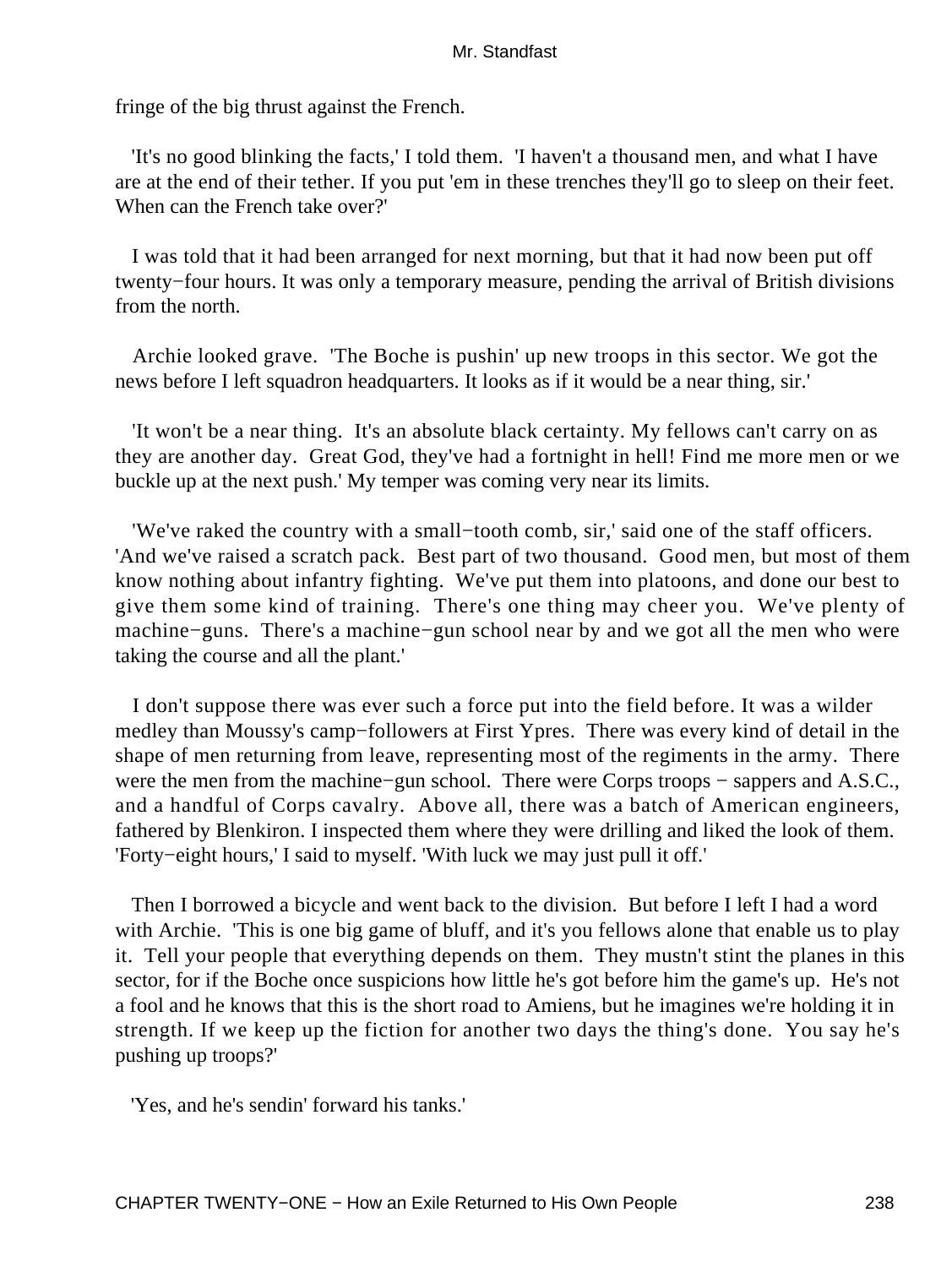fringe of the big thrust against the French.

 'It's no good blinking the facts,' I told them. 'I haven't a thousand men, and what I have are at the end of their tether. If you put 'em in these trenches they'll go to sleep on their feet. When can the French take over?'

 I was told that it had been arranged for next morning, but that it had now been put off twenty−four hours. It was only a temporary measure, pending the arrival of British divisions from the north.

 Archie looked grave. 'The Boche is pushin' up new troops in this sector. We got the news before I left squadron headquarters. It looks as if it would be a near thing, sir.'

 'It won't be a near thing. It's an absolute black certainty. My fellows can't carry on as they are another day. Great God, they've had a fortnight in hell! Find me more men or we buckle up at the next push.' My temper was coming very near its limits.

 'We've raked the country with a small−tooth comb, sir,' said one of the staff officers. 'And we've raised a scratch pack. Best part of two thousand. Good men, but most of them know nothing about infantry fighting. We've put them into platoons, and done our best to give them some kind of training. There's one thing may cheer you. We've plenty of machine−guns. There's a machine−gun school near by and we got all the men who were taking the course and all the plant.'

 I don't suppose there was ever such a force put into the field before. It was a wilder medley than Moussy's camp−followers at First Ypres. There was every kind of detail in the shape of men returning from leave, representing most of the regiments in the army. There were the men from the machine–gun school. There were Corps troops – sappers and A.S.C., and a handful of Corps cavalry. Above all, there was a batch of American engineers, fathered by Blenkiron. I inspected them where they were drilling and liked the look of them. 'Forty−eight hours,' I said to myself. 'With luck we may just pull it off.'

 Then I borrowed a bicycle and went back to the division. But before I left I had a word with Archie. 'This is one big game of bluff, and it's you fellows alone that enable us to play it. Tell your people that everything depends on them. They mustn't stint the planes in this sector, for if the Boche once suspicions how little he's got before him the game's up. He's not a fool and he knows that this is the short road to Amiens, but he imagines we're holding it in strength. If we keep up the fiction for another two days the thing's done. You say he's pushing up troops?'

'Yes, and he's sendin' forward his tanks.'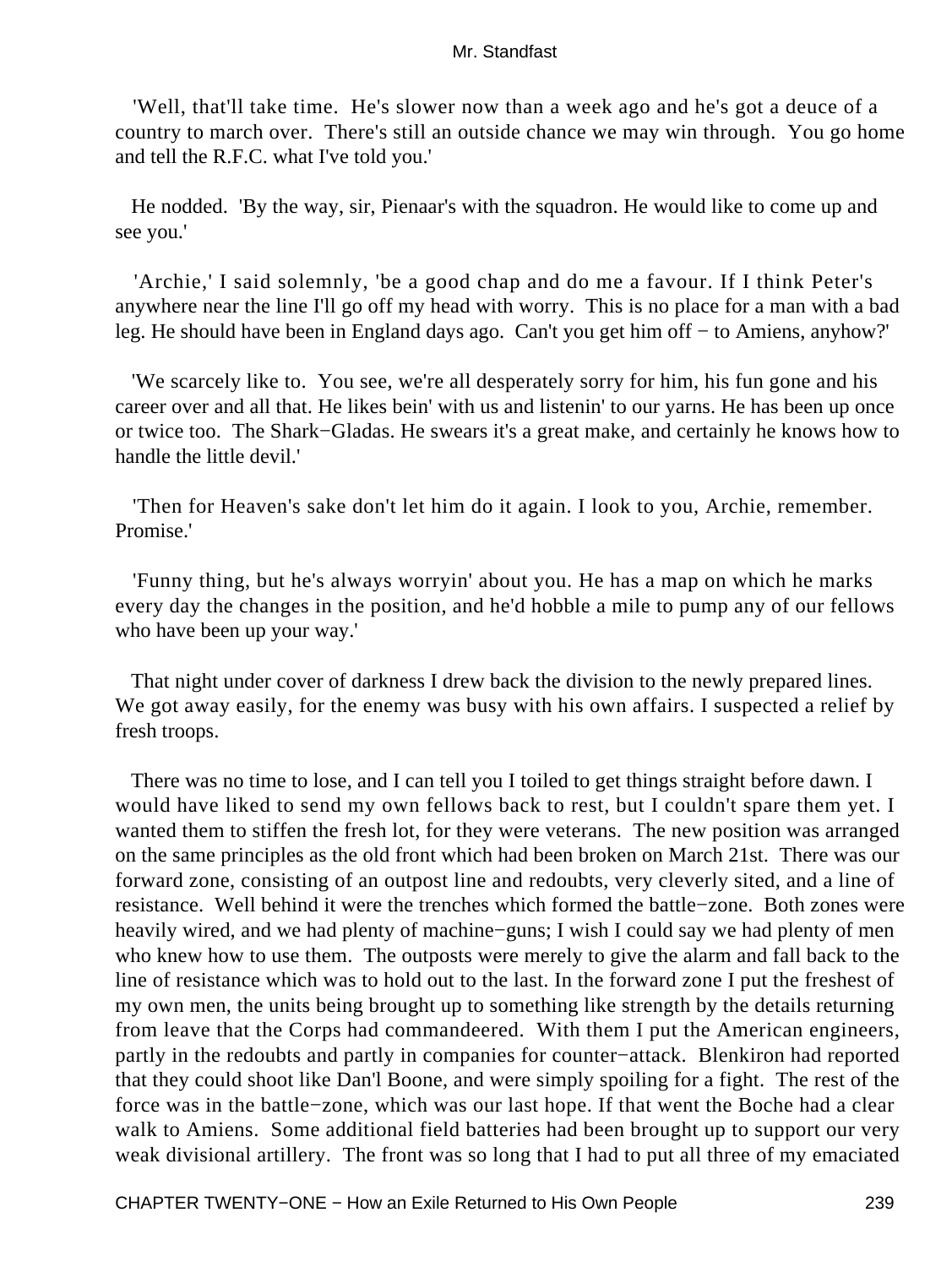'Well, that'll take time. He's slower now than a week ago and he's got a deuce of a country to march over. There's still an outside chance we may win through. You go home and tell the R.F.C. what I've told you.'

 He nodded. 'By the way, sir, Pienaar's with the squadron. He would like to come up and see you.'

 'Archie,' I said solemnly, 'be a good chap and do me a favour. If I think Peter's anywhere near the line I'll go off my head with worry. This is no place for a man with a bad leg. He should have been in England days ago. Can't you get him off − to Amiens, anyhow?'

 'We scarcely like to. You see, we're all desperately sorry for him, his fun gone and his career over and all that. He likes bein' with us and listenin' to our yarns. He has been up once or twice too. The Shark−Gladas. He swears it's a great make, and certainly he knows how to handle the little devil.'

 'Then for Heaven's sake don't let him do it again. I look to you, Archie, remember. Promise.'

 'Funny thing, but he's always worryin' about you. He has a map on which he marks every day the changes in the position, and he'd hobble a mile to pump any of our fellows who have been up your way.'

 That night under cover of darkness I drew back the division to the newly prepared lines. We got away easily, for the enemy was busy with his own affairs. I suspected a relief by fresh troops.

 There was no time to lose, and I can tell you I toiled to get things straight before dawn. I would have liked to send my own fellows back to rest, but I couldn't spare them yet. I wanted them to stiffen the fresh lot, for they were veterans. The new position was arranged on the same principles as the old front which had been broken on March 21st. There was our forward zone, consisting of an outpost line and redoubts, very cleverly sited, and a line of resistance. Well behind it were the trenches which formed the battle−zone. Both zones were heavily wired, and we had plenty of machine−guns; I wish I could say we had plenty of men who knew how to use them. The outposts were merely to give the alarm and fall back to the line of resistance which was to hold out to the last. In the forward zone I put the freshest of my own men, the units being brought up to something like strength by the details returning from leave that the Corps had commandeered. With them I put the American engineers, partly in the redoubts and partly in companies for counter−attack. Blenkiron had reported that they could shoot like Dan'l Boone, and were simply spoiling for a fight. The rest of the force was in the battle−zone, which was our last hope. If that went the Boche had a clear walk to Amiens. Some additional field batteries had been brought up to support our very weak divisional artillery. The front was so long that I had to put all three of my emaciated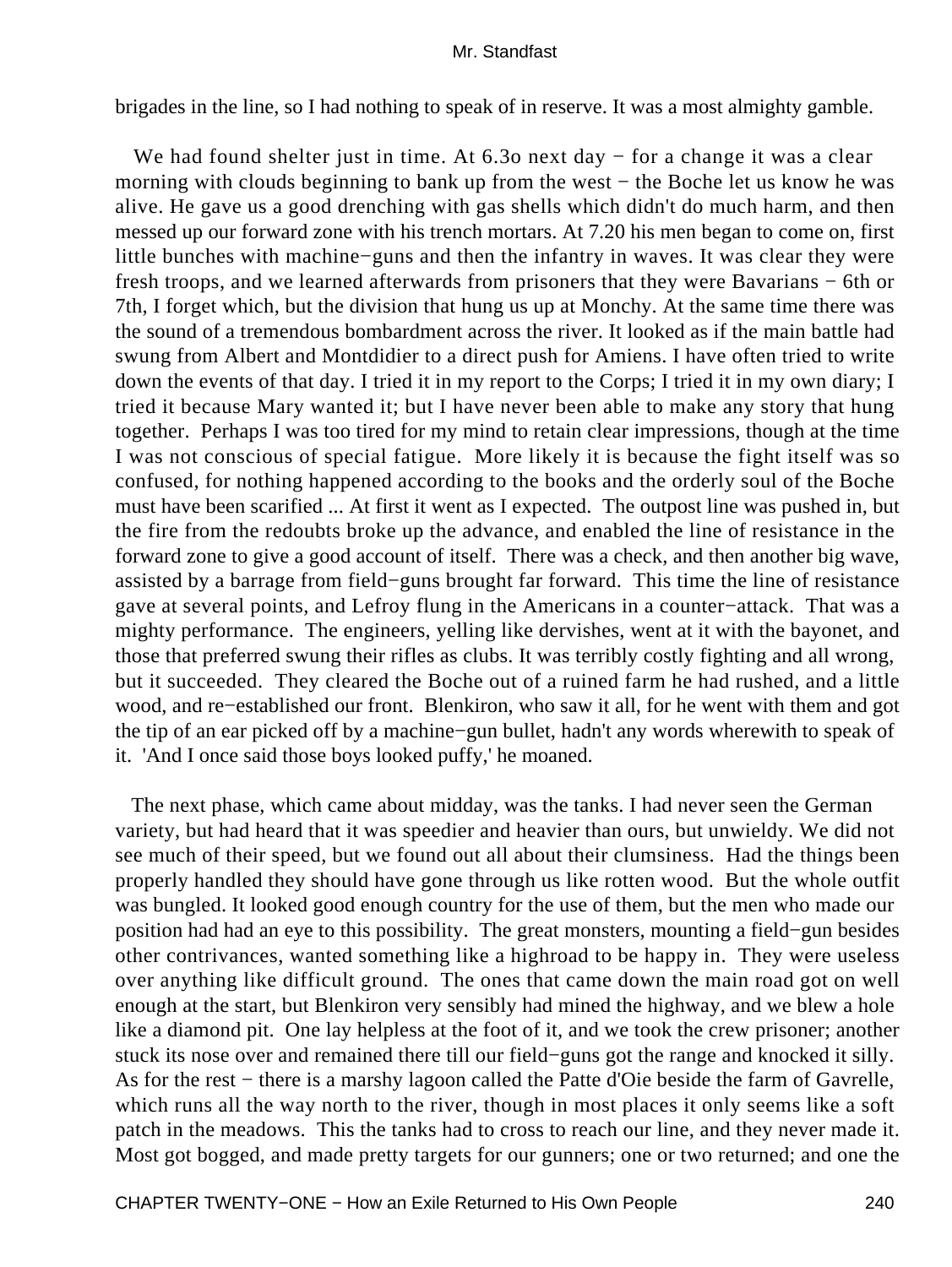brigades in the line, so I had nothing to speak of in reserve. It was a most almighty gamble.

We had found shelter just in time. At 6.3o next day – for a change it was a clear morning with clouds beginning to bank up from the west – the Boche let us know he was alive. He gave us a good drenching with gas shells which didn't do much harm, and then messed up our forward zone with his trench mortars. At 7.20 his men began to come on, first little bunches with machine−guns and then the infantry in waves. It was clear they were fresh troops, and we learned afterwards from prisoners that they were Bavarians − 6th or 7th, I forget which, but the division that hung us up at Monchy. At the same time there was the sound of a tremendous bombardment across the river. It looked as if the main battle had swung from Albert and Montdidier to a direct push for Amiens. I have often tried to write down the events of that day. I tried it in my report to the Corps; I tried it in my own diary; I tried it because Mary wanted it; but I have never been able to make any story that hung together. Perhaps I was too tired for my mind to retain clear impressions, though at the time I was not conscious of special fatigue. More likely it is because the fight itself was so confused, for nothing happened according to the books and the orderly soul of the Boche must have been scarified ... At first it went as I expected. The outpost line was pushed in, but the fire from the redoubts broke up the advance, and enabled the line of resistance in the forward zone to give a good account of itself. There was a check, and then another big wave, assisted by a barrage from field−guns brought far forward. This time the line of resistance gave at several points, and Lefroy flung in the Americans in a counter−attack. That was a mighty performance. The engineers, yelling like dervishes, went at it with the bayonet, and those that preferred swung their rifles as clubs. It was terribly costly fighting and all wrong, but it succeeded. They cleared the Boche out of a ruined farm he had rushed, and a little wood, and re−established our front. Blenkiron, who saw it all, for he went with them and got the tip of an ear picked off by a machine−gun bullet, hadn't any words wherewith to speak of it. 'And I once said those boys looked puffy,' he moaned.

 The next phase, which came about midday, was the tanks. I had never seen the German variety, but had heard that it was speedier and heavier than ours, but unwieldy. We did not see much of their speed, but we found out all about their clumsiness. Had the things been properly handled they should have gone through us like rotten wood. But the whole outfit was bungled. It looked good enough country for the use of them, but the men who made our position had had an eye to this possibility. The great monsters, mounting a field−gun besides other contrivances, wanted something like a highroad to be happy in. They were useless over anything like difficult ground. The ones that came down the main road got on well enough at the start, but Blenkiron very sensibly had mined the highway, and we blew a hole like a diamond pit. One lay helpless at the foot of it, and we took the crew prisoner; another stuck its nose over and remained there till our field−guns got the range and knocked it silly. As for the rest − there is a marshy lagoon called the Patte d'Oie beside the farm of Gavrelle, which runs all the way north to the river, though in most places it only seems like a soft patch in the meadows. This the tanks had to cross to reach our line, and they never made it. Most got bogged, and made pretty targets for our gunners; one or two returned; and one the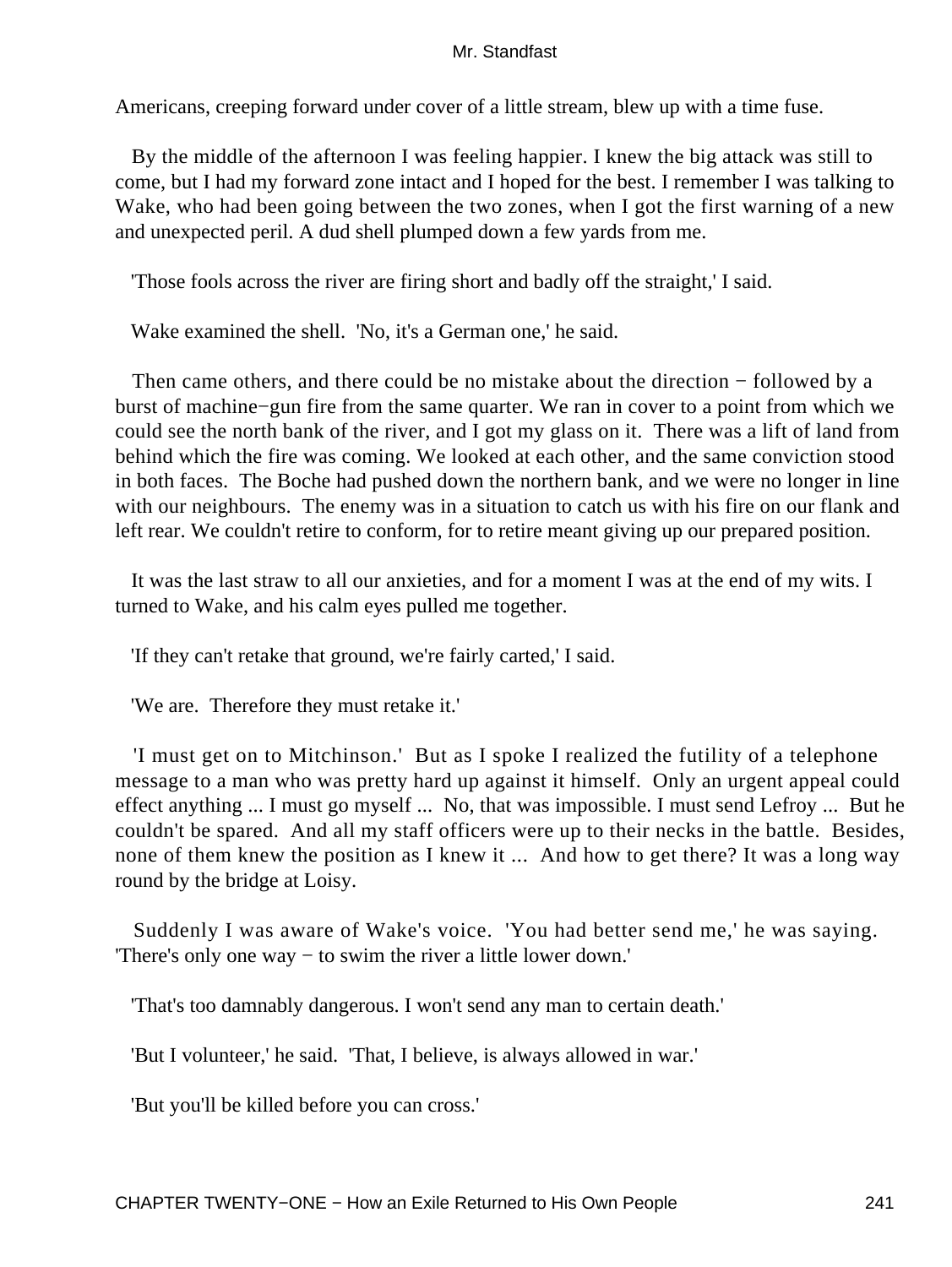Americans, creeping forward under cover of a little stream, blew up with a time fuse.

 By the middle of the afternoon I was feeling happier. I knew the big attack was still to come, but I had my forward zone intact and I hoped for the best. I remember I was talking to Wake, who had been going between the two zones, when I got the first warning of a new and unexpected peril. A dud shell plumped down a few yards from me.

'Those fools across the river are firing short and badly off the straight,' I said.

Wake examined the shell. 'No, it's a German one,' he said.

 Then came others, and there could be no mistake about the direction − followed by a burst of machine−gun fire from the same quarter. We ran in cover to a point from which we could see the north bank of the river, and I got my glass on it. There was a lift of land from behind which the fire was coming. We looked at each other, and the same conviction stood in both faces. The Boche had pushed down the northern bank, and we were no longer in line with our neighbours. The enemy was in a situation to catch us with his fire on our flank and left rear. We couldn't retire to conform, for to retire meant giving up our prepared position.

 It was the last straw to all our anxieties, and for a moment I was at the end of my wits. I turned to Wake, and his calm eyes pulled me together.

'If they can't retake that ground, we're fairly carted,' I said.

'We are. Therefore they must retake it.'

 'I must get on to Mitchinson.' But as I spoke I realized the futility of a telephone message to a man who was pretty hard up against it himself. Only an urgent appeal could effect anything ... I must go myself ... No, that was impossible. I must send Lefroy ... But he couldn't be spared. And all my staff officers were up to their necks in the battle. Besides, none of them knew the position as I knew it ... And how to get there? It was a long way round by the bridge at Loisy.

 Suddenly I was aware of Wake's voice. 'You had better send me,' he was saying. 'There's only one way − to swim the river a little lower down.'

'That's too damnably dangerous. I won't send any man to certain death.'

'But I volunteer,' he said. 'That, I believe, is always allowed in war.'

'But you'll be killed before you can cross.'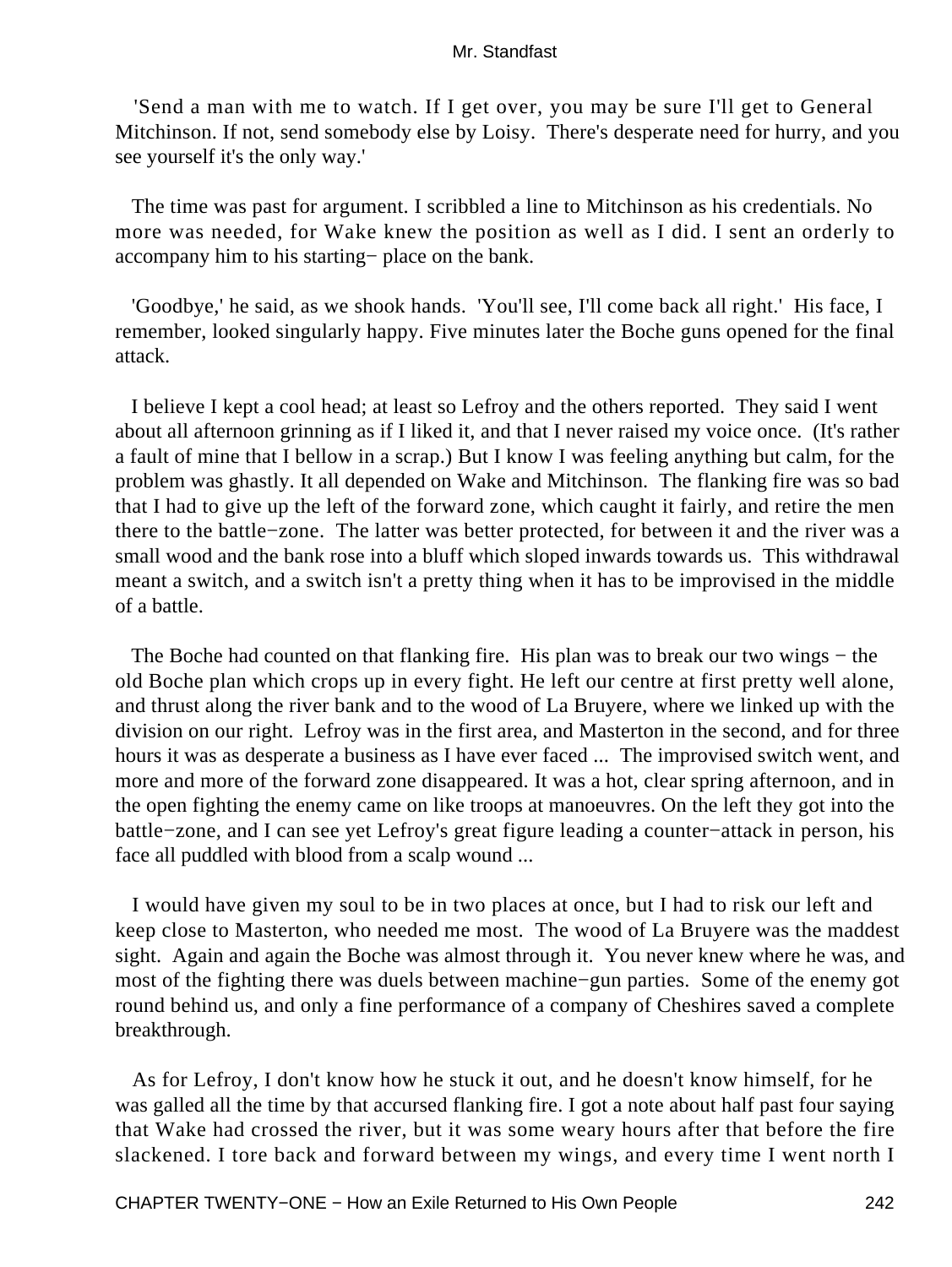'Send a man with me to watch. If I get over, you may be sure I'll get to General Mitchinson. If not, send somebody else by Loisy. There's desperate need for hurry, and you see yourself it's the only way.'

 The time was past for argument. I scribbled a line to Mitchinson as his credentials. No more was needed, for Wake knew the position as well as I did. I sent an orderly to accompany him to his starting− place on the bank.

 'Goodbye,' he said, as we shook hands. 'You'll see, I'll come back all right.' His face, I remember, looked singularly happy. Five minutes later the Boche guns opened for the final attack.

 I believe I kept a cool head; at least so Lefroy and the others reported. They said I went about all afternoon grinning as if I liked it, and that I never raised my voice once. (It's rather a fault of mine that I bellow in a scrap.) But I know I was feeling anything but calm, for the problem was ghastly. It all depended on Wake and Mitchinson. The flanking fire was so bad that I had to give up the left of the forward zone, which caught it fairly, and retire the men there to the battle−zone. The latter was better protected, for between it and the river was a small wood and the bank rose into a bluff which sloped inwards towards us. This withdrawal meant a switch, and a switch isn't a pretty thing when it has to be improvised in the middle of a battle.

The Boche had counted on that flanking fire. His plan was to break our two wings – the old Boche plan which crops up in every fight. He left our centre at first pretty well alone, and thrust along the river bank and to the wood of La Bruyere, where we linked up with the division on our right. Lefroy was in the first area, and Masterton in the second, and for three hours it was as desperate a business as I have ever faced ... The improvised switch went, and more and more of the forward zone disappeared. It was a hot, clear spring afternoon, and in the open fighting the enemy came on like troops at manoeuvres. On the left they got into the battle−zone, and I can see yet Lefroy's great figure leading a counter−attack in person, his face all puddled with blood from a scalp wound ...

 I would have given my soul to be in two places at once, but I had to risk our left and keep close to Masterton, who needed me most. The wood of La Bruyere was the maddest sight. Again and again the Boche was almost through it. You never knew where he was, and most of the fighting there was duels between machine−gun parties. Some of the enemy got round behind us, and only a fine performance of a company of Cheshires saved a complete breakthrough.

 As for Lefroy, I don't know how he stuck it out, and he doesn't know himself, for he was galled all the time by that accursed flanking fire. I got a note about half past four saying that Wake had crossed the river, but it was some weary hours after that before the fire slackened. I tore back and forward between my wings, and every time I went north I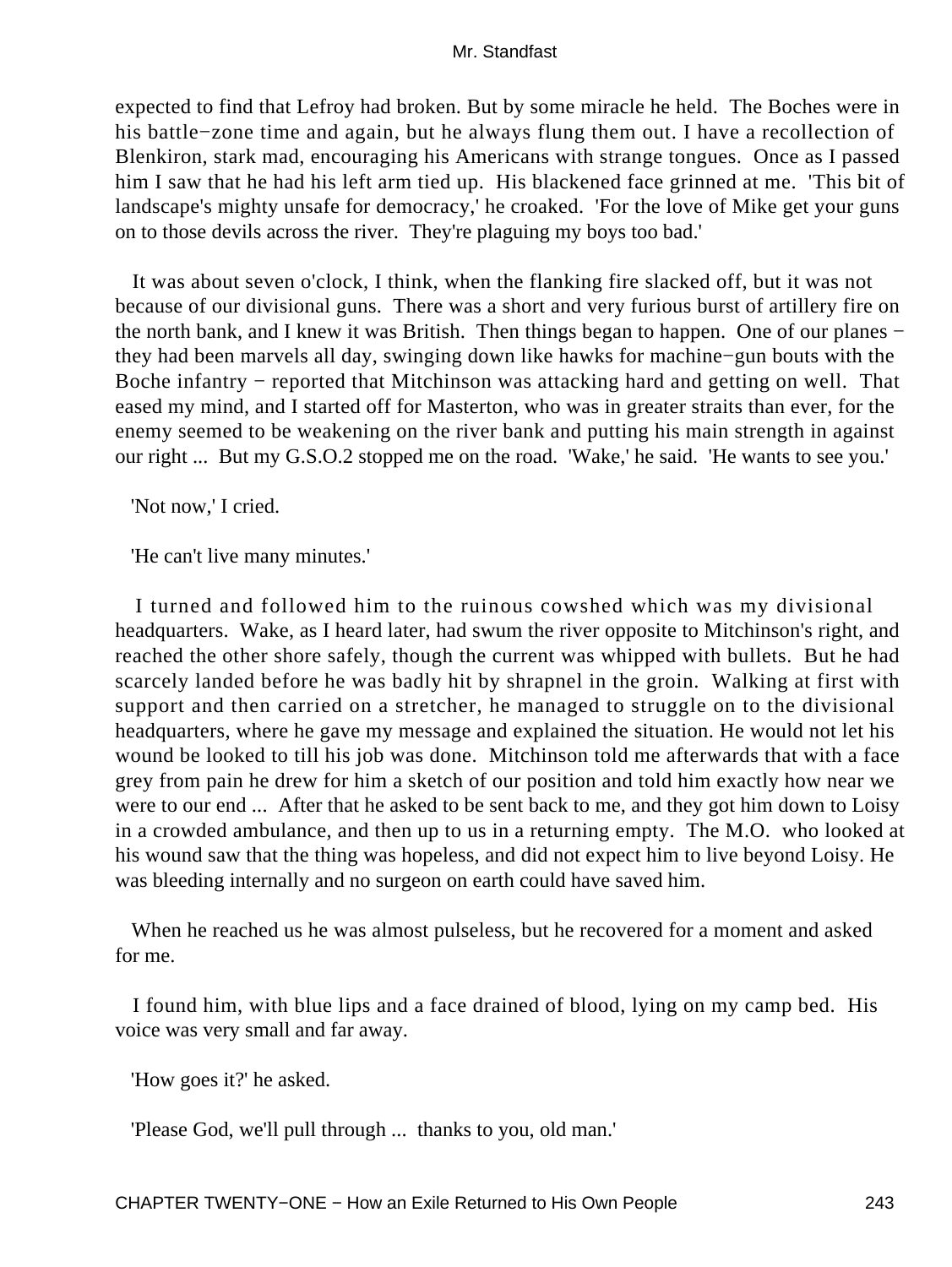expected to find that Lefroy had broken. But by some miracle he held. The Boches were in his battle−zone time and again, but he always flung them out. I have a recollection of Blenkiron, stark mad, encouraging his Americans with strange tongues. Once as I passed him I saw that he had his left arm tied up. His blackened face grinned at me. 'This bit of landscape's mighty unsafe for democracy,' he croaked. 'For the love of Mike get your guns on to those devils across the river. They're plaguing my boys too bad.'

 It was about seven o'clock, I think, when the flanking fire slacked off, but it was not because of our divisional guns. There was a short and very furious burst of artillery fire on the north bank, and I knew it was British. Then things began to happen. One of our planes − they had been marvels all day, swinging down like hawks for machine−gun bouts with the Boche infantry – reported that Mitchinson was attacking hard and getting on well. That eased my mind, and I started off for Masterton, who was in greater straits than ever, for the enemy seemed to be weakening on the river bank and putting his main strength in against our right ... But my G.S.O.2 stopped me on the road. 'Wake,' he said. 'He wants to see you.'

'Not now,' I cried.

'He can't live many minutes.'

 I turned and followed him to the ruinous cowshed which was my divisional headquarters. Wake, as I heard later, had swum the river opposite to Mitchinson's right, and reached the other shore safely, though the current was whipped with bullets. But he had scarcely landed before he was badly hit by shrapnel in the groin. Walking at first with support and then carried on a stretcher, he managed to struggle on to the divisional headquarters, where he gave my message and explained the situation. He would not let his wound be looked to till his job was done. Mitchinson told me afterwards that with a face grey from pain he drew for him a sketch of our position and told him exactly how near we were to our end ... After that he asked to be sent back to me, and they got him down to Loisy in a crowded ambulance, and then up to us in a returning empty. The M.O. who looked at his wound saw that the thing was hopeless, and did not expect him to live beyond Loisy. He was bleeding internally and no surgeon on earth could have saved him.

 When he reached us he was almost pulseless, but he recovered for a moment and asked for me.

 I found him, with blue lips and a face drained of blood, lying on my camp bed. His voice was very small and far away.

'How goes it?' he asked.

'Please God, we'll pull through ... thanks to you, old man.'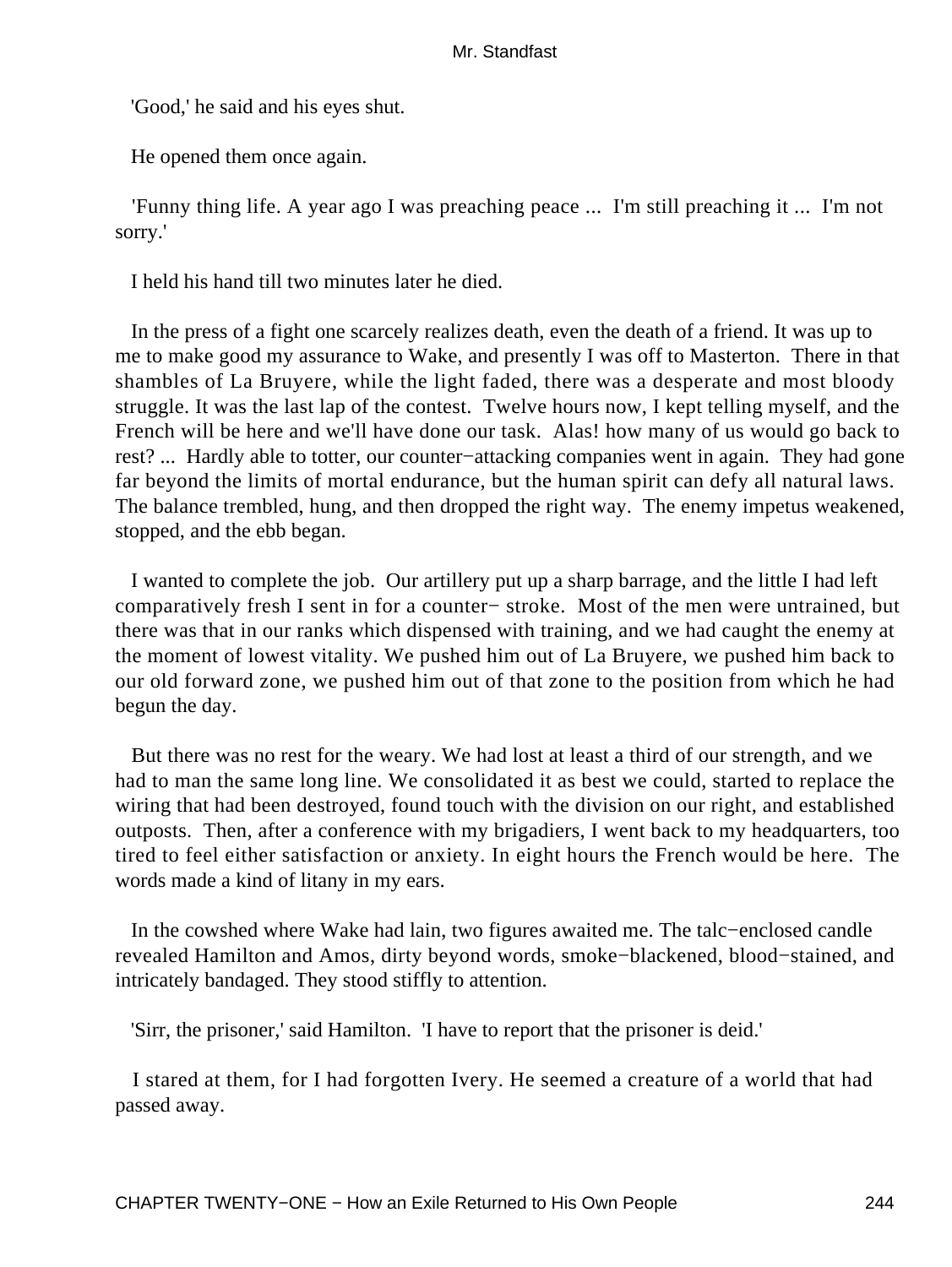'Good,' he said and his eyes shut.

He opened them once again.

 'Funny thing life. A year ago I was preaching peace ... I'm still preaching it ... I'm not sorry.'

I held his hand till two minutes later he died.

 In the press of a fight one scarcely realizes death, even the death of a friend. It was up to me to make good my assurance to Wake, and presently I was off to Masterton. There in that shambles of La Bruyere, while the light faded, there was a desperate and most bloody struggle. It was the last lap of the contest. Twelve hours now, I kept telling myself, and the French will be here and we'll have done our task. Alas! how many of us would go back to rest? ... Hardly able to totter, our counter−attacking companies went in again. They had gone far beyond the limits of mortal endurance, but the human spirit can defy all natural laws. The balance trembled, hung, and then dropped the right way. The enemy impetus weakened, stopped, and the ebb began.

 I wanted to complete the job. Our artillery put up a sharp barrage, and the little I had left comparatively fresh I sent in for a counter− stroke. Most of the men were untrained, but there was that in our ranks which dispensed with training, and we had caught the enemy at the moment of lowest vitality. We pushed him out of La Bruyere, we pushed him back to our old forward zone, we pushed him out of that zone to the position from which he had begun the day.

 But there was no rest for the weary. We had lost at least a third of our strength, and we had to man the same long line. We consolidated it as best we could, started to replace the wiring that had been destroyed, found touch with the division on our right, and established outposts. Then, after a conference with my brigadiers, I went back to my headquarters, too tired to feel either satisfaction or anxiety. In eight hours the French would be here. The words made a kind of litany in my ears.

 In the cowshed where Wake had lain, two figures awaited me. The talc−enclosed candle revealed Hamilton and Amos, dirty beyond words, smoke−blackened, blood−stained, and intricately bandaged. They stood stiffly to attention.

'Sirr, the prisoner,' said Hamilton. 'I have to report that the prisoner is deid.'

 I stared at them, for I had forgotten Ivery. He seemed a creature of a world that had passed away.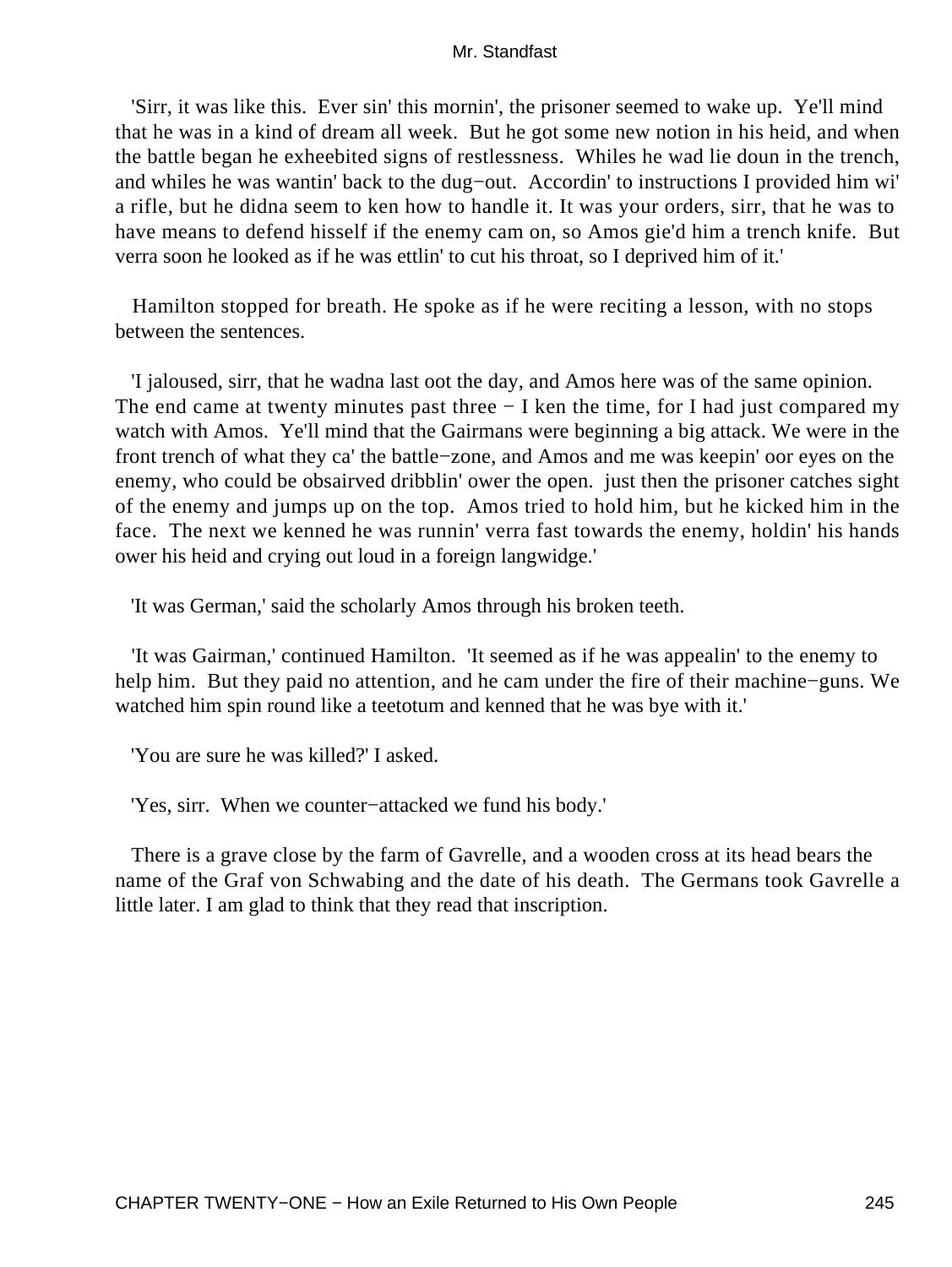'Sirr, it was like this. Ever sin' this mornin', the prisoner seemed to wake up. Ye'll mind that he was in a kind of dream all week. But he got some new notion in his heid, and when the battle began he exheebited signs of restlessness. Whiles he wad lie doun in the trench, and whiles he was wantin' back to the dug−out. Accordin' to instructions I provided him wi' a rifle, but he didna seem to ken how to handle it. It was your orders, sirr, that he was to have means to defend hisself if the enemy cam on, so Amos gie'd him a trench knife. But verra soon he looked as if he was ettlin' to cut his throat, so I deprived him of it.'

 Hamilton stopped for breath. He spoke as if he were reciting a lesson, with no stops between the sentences.

 'I jaloused, sirr, that he wadna last oot the day, and Amos here was of the same opinion. The end came at twenty minutes past three − I ken the time, for I had just compared my watch with Amos. Ye'll mind that the Gairmans were beginning a big attack. We were in the front trench of what they ca' the battle−zone, and Amos and me was keepin' oor eyes on the enemy, who could be obsairved dribblin' ower the open. just then the prisoner catches sight of the enemy and jumps up on the top. Amos tried to hold him, but he kicked him in the face. The next we kenned he was runnin' verra fast towards the enemy, holdin' his hands ower his heid and crying out loud in a foreign langwidge.'

'It was German,' said the scholarly Amos through his broken teeth.

 'It was Gairman,' continued Hamilton. 'It seemed as if he was appealin' to the enemy to help him. But they paid no attention, and he cam under the fire of their machine−guns. We watched him spin round like a teetotum and kenned that he was bye with it.'

'You are sure he was killed?' I asked.

'Yes, sirr. When we counter−attacked we fund his body.'

 There is a grave close by the farm of Gavrelle, and a wooden cross at its head bears the name of the Graf von Schwabing and the date of his death. The Germans took Gavrelle a little later. I am glad to think that they read that inscription.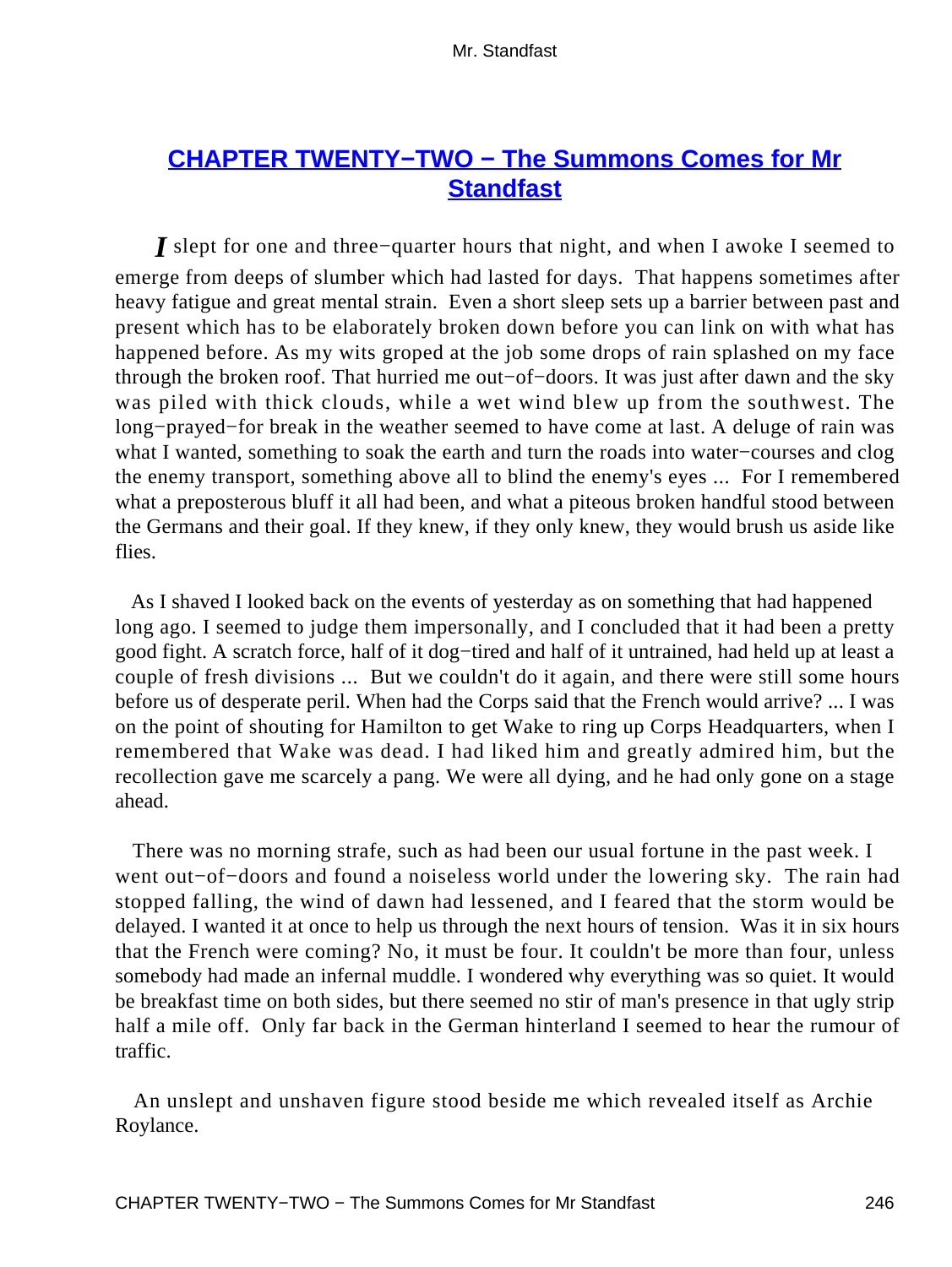# **[CHAPTER TWENTY−TWO − The Summons Comes for Mr](#page-256-0) [Standfast](#page-256-0)**

*I* slept for one and three–quarter hours that night, and when I awoke I seemed to emerge from deeps of slumber which had lasted for days. That happens sometimes after heavy fatigue and great mental strain. Even a short sleep sets up a barrier between past and present which has to be elaborately broken down before you can link on with what has happened before. As my wits groped at the job some drops of rain splashed on my face through the broken roof. That hurried me out−of−doors. It was just after dawn and the sky was piled with thick clouds, while a wet wind blew up from the southwest. The long−prayed−for break in the weather seemed to have come at last. A deluge of rain was what I wanted, something to soak the earth and turn the roads into water−courses and clog the enemy transport, something above all to blind the enemy's eyes ... For I remembered what a preposterous bluff it all had been, and what a piteous broken handful stood between the Germans and their goal. If they knew, if they only knew, they would brush us aside like flies.

 As I shaved I looked back on the events of yesterday as on something that had happened long ago. I seemed to judge them impersonally, and I concluded that it had been a pretty good fight. A scratch force, half of it dog−tired and half of it untrained, had held up at least a couple of fresh divisions ... But we couldn't do it again, and there were still some hours before us of desperate peril. When had the Corps said that the French would arrive? ... I was on the point of shouting for Hamilton to get Wake to ring up Corps Headquarters, when I remembered that Wake was dead. I had liked him and greatly admired him, but the recollection gave me scarcely a pang. We were all dying, and he had only gone on a stage ahead.

 There was no morning strafe, such as had been our usual fortune in the past week. I went out−of−doors and found a noiseless world under the lowering sky. The rain had stopped falling, the wind of dawn had lessened, and I feared that the storm would be delayed. I wanted it at once to help us through the next hours of tension. Was it in six hours that the French were coming? No, it must be four. It couldn't be more than four, unless somebody had made an infernal muddle. I wondered why everything was so quiet. It would be breakfast time on both sides, but there seemed no stir of man's presence in that ugly strip half a mile off. Only far back in the German hinterland I seemed to hear the rumour of traffic.

 An unslept and unshaven figure stood beside me which revealed itself as Archie Roylance.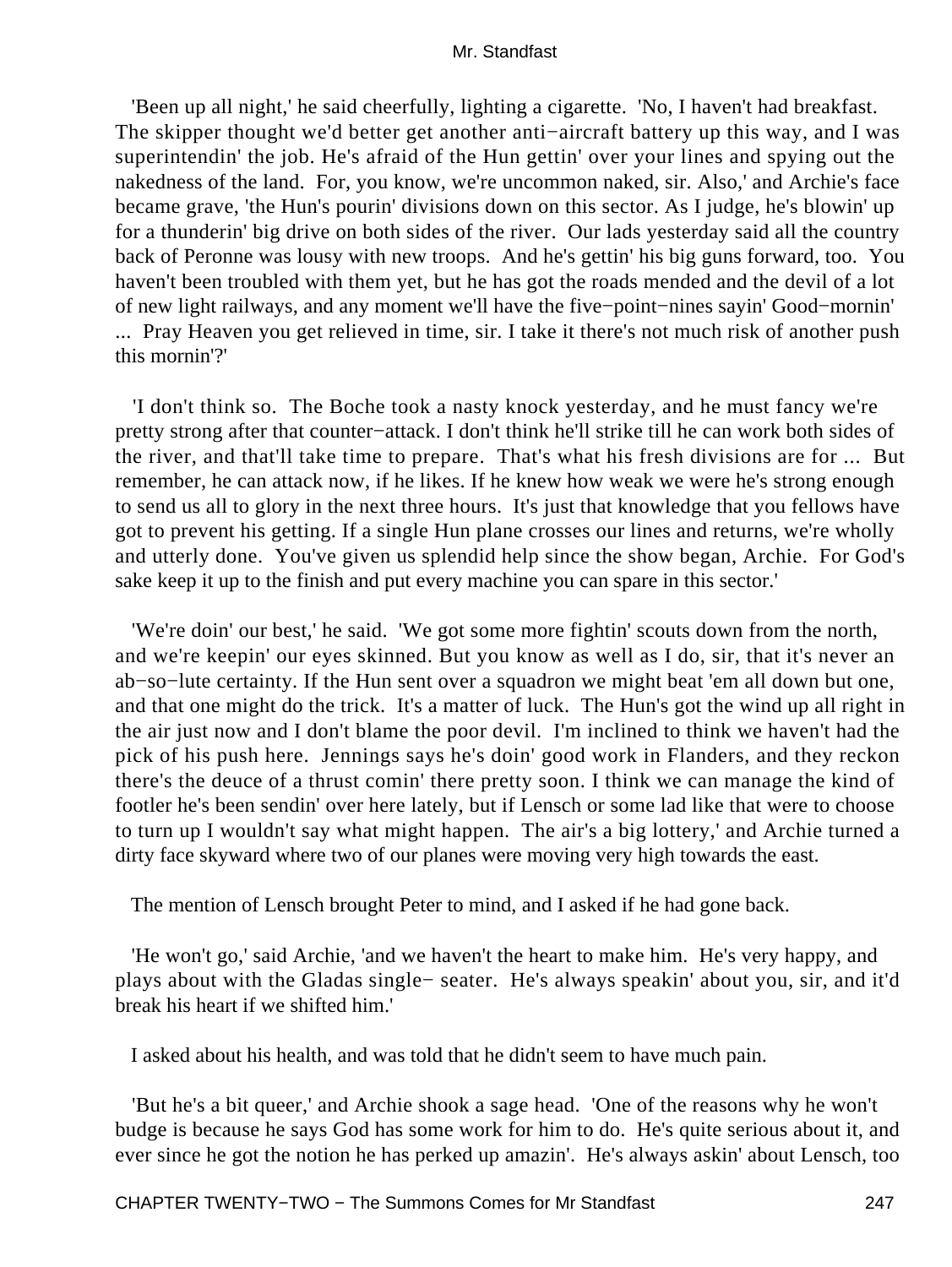'Been up all night,' he said cheerfully, lighting a cigarette. 'No, I haven't had breakfast. The skipper thought we'd better get another anti−aircraft battery up this way, and I was superintendin' the job. He's afraid of the Hun gettin' over your lines and spying out the nakedness of the land. For, you know, we're uncommon naked, sir. Also,' and Archie's face became grave, 'the Hun's pourin' divisions down on this sector. As I judge, he's blowin' up for a thunderin' big drive on both sides of the river. Our lads yesterday said all the country back of Peronne was lousy with new troops. And he's gettin' his big guns forward, too. You haven't been troubled with them yet, but he has got the roads mended and the devil of a lot of new light railways, and any moment we'll have the five−point−nines sayin' Good−mornin' ... Pray Heaven you get relieved in time, sir. I take it there's not much risk of another push this mornin'?'

 'I don't think so. The Boche took a nasty knock yesterday, and he must fancy we're pretty strong after that counter−attack. I don't think he'll strike till he can work both sides of the river, and that'll take time to prepare. That's what his fresh divisions are for ... But remember, he can attack now, if he likes. If he knew how weak we were he's strong enough to send us all to glory in the next three hours. It's just that knowledge that you fellows have got to prevent his getting. If a single Hun plane crosses our lines and returns, we're wholly and utterly done. You've given us splendid help since the show began, Archie. For God's sake keep it up to the finish and put every machine you can spare in this sector.'

 'We're doin' our best,' he said. 'We got some more fightin' scouts down from the north, and we're keepin' our eyes skinned. But you know as well as I do, sir, that it's never an ab−so−lute certainty. If the Hun sent over a squadron we might beat 'em all down but one, and that one might do the trick. It's a matter of luck. The Hun's got the wind up all right in the air just now and I don't blame the poor devil. I'm inclined to think we haven't had the pick of his push here. Jennings says he's doin' good work in Flanders, and they reckon there's the deuce of a thrust comin' there pretty soon. I think we can manage the kind of footler he's been sendin' over here lately, but if Lensch or some lad like that were to choose to turn up I wouldn't say what might happen. The air's a big lottery,' and Archie turned a dirty face skyward where two of our planes were moving very high towards the east.

The mention of Lensch brought Peter to mind, and I asked if he had gone back.

 'He won't go,' said Archie, 'and we haven't the heart to make him. He's very happy, and plays about with the Gladas single− seater. He's always speakin' about you, sir, and it'd break his heart if we shifted him.'

I asked about his health, and was told that he didn't seem to have much pain.

 'But he's a bit queer,' and Archie shook a sage head. 'One of the reasons why he won't budge is because he says God has some work for him to do. He's quite serious about it, and ever since he got the notion he has perked up amazin'. He's always askin' about Lensch, too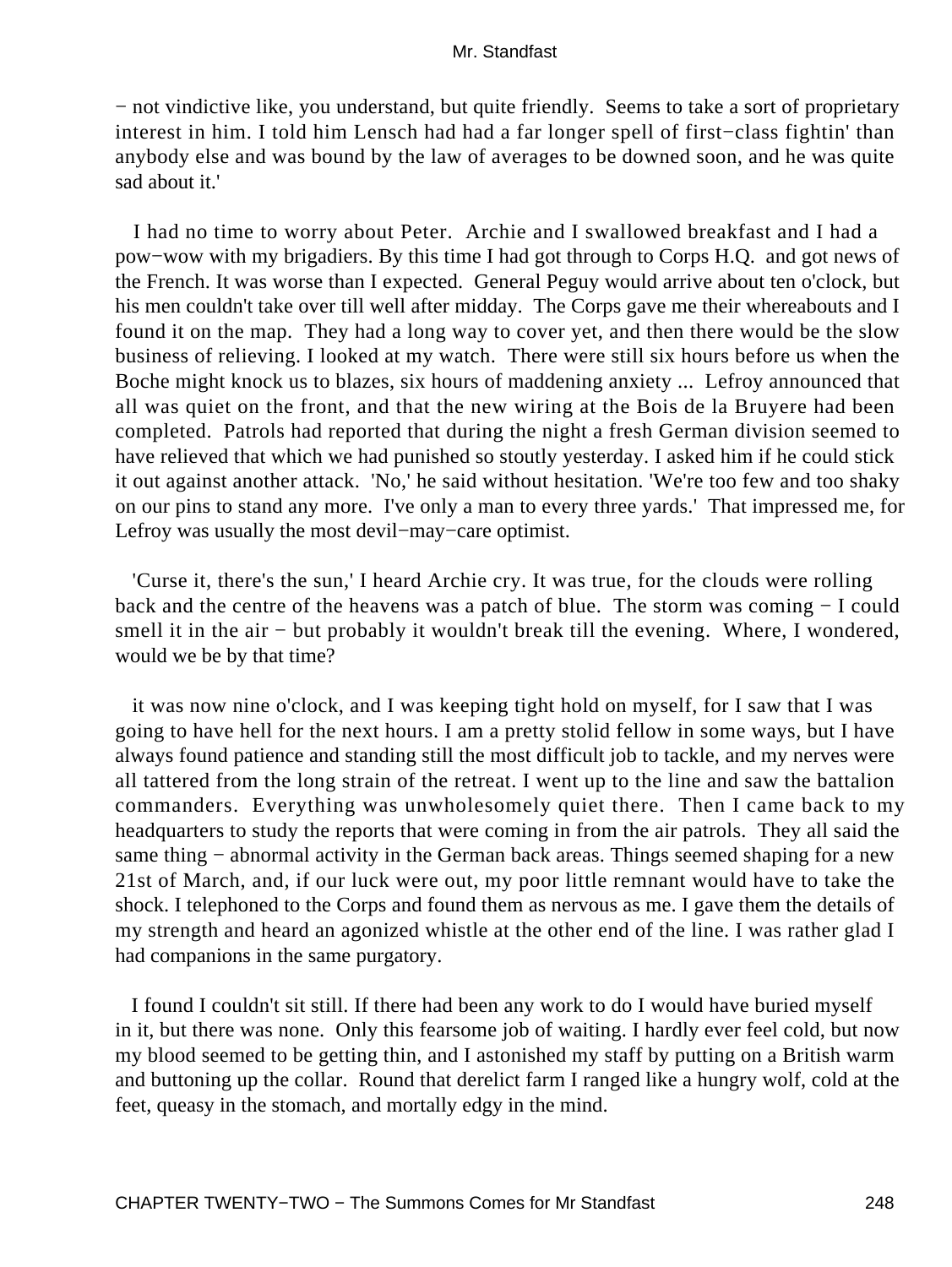− not vindictive like, you understand, but quite friendly. Seems to take a sort of proprietary interest in him. I told him Lensch had had a far longer spell of first−class fightin' than anybody else and was bound by the law of averages to be downed soon, and he was quite sad about it.'

 I had no time to worry about Peter. Archie and I swallowed breakfast and I had a pow−wow with my brigadiers. By this time I had got through to Corps H.Q. and got news of the French. It was worse than I expected. General Peguy would arrive about ten o'clock, but his men couldn't take over till well after midday. The Corps gave me their whereabouts and I found it on the map. They had a long way to cover yet, and then there would be the slow business of relieving. I looked at my watch. There were still six hours before us when the Boche might knock us to blazes, six hours of maddening anxiety ... Lefroy announced that all was quiet on the front, and that the new wiring at the Bois de la Bruyere had been completed. Patrols had reported that during the night a fresh German division seemed to have relieved that which we had punished so stoutly yesterday. I asked him if he could stick it out against another attack. 'No,' he said without hesitation. 'We're too few and too shaky on our pins to stand any more. I've only a man to every three yards.' That impressed me, for Lefroy was usually the most devil−may−care optimist.

 'Curse it, there's the sun,' I heard Archie cry. It was true, for the clouds were rolling back and the centre of the heavens was a patch of blue. The storm was coming − I could smell it in the air – but probably it wouldn't break till the evening. Where, I wondered, would we be by that time?

 it was now nine o'clock, and I was keeping tight hold on myself, for I saw that I was going to have hell for the next hours. I am a pretty stolid fellow in some ways, but I have always found patience and standing still the most difficult job to tackle, and my nerves were all tattered from the long strain of the retreat. I went up to the line and saw the battalion commanders. Everything was unwholesomely quiet there. Then I came back to my headquarters to study the reports that were coming in from the air patrols. They all said the same thing – abnormal activity in the German back areas. Things seemed shaping for a new 21st of March, and, if our luck were out, my poor little remnant would have to take the shock. I telephoned to the Corps and found them as nervous as me. I gave them the details of my strength and heard an agonized whistle at the other end of the line. I was rather glad I had companions in the same purgatory.

 I found I couldn't sit still. If there had been any work to do I would have buried myself in it, but there was none. Only this fearsome job of waiting. I hardly ever feel cold, but now my blood seemed to be getting thin, and I astonished my staff by putting on a British warm and buttoning up the collar. Round that derelict farm I ranged like a hungry wolf, cold at the feet, queasy in the stomach, and mortally edgy in the mind.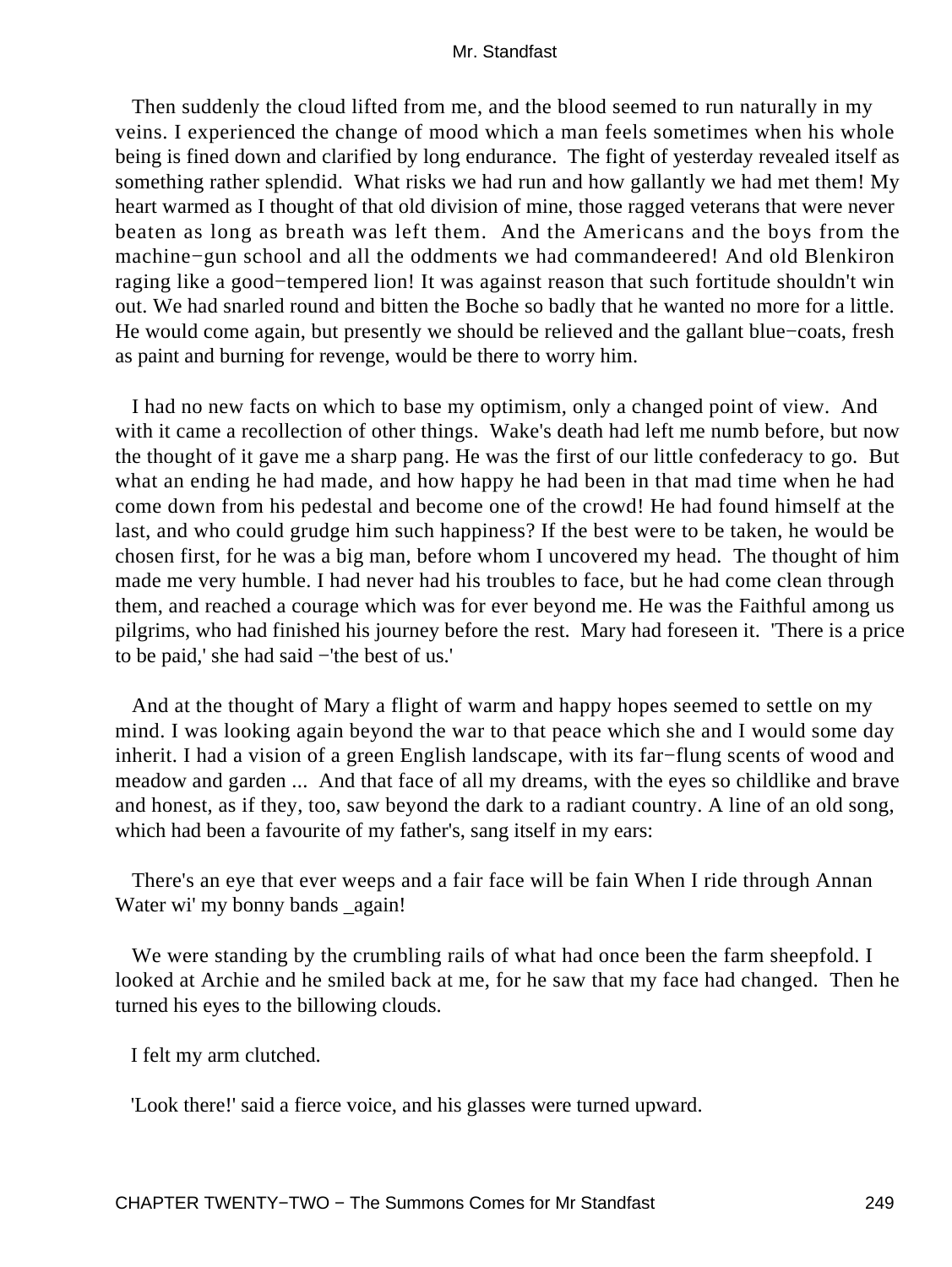Then suddenly the cloud lifted from me, and the blood seemed to run naturally in my veins. I experienced the change of mood which a man feels sometimes when his whole being is fined down and clarified by long endurance. The fight of yesterday revealed itself as something rather splendid. What risks we had run and how gallantly we had met them! My heart warmed as I thought of that old division of mine, those ragged veterans that were never beaten as long as breath was left them. And the Americans and the boys from the machine−gun school and all the oddments we had commandeered! And old Blenkiron raging like a good−tempered lion! It was against reason that such fortitude shouldn't win out. We had snarled round and bitten the Boche so badly that he wanted no more for a little. He would come again, but presently we should be relieved and the gallant blue−coats, fresh as paint and burning for revenge, would be there to worry him.

 I had no new facts on which to base my optimism, only a changed point of view. And with it came a recollection of other things. Wake's death had left me numb before, but now the thought of it gave me a sharp pang. He was the first of our little confederacy to go. But what an ending he had made, and how happy he had been in that mad time when he had come down from his pedestal and become one of the crowd! He had found himself at the last, and who could grudge him such happiness? If the best were to be taken, he would be chosen first, for he was a big man, before whom I uncovered my head. The thought of him made me very humble. I had never had his troubles to face, but he had come clean through them, and reached a courage which was for ever beyond me. He was the Faithful among us pilgrims, who had finished his journey before the rest. Mary had foreseen it. 'There is a price to be paid,' she had said −'the best of us.'

 And at the thought of Mary a flight of warm and happy hopes seemed to settle on my mind. I was looking again beyond the war to that peace which she and I would some day inherit. I had a vision of a green English landscape, with its far−flung scents of wood and meadow and garden ... And that face of all my dreams, with the eyes so childlike and brave and honest, as if they, too, saw beyond the dark to a radiant country. A line of an old song, which had been a favourite of my father's, sang itself in my ears:

 There's an eye that ever weeps and a fair face will be fain When I ride through Annan Water wi' my bonny bands \_again!

We were standing by the crumbling rails of what had once been the farm sheepfold. I looked at Archie and he smiled back at me, for he saw that my face had changed. Then he turned his eyes to the billowing clouds.

I felt my arm clutched.

'Look there!' said a fierce voice, and his glasses were turned upward.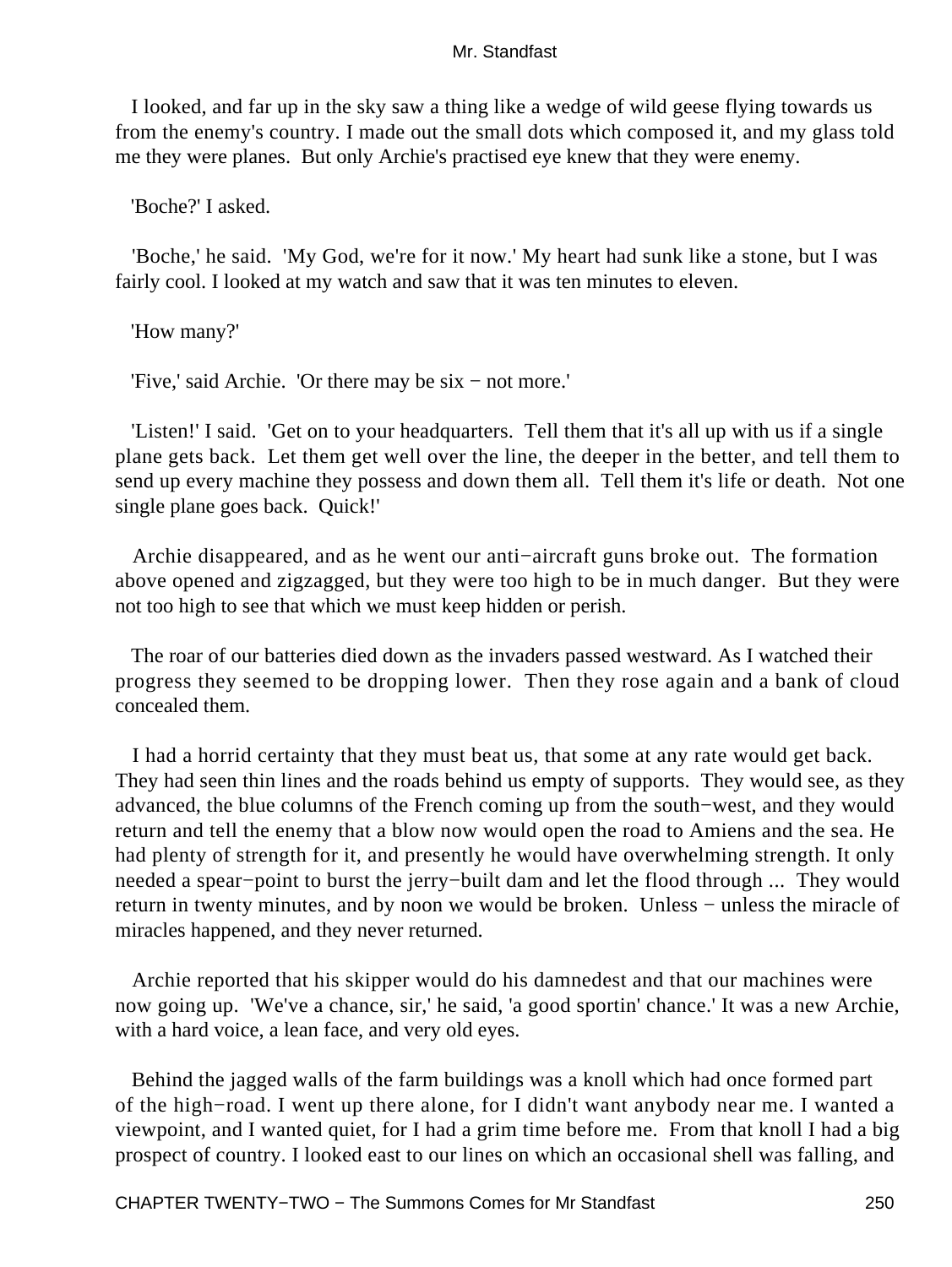I looked, and far up in the sky saw a thing like a wedge of wild geese flying towards us from the enemy's country. I made out the small dots which composed it, and my glass told me they were planes. But only Archie's practised eye knew that they were enemy.

'Boche?' I asked.

 'Boche,' he said. 'My God, we're for it now.' My heart had sunk like a stone, but I was fairly cool. I looked at my watch and saw that it was ten minutes to eleven.

'How many?'

'Five,' said Archie. 'Or there may be six − not more.'

 'Listen!' I said. 'Get on to your headquarters. Tell them that it's all up with us if a single plane gets back. Let them get well over the line, the deeper in the better, and tell them to send up every machine they possess and down them all. Tell them it's life or death. Not one single plane goes back. Quick!'

 Archie disappeared, and as he went our anti−aircraft guns broke out. The formation above opened and zigzagged, but they were too high to be in much danger. But they were not too high to see that which we must keep hidden or perish.

 The roar of our batteries died down as the invaders passed westward. As I watched their progress they seemed to be dropping lower. Then they rose again and a bank of cloud concealed them.

 I had a horrid certainty that they must beat us, that some at any rate would get back. They had seen thin lines and the roads behind us empty of supports. They would see, as they advanced, the blue columns of the French coming up from the south−west, and they would return and tell the enemy that a blow now would open the road to Amiens and the sea. He had plenty of strength for it, and presently he would have overwhelming strength. It only needed a spear−point to burst the jerry−built dam and let the flood through ... They would return in twenty minutes, and by noon we would be broken. Unless – unless the miracle of miracles happened, and they never returned.

 Archie reported that his skipper would do his damnedest and that our machines were now going up. 'We've a chance, sir,' he said, 'a good sportin' chance.' It was a new Archie, with a hard voice, a lean face, and very old eyes.

 Behind the jagged walls of the farm buildings was a knoll which had once formed part of the high−road. I went up there alone, for I didn't want anybody near me. I wanted a viewpoint, and I wanted quiet, for I had a grim time before me. From that knoll I had a big prospect of country. I looked east to our lines on which an occasional shell was falling, and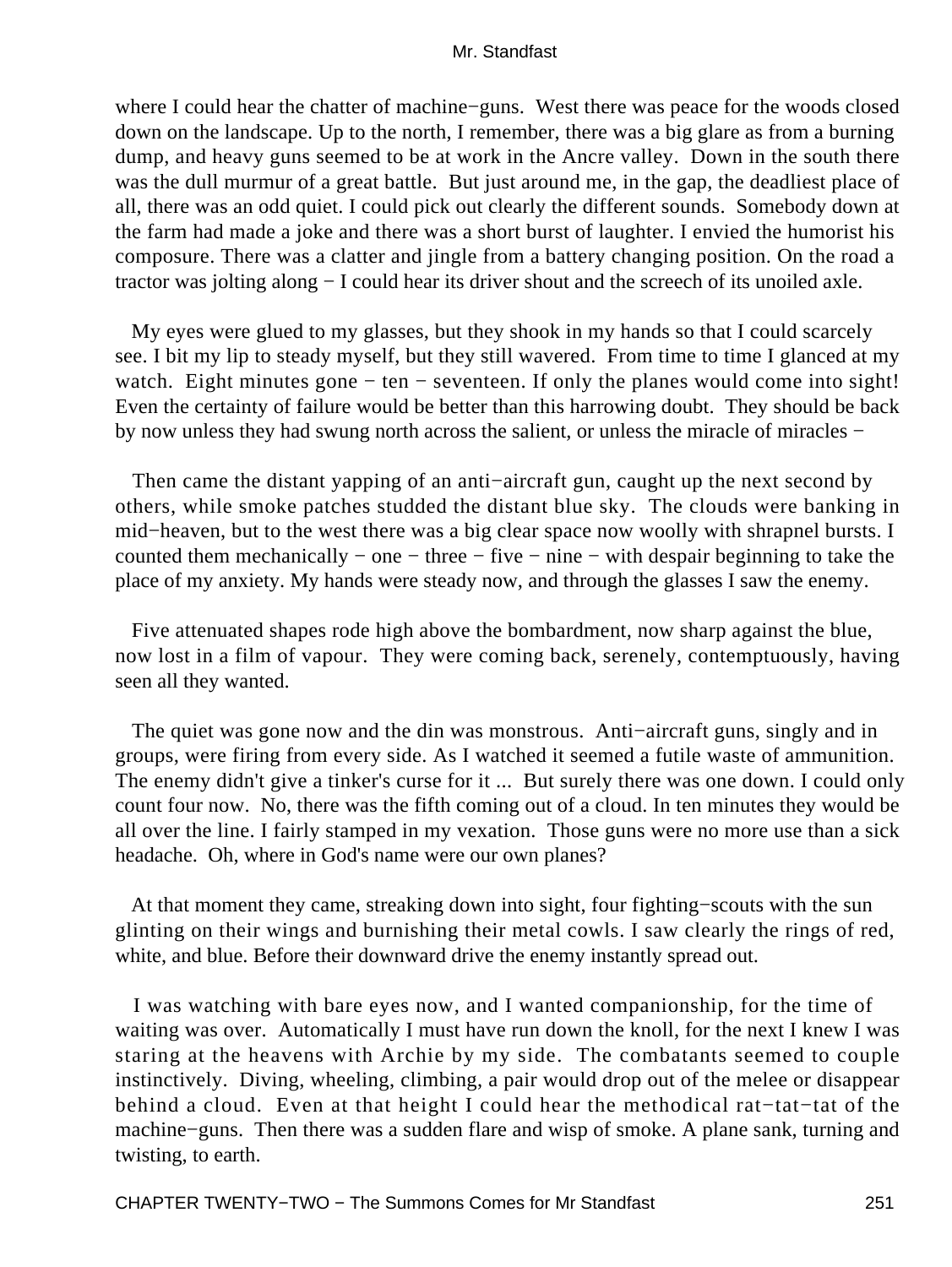where I could hear the chatter of machine−guns. West there was peace for the woods closed down on the landscape. Up to the north, I remember, there was a big glare as from a burning dump, and heavy guns seemed to be at work in the Ancre valley. Down in the south there was the dull murmur of a great battle. But just around me, in the gap, the deadliest place of all, there was an odd quiet. I could pick out clearly the different sounds. Somebody down at the farm had made a joke and there was a short burst of laughter. I envied the humorist his composure. There was a clatter and jingle from a battery changing position. On the road a tractor was jolting along − I could hear its driver shout and the screech of its unoiled axle.

 My eyes were glued to my glasses, but they shook in my hands so that I could scarcely see. I bit my lip to steady myself, but they still wavered. From time to time I glanced at my watch. Eight minutes gone – ten – seventeen. If only the planes would come into sight! Even the certainty of failure would be better than this harrowing doubt. They should be back by now unless they had swung north across the salient, or unless the miracle of miracles −

 Then came the distant yapping of an anti−aircraft gun, caught up the next second by others, while smoke patches studded the distant blue sky. The clouds were banking in mid−heaven, but to the west there was a big clear space now woolly with shrapnel bursts. I counted them mechanically − one − three − five − nine − with despair beginning to take the place of my anxiety. My hands were steady now, and through the glasses I saw the enemy.

 Five attenuated shapes rode high above the bombardment, now sharp against the blue, now lost in a film of vapour. They were coming back, serenely, contemptuously, having seen all they wanted.

 The quiet was gone now and the din was monstrous. Anti−aircraft guns, singly and in groups, were firing from every side. As I watched it seemed a futile waste of ammunition. The enemy didn't give a tinker's curse for it ... But surely there was one down. I could only count four now. No, there was the fifth coming out of a cloud. In ten minutes they would be all over the line. I fairly stamped in my vexation. Those guns were no more use than a sick headache. Oh, where in God's name were our own planes?

 At that moment they came, streaking down into sight, four fighting−scouts with the sun glinting on their wings and burnishing their metal cowls. I saw clearly the rings of red, white, and blue. Before their downward drive the enemy instantly spread out.

 I was watching with bare eyes now, and I wanted companionship, for the time of waiting was over. Automatically I must have run down the knoll, for the next I knew I was staring at the heavens with Archie by my side. The combatants seemed to couple instinctively. Diving, wheeling, climbing, a pair would drop out of the melee or disappear behind a cloud. Even at that height I could hear the methodical rat−tat−tat of the machine−guns. Then there was a sudden flare and wisp of smoke. A plane sank, turning and twisting, to earth.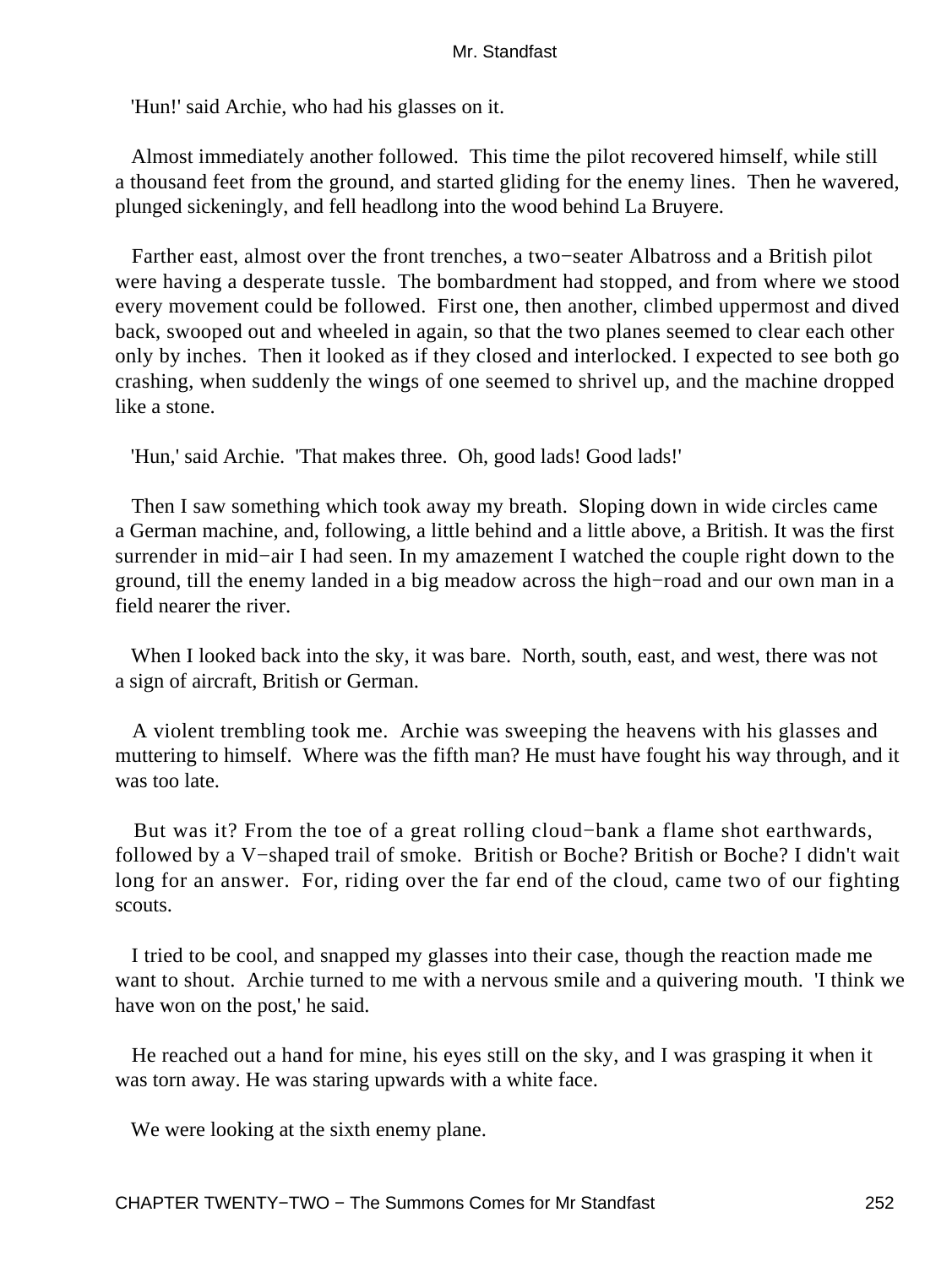'Hun!' said Archie, who had his glasses on it.

 Almost immediately another followed. This time the pilot recovered himself, while still a thousand feet from the ground, and started gliding for the enemy lines. Then he wavered, plunged sickeningly, and fell headlong into the wood behind La Bruyere.

 Farther east, almost over the front trenches, a two−seater Albatross and a British pilot were having a desperate tussle. The bombardment had stopped, and from where we stood every movement could be followed. First one, then another, climbed uppermost and dived back, swooped out and wheeled in again, so that the two planes seemed to clear each other only by inches. Then it looked as if they closed and interlocked. I expected to see both go crashing, when suddenly the wings of one seemed to shrivel up, and the machine dropped like a stone.

'Hun,' said Archie. 'That makes three. Oh, good lads! Good lads!'

 Then I saw something which took away my breath. Sloping down in wide circles came a German machine, and, following, a little behind and a little above, a British. It was the first surrender in mid−air I had seen. In my amazement I watched the couple right down to the ground, till the enemy landed in a big meadow across the high−road and our own man in a field nearer the river.

 When I looked back into the sky, it was bare. North, south, east, and west, there was not a sign of aircraft, British or German.

 A violent trembling took me. Archie was sweeping the heavens with his glasses and muttering to himself. Where was the fifth man? He must have fought his way through, and it was too late.

 But was it? From the toe of a great rolling cloud−bank a flame shot earthwards, followed by a V−shaped trail of smoke. British or Boche? British or Boche? I didn't wait long for an answer. For, riding over the far end of the cloud, came two of our fighting scouts.

 I tried to be cool, and snapped my glasses into their case, though the reaction made me want to shout. Archie turned to me with a nervous smile and a quivering mouth. 'I think we have won on the post,' he said.

 He reached out a hand for mine, his eyes still on the sky, and I was grasping it when it was torn away. He was staring upwards with a white face.

We were looking at the sixth enemy plane.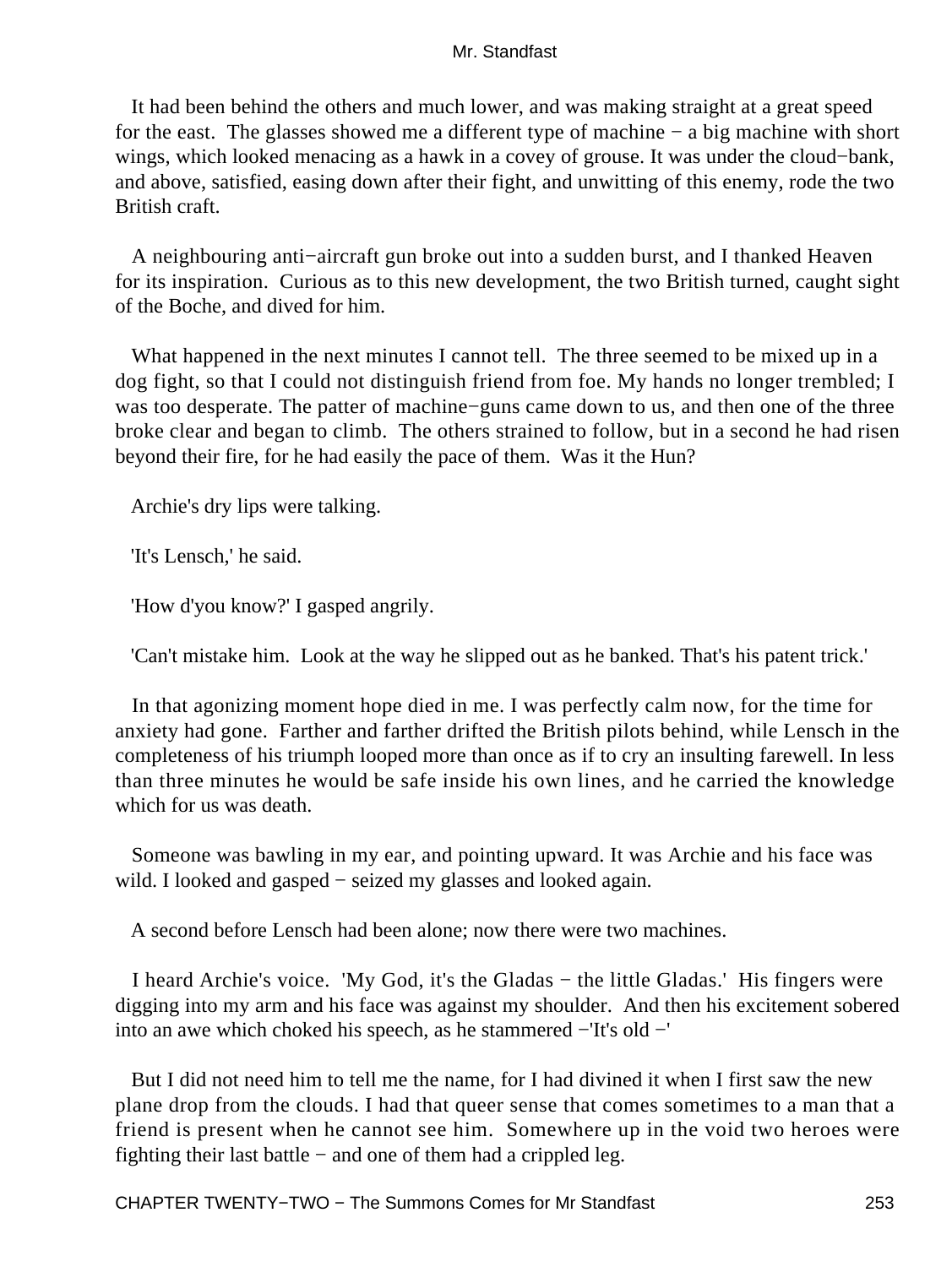It had been behind the others and much lower, and was making straight at a great speed for the east. The glasses showed me a different type of machine − a big machine with short wings, which looked menacing as a hawk in a covey of grouse. It was under the cloud−bank, and above, satisfied, easing down after their fight, and unwitting of this enemy, rode the two British craft.

 A neighbouring anti−aircraft gun broke out into a sudden burst, and I thanked Heaven for its inspiration. Curious as to this new development, the two British turned, caught sight of the Boche, and dived for him.

 What happened in the next minutes I cannot tell. The three seemed to be mixed up in a dog fight, so that I could not distinguish friend from foe. My hands no longer trembled; I was too desperate. The patter of machine−guns came down to us, and then one of the three broke clear and began to climb. The others strained to follow, but in a second he had risen beyond their fire, for he had easily the pace of them. Was it the Hun?

Archie's dry lips were talking.

'It's Lensch,' he said.

'How d'you know?' I gasped angrily.

'Can't mistake him. Look at the way he slipped out as he banked. That's his patent trick.'

 In that agonizing moment hope died in me. I was perfectly calm now, for the time for anxiety had gone. Farther and farther drifted the British pilots behind, while Lensch in the completeness of his triumph looped more than once as if to cry an insulting farewell. In less than three minutes he would be safe inside his own lines, and he carried the knowledge which for us was death.

 Someone was bawling in my ear, and pointing upward. It was Archie and his face was wild. I looked and gasped − seized my glasses and looked again.

A second before Lensch had been alone; now there were two machines.

 I heard Archie's voice. 'My God, it's the Gladas − the little Gladas.' His fingers were digging into my arm and his face was against my shoulder. And then his excitement sobered into an awe which choked his speech, as he stammered −'It's old −'

 But I did not need him to tell me the name, for I had divined it when I first saw the new plane drop from the clouds. I had that queer sense that comes sometimes to a man that a friend is present when he cannot see him. Somewhere up in the void two heroes were fighting their last battle − and one of them had a crippled leg.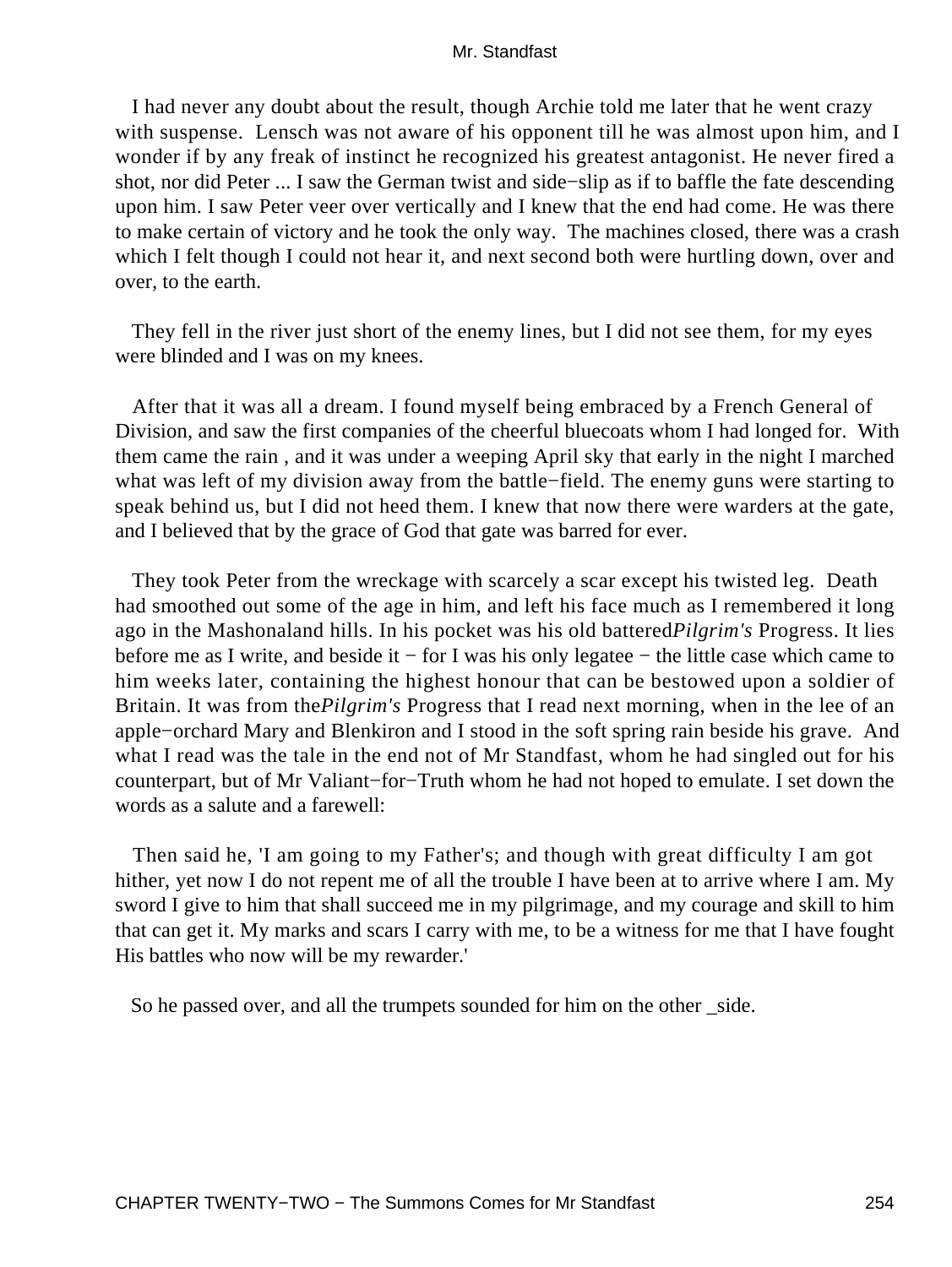I had never any doubt about the result, though Archie told me later that he went crazy with suspense. Lensch was not aware of his opponent till he was almost upon him, and I wonder if by any freak of instinct he recognized his greatest antagonist. He never fired a shot, nor did Peter ... I saw the German twist and side−slip as if to baffle the fate descending upon him. I saw Peter veer over vertically and I knew that the end had come. He was there to make certain of victory and he took the only way. The machines closed, there was a crash which I felt though I could not hear it, and next second both were hurtling down, over and over, to the earth.

 They fell in the river just short of the enemy lines, but I did not see them, for my eyes were blinded and I was on my knees.

 After that it was all a dream. I found myself being embraced by a French General of Division, and saw the first companies of the cheerful bluecoats whom I had longed for. With them came the rain , and it was under a weeping April sky that early in the night I marched what was left of my division away from the battle−field. The enemy guns were starting to speak behind us, but I did not heed them. I knew that now there were warders at the gate, and I believed that by the grace of God that gate was barred for ever.

 They took Peter from the wreckage with scarcely a scar except his twisted leg. Death had smoothed out some of the age in him, and left his face much as I remembered it long ago in the Mashonaland hills. In his pocket was his old battered*Pilgrim's* Progress. It lies before me as I write, and beside it − for I was his only legatee − the little case which came to him weeks later, containing the highest honour that can be bestowed upon a soldier of Britain. It was from the*Pilgrim's* Progress that I read next morning, when in the lee of an apple−orchard Mary and Blenkiron and I stood in the soft spring rain beside his grave. And what I read was the tale in the end not of Mr Standfast, whom he had singled out for his counterpart, but of Mr Valiant−for−Truth whom he had not hoped to emulate. I set down the words as a salute and a farewell:

 Then said he, 'I am going to my Father's; and though with great difficulty I am got hither, yet now I do not repent me of all the trouble I have been at to arrive where I am. My sword I give to him that shall succeed me in my pilgrimage, and my courage and skill to him that can get it. My marks and scars I carry with me, to be a witness for me that I have fought His battles who now will be my rewarder.'

So he passed over, and all the trumpets sounded for him on the other side.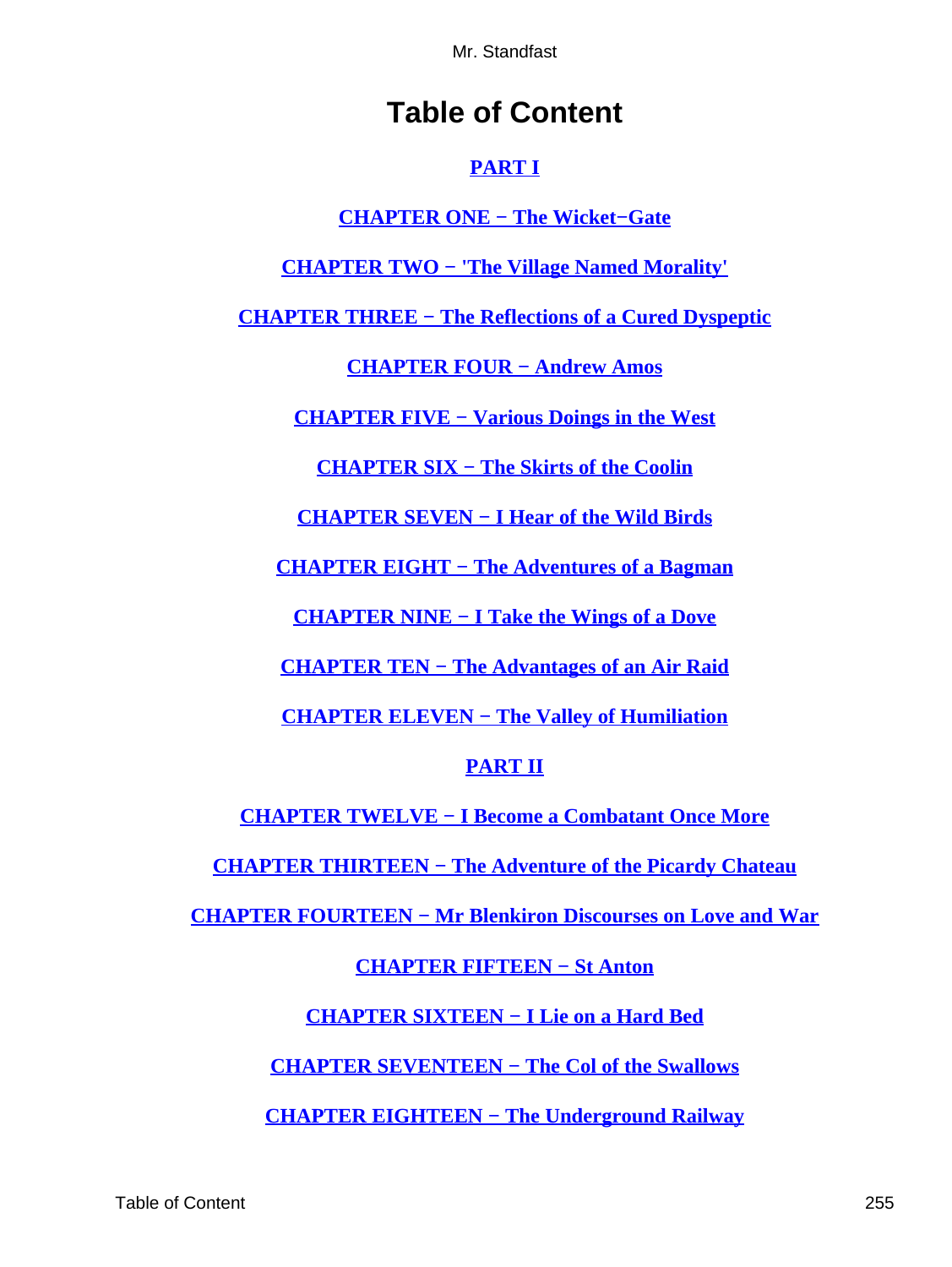# **Table of Content**

### **[PART I](#page-3-0)**

### **[CHAPTER ONE − The Wicket−Gate](#page-4-0)**

**[CHAPTER TWO − 'The Village Named Morality'](#page-17-0)**

**[CHAPTER THREE − The Reflections of a Cured Dyspeptic](#page-29-0)**

**[CHAPTER FOUR − Andrew Amos](#page-38-0)**

**[CHAPTER FIVE − Various Doings in the West](#page-50-0)**

**[CHAPTER SIX − The Skirts of the Coolin](#page-65-0)**

**[CHAPTER SEVEN − I Hear of the Wild Birds](#page-77-0)**

**[CHAPTER EIGHT − The Adventures of a Bagman](#page-87-0)**

**[CHAPTER NINE − I Take the Wings of a Dove](#page-99-0)**

**[CHAPTER TEN − The Advantages of an Air Raid](#page-109-0)**

**[CHAPTER ELEVEN − The Valley of Humiliation](#page-117-0)**

### **[PART II](#page-126-0)**

**[CHAPTER TWELVE − I Become a Combatant Once More](#page-127-0)**

**[CHAPTER THIRTEEN − The Adventure of the Picardy Chateau](#page-139-0)**

**[CHAPTER FOURTEEN − Mr Blenkiron Discourses on Love and War](#page-150-0)**

### **[CHAPTER FIFTEEN − St Anton](#page-167-0)**

**[CHAPTER SIXTEEN − I Lie on a Hard Bed](#page-179-0)**

**[CHAPTER SEVENTEEN − The Col of the Swallows](#page-189-0)**

**[CHAPTER EIGHTEEN − The Underground Railway](#page-202-0)**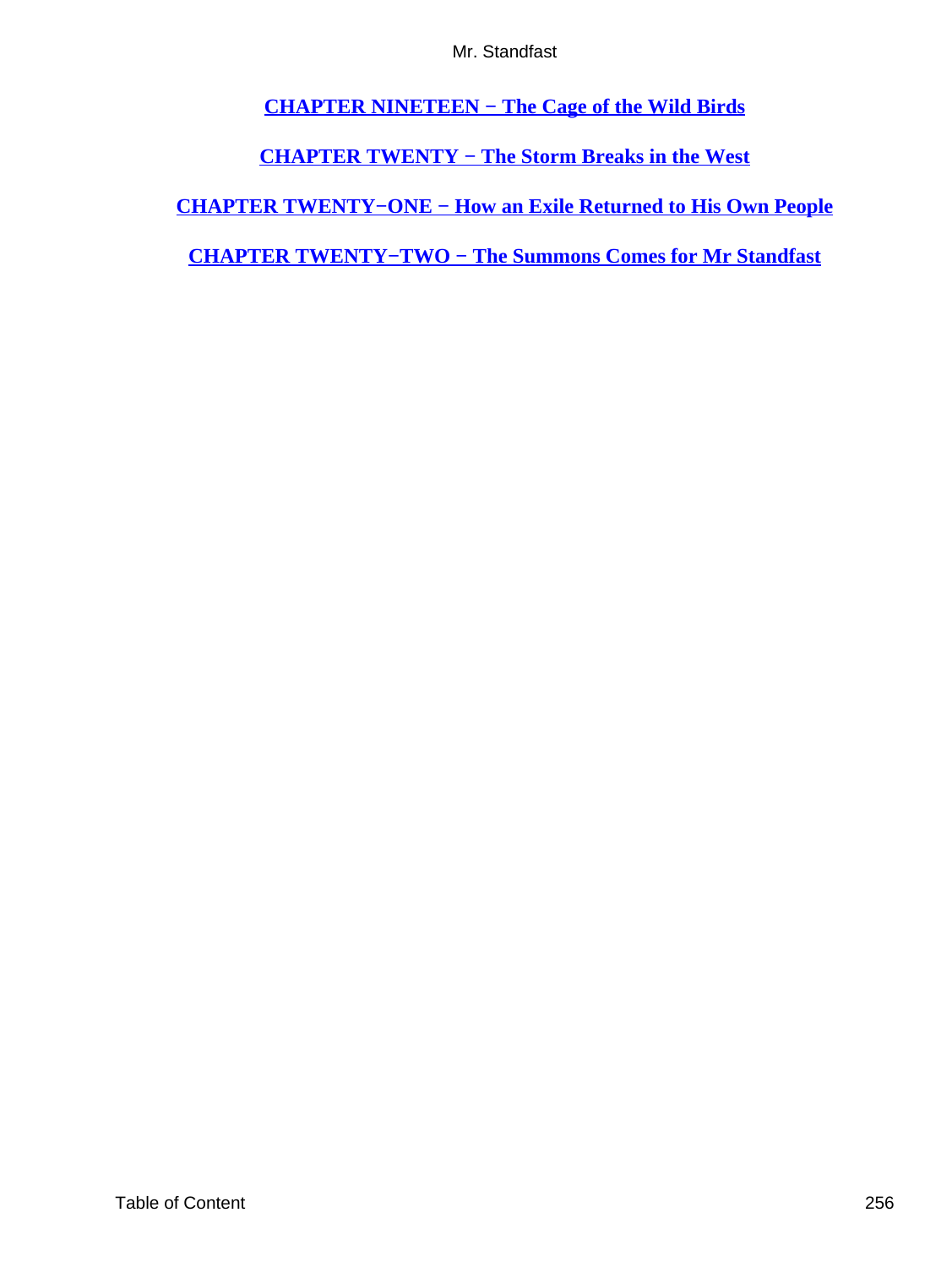**[CHAPTER NINETEEN − The Cage of the Wild Birds](#page-210-0)**

**[CHAPTER TWENTY − The Storm Breaks in the West](#page-218-0)**

**[CHAPTER TWENTY−ONE − How an Exile Returned to His Own People](#page-230-0)**

**[CHAPTER TWENTY−TWO − The Summons Comes for Mr Standfast](#page-246-0)**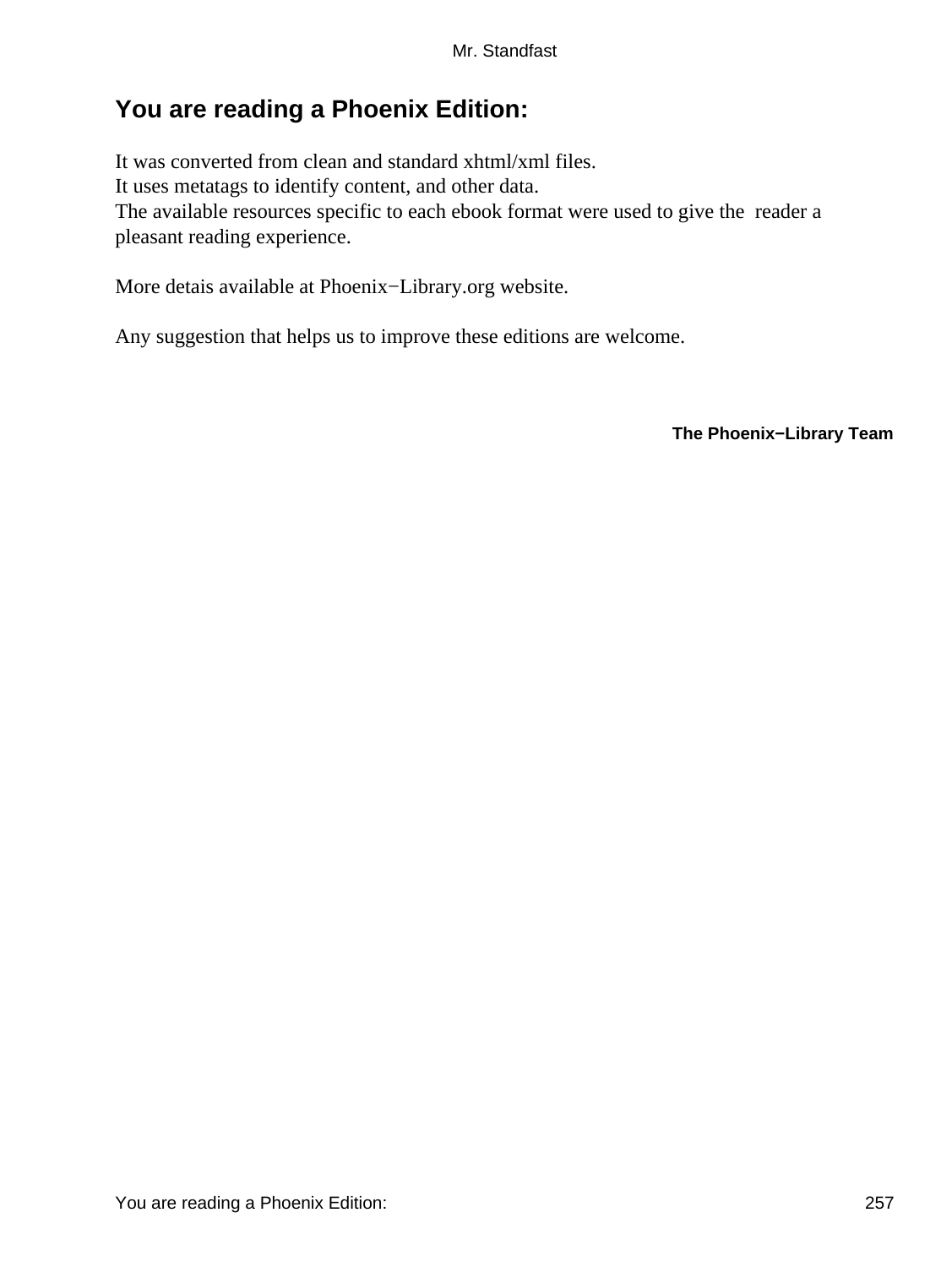## **You are reading a Phoenix Edition:**

It was converted from clean and standard xhtml/xml files. It uses metatags to identify content, and other data. The available resources specific to each ebook format were used to give the reader a pleasant reading experience.

More detais available at Phoenix−Library.org website.

Any suggestion that helps us to improve these editions are welcome.

**The Phoenix−Library Team**